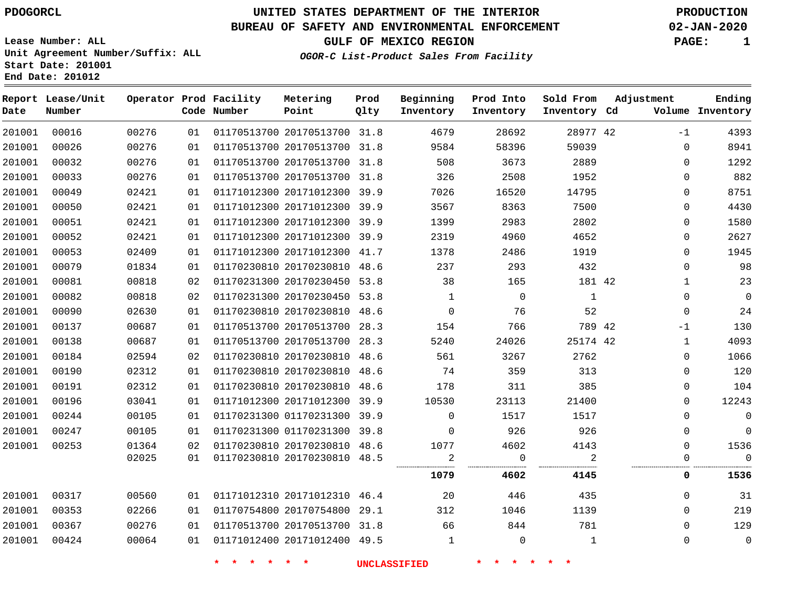#### **BUREAU OF SAFETY AND ENVIRONMENTAL ENFORCEMENT 02-JAN-2020**

**Lease Number: ALL Unit Agreement Number/Suffix: ALL Start** 

**OGOR-C List-Product Sales From Facility**

**GULF OF MEXICO REGION PAGE: 1**

| Start Date: 201001<br>End Date: 201012 |                        |          |
|----------------------------------------|------------------------|----------|
| Report Lease/Unit                      | Operator Prod Facility | Metering |

| Date   | Report Lease/Unit<br>Number |       |    | Operator Prod Facility<br>Code Number | Metering<br>Point            | Prod<br>Qlty | Beginning<br>Inventory | Prod Into<br>Inventory | Sold From<br>Inventory Cd | Adjustment   | Ending<br>Volume Inventory |
|--------|-----------------------------|-------|----|---------------------------------------|------------------------------|--------------|------------------------|------------------------|---------------------------|--------------|----------------------------|
| 201001 | 00016                       | 00276 | 01 |                                       | 01170513700 20170513700 31.8 |              | 4679                   | 28692                  | 28977 42                  | $-1$         | 4393                       |
| 201001 | 00026                       | 00276 | 01 |                                       | 01170513700 20170513700 31.8 |              | 9584                   | 58396                  | 59039                     | $\mathbf 0$  | 8941                       |
| 201001 | 00032                       | 00276 | 01 |                                       | 01170513700 20170513700 31.8 |              | 508                    | 3673                   | 2889                      | $\mathbf 0$  | 1292                       |
| 201001 | 00033                       | 00276 | 01 |                                       | 01170513700 20170513700 31.8 |              | 326                    | 2508                   | 1952                      | $\mathbf 0$  | 882                        |
| 201001 | 00049                       | 02421 | 01 |                                       | 01171012300 20171012300 39.9 |              | 7026                   | 16520                  | 14795                     | 0            | 8751                       |
| 201001 | 00050                       | 02421 | 01 |                                       | 01171012300 20171012300 39.9 |              | 3567                   | 8363                   | 7500                      | $\Omega$     | 4430                       |
| 201001 | 00051                       | 02421 | 01 |                                       | 01171012300 20171012300 39.9 |              | 1399                   | 2983                   | 2802                      | 0            | 1580                       |
| 201001 | 00052                       | 02421 | 01 |                                       | 01171012300 20171012300 39.9 |              | 2319                   | 4960                   | 4652                      | 0            | 2627                       |
| 201001 | 00053                       | 02409 | 01 |                                       | 01171012300 20171012300 41.7 |              | 1378                   | 2486                   | 1919                      | $\mathbf 0$  | 1945                       |
| 201001 | 00079                       | 01834 | 01 |                                       | 01170230810 20170230810 48.6 |              | 237                    | 293                    | 432                       | $\mathbf 0$  | 98                         |
| 201001 | 00081                       | 00818 | 02 |                                       | 01170231300 20170230450 53.8 |              | 38                     | 165                    | 181 42                    | $\mathbf{1}$ | 23                         |
| 201001 | 00082                       | 00818 | 02 |                                       | 01170231300 20170230450 53.8 |              | $\mathbf{1}$           | $\mathbf 0$            | 1                         | $\mathbf 0$  | $\overline{0}$             |
| 201001 | 00090                       | 02630 | 01 |                                       | 01170230810 20170230810 48.6 |              | $\mathbf 0$            | 76                     | 52                        | $\mathbf 0$  | 24                         |
| 201001 | 00137                       | 00687 | 01 |                                       | 01170513700 20170513700 28.3 |              | 154                    | 766                    | 789 42                    | $-1$         | 130                        |
| 201001 | 00138                       | 00687 | 01 |                                       | 01170513700 20170513700 28.3 |              | 5240                   | 24026                  | 25174 42                  | $\mathbf 1$  | 4093                       |
| 201001 | 00184                       | 02594 | 02 |                                       | 01170230810 20170230810 48.6 |              | 561                    | 3267                   | 2762                      | $\mathbf 0$  | 1066                       |
| 201001 | 00190                       | 02312 | 01 |                                       | 01170230810 20170230810 48.6 |              | 74                     | 359                    | 313                       | $\mathbf 0$  | 120                        |
| 201001 | 00191                       | 02312 | 01 |                                       | 01170230810 20170230810 48.6 |              | 178                    | 311                    | 385                       | $\mathbf 0$  | 104                        |
| 201001 | 00196                       | 03041 | 01 |                                       | 01171012300 20171012300 39.9 |              | 10530                  | 23113                  | 21400                     | $\Omega$     | 12243                      |
| 201001 | 00244                       | 00105 | 01 |                                       | 01170231300 01170231300 39.9 |              | $\mathbf 0$            | 1517                   | 1517                      | $\mathbf 0$  | $\overline{0}$             |
| 201001 | 00247                       | 00105 | 01 |                                       | 01170231300 01170231300 39.8 |              | $\Omega$               | 926                    | 926                       | $\mathbf 0$  | $\mathbf 0$                |
| 201001 | 00253                       | 01364 | 02 |                                       | 01170230810 20170230810 48.6 |              | 1077                   | 4602                   | 4143                      | 0            | 1536                       |
|        |                             | 02025 | 01 |                                       | 01170230810 20170230810 48.5 |              | $\overline{a}$         | $\mathbf 0$            | 2                         | $\mathbf 0$  | $\overline{0}$             |
|        |                             |       |    |                                       |                              |              | 1079                   | 4602                   | 4145                      | 0            | 1536                       |
| 201001 | 00317                       | 00560 | 01 |                                       | 01171012310 20171012310 46.4 |              | 20                     | 446                    | 435                       | $\Omega$     | 31                         |
| 201001 | 00353                       | 02266 | 01 |                                       | 01170754800 20170754800 29.1 |              | 312                    | 1046                   | 1139                      | $\mathbf 0$  | 219                        |
| 201001 | 00367                       | 00276 | 01 |                                       | 01170513700 20170513700 31.8 |              | 66                     | 844                    | 781                       | $\mathbf 0$  | 129                        |
| 201001 | 00424                       | 00064 | 01 |                                       | 01171012400 20171012400 49.5 |              | 1                      | $\Omega$               | 1                         | $\Omega$     | $\overline{0}$             |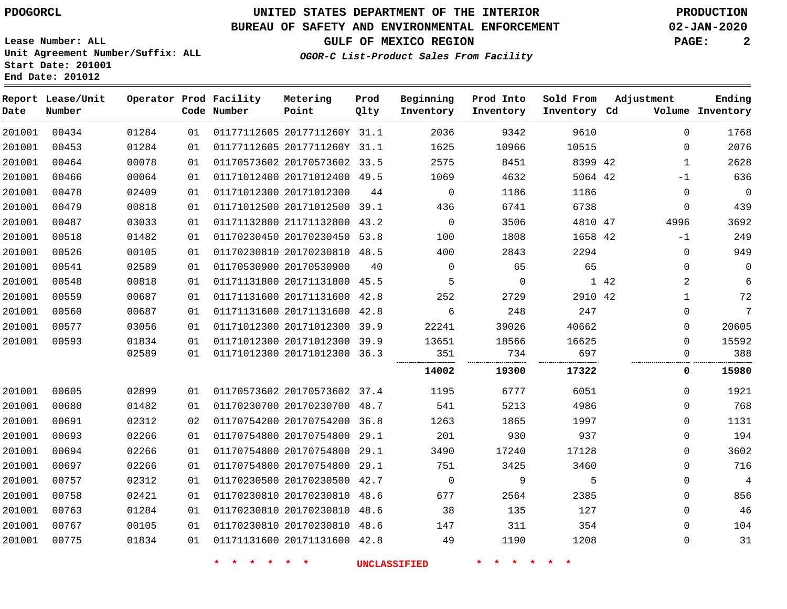### **BUREAU OF SAFETY AND ENVIRONMENTAL ENFORCEMENT 02-JAN-2020**

**OGOR-C List-Product Sales From Facility**

**GULF OF MEXICO REGION PAGE: 2**

**Lease Number: ALL Unit Agreement Number/Suffix: ALL Start Date: 201001 End Date: 201012**

| Date   | Report Lease/Unit<br>Number |       |    | Operator Prod Facility<br>Code Number | Metering<br>Point            | Prod<br>Qlty | Beginning<br>Inventory | Prod Into<br>Inventory | Sold From<br>Inventory Cd | Adjustment   | Ending<br>Volume Inventory |
|--------|-----------------------------|-------|----|---------------------------------------|------------------------------|--------------|------------------------|------------------------|---------------------------|--------------|----------------------------|
| 201001 | 00434                       | 01284 | 01 |                                       | 01177112605 2017711260Y 31.1 |              | 2036                   | 9342                   | 9610                      | $\Omega$     | 1768                       |
| 201001 | 00453                       | 01284 | 01 |                                       | 01177112605 2017711260Y 31.1 |              | 1625                   | 10966                  | 10515                     | 0            | 2076                       |
| 201001 | 00464                       | 00078 | 01 |                                       | 01170573602 20170573602 33.5 |              | 2575                   | 8451                   | 8399 42                   | $\mathbf{1}$ | 2628                       |
| 201001 | 00466                       | 00064 | 01 |                                       | 01171012400 20171012400 49.5 |              | 1069                   | 4632                   | 5064 42                   | $-1$         | 636                        |
| 201001 | 00478                       | 02409 | 01 |                                       | 01171012300 20171012300      | 44           | $\mathbf 0$            | 1186                   | 1186                      | 0            | $\mathsf 0$                |
| 201001 | 00479                       | 00818 | 01 |                                       | 01171012500 20171012500 39.1 |              | 436                    | 6741                   | 6738                      | 0            | 439                        |
| 201001 | 00487                       | 03033 | 01 |                                       | 01171132800 21171132800 43.2 |              | $\overline{0}$         | 3506                   | 4810 47                   | 4996         | 3692                       |
| 201001 | 00518                       | 01482 | 01 |                                       | 01170230450 20170230450 53.8 |              | 100                    | 1808                   | 1658 42                   | $-1$         | 249                        |
| 201001 | 00526                       | 00105 | 01 |                                       | 01170230810 20170230810 48.5 |              | 400                    | 2843                   | 2294                      | $\mathbf 0$  | 949                        |
| 201001 | 00541                       | 02589 | 01 |                                       | 01170530900 20170530900      | 40           | $\Omega$               | 65                     | 65                        | 0            | $\mathbf 0$                |
| 201001 | 00548                       | 00818 | 01 |                                       | 01171131800 20171131800 45.5 |              | 5                      | $\mathbf 0$            |                           | 2<br>1 42    | 6                          |
| 201001 | 00559                       | 00687 | 01 |                                       | 01171131600 20171131600 42.8 |              | 252                    | 2729                   | 2910 42                   | 1            | 72                         |
| 201001 | 00560                       | 00687 | 01 |                                       | 01171131600 20171131600      | 42.8         | 6                      | 248                    | 247                       | 0            | $7\phantom{.0}$            |
| 201001 | 00577                       | 03056 | 01 |                                       | 01171012300 20171012300 39.9 |              | 22241                  | 39026                  | 40662                     | 0            | 20605                      |
| 201001 | 00593                       | 01834 | 01 |                                       | 01171012300 20171012300 39.9 |              | 13651                  | 18566                  | 16625                     | 0            | 15592                      |
|        |                             | 02589 | 01 |                                       | 01171012300 20171012300      | 36.3         | 351                    | 734                    | 697                       | 0            | 388                        |
|        |                             |       |    |                                       |                              |              | 14002                  | 19300                  | 17322                     | 0            | 15980                      |
| 201001 | 00605                       | 02899 | 01 |                                       | 01170573602 20170573602 37.4 |              | 1195                   | 6777                   | 6051                      | 0            | 1921                       |
| 201001 | 00680                       | 01482 | 01 |                                       | 01170230700 20170230700 48.7 |              | 541                    | 5213                   | 4986                      | 0            | 768                        |
| 201001 | 00691                       | 02312 | 02 |                                       | 01170754200 20170754200      | 36.8         | 1263                   | 1865                   | 1997                      | $\Omega$     | 1131                       |
| 201001 | 00693                       | 02266 | 01 |                                       | 01170754800 20170754800      | 29.1         | 201                    | 930                    | 937                       | 0            | 194                        |
| 201001 | 00694                       | 02266 | 01 |                                       | 01170754800 20170754800 29.1 |              | 3490                   | 17240                  | 17128                     | 0            | 3602                       |
| 201001 | 00697                       | 02266 | 01 |                                       | 01170754800 20170754800 29.1 |              | 751                    | 3425                   | 3460                      | 0            | 716                        |
| 201001 | 00757                       | 02312 | 01 |                                       | 01170230500 20170230500 42.7 |              | $\mathbf 0$            | 9                      | 5                         | 0            | 4                          |
| 201001 | 00758                       | 02421 | 01 |                                       | 01170230810 20170230810      | 48.6         | 677                    | 2564                   | 2385                      | 0            | 856                        |
| 201001 | 00763                       | 01284 | 01 |                                       | 01170230810 20170230810 48.6 |              | 38                     | 135                    | 127                       | $\Omega$     | 46                         |
| 201001 | 00767                       | 00105 | 01 |                                       | 01170230810 20170230810      | 48.6         | 147                    | 311                    | 354                       | 0            | 104                        |
| 201001 | 00775                       | 01834 | 01 |                                       | 01171131600 20171131600 42.8 |              | 49                     | 1190                   | 1208                      | 0            | 31                         |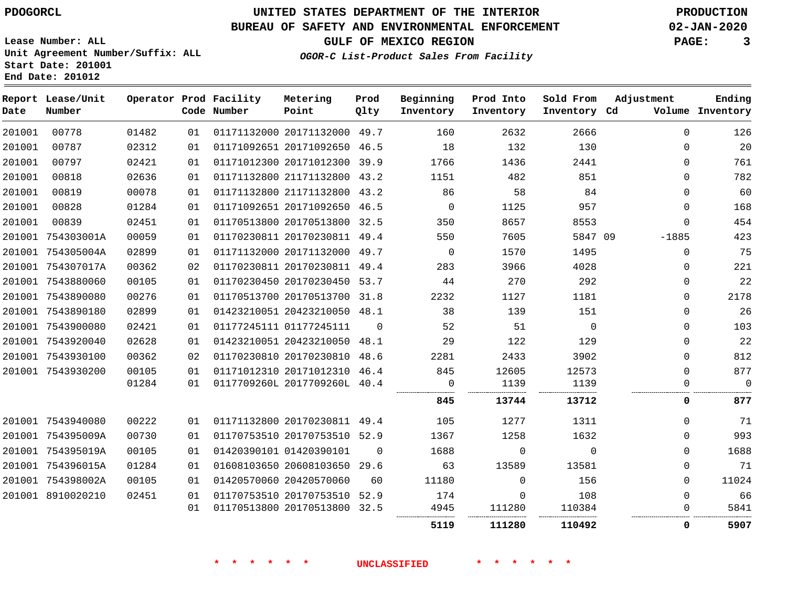### **BUREAU OF SAFETY AND ENVIRONMENTAL ENFORCEMENT 02-JAN-2020**

**OGOR-C List-Product Sales From Facility**

**GULF OF MEXICO REGION PAGE: 3**

**Lease Number: ALL Unit Agreement Number/Suffix: ALL Start Date: 201001 End Date: 201012**

| Date   | Report Lease/Unit<br>Number |       |    | Operator Prod Facility<br>Code Number | Metering<br>Point            | Prod<br>Qlty | Beginning<br>Inventory | Prod Into<br>Inventory | Sold From<br>Inventory Cd | Adjustment   | Ending<br>Volume Inventory |
|--------|-----------------------------|-------|----|---------------------------------------|------------------------------|--------------|------------------------|------------------------|---------------------------|--------------|----------------------------|
| 201001 | 00778                       | 01482 | 01 |                                       | 01171132000 20171132000 49.7 |              | 160                    | 2632                   | 2666                      | $\Omega$     | 126                        |
| 201001 | 00787                       | 02312 | 01 |                                       | 01171092651 20171092650 46.5 |              | 18                     | 132                    | 130                       | 0            | 20                         |
| 201001 | 00797                       | 02421 | 01 |                                       | 01171012300 20171012300 39.9 |              | 1766                   | 1436                   | 2441                      | $\Omega$     | 761                        |
| 201001 | 00818                       | 02636 | 01 |                                       | 01171132800 21171132800 43.2 |              | 1151                   | 482                    | 851                       | $\Omega$     | 782                        |
| 201001 | 00819                       | 00078 | 01 |                                       | 01171132800 21171132800 43.2 |              | 86                     | 58                     | 84                        | $\Omega$     | 60                         |
| 201001 | 00828                       | 01284 | 01 |                                       | 01171092651 20171092650 46.5 |              | $\overline{0}$         | 1125                   | 957                       | $\mathbf{0}$ | 168                        |
| 201001 | 00839                       | 02451 | 01 |                                       | 01170513800 20170513800 32.5 |              | 350                    | 8657                   | 8553                      | $\Omega$     | 454                        |
|        | 201001 754303001A           | 00059 | 01 |                                       | 01170230811 20170230811 49.4 |              | 550                    | 7605                   | 5847 09                   | $-1885$      | 423                        |
|        | 201001 754305004A           | 02899 | 01 |                                       | 01171132000 20171132000 49.7 |              | $\Omega$               | 1570                   | 1495                      | $\Omega$     | 75                         |
|        | 201001 754307017A           | 00362 | 02 |                                       | 01170230811 20170230811 49.4 |              | 283                    | 3966                   | 4028                      | $\mathbf 0$  | 221                        |
|        | 201001 7543880060           | 00105 | 01 |                                       | 01170230450 20170230450 53.7 |              | 44                     | 270                    | 292                       | $\mathbf 0$  | 22                         |
|        | 201001 7543890080           | 00276 | 01 |                                       | 01170513700 20170513700 31.8 |              | 2232                   | 1127                   | 1181                      | $\mathbf 0$  | 2178                       |
|        | 201001 7543890180           | 02899 | 01 |                                       | 01423210051 20423210050 48.1 |              | 38                     | 139                    | 151                       | $\Omega$     | 26                         |
|        | 201001 7543900080           | 02421 | 01 |                                       | 01177245111 01177245111      | $\mathbf 0$  | 52                     | 51                     | $\overline{0}$            | $\mathbf 0$  | 103                        |
|        | 201001 7543920040           | 02628 | 01 |                                       | 01423210051 20423210050 48.1 |              | 29                     | 122                    | 129                       | $\Omega$     | 22                         |
|        | 201001 7543930100           | 00362 | 02 |                                       | 01170230810 20170230810 48.6 |              | 2281                   | 2433                   | 3902                      | $\Omega$     | 812                        |
|        | 201001 7543930200           | 00105 | 01 |                                       | 01171012310 20171012310 46.4 |              | 845                    | 12605                  | 12573                     | $\Omega$     | 877                        |
|        |                             | 01284 | 01 |                                       | 0117709260L 2017709260L 40.4 |              | 0                      | 1139                   | 1139                      | 0            | $\mathbf 0$                |
|        |                             |       |    |                                       |                              |              | 845                    | 13744                  | 13712                     | 0            | 877                        |
|        | 201001 7543940080           | 00222 | 01 |                                       | 01171132800 20170230811 49.4 |              | 105                    | 1277                   | 1311                      | $\Omega$     | 71                         |
|        | 201001 754395009A           | 00730 | 01 |                                       | 01170753510 20170753510 52.9 |              | 1367                   | 1258                   | 1632                      | $\Omega$     | 993                        |
|        | 201001 754395019A           | 00105 | 01 |                                       | 01420390101 01420390101      | $\Omega$     | 1688                   | $\Omega$               | $\Omega$                  | $\Omega$     | 1688                       |
|        | 201001 754396015A           | 01284 | 01 |                                       | 01608103650 20608103650 29.6 |              | 63                     | 13589                  | 13581                     | $\mathbf 0$  | 71                         |
|        | 201001 754398002A           | 00105 | 01 |                                       | 01420570060 20420570060      | 60           | 11180                  | $\mathbf 0$            | 156                       | $\mathbf 0$  | 11024                      |
|        | 201001 8910020210           | 02451 | 01 |                                       | 01170753510 20170753510 52.9 |              | 174                    | $\mathbf 0$            | 108                       | $\mathbf 0$  | 66                         |
|        |                             |       | 01 |                                       | 01170513800 20170513800 32.5 |              | 4945                   | 111280                 | 110384                    | $\Omega$     | 5841                       |
|        |                             |       |    |                                       |                              |              | 5119                   | 111280                 | 110492                    | 0            | 5907                       |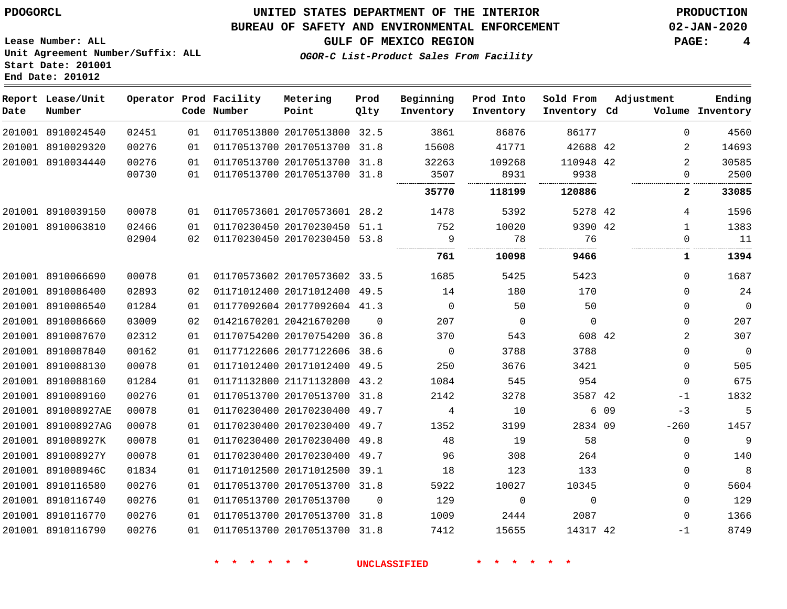**Start Date: 201001 End Date: 201012**

### **UNITED STATES DEPARTMENT OF THE INTERIOR PDOGORCL PRODUCTION**

### **BUREAU OF SAFETY AND ENVIRONMENTAL ENFORCEMENT 02-JAN-2020**

**Lease Number: ALL Unit Agreement Number/Suffix: ALL**

**GULF OF MEXICO REGION PAGE: 4**

**OGOR-C List-Product Sales From Facility**

| Date | Report Lease/Unit<br>Number |       |    | Operator Prod Facility<br>Code Number | Metering<br>Point            | Prod<br>Qlty | Beginning<br>Inventory | Prod Into<br>Inventory | Sold From<br>Inventory Cd | Adjustment    | Ending<br>Volume Inventory     |
|------|-----------------------------|-------|----|---------------------------------------|------------------------------|--------------|------------------------|------------------------|---------------------------|---------------|--------------------------------|
|      | 201001 8910024540           | 02451 | 01 |                                       | 01170513800 20170513800 32.5 |              | 3861                   | 86876                  | 86177                     |               | $\Omega$<br>4560               |
|      | 201001 8910029320           | 00276 | 01 |                                       | 01170513700 20170513700 31.8 |              | 15608                  | 41771                  | 42688 42                  |               | 2<br>14693                     |
|      | 201001 8910034440           | 00276 | 01 |                                       | 01170513700 20170513700 31.8 |              | 32263                  | 109268                 | 110948 42                 |               | 2<br>30585                     |
|      |                             | 00730 | 01 |                                       | 01170513700 20170513700 31.8 |              | 3507                   | 8931                   | 9938                      |               | $\mathbf{0}$<br>2500           |
|      |                             |       |    |                                       |                              |              | 35770                  | 118199                 | 120886                    |               | $\mathbf{2}$<br>33085          |
|      | 201001 8910039150           | 00078 | 01 |                                       | 01170573601 20170573601 28.2 |              | 1478                   | 5392                   | 5278 42                   |               | 1596<br>4                      |
|      | 201001 8910063810           | 02466 | 01 |                                       | 01170230450 20170230450 51.1 |              | 752                    | 10020                  | 9390 42                   |               | $\mathbf{1}$<br>1383           |
|      |                             | 02904 | 02 |                                       | 01170230450 20170230450 53.8 |              | 9<br>                  | 78                     | 76                        |               | 11<br>$\Omega$                 |
|      |                             |       |    |                                       |                              |              | 761                    | 10098                  | 9466                      |               | 1<br>1394                      |
|      | 201001 8910066690           | 00078 | 01 |                                       | 01170573602 20170573602 33.5 |              | 1685                   | 5425                   | 5423                      |               | 1687<br>$\Omega$               |
|      | 201001 8910086400           | 02893 | 02 |                                       | 01171012400 20171012400 49.5 |              | 14                     | 180                    | 170                       |               | 24<br>0                        |
|      | 201001 8910086540           | 01284 | 01 |                                       | 01177092604 20177092604 41.3 |              | $\mathbf 0$            | 50                     | 50                        |               | $\mathbf 0$<br>0               |
|      | 201001 8910086660           | 03009 | 02 |                                       | 01421670201 20421670200      | $\Omega$     | 207                    | $\Omega$               | $\mathbf 0$               |               | 207<br>$\Omega$                |
|      | 201001 8910087670           | 02312 | 01 |                                       | 01170754200 20170754200 36.8 |              | 370                    | 543                    | 608 42                    |               | $\overline{2}$<br>307          |
|      | 201001 8910087840           | 00162 | 01 |                                       | 01177122606 20177122606      | 38.6         | $\mathbf 0$            | 3788                   | 3788                      |               | $\mathbf{0}$<br>$\overline{0}$ |
|      | 201001 8910088130           | 00078 | 01 |                                       | 01171012400 20171012400 49.5 |              | 250                    | 3676                   | 3421                      |               | 505<br>0                       |
|      | 201001 8910088160           | 01284 | 01 |                                       | 01171132800 21171132800 43.2 |              | 1084                   | 545                    | 954                       |               | 675<br>$\Omega$                |
|      | 201001 8910089160           | 00276 | 01 |                                       | 01170513700 20170513700 31.8 |              | 2142                   | 3278                   | 3587 42                   | $-1$          | 1832                           |
|      | 201001 891008927AE          | 00078 | 01 |                                       | 01170230400 20170230400      | 49.7         | 4                      | 10                     |                           | 6 0 9<br>$-3$ | 5                              |
|      | 201001 891008927AG          | 00078 | 01 |                                       | 01170230400 20170230400 49.7 |              | 1352                   | 3199                   | 2834 09                   | $-260$        | 1457                           |
|      | 201001 891008927K           | 00078 | 01 |                                       | 01170230400 20170230400 49.8 |              | 48                     | 19                     | 58                        |               | 9<br>$\mathbf{0}$              |
|      | 201001 891008927Y           | 00078 | 01 |                                       | 01170230400 20170230400 49.7 |              | 96                     | 308                    | 264                       |               | 140<br>0                       |
|      | 201001 891008946C           | 01834 | 01 |                                       | 01171012500 20171012500      | 39.1         | 18                     | 123                    | 133                       |               | 8<br>0                         |
|      | 201001 8910116580           | 00276 | 01 |                                       | 01170513700 20170513700 31.8 |              | 5922                   | 10027                  | 10345                     |               | 5604<br>$\mathbf{0}$           |
|      | 201001 8910116740           | 00276 | 01 |                                       | 01170513700 20170513700      | $\mathbf 0$  | 129                    | $\mathbf 0$            | $\mathbf 0$               |               | 129<br>$\mathbf{0}$            |
|      | 201001 8910116770           | 00276 | 01 |                                       | 01170513700 20170513700 31.8 |              | 1009                   | 2444                   | 2087                      |               | 1366<br>0                      |
|      | 201001 8910116790           | 00276 | 01 |                                       | 01170513700 20170513700 31.8 |              | 7412                   | 15655                  | 14317 42                  | $-1$          | 8749                           |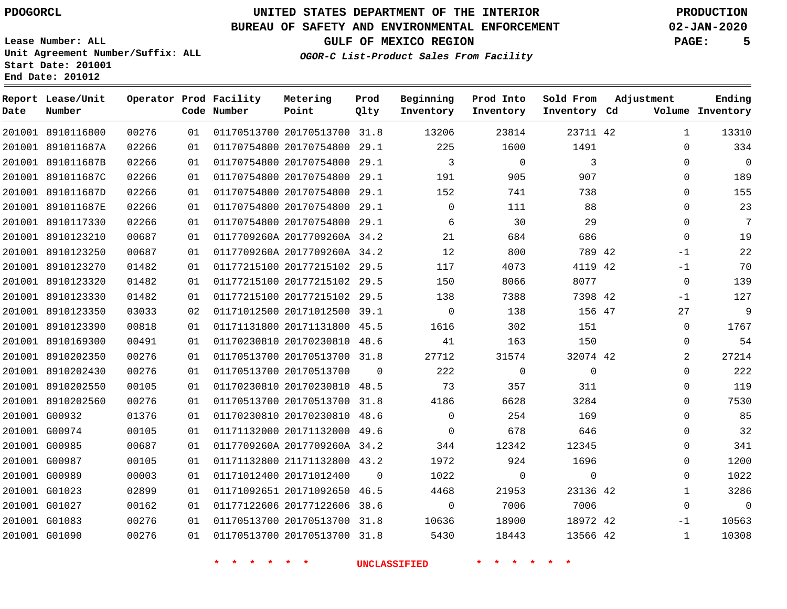### **BUREAU OF SAFETY AND ENVIRONMENTAL ENFORCEMENT 02-JAN-2020**

**Lease Number: ALL Unit Agreement Number/Suffix: ALL Start Date: 201001**

**End Date: 201012**

**GULF OF MEXICO REGION PAGE: 5**

**OGOR-C List-Product Sales From Facility**

| Date | Report Lease/Unit<br>Number |       |    | Operator Prod Facility<br>Code Number | Metering<br>Point            | Prod<br>Qlty | Beginning<br>Inventory | Prod Into<br>Inventory | Sold From<br>Inventory Cd | Adjustment |              | Ending<br>Volume Inventory |
|------|-----------------------------|-------|----|---------------------------------------|------------------------------|--------------|------------------------|------------------------|---------------------------|------------|--------------|----------------------------|
|      | 201001 8910116800           | 00276 | 01 |                                       | 01170513700 20170513700 31.8 |              | 13206                  | 23814                  | 23711 42                  |            | $\mathbf{1}$ | 13310                      |
|      | 201001 891011687A           | 02266 | 01 |                                       | 01170754800 20170754800 29.1 |              | 225                    | 1600                   | 1491                      |            | $\mathbf 0$  | 334                        |
|      | 201001 891011687B           | 02266 | 01 |                                       | 01170754800 20170754800 29.1 |              | $\overline{3}$         | $\mathbf 0$            | 3                         |            | $\mathbf 0$  | $\mathbf 0$                |
|      | 201001 891011687C           | 02266 | 01 |                                       | 01170754800 20170754800 29.1 |              | 191                    | 905                    | 907                       |            | $\mathbf 0$  | 189                        |
|      | 201001 891011687D           | 02266 | 01 |                                       | 01170754800 20170754800 29.1 |              | 152                    | 741                    | 738                       |            | $\Omega$     | 155                        |
|      | 201001 891011687E           | 02266 | 01 |                                       | 01170754800 20170754800 29.1 |              | $\mathbf 0$            | 111                    | 88                        |            | $\mathbf{0}$ | 23                         |
|      | 201001 8910117330           | 02266 | 01 |                                       | 01170754800 20170754800 29.1 |              | 6                      | 30                     | 29                        |            | $\Omega$     | 7                          |
|      | 201001 8910123210           | 00687 | 01 |                                       | 0117709260A 2017709260A 34.2 |              | 21                     | 684                    | 686                       |            | $\mathbf 0$  | 19                         |
|      | 201001 8910123250           | 00687 | 01 |                                       | 0117709260A 2017709260A 34.2 |              | 12                     | 800                    | 789 42                    |            | $-1$         | 22                         |
|      | 201001 8910123270           | 01482 | 01 |                                       | 01177215100 20177215102 29.5 |              | 117                    | 4073                   | 4119 42                   |            | $-1$         | 70                         |
|      | 201001 8910123320           | 01482 | 01 |                                       | 01177215100 20177215102 29.5 |              | 150                    | 8066                   | 8077                      |            | 0            | 139                        |
|      | 201001 8910123330           | 01482 | 01 |                                       | 01177215100 20177215102 29.5 |              | 138                    | 7388                   | 7398 42                   |            | $-1$         | 127                        |
|      | 201001 8910123350           | 03033 | 02 |                                       | 01171012500 20171012500 39.1 |              | $\mathbf 0$            | 138                    | 156 47                    |            | 27           | 9                          |
|      | 201001 8910123390           | 00818 | 01 |                                       | 01171131800 20171131800 45.5 |              | 1616                   | 302                    | 151                       |            | $\Omega$     | 1767                       |
|      | 201001 8910169300           | 00491 | 01 |                                       | 01170230810 20170230810 48.6 |              | 41                     | 163                    | 150                       |            | 0            | 54                         |
|      | 201001 8910202350           | 00276 | 01 |                                       | 01170513700 20170513700 31.8 |              | 27712                  | 31574                  | 32074 42                  |            | 2            | 27214                      |
|      | 201001 8910202430           | 00276 | 01 |                                       | 01170513700 20170513700      | $\mathbf 0$  | 222                    | $\mathbf 0$            | $\mathsf 0$               |            | $\mathbf 0$  | 222                        |
|      | 201001 8910202550           | 00105 | 01 |                                       | 01170230810 20170230810 48.5 |              | 73                     | 357                    | 311                       |            | 0            | 119                        |
|      | 201001 8910202560           | 00276 | 01 |                                       | 01170513700 20170513700 31.8 |              | 4186                   | 6628                   | 3284                      |            | $\Omega$     | 7530                       |
|      | 201001 G00932               | 01376 | 01 |                                       | 01170230810 20170230810 48.6 |              | $\Omega$               | 254                    | 169                       |            | $\mathbf 0$  | 85                         |
|      | 201001 G00974               | 00105 | 01 |                                       | 01171132000 20171132000 49.6 |              | $\mathbf 0$            | 678                    | 646                       |            | $\mathbf 0$  | 32                         |
|      | 201001 G00985               | 00687 | 01 |                                       | 0117709260A 2017709260A 34.2 |              | 344                    | 12342                  | 12345                     |            | 0            | 341                        |
|      | 201001 G00987               | 00105 | 01 |                                       | 01171132800 21171132800 43.2 |              | 1972                   | 924                    | 1696                      |            | $\mathbf 0$  | 1200                       |
|      | 201001 G00989               | 00003 | 01 |                                       | 01171012400 20171012400      | $\Omega$     | 1022                   | $\mathbf 0$            | $\mathbf 0$               |            | $\mathbf 0$  | 1022                       |
|      | 201001 G01023               | 02899 | 01 |                                       | 01171092651 20171092650 46.5 |              | 4468                   | 21953                  | 23136 42                  |            | $\mathbf{1}$ | 3286                       |
|      | 201001 G01027               | 00162 | 01 |                                       | 01177122606 20177122606 38.6 |              | $\Omega$               | 7006                   | 7006                      |            | $\Omega$     | $\Omega$                   |
|      | 201001 G01083               | 00276 | 01 |                                       | 01170513700 20170513700 31.8 |              | 10636                  | 18900                  | 18972 42                  |            | $-1$         | 10563                      |
|      | 201001 G01090               | 00276 | 01 | 01170513700 20170513700 31.8          |                              |              | 5430                   | 18443                  | 13566 42                  |            | 1            | 10308                      |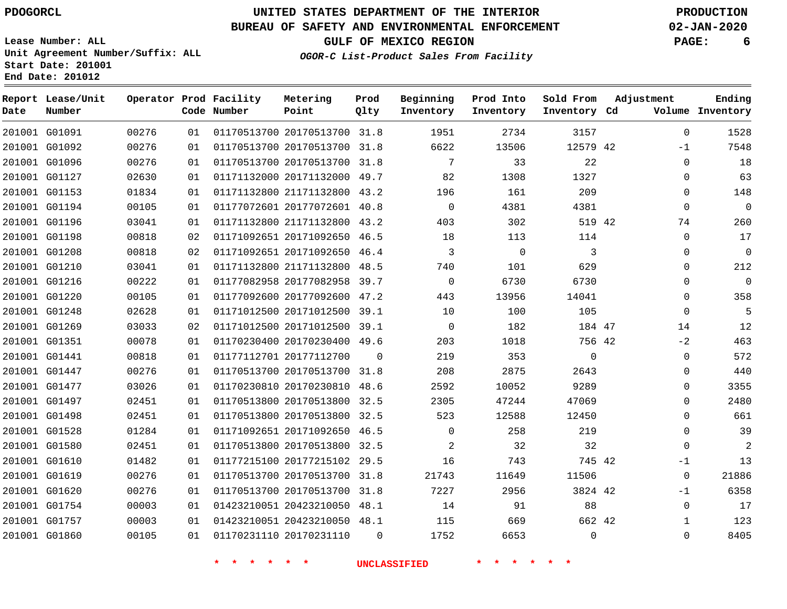### **BUREAU OF SAFETY AND ENVIRONMENTAL ENFORCEMENT 02-JAN-2020**

**Lease Number: ALL Unit Agreement Number/Suffix: ALL Start Date: 201001**

**End Date: 201012**

**GULF OF MEXICO REGION PAGE: 6**

**OGOR-C List-Product Sales From Facility**

| Date | Report Lease/Unit<br>Number |       |                 | Operator Prod Facility<br>Code Number | Metering<br>Point            | Prod<br>Qlty | Beginning<br>Inventory | Prod Into<br>Inventory | Sold From<br>Inventory Cd | Adjustment   | Ending<br>Volume Inventory |
|------|-----------------------------|-------|-----------------|---------------------------------------|------------------------------|--------------|------------------------|------------------------|---------------------------|--------------|----------------------------|
|      | 201001 G01091               | 00276 | 01              |                                       | 01170513700 20170513700 31.8 |              | 1951                   | 2734                   | 3157                      | $\mathbf 0$  | 1528                       |
|      | 201001 G01092               | 00276 | 01              |                                       | 01170513700 20170513700 31.8 |              | 6622                   | 13506                  | 12579 42                  | $-1$         | 7548                       |
|      | 201001 G01096               | 00276 | 01              |                                       | 01170513700 20170513700 31.8 |              | $7\overline{ }$        | 33                     | 22                        | $\Omega$     | 18                         |
|      | 201001 G01127               | 02630 | 01              |                                       | 01171132000 20171132000 49.7 |              | 82                     | 1308                   | 1327                      | $\mathbf 0$  | 63                         |
|      | 201001 G01153               | 01834 | 01              |                                       | 01171132800 21171132800 43.2 |              | 196                    | 161                    | 209                       | $\Omega$     | 148                        |
|      | 201001 G01194               | 00105 | 01              |                                       | 01177072601 20177072601 40.8 |              | $\mathsf{O}$           | 4381                   | 4381                      | $\mathbf 0$  | $\mathbf 0$                |
|      | 201001 G01196               | 03041 | 01              |                                       | 01171132800 21171132800 43.2 |              | 403                    | 302                    | 519 42                    | 74           | 260                        |
|      | 201001 G01198               | 00818 | 02 <sub>o</sub> |                                       | 01171092651 20171092650 46.5 |              | 18                     | 113                    | 114                       | $\mathbf 0$  | 17                         |
|      | 201001 G01208               | 00818 | 02              |                                       | 01171092651 20171092650 46.4 |              | 3                      | $\overline{0}$         | 3                         | $\mathbf 0$  | $\mathbf 0$                |
|      | 201001 G01210               | 03041 | 01              |                                       | 01171132800 21171132800 48.5 |              | 740                    | 101                    | 629                       | $\Omega$     | 212                        |
|      | 201001 G01216               | 00222 | 01              |                                       | 01177082958 20177082958 39.7 |              | $\mathbf 0$            | 6730                   | 6730                      | $\mathbf 0$  | $\mathbf 0$                |
|      | 201001 G01220               | 00105 | 01              |                                       | 01177092600 20177092600 47.2 |              | 443                    | 13956                  | 14041                     | $\mathbf 0$  | 358                        |
|      | 201001 G01248               | 02628 | 01              |                                       | 01171012500 20171012500 39.1 |              | 10                     | 100                    | 105                       | $\Omega$     | 5                          |
|      | 201001 G01269               | 03033 | 02              |                                       | 01171012500 20171012500 39.1 |              | $\mathbf 0$            | 182                    | 184 47                    | 14           | 12                         |
|      | 201001 G01351               | 00078 | 01              |                                       | 01170230400 20170230400 49.6 |              | 203                    | 1018                   | 756 42                    | $-2$         | 463                        |
|      | 201001 G01441               | 00818 | 01              |                                       | 01177112701 20177112700      | $\Omega$     | 219                    | 353                    | $\mathbf 0$               | $\mathbf 0$  | 572                        |
|      | 201001 G01447               | 00276 | 01              |                                       | 01170513700 20170513700 31.8 |              | 208                    | 2875                   | 2643                      | $\mathbf 0$  | 440                        |
|      | 201001 G01477               | 03026 | 01              |                                       | 01170230810 20170230810 48.6 |              | 2592                   | 10052                  | 9289                      | $\Omega$     | 3355                       |
|      | 201001 G01497               | 02451 | 01              |                                       | 01170513800 20170513800 32.5 |              | 2305                   | 47244                  | 47069                     | $\mathbf 0$  | 2480                       |
|      | 201001 G01498               | 02451 | 01              |                                       | 01170513800 20170513800 32.5 |              | 523                    | 12588                  | 12450                     | $\Omega$     | 661                        |
|      | 201001 G01528               | 01284 | 01              |                                       | 01171092651 20171092650 46.5 |              | $\mathbf 0$            | 258                    | 219                       | $\mathbf 0$  | 39                         |
|      | 201001 G01580               | 02451 | 01              |                                       | 01170513800 20170513800 32.5 |              | 2                      | 32                     | 32                        | $\Omega$     | 2                          |
|      | 201001 G01610               | 01482 | 01              |                                       | 01177215100 20177215102 29.5 |              | 16                     | 743                    | 745 42                    | $-1$         | 13                         |
|      | 201001 G01619               | 00276 | 01              |                                       | 01170513700 20170513700 31.8 |              | 21743                  | 11649                  | 11506                     | $\mathbf 0$  | 21886                      |
|      | 201001 G01620               | 00276 | 01              |                                       | 01170513700 20170513700 31.8 |              | 7227                   | 2956                   | 3824 42                   | $-1$         | 6358                       |
|      | 201001 G01754               | 00003 | 01              |                                       | 01423210051 20423210050 48.1 |              | 14                     | 91                     | 88                        | $\mathbf 0$  | 17                         |
|      | 201001 G01757               | 00003 | 01              |                                       | 01423210051 20423210050 48.1 |              | 115                    | 669                    | 662 42                    | $\mathbf{1}$ | 123                        |
|      | 201001 G01860               | 00105 | 01              |                                       | 01170231110 20170231110      | $\Omega$     | 1752                   | 6653                   | $\mathbf 0$               | $\mathbf 0$  | 8405                       |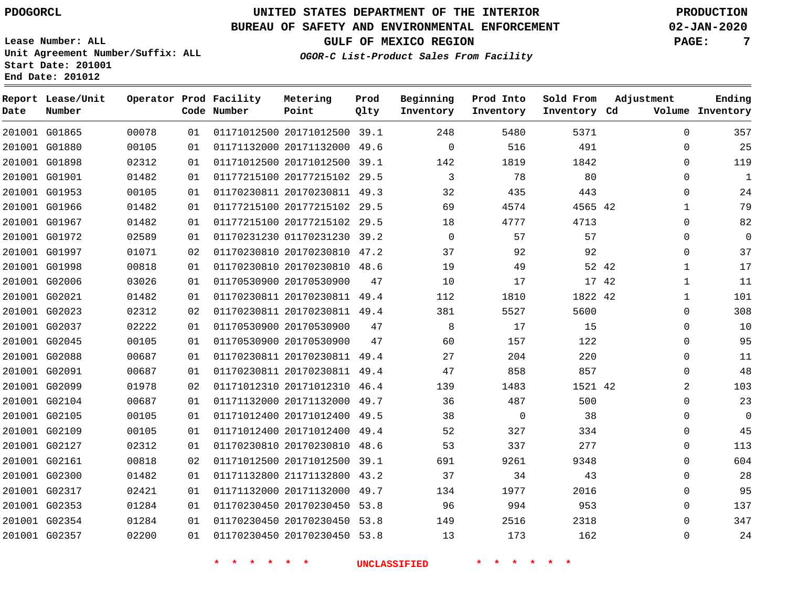**End Date: 201012**

# **UNITED STATES DEPARTMENT OF THE INTERIOR PDOGORCL PRODUCTION**

### **BUREAU OF SAFETY AND ENVIRONMENTAL ENFORCEMENT 02-JAN-2020**

**Lease Number: ALL Unit Agreement Number/Suffix: ALL Start Date: 201001**

**OGOR-C List-Product Sales From Facility**

**GULF OF MEXICO REGION PAGE: 7**

| Date | Report Lease/Unit<br>Number |       |    | Operator Prod Facility<br>Code Number | Metering<br>Point            | Prod<br>Qlty | Beginning<br>Inventory | Prod Into<br>Inventory | Sold From<br>Inventory Cd | Adjustment   | Ending<br>Volume Inventory |
|------|-----------------------------|-------|----|---------------------------------------|------------------------------|--------------|------------------------|------------------------|---------------------------|--------------|----------------------------|
|      | 201001 G01865               | 00078 | 01 |                                       | 01171012500 20171012500 39.1 |              | 248                    | 5480                   | 5371                      | $\mathbf 0$  | 357                        |
|      | 201001 G01880               | 00105 | 01 |                                       | 01171132000 20171132000      | 49.6         | $\Omega$               | 516                    | 491                       | $\Omega$     | 25                         |
|      | 201001 G01898               | 02312 | 01 |                                       | 01171012500 20171012500 39.1 |              | 142                    | 1819                   | 1842                      | $\Omega$     | 119                        |
|      | 201001 G01901               | 01482 | 01 |                                       | 01177215100 20177215102 29.5 |              | 3                      | 78                     | 80                        | 0            | $\mathbf{1}$               |
|      | 201001 G01953               | 00105 | 01 |                                       | 01170230811 20170230811 49.3 |              | 32                     | 435                    | 443                       | $\mathbf{0}$ | 24                         |
|      | 201001 G01966               | 01482 | 01 |                                       | 01177215100 20177215102      | 29.5         | 69                     | 4574                   | 4565 42                   | 1            | 79                         |
|      | 201001 G01967               | 01482 | 01 |                                       | 01177215100 20177215102 29.5 |              | 18                     | 4777                   | 4713                      | $\Omega$     | 82                         |
|      | 201001 G01972               | 02589 | 01 |                                       | 01170231230 01170231230      | 39.2         | $\mathbf 0$            | 57                     | 57                        | $\mathbf 0$  | $\mathbf{0}$               |
|      | 201001 G01997               | 01071 | 02 |                                       | 01170230810 20170230810 47.2 |              | 37                     | 92                     | 92                        | $\Omega$     | 37                         |
|      | 201001 G01998               | 00818 | 01 |                                       | 01170230810 20170230810      | 48.6         | 19                     | 49                     | 52 42                     | 1            | 17                         |
|      | 201001 G02006               | 03026 | 01 |                                       | 01170530900 20170530900      | 47           | 10                     | 17                     | 17 42                     | $\mathbf{1}$ | 11                         |
|      | 201001 G02021               | 01482 | 01 |                                       | 01170230811 20170230811      | 49.4         | 112                    | 1810                   | 1822 42                   | $\mathbf{1}$ | 101                        |
|      | 201001 G02023               | 02312 | 02 |                                       | 01170230811 20170230811 49.4 |              | 381                    | 5527                   | 5600                      | 0            | 308                        |
|      | 201001 G02037               | 02222 | 01 |                                       | 01170530900 20170530900      | 47           | 8                      | 17                     | 15                        | $\mathbf{0}$ | 10                         |
|      | 201001 G02045               | 00105 | 01 |                                       | 01170530900 20170530900      | 47           | 60                     | 157                    | 122                       | $\Omega$     | 95                         |
|      | 201001 G02088               | 00687 | 01 |                                       | 01170230811 20170230811      | 49.4         | 27                     | 204                    | 220                       | $\Omega$     | 11                         |
|      | 201001 G02091               | 00687 | 01 |                                       | 01170230811 20170230811 49.4 |              | 47                     | 858                    | 857                       | 0            | 48                         |
|      | 201001 G02099               | 01978 | 02 |                                       | 01171012310 20171012310 46.4 |              | 139                    | 1483                   | 1521 42                   | 2            | 103                        |
|      | 201001 G02104               | 00687 | 01 |                                       | 01171132000 20171132000      | 49.7         | 36                     | 487                    | 500                       | $\Omega$     | 23                         |
|      | 201001 G02105               | 00105 | 01 |                                       | 01171012400 20171012400      | 49.5         | 38                     | $\mathbf 0$            | 38                        | $\Omega$     | $\mathbf 0$                |
|      | 201001 G02109               | 00105 | 01 |                                       | 01171012400 20171012400      | 49.4         | 52                     | 327                    | 334                       | $\mathbf{0}$ | 45                         |
|      | 201001 G02127               | 02312 | 01 |                                       | 01170230810 20170230810      | 48.6         | 53                     | 337                    | 277                       | $\mathbf{0}$ | 113                        |
|      | 201001 G02161               | 00818 | 02 |                                       | 01171012500 20171012500      | 39.1         | 691                    | 9261                   | 9348                      | 0            | 604                        |
|      | 201001 G02300               | 01482 | 01 |                                       | 01171132800 21171132800      | 43.2         | 37                     | 34                     | 43                        | $\mathbf{0}$ | 28                         |
|      | 201001 G02317               | 02421 | 01 |                                       | 01171132000 20171132000      | 49.7         | 134                    | 1977                   | 2016                      | $\Omega$     | 95                         |
|      | 201001 G02353               | 01284 | 01 |                                       | 01170230450 20170230450      | 53.8         | 96                     | 994                    | 953                       | 0            | 137                        |
|      | 201001 G02354               | 01284 | 01 |                                       | 01170230450 20170230450      | 53.8         | 149                    | 2516                   | 2318                      | $\Omega$     | 347                        |
|      | 201001 G02357               | 02200 | 01 |                                       | 01170230450 20170230450      | 53.8         | 13                     | 173                    | 162                       | $\Omega$     | 24                         |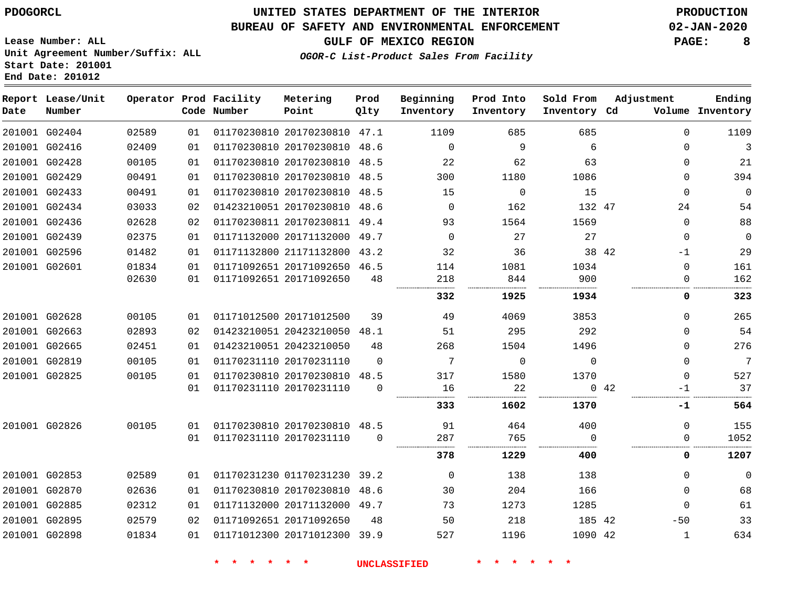### **BUREAU OF SAFETY AND ENVIRONMENTAL ENFORCEMENT 02-JAN-2020**

**GULF OF MEXICO REGION PAGE: 8**

**Lease Number: ALL Unit Agreement Number/Suffix: ALL Start Date: 201001 End Date: 201012**

**OGOR-C List-Product Sales From Facility**

| Date | Report Lease/Unit<br>Number |       |    | Operator Prod Facility<br>Code Number | Metering<br>Point            | Prod<br>Qlty | Beginning<br>Inventory | Prod Into<br>Inventory | Sold From<br>Inventory Cd | Adjustment  |              | Ending<br>Volume Inventory |
|------|-----------------------------|-------|----|---------------------------------------|------------------------------|--------------|------------------------|------------------------|---------------------------|-------------|--------------|----------------------------|
|      | 201001 G02404               | 02589 | 01 |                                       | 01170230810 20170230810 47.1 |              | 1109                   | 685                    | 685                       |             | $\Omega$     | 1109                       |
|      | 201001 G02416               | 02409 | 01 |                                       | 01170230810 20170230810 48.6 |              | $\Omega$               | 9                      | 6                         |             | $\Omega$     | 3                          |
|      | 201001 G02428               | 00105 | 01 |                                       | 01170230810 20170230810 48.5 |              | 22                     | 62                     | 63                        |             | $\Omega$     | 21                         |
|      | 201001 G02429               | 00491 | 01 |                                       | 01170230810 20170230810 48.5 |              | 300                    | 1180                   | 1086                      |             | $\Omega$     | 394                        |
|      | 201001 G02433               | 00491 | 01 |                                       | 01170230810 20170230810 48.5 |              | 15                     | $\Omega$               | 15                        |             | $\Omega$     | $\mathbf 0$                |
|      | 201001 G02434               | 03033 | 02 |                                       | 01423210051 20170230810 48.6 |              | $\overline{0}$         | 162                    | 132 47                    |             | 24           | 54                         |
|      | 201001 G02436               | 02628 | 02 |                                       | 01170230811 20170230811 49.4 |              | 93                     | 1564                   | 1569                      |             | $\Omega$     | 88                         |
|      | 201001 G02439               | 02375 | 01 |                                       | 01171132000 20171132000 49.7 |              | $\Omega$               | 27                     | 27                        |             | 0            | 0                          |
|      | 201001 G02596               | 01482 | 01 |                                       | 01171132800 21171132800 43.2 |              | 32                     | 36                     | 38 42                     |             | $-1$         | 29                         |
|      | 201001 G02601               | 01834 | 01 |                                       | 01171092651 20171092650 46.5 |              | 114                    | 1081                   | 1034                      |             | 0            | 161                        |
|      |                             | 02630 | 01 |                                       | 01171092651 20171092650      | 48           | 218                    | 844                    | 900                       |             | 0            | 162                        |
|      |                             |       |    |                                       |                              |              | 332                    | 1925                   | 1934                      |             | 0            | 323                        |
|      | 201001 G02628               | 00105 | 01 |                                       | 01171012500 20171012500      | 39           | 49                     | 4069                   | 3853                      |             | $\Omega$     | 265                        |
|      | 201001 G02663               | 02893 | 02 |                                       | 01423210051 20423210050      | 48.1         | 51                     | 295                    | 292                       |             | $\Omega$     | 54                         |
|      | 201001 G02665               | 02451 | 01 |                                       | 01423210051 20423210050      | 48           | 268                    | 1504                   | 1496                      |             | 0            | 276                        |
|      | 201001 G02819               | 00105 | 01 |                                       | 01170231110 20170231110      | $\Omega$     | 7                      | $\Omega$               | $\Omega$                  |             | $\Omega$     | 7                          |
|      | 201001 G02825               | 00105 | 01 |                                       | 01170230810 20170230810      | 48.5         | 317                    | 1580                   | 1370                      |             | $\Omega$     | 527                        |
|      |                             |       | 01 |                                       | 01170231110 20170231110      | $\Omega$     | 16                     | 22                     |                           | $0\quad 42$ | $-1$         | 37                         |
|      |                             |       |    |                                       |                              |              | 333                    | 1602                   | 1370                      |             | -1           | 564                        |
|      | 201001 G02826               | 00105 | 01 |                                       | 01170230810 20170230810 48.5 |              | 91                     | 464                    | 400                       |             | $\Omega$     | 155                        |
|      |                             |       | 01 |                                       | 01170231110 20170231110      | $\Omega$     | 287                    | 765                    | $\Omega$                  |             | 0            | 1052                       |
|      |                             |       |    |                                       |                              |              | 378                    | 1229                   | 400                       |             | 0            | 1207                       |
|      | 201001 G02853               | 02589 | 01 |                                       | 01170231230 01170231230 39.2 |              | $\mathbf 0$            | 138                    | 138                       |             | $\mathbf{0}$ | $\mathbf 0$                |
|      | 201001 G02870               | 02636 | 01 |                                       | 01170230810 20170230810      | 48.6         | 30                     | 204                    | 166                       |             | $\Omega$     | 68                         |
|      | 201001 G02885               | 02312 | 01 |                                       | 01171132000 20171132000 49.7 |              | 73                     | 1273                   | 1285                      |             | $\Omega$     | 61                         |
|      | 201001 G02895               | 02579 | 02 |                                       | 01171092651 20171092650      | 48           | 50                     | 218                    | 185 42                    |             | $-50$        | 33                         |
|      | 201001 G02898               | 01834 | 01 |                                       | 01171012300 20171012300 39.9 |              | 527                    | 1196                   | 1090 42                   |             | 1            | 634                        |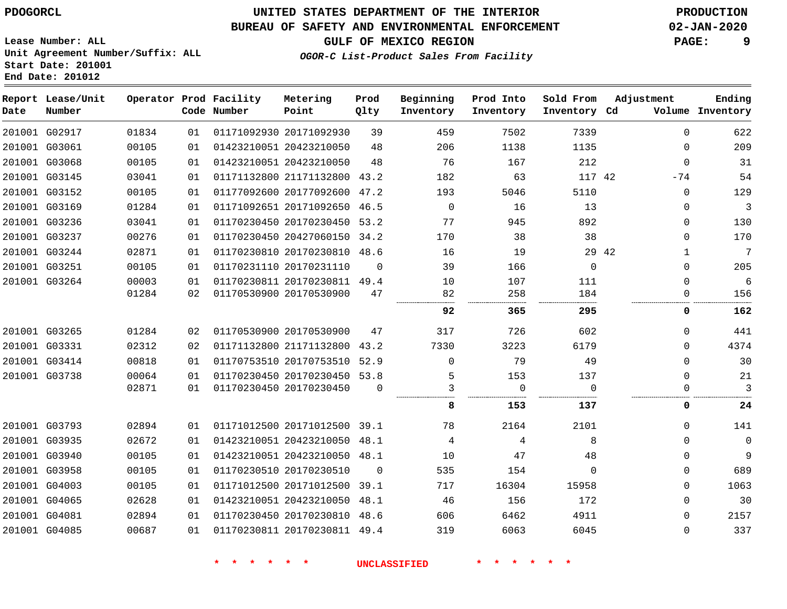### **BUREAU OF SAFETY AND ENVIRONMENTAL ENFORCEMENT 02-JAN-2020**

**GULF OF MEXICO REGION PAGE: 9**

**Lease Number: ALL Unit Agreement Number/Suffix: ALL Start Date: 201001 End Date: 201012**

**OGOR-C List-Product Sales From Facility**

| Date | Report Lease/Unit<br>Number |       |    | Operator Prod Facility<br>Code Number | Metering<br>Point            | Prod<br>Qlty | Beginning<br>Inventory | Prod Into<br>Inventory | Sold From<br>Inventory Cd | Adjustment   | Ending<br>Volume Inventory |
|------|-----------------------------|-------|----|---------------------------------------|------------------------------|--------------|------------------------|------------------------|---------------------------|--------------|----------------------------|
|      | 201001 G02917               | 01834 | 01 |                                       | 01171092930 20171092930      | 39           | 459                    | 7502                   | 7339                      | $\mathbf{0}$ | 622                        |
|      | 201001 G03061               | 00105 | 01 |                                       | 01423210051 20423210050      | 48           | 206                    | 1138                   | 1135                      | $\mathbf{0}$ | 209                        |
|      | 201001 G03068               | 00105 | 01 |                                       | 01423210051 20423210050      | 48           | 76                     | 167                    | 212                       | $\mathbf{0}$ | 31                         |
|      | 201001 G03145               | 03041 | 01 |                                       | 01171132800 21171132800 43.2 |              | 182                    | 63                     | 117 42                    | $-74$        | 54                         |
|      | 201001 G03152               | 00105 | 01 |                                       | 01177092600 20177092600 47.2 |              | 193                    | 5046                   | 5110                      | $\mathbf{0}$ | 129                        |
|      | 201001 G03169               | 01284 | 01 |                                       | 01171092651 20171092650 46.5 |              | $\Omega$               | 16                     | 13                        | $\mathbf{0}$ | $\mathbf{3}$               |
|      | 201001 G03236               | 03041 | 01 |                                       | 01170230450 20170230450 53.2 |              | 77                     | 945                    | 892                       | $\mathbf{0}$ | 130                        |
|      | 201001 G03237               | 00276 | 01 |                                       | 01170230450 20427060150 34.2 |              | 170                    | 38                     | 38                        | $\mathbf{0}$ | 170                        |
|      | 201001 G03244               | 02871 | 01 |                                       | 01170230810 20170230810 48.6 |              | 16                     | 19                     | 29 42                     | $\mathbf{1}$ | $\sqrt{ }$                 |
|      | 201001 G03251               | 00105 | 01 |                                       | 01170231110 20170231110      | $\Omega$     | 39                     | 166                    | $\Omega$                  | $\mathbf{0}$ | 205                        |
|      | 201001 G03264               | 00003 | 01 |                                       | 01170230811 20170230811 49.4 |              | 10                     | 107                    | 111                       | $\Omega$     | 6                          |
|      |                             | 01284 | 02 |                                       | 01170530900 20170530900      | 47           | 82                     | 258                    | 184                       | $\mathbf{0}$ | 156                        |
|      |                             |       |    |                                       |                              |              | 92                     | 365                    | 295                       | 0            | 162                        |
|      | 201001 G03265               | 01284 | 02 |                                       | 01170530900 20170530900      | 47           | 317                    | 726                    | 602                       | $\Omega$     | 441                        |
|      | 201001 G03331               | 02312 | 02 |                                       | 01171132800 21171132800      | 43.2         | 7330                   | 3223                   | 6179                      | $\Omega$     | 4374                       |
|      | 201001 G03414               | 00818 | 01 |                                       | 01170753510 20170753510 52.9 |              | $\Omega$               | 79                     | 49                        | $\Omega$     | 30                         |
|      | 201001 G03738               | 00064 | 01 |                                       | 01170230450 20170230450 53.8 |              | 5                      | 153                    | 137                       | $\Omega$     | 21                         |
|      |                             | 02871 | 01 |                                       | 01170230450 20170230450      | $\Omega$     | 3                      | $\mathbf 0$            | $\Omega$                  | $\mathbf{0}$ | 3                          |
|      |                             |       |    |                                       |                              |              | 8                      | 153                    | 137                       | 0            | 24                         |
|      | 201001 G03793               | 02894 | 01 |                                       | 01171012500 20171012500 39.1 |              | 78                     | 2164                   | 2101                      | $\mathbf{0}$ | 141                        |
|      | 201001 G03935               | 02672 | 01 |                                       | 01423210051 20423210050 48.1 |              | 4                      | 4                      | 8                         | 0            | $\mathbf 0$                |
|      | 201001 G03940               | 00105 | 01 |                                       | 01423210051 20423210050 48.1 |              | 10                     | 47                     | 48                        | 0            | 9                          |
|      | 201001 G03958               | 00105 | 01 |                                       | 01170230510 20170230510      | $\Omega$     | 535                    | 154                    | $\Omega$                  | $\mathbf{0}$ | 689                        |
|      | 201001 G04003               | 00105 | 01 |                                       | 01171012500 20171012500 39.1 |              | 717                    | 16304                  | 15958                     | $\mathbf{0}$ | 1063                       |
|      | 201001 G04065               | 02628 | 01 |                                       | 01423210051 20423210050 48.1 |              | 46                     | 156                    | 172                       | $\mathbf{0}$ | 30                         |
|      | 201001 G04081               | 02894 | 01 |                                       | 01170230450 20170230810 48.6 |              | 606                    | 6462                   | 4911                      | $\mathbf{0}$ | 2157                       |
|      | 201001 G04085               | 00687 | 01 |                                       | 01170230811 20170230811 49.4 |              | 319                    | 6063                   | 6045                      | $\Omega$     | 337                        |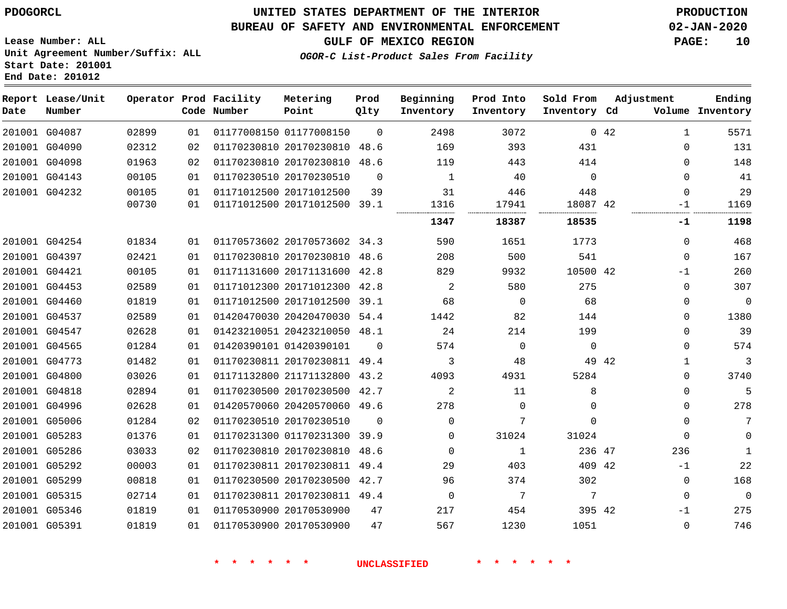### **BUREAU OF SAFETY AND ENVIRONMENTAL ENFORCEMENT 02-JAN-2020**

**Lease Number: ALL Unit Agreement Number/Suffix: ALL Start Date: 201001 End Date: 201012**

**OGOR-C List-Product Sales From Facility**

**GULF OF MEXICO REGION PAGE: 10**

| ___ | __ | ____ |  |  | . . |
|-----|----|------|--|--|-----|
|     |    |      |  |  |     |
|     |    |      |  |  |     |
|     |    |      |  |  |     |
|     |    |      |  |  |     |
|     |    |      |  |  |     |

| Date | Report Lease/Unit<br>Number |       |    | Operator Prod Facility<br>Code Number | Metering<br>Point            | Prod<br>Qlty | Beginning<br>Inventory | Prod Into<br>Inventory | Sold From<br>Inventory Cd | Adjustment |              | Ending<br>Volume Inventory |
|------|-----------------------------|-------|----|---------------------------------------|------------------------------|--------------|------------------------|------------------------|---------------------------|------------|--------------|----------------------------|
|      | 201001 G04087               | 02899 | 01 |                                       | 01177008150 01177008150      | $\Omega$     | 2498                   | 3072                   |                           | 0.42       | $\mathbf{1}$ | 5571                       |
|      | 201001 G04090               | 02312 | 02 |                                       | 01170230810 20170230810 48.6 |              | 169                    | 393                    | 431                       |            | $\Omega$     | 131                        |
|      | 201001 G04098               | 01963 | 02 |                                       | 01170230810 20170230810      | 48.6         | 119                    | 443                    | 414                       |            | $\Omega$     | 148                        |
|      | 201001 G04143               | 00105 | 01 |                                       | 01170230510 20170230510      | $\Omega$     | 1                      | 40                     | $\Omega$                  |            | $\Omega$     | 41                         |
|      | 201001 G04232               | 00105 | 01 |                                       | 01171012500 20171012500      | 39           | 31                     | 446                    | 448                       |            | $\Omega$     | 29                         |
|      |                             | 00730 | 01 |                                       | 01171012500 20171012500 39.1 |              | 1316<br>               | 17941<br>              | 18087 42                  |            | $-1$<br>     | 1169                       |
|      |                             |       |    |                                       |                              |              | 1347                   | 18387                  | 18535                     |            | -1           | 1198                       |
|      | 201001 G04254               | 01834 | 01 |                                       | 01170573602 20170573602 34.3 |              | 590                    | 1651                   | 1773                      |            | $\Omega$     | 468                        |
|      | 201001 G04397               | 02421 | 01 |                                       | 01170230810 20170230810      | 48.6         | 208                    | 500                    | 541                       |            | $\Omega$     | 167                        |
|      | 201001 G04421               | 00105 | 01 |                                       | 01171131600 20171131600 42.8 |              | 829                    | 9932                   | 10500 42                  |            | $-1$         | 260                        |
|      | 201001 G04453               | 02589 | 01 |                                       | 01171012300 20171012300 42.8 |              | 2                      | 580                    | 275                       |            | $\Omega$     | 307                        |
|      | 201001 G04460               | 01819 | 01 |                                       | 01171012500 20171012500 39.1 |              | 68                     | $\mathbf 0$            | 68                        |            | 0            | $\mathbf 0$                |
|      | 201001 G04537               | 02589 | 01 |                                       | 01420470030 20420470030 54.4 |              | 1442                   | 82                     | 144                       |            | $\Omega$     | 1380                       |
|      | 201001 G04547               | 02628 | 01 |                                       | 01423210051 20423210050 48.1 |              | 24                     | 214                    | 199                       |            | $\Omega$     | 39                         |
|      | 201001 G04565               | 01284 | 01 |                                       | 01420390101 01420390101      | $\Omega$     | 574                    | $\mathbf 0$            | $\mathbf 0$               |            | $\Omega$     | 574                        |
|      | 201001 G04773               | 01482 | 01 |                                       | 01170230811 20170230811 49.4 |              | 3                      | 48                     | 49 42                     |            | 1            | 3                          |
|      | 201001 G04800               | 03026 | 01 |                                       | 01171132800 21171132800      | 43.2         | 4093                   | 4931                   | 5284                      |            | $\Omega$     | 3740                       |
|      | 201001 G04818               | 02894 | 01 |                                       | 01170230500 20170230500 42.7 |              | 2                      | 11                     | 8                         |            | $\Omega$     | 5                          |
|      | 201001 G04996               | 02628 | 01 |                                       | 01420570060 20420570060 49.6 |              | 278                    | $\Omega$               | $\Omega$                  |            | $\Omega$     | 278                        |
|      | 201001 G05006               | 01284 | 02 |                                       | 01170230510 20170230510      | $\Omega$     | $\Omega$               | 7                      | $\Omega$                  |            | $\Omega$     | 7                          |
|      | 201001 G05283               | 01376 | 01 |                                       | 01170231300 01170231300 39.9 |              | $\Omega$               | 31024                  | 31024                     |            | $\Omega$     | $\mathbf 0$                |
|      | 201001 G05286               | 03033 | 02 |                                       | 01170230810 20170230810 48.6 |              | $\Omega$               | 1                      | 236 47                    |            | 236          | $\mathbf{1}$               |
|      | 201001 G05292               | 00003 | 01 |                                       | 01170230811 20170230811 49.4 |              | 29                     | 403                    | 409 42                    |            | $-1$         | 22                         |
|      | 201001 G05299               | 00818 | 01 |                                       | 01170230500 20170230500 42.7 |              | 96                     | 374                    | 302                       |            | $\mathbf 0$  | 168                        |
|      | 201001 G05315               | 02714 | 01 |                                       | 01170230811 20170230811 49.4 |              | $\mathbf 0$            | 7                      | 7                         |            | $\Omega$     | $\mathbf 0$                |
|      | 201001 G05346               | 01819 | 01 |                                       | 01170530900 20170530900      | 47           | 217                    | 454                    | 395 42                    |            | $-1$         | 275                        |
|      | 201001 G05391               | 01819 | 01 |                                       | 01170530900 20170530900      | 47           | 567                    | 1230                   | 1051                      |            | $\Omega$     | 746                        |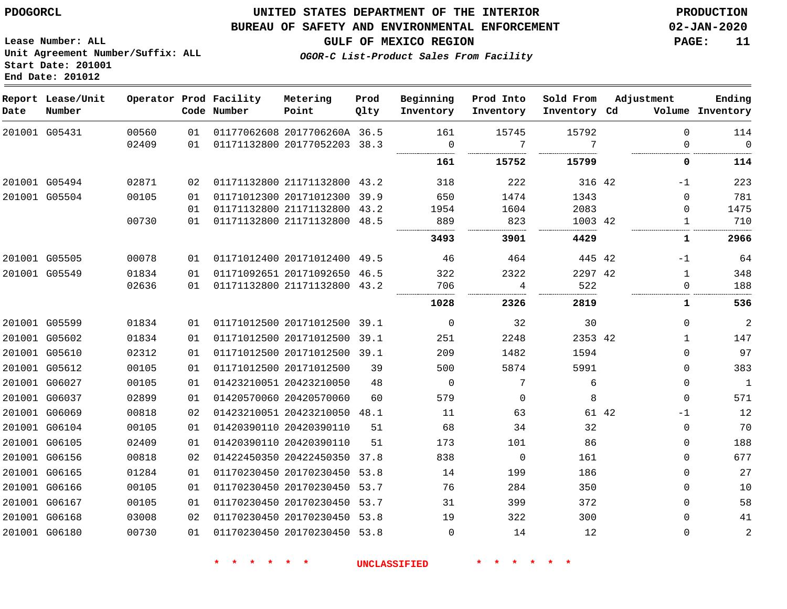**End Date: 201012**

### **UNITED STATES DEPARTMENT OF THE INTERIOR PDOGORCL PRODUCTION**

#### **BUREAU OF SAFETY AND ENVIRONMENTAL ENFORCEMENT 02-JAN-2020**

**Lease Number: ALL Unit Agreement Number/Suffix: ALL Start Date: 201001**

**GULF OF MEXICO REGION PAGE: 11**

**OGOR-C List-Product Sales From Facility**

| Date | Report Lease/Unit<br>Number |       |    | Operator Prod Facility<br>Code Number | Metering<br>Point            | Prod<br>Qlty | Beginning<br>Inventory | Prod Into<br>Inventory | Sold From<br>Inventory Cd | Adjustment   | Ending<br>Volume Inventory |
|------|-----------------------------|-------|----|---------------------------------------|------------------------------|--------------|------------------------|------------------------|---------------------------|--------------|----------------------------|
|      | 201001 G05431               | 00560 | 01 |                                       | 01177062608 2017706260A 36.5 |              | 161                    | 15745                  | 15792                     | $\Omega$     | 114                        |
|      |                             | 02409 | 01 |                                       | 01171132800 20177052203 38.3 |              | $\mathbf 0$            | 7                      | 7                         | 0            | $\mathbf{0}$               |
|      |                             |       |    |                                       |                              |              | 161                    | 15752                  | 15799                     | 0            | 114                        |
|      | 201001 G05494               | 02871 | 02 |                                       | 01171132800 21171132800 43.2 |              | 318                    | 222                    | 316 42                    | $-1$         | 223                        |
|      | 201001 G05504               | 00105 | 01 |                                       | 01171012300 20171012300      | 39.9         | 650                    | 1474                   | 1343                      | $\Omega$     | 781                        |
|      |                             |       | 01 |                                       | 01171132800 21171132800      | 43.2         | 1954                   | 1604                   | 2083                      | $\Omega$     | 1475                       |
|      |                             | 00730 | 01 |                                       | 01171132800 21171132800 48.5 |              | 889                    | 823                    | 1003 42                   | $\mathbf{1}$ | 710                        |
|      |                             |       |    |                                       |                              |              | 3493                   | 3901                   | 4429                      | 1            | 2966                       |
|      | 201001 G05505               | 00078 | 01 |                                       | 01171012400 20171012400 49.5 |              | 46                     | 464                    | 445 42                    | $-1$         | 64                         |
|      | 201001 G05549               | 01834 | 01 |                                       | 01171092651 20171092650 46.5 |              | 322                    | 2322                   | 2297 42                   | $\mathbf{1}$ | 348                        |
|      |                             | 02636 | 01 |                                       | 01171132800 21171132800 43.2 |              | 706                    | 4                      | 522                       | 0            | 188                        |
|      |                             |       |    |                                       |                              |              | 1028                   | 2326                   | 2819                      | 1            | 536                        |
|      | 201001 G05599               | 01834 | 01 |                                       | 01171012500 20171012500 39.1 |              | $\mathbf 0$            | 32                     | 30                        | 0            | $\overline{c}$             |
|      | 201001 G05602               | 01834 | 01 |                                       | 01171012500 20171012500 39.1 |              | 251                    | 2248                   | 2353 42                   | $\mathbf{1}$ | 147                        |
|      | 201001 G05610               | 02312 | 01 |                                       | 01171012500 20171012500 39.1 |              | 209                    | 1482                   | 1594                      | $\Omega$     | 97                         |
|      | 201001 G05612               | 00105 | 01 |                                       | 01171012500 20171012500      | 39           | 500                    | 5874                   | 5991                      | 0            | 383                        |
|      | 201001 G06027               | 00105 | 01 | 01423210051 20423210050               |                              | 48           | $\mathbf 0$            | 7                      | 6                         | 0            | $\mathbf{1}$               |
|      | 201001 G06037               | 02899 | 01 |                                       | 01420570060 20420570060      | 60           | 579                    | $\mathbf 0$            | 8                         | 0            | 571                        |
|      | 201001 G06069               | 00818 | 02 |                                       | 01423210051 20423210050 48.1 |              | 11                     | 63                     | 61 42                     | $-1$         | 12                         |
|      | 201001 G06104               | 00105 | 01 |                                       | 01420390110 20420390110      | 51           | 68                     | 34                     | 32                        | $\Omega$     | 70                         |
|      | 201001 G06105               | 02409 | 01 |                                       | 01420390110 20420390110      | 51           | 173                    | 101                    | 86                        | 0            | 188                        |
|      | 201001 G06156               | 00818 | 02 |                                       | 01422450350 20422450350      | 37.8         | 838                    | $\overline{0}$         | 161                       | 0            | 677                        |
|      | 201001 G06165               | 01284 | 01 |                                       | 01170230450 20170230450      | 53.8         | 14                     | 199                    | 186                       | 0            | 27                         |
|      | 201001 G06166               | 00105 | 01 |                                       | 01170230450 20170230450      | 53.7         | 76                     | 284                    | 350                       | 0            | 10                         |
|      | 201001 G06167               | 00105 | 01 |                                       | 01170230450 20170230450 53.7 |              | 31                     | 399                    | 372                       | $\Omega$     | 58                         |
|      | 201001 G06168               | 03008 | 02 |                                       | 01170230450 20170230450 53.8 |              | 19                     | 322                    | 300                       | 0            | 41                         |
|      | 201001 G06180               | 00730 | 01 |                                       | 01170230450 20170230450 53.8 |              | $\Omega$               | 14                     | 12                        | $\Omega$     | $\overline{2}$             |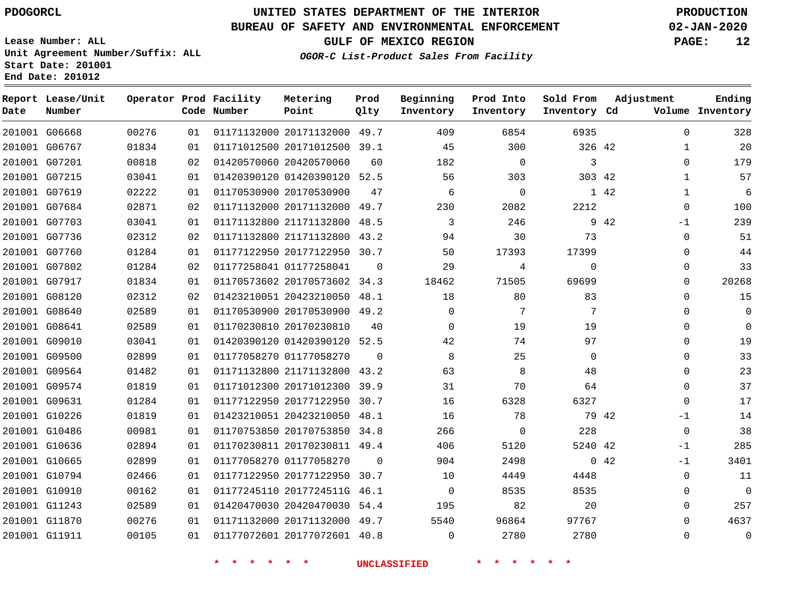G06668 G06767

**Date**

**Report Lease/Unit**

**Number**

# **UNITED STATES DEPARTMENT OF THE INTERIOR PDOGORCL PRODUCTION**

**Prod Qlty**

#### **BUREAU OF SAFETY AND ENVIRONMENTAL ENFORCEMENT 02-JAN-2020**

**Lease Number: ALL Unit Agreement Number/Suffix: ALL Start Date: 201001 End Date: 201012**

> 

**Operator Prod Facility**

**Code Number**

  **OGOR-C List-Product Sales From Facility**

   

**Prod Into Inventory**

**Beginning Inventory**

**GULF OF MEXICO REGION PAGE: 12**

**Inventory Cd Volume**

**Adjustment**

  $\Omega$   $\Omega$ -1  $\Omega$  $\Omega$  $\Omega$  $\Omega$  $\Omega$  $\Omega$  $\overline{0}$  $\Omega$  $\overline{0}$  $\Omega$  $\Omega$  $\Omega$  $-1$  -1 -1  $\Omega$   $\Omega$ 

**Ending**

42

**Sold From Inventory**

> 

 

| 201001 G07201 | 00818 | 02 | 01420570060 20420570060 |                              | 60       | 182      | $\Omega$     | 3              |
|---------------|-------|----|-------------------------|------------------------------|----------|----------|--------------|----------------|
| 201001 G07215 | 03041 | 01 |                         | 01420390120 01420390120 52.5 |          | 56       | 303          | 303            |
| 201001 G07619 | 02222 | 01 | 01170530900 20170530900 |                              | 47       | 6        | $\Omega$     | 1              |
| 201001 G07684 | 02871 | 02 |                         | 01171132000 20171132000      | 49.7     | 230      | 2082         | 2212           |
| 201001 G07703 | 03041 | 01 | 01171132800 21171132800 |                              | 48.5     | 3        | 246          | 9              |
| 201001 G07736 | 02312 | 02 | 01171132800 21171132800 |                              | 43.2     | 94       | 30           | 73             |
| 201001 G07760 | 01284 | 01 |                         | 01177122950 20177122950      | 30.7     | 50       | 17393        | 17399          |
| 201001 G07802 | 01284 | 02 | 01177258041 01177258041 |                              | $\Omega$ | 29       | 4            | $\mathbf 0$    |
| 201001 G07917 | 01834 | 01 |                         | 01170573602 20170573602      | 34.3     | 18462    | 71505        | 69699          |
| 201001 G08120 | 02312 | 02 | 01423210051 20423210050 |                              | 48.1     | 18       | 80           | 83             |
| 201001 G08640 | 02589 | 01 |                         | 01170530900 20170530900 49.2 |          | 0        | 7            | 7              |
| 201001 G08641 | 02589 | 01 | 01170230810 20170230810 |                              | 40       | $\Omega$ | 19           | 19             |
| 201001 G09010 | 03041 | 01 |                         | 01420390120 01420390120 52.5 |          | 42       | 74           | 97             |
| 201001 G09500 | 02899 | 01 | 01177058270 01177058270 |                              | $\Omega$ | 8        | 25           | $\overline{0}$ |
| 201001 G09564 | 01482 | 01 | 01171132800 21171132800 |                              | 43.2     | 63       | 8            | 48             |
| 201001 G09574 | 01819 | 01 |                         | 01171012300 20171012300 39.9 |          | 31       | 70           | 64             |
| 201001 G09631 | 01284 | 01 | 01177122950 20177122950 |                              | 30.7     | 16       | 6328         | 6327           |
| 201001 G10226 | 01819 | 01 |                         | 01423210051 20423210050 48.1 |          | 16       | 78           | 79             |
| 201001 G10486 | 00981 | 01 | 01170753850 20170753850 |                              | 34.8     | 266      | $\mathbf{0}$ | 228            |
| 201001 G10636 | 02894 | 01 |                         | 01170230811 20170230811 49.4 |          | 406      | 5120         | 5240           |
| 201001 G10665 | 02899 | 01 | 01177058270 01177058270 |                              | $\Omega$ | 904      | 2498         | $\overline{0}$ |
| 201001 G10794 | 02466 | 01 | 01177122950 20177122950 |                              | 30.7     | 10       | 4449         | 4448           |
| 201001 G10910 | 00162 | 01 |                         | 01177245110 2017724511G 46.1 |          | 0        | 8535         | 8535           |
| 201001 G11243 | 02589 | 01 |                         | 01420470030 20420470030      | 54.4     | 195      | 82           | 20             |
| 201001 G11870 | 00276 | 01 | 01171132000 20171132000 |                              | 49.7     | 5540     | 96864        | 97767          |
| 201001 G11911 | 00105 | 01 |                         | 01177072601 20177072601 40.8 |          | 0        | 2780         | 2780           |
|               |       |    |                         |                              |          |          |              |                |

 20171132000 49.7 20171012500 39.1

**Metering Point**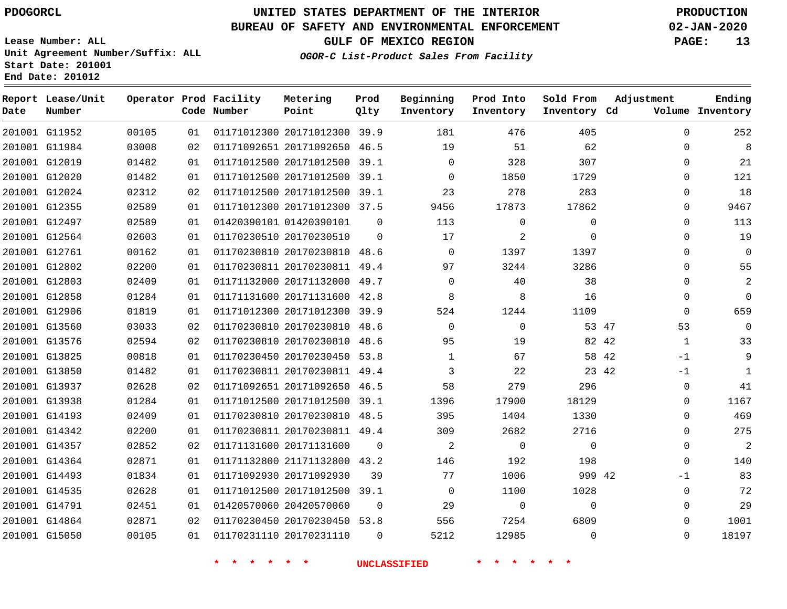**Report Lease/Unit**

**Number**

# **UNITED STATES DEPARTMENT OF THE INTERIOR PDOGORCL PRODUCTION**

**Prod Qlty**

#### **BUREAU OF SAFETY AND ENVIRONMENTAL ENFORCEMENT 02-JAN-2020**

**Lease Number: ALL Unit Agreement Number/Suffix: ALL Start Date: 201001 End Date: 201012**

**Operator Prod Facility**

**OGOR-C List-Product Sales From Facility**

**Beginning Inventory** **Prod Into Inventory** **Sold From Inventory**

**GULF OF MEXICO REGION PAGE: 13**

**Adjustment**

**Ending**

| Date | Number        |       |    | Code Number                      | Point                        | Qlty           | Inventory           | Inventory    | Inventory Cd |       |             | Volume Inventory |
|------|---------------|-------|----|----------------------------------|------------------------------|----------------|---------------------|--------------|--------------|-------|-------------|------------------|
|      | 201001 G11952 | 00105 | 01 |                                  | 01171012300 20171012300 39.9 |                | 181                 | 476          | 405          |       | 0           | 252              |
|      | 201001 G11984 | 03008 | 02 |                                  | 01171092651 20171092650 46.5 |                | 19                  | 51           | 62           |       | $\Omega$    | 8                |
|      | 201001 G12019 | 01482 | 01 |                                  | 01171012500 20171012500 39.1 |                | $\mathbf 0$         | 328          | 307          |       | 0           | 21               |
|      | 201001 G12020 | 01482 | 01 |                                  | 01171012500 20171012500 39.1 |                | $\Omega$            | 1850         | 1729         |       | $\Omega$    | 121              |
|      | 201001 G12024 | 02312 | 02 |                                  | 01171012500 20171012500 39.1 |                | 23                  | 278          | 283          |       | $\Omega$    | 18               |
|      | 201001 G12355 | 02589 | 01 |                                  | 01171012300 20171012300 37.5 |                | 9456                | 17873        | 17862        |       | 0           | 9467             |
|      | 201001 G12497 | 02589 | 01 |                                  | 01420390101 01420390101      | $\mathbf{0}$   | 113                 | $\mathbf 0$  | $\mathbf 0$  |       | $\Omega$    | 113              |
|      | 201001 G12564 | 02603 | 01 |                                  | 01170230510 20170230510      | $\Omega$       | 17                  | 2            | $\Omega$     |       | $\Omega$    | 19               |
|      | 201001 G12761 | 00162 | 01 |                                  | 01170230810 20170230810 48.6 |                | $\Omega$            | 1397         | 1397         |       | $\Omega$    | $\overline{0}$   |
|      | 201001 G12802 | 02200 | 01 |                                  | 01170230811 20170230811 49.4 |                | 97                  | 3244         | 3286         |       | $\Omega$    | 55               |
|      | 201001 G12803 | 02409 | 01 |                                  | 01171132000 20171132000 49.7 |                | $\Omega$            | 40           | 38           |       | $\Omega$    | 2                |
|      | 201001 G12858 | 01284 | 01 |                                  | 01171131600 20171131600 42.8 |                | 8                   | 8            | 16           |       | 0           | $\mathbf 0$      |
|      | 201001 G12906 | 01819 | 01 |                                  | 01171012300 20171012300 39.9 |                | 524                 | 1244         | 1109         |       | $\mathbf 0$ | 659              |
|      | 201001 G13560 | 03033 | 02 |                                  | 01170230810 20170230810 48.6 |                | $\Omega$            | $\Omega$     | 53 47        |       | 53          | 0                |
|      | 201001 G13576 | 02594 | 02 |                                  | 01170230810 20170230810 48.6 |                | 95                  | 19           | 82 42        |       | 1           | 33               |
|      | 201001 G13825 | 00818 | 01 |                                  | 01170230450 20170230450 53.8 |                | $\mathbf{1}$        | 67           | 58 42        |       | $-1$        | 9                |
|      | 201001 G13850 | 01482 | 01 |                                  | 01170230811 20170230811 49.4 |                | 3                   | 22           |              | 23 42 | $-1$        | $\mathbf{1}$     |
|      | 201001 G13937 | 02628 | 02 |                                  | 01171092651 20171092650 46.5 |                | 58                  | 279          | 296          |       | 0           | 41               |
|      | 201001 G13938 | 01284 | 01 |                                  | 01171012500 20171012500 39.1 |                | 1396                | 17900        | 18129        |       | 0           | 1167             |
|      | 201001 G14193 | 02409 | 01 |                                  | 01170230810 20170230810 48.5 |                | 395                 | 1404         | 1330         |       | $\Omega$    | 469              |
|      | 201001 G14342 | 02200 | 01 |                                  | 01170230811 20170230811 49.4 |                | 309                 | 2682         | 2716         |       | 0           | 275              |
|      | 201001 G14357 | 02852 | 02 |                                  | 01171131600 20171131600      | $\Omega$       | $\overline{a}$      | $\mathbf 0$  | $\mathbf 0$  |       | $\mathbf 0$ | $\overline{a}$   |
|      | 201001 G14364 | 02871 | 01 |                                  | 01171132800 21171132800 43.2 |                | 146                 | 192          | 198          |       | $\Omega$    | 140              |
|      | 201001 G14493 | 01834 | 01 |                                  | 01171092930 20171092930      | 39             | 77                  | 1006         | 999 42       |       | $-1$        | 83               |
|      | 201001 G14535 | 02628 | 01 |                                  | 01171012500 20171012500 39.1 |                | $\overline{0}$      | 1100         | 1028         |       | 0           | 72               |
|      | 201001 G14791 | 02451 | 01 |                                  | 01420570060 20420570060      | $\Omega$       | 29                  | $\mathbf{0}$ | $\Omega$     |       | $\Omega$    | 29               |
|      | 201001 G14864 | 02871 | 02 |                                  | 01170230450 20170230450 53.8 |                | 556                 | 7254         | 6809         |       | $\Omega$    | 1001             |
|      | 201001 G15050 | 00105 | 01 |                                  | 01170231110 20170231110      | $\overline{0}$ | 5212                | 12985        | $\mathbf 0$  |       | $\mathbf 0$ | 18197            |
|      |               |       |    | $\star$<br>$\star$ $\star$<br>一大 | $\star$ $\star$              |                | <b>UNCLASSIFIED</b> | * * *        |              |       |             |                  |

**Metering Point**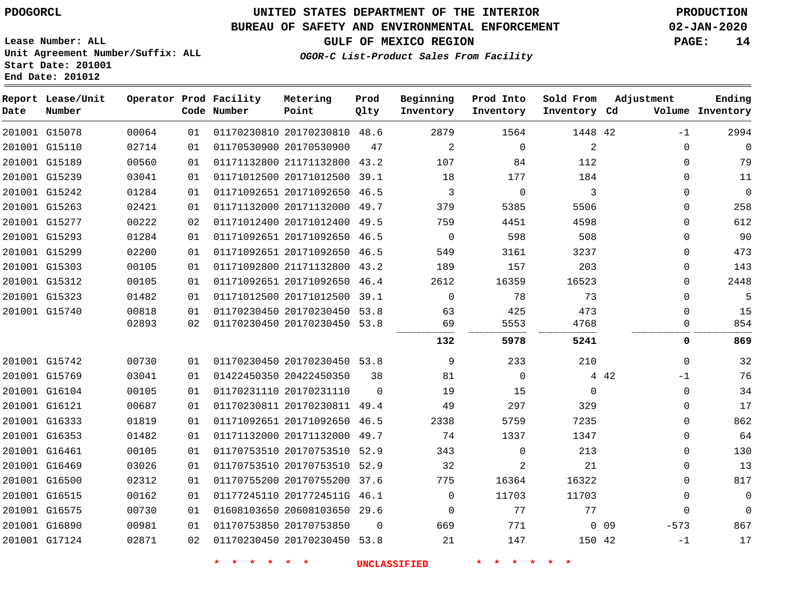**End Date: 201012**

# **UNITED STATES DEPARTMENT OF THE INTERIOR PDOGORCL PRODUCTION**

### **BUREAU OF SAFETY AND ENVIRONMENTAL ENFORCEMENT 02-JAN-2020**

**Lease Number: ALL Unit Agreement Number/Suffix: ALL Start Date: 201001**

**GULF OF MEXICO REGION PAGE: 14**

**OGOR-C List-Product Sales From Facility**

| Date | Report Lease/Unit<br>Number |       |                 | Operator Prod Facility<br>Code Number | Metering<br>Point            | Prod<br>Qlty | Beginning<br>Inventory | Prod Into<br>Inventory | Sold From<br>Inventory Cd | Adjustment                | Ending<br>Volume Inventory |
|------|-----------------------------|-------|-----------------|---------------------------------------|------------------------------|--------------|------------------------|------------------------|---------------------------|---------------------------|----------------------------|
|      | 201001 G15078               | 00064 | 01              |                                       | 01170230810 20170230810 48.6 |              | 2879                   | 1564                   | 1448 42                   | $-1$                      | 2994                       |
|      | 201001 G15110               | 02714 | 01              |                                       | 01170530900 20170530900      | 47           | 2                      | $\Omega$               | 2                         | $\Omega$                  | $\mathbf 0$                |
|      | 201001 G15189               | 00560 | 01              |                                       | 01171132800 21171132800      | 43.2         | 107                    | 84                     | 112                       | $\mathbf 0$               | 79                         |
|      | 201001 G15239               | 03041 | 01              |                                       | 01171012500 20171012500      | 39.1         | 18                     | 177                    | 184                       | $\Omega$                  | 11                         |
|      | 201001 G15242               | 01284 | 01              |                                       | 01171092651 20171092650 46.5 |              | 3                      | $\mathbf 0$            | 3                         | 0                         | $\mathbf 0$                |
|      | 201001 G15263               | 02421 | 01              |                                       | 01171132000 20171132000 49.7 |              | 379                    | 5385                   | 5506                      | $\mathbf 0$               | 258                        |
|      | 201001 G15277               | 00222 | 02              |                                       | 01171012400 20171012400 49.5 |              | 759                    | 4451                   | 4598                      | 0                         | 612                        |
|      | 201001 G15293               | 01284 | 01              |                                       | 01171092651 20171092650      | 46.5         | $\mathbf 0$            | 598                    | 508                       | 0                         | 90                         |
|      | 201001 G15299               | 02200 | 01              |                                       | 01171092651 20171092650 46.5 |              | 549                    | 3161                   | 3237                      | $\mathbf 0$               | 473                        |
|      | 201001 G15303               | 00105 | 01              |                                       | 01171092800 21171132800      | 43.2         | 189                    | 157                    | 203                       | 0                         | 143                        |
|      | 201001 G15312               | 00105 | 01              |                                       | 01171092651 20171092650 46.4 |              | 2612                   | 16359                  | 16523                     | 0                         | 2448                       |
|      | 201001 G15323               | 01482 | 01              |                                       | 01171012500 20171012500 39.1 |              | $\Omega$               | 78                     | 73                        | 0                         | 5                          |
|      | 201001 G15740               | 00818 | 01              |                                       | 01170230450 20170230450 53.8 |              | 63                     | 425                    | 473                       | $\Omega$                  | 15                         |
|      |                             | 02893 | 02              |                                       | 01170230450 20170230450 53.8 |              | 69                     | 5553                   | 4768                      | $\Omega$                  | 854                        |
|      |                             |       |                 |                                       |                              |              | 132                    | 5978                   | 5241                      | 0                         | 869                        |
|      | 201001 G15742               | 00730 | 01              |                                       | 01170230450 20170230450 53.8 |              | 9                      | 233                    | 210                       | $\Omega$                  | 32                         |
|      | 201001 G15769               | 03041 | 01              |                                       | 01422450350 20422450350      | 38           | 81                     | $\mathbf 0$            |                           | 4 4 2<br>$-1$             | 76                         |
|      | 201001 G16104               | 00105 | 01              |                                       | 01170231110 20170231110      | $\Omega$     | 19                     | 15                     | $\mathbf{0}$              | $\mathbf 0$               | 34                         |
|      | 201001 G16121               | 00687 | 01              |                                       | 01170230811 20170230811 49.4 |              | 49                     | 297                    | 329                       | $\mathbf 0$               | 17                         |
|      | 201001 G16333               | 01819 | 01              |                                       | 01171092651 20171092650      | 46.5         | 2338                   | 5759                   | 7235                      | $\mathbf 0$               | 862                        |
|      | 201001 G16353               | 01482 | 01              |                                       | 01171132000 20171132000      | 49.7         | 74                     | 1337                   | 1347                      | 0                         | 64                         |
|      | 201001 G16461               | 00105 | 01              |                                       | 01170753510 20170753510 52.9 |              | 343                    | $\Omega$               | 213                       | 0                         | 130                        |
|      | 201001 G16469               | 03026 | 01              |                                       | 01170753510 20170753510 52.9 |              | 32                     | 2                      | 21                        | 0                         | 13                         |
|      | 201001 G16500               | 02312 | 01              |                                       | 01170755200 20170755200 37.6 |              | 775                    | 16364                  | 16322                     | 0                         | 817                        |
|      | 201001 G16515               | 00162 | 01              |                                       | 01177245110 2017724511G 46.1 |              | $\mathbf 0$            | 11703                  | 11703                     | $\mathbf 0$               | $\mathbf 0$                |
|      | 201001 G16575               | 00730 | 01              |                                       | 01608103650 20608103650 29.6 |              | $\Omega$               | 77                     | 77                        | $\Omega$                  | $\Omega$                   |
|      | 201001 G16890               | 00981 | 01              |                                       | 01170753850 20170753850      | 0            | 669                    | 771                    |                           | $-573$<br>0 <sub>09</sub> | 867                        |
|      | 201001 G17124               | 02871 | 02 <sub>o</sub> |                                       | 01170230450 20170230450 53.8 |              | 21                     | 147                    | 150 42                    | $-1$                      | 17                         |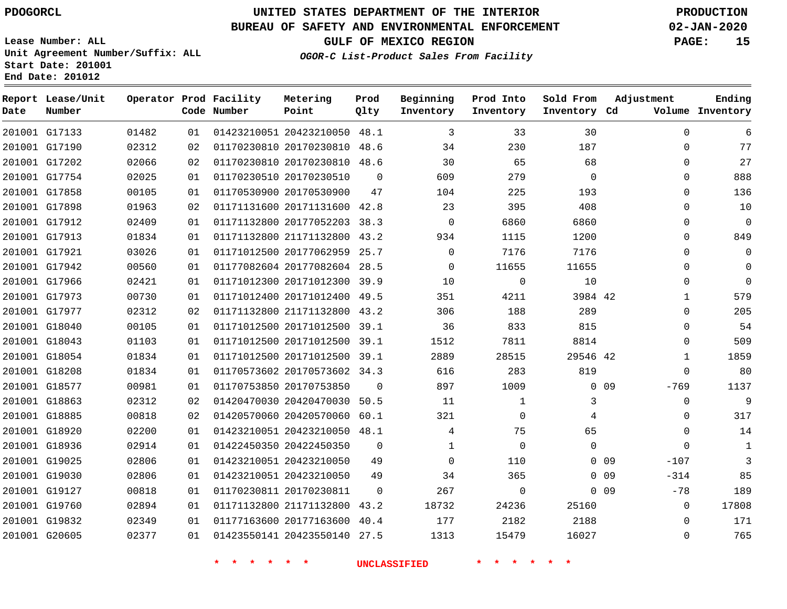**Date**

**Report Lease/Unit**

**Number**

# **UNITED STATES DEPARTMENT OF THE INTERIOR PDOGORCL PRODUCTION**

**Prod Qlty**

#### **BUREAU OF SAFETY AND ENVIRONMENTAL ENFORCEMENT 02-JAN-2020**

**Lease Number: ALL Unit Agreement Number/Suffix: ALL Start Date: 201001 End Date: 201012**

**Operator Prod Facility**

**Code Number**

**OGOR-C List-Product Sales From Facility**

 $\mathcal{L}$ 

 $2<sub>2</sub>$ 

**Sold From Inventory**

**Prod Into Inventory**

**Beginning Inventory**

**GULF OF MEXICO REGION PAGE: 15**

**Inventory Cd Volume**

**Adjustment**

  $\Omega$  $\Omega$   $\Omega$  $\Omega$  $\Omega$   $\Omega$   $\overline{0}$  $\overline{0}$  $\Omega$   $\Omega$ -769  $\overline{0}$  $\Omega$  -107 -314  $-78$   $\Omega$ 

**Ending**

|                                |                |          |  |                                                              |                | <b>UNCLASSIFIED</b> |                |                |            |
|--------------------------------|----------------|----------|--|--------------------------------------------------------------|----------------|---------------------|----------------|----------------|------------|
| 201001 G20605                  | 02377          | 01       |  | 01423550141 20423550140 27.5                                 |                | 1313                | 15479          | 16027          |            |
| 201001 G19832                  | 02349          | 01       |  | 01177163600 20177163600 40.4                                 |                | 177                 | 2182           | 2188           |            |
| 201001 G19760                  | 02894          | 01       |  | 01171132800 21171132800 43.2                                 |                | 18732               | 24236          | 25160          |            |
| 201001 G19127                  | 00818          | 01       |  | 01170230811 20170230811                                      | $\mathbf{0}$   | 267                 | $\mathbf 0$    |                | $0\quad09$ |
| 201001 G19030                  | 02806          | 01       |  | 01423210051 20423210050                                      | 49             | 34                  | 365            |                | $0$ 09     |
| 201001 G19025                  | 02806          | 01       |  | 01423210051 20423210050                                      | 49             | $\mathbf 0$         | 110            |                | $0$ 09     |
| 201001 G18936                  | 02914          | 01       |  | 01422450350 20422450350                                      | $\mathbf{0}$   | $\mathbf 1$         | $\overline{0}$ | $\mathbf 0$    |            |
| 201001 G18920                  | 02200          | 01       |  | 01423210051 20423210050 48.1                                 |                | $\overline{4}$      | 75             | 65             |            |
| 201001 G18885                  | 00818          | 02       |  | 01420570060 20420570060 60.1                                 |                | 321                 | $\mathbf 0$    | $\overline{4}$ |            |
| 201001 G18863                  | 02312          | 02       |  | 01420470030 20420470030 50.5                                 |                | 11                  | $\mathbf 1$    | 3              |            |
| 201001 G18577                  | 00981          | 01       |  | 01170753850 20170753850                                      | $\overline{0}$ | 897                 | 1009           |                | $0$ 09     |
| 201001 G18208                  | 01834          | 01       |  | 01170573602 20170573602 34.3                                 |                | 616                 | 283            | 819            |            |
| 201001 G18054                  | 01834          | 01       |  | 01171012500 20171012500 39.1                                 |                | 2889                | 28515          | 29546 42       |            |
| 201001 G18043                  | 01103          | 01       |  | 01171012500 20171012500 39.1                                 |                | 1512                | 7811           | 8814           |            |
| 201001 G18040                  | 00105          | 01       |  | 01171012500 20171012500 39.1                                 |                | 36                  | 833            | 815            |            |
| 201001 G17977                  | 02312          | 02       |  | 01171132800 21171132800 43.2                                 |                | 306                 | 188            | 289            |            |
| 201001 G17973                  | 00730          | 01       |  | 01171012400 20171012400 49.5                                 |                | 351                 | 4211           | 3984 42        |            |
| 201001 G17966                  | 02421          | 01       |  | 01171012300 20171012300 39.9                                 |                | 10                  | $\mathbf 0$    | 10             |            |
| 201001 G17942                  | 00560          | 01       |  | 01177082604 20177082604 28.5                                 |                | $\Omega$            | 11655          | 11655          |            |
| 201001 G17921                  | 03026          | 01       |  | 01171012500 20177062959 25.7                                 |                | $\mathbf 0$         | 7176           | 7176           |            |
| 201001 G17913                  | 01834          | 01       |  | 01171132800 21171132800 43.2                                 |                | 934                 | 1115           | 1200           |            |
| 201001 G17912                  | 02409          | 01       |  | 01171132800 20177052203 38.3                                 |                | $\overline{0}$      | 6860           | 6860           |            |
| 201001 G17898                  | 01963          | 02       |  | 01171131600 20171131600 42.8                                 |                | 23                  | 395            | 408            |            |
| 201001 G17858                  | 00105          | 01       |  | 01170530900 20170530900                                      | 47             | 104                 | 225            | 193            |            |
| 201001 G17754                  | 02025          | 01       |  | 01170230510 20170230510                                      | $\overline{0}$ | 609                 | 279            | $\overline{0}$ |            |
| 201001 G17202                  | 02066          | 02       |  | 01170230810 20170230810 48.6                                 |                | 30                  | 65             | 68             |            |
| 201001 G17133<br>201001 G17190 | 01482<br>02312 | 01<br>02 |  | 01423210051 20423210050 48.1<br>01170230810 20170230810 48.6 |                | 3<br>34             | 33<br>230      | 30<br>187      |            |

**Metering Point**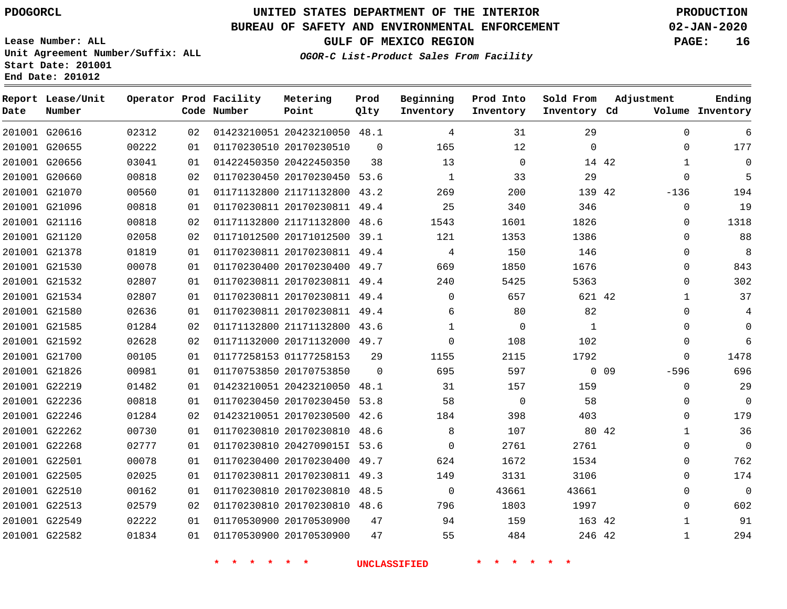G20616 G20655 G20656 G20660 G21070 G21096 G21116 G21120 G21378 G21530 G21532 G21534 G21580 G21585 G21592 G21700 G21826 G22219 G22236 G22246 G22262 G22268 G22501 G22505 G22510 G22513 G22549 G22582

**Date**

**Report Lease/Unit**

**Number**

# **UNITED STATES DEPARTMENT OF THE INTERIOR PDOGORCL PRODUCTION**

 $\Omega$ 

**Prod Qlty**

#### **BUREAU OF SAFETY AND ENVIRONMENTAL ENFORCEMENT 02-JAN-2020**

**Lease Number: ALL Unit Agreement Number/Suffix: ALL Start Date: 201001 End Date: 201012**

**Operator Prod Facility**

**Code Number**

20423210050 48.1

**Metering Point**

 20170230450 53.6 21171132800 43.2 20170230811 49.4 21171132800 48.6 20171012500 39.1 20170230811 49.4 20170230400 49.7

 20170230510 20422450350

**OGOR-C List-Product Sales From Facility**

**Prod Into Inventory**

**Beginning Inventory**

**GULF OF MEXICO REGION PAGE: 16**

**Inventory Cd Volume**

**Adjustment**

  $\Omega$   $\Omega$ -136  $\Omega$  $\Omega$  $\Omega$  $\Omega$  $\Omega$  $\Omega$   $\Omega$  $\Omega$  $\Omega$  $\Omega$ -596  $\Omega$  $\Omega$  $\Omega$   $\Omega$  $\Omega$   $\Omega$  

**Ending**

42

  $\Omega$ 

**Sold From Inventory**

42

42

> 

0 0 9

42

42 246 42

|       |    | * |  |  |                         |      | <b>UNCLASSIFIED</b> |              |  |          |  |   |
|-------|----|---|--|--|-------------------------|------|---------------------|--------------|--|----------|--|---|
| 01834 | 01 |   |  |  | 01170530900 20170530900 |      | 47                  | 55           |  | 484      |  |   |
| 02222 | 01 |   |  |  | 01170530900 20170530900 |      | 47                  | 94           |  | 159      |  |   |
| 02579 | 02 |   |  |  | 01170230810 20170230810 | 48.6 |                     | 796          |  | 1803     |  |   |
|       |    |   |  |  |                         |      |                     |              |  |          |  |   |
| 00162 | 01 |   |  |  | 01170230810 20170230810 | 48.5 |                     | $\Omega$     |  | 43661    |  | 4 |
| 02025 | 01 |   |  |  | 01170230811 20170230811 | 49.3 |                     | 149          |  | 3131     |  |   |
| 00078 | 01 |   |  |  | 01170230400 20170230400 | 49.7 |                     | 624          |  | 1672     |  |   |
| 02777 | 01 |   |  |  | 01170230810 20427090151 | 53.6 |                     | 0            |  | 2761     |  |   |
| 00730 | 01 |   |  |  | 01170230810 20170230810 | 48.6 |                     | 8            |  | 107      |  |   |
| 01284 | 02 |   |  |  | 01423210051 20170230500 | 42.6 |                     | 184          |  | 398      |  |   |
| 00818 | 01 |   |  |  | 01170230450 20170230450 | 53.8 |                     | 58           |  | $\Omega$ |  |   |
| 01482 | 01 |   |  |  | 01423210051 20423210050 | 48.1 |                     | 31           |  | 157      |  |   |
| 00981 | 01 |   |  |  | 01170753850 20170753850 |      | $\Omega$            | 695          |  | 597      |  |   |
| 00105 | 01 |   |  |  | 01177258153 01177258153 |      | 29                  | 1155         |  | 2115     |  |   |
| 02628 | 02 |   |  |  | 01171132000 20171132000 | 49.7 |                     | 0            |  | 108      |  |   |
| 01284 | 02 |   |  |  | 01171132800 21171132800 | 43.6 |                     | $\mathbf{1}$ |  | $\Omega$ |  |   |
| 02636 | 01 |   |  |  | 01170230811 20170230811 | 49.4 |                     | 6            |  | 80       |  |   |
| 02807 | 01 |   |  |  | 01170230811 20170230811 | 49.4 |                     | $\Omega$     |  | 657      |  |   |
| 02807 | 01 |   |  |  | 01170230811 20170230811 | 49.4 |                     | 240          |  | 5425     |  |   |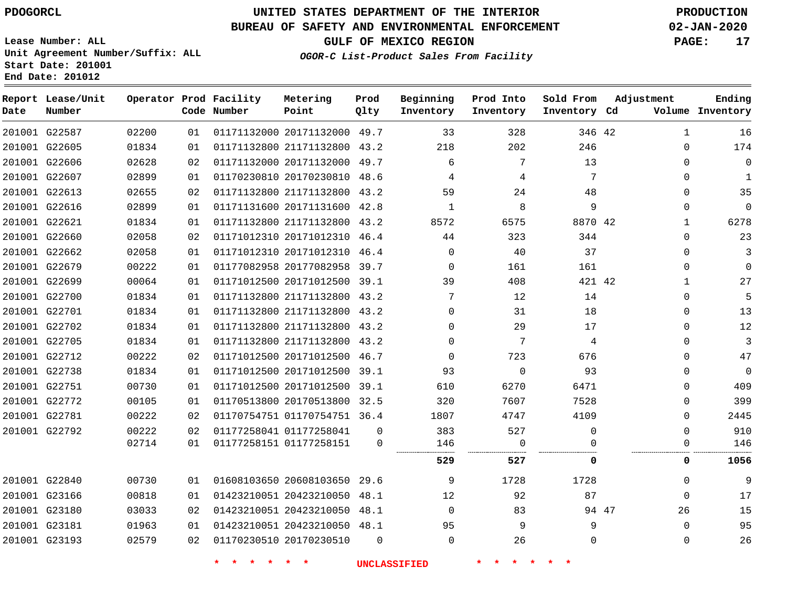**End Date: 201012**

**Report Lease/Unit**

**Number**

 G22587 G22605 G22606 G22607 G22613 G22616 G22621 G22660 G22662 G22679 G22699 G22700 G22701 G22702 G22705 G22712 G22738 G22751 G22772 G22781 G22792

**Date**

 G22840 G23166 G23180 G23181 G23193

# **UNITED STATES DEPARTMENT OF THE INTERIOR PDOGORCL PRODUCTION**

**Prod Qlty**

#### **BUREAU OF SAFETY AND ENVIRONMENTAL ENFORCEMENT 02-JAN-2020**

**Lease Number: ALL Unit Agreement Number/Suffix: ALL Start Date: 201001**

**Operator Prod Facility**

**Code Number**

   

**OGOR-C List-Product Sales From Facility**

**Beginning Inventory** **Prod Into Inventory**

**GULF OF MEXICO REGION PAGE: 17**

**Inventory Cd Volume**

**Adjustment**

  $\Omega$  $\Omega$   $\Omega$  $\Omega$   $\Omega$  $\Omega$  $\Omega$   $\Omega$  $\Omega$   $\Omega$  $\overline{0}$  $\Omega$  $\Omega$  $\Omega$  $\Omega$  

**Ending**

 $\Omega$  $\Omega$   $\Omega$  $\Omega$ 

**Sold From Inventory**

94 47

  $\Omega$ 

.<br>... **527 0 0 1056**

 

 

| 02200 | 01 | 01171132000 20171132000 |             | 49.7 | 33       | 328      | 346  |
|-------|----|-------------------------|-------------|------|----------|----------|------|
| 01834 | 01 | 01171132800             | 21171132800 | 43.2 | 218      | 202      | 246  |
| 02628 | 02 | 01171132000             | 20171132000 | 49.7 | 6        | 7        | 13   |
| 02899 | 01 | 01170230810             | 20170230810 | 48.6 | 4        | 4        | 7    |
| 02655 | 02 | 01171132800             | 21171132800 | 43.2 | 59       | 24       | 48   |
| 02899 | 01 | 01171131600 20171131600 |             | 42.8 | 1        | 8        | 9    |
| 01834 | 01 | 01171132800             | 21171132800 | 43.2 | 8572     | 6575     | 8870 |
| 02058 | 02 | 01171012310             | 20171012310 | 46.4 | 44       | 323      | 344  |
| 02058 | 01 | 01171012310             | 20171012310 | 46.4 | $\Omega$ | 40       | 37   |
| 00222 | 01 | 01177082958 20177082958 |             | 39.7 | $\Omega$ | 161      | 161  |
| 00064 | 01 | 01171012500 20171012500 |             | 39.1 | 39       | 408      | 421  |
| 01834 | 01 | 01171132800 21171132800 |             | 43.2 | 7        | 12       | 14   |
| 01834 | 01 | 01171132800 21171132800 |             | 43.2 | $\Omega$ | 31       | 18   |
| 01834 | 01 | 01171132800 21171132800 |             | 43.2 | $\Omega$ | 29       | 17   |
| 01834 | 01 | 01171132800             | 21171132800 | 43.2 | $\Omega$ | 7        | 4    |
| 00222 | 02 | 01171012500             | 20171012500 | 46.7 | $\Omega$ | 723      | 676  |
| 01834 | 01 | 01171012500             | 20171012500 | 39.1 | 93       | $\Omega$ | 93   |
| 00730 | 01 | 01171012500             | 20171012500 | 39.1 | 610      | 6270     | 6471 |
| 00105 | 01 | 01170513800             | 20170513800 | 32.5 | 320      | 7607     | 7528 |
|       |    |                         |             |      |          |          |      |

**Metering Point**

01170754751 36.4

 20423210050 48.1 20423210050 48.1 20423210050 48.1

 01177258041 01177258151

20608103650

20170230510

**\* \* \* \* \* \* UNCLASSIFIED \* \* \* \* \* \***

 $\Omega$ 

   

> $\Omega$   $\Omega$

29.6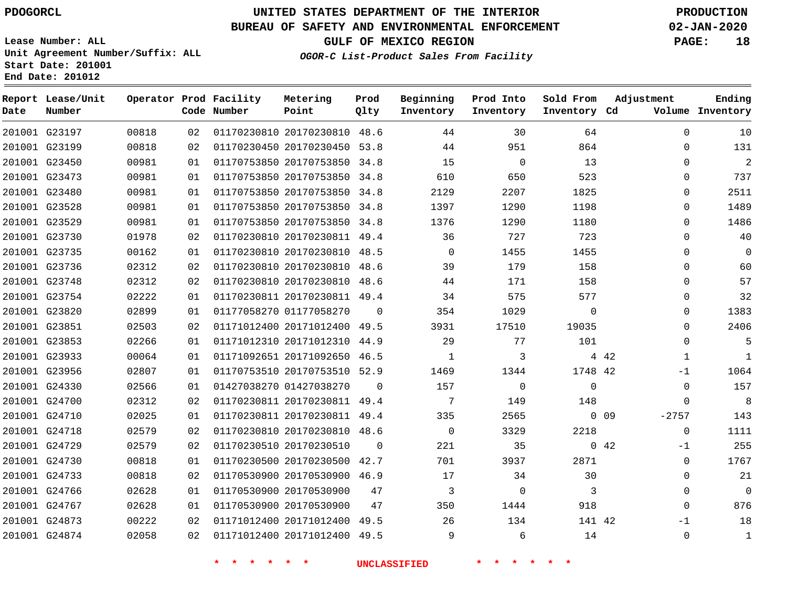**Date**

**Report Lease/Unit**

**Number**

# **UNITED STATES DEPARTMENT OF THE INTERIOR PDOGORCL PRODUCTION**

**Prod Qlty**

#### **BUREAU OF SAFETY AND ENVIRONMENTAL ENFORCEMENT 02-JAN-2020**

**Lease Number: ALL Unit Agreement Number/Suffix: ALL Start Date: 201001 End Date: 201012**

**Operator Prod Facility**

**Code Number**

**OGOR-C List-Product Sales From Facility**

**Beginning Inventory** **Prod Into Inventory**

**Sold From Inventory**

**GULF OF MEXICO REGION PAGE: 18**

**Inventory Cd Volume**

**Adjustment**

  $\Omega$  $\Omega$   $\Omega$  $\Omega$  $\Omega$  $\Omega$  $\Omega$  $\Omega$  $\Omega$  $\Omega$  $\Omega$  $\overline{0}$  $\Omega$   $-1$  $\Omega$  $\Omega$ 

 $\Omega$ -1  $\Omega$  -1 

**Ending**

| 201001 G23197 | 00818 | 02 |                                 | 01170230810 20170230810 48.6 |          | 44                      | 30                         | 64                      | $\Omega$       |
|---------------|-------|----|---------------------------------|------------------------------|----------|-------------------------|----------------------------|-------------------------|----------------|
| 201001 G23199 | 00818 | 02 |                                 | 01170230450 20170230450 53.8 |          | 44                      | 951                        | 864                     | 0              |
| 201001 G23450 | 00981 | 01 |                                 | 01170753850 20170753850 34.8 |          | 15                      | $\overline{0}$             | 13                      | $\Omega$       |
| 201001 G23473 | 00981 | 01 |                                 | 01170753850 20170753850 34.8 |          | 610                     | 650                        | 523                     | $\Omega$       |
| 201001 G23480 | 00981 | 01 |                                 | 01170753850 20170753850 34.8 |          | 2129                    | 2207                       | 1825                    | $\Omega$       |
| 201001 G23528 | 00981 | 01 |                                 | 01170753850 20170753850 34.8 |          | 1397                    | 1290                       | 1198                    | $\Omega$       |
| 201001 G23529 | 00981 | 01 |                                 | 01170753850 20170753850 34.8 |          | 1376                    | 1290                       | 1180                    | $\Omega$       |
| 201001 G23730 | 01978 | 02 |                                 | 01170230810 20170230811 49.4 |          | 36                      | 727                        | 723                     | $\Omega$       |
| 201001 G23735 | 00162 | 01 |                                 | 01170230810 20170230810 48.5 |          | $\overline{0}$          | 1455                       | 1455                    | 0              |
| 201001 G23736 | 02312 | 02 |                                 | 01170230810 20170230810 48.6 |          | 39                      | 179                        | 158                     | $\Omega$       |
| 201001 G23748 | 02312 | 02 |                                 | 01170230810 20170230810 48.6 |          | 44                      | 171                        | 158                     | $\Omega$       |
| 201001 G23754 | 02222 | 01 |                                 | 01170230811 20170230811 49.4 |          | 34                      | 575                        | 577                     | $\Omega$       |
| 201001 G23820 | 02899 | 01 |                                 | 01177058270 01177058270 0    |          | 354                     | 1029                       | $\overline{0}$          | $\Omega$       |
| 201001 G23851 | 02503 | 02 |                                 | 01171012400 20171012400 49.5 |          | 3931                    | 17510                      | 19035                   | $\Omega$       |
| 201001 G23853 | 02266 | 01 |                                 | 01171012310 20171012310 44.9 |          | 29                      | 77                         | 101                     | 0              |
| 201001 G23933 | 00064 | 01 |                                 | 01171092651 20171092650 46.5 |          | $\overline{1}$          | $\overline{\phantom{a}}$ 3 | 4 4 2                   | 1              |
| 201001 G23956 | 02807 | 01 |                                 | 01170753510 20170753510 52.9 |          | 1469                    | 1344                       | 1748 42                 | -1             |
| 201001 G24330 | 02566 | 01 |                                 | 01427038270 01427038270 0    |          | 157                     | $\overline{0}$             | $\overline{0}$          | 0              |
| 201001 G24700 | 02312 | 02 |                                 | 01170230811 20170230811 49.4 |          | $\overline{7}$          | 149                        | 148                     | $\overline{0}$ |
| 201001 G24710 | 02025 | 01 |                                 | 01170230811 20170230811 49.4 |          | 335                     | 2565                       | $0\quad09$              | $-2757$        |
| 201001 G24718 | 02579 | 02 |                                 | 01170230810 20170230810 48.6 |          | $\overline{0}$          | 3329                       | 2218                    | $\overline{0}$ |
| 201001 G24729 | 02579 | 02 |                                 | 01170230510 20170230510      | $\Omega$ | 221                     | 35                         | $0\quad 42$             | $-1$           |
| 201001 G24730 | 00818 | 01 |                                 | 01170230500 20170230500 42.7 |          | 701                     | 3937                       | 2871                    | $\mathbf 0$    |
| 201001 G24733 | 00818 | 02 |                                 | 01170530900 20170530900 46.9 |          | 17                      | 34                         | 30                      | 0              |
| 201001 G24766 | 02628 | 01 |                                 | 01170530900 20170530900 47   |          | $\overline{\mathbf{3}}$ | $\overline{0}$             | $\overline{\mathbf{3}}$ | $\mathbf 0$    |
| 201001 G24767 | 02628 | 01 |                                 | 01170530900 20170530900 47   |          | 350                     | 1444                       | 918                     | $\mathbf 0$    |
| 201001 G24873 | 00222 | 02 |                                 | 01171012400 20171012400 49.5 |          | 26                      | 134                        | 141 42                  | -1             |
| 201001 G24874 | 02058 |    | 02 01171012400 20171012400 49.5 |                              |          | $\overline{9}$          | $6\overline{6}$            | 14                      | $\mathbf 0$    |
|               |       |    | <b>A</b>                        | * * *                        |          | <b>UNCLASSIFIED</b>     |                            |                         |                |

**Metering Point**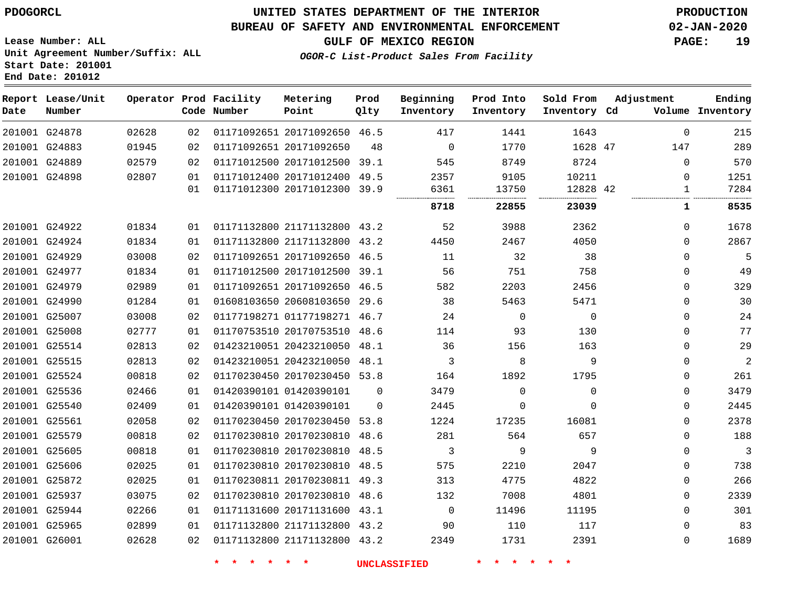G25965 G26001    

### **UNITED STATES DEPARTMENT OF THE INTERIOR PDOGORCL PRODUCTION**

#### **BUREAU OF SAFETY AND ENVIRONMENTAL ENFORCEMENT 02-JAN-2020**

**Lease Number: ALL Unit Agreement Number/Suffix: ALL Start Date: 201001 End Date: 201012**

**OGOR-C List-Product Sales From Facility**

**GULF OF MEXICO REGION PAGE: 19**

| Date | Report Lease/Unit<br>Number |       |    | Operator Prod Facility<br>Code Number | Metering<br>Point            | Prod<br>Qlty | Beginning<br>Inventory | Prod Into<br>Inventory | Sold From<br>Inventory | Adjustment<br>Cd |              | Ending<br>Volume Inventory |
|------|-----------------------------|-------|----|---------------------------------------|------------------------------|--------------|------------------------|------------------------|------------------------|------------------|--------------|----------------------------|
|      | 201001 G24878               | 02628 | 02 |                                       | 01171092651 20171092650 46.5 |              | 417                    | 1441                   | 1643                   |                  | $\Omega$     | 215                        |
|      | 201001 G24883               | 01945 | 02 |                                       | 01171092651 20171092650      | 48           | $\overline{0}$         | 1770                   | 1628 47                |                  | 147          | 289                        |
|      | 201001 G24889               | 02579 | 02 |                                       | 01171012500 20171012500      | 39.1         | 545                    | 8749                   | 8724                   |                  | $\Omega$     | 570                        |
|      | 201001 G24898               | 02807 | 01 |                                       | 01171012400 20171012400      | 49.5         | 2357                   | 9105                   | 10211                  |                  | $\Omega$     | 1251                       |
|      |                             |       | 01 |                                       | 01171012300 20171012300      | 39.9         | 6361                   | 13750<br>              | 12828 42               |                  | $\mathbf{1}$ | 7284                       |
|      |                             |       |    |                                       |                              |              | 8718                   | 22855                  | 23039                  |                  | ı            | 8535                       |
|      | 201001 G24922               | 01834 | 01 |                                       | 01171132800 21171132800 43.2 |              | 52                     | 3988                   | 2362                   |                  | $\Omega$     | 1678                       |
|      | 201001 G24924               | 01834 | 01 |                                       | 01171132800 21171132800      | 43.2         | 4450                   | 2467                   | 4050                   |                  | $\Omega$     | 2867                       |
|      | 201001 G24929               | 03008 | 02 |                                       | 01171092651 20171092650      | 46.5         | 11                     | 32                     | 38                     |                  | $\Omega$     | 5                          |
|      | 201001 G24977               | 01834 | 01 |                                       | 01171012500 20171012500      | 39.1         | 56                     | 751                    | 758                    |                  | $\Omega$     | 49                         |
|      | 201001 G24979               | 02989 | 01 |                                       | 01171092651 20171092650      | 46.5         | 582                    | 2203                   | 2456                   |                  | $\Omega$     | 329                        |
|      | 201001 G24990               | 01284 | 01 |                                       | 01608103650 20608103650      | 29.6         | 38                     | 5463                   | 5471                   |                  | $\Omega$     | 30                         |
|      | 201001 G25007               | 03008 | 02 |                                       | 01177198271 01177198271      | 46.7         | 24                     | $\mathbf 0$            | $\mathbf 0$            |                  | $\Omega$     | 24                         |
|      | 201001 G25008               | 02777 | 01 |                                       | 01170753510 20170753510      | 48.6         | 114                    | 93                     | 130                    |                  | $\Omega$     | 77                         |
|      | 201001 G25514               | 02813 | 02 |                                       | 01423210051 20423210050      | 48.1         | 36                     | 156                    | 163                    |                  | $\Omega$     | 29                         |
|      | 201001 G25515               | 02813 | 02 |                                       | 01423210051 20423210050      | 48.1         | 3                      | 8                      | 9                      |                  | 0            | $\overline{a}$             |
|      | 201001 G25524               | 00818 | 02 |                                       | 01170230450 20170230450      | 53.8         | 164                    | 1892                   | 1795                   |                  | 0            | 261                        |
|      | 201001 G25536               | 02466 | 01 |                                       | 01420390101 01420390101      | $\Omega$     | 3479                   | $\mathbf 0$            | 0                      |                  | 0            | 3479                       |
|      | 201001 G25540               | 02409 | 01 |                                       | 01420390101 01420390101      | $\Omega$     | 2445                   | $\Omega$               | $\Omega$               |                  | $\Omega$     | 2445                       |
|      | 201001 G25561               | 02058 | 02 |                                       | 01170230450 20170230450      | 53.8         | 1224                   | 17235                  | 16081                  |                  | $\Omega$     | 2378                       |
|      | 201001 G25579               | 00818 | 02 |                                       | 01170230810 20170230810      | 48.6         | 281                    | 564                    | 657                    |                  | $\Omega$     | 188                        |
|      | 201001 G25605               | 00818 | 01 |                                       | 01170230810 20170230810      | 48.5         | 3                      | 9                      | 9                      |                  | $\Omega$     | 3                          |
|      | 201001 G25606               | 02025 | 01 |                                       | 01170230810 20170230810      | 48.5         | 575                    | 2210                   | 2047                   |                  | $\Omega$     | 738                        |
|      | 201001 G25872               | 02025 | 01 |                                       | 01170230811 20170230811      | 49.3         | 313                    | 4775                   | 4822                   |                  | $\mathbf{0}$ | 266                        |
|      | 201001 G25937               | 03075 | 02 |                                       | 01170230810 20170230810      | 48.6         | 132                    | 7008                   | 4801                   |                  | $\Omega$     | 2339                       |
|      | 201001 G25944               | 02266 | 01 |                                       | 01171131600 20171131600 43.1 |              | $\Omega$               | 11496                  | 11195                  |                  | $\Omega$     | 301                        |

**\* \* \* \* \* \* UNCLASSIFIED \* \* \* \* \* \***

 21171132800 43.2 21171132800 43.2

 

    $\Omega$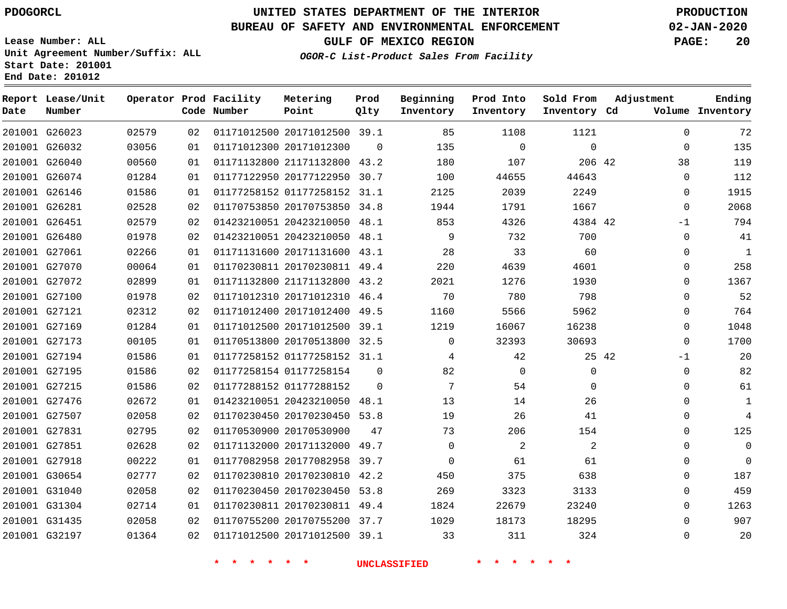**Report Lease/Unit**

**Number**

**Date**

# **UNITED STATES DEPARTMENT OF THE INTERIOR PDOGORCL PRODUCTION**

**Prod**  $Q1 + V$ 

**Metering Point**

#### **BUREAU OF SAFETY AND ENVIRONMENTAL ENFORCEMENT 02-JAN-2020**

**Lease Number: ALL Unit Agreement Number/Suffix: ALL Start Date: 201001 End Date: 201012**

**Operator Prod Facility**

**OGOR-C List-Product Sales From Facility**

**Beginning**

**Prod Into Inventory** **Sold From Inventory**

**GULF OF MEXICO REGION PAGE: 20**

**Adjustment**

**Ending**

| Number |       |    | Code Number              | Point                        | Qlty     | Inventory           | Inventory                | Inventory Cd |       |             | Volume Inventory |
|--------|-------|----|--------------------------|------------------------------|----------|---------------------|--------------------------|--------------|-------|-------------|------------------|
| G26023 | 02579 | 02 |                          | 01171012500 20171012500 39.1 |          | 85                  | 1108                     | 1121         |       | $\mathbf 0$ | 72               |
| G26032 | 03056 | 01 |                          | 01171012300 20171012300      | $\Omega$ | 135                 | $\Omega$                 | $\mathbf 0$  |       | $\mathbf 0$ | 135              |
| G26040 | 00560 | 01 |                          | 01171132800 21171132800 43.2 |          | 180                 | 107                      | 206 42       |       | 38          | 119              |
| G26074 | 01284 | 01 |                          | 01177122950 20177122950 30.7 |          | 100                 | 44655                    | 44643        |       | $\mathbf 0$ | 112              |
| G26146 | 01586 | 01 |                          | 01177258152 01177258152 31.1 |          | 2125                | 2039                     | 2249         |       | 0           | 1915             |
| G26281 | 02528 | 02 |                          | 01170753850 20170753850 34.8 |          | 1944                | 1791                     | 1667         |       | $\mathbf 0$ | 2068             |
| G26451 | 02579 | 02 |                          | 01423210051 20423210050 48.1 |          | 853                 | 4326                     | 4384 42      |       | $-1$        | 794              |
| G26480 | 01978 | 02 |                          | 01423210051 20423210050 48.1 |          | 9                   | 732                      | 700          |       | 0           | 41               |
| G27061 | 02266 | 01 |                          | 01171131600 20171131600 43.1 |          | 28                  | 33                       | 60           |       | $\mathbf 0$ | $\mathbf{1}$     |
| G27070 | 00064 | 01 |                          | 01170230811 20170230811 49.4 |          | 220                 | 4639                     | 4601         |       | $\mathbf 0$ | 258              |
| G27072 | 02899 | 01 |                          | 01171132800 21171132800 43.2 |          | 2021                | 1276                     | 1930         |       | $\mathbf 0$ | 1367             |
| G27100 | 01978 | 02 |                          | 01171012310 20171012310 46.4 |          | 70                  | 780                      | 798          |       | 0           | 52               |
| G27121 | 02312 | 02 |                          | 01171012400 20171012400 49.5 |          | 1160                | 5566                     | 5962         |       | $\mathbf 0$ | 764              |
| G27169 | 01284 | 01 |                          | 01171012500 20171012500 39.1 |          | 1219                | 16067                    | 16238        |       | 0           | 1048             |
| G27173 | 00105 | 01 |                          | 01170513800 20170513800      | 32.5     | $\mathbf 0$         | 32393                    | 30693        |       | $\mathbf 0$ | 1700             |
| G27194 | 01586 | 01 |                          | 01177258152 01177258152 31.1 |          | 4                   | 42                       |              | 25 42 | $-1$        | 20               |
| G27195 | 01586 | 02 |                          | 01177258154 01177258154      | $\Omega$ | 82                  | $\mathbf 0$              | $\mathbf 0$  |       | 0           | 82               |
| G27215 | 01586 | 02 |                          | 01177288152 01177288152      | $\Omega$ | 7                   | 54                       | $\mathbf 0$  |       | 0           | 61               |
| G27476 | 02672 | 01 |                          | 01423210051 20423210050 48.1 |          | 13                  | 14                       | 26           |       | $\mathbf 0$ | $\mathbf 1$      |
| G27507 | 02058 | 02 |                          | 01170230450 20170230450 53.8 |          | 19                  | 26                       | 41           |       | 0           | $\overline{4}$   |
| G27831 | 02795 | 02 |                          | 01170530900 20170530900      | 47       | 73                  | 206                      | 154          |       | 0           | 125              |
| G27851 | 02628 | 02 |                          | 01171132000 20171132000 49.7 |          | $\Omega$            | $\overline{a}$           | 2            |       | 0           | 0                |
| G27918 | 00222 | 01 |                          | 01177082958 20177082958 39.7 |          | $\Omega$            | 61                       | 61           |       | 0           | 0                |
| G30654 | 02777 | 02 |                          | 01170230810 20170230810 42.2 |          | 450                 | 375                      | 638          |       | $\mathbf 0$ | 187              |
| G31040 | 02058 | 02 |                          | 01170230450 20170230450 53.8 |          | 269                 | 3323                     | 3133         |       | 0           | 459              |
| G31304 | 02714 | 01 |                          | 01170230811 20170230811 49.4 |          | 1824                | 22679                    | 23240        |       | $\mathbf 0$ | 1263             |
| G31435 | 02058 | 02 |                          | 01170755200 20170755200 37.7 |          | 1029                | 18173                    | 18295        |       | 0           | 907              |
| G32197 | 01364 | 02 |                          | 01171012500 20171012500 39.1 |          | 33                  | 311                      | 324          |       | 0           | 20               |
|        |       |    | 一大<br>$\star$<br>$\star$ | $\star$<br>$\star$           |          | <b>UNCLASSIFIED</b> | *.<br>$\star$<br>$\star$ |              |       |             |                  |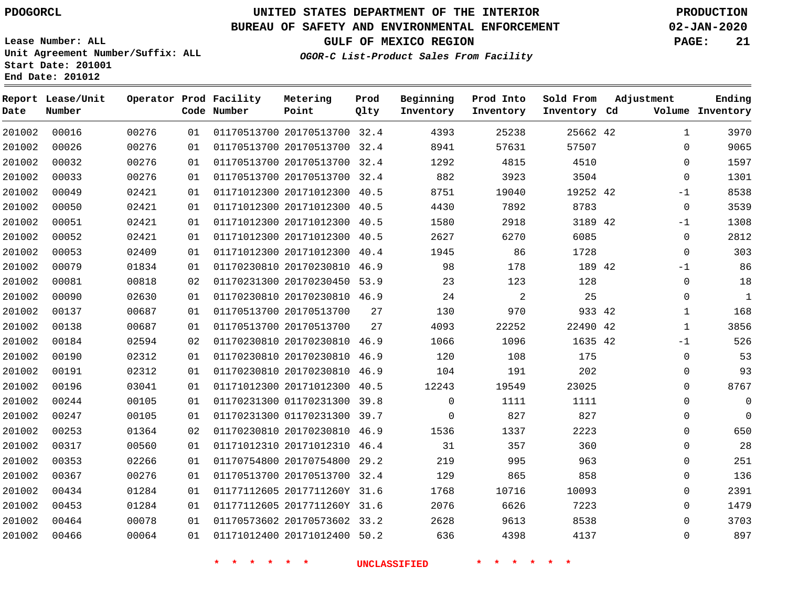**Date**

**End Date: 201012**

**Report Lease/Unit**

**Number**

# **UNITED STATES DEPARTMENT OF THE INTERIOR PDOGORCL PRODUCTION**

**Prod Qlty**

#### **BUREAU OF SAFETY AND ENVIRONMENTAL ENFORCEMENT 02-JAN-2020**

**Lease Number: ALL Unit Agreement Number/Suffix: ALL Start Date: 201001**

**Operator Prod Facility**

**Code Number**

**OGOR-C List-Product Sales From Facility**

**Prod Into Inventory**

**Beginning Inventory**

**GULF OF MEXICO REGION PAGE: 21**

**Inventory Cd Volume**

**Adjustment**

  $\Omega$  $\Omega$   $-1$  $\Omega$ -1 -1  $\Omega$  $\Omega$   $-1$  $\overline{0}$  $\Omega$  $\Omega$  $\Omega$  $\Omega$   $\Omega$   $\Omega$ 

**Ending**

42

**Sold From Inventory**

 

| 00026 | 00276 | 01 | 01170513700 20170513700 | 32.4 | 8941     | 57631          | 57507 |
|-------|-------|----|-------------------------|------|----------|----------------|-------|
| 00032 | 00276 | 01 | 01170513700 20170513700 | 32.4 | 1292     | 4815           | 4510  |
| 00033 | 00276 | 01 | 01170513700 20170513700 | 32.4 | 882      | 3923           | 3504  |
| 00049 | 02421 | 01 | 01171012300 20171012300 | 40.5 | 8751     | 19040          | 19252 |
| 00050 | 02421 | 01 | 01171012300 20171012300 | 40.5 | 4430     | 7892           | 8783  |
| 00051 | 02421 | 01 | 01171012300 20171012300 | 40.5 | 1580     | 2918           | 3189  |
| 00052 | 02421 | 01 | 01171012300 20171012300 | 40.5 | 2627     | 6270           | 6085  |
| 00053 | 02409 | 01 | 01171012300 20171012300 | 40.4 | 1945     | 86             | 1728  |
| 00079 | 01834 | 01 | 01170230810 20170230810 | 46.9 | 98       | 178            | 189   |
| 00081 | 00818 | 02 | 01170231300 20170230450 | 53.9 | 23       | 123            | 128   |
| 00090 | 02630 | 01 | 01170230810 20170230810 | 46.9 | 24       | $\overline{2}$ | 25    |
| 00137 | 00687 | 01 | 01170513700 20170513700 | 27   | 130      | 970            | 933   |
| 00138 | 00687 | 01 | 01170513700 20170513700 | 27   | 4093     | 22252          | 22490 |
| 00184 | 02594 | 02 | 01170230810 20170230810 | 46.9 | 1066     | 1096           | 1635  |
| 00190 | 02312 | 01 | 01170230810 20170230810 | 46.9 | 120      | 108            | 175   |
| 00191 | 02312 | 01 | 01170230810 20170230810 | 46.9 | 104      | 191            | 202   |
| 00196 | 03041 | 01 | 01171012300 20171012300 | 40.5 | 12243    | 19549          | 23025 |
| 00244 | 00105 | 01 | 01170231300 01170231300 | 39.8 | $\Omega$ | 1111           | 1111  |
| 00247 | 00105 | 01 | 01170231300 01170231300 | 39.7 | $\Omega$ | 827            | 827   |
| 00253 | 01364 | 02 | 01170230810 20170230810 | 46.9 | 1536     | 1337           | 2223  |
| 00317 | 00560 | 01 | 01171012310 20171012310 | 46.4 | 31       | 357            | 360   |
| 00353 | 02266 | 01 | 01170754800 20170754800 | 29.2 | 219      | 995            | 963   |
| 00367 | 00276 | 01 | 01170513700 20170513700 | 32.4 | 129      | 865            | 858   |

20170513700 32.4

**Metering Point**

 2017711260Y 31.6 2017711260Y 31.6 20170573602 33.2 20171012400 50.2

**\* \* \* \* \* \* UNCLASSIFIED \* \* \* \* \* \***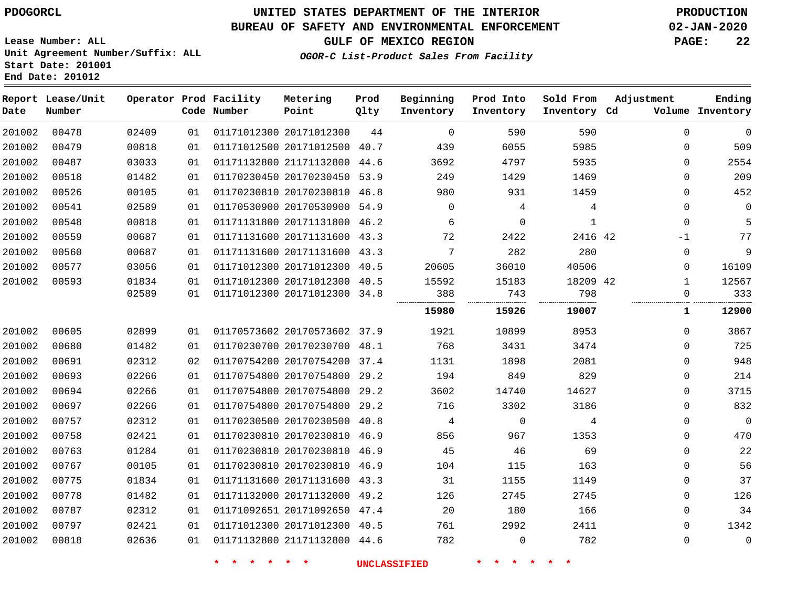### **BUREAU OF SAFETY AND ENVIRONMENTAL ENFORCEMENT 02-JAN-2020**

**GULF OF MEXICO REGION PAGE: 22**

**Lease Number: ALL Unit Agreement Number/Suffix: ALL Start Date: 201001 End Date: 201012**

**OGOR-C List-Product Sales From Facility**

| Date   | Report Lease/Unit<br>Number |       |    | Operator Prod Facility<br>Code Number | Metering<br>Point            | Prod<br>Qlty | Beginning<br>Inventory | Prod Into<br>Inventory | Sold From<br>Inventory Cd | Adjustment   | Ending<br>Volume Inventory |
|--------|-----------------------------|-------|----|---------------------------------------|------------------------------|--------------|------------------------|------------------------|---------------------------|--------------|----------------------------|
| 201002 | 00478                       | 02409 | 01 |                                       | 01171012300 20171012300      | 44           | $\Omega$               | 590                    | 590                       | $\mathbf 0$  | 0                          |
| 201002 | 00479                       | 00818 | 01 |                                       | 01171012500 20171012500 40.7 |              | 439                    | 6055                   | 5985                      | 0            | 509                        |
| 201002 | 00487                       | 03033 | 01 |                                       | 01171132800 21171132800 44.6 |              | 3692                   | 4797                   | 5935                      | $\mathbf 0$  | 2554                       |
| 201002 | 00518                       | 01482 | 01 |                                       | 01170230450 20170230450 53.9 |              | 249                    | 1429                   | 1469                      | $\Omega$     | 209                        |
| 201002 | 00526                       | 00105 | 01 |                                       | 01170230810 20170230810 46.8 |              | 980                    | 931                    | 1459                      | $\Omega$     | 452                        |
| 201002 | 00541                       | 02589 | 01 |                                       | 01170530900 20170530900 54.9 |              | $\mathbf 0$            | 4                      | 4                         | 0            | 0                          |
| 201002 | 00548                       | 00818 | 01 |                                       | 01171131800 20171131800 46.2 |              | 6                      | $\mathbf 0$            | 1                         | $\mathbf 0$  | 5                          |
| 201002 | 00559                       | 00687 | 01 |                                       | 01171131600 20171131600 43.3 |              | 72                     | 2422                   | 2416 42                   | -1           | 77                         |
| 201002 | 00560                       | 00687 | 01 |                                       | 01171131600 20171131600 43.3 |              | 7                      | 282                    | 280                       | $\mathbf 0$  | 9                          |
| 201002 | 00577                       | 03056 | 01 |                                       | 01171012300 20171012300 40.5 |              | 20605                  | 36010                  | 40506                     | $\mathbf 0$  | 16109                      |
| 201002 | 00593                       | 01834 | 01 |                                       | 01171012300 20171012300 40.5 |              | 15592                  | 15183                  | 18209 42                  | 1            | 12567                      |
|        |                             | 02589 | 01 |                                       | 01171012300 20171012300 34.8 |              | 388                    | 743                    | 798                       | $\Omega$     | 333                        |
|        |                             |       |    |                                       |                              |              | 15980                  | 15926                  | 19007                     | $\mathbf{1}$ | 12900                      |
| 201002 | 00605                       | 02899 | 01 |                                       | 01170573602 20170573602 37.9 |              | 1921                   | 10899                  | 8953                      | $\Omega$     | 3867                       |
| 201002 | 00680                       | 01482 | 01 |                                       | 01170230700 20170230700 48.1 |              | 768                    | 3431                   | 3474                      | $\mathbf 0$  | 725                        |
| 201002 | 00691                       | 02312 | 02 |                                       | 01170754200 20170754200 37.4 |              | 1131                   | 1898                   | 2081                      | $\Omega$     | 948                        |
| 201002 | 00693                       | 02266 | 01 |                                       | 01170754800 20170754800 29.2 |              | 194                    | 849                    | 829                       | 0            | 214                        |
| 201002 | 00694                       | 02266 | 01 |                                       | 01170754800 20170754800 29.2 |              | 3602                   | 14740                  | 14627                     | $\Omega$     | 3715                       |
| 201002 | 00697                       | 02266 | 01 |                                       | 01170754800 20170754800 29.2 |              | 716                    | 3302                   | 3186                      | $\mathbf 0$  | 832                        |
| 201002 | 00757                       | 02312 | 01 |                                       | 01170230500 20170230500 40.8 |              | 4                      | $\mathbf 0$            | 4                         | 0            | 0                          |
| 201002 | 00758                       | 02421 | 01 |                                       | 01170230810 20170230810 46.9 |              | 856                    | 967                    | 1353                      | $\Omega$     | 470                        |
| 201002 | 00763                       | 01284 | 01 |                                       | 01170230810 20170230810 46.9 |              | 45                     | 46                     | 69                        | 0            | 22                         |
| 201002 | 00767                       | 00105 | 01 |                                       | 01170230810 20170230810 46.9 |              | 104                    | 115                    | 163                       | 0            | 56                         |
| 201002 | 00775                       | 01834 | 01 |                                       | 01171131600 20171131600 43.3 |              | 31                     | 1155                   | 1149                      | $\mathbf 0$  | 37                         |
| 201002 | 00778                       | 01482 | 01 |                                       | 01171132000 20171132000 49.2 |              | 126                    | 2745                   | 2745                      | 0            | 126                        |
| 201002 | 00787                       | 02312 | 01 |                                       | 01171092651 20171092650 47.4 |              | 20                     | 180                    | 166                       | 0            | 34                         |
| 201002 | 00797                       | 02421 | 01 |                                       | 01171012300 20171012300 40.5 |              | 761                    | 2992                   | 2411                      | $\Omega$     | 1342                       |
| 201002 | 00818                       | 02636 | 01 |                                       | 01171132800 21171132800 44.6 |              | 782                    | $\Omega$               | 782                       | $\Omega$     | $\mathbf 0$                |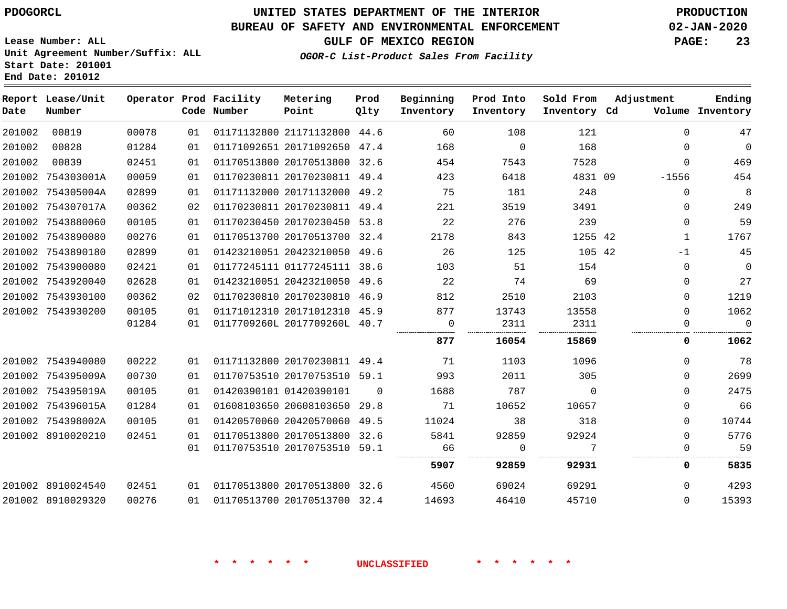**Report Lease/Unit**

# **UNITED STATES DEPARTMENT OF THE INTERIOR PDOGORCL PRODUCTION**

**Prod**

**Metering**

#### **BUREAU OF SAFETY AND ENVIRONMENTAL ENFORCEMENT 02-JAN-2020**

**Lease Number: ALL Unit Agreement Number/Suffix: ALL Start Date: 201001 End Date: 201012**

**Operator Prod Facility**

**GULF OF MEXICO REGION PAGE: 23**

**Adjustment**

**Ending**

**OGOR-C List-Product Sales From Facility**

**Prod Into**

**Sold From**

**Beginning**

| Date   | Number            |       |    | Code Number | Point                        | Qlty     | Inventory | Inventory | Inventory Cd |              | Volume Inventory |
|--------|-------------------|-------|----|-------------|------------------------------|----------|-----------|-----------|--------------|--------------|------------------|
| 201002 | 00819             | 00078 | 01 |             | 01171132800 21171132800 44.6 |          | 60        | 108       | 121          | $\Omega$     | 47               |
| 201002 | 00828             | 01284 | 01 |             | 01171092651 20171092650      | 47.4     | 168       | $\Omega$  | 168          | $\Omega$     | $\Omega$         |
| 201002 | 00839             | 02451 | 01 |             | 01170513800 20170513800      | 32.6     | 454       | 7543      | 7528         | $\mathbf 0$  | 469              |
| 201002 | 754303001A        | 00059 | 01 |             | 01170230811 20170230811 49.4 |          | 423       | 6418      | 4831 09      | $-1556$      | 454              |
| 201002 | 754305004A        | 02899 | 01 |             | 01171132000 20171132000      | 49.2     | 75        | 181       | 248          | $\mathbf 0$  | 8                |
| 201002 | 754307017A        | 00362 | 02 |             | 01170230811 20170230811 49.4 |          | 221       | 3519      | 3491         | $\mathbf 0$  | 249              |
|        | 201002 7543880060 | 00105 | 01 |             | 01170230450 20170230450 53.8 |          | 22        | 276       | 239          | $\Omega$     | 59               |
|        | 201002 7543890080 | 00276 | 01 |             | 01170513700 20170513700 32.4 |          | 2178      | 843       | 1255 42      | 1            | 1767             |
| 201002 | 7543890180        | 02899 | 01 |             | 01423210051 20423210050 49.6 |          | 26        | 125       | 105 42       | $-1$         | 45               |
|        | 201002 7543900080 | 02421 | 01 |             | 01177245111 01177245111 38.6 |          | 103       | 51        | 154          | $\mathbf 0$  | $\Omega$         |
|        | 201002 7543920040 | 02628 | 01 |             | 01423210051 20423210050      | 49.6     | 22        | 74        | 69           | $\mathbf 0$  | 27               |
|        | 201002 7543930100 | 00362 | 02 |             | 01170230810 20170230810 46.9 |          | 812       | 2510      | 2103         | $\Omega$     | 1219             |
|        | 201002 7543930200 | 00105 | 01 |             | 01171012310 20171012310 45.9 |          | 877       | 13743     | 13558        | $\Omega$     | 1062             |
|        |                   | 01284 | 01 |             | 0117709260L 2017709260L 40.7 |          | 0         | 2311      | 2311         | $\Omega$<br> | $\Omega$         |
|        |                   |       |    |             |                              |          | 877       | 16054     | 15869        | 0            | 1062             |
|        | 201002 7543940080 | 00222 | 01 |             | 01171132800 20170230811 49.4 |          | 71        | 1103      | 1096         | $\Omega$     | 78               |
|        | 201002 754395009A | 00730 | 01 |             | 01170753510 20170753510 59.1 |          | 993       | 2011      | 305          | $\mathbf 0$  | 2699             |
|        | 201002 754395019A | 00105 | 01 |             | 01420390101 01420390101      | $\Omega$ | 1688      | 787       | $\Omega$     | $\Omega$     | 2475             |
|        | 201002 754396015A | 01284 | 01 |             | 01608103650 20608103650 29.8 |          | 71        | 10652     | 10657        | 0            | 66               |
| 201002 | 754398002A        | 00105 | 01 |             | 01420570060 20420570060      | 49.5     | 11024     | 38        | 318          | $\Omega$     | 10744            |
|        | 201002 8910020210 | 02451 | 01 |             | 01170513800 20170513800 32.6 |          | 5841      | 92859     | 92924        | $\Omega$     | 5776             |
|        |                   |       | 01 |             | 01170753510 20170753510 59.1 |          | 66<br>    | $\Omega$  |              | 0<br>        | 59               |
|        |                   |       |    |             |                              |          | 5907      | 92859     | 92931        | 0            | 5835             |
|        | 201002 8910024540 | 02451 | 01 |             | 01170513800 20170513800 32.6 |          | 4560      | 69024     | 69291        | $\Omega$     | 4293             |
|        | 201002 8910029320 | 00276 | 01 |             | 01170513700 20170513700 32.4 |          | 14693     | 46410     | 45710        | $\Omega$     | 15393            |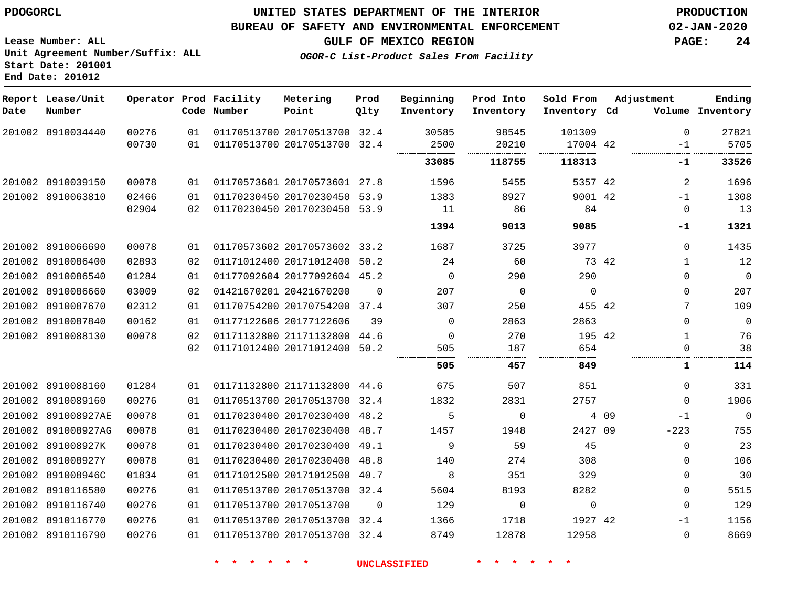**End Date: 201012**

### **UNITED STATES DEPARTMENT OF THE INTERIOR PDOGORCL PRODUCTION**

#### **BUREAU OF SAFETY AND ENVIRONMENTAL ENFORCEMENT 02-JAN-2020**

**Lease Number: ALL Unit Agreement Number/Suffix: ALL Start Date: 201001**

**GULF OF MEXICO REGION PAGE: 24**

**OGOR-C List-Product Sales From Facility**

| Date | Report Lease/Unit<br>Number |       |    | Operator Prod Facility<br>Code Number | Metering<br>Point            | Prod<br>Qlty | Beginning<br>Inventory | Prod Into<br>Inventory | Sold From<br>Inventory Cd | Adjustment |              | Ending<br>Volume Inventory |
|------|-----------------------------|-------|----|---------------------------------------|------------------------------|--------------|------------------------|------------------------|---------------------------|------------|--------------|----------------------------|
|      | 201002 8910034440           | 00276 | 01 |                                       | 01170513700 20170513700 32.4 |              | 30585                  | 98545                  | 101309                    |            | 0            | 27821                      |
|      |                             | 00730 | 01 |                                       | 01170513700 20170513700 32.4 |              | 2500                   | 20210                  | 17004 42                  |            | $-1$         | 5705                       |
|      |                             |       |    |                                       |                              |              | 33085                  | 118755                 | 118313                    |            | -1           | 33526                      |
|      | 201002 8910039150           | 00078 | 01 |                                       | 01170573601 20170573601 27.8 |              | 1596                   | 5455                   | 5357 42                   |            | 2            | 1696                       |
|      | 201002 8910063810           | 02466 | 01 |                                       | 01170230450 20170230450 53.9 |              | 1383                   | 8927                   | 9001 42                   |            | $-1$         | 1308                       |
|      |                             | 02904 | 02 |                                       | 01170230450 20170230450 53.9 |              | 11                     | 86                     | 84                        |            | 0            | 13                         |
|      |                             |       |    |                                       |                              |              | 1394                   | 9013                   | 9085                      |            | -1           | 1321                       |
|      | 201002 8910066690           | 00078 | 01 |                                       | 01170573602 20170573602 33.2 |              | 1687                   | 3725                   | 3977                      |            | 0            | 1435                       |
|      | 201002 8910086400           | 02893 | 02 |                                       | 01171012400 20171012400 50.2 |              | 24                     | 60                     | 73 42                     |            | $\mathbf{1}$ | 12                         |
|      | 201002 8910086540           | 01284 | 01 |                                       | 01177092604 20177092604 45.2 |              | $\mathbf 0$            | 290                    | 290                       |            | 0            | $\mathbf 0$                |
|      | 201002 8910086660           | 03009 | 02 |                                       | 01421670201 20421670200      | $\Omega$     | 207                    | $\overline{0}$         | $\overline{0}$            |            | $\Omega$     | 207                        |
|      | 201002 8910087670           | 02312 | 01 |                                       | 01170754200 20170754200 37.4 |              | 307                    | 250                    | 455 42                    |            | 7            | 109                        |
|      | 201002 8910087840           | 00162 | 01 |                                       | 01177122606 20177122606      | 39           | $\Omega$               | 2863                   | 2863                      |            | $\Omega$     | $\mathbf 0$                |
|      | 201002 8910088130           | 00078 | 02 |                                       | 01171132800 21171132800 44.6 |              | $\Omega$               | 270                    | 195 42                    |            | $\mathbf{1}$ | 76                         |
|      |                             |       | 02 |                                       | 01171012400 20171012400 50.2 |              | 505                    | 187                    | 654                       |            | $\Omega$     | 38                         |
|      |                             |       |    |                                       |                              |              | 505                    | 457                    | 849                       |            | 1            | 114                        |
|      | 201002 8910088160           | 01284 | 01 |                                       | 01171132800 21171132800 44.6 |              | 675                    | 507                    | 851                       |            | $\Omega$     | 331                        |
|      | 201002 8910089160           | 00276 | 01 |                                       | 01170513700 20170513700 32.4 |              | 1832                   | 2831                   | 2757                      |            | 0            | 1906                       |
|      | 201002 891008927AE          | 00078 | 01 |                                       | 01170230400 20170230400 48.2 |              | 5                      | $\mathbf 0$            |                           | 4 0 9      | $-1$         | $\overline{0}$             |
|      | 201002 891008927AG          | 00078 | 01 |                                       | 01170230400 20170230400 48.7 |              | 1457                   | 1948                   | 2427 09                   |            | $-223$       | 755                        |
|      | 201002 891008927K           | 00078 | 01 |                                       | 01170230400 20170230400 49.1 |              | 9                      | 59                     | 45                        |            | 0            | 23                         |
|      | 201002 891008927Y           | 00078 | 01 |                                       | 01170230400 20170230400 48.8 |              | 140                    | 274                    | 308                       |            | 0            | 106                        |
|      | 201002 891008946C           | 01834 | 01 |                                       | 01171012500 20171012500 40.7 |              | 8                      | 351                    | 329                       |            | 0            | 30                         |
|      | 201002 8910116580           | 00276 | 01 |                                       | 01170513700 20170513700 32.4 |              | 5604                   | 8193                   | 8282                      |            | $\Omega$     | 5515                       |
|      | 201002 8910116740           | 00276 | 01 |                                       | 01170513700 20170513700      | $\Omega$     | 129                    | $\mathbf 0$            | $\mathbf 0$               |            | 0            | 129                        |
|      | 201002 8910116770           | 00276 | 01 |                                       | 01170513700 20170513700 32.4 |              | 1366                   | 1718                   | 1927 42                   |            | $-1$         | 1156                       |
|      | 201002 8910116790           | 00276 | 01 |                                       | 01170513700 20170513700 32.4 |              | 8749                   | 12878                  | 12958                     |            | $\Omega$     | 8669                       |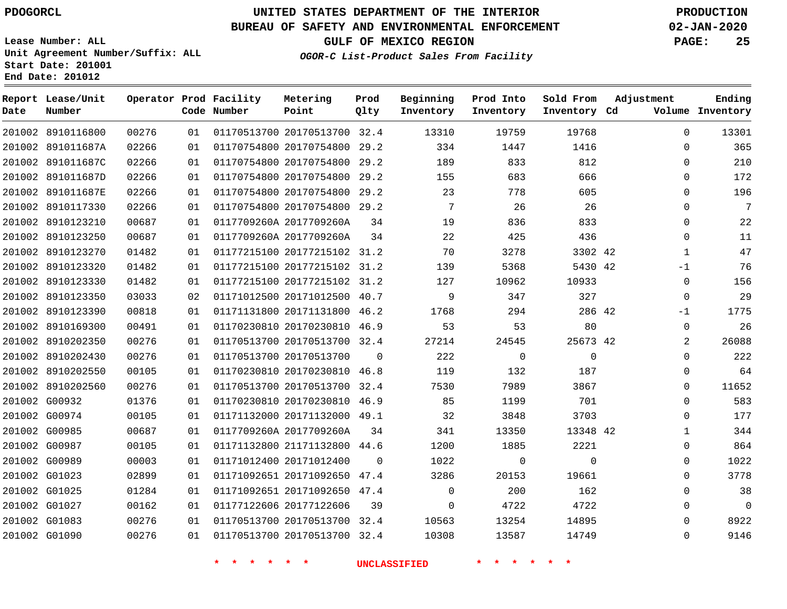**Date**

8910116800

**Report Lease/Unit**

**Number**

# **UNITED STATES DEPARTMENT OF THE INTERIOR PDOGORCL PRODUCTION**

**Prod Qlty**

#### **BUREAU OF SAFETY AND ENVIRONMENTAL ENFORCEMENT 02-JAN-2020**

**Lease Number: ALL Unit Agreement Number/Suffix: ALL Start Date: 201001 End Date: 201012**

**Operator Prod Facility**

**Code Number**

20170513700 32.4

**Metering Point**

**OGOR-C List-Product Sales From Facility**

**Sold From Inventory**

**Prod Into Inventory**

**Beginning Inventory**

**GULF OF MEXICO REGION PAGE: 25**

**Inventory Cd Volume**

**Adjustment**

  $\Omega$  $\Omega$   $\Omega$  $\Omega$  $\Omega$  $\Omega$  -1  $\Omega$ -1  $\overline{0}$  $\Omega$  $\Omega$  $\Omega$  $\Omega$   $\Omega$   $\Omega$   $\Omega$ 

**Ending**

| 201002 891011687A | 02266 | 01 | 01170754800 20170754800 29.2       |                | 334            | 1447           | 1416           |  |
|-------------------|-------|----|------------------------------------|----------------|----------------|----------------|----------------|--|
| 201002 891011687C | 02266 | 01 | 01170754800 20170754800 29.2       |                | 189            | 833            | 812            |  |
| 201002 891011687D | 02266 | 01 | 01170754800 20170754800 29.2       |                | 155            | 683            | 666            |  |
| 201002 891011687E | 02266 | 01 | 01170754800 20170754800 29.2       |                | 23             | 778            | 605            |  |
| 201002 8910117330 | 02266 | 01 | 01170754800 20170754800 29.2       |                | $\overline{7}$ | - 26           | 26             |  |
| 201002 8910123210 | 00687 | 01 | 0117709260A 2017709260A            | 34             | 19             | 836            | 833            |  |
| 201002 8910123250 | 00687 | 01 | 0117709260A 2017709260A            | 34             | 22             | 425            | 436            |  |
| 201002 8910123270 | 01482 | 01 | 01177215100 20177215102 31.2       |                | 70             | 3278           | 3302 42        |  |
| 201002 8910123320 | 01482 | 01 | 01177215100 20177215102 31.2       |                | 139            | 5368           | 5430 42        |  |
| 201002 8910123330 | 01482 | 01 | 01177215100 20177215102 31.2       |                | 127            | 10962          | 10933          |  |
| 201002 8910123350 | 03033 | 02 | 01171012500 20171012500 40.7       |                | 9              | 347            | 327            |  |
| 201002 8910123390 | 00818 | 01 | 01171131800 20171131800 46.2 1768  |                |                | 294            | 286 42         |  |
| 201002 8910169300 | 00491 | 01 | 01170230810 20170230810 46.9       |                | 53             | 53             | 80             |  |
| 201002 8910202350 | 00276 | 01 | 01170513700 20170513700 32.4       |                | 27214          | 24545          | 25673 42       |  |
| 201002 8910202430 | 00276 | 01 | 01170513700 20170513700            | $\Omega$       | 222            | $\overline{0}$ | $\overline{0}$ |  |
| 201002 8910202550 | 00105 | 01 | 01170230810 20170230810 46.8 119   |                |                | 132            | 187            |  |
| 201002 8910202560 | 00276 | 01 | 01170513700 20170513700 32.4       |                | 7530           | 7989           | 3867           |  |
| 201002 G00932     | 01376 | 01 | 01170230810 20170230810 46.9       |                | 85             | 1199           | 701            |  |
| 201002 G00974     | 00105 | 01 | 01171132000 20171132000 49.1       |                | 32             | 3848           | 3703           |  |
| 201002 G00985     | 00687 | 01 | 0117709260A 2017709260A            | 34             | 341            | 13350          | 13348 42       |  |
| 201002 G00987     | 00105 | 01 | 01171132800 21171132800 44.6       |                | 1200           | 1885           | 2221           |  |
| 201002 G00989     | 00003 | 01 | 01171012400 20171012400            | $\overline{0}$ | 1022           | $\overline{0}$ | $\overline{0}$ |  |
| 201002 G01023     | 02899 | 01 | 01171092651 20171092650 47.4       |                | 3286           | 20153          | 19661          |  |
| 201002 G01025     | 01284 | 01 | 01171092651 20171092650 47.4       |                | $\Omega$       | 200            | 162            |  |
| 201002 G01027     | 00162 | 01 | 01177122606 20177122606            | 39             | $\overline{0}$ | 4722           | 4722           |  |
| 201002 G01083     | 00276 | 01 | 01170513700 20170513700 32.4 10563 |                |                | 13254          | 14895          |  |
| 201002 G01090     | 00276 | 01 | 01170513700 20170513700 32.4       |                | 10308          | 13587          | 14749          |  |
|                   |       |    |                                    |                |                |                |                |  |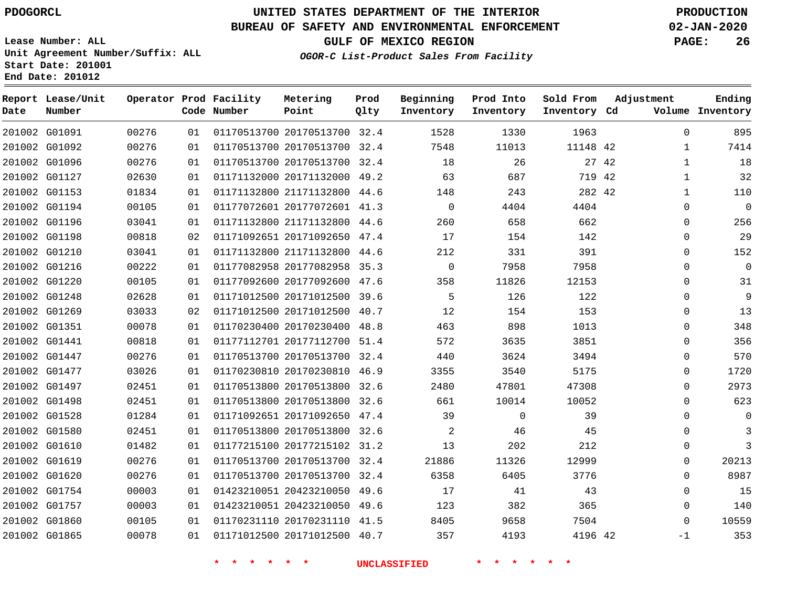#### **BUREAU OF SAFETY AND ENVIRONMENTAL ENFORCEMENT 02-JAN-2020**

**Lease Number: ALL Unit Agreement Number/Suffix: ALL Start Date: 201001**

**End Date: 201012**

**GULF OF MEXICO REGION PAGE: 26**

**OGOR-C List-Product Sales From Facility**

| Date | Report Lease/Unit<br>Number |       |    | Operator Prod Facility<br>Code Number | Metering<br>Point            | Prod<br>Qlty | Beginning<br>Inventory | Prod Into<br>Inventory | Sold From<br>Inventory Cd | Adjustment |              | Ending<br>Volume Inventory |
|------|-----------------------------|-------|----|---------------------------------------|------------------------------|--------------|------------------------|------------------------|---------------------------|------------|--------------|----------------------------|
|      | 201002 G01091               | 00276 | 01 |                                       | 01170513700 20170513700 32.4 |              | 1528                   | 1330                   | 1963                      |            | $\mathbf 0$  | 895                        |
|      | 201002 G01092               | 00276 | 01 |                                       | 01170513700 20170513700 32.4 |              | 7548                   | 11013                  | 11148 42                  |            | 1            | 7414                       |
|      | 201002 G01096               | 00276 | 01 |                                       | 01170513700 20170513700 32.4 |              | 18                     | 26                     |                           | 27 42      | $\mathbf{1}$ | 18                         |
|      | 201002 G01127               | 02630 | 01 |                                       | 01171132000 20171132000 49.2 |              | 63                     | 687                    | 719 42                    |            | $\mathbf{1}$ | 32                         |
|      | 201002 G01153               | 01834 | 01 |                                       | 01171132800 21171132800 44.6 |              | 148                    | 243                    | 282 42                    |            | $\mathbf{1}$ | 110                        |
|      | 201002 G01194               | 00105 | 01 |                                       | 01177072601 20177072601 41.3 |              | $\mathbf 0$            | 4404                   | 4404                      |            | $\mathbf 0$  | $\mathbf 0$                |
|      | 201002 G01196               | 03041 | 01 |                                       | 01171132800 21171132800 44.6 |              | 260                    | 658                    | 662                       |            | $\mathbf 0$  | 256                        |
|      | 201002 G01198               | 00818 | 02 |                                       | 01171092651 20171092650 47.4 |              | 17                     | 154                    | 142                       |            | $\mathbf 0$  | 29                         |
|      | 201002 G01210               | 03041 | 01 |                                       | 01171132800 21171132800 44.6 |              | 212                    | 331                    | 391                       |            | $\mathbf 0$  | 152                        |
|      | 201002 G01216               | 00222 | 01 |                                       | 01177082958 20177082958 35.3 |              | $\mathbf 0$            | 7958                   | 7958                      |            | $\mathbf 0$  | $\Omega$                   |
|      | 201002 G01220               | 00105 | 01 |                                       | 01177092600 20177092600 47.6 |              | 358                    | 11826                  | 12153                     |            | $\Omega$     | 31                         |
|      | 201002 G01248               | 02628 | 01 |                                       | 01171012500 20171012500 39.6 |              | 5                      | 126                    | 122                       |            | $\Omega$     | 9                          |
|      | 201002 G01269               | 03033 | 02 |                                       | 01171012500 20171012500 40.7 |              | 12                     | 154                    | 153                       |            | $\Omega$     | 13                         |
|      | 201002 G01351               | 00078 | 01 |                                       | 01170230400 20170230400 48.8 |              | 463                    | 898                    | 1013                      |            | $\mathbf 0$  | 348                        |
|      | 201002 G01441               | 00818 | 01 |                                       | 01177112701 20177112700 51.4 |              | 572                    | 3635                   | 3851                      |            | $\mathbf 0$  | 356                        |
|      | 201002 G01447               | 00276 | 01 |                                       | 01170513700 20170513700 32.4 |              | 440                    | 3624                   | 3494                      |            | $\mathbf 0$  | 570                        |
|      | 201002 G01477               | 03026 | 01 |                                       | 01170230810 20170230810 46.9 |              | 3355                   | 3540                   | 5175                      |            | 0            | 1720                       |
|      | 201002 G01497               | 02451 | 01 |                                       | 01170513800 20170513800 32.6 |              | 2480                   | 47801                  | 47308                     |            | $\mathbf 0$  | 2973                       |
|      | 201002 G01498               | 02451 | 01 |                                       | 01170513800 20170513800 32.6 |              | 661                    | 10014                  | 10052                     |            | $\Omega$     | 623                        |
|      | 201002 G01528               | 01284 | 01 |                                       | 01171092651 20171092650 47.4 |              | 39                     | $\Omega$               | 39                        |            | $\Omega$     | $\Omega$                   |
|      | 201002 G01580               | 02451 | 01 |                                       | 01170513800 20170513800 32.6 |              | $\overline{c}$         | 46                     | 45                        |            | $\mathbf 0$  | 3                          |
|      | 201002 G01610               | 01482 | 01 |                                       | 01177215100 20177215102 31.2 |              | 13                     | 202                    | 212                       |            | $\mathbf 0$  | 3                          |
|      | 201002 G01619               | 00276 | 01 |                                       | 01170513700 20170513700 32.4 |              | 21886                  | 11326                  | 12999                     |            | $\mathbf 0$  | 20213                      |
|      | 201002 G01620               | 00276 | 01 |                                       | 01170513700 20170513700 32.4 |              | 6358                   | 6405                   | 3776                      |            | $\mathbf 0$  | 8987                       |
|      | 201002 G01754               | 00003 | 01 |                                       | 01423210051 20423210050 49.6 |              | 17                     | 41                     | 43                        |            | $\mathbf 0$  | 15                         |
|      | 201002 G01757               | 00003 | 01 |                                       | 01423210051 20423210050 49.6 |              | 123                    | 382                    | 365                       |            | $\mathbf 0$  | 140                        |
|      | 201002 G01860               | 00105 | 01 |                                       | 01170231110 20170231110 41.5 |              | 8405                   | 9658                   | 7504                      |            | $\Omega$     | 10559                      |
|      | 201002 G01865               | 00078 | 01 |                                       | 01171012500 20171012500 40.7 |              | 357                    | 4193                   | 4196 42                   |            | $-1$         | 353                        |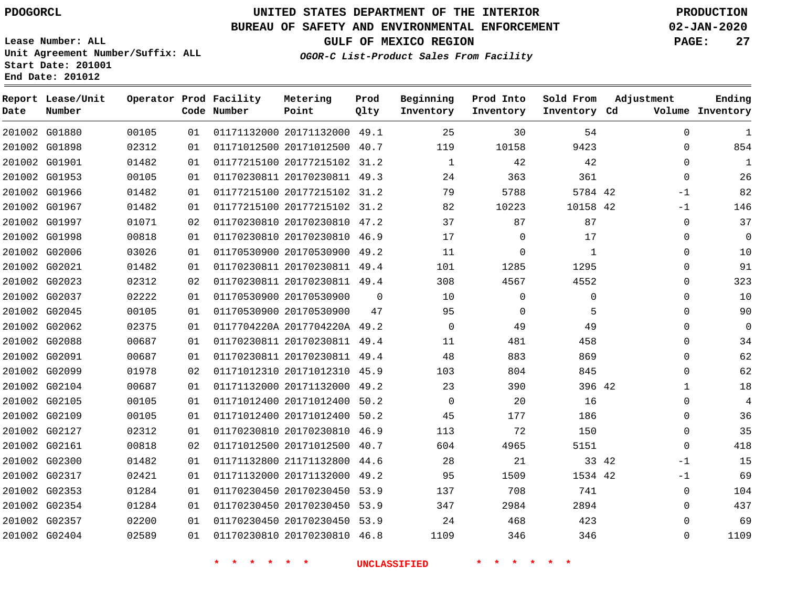G01880

**Date**

**Report Lease/Unit**

**Number**

# **UNITED STATES DEPARTMENT OF THE INTERIOR PDOGORCL PRODUCTION**

### **BUREAU OF SAFETY AND ENVIRONMENTAL ENFORCEMENT 02-JAN-2020**

**Lease Number: ALL Unit Agreement Number/Suffix: ALL Start Date: 201001 End Date: 201012**

**Operator Prod Facility**

**Code Number**

**OGOR-C List-Product Sales From Facility**

**Beginning Inventory** **Prod Into Inventory**

**GULF OF MEXICO REGION PAGE: 27**

**Inventory Cd Volume**

**Adjustment**

**Sold From Inventory**

**Ending**

 20171132000 49.1 40.7 31.2 49.3 

**Prod Qlty**

**Metering Point**

| 201002 G01898 |               | 02312 | 01 | 01171012500 20171012500 40.7 |      | 119         | 10158       | 9423     |       | $\Omega$ | 854         |
|---------------|---------------|-------|----|------------------------------|------|-------------|-------------|----------|-------|----------|-------------|
| 201002 G01901 |               | 01482 | 01 | 01177215100 20177215102 31.2 |      | 1           | 42          | 42       |       | $\Omega$ | 1           |
|               | 201002 G01953 | 00105 | 01 | 01170230811 20170230811 49.3 |      | 24          | 363         | 361      |       | $\Omega$ | 26          |
| 201002 G01966 |               | 01482 | 01 | 01177215100 20177215102 31.2 |      | 79          | 5788        | 5784 42  |       | $-1$     | 82          |
| 201002 G01967 |               | 01482 | 01 | 01177215100 20177215102 31.2 |      | 82          | 10223       | 10158 42 |       | $-1$     | 146         |
| 201002 G01997 |               | 01071 | 02 | 01170230810 20170230810 47.2 |      | 37          | 87          | 87       |       | $\Omega$ | 37          |
| 201002 G01998 |               | 00818 | 01 | 01170230810 20170230810 46.9 |      | 17          | $\Omega$    | 17       |       | 0        | $\mathbf 0$ |
| 201002 G02006 |               | 03026 | 01 | 01170530900 20170530900 49.2 |      | 11          | $\mathbf 0$ | 1        |       | $\Omega$ | 10          |
| 201002 G02021 |               | 01482 | 01 | 01170230811 20170230811 49.4 |      | 101         | 1285        | 1295     |       | $\Omega$ | 91          |
| 201002 G02023 |               | 02312 | 02 | 01170230811 20170230811 49.4 |      | 308         | 4567        | 4552     |       | 0        | 323         |
| 201002 G02037 |               | 02222 | 01 | 01170530900 20170530900      | 0    | 10          | 0           | 0        |       | $\Omega$ | 10          |
| 201002 G02045 |               | 00105 | 01 | 01170530900 20170530900      | 47   | 95          | $\Omega$    | 5        |       | $\Omega$ | 90          |
| 201002 G02062 |               | 02375 | 01 | 0117704220A 2017704220A 49.2 |      | $\mathbf 0$ | 49          | 49       |       | 0        | 0           |
| 201002 G02088 |               | 00687 | 01 | 01170230811 20170230811 49.4 |      | 11          | 481         | 458      |       | $\Omega$ | 34          |
| 201002 G02091 |               | 00687 | 01 | 01170230811 20170230811 49.4 |      | 48          | 883         | 869      |       | $\Omega$ | 62          |
| 201002 G02099 |               | 01978 | 02 | 01171012310 20171012310 45.9 |      | 103         | 804         | 845      |       | $\Omega$ | 62          |
| 201002 G02104 |               | 00687 | 01 | 01171132000 20171132000 49.2 |      | 23          | 390         | 396 42   |       | 1        | 18          |
| 201002 G02105 |               | 00105 | 01 | 01171012400 20171012400      | 50.2 | $\mathbf 0$ | 20          | 16       |       | $\Omega$ | 4           |
| 201002 G02109 |               | 00105 | 01 | 01171012400 20171012400 50.2 |      | 45          | 177         | 186      |       | $\Omega$ | 36          |
|               | 201002 G02127 | 02312 | 01 | 01170230810 20170230810 46.9 |      | 113         | 72          | 150      |       | 0        | 35          |
| 201002 G02161 |               | 00818 | 02 | 01171012500 20171012500      | 40.7 | 604         | 4965        | 5151     |       | $\Omega$ | 418         |
| 201002 G02300 |               | 01482 | 01 | 01171132800 21171132800 44.6 |      | 28          | 21          |          | 33 42 | $-1$     | 15          |
| 201002 G02317 |               | 02421 | 01 | 01171132000 20171132000      | 49.2 | 95          | 1509        | 1534 42  |       | $-1$     | 69          |
| 201002 G02353 |               | 01284 | 01 | 01170230450 20170230450 53.9 |      | 137         | 708         | 741      |       | 0        | 104         |
| 201002 G02354 |               | 01284 | 01 | 01170230450 20170230450 53.9 |      | 347         | 2984        | 2894     |       | 0        | 437         |
| 201002 G02357 |               | 02200 | 01 | 01170230450 20170230450 53.9 |      | 24          | 468         | 423      |       | $\Omega$ | 69          |
| 201002 G02404 |               | 02589 | 01 | 01170230810 20170230810 46.8 |      | 1109        | 346         | 346      |       | 0        | 1109        |
|               |               |       |    |                              |      |             |             |          |       |          |             |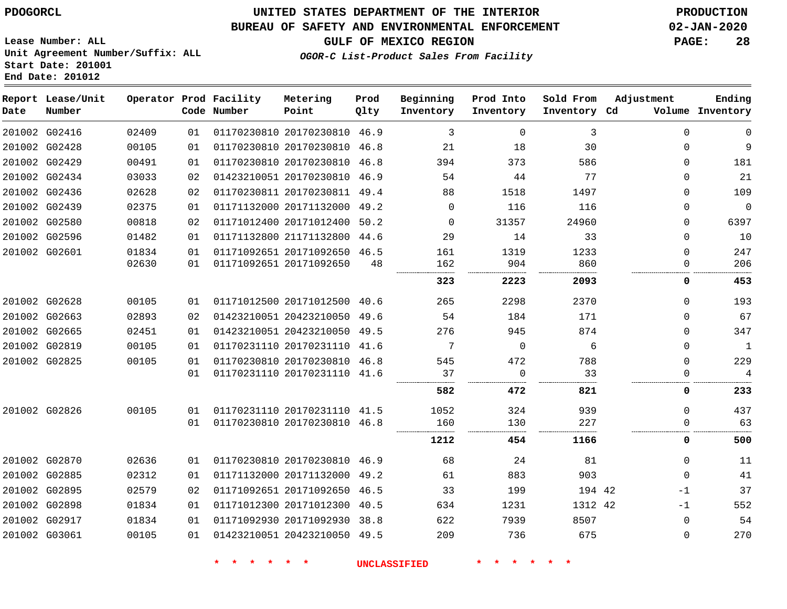### **BUREAU OF SAFETY AND ENVIRONMENTAL ENFORCEMENT 02-JAN-2020**

**OGOR-C List-Product Sales From Facility**

**GULF OF MEXICO REGION PAGE: 28**

**Lease Number: ALL Unit Agreement Number/Suffix: ALL Start Date: 201001 End Date: 201012**

| Date          | Report Lease/Unit<br>Number |       |                 | Operator Prod Facility<br>Code Number | Metering<br>Point            | Prod<br>Qlty | Beginning<br>Inventory | Prod Into<br>Inventory | Sold From<br>Inventory Cd | Adjustment  | Ending<br>Volume Inventory |
|---------------|-----------------------------|-------|-----------------|---------------------------------------|------------------------------|--------------|------------------------|------------------------|---------------------------|-------------|----------------------------|
|               | 201002 G02416               | 02409 | 01              |                                       | 01170230810 20170230810 46.9 |              | 3                      | $\Omega$               | 3                         | $\Omega$    | 0                          |
|               | 201002 G02428               | 00105 | 01              |                                       | 01170230810 20170230810 46.8 |              | 21                     | 18                     | 30                        | 0           | 9                          |
|               | 201002 G02429               | 00491 | 01              |                                       | 01170230810 20170230810 46.8 |              | 394                    | 373                    | 586                       | 0           | 181                        |
|               | 201002 G02434               | 03033 | 02              |                                       | 01423210051 20170230810 46.9 |              | 54                     | 44                     | 77                        | 0           | 21                         |
|               | 201002 G02436               | 02628 | 02 <sub>2</sub> |                                       | 01170230811 20170230811 49.4 |              | 88                     | 1518                   | 1497                      | $\Omega$    | 109                        |
|               | 201002 G02439               | 02375 | 01              |                                       | 01171132000 20171132000 49.2 |              | $\mathbf 0$            | 116                    | 116                       | 0           | $\mathbf 0$                |
|               | 201002 G02580               | 00818 | 02              |                                       | 01171012400 20171012400 50.2 |              | $\Omega$               | 31357                  | 24960                     | 0           | 6397                       |
|               | 201002 G02596               | 01482 | 01              |                                       | 01171132800 21171132800 44.6 |              | 29                     | 14                     | 33                        | 0           | 10                         |
|               | 201002 G02601               | 01834 | 01              |                                       | 01171092651 20171092650 46.5 |              | 161                    | 1319                   | 1233                      | $\Omega$    | 247                        |
|               |                             | 02630 | 01              |                                       | 01171092651 20171092650      | 48           | 162                    | 904                    | 860                       | $\Omega$    | 206                        |
|               |                             |       |                 |                                       |                              |              | 323                    | 2223                   | 2093                      | 0           | 453                        |
|               | 201002 G02628               | 00105 | 01              |                                       | 01171012500 20171012500 40.6 |              | 265                    | 2298                   | 2370                      | $\Omega$    | 193                        |
|               | 201002 G02663               | 02893 | 02              |                                       | 01423210051 20423210050 49.6 |              | 54                     | 184                    | 171                       | 0           | 67                         |
|               | 201002 G02665               | 02451 | 01              |                                       | 01423210051 20423210050 49.5 |              | 276                    | 945                    | 874                       | 0           | 347                        |
|               | 201002 G02819               | 00105 | 01              |                                       | 01170231110 20170231110 41.6 |              | 7                      | 0                      | 6                         | 0           | $\mathbf{1}$               |
|               | 201002 G02825               | 00105 | 01              |                                       | 01170230810 20170230810 46.8 |              | 545                    | 472                    | 788                       | $\Omega$    | 229                        |
|               |                             |       | 01              |                                       | 01170231110 20170231110 41.6 |              | 37                     | $\mathbf 0$            | 33                        | 0           | $\overline{4}$             |
|               |                             |       |                 |                                       |                              |              | 582                    | 472                    | 821                       | 0           | 233                        |
|               | 201002 G02826               | 00105 | 01              |                                       | 01170231110 20170231110 41.5 |              | 1052                   | 324                    | 939                       | $\Omega$    | 437                        |
|               |                             |       | 01              |                                       | 01170230810 20170230810 46.8 |              | 160                    | 130                    | 227                       | 0           | 63                         |
|               |                             |       |                 |                                       |                              |              | 1212                   | 454                    | 1166                      | 0           | 500                        |
|               | 201002 G02870               | 02636 | 01              |                                       | 01170230810 20170230810 46.9 |              | 68                     | 24                     | 81                        | 0           | 11                         |
|               | 201002 G02885               | 02312 | 01              |                                       | 01171132000 20171132000 49.2 |              | 61                     | 883                    | 903                       | $\Omega$    | 41                         |
|               | 201002 G02895               | 02579 | 02              |                                       | 01171092651 20171092650 46.5 |              | 33                     | 199                    | 194 42                    | $-1$        | 37                         |
|               | 201002 G02898               | 01834 | 01              |                                       | 01171012300 20171012300 40.5 |              | 634                    | 1231                   | 1312 42                   | $-1$        | 552                        |
|               | 201002 G02917               | 01834 | 01              |                                       | 01171092930 20171092930 38.8 |              | 622                    | 7939                   | 8507                      | $\mathbf 0$ | 54                         |
| 201002 G03061 |                             | 00105 | 01              |                                       | 01423210051 20423210050 49.5 |              | 209                    | 736                    | 675                       | $\Omega$    | 270                        |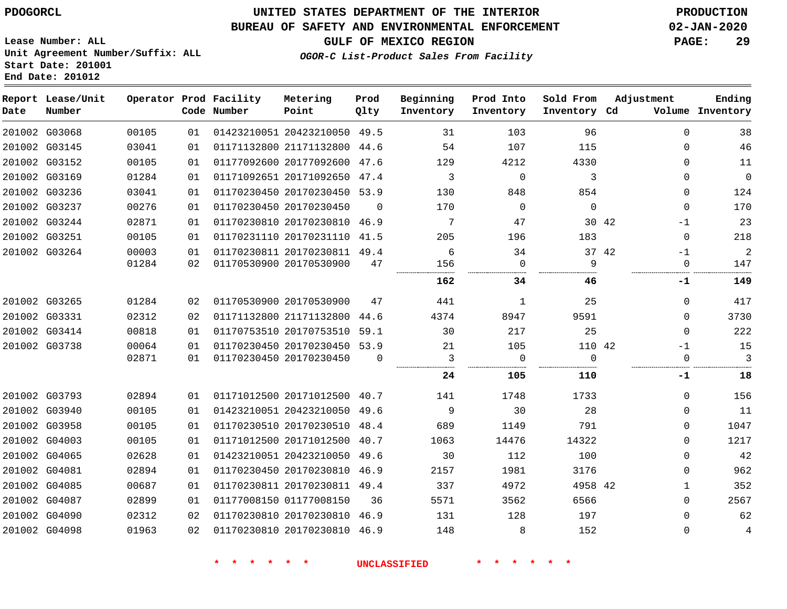### **BUREAU OF SAFETY AND ENVIRONMENTAL ENFORCEMENT 02-JAN-2020**

**OGOR-C List-Product Sales From Facility**

**GULF OF MEXICO REGION PAGE: 29**

**Lease Number: ALL Unit Agreement Number/Suffix: ALL Start Date: 201001 End Date: 201012**

| Date | Report Lease/Unit<br>Number |       |    | Operator Prod Facility<br>Code Number | Metering<br>Point            | Prod<br>Qlty | Beginning<br>Inventory | Prod Into<br>Inventory | Sold From<br>Inventory Cd | Adjustment    | Ending<br>Volume Inventory |
|------|-----------------------------|-------|----|---------------------------------------|------------------------------|--------------|------------------------|------------------------|---------------------------|---------------|----------------------------|
|      | 201002 G03068               | 00105 | 01 |                                       | 01423210051 20423210050 49.5 |              | 31                     | 103                    | 96                        | $\Omega$      | 38                         |
|      | 201002 G03145               | 03041 | 01 |                                       | 01171132800 21171132800 44.6 |              | 54                     | 107                    | 115                       | 0             | 46                         |
|      | 201002 G03152               | 00105 | 01 |                                       | 01177092600 20177092600      | 47.6         | 129                    | 4212                   | 4330                      | $\Omega$      | 11                         |
|      | 201002 G03169               | 01284 | 01 |                                       | 01171092651 20171092650      | 47.4         | 3                      | $\mathbf 0$            | 3                         | 0             | $\mathbf 0$                |
|      | 201002 G03236               | 03041 | 01 |                                       | 01170230450 20170230450 53.9 |              | 130                    | 848                    | 854                       | $\Omega$      | 124                        |
|      | 201002 G03237               | 00276 | 01 |                                       | 01170230450 20170230450      | $\Omega$     | 170                    | $\mathbf 0$            | $\Omega$                  | $\Omega$      | 170                        |
|      | 201002 G03244               | 02871 | 01 |                                       | 01170230810 20170230810      | 46.9         | 7                      | 47                     |                           | 30 42<br>$-1$ | 23                         |
|      | 201002 G03251               | 00105 | 01 |                                       | 01170231110 20170231110 41.5 |              | 205                    | 196                    | 183                       | $\mathbf 0$   | 218                        |
|      | 201002 G03264               | 00003 | 01 |                                       | 01170230811 20170230811 49.4 |              | 6                      | 34                     |                           | 37 42<br>$-1$ | $\overline{a}$             |
|      |                             | 01284 | 02 |                                       | 01170530900 20170530900      | 47           | 156                    | 0                      | 9                         | 0             | 147                        |
|      |                             |       |    |                                       |                              |              | 162                    | 34                     | 46                        | -1            | 149                        |
|      | 201002 G03265               | 01284 | 02 |                                       | 01170530900 20170530900      | 47           | 441                    | 1                      | 25                        | $\Omega$      | 417                        |
|      | 201002 G03331               | 02312 | 02 |                                       | 01171132800 21171132800      | 44.6         | 4374                   | 8947                   | 9591                      | $\Omega$      | 3730                       |
|      | 201002 G03414               | 00818 | 01 |                                       | 01170753510 20170753510      | 59.1         | 30                     | 217                    | 25                        | 0             | 222                        |
|      | 201002 G03738               | 00064 | 01 |                                       | 01170230450 20170230450 53.9 |              | 21                     | 105                    | 110 42                    | $-1$          | 15                         |
|      |                             | 02871 | 01 |                                       | 01170230450 20170230450      | $\Omega$     | 3                      | 0                      | $\Omega$                  | $\Omega$      | 3                          |
|      |                             |       |    |                                       |                              |              | 24                     | 105                    | 110                       | -1            | 18                         |
|      | 201002 G03793               | 02894 | 01 |                                       | 01171012500 20171012500 40.7 |              | 141                    | 1748                   | 1733                      | $\Omega$      | 156                        |
|      | 201002 G03940               | 00105 | 01 |                                       | 01423210051 20423210050 49.6 |              | 9                      | 30                     | 28                        | 0             | 11                         |
|      | 201002 G03958               | 00105 | 01 |                                       | 01170230510 20170230510      | 48.4         | 689                    | 1149                   | 791                       | 0             | 1047                       |
|      | 201002 G04003               | 00105 | 01 |                                       | 01171012500 20171012500 40.7 |              | 1063                   | 14476                  | 14322                     | $\Omega$      | 1217                       |
|      | 201002 G04065               | 02628 | 01 |                                       | 01423210051 20423210050      | 49.6         | 30                     | 112                    | 100                       | $\Omega$      | 42                         |
|      | 201002 G04081               | 02894 | 01 |                                       | 01170230450 20170230810 46.9 |              | 2157                   | 1981                   | 3176                      | $\Omega$      | 962                        |
|      | 201002 G04085               | 00687 | 01 |                                       | 01170230811 20170230811      | 49.4         | 337                    | 4972                   | 4958 42                   | 1             | 352                        |
|      | 201002 G04087               | 02899 | 01 |                                       | 01177008150 01177008150      | 36           | 5571                   | 3562                   | 6566                      | $\Omega$      | 2567                       |
|      | 201002 G04090               | 02312 | 02 |                                       | 01170230810 20170230810      | 46.9         | 131                    | 128                    | 197                       | $\Omega$      | 62                         |
|      | 201002 G04098               | 01963 | 02 |                                       | 01170230810 20170230810 46.9 |              | 148                    | 8                      | 152                       | $\Omega$      | $\overline{4}$             |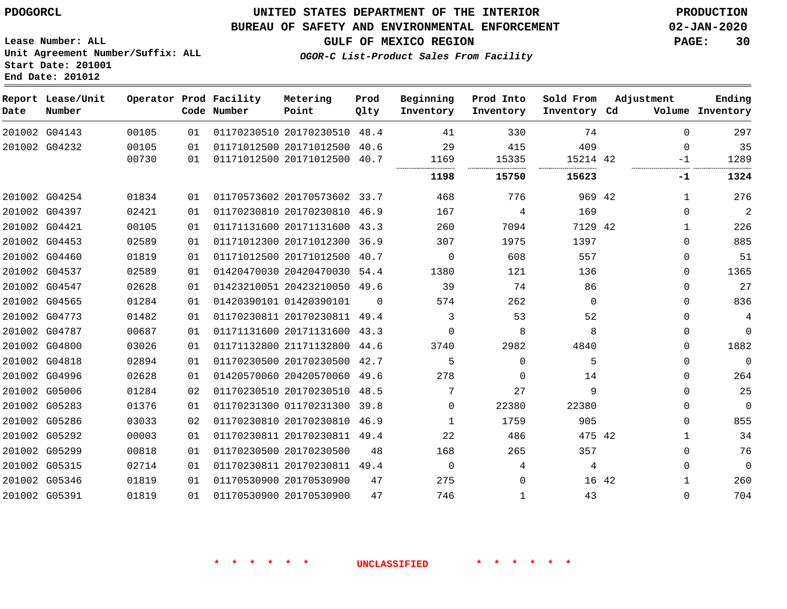**End Date: 201012**

### **UNITED STATES DEPARTMENT OF THE INTERIOR PDOGORCL PRODUCTION**

#### **BUREAU OF SAFETY AND ENVIRONMENTAL ENFORCEMENT 02-JAN-2020**

**Lease Number: ALL Unit Agreement Number/Suffix: ALL Start Date: 201001**

**GULF OF MEXICO REGION PAGE: 30**

**OGOR-C List-Product Sales From Facility**

| Date | Report Lease/Unit<br>Number |       |    | Operator Prod Facility<br>Code Number | Metering<br>Point            | Prod<br>Qlty | Beginning<br>Inventory | Prod Into<br>Inventory | Sold From<br>Inventory Cd | Adjustment |              | Ending<br>Volume Inventory |
|------|-----------------------------|-------|----|---------------------------------------|------------------------------|--------------|------------------------|------------------------|---------------------------|------------|--------------|----------------------------|
|      | 201002 G04143               | 00105 | 01 |                                       | 01170230510 20170230510 48.4 |              | 41                     | 330                    | 74                        |            | $\Omega$     | 297                        |
|      | 201002 G04232               | 00105 | 01 |                                       | 01171012500 20171012500      | 40.6         | 29                     | 415                    | 409                       |            | $\Omega$     | 35                         |
|      |                             | 00730 | 01 |                                       | 01171012500 20171012500 40.7 |              | 1169                   | 15335                  | 15214 42                  |            | $-1$         | 1289                       |
|      |                             |       |    |                                       |                              |              | 1198                   | 15750                  | 15623                     |            | -1           | 1324                       |
|      | 201002 G04254               | 01834 | 01 |                                       | 01170573602 20170573602 33.7 |              | 468                    | 776                    | 969 42                    |            | 1            | 276                        |
|      | 201002 G04397               | 02421 | 01 |                                       | 01170230810 20170230810      | 46.9         | 167                    | 4                      | 169                       |            | $\Omega$     | $\overline{2}$             |
|      | 201002 G04421               | 00105 | 01 |                                       | 01171131600 20171131600 43.3 |              | 260                    | 7094                   | 7129 42                   |            | 1            | 226                        |
|      | 201002 G04453               | 02589 | 01 |                                       | 01171012300 20171012300 36.9 |              | 307                    | 1975                   | 1397                      |            | $\Omega$     | 885                        |
|      | 201002 G04460               | 01819 | 01 |                                       | 01171012500 20171012500      | 40.7         | $\Omega$               | 608                    | 557                       |            | 0            | 51                         |
|      | 201002 G04537               | 02589 | 01 |                                       | 01420470030 20420470030 54.4 |              | 1380                   | 121                    | 136                       |            | 0            | 1365                       |
|      | 201002 G04547               | 02628 | 01 |                                       | 01423210051 20423210050 49.6 |              | 39                     | 74                     | 86                        |            | $\Omega$     | 27                         |
|      | 201002 G04565               | 01284 | 01 |                                       | 01420390101 01420390101      | 0            | 574                    | 262                    | $\Omega$                  |            | $\Omega$     | 836                        |
|      | 201002 G04773               | 01482 | 01 |                                       | 01170230811 20170230811 49.4 |              | 3                      | 53                     | 52                        |            | $\Omega$     | $\overline{4}$             |
|      | 201002 G04787               | 00687 | 01 |                                       | 01171131600 20171131600      | 43.3         | $\Omega$               | 8                      | 8                         |            | $\Omega$     | $\Omega$                   |
|      | 201002 G04800               | 03026 | 01 |                                       | 01171132800 21171132800 44.6 |              | 3740                   | 2982                   | 4840                      |            | $\Omega$     | 1882                       |
|      | 201002 G04818               | 02894 | 01 |                                       | 01170230500 20170230500 42.7 |              | 5                      | $\Omega$               | 5                         |            | $\Omega$     | $\mathbf 0$                |
|      | 201002 G04996               | 02628 | 01 |                                       | 01420570060 20420570060      | 49.6         | 278                    | 0                      | 14                        |            | 0            | 264                        |
|      | 201002 G05006               | 01284 | 02 |                                       | 01170230510 20170230510 48.5 |              | 7                      | 27                     | 9                         |            | $\Omega$     | 25                         |
|      | 201002 G05283               | 01376 | 01 |                                       | 01170231300 01170231300 39.8 |              | $\Omega$               | 22380                  | 22380                     |            | $\Omega$     | $\mathbf 0$                |
|      | 201002 G05286               | 03033 | 02 |                                       | 01170230810 20170230810      | 46.9         | $\mathbf{1}$           | 1759                   | 905                       |            | $\Omega$     | 855                        |
|      | 201002 G05292               | 00003 | 01 |                                       | 01170230811 20170230811 49.4 |              | 22                     | 486                    | 475 42                    |            | $\mathbf{1}$ | 34                         |
|      | 201002 G05299               | 00818 | 01 |                                       | 01170230500 20170230500      | 48           | 168                    | 265                    | 357                       |            | $\Omega$     | 76                         |
|      | 201002 G05315               | 02714 | 01 |                                       | 01170230811 20170230811 49.4 |              | $\Omega$               | 4                      | 4                         |            | 0            | $\overline{0}$             |
|      | 201002 G05346               | 01819 | 01 |                                       | 01170530900 20170530900      | 47           | 275                    | $\mathbf 0$            |                           | 16 42      | 1            | 260                        |
|      | 201002 G05391               | 01819 | 01 |                                       | 01170530900 20170530900      | 47           | 746                    | $\mathbf{1}$           | 43                        |            | $\Omega$     | 704                        |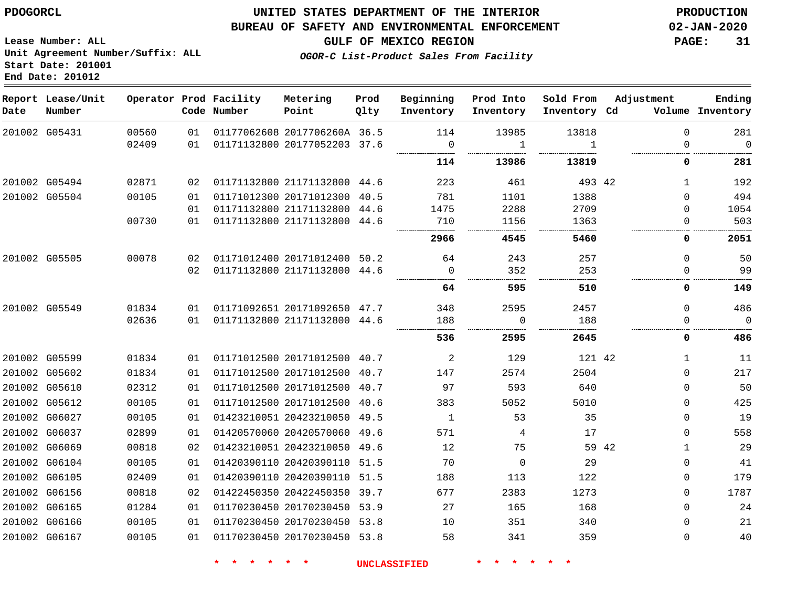**Report Lease/Unit**

**Number**

 G06165 G06166 G06167    

### **UNITED STATES DEPARTMENT OF THE INTERIOR PDOGORCL PRODUCTION**

**Prod Qlty**

#### **BUREAU OF SAFETY AND ENVIRONMENTAL ENFORCEMENT 02-JAN-2020**

**Ending**

 

 $\Omega$   $\Omega$ 

**GULF OF MEXICO REGION PAGE: 31**

**Adjustment**

**Lease Number: ALL Unit Agreement Number/Suffix: ALL Start Date: 201001 End Date: 201012**

**Operator Prod Facility**

**OGOR-C List-Product Sales From Facility**

**Beginning Inventory** **Prod Into Inventory** **Sold From Inventory**

| Date | Number        |       |    | Code Number | Point                        | Qlty | Inventory      | Inventory      | Inventory Cd   |       |              | Volume Inventory |
|------|---------------|-------|----|-------------|------------------------------|------|----------------|----------------|----------------|-------|--------------|------------------|
|      | 201002 G05431 | 00560 | 01 |             | 01177062608 2017706260A 36.5 |      | 114            | 13985          | 13818          |       | $\Omega$     | 281              |
|      |               | 02409 | 01 |             | 01171132800 20177052203 37.6 |      | $\overline{0}$ | 1              | $\overline{1}$ |       | $\Omega$     | $\overline{0}$   |
|      |               |       |    |             |                              |      | 114            | 13986          | 13819          |       | 0            | 281              |
|      | 201002 G05494 | 02871 | 02 |             | 01171132800 21171132800 44.6 |      | 223            | 461            | 493 42         |       | $\mathbf{1}$ | 192              |
|      | 201002 G05504 | 00105 | 01 |             | 01171012300 20171012300 40.5 |      | 781            | 1101           | 1388           |       | $\Omega$     | 494              |
|      |               |       | 01 |             | 01171132800 21171132800 44.6 |      | 1475           | 2288           | 2709           |       | 0            | 1054             |
|      |               | 00730 | 01 |             | 01171132800 21171132800 44.6 |      | 710            | 1156           | 1363           |       |              | 503              |
|      |               |       |    |             |                              |      | 2966           | 4545           | 5460           |       | 0            | 2051             |
|      | 201002 G05505 | 00078 | 02 |             | 01171012400 20171012400 50.2 |      | 64             | 243            | 257            |       | $\Omega$     | 50               |
|      |               |       | 02 |             | 01171132800 21171132800 44.6 |      | $\Omega$       | 352            | 253            |       | $\Omega$     | 99               |
|      |               |       |    |             |                              |      | 64             | 595            | 510            |       | 0            | 149              |
|      | 201002 G05549 | 01834 | 01 |             | 01171092651 20171092650 47.7 |      | 348            | 2595           | 2457           |       | $\Omega$     | 486              |
|      |               | 02636 | 01 |             | 01171132800 21171132800 44.6 |      | 188            | $\overline{0}$ | 188            |       | $\Omega$     | $\overline{0}$   |
|      |               |       |    |             |                              |      | 536            | 2595           | 2645           |       | 0            | 486              |
|      | 201002 G05599 | 01834 | 01 |             | 01171012500 20171012500 40.7 |      | $\overline{2}$ | 129            | 121 42         |       | $\mathbf{1}$ | 11               |
|      | 201002 G05602 | 01834 | 01 |             | 01171012500 20171012500 40.7 |      | 147            | 2574           | 2504           |       | $\Omega$     | 217              |
|      | 201002 G05610 | 02312 | 01 |             | 01171012500 20171012500 40.7 |      | 97             | 593            | 640            |       | $\mathbf 0$  | 50               |
|      | 201002 G05612 | 00105 | 01 |             | 01171012500 20171012500 40.6 |      | 383            | 5052           | 5010           |       | $\Omega$     | 425              |
|      | 201002 G06027 | 00105 | 01 |             | 01423210051 20423210050 49.5 |      | $\overline{1}$ | 53             | 35             |       | $\Omega$     | 19               |
|      | 201002 G06037 | 02899 | 01 |             | 01420570060 20420570060 49.6 |      | 571            | 4              | 17             |       | $\Omega$     | 558              |
|      | 201002 G06069 | 00818 | 02 |             | 01423210051 20423210050 49.6 |      | 12             | 75             |                | 59 42 | $\mathbf{1}$ | 29               |
|      | 201002 G06104 | 00105 | 01 |             | 01420390110 20420390110 51.5 |      | 70             | $\Omega$       | 29             |       | $\Omega$     | 41               |
|      | 201002 G06105 | 02409 | 01 |             | 01420390110 20420390110 51.5 |      | 188            | 113            | 122            |       | $\Omega$     | 179              |
|      | 201002 G06156 | 00818 | 02 |             | 01422450350 20422450350 39.7 |      | 677            | 2383           | 1273           |       | $\Omega$     | 1787             |

**\* \* \* \* \* \* UNCLASSIFIED \* \* \* \* \* \***

 20170230450 53.9 20170230450 53.8 20170230450 53.8

**Metering Point**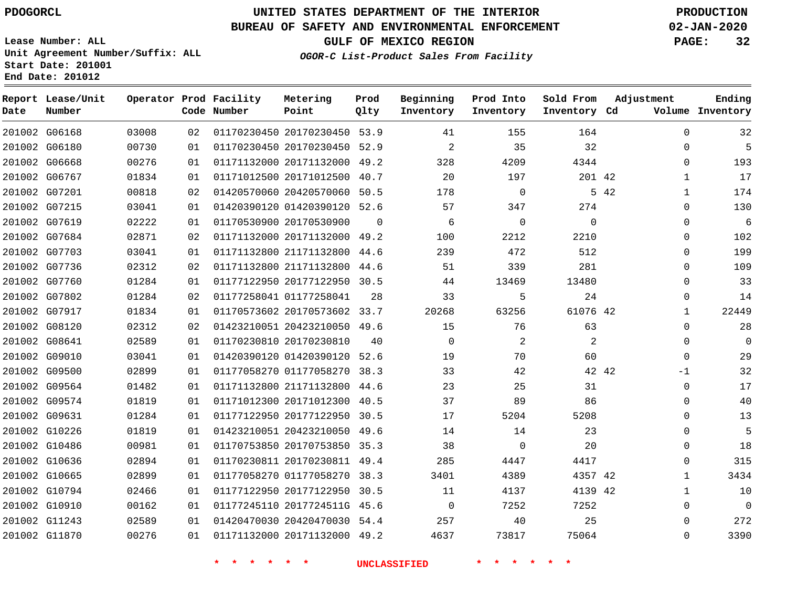**Report Lease/Unit**

**Number**

### **UNITED STATES DEPARTMENT OF THE INTERIOR PDOGORCL PRODUCTION**

**Prod Qlty**

#### **BUREAU OF SAFETY AND ENVIRONMENTAL ENFORCEMENT 02-JAN-2020**

**Lease Number: ALL Unit Agreement Number/Suffix: ALL Start Date: 201001 End Date: 201012**

**Operator Prod Facility**

**OGOR-C List-Product Sales From Facility**

**Beginning Inventory**

**Prod Into Inventory**

**Sold From Inventory**

**GULF OF MEXICO REGION PAGE: 32**

**Adjustment**

**Ending**

| Date | Number        |       |    | Code Number                 | Point                        | Qlty        | Inventory           | Inventory                                     | Inventory Cd       |      |              | Volume Inventory |
|------|---------------|-------|----|-----------------------------|------------------------------|-------------|---------------------|-----------------------------------------------|--------------------|------|--------------|------------------|
|      | 201002 G06168 | 03008 | 02 |                             | 01170230450 20170230450 53.9 |             | 41                  | 155                                           | 164                |      | 0            | 32               |
|      | 201002 G06180 | 00730 | 01 |                             | 01170230450 20170230450 52.9 |             | 2                   | 35                                            | 32                 |      | 0            | 5                |
|      | 201002 G06668 | 00276 | 01 |                             | 01171132000 20171132000 49.2 |             | 328                 | 4209                                          | 4344               |      | $\mathbf 0$  | 193              |
|      | 201002 G06767 | 01834 | 01 |                             | 01171012500 20171012500 40.7 |             | 20                  | 197                                           | 201 42             |      | $\mathbf{1}$ | 17               |
|      | 201002 G07201 | 00818 | 02 |                             | 01420570060 20420570060 50.5 |             | 178                 | $\mathbf 0$                                   |                    | 5 42 | $\mathbf{1}$ | 174              |
|      | 201002 G07215 | 03041 | 01 |                             | 01420390120 01420390120 52.6 |             | 57                  | 347                                           | 274                |      | $\Omega$     | 130              |
|      | 201002 G07619 | 02222 | 01 |                             | 01170530900 20170530900      | $\mathbf 0$ | 6                   | $\mathsf{O}$                                  | $\mathbf 0$        |      | $\Omega$     | 6                |
|      | 201002 G07684 | 02871 | 02 |                             | 01171132000 20171132000 49.2 |             | 100                 | 2212                                          | 2210               |      | 0            | 102              |
|      | 201002 G07703 | 03041 | 01 |                             | 01171132800 21171132800 44.6 |             | 239                 | 472                                           | 512                |      | $\Omega$     | 199              |
|      | 201002 G07736 | 02312 | 02 |                             | 01171132800 21171132800 44.6 |             | 51                  | 339                                           | 281                |      | $\Omega$     | 109              |
|      | 201002 G07760 | 01284 | 01 |                             | 01177122950 20177122950 30.5 |             | 44                  | 13469                                         | 13480              |      | $\Omega$     | 33               |
|      | 201002 G07802 | 01284 | 02 |                             | 01177258041 01177258041      | 28          | 33                  | 5                                             | 24                 |      | $\Omega$     | 14               |
|      | 201002 G07917 | 01834 | 01 |                             | 01170573602 20170573602 33.7 |             | 20268               | 63256                                         | 61076 42           |      | 1            | 22449            |
|      | 201002 G08120 | 02312 | 02 |                             | 01423210051 20423210050 49.6 |             | 15                  | 76                                            | 63                 |      | $\Omega$     | 28               |
|      | 201002 G08641 | 02589 | 01 |                             | 01170230810 20170230810      | 40          | $\overline{0}$      | 2                                             | $\overline{2}$     |      | 0            | $\overline{0}$   |
|      | 201002 G09010 | 03041 | 01 |                             | 01420390120 01420390120 52.6 |             | 19                  | 70                                            | 60                 |      | $\Omega$     | 29               |
|      | 201002 G09500 | 02899 | 01 |                             | 01177058270 01177058270 38.3 |             | 33                  | 42                                            | 42 42              |      | $-1$         | 32               |
|      | 201002 G09564 | 01482 | 01 |                             | 01171132800 21171132800 44.6 |             | 23                  | 25                                            | 31                 |      | $\mathbf{0}$ | 17               |
|      | 201002 G09574 | 01819 | 01 |                             | 01171012300 20171012300 40.5 |             | 37                  | 89                                            | 86                 |      | $\Omega$     | 40               |
|      | 201002 G09631 | 01284 | 01 |                             | 01177122950 20177122950 30.5 |             | 17                  | 5204                                          | 5208               |      | $\Omega$     | 13               |
|      | 201002 G10226 | 01819 | 01 |                             | 01423210051 20423210050 49.6 |             | 14                  | 14                                            | 23                 |      | $\Omega$     | 5                |
|      | 201002 G10486 | 00981 | 01 |                             | 01170753850 20170753850 35.3 |             | 38                  | $\mathbf 0$                                   | 20                 |      | $\Omega$     | 18               |
|      | 201002 G10636 | 02894 | 01 |                             | 01170230811 20170230811 49.4 |             | 285                 | 4447                                          | 4417               |      | $\Omega$     | 315              |
|      | 201002 G10665 | 02899 | 01 |                             | 01177058270 01177058270 38.3 |             | 3401                | 4389                                          | 4357 42            |      | $\mathbf{1}$ | 3434             |
|      | 201002 G10794 | 02466 | 01 |                             | 01177122950 20177122950 30.5 |             | 11                  | 4137                                          | 4139 42            |      | $\mathbf{1}$ | 10               |
|      | 201002 G10910 | 00162 | 01 |                             | 01177245110 2017724511G 45.6 |             | $\overline{0}$      | 7252                                          | 7252               |      | 0            | $\mathbf 0$      |
|      | 201002 G11243 | 02589 | 01 |                             | 01420470030 20420470030 54.4 |             | 257                 | 40                                            | 25                 |      | 0            | 272              |
|      | 201002 G11870 | 00276 | 01 |                             | 01171132000 20171132000 49.2 |             | 4637                | 73817                                         | 75064              |      | 0            | 3390             |
|      |               |       |    | $\star$ $\star$<br>一天。<br>大 | $\star$ $\star$              |             | <b>UNCLASSIFIED</b> | $\star$ $\star$<br>$\rightarrow$<br>$\star$ . | $\star$<br>$\star$ |      |              |                  |

**Metering Point**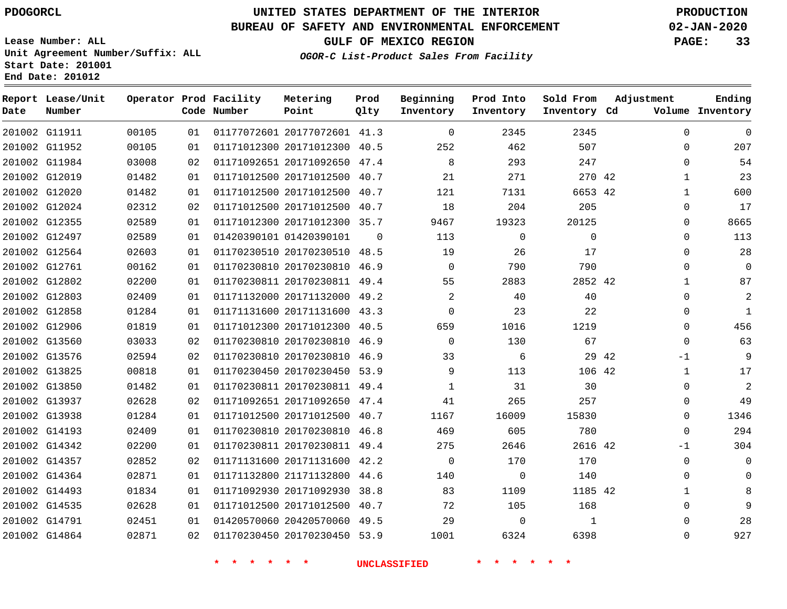G11911

**Date**

**Report Lease/Unit**

**Number**

# **UNITED STATES DEPARTMENT OF THE INTERIOR PDOGORCL PRODUCTION**

**Prod Qlty**

#### **BUREAU OF SAFETY AND ENVIRONMENTAL ENFORCEMENT 02-JAN-2020**

**Lease Number: ALL Unit Agreement Number/Suffix: ALL Start Date: 201001 End Date: 201012**

> 

**Operator Prod Facility**

**Code Number**

20177072601 41.3

**Metering Point**

  **OGOR-C List-Product Sales From Facility**

 

 

 

**Sold From Inventory**

**Prod Into Inventory**

**Beginning Inventory**

**GULF OF MEXICO REGION PAGE: 33**

**Inventory Cd Volume**

**Adjustment**

  $\Omega$  $\Omega$   $\Omega$  $\Omega$  $\Omega$  $\Omega$  $\Omega$   $\Omega$  $\Omega$   $\Omega$ -1  $\Omega$  $\Omega$  $\Omega$  $\overline{0}$  $-1$  $\Omega$  $\Omega$   $\Omega$   $\Omega$ 

**Ending**

|               |       |    | $\star$ | $\star$ | $\star$ $\star$ |                              |          | <b>UNCLASSIFIED</b> |             |         |       |
|---------------|-------|----|---------|---------|-----------------|------------------------------|----------|---------------------|-------------|---------|-------|
| 201002 G14864 | 02871 | 02 |         |         |                 | 01170230450 20170230450 53.9 |          | 1001                | 6324        | 6398    |       |
| 201002 G14791 | 02451 | 01 |         |         |                 | 01420570060 20420570060 49.5 |          | 29                  | $\mathbf 0$ | 1       |       |
| 201002 G14535 | 02628 | 01 |         |         |                 | 01171012500 20171012500 40.7 |          | 72                  | 105         | 168     |       |
| 201002 G14493 | 01834 | 01 |         |         |                 | 01171092930 20171092930 38.8 |          | 83                  | 1109        | 1185 42 |       |
| 201002 G14364 | 02871 | 01 |         |         |                 | 01171132800 21171132800 44.6 |          | 140                 | 0           | 140     |       |
| 201002 G14357 | 02852 | 02 |         |         |                 | 01171131600 20171131600 42.2 |          | $\mathbf 0$         | 170         | 170     |       |
| 201002 G14342 | 02200 | 01 |         |         |                 | 01170230811 20170230811 49.4 |          | 275                 | 2646        | 2616 42 |       |
| 201002 G14193 | 02409 | 01 |         |         |                 | 01170230810 20170230810 46.8 |          | 469                 | 605         | 780     |       |
| 201002 G13938 | 01284 | 01 |         |         |                 | 01171012500 20171012500 40.7 |          | 1167                | 16009       | 15830   |       |
| 201002 G13937 | 02628 | 02 |         |         |                 | 01171092651 20171092650 47.4 |          | 41                  | 265         | 257     |       |
| 201002 G13850 | 01482 | 01 |         |         |                 | 01170230811 20170230811 49.4 |          | $\mathbf 1$         | 31          | 30      |       |
| 201002 G13825 | 00818 | 01 |         |         |                 | 01170230450 20170230450 53.9 |          | 9                   | 113         | 106 42  |       |
| 201002 G13576 | 02594 | 02 |         |         |                 | 01170230810 20170230810 46.9 |          | 33                  | 6           |         | 29 42 |
| 201002 G13560 | 03033 | 02 |         |         |                 | 01170230810 20170230810 46.9 |          | $\mathbf 0$         | 130         | 67      |       |
| 201002 G12906 | 01819 | 01 |         |         |                 | 01171012300 20171012300 40.5 |          | 659                 | 1016        | 1219    |       |
| 201002 G12858 | 01284 | 01 |         |         |                 | 01171131600 20171131600 43.3 |          | 0                   | 23          | 22      |       |
| 201002 G12803 | 02409 | 01 |         |         |                 | 01171132000 20171132000 49.2 |          | $\overline{a}$      | 40          | 40      |       |
| 201002 G12802 | 02200 | 01 |         |         |                 | 01170230811 20170230811 49.4 |          | 55                  | 2883        | 2852 42 |       |
| 201002 G12761 | 00162 | 01 |         |         |                 | 01170230810 20170230810 46.9 |          | 0                   | 790         | 790     |       |
| 201002 G12564 | 02603 | 01 |         |         |                 | 01170230510 20170230510 48.5 |          | 19                  | 26          | 17      |       |
| 201002 G12497 | 02589 | 01 |         |         |                 | 01420390101 01420390101      | $\Omega$ | 113                 | 0           | 0       |       |
| 201002 G12355 | 02589 | 01 |         |         |                 | 01171012300 20171012300 35.7 |          | 9467                | 19323       | 20125   |       |
| 201002 G12024 | 02312 | 02 |         |         |                 | 01171012500 20171012500 40.7 |          | 18                  | 204         | 205     |       |
| 201002 G12020 | 01482 | 01 |         |         |                 | 01171012500 20171012500 40.7 |          | 121                 | 7131        | 6653 42 |       |
| 201002 G12019 | 01482 | 01 |         |         |                 | 01171012500 20171012500 40.7 |          | 21                  | 271         | 270 42  |       |
| 201002 G11984 | 03008 | 02 |         |         |                 | 01171092651 20171092650 47.4 |          | 8                   | 293         | 247     |       |
| 201002 G11952 | 00105 | 01 |         |         |                 | 01171012300 20171012300 40.5 |          | 252                 | 462         | 507     |       |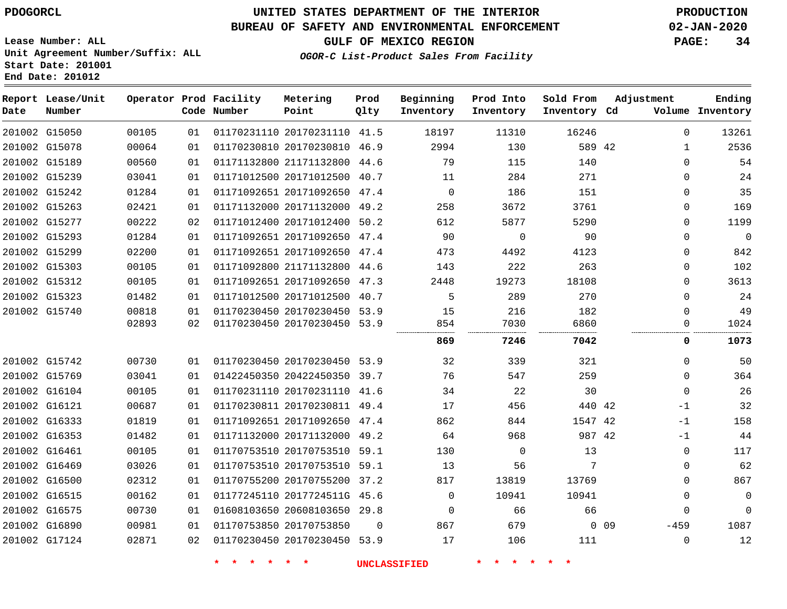**End Date: 201012**

# **UNITED STATES DEPARTMENT OF THE INTERIOR PDOGORCL PRODUCTION**

### **BUREAU OF SAFETY AND ENVIRONMENTAL ENFORCEMENT 02-JAN-2020**

**Lease Number: ALL Unit Agreement Number/Suffix: ALL Start Date: 201001**

**GULF OF MEXICO REGION PAGE: 34**

**OGOR-C List-Product Sales From Facility**

| Date | Report Lease/Unit<br>Number |       |    | Operator Prod Facility<br>Code Number | Metering<br>Point            | Prod<br>Qlty | Beginning<br>Inventory | Prod Into<br>Inventory | Sold From<br>Inventory Cd | Adjustment           | Ending<br>Volume Inventory |
|------|-----------------------------|-------|----|---------------------------------------|------------------------------|--------------|------------------------|------------------------|---------------------------|----------------------|----------------------------|
|      | 201002 G15050               | 00105 | 01 |                                       | 01170231110 20170231110 41.5 |              | 18197                  | 11310                  | 16246                     |                      | $\overline{0}$<br>13261    |
|      | 201002 G15078               | 00064 | 01 |                                       | 01170230810 20170230810 46.9 |              | 2994                   | 130                    | 589 42                    |                      | 2536<br>1                  |
|      | 201002 G15189               | 00560 | 01 |                                       | 01171132800 21171132800      | 44.6         | 79                     | 115                    | 140                       |                      | 54<br>$\Omega$             |
|      | 201002 G15239               | 03041 | 01 |                                       | 01171012500 20171012500 40.7 |              | 11                     | 284                    | 271                       |                      | 24<br>0                    |
|      | 201002 G15242               | 01284 | 01 |                                       | 01171092651 20171092650 47.4 |              | $\mathbf 0$            | 186                    | 151                       |                      | 35<br>$\Omega$             |
|      | 201002 G15263               | 02421 | 01 |                                       | 01171132000 20171132000 49.2 |              | 258                    | 3672                   | 3761                      |                      | 169<br>0                   |
|      | 201002 G15277               | 00222 | 02 |                                       | 01171012400 20171012400 50.2 |              | 612                    | 5877                   | 5290                      |                      | 1199<br>$\Omega$           |
|      | 201002 G15293               | 01284 | 01 |                                       | 01171092651 20171092650 47.4 |              | 90                     | 0                      | 90                        |                      | $\mathbf{0}$<br>0          |
|      | 201002 G15299               | 02200 | 01 |                                       | 01171092651 20171092650 47.4 |              | 473                    | 4492                   | 4123                      |                      | 842<br>0                   |
|      | 201002 G15303               | 00105 | 01 |                                       | 01171092800 21171132800 44.6 |              | 143                    | 222                    | 263                       |                      | 102<br>$\Omega$            |
|      | 201002 G15312               | 00105 | 01 |                                       | 01171092651 20171092650 47.3 |              | 2448                   | 19273                  | 18108                     |                      | $\Omega$<br>3613           |
|      | 201002 G15323               | 01482 | 01 |                                       | 01171012500 20171012500 40.7 |              | 5                      | 289                    | 270                       |                      | 24<br>$\Omega$             |
|      | 201002 G15740               | 00818 | 01 |                                       | 01170230450 20170230450 53.9 |              | 15                     | 216                    | 182                       |                      | 49<br>0                    |
|      |                             | 02893 | 02 |                                       | 01170230450 20170230450 53.9 |              | 854                    | 7030                   | 6860                      |                      | 0<br>1024                  |
|      |                             |       |    |                                       |                              |              | 869                    | 7246                   | 7042                      |                      | 1073<br>0                  |
|      | 201002 G15742               | 00730 | 01 |                                       | 01170230450 20170230450 53.9 |              | 32                     | 339                    | 321                       |                      | 50<br>0                    |
|      | 201002 G15769               | 03041 | 01 |                                       | 01422450350 20422450350 39.7 |              | 76                     | 547                    | 259                       |                      | 364<br>0                   |
|      | 201002 G16104               | 00105 | 01 |                                       | 01170231110 20170231110 41.6 |              | 34                     | 22                     | 30                        |                      | 26<br>$\mathbf 0$          |
|      | 201002 G16121               | 00687 | 01 |                                       | 01170230811 20170230811 49.4 |              | 17                     | 456                    | 440 42                    |                      | 32<br>$-1$                 |
|      | 201002 G16333               | 01819 | 01 |                                       | 01171092651 20171092650 47.4 |              | 862                    | 844                    | 1547 42                   |                      | 158<br>$-1$                |
|      | 201002 G16353               | 01482 | 01 |                                       | 01171132000 20171132000 49.2 |              | 64                     | 968                    | 987 42                    |                      | 44<br>$-1$                 |
|      | 201002 G16461               | 00105 | 01 |                                       | 01170753510 20170753510 59.1 |              | 130                    | $\mathbf 0$            | 13                        |                      | 117<br>$\mathbf 0$         |
|      | 201002 G16469               | 03026 | 01 |                                       | 01170753510 20170753510 59.1 |              | 13                     | 56                     | 7                         |                      | 62<br>0                    |
|      | 201002 G16500               | 02312 | 01 |                                       | 01170755200 20170755200 37.2 |              | 817                    | 13819                  | 13769                     |                      | 867<br>$\Omega$            |
|      | 201002 G16515               | 00162 | 01 |                                       | 01177245110 2017724511G 45.6 |              | $\Omega$               | 10941                  | 10941                     |                      | $\mathbf 0$<br>$\mathbf 0$ |
|      | 201002 G16575               | 00730 | 01 |                                       | 01608103650 20608103650 29.8 |              | $\Omega$               | 66                     | 66                        |                      | $\Omega$<br>$\Omega$       |
|      | 201002 G16890               | 00981 | 01 |                                       | 01170753850 20170753850      | 0            | 867                    | 679                    |                           | $-459$<br>$0\quad09$ | 1087                       |
|      | 201002 G17124               | 02871 | 02 |                                       | 01170230450 20170230450 53.9 |              | 17                     | 106                    | 111                       |                      | 12<br>0                    |
|      |                             |       |    |                                       |                              |              |                        |                        |                           |                      |                            |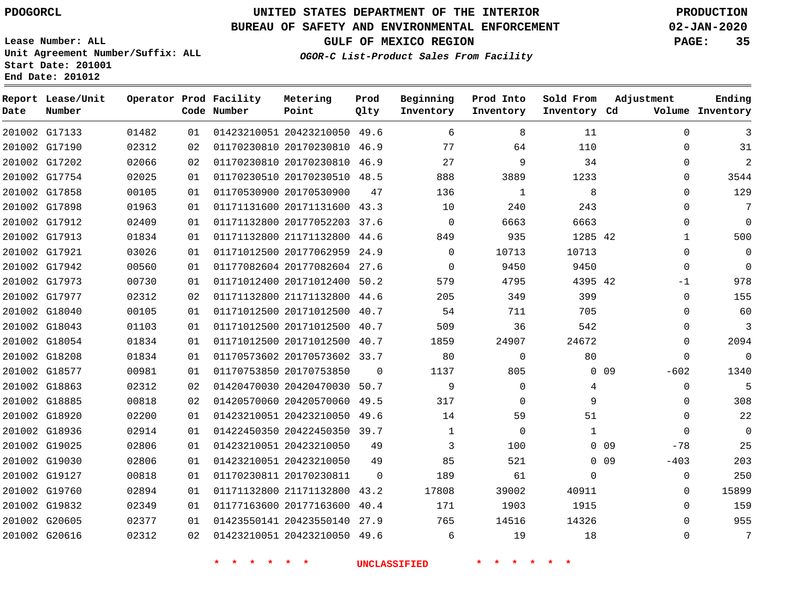G17133

**Date**

**Report Lease/Unit**

**Number**

# **UNITED STATES DEPARTMENT OF THE INTERIOR PDOGORCL PRODUCTION**

**Prod Qlty**

#### **BUREAU OF SAFETY AND ENVIRONMENTAL ENFORCEMENT 02-JAN-2020**

**Lease Number: ALL Unit Agreement Number/Suffix: ALL Start Date: 201001 End Date: 201012**

> 

**Operator Prod Facility**

**Code Number**

20423210050 49.6

**Metering Point**

  **OGOR-C List-Product Sales From Facility**

**Beginning Inventory**

> 

 

 

**Sold From Inventory**

**Prod Into Inventory**

**GULF OF MEXICO REGION PAGE: 35**

**Inventory Cd Volume**

**Adjustment**

  $\Omega$   $\Omega$  $\Omega$  $\Omega$  -1  $\Omega$  $\overline{0}$   $\overline{0}$  $\overline{0}$ -602  $\overline{0}$  $\Omega$  $\overline{0}$  -78  $-403$  

**Ending**

| 201002 G17190 | 02312 | 02 |                                 | 01170230810 20170230810 46.9 |                     | 77             | 64                      | 110             |             |
|---------------|-------|----|---------------------------------|------------------------------|---------------------|----------------|-------------------------|-----------------|-------------|
| 201002 G17202 | 02066 | 02 |                                 | 01170230810 20170230810 46.9 |                     | 27             | 9                       | 34              |             |
| 201002 G17754 | 02025 | 01 |                                 | 01170230510 20170230510 48.5 |                     | 888            | 3889                    | 1233            |             |
| 201002 G17858 | 00105 | 01 |                                 | 01170530900 20170530900      | 47                  | 136            | 1                       | 8               |             |
| 201002 G17898 | 01963 | 01 |                                 | 01171131600 20171131600 43.3 |                     | 10             | 240                     | 243             |             |
| 201002 G17912 | 02409 | 01 |                                 | 01171132800 20177052203 37.6 |                     | $\overline{0}$ | 6663                    | 6663            |             |
| 201002 G17913 | 01834 | 01 |                                 | 01171132800 21171132800 44.6 |                     | 849            | 935                     | 1285 42         |             |
| 201002 G17921 | 03026 | 01 |                                 | 01171012500 20177062959 24.9 |                     | $\mathsf{O}$   | 10713                   | 10713           |             |
| 201002 G17942 | 00560 | 01 |                                 | 01177082604 20177082604 27.6 |                     | $\mathbf 0$    | 9450                    | 9450            |             |
| 201002 G17973 | 00730 | 01 |                                 | 01171012400 20171012400 50.2 |                     | 579            | 4795                    | 4395 42         |             |
| 201002 G17977 | 02312 | 02 |                                 | 01171132800 21171132800 44.6 |                     | 205            | 349                     | 399             |             |
| 201002 G18040 | 00105 | 01 |                                 | 01171012500 20171012500 40.7 |                     | 54             | 711                     | 705             |             |
| 201002 G18043 | 01103 | 01 |                                 | 01171012500 20171012500 40.7 |                     | 509            | 36                      | 542             |             |
| 201002 G18054 | 01834 | 01 |                                 | 01171012500 20171012500 40.7 |                     | 1859           | 24907                   | 24672           |             |
| 201002 G18208 | 01834 | 01 |                                 | 01170573602 20170573602 33.7 |                     | 80             | $\mathbf 0$             | 80              |             |
| 201002 G18577 | 00981 | 01 |                                 | 01170753850 20170753850      | $\mathbf{0}$        | 1137           | 805                     |                 | $0\quad 09$ |
| 201002 G18863 | 02312 | 02 |                                 | 01420470030 20420470030 50.7 |                     | 9              | $\mathbf 0$             | $\overline{4}$  |             |
| 201002 G18885 | 00818 | 02 |                                 | 01420570060 20420570060 49.5 |                     | 317            | $\Omega$                | 9               |             |
| 201002 G18920 | 02200 | 01 |                                 | 01423210051 20423210050 49.6 |                     | 14             | 59                      | 51              |             |
| 201002 G18936 | 02914 | 01 |                                 | 01422450350 20422450350 39.7 |                     | $\mathbf{1}$   | $\overline{0}$          | $\mathbf{1}$    |             |
| 201002 G19025 | 02806 | 01 |                                 | 01423210051 20423210050      | 49                  | 3              | 100                     | 0 <sub>09</sub> |             |
| 201002 G19030 | 02806 | 01 |                                 | 01423210051 20423210050      | 49                  | 85             | 521                     | $0$ 09          |             |
| 201002 G19127 | 00818 | 01 |                                 | 01170230811 20170230811      | $\mathbf 0$         | 189            | 61                      | $\Omega$        |             |
| 201002 G19760 | 02894 | 01 |                                 | 01171132800 21171132800 43.2 |                     | 17808          | 39002                   | 40911           |             |
| 201002 G19832 | 02349 | 01 |                                 | 01177163600 20177163600 40.4 |                     | 171            | 1903                    | 1915            |             |
| 201002 G20605 | 02377 | 01 |                                 | 01423550141 20423550140 27.9 |                     | 765            | 14516                   | 14326           |             |
| 201002 G20616 | 02312 | 02 |                                 | 01423210051 20423210050 49.6 |                     | 6              | 19                      | 18              |             |
|               |       |    | $\star$ .<br>$\star$<br>$\star$ | $\star$ .<br>$\ast$          | <b>UNCLASSIFIED</b> |                | *.<br>$\ast$<br>$\star$ | $\star$         |             |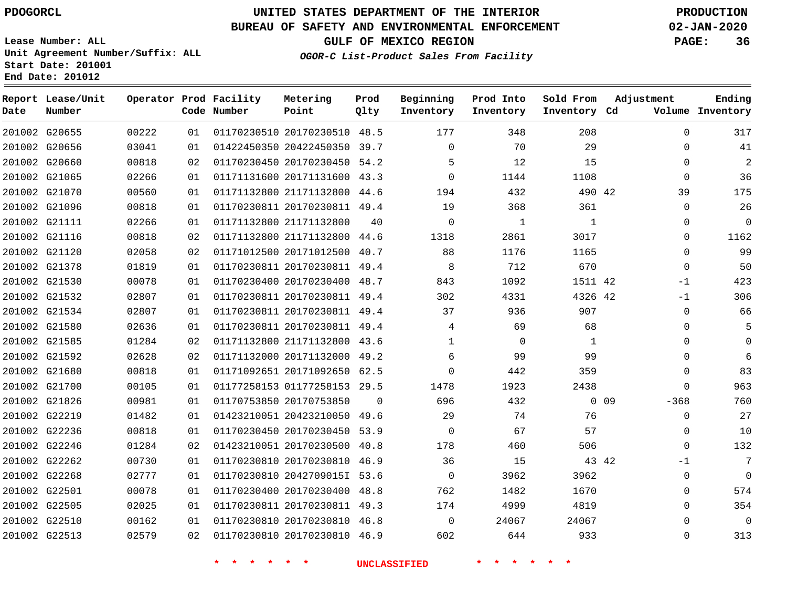**Date**

**Report Lease/Unit**

**Number**

# **UNITED STATES DEPARTMENT OF THE INTERIOR PDOGORCL PRODUCTION**

**Prod Qlty**

#### **BUREAU OF SAFETY AND ENVIRONMENTAL ENFORCEMENT 02-JAN-2020**

**Lease Number: ALL Unit Agreement Number/Suffix: ALL Start Date: 201001 End Date: 201012**

**Operator Prod Facility**

**Code Number**

**Metering Point**

**OGOR-C List-Product Sales From Facility**

**Beginning Inventory** **Prod Into Inventory** **Sold From Inventory**

**GULF OF MEXICO REGION PAGE: 36**

**Inventory Cd Volume**

**Adjustment**

**Ending**

|               | 201002 G20655 | 00222 | 01 |          | 01170230510 20170230510 48.5 |                | 177                 | 348            | 208          |        | $\Omega$       |
|---------------|---------------|-------|----|----------|------------------------------|----------------|---------------------|----------------|--------------|--------|----------------|
|               | 201002 G20656 | 03041 | 01 |          | 01422450350 20422450350 39.7 |                | $\Omega$            | 70             | 29           |        | $\mathbf 0$    |
|               | 201002 G20660 | 00818 | 02 |          | 01170230450 20170230450 54.2 |                | 5                   | 12             | 15           |        | $\mathbf 0$    |
| 201002 G21065 |               | 02266 | 01 |          | 01171131600 20171131600 43.3 |                | $\Omega$            | 1144           | 1108         |        | $\Omega$       |
| 201002 G21070 |               | 00560 | 01 |          | 01171132800 21171132800 44.6 |                | 194                 | 432            | 490 42       |        | 39             |
|               | 201002 G21096 | 00818 | 01 |          | 01170230811 20170230811 49.4 |                | 19                  | 368            | 361          |        | $\mathbf 0$    |
|               | 201002 G21111 | 02266 | 01 |          | 01171132800 21171132800      | 40             | $\overline{0}$      | $\mathbf{1}$   | $\mathbf{1}$ |        | $\mathbf 0$    |
|               | 201002 G21116 | 00818 | 02 |          | 01171132800 21171132800 44.6 |                | 1318                | 2861           | 3017         |        | $\mathbf 0$    |
|               | 201002 G21120 | 02058 | 02 |          | 01171012500 20171012500 40.7 |                | 88                  | 1176           | 1165         |        | $\overline{0}$ |
|               | 201002 G21378 | 01819 | 01 |          | 01170230811 20170230811 49.4 |                | 8 <sup>8</sup>      | 712            | 670          |        | $\mathbf 0$    |
|               | 201002 G21530 | 00078 | 01 |          | 01170230400 20170230400 48.7 |                | 843                 | 1092           | 1511 42      |        | $-1$           |
|               | 201002 G21532 | 02807 | 01 |          | 01170230811 20170230811 49.4 |                | 302                 | 4331           | 4326 42      |        | $-1$           |
|               | 201002 G21534 | 02807 | 01 |          | 01170230811 20170230811 49.4 |                | 37                  | 936            | 907          |        | $\overline{0}$ |
|               | 201002 G21580 | 02636 | 01 |          | 01170230811 20170230811 49.4 |                | $4\overline{ }$     | 69             | 68           |        | $\mathbb O$    |
|               | 201002 G21585 | 01284 | 02 |          | 01171132800 21171132800 43.6 |                | $\mathbf{1}$        | $\overline{0}$ | 1            |        | $\mathbf 0$    |
|               | 201002 G21592 | 02628 | 02 |          | 01171132000 20171132000 49.2 |                | 6                   | 99             | 99           |        | $\mathbf 0$    |
|               | 201002 G21680 | 00818 | 01 |          | 01171092651 20171092650 62.5 |                | $\circ$             | 442            | 359          |        | $\overline{0}$ |
|               | 201002 G21700 | 00105 | 01 |          | 01177258153 01177258153 29.5 |                | 1478                | 1923           | 2438         |        | $\Omega$       |
|               | 201002 G21826 | 00981 | 01 |          | 01170753850 20170753850      | $\overline{0}$ | 696                 | 432            |              | $0$ 09 | $-368$         |
| 201002 G22219 |               | 01482 | 01 |          | 01423210051 20423210050 49.6 |                | 29                  | 74             | 76           |        | $\overline{0}$ |
|               | 201002 G22236 | 00818 | 01 |          | 01170230450 20170230450 53.9 |                | $\overline{0}$      | 67             | 57           |        | $\mathbf 0$    |
|               | 201002 G22246 | 01284 | 02 |          | 01423210051 20170230500 40.8 |                | 178                 | 460            | 506          |        | $\Omega$       |
|               | 201002 G22262 | 00730 | 01 |          | 01170230810 20170230810 46.9 |                | 36                  | 15             | 43 42        |        | $-1$           |
| 201002 G22268 |               | 02777 | 01 |          | 01170230810 2042709015I 53.6 |                | $\overline{0}$      | 3962           | 3962         |        | $\mathbf 0$    |
| 201002 G22501 |               | 00078 | 01 |          | 01170230400 20170230400 48.8 |                | 762                 | 1482           | 1670         |        | $\mathbf 0$    |
| 201002 G22505 |               | 02025 | 01 |          | 01170230811 20170230811 49.3 |                | 174                 | 4999           | 4819         |        | $\Omega$       |
|               | 201002 G22510 | 00162 | 01 |          | 01170230810 20170230810 46.8 |                | $\overline{0}$      | 24067          | 24067        |        | $\Omega$       |
|               | 201002 G22513 | 02579 | 02 |          | 01170230810 20170230810 46.9 |                | 602                 | 644            | 933          |        | $\mathsf 0$    |
|               |               |       |    | 一米<br>一大 | 一米<br>一大                     |                | <b>UNCLASSIFIED</b> |                |              |        |                |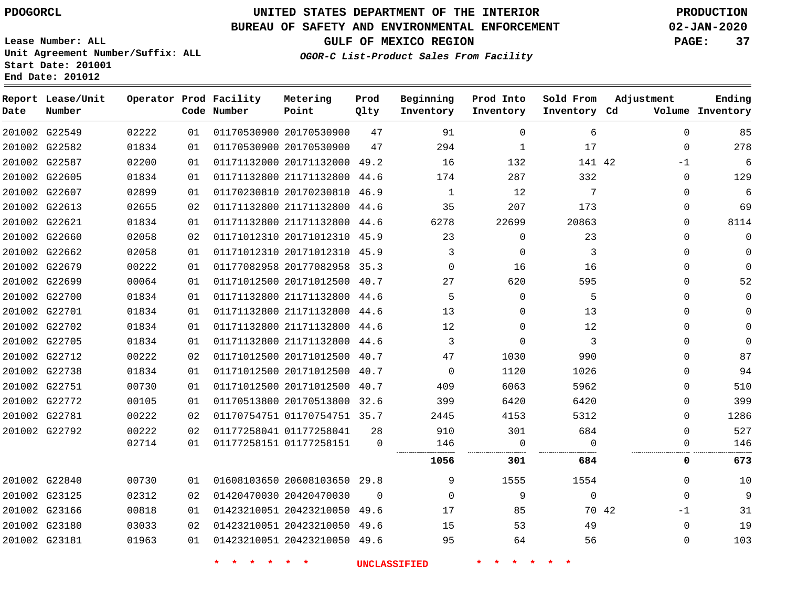**Report Lease/Unit**

**Number**

## **UNITED STATES DEPARTMENT OF THE INTERIOR PDOGORCL PRODUCTION**

**Prod Qlty**

### **BUREAU OF SAFETY AND ENVIRONMENTAL ENFORCEMENT 02-JAN-2020**

**Lease Number: ALL Unit Agreement Number/Suffix: ALL Start Date: 201001 End Date: 201012**

**Operator Prod Facility**

**Code Number**

**OGOR-C List-Product Sales From Facility**

**Beginning Inventory**

**Prod Into Inventory**

**Sold From Inventory**

**GULF OF MEXICO REGION PAGE: 37**

**Inventory Cd Volume**

**Adjustment**

**Ending**

| 201002 G22549 | 02222 | 01 | 01170530900 20170530900      | 47       | 91          | $\Omega$ | 6           | $\Omega$ | 85       |
|---------------|-------|----|------------------------------|----------|-------------|----------|-------------|----------|----------|
| 201002 G22582 | 01834 | 01 | 01170530900 20170530900      | 47       | 294         | 1        | 17          | 0        | 278      |
| 201002 G22587 | 02200 | 01 | 01171132000 20171132000 49.2 |          | 16          | 132      | 141 42      | -1       | 6        |
| 201002 G22605 | 01834 | 01 | 01171132800 21171132800 44.6 |          | 174         | 287      | 332         | 0        | 129      |
| 201002 G22607 | 02899 | 01 | 01170230810 20170230810 46.9 |          | 1           | 12       | 7           | $\Omega$ | 6        |
| 201002 G22613 | 02655 | 02 | 01171132800 21171132800 44.6 |          | 35          | 207      | 173         | $\Omega$ | 69       |
| 201002 G22621 | 01834 | 01 | 01171132800 21171132800 44.6 |          | 6278        | 22699    | 20863       | 0        | 8114     |
| 201002 G22660 | 02058 | 02 | 01171012310 20171012310 45.9 |          | 23          | 0        | 23          | $\Omega$ | 0        |
| 201002 G22662 | 02058 | 01 | 01171012310 20171012310 45.9 |          | 3           | 0        | 3           | $\Omega$ |          |
| 201002 G22679 | 00222 | 01 | 01177082958 20177082958 35.3 |          | $\Omega$    | 16       | 16          | $\Omega$ | O        |
| 201002 G22699 | 00064 | 01 | 01171012500 20171012500 40.7 |          | 27          | 620      | 595         | 0        | 52       |
| 201002 G22700 | 01834 | 01 | 01171132800 21171132800 44.6 |          | 5           | $\Omega$ | 5           | 0        |          |
| 201002 G22701 | 01834 | 01 | 01171132800 21171132800 44.6 |          | 13          | $\Omega$ | 13          | $\Omega$ |          |
| 201002 G22702 | 01834 | 01 | 01171132800 21171132800 44.6 |          | 12          | $\Omega$ | 12          | 0        |          |
| 201002 G22705 | 01834 | 01 | 01171132800 21171132800 44.6 |          | 3           | 0        | 3           | $\Omega$ | $\Omega$ |
| 201002 G22712 | 00222 | 02 | 01171012500 20171012500 40.7 |          | 47          | 1030     | 990         | $\Omega$ | 87       |
| 201002 G22738 | 01834 | 01 | 01171012500 20171012500 40.7 |          | 0           | 1120     | 1026        | $\Omega$ | 94       |
| 201002 G22751 | 00730 | 01 | 01171012500 20171012500 40.7 |          | 409         | 6063     | 5962        | 0        | 510      |
| 201002 G22772 | 00105 | 01 | 01170513800 20170513800 32.6 |          | 399         | 6420     | 6420        | $\Omega$ | 399      |
| 201002 G22781 | 00222 | 02 | 01170754751 01170754751 35.7 |          | 2445        | 4153     | 5312        | $\Omega$ | 1286     |
| 201002 G22792 | 00222 | 02 | 01177258041 01177258041      | 28       | 910         | 301      | 684         | $\Omega$ | 527      |
|               | 02714 | 01 | 01177258151 01177258151      | $\Omega$ | 146         | $\Omega$ | $\Omega$    | 0        | 146      |
|               |       |    |                              |          | 1056        | 301      | 684         | 0        | 673      |
| 201002 G22840 | 00730 | 01 | 01608103650 20608103650 29.8 |          | 9           | 1555     | 1554        | 0        | 10       |
| 201002 G23125 | 02312 | 02 | 01420470030 20420470030      | $\Omega$ | $\mathbf 0$ | 9        | $\mathbf 0$ | 0        | 9        |
| 201002 G23166 | 00818 | 01 | 01423210051 20423210050 49.6 |          | 17          | 85       | 70 42       | $-1$     | 31       |
| 201002 G23180 | 03033 | 02 | 01423210051 20423210050 49.6 |          | 15          | 53       | 49          | 0        | 19       |
| 201002 G23181 | 01963 | 01 | 01423210051 20423210050 49.6 |          | 95          | 64       | 56          | 0        | 103      |
|               |       |    |                              |          |             |          |             |          |          |

**Metering Point**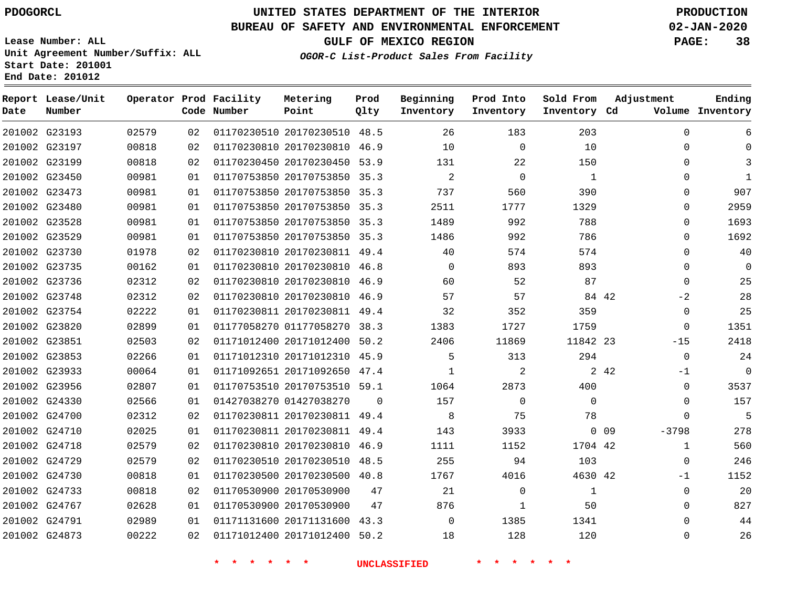# **UNITED STATES DEPARTMENT OF THE INTERIOR PDOGORCL PRODUCTION**

## **BUREAU OF SAFETY AND ENVIRONMENTAL ENFORCEMENT 02-JAN-2020**

**Lease Number: ALL Unit Agreement Number/Suffix: ALL Start Date: 201001 End Date: 201012**

**Operator Prod Facility**

**Beginning Prod Into**

**Sold From**

**Adjustment**

**GULF OF MEXICO REGION PAGE: 38**

**Ending**

**OGOR-C List-Product Sales From Facility**

**Prod**

**Metering**

| Date | Number        |       |    | Code Number | Point                        | Qlty        | Inventory      | Inventory   | Inventory Cd |        |              | Volume Inventory |
|------|---------------|-------|----|-------------|------------------------------|-------------|----------------|-------------|--------------|--------|--------------|------------------|
|      | 201002 G23193 | 02579 | 02 |             | 01170230510 20170230510 48.5 |             | 26             | 183         | 203          |        | $\Omega$     | 6                |
|      | 201002 G23197 | 00818 | 02 |             | 01170230810 20170230810 46.9 |             | 10             | $\mathbf 0$ | 10           |        | 0            | $\mathbf{0}$     |
|      | 201002 G23199 | 00818 | 02 |             | 01170230450 20170230450 53.9 |             | 131            | 22          | 150          |        | 0            | 3                |
|      | 201002 G23450 | 00981 | 01 |             | 01170753850 20170753850 35.3 |             | $\overline{a}$ | $\mathbf 0$ | 1            |        | 0            | $\mathbf{1}$     |
|      | 201002 G23473 | 00981 | 01 |             | 01170753850 20170753850 35.3 |             | 737            | 560         | 390          |        | $\Omega$     | 907              |
|      | 201002 G23480 | 00981 | 01 |             | 01170753850 20170753850 35.3 |             | 2511           | 1777        | 1329         |        | 0            | 2959             |
|      | 201002 G23528 | 00981 | 01 |             | 01170753850 20170753850 35.3 |             | 1489           | 992         | 788          |        | 0            | 1693             |
|      | 201002 G23529 | 00981 | 01 |             | 01170753850 20170753850 35.3 |             | 1486           | 992         | 786          |        | 0            | 1692             |
|      | 201002 G23730 | 01978 | 02 |             | 01170230810 20170230811      | 49.4        | 40             | 574         | 574          |        | 0            | 40               |
|      | 201002 G23735 | 00162 | 01 |             | 01170230810 20170230810      | 46.8        | $\Omega$       | 893         | 893          |        | 0            | $\mathbf 0$      |
|      | 201002 G23736 | 02312 | 02 |             | 01170230810 20170230810      | 46.9        | 60             | 52          | 87           |        | $\Omega$     | 25               |
|      | 201002 G23748 | 02312 | 02 |             | 01170230810 20170230810 46.9 |             | 57             | 57          |              | 84 42  | $-2$         | 28               |
|      | 201002 G23754 | 02222 | 01 |             | 01170230811 20170230811 49.4 |             | 32             | 352         | 359          |        | 0            | 25               |
|      | 201002 G23820 | 02899 | 01 |             | 01177058270 01177058270 38.3 |             | 1383           | 1727        | 1759         |        | 0            | 1351             |
|      | 201002 G23851 | 02503 | 02 |             | 01171012400 20171012400 50.2 |             | 2406           | 11869       | 11842 23     |        | $-15$        | 2418             |
|      | 201002 G23853 | 02266 | 01 |             | 01171012310 20171012310 45.9 |             | 5              | 313         | 294          |        | 0            | 24               |
|      | 201002 G23933 | 00064 | 01 |             | 01171092651 20171092650      | 47.4        | 1              | 2           |              | 2 4 2  | $-1$         | $\Omega$         |
|      | 201002 G23956 | 02807 | 01 |             | 01170753510 20170753510 59.1 |             | 1064           | 2873        | 400          |        | 0            | 3537             |
|      | 201002 G24330 | 02566 | 01 |             | 01427038270 01427038270      | $\mathbf 0$ | 157            | 0           | $\mathbf 0$  |        | 0            | 157              |
|      | 201002 G24700 | 02312 | 02 |             | 01170230811 20170230811 49.4 |             | 8              | 75          | 78           |        | $\Omega$     | 5                |
|      | 201002 G24710 | 02025 | 01 |             | 01170230811 20170230811      | 49.4        | 143            | 3933        |              | $0$ 09 | $-3798$      | 278              |
|      | 201002 G24718 | 02579 | 02 |             | 01170230810 20170230810      | 46.9        | 1111           | 1152        | 1704 42      |        | $\mathbf{1}$ | 560              |
|      | 201002 G24729 | 02579 | 02 |             | 01170230510 20170230510      | 48.5        | 255            | 94          | 103          |        | 0            | 246              |
|      | 201002 G24730 | 00818 | 01 |             | 01170230500 20170230500 40.8 |             | 1767           | 4016        | 4630 42      |        | $-1$         | 1152             |
|      | 201002 G24733 | 00818 | 02 |             | 01170530900 20170530900      | 47          | 21             | 0           | 1            |        | 0            | 20               |
|      | 201002 G24767 | 02628 | 01 |             | 01170530900 20170530900      | 47          | 876            | 1           | 50           |        | 0            | 827              |
|      | 201002 G24791 | 02989 | 01 |             | 01171131600 20171131600 43.3 |             | 0              | 1385        | 1341         |        | 0            | 44               |
|      | 201002 G24873 | 00222 | 02 |             | 01171012400 20171012400 50.2 |             | 18             | 128         | 120          |        | 0            | 26               |
|      |               |       |    |             |                              |             |                |             |              |        |              |                  |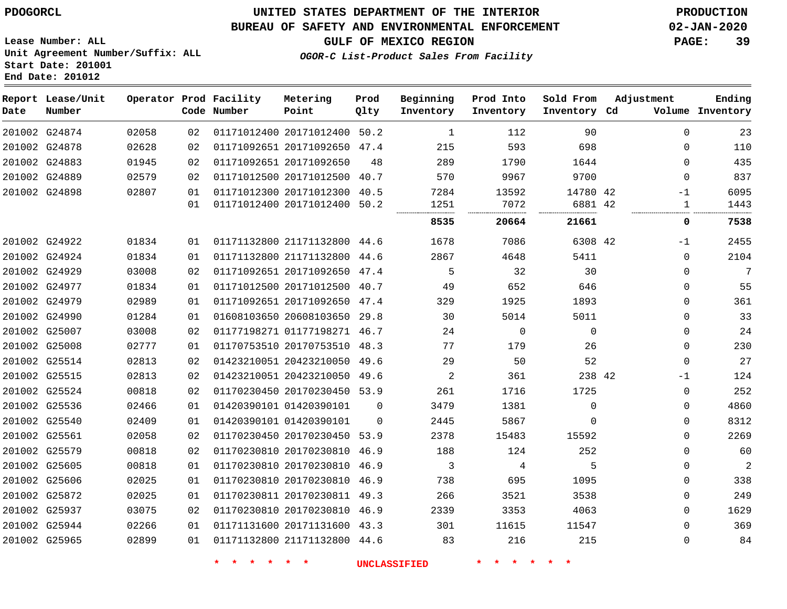### **BUREAU OF SAFETY AND ENVIRONMENTAL ENFORCEMENT 02-JAN-2020**

**Lease Number: ALL Unit Agreement Number/Suffix: ALL**

**GULF OF MEXICO REGION PAGE: 39**

 

**OGOR-C List-Product Sales From Facility**

| Date | Report Lease/Unit<br>Number |       |    | Operator Prod Facility<br>Code Number | Metering<br>Point            | Prod<br>Qlty | Beginning<br>Inventory | Prod Into<br>Inventory | Sold From<br>Inventory Cd | Adjustment |              | Ending<br>Volume Inventory |
|------|-----------------------------|-------|----|---------------------------------------|------------------------------|--------------|------------------------|------------------------|---------------------------|------------|--------------|----------------------------|
|      | 201002 G24874               | 02058 | 02 |                                       | 01171012400 20171012400 50.2 |              | 1                      | 112                    | 90                        |            | $\Omega$     | 23                         |
|      | 201002 G24878               | 02628 | 02 |                                       | 01171092651 20171092650 47.4 |              | 215                    | 593                    | 698                       |            | 0            | 110                        |
|      | 201002 G24883               | 01945 | 02 |                                       | 01171092651 20171092650      | 48           | 289                    | 1790                   | 1644                      |            | $\Omega$     | 435                        |
|      | 201002 G24889               | 02579 | 02 |                                       | 01171012500 20171012500      | 40.7         | 570                    | 9967                   | 9700                      |            | $\Omega$     | 837                        |
|      | 201002 G24898               | 02807 | 01 |                                       | 01171012300 20171012300      | 40.5         | 7284                   | 13592                  | 14780 42                  |            | $-1$         | 6095                       |
|      |                             |       | 01 |                                       | 01171012400 20171012400      | 50.2         | 1251<br>               | 7072                   | 6881 42                   |            | 1            | 1443                       |
|      |                             |       |    |                                       |                              |              | 8535                   | 20664                  | 21661                     |            | 0            | 7538                       |
|      | 201002 G24922               | 01834 | 01 |                                       | 01171132800 21171132800 44.6 |              | 1678                   | 7086                   | 6308 42                   |            | -1           | 2455                       |
|      | 201002 G24924               | 01834 | 01 |                                       | 01171132800 21171132800      | 44.6         | 2867                   | 4648                   | 5411                      |            | $\Omega$     | 2104                       |
|      | 201002 G24929               | 03008 | 02 |                                       | 01171092651 20171092650 47.4 |              | 5                      | 32                     | 30                        |            | $\Omega$     | 7                          |
|      | 201002 G24977               | 01834 | 01 |                                       | 01171012500 20171012500 40.7 |              | 49                     | 652                    | 646                       |            | $\Omega$     | 55                         |
|      | 201002 G24979               | 02989 | 01 |                                       | 01171092651 20171092650 47.4 |              | 329                    | 1925                   | 1893                      |            | $\Omega$     | 361                        |
|      | 201002 G24990               | 01284 | 01 |                                       | 01608103650 20608103650      | 29.8         | 30                     | 5014                   | 5011                      |            | 0            | 33                         |
|      | 201002 G25007               | 03008 | 02 |                                       | 01177198271 01177198271 46.7 |              | 24                     | $\Omega$               | $\Omega$                  |            | $\Omega$     | 24                         |
|      | 201002 G25008               | 02777 | 01 |                                       | 01170753510 20170753510 48.3 |              | 77                     | 179                    | 26                        |            | 0            | 230                        |
|      | 201002 G25514               | 02813 | 02 |                                       | 01423210051 20423210050 49.6 |              | 29                     | 50                     | 52                        |            | $\mathbf{0}$ | 27                         |
|      | 201002 G25515               | 02813 | 02 |                                       | 01423210051 20423210050 49.6 |              | 2                      | 361                    | 238 42                    |            | $-1$         | 124                        |
|      | 201002 G25524               | 00818 | 02 |                                       | 01170230450 20170230450 53.9 |              | 261                    | 1716                   | 1725                      |            | $\Omega$     | 252                        |
|      | 201002 G25536               | 02466 | 01 |                                       | 01420390101 01420390101      | $\Omega$     | 3479                   | 1381                   | 0                         |            | 0            | 4860                       |
|      | 201002 G25540               | 02409 | 01 |                                       | 01420390101 01420390101      | $\Omega$     | 2445                   | 5867                   | $\Omega$                  |            | 0            | 8312                       |
|      | 201002 G25561               | 02058 | 02 |                                       | 01170230450 20170230450 53.9 |              | 2378                   | 15483                  | 15592                     |            | $\Omega$     | 2269                       |
|      | 201002 G25579               | 00818 | 02 |                                       | 01170230810 20170230810 46.9 |              | 188                    | 124                    | 252                       |            | $\Omega$     | 60                         |
|      | 201002 G25605               | 00818 | 01 |                                       | 01170230810 20170230810 46.9 |              | 3                      | 4                      | 5                         |            | 0            | $\mathbf{2}$               |
|      | 201002 G25606               | 02025 | 01 |                                       | 01170230810 20170230810 46.9 |              | 738                    | 695                    | 1095                      |            | 0            | 338                        |
|      | 201002 G25872               | 02025 | 01 |                                       | 01170230811 20170230811 49.3 |              | 266                    | 3521                   | 3538                      |            | 0            | 249                        |
|      | 201002 G25937               | 03075 | 02 |                                       | 01170230810 20170230810 46.9 |              | 2339                   | 3353                   | 4063                      |            | $\Omega$     | 1629                       |
|      | 201002 G25944               | 02266 | 01 |                                       | 01171131600 20171131600 43.3 |              | 301                    | 11615                  | 11547                     |            | $\Omega$     | 369                        |

**Start Date: 201001**

**End Date: 201012**

G25965

**\* \* \* \* \* \* UNCLASSIFIED \* \* \* \* \* \***

01171132800 21171132800 44.6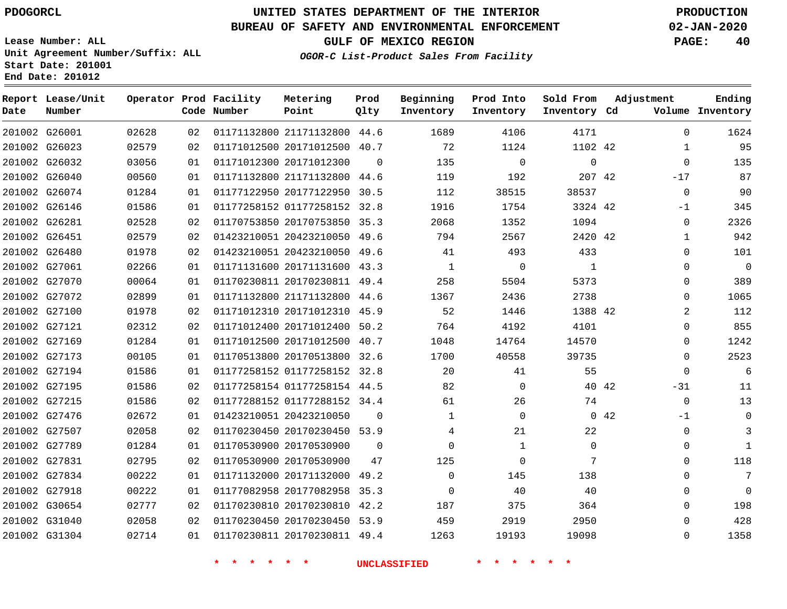**End Date: 201012**

**Report Lease/Unit**

**Number**

 G27831 G27834 G27918 G30654 G31040 G31304

# **UNITED STATES DEPARTMENT OF THE INTERIOR PDOGORCL PRODUCTION**

**Prod Qlty**

## **BUREAU OF SAFETY AND ENVIRONMENTAL ENFORCEMENT 02-JAN-2020**

**Lease Number: ALL Unit Agreement Number/Suffix: ALL Start Date: 201001**

**Operator Prod Facility**

**Code Number**

### **OGOR-C List-Product Sales From Facility**

**GULF OF MEXICO REGION PAGE: 40**

**Inventory Cd Volume**

**Adjustment**

**Ending**

**Beginning Inventory**

**Prod Into Inventory** **Sold From Inventory**

| 201002 G26001 | 02628 | 02 |                         | 01171132800 21171132800 44.6 |          | 1689         | 4106         | 4171     |           | $\Omega$       |
|---------------|-------|----|-------------------------|------------------------------|----------|--------------|--------------|----------|-----------|----------------|
| 201002 G26023 | 02579 | 02 |                         | 01171012500 20171012500 40.7 |          | 72           | 1124         | 1102 42  |           |                |
| 201002 G26032 | 03056 | 01 | 01171012300 20171012300 |                              | $\Omega$ | 135          | $\Omega$     | $\Omega$ |           | $\Omega$       |
| 201002 G26040 | 00560 | 01 |                         | 01171132800 21171132800 44.6 |          | 119          | 192          | 207 42   |           | $-17$          |
| 201002 G26074 | 01284 | 01 |                         | 01177122950 20177122950 30.5 |          | 112          | 38515        | 38537    |           | $\Omega$       |
| 201002 G26146 | 01586 | 01 |                         | 01177258152 01177258152 32.8 |          | 1916         | 1754         | 3324 42  |           | $-1$           |
| 201002 G26281 | 02528 | 02 |                         | 01170753850 20170753850 35.3 |          | 2068         | 1352         | 1094     |           | $\mathbf 0$    |
| 201002 G26451 | 02579 | 02 |                         | 01423210051 20423210050 49.6 |          | 794          | 2567         | 2420 42  |           | $\mathbf 1$    |
| 201002 G26480 | 01978 | 02 |                         | 01423210051 20423210050 49.6 |          | 41           | 493          | 433      |           | $\Omega$       |
| 201002 G27061 | 02266 | 01 |                         | 01171131600 20171131600 43.3 |          | $\mathbf{1}$ | $\Omega$     |          |           | $\Omega$       |
| 201002 G27070 | 00064 | 01 |                         | 01170230811 20170230811 49.4 |          | 258          | 5504         | 5373     |           | $\Omega$       |
| 201002 G27072 | 02899 | 01 |                         | 01171132800 21171132800 44.6 |          | 1367         | 2436         | 2738     |           | $\Omega$       |
| 201002 G27100 | 01978 | 02 |                         | 01171012310 20171012310 45.9 |          | 52           | 1446         | 1388 42  |           | $\overline{2}$ |
| 201002 G27121 | 02312 | 02 |                         | 01171012400 20171012400 50.2 |          | 764          | 4192         | 4101     |           | $\Omega$       |
| 201002 G27169 | 01284 | 01 |                         | 01171012500 20171012500 40.7 |          | 1048         | 14764        | 14570    |           | $\Omega$       |
| 201002 G27173 | 00105 | 01 |                         | 01170513800 20170513800 32.6 |          | 1700         | 40558        | 39735    |           | $\Omega$       |
| 201002 G27194 | 01586 | 01 |                         | 01177258152 01177258152 32.8 |          | 20           | 41           | 55       |           | $\Omega$       |
| 201002 G27195 | 01586 | 02 |                         | 01177258154 01177258154 44.5 |          | 82           | $\Omega$     |          | 40 42     | $-31$          |
| 201002 G27215 | 01586 | 02 |                         | 01177288152 01177288152 34.4 |          | 61           | 26           | 74       |           | $\mathbf 0$    |
| 201002 G27476 | 02672 | 01 | 01423210051 20423210050 |                              |          | $\mathbf{1}$ | $\Omega$     |          | $0 \t 42$ | $-1$           |
| 201002 G27507 | 02058 | 02 |                         | 01170230450 20170230450 53.9 |          | 4            | 21           | 22       |           | $\Omega$       |
| 201002 G27789 | 01284 | 01 | 01170530900 20170530900 |                              | $\Omega$ | 0            | $\mathbf{1}$ | $\Omega$ |           | $\Omega$       |
|               |       |    |                         |                              |          |              |              |          |           |                |

**Metering Point**

**\* \* \* \* \* \* UNCLASSIFIED \* \* \* \* \* \***

20170530900

 20171132000 49.2 20177082958 35.3 20170230810 42.2 20170230450 53.9 20170230811 49.4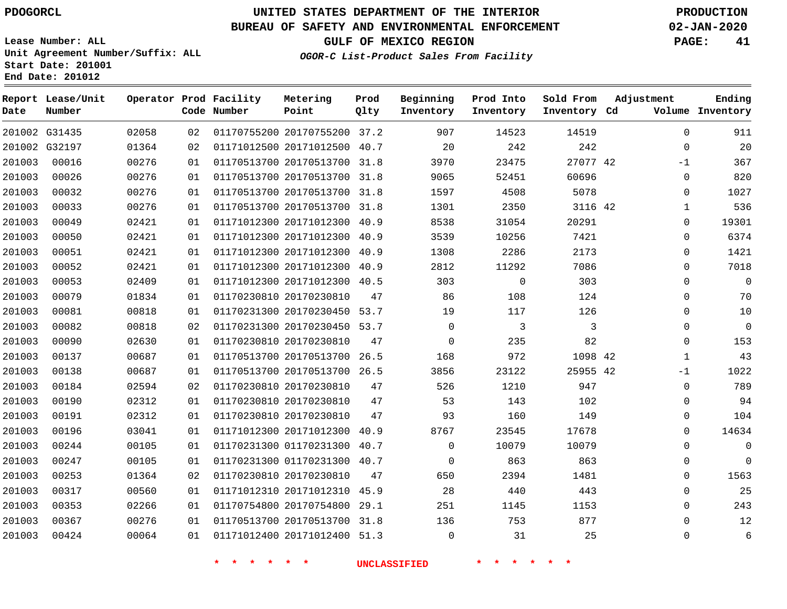# **UNITED STATES DEPARTMENT OF THE INTERIOR PDOGORCL PRODUCTION**

## **BUREAU OF SAFETY AND ENVIRONMENTAL ENFORCEMENT 02-JAN-2020**

**Lease Number: ALL Unit Agreement Number/Suffix: ALL Start Date: 201001**

**GULF OF MEXICO REGION PAGE: 41**

**OGOR-C List-Product Sales From Facility**

| Date   | Report Lease/Unit<br>Number |       |    | Operator Prod Facility<br>Code Number | Metering<br>Point            | Prod<br>Qlty | Beginning<br>Inventory | Prod Into<br>Inventory | Sold From<br>Inventory Cd | Adjustment   | Ending<br>Volume Inventory |
|--------|-----------------------------|-------|----|---------------------------------------|------------------------------|--------------|------------------------|------------------------|---------------------------|--------------|----------------------------|
|        | 201002 G31435               | 02058 | 02 |                                       | 01170755200 20170755200 37.2 |              | 907                    | 14523                  | 14519                     | 0            | 911                        |
|        | 201002 G32197               | 01364 | 02 |                                       | 01171012500 20171012500 40.7 |              | 20                     | 242                    | 242                       | $\Omega$     | 20                         |
| 201003 | 00016                       | 00276 | 01 |                                       | 01170513700 20170513700 31.8 |              | 3970                   | 23475                  | 27077 42                  | $-1$         | 367                        |
| 201003 | 00026                       | 00276 | 01 |                                       | 01170513700 20170513700 31.8 |              | 9065                   | 52451                  | 60696                     | $\Omega$     | 820                        |
| 201003 | 00032                       | 00276 | 01 |                                       | 01170513700 20170513700      | 31.8         | 1597                   | 4508                   | 5078                      | 0            | 1027                       |
| 201003 | 00033                       | 00276 | 01 |                                       | 01170513700 20170513700 31.8 |              | 1301                   | 2350                   | 3116 42                   | $\mathbf{1}$ | 536                        |
| 201003 | 00049                       | 02421 | 01 |                                       | 01171012300 20171012300      | 40.9         | 8538                   | 31054                  | 20291                     | 0            | 19301                      |
| 201003 | 00050                       | 02421 | 01 |                                       | 01171012300 20171012300      | 40.9         | 3539                   | 10256                  | 7421                      | 0            | 6374                       |
| 201003 | 00051                       | 02421 | 01 |                                       | 01171012300 20171012300      | 40.9         | 1308                   | 2286                   | 2173                      | 0            | 1421                       |
| 201003 | 00052                       | 02421 | 01 |                                       | 01171012300 20171012300      | 40.9         | 2812                   | 11292                  | 7086                      | 0            | 7018                       |
| 201003 | 00053                       | 02409 | 01 |                                       | 01171012300 20171012300 40.5 |              | 303                    | $\mathbf 0$            | 303                       | 0            | $\mathbf 0$                |
| 201003 | 00079                       | 01834 | 01 |                                       | 01170230810 20170230810      | 47           | 86                     | 108                    | 124                       | 0            | 70                         |
| 201003 | 00081                       | 00818 | 01 |                                       | 01170231300 20170230450 53.7 |              | 19                     | 117                    | 126                       | $\Omega$     | $10$                       |
| 201003 | 00082                       | 00818 | 02 |                                       | 01170231300 20170230450 53.7 |              | 0                      | 3                      | 3                         | 0            | $\mathbf 0$                |
| 201003 | 00090                       | 02630 | 01 |                                       | 01170230810 20170230810      | 47           | $\Omega$               | 235                    | 82                        | 0            | 153                        |
| 201003 | 00137                       | 00687 | 01 |                                       | 01170513700 20170513700 26.5 |              | 168                    | 972                    | 1098 42                   | $\mathbf{1}$ | 43                         |
| 201003 | 00138                       | 00687 | 01 |                                       | 01170513700 20170513700 26.5 |              | 3856                   | 23122                  | 25955 42                  | $-1$         | 1022                       |
| 201003 | 00184                       | 02594 | 02 |                                       | 01170230810 20170230810      | 47           | 526                    | 1210                   | 947                       | 0            | 789                        |
| 201003 | 00190                       | 02312 | 01 |                                       | 01170230810 20170230810      | 47           | 53                     | 143                    | 102                       | 0            | 94                         |
| 201003 | 00191                       | 02312 | 01 |                                       | 01170230810 20170230810      | 47           | 93                     | 160                    | 149                       | 0            | 104                        |
| 201003 | 00196                       | 03041 | 01 |                                       | 01171012300 20171012300 40.9 |              | 8767                   | 23545                  | 17678                     | $\Omega$     | 14634                      |
| 201003 | 00244                       | 00105 | 01 |                                       | 01170231300 01170231300 40.7 |              | $\mathbf 0$            | 10079                  | 10079                     | 0            | $\mathbf 0$                |
| 201003 | 00247                       | 00105 | 01 |                                       | 01170231300 01170231300 40.7 |              | $\Omega$               | 863                    | 863                       | 0            | $\mathbf 0$                |
| 201003 | 00253                       | 01364 | 02 |                                       | 01170230810 20170230810      | 47           | 650                    | 2394                   | 1481                      | 0            | 1563                       |
| 201003 | 00317                       | 00560 | 01 |                                       | 01171012310 20171012310 45.9 |              | 28                     | 440                    | 443                       | 0            | 25                         |
| 201003 | 00353                       | 02266 | 01 |                                       | 01170754800 20170754800      | 29.1         | 251                    | 1145                   | 1153                      | 0            | 243                        |
| 201003 | 00367                       | 00276 | 01 |                                       | 01170513700 20170513700      | 31.8         | 136                    | 753                    | 877                       | 0            | 12                         |
| 201003 | 00424                       | 00064 | 01 |                                       | 01171012400 20171012400 51.3 |              | $\mathbf 0$            | 31                     | 25                        | 0            | 6                          |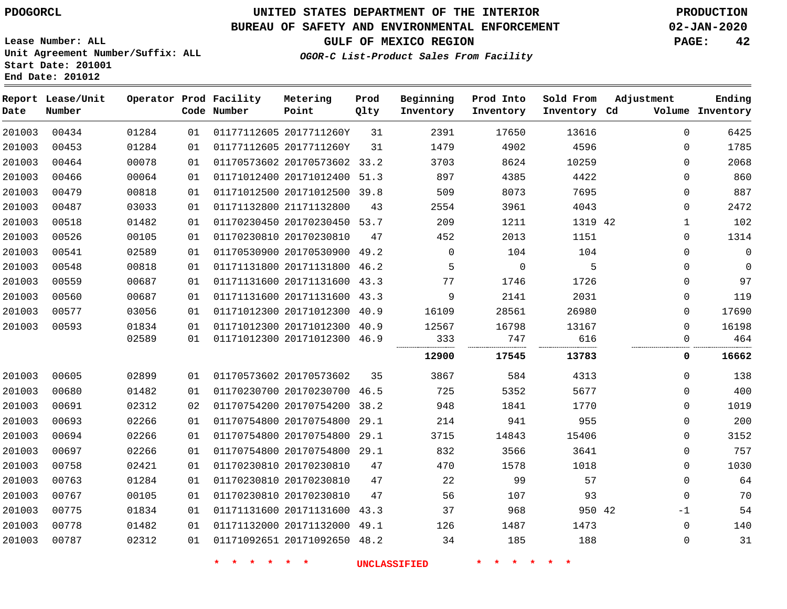## **BUREAU OF SAFETY AND ENVIRONMENTAL ENFORCEMENT 02-JAN-2020**

**OGOR-C List-Product Sales From Facility**

**GULF OF MEXICO REGION PAGE: 42**

**Lease Number: ALL Unit Agreement Number/Suffix: ALL Start Date: 201001 End Date: 201012**

| Date   | Report Lease/Unit<br>Number |       |    | Operator Prod Facility<br>Code Number | Metering<br>Point            | Prod<br>Qlty | Beginning<br>Inventory | Prod Into<br>Inventory | Sold From<br>Inventory Cd | Adjustment  | Ending<br>Volume Inventory |
|--------|-----------------------------|-------|----|---------------------------------------|------------------------------|--------------|------------------------|------------------------|---------------------------|-------------|----------------------------|
| 201003 | 00434                       | 01284 | 01 |                                       | 01177112605 2017711260Y      | 31           | 2391                   | 17650                  | 13616                     | $\mathbf 0$ | 6425                       |
| 201003 | 00453                       | 01284 | 01 |                                       | 01177112605 2017711260Y      | 31           | 1479                   | 4902                   | 4596                      | 0           | 1785                       |
| 201003 | 00464                       | 00078 | 01 |                                       | 01170573602 20170573602 33.2 |              | 3703                   | 8624                   | 10259                     | 0           | 2068                       |
| 201003 | 00466                       | 00064 | 01 |                                       | 01171012400 20171012400      | 51.3         | 897                    | 4385                   | 4422                      | 0           | 860                        |
| 201003 | 00479                       | 00818 | 01 |                                       | 01171012500 20171012500 39.8 |              | 509                    | 8073                   | 7695                      | 0           | 887                        |
| 201003 | 00487                       | 03033 | 01 |                                       | 01171132800 21171132800      | 43           | 2554                   | 3961                   | 4043                      | 0           | 2472                       |
| 201003 | 00518                       | 01482 | 01 |                                       | 01170230450 20170230450 53.7 |              | 209                    | 1211                   | 1319 42                   | $\mathbf 1$ | 102                        |
| 201003 | 00526                       | 00105 | 01 | 01170230810 20170230810               |                              | 47           | 452                    | 2013                   | 1151                      | 0           | 1314                       |
| 201003 | 00541                       | 02589 | 01 |                                       | 01170530900 20170530900 49.2 |              | $\mathbf 0$            | 104                    | 104                       | 0           | $\mathsf 0$                |
| 201003 | 00548                       | 00818 | 01 |                                       | 01171131800 20171131800 46.2 |              | 5                      | $\mathbf 0$            | 5                         | 0           | $\mathbf 0$                |
| 201003 | 00559                       | 00687 | 01 |                                       | 01171131600 20171131600 43.3 |              | 77                     | 1746                   | 1726                      | 0           | 97                         |
| 201003 | 00560                       | 00687 | 01 |                                       | 01171131600 20171131600 43.3 |              | 9                      | 2141                   | 2031                      | 0           | 119                        |
| 201003 | 00577                       | 03056 | 01 |                                       | 01171012300 20171012300 40.9 |              | 16109                  | 28561                  | 26980                     | 0           | 17690                      |
| 201003 | 00593                       | 01834 | 01 |                                       | 01171012300 20171012300 40.9 |              | 12567                  | 16798                  | 13167                     | 0           | 16198                      |
|        |                             | 02589 | 01 |                                       | 01171012300 20171012300 46.9 |              | 333                    | 747                    | 616                       | 0           | 464                        |
|        |                             |       |    |                                       |                              |              | 12900                  | 17545                  | 13783                     | 0           | 16662                      |
| 201003 | 00605                       | 02899 | 01 |                                       | 01170573602 20170573602      | 35           | 3867                   | 584                    | 4313                      | $\Omega$    | 138                        |
| 201003 | 00680                       | 01482 | 01 |                                       | 01170230700 20170230700 46.5 |              | 725                    | 5352                   | 5677                      | 0           | 400                        |
| 201003 | 00691                       | 02312 | 02 |                                       | 01170754200 20170754200 38.2 |              | 948                    | 1841                   | 1770                      | 0           | 1019                       |
| 201003 | 00693                       | 02266 | 01 |                                       | 01170754800 20170754800      | 29.1         | 214                    | 941                    | 955                       | 0           | 200                        |
| 201003 | 00694                       | 02266 | 01 |                                       | 01170754800 20170754800      | 29.1         | 3715                   | 14843                  | 15406                     | 0           | 3152                       |
| 201003 | 00697                       | 02266 | 01 |                                       | 01170754800 20170754800 29.1 |              | 832                    | 3566                   | 3641                      | 0           | 757                        |
| 201003 | 00758                       | 02421 | 01 | 01170230810 20170230810               |                              | 47           | 470                    | 1578                   | 1018                      | 0           | 1030                       |
| 201003 | 00763                       | 01284 | 01 |                                       | 01170230810 20170230810      | 47           | 22                     | 99                     | 57                        | 0           | 64                         |
| 201003 | 00767                       | 00105 | 01 |                                       | 01170230810 20170230810      | 47           | 56                     | 107                    | 93                        | 0           | 70                         |
| 201003 | 00775                       | 01834 | 01 |                                       | 01171131600 20171131600 43.3 |              | 37                     | 968                    | 950 42                    | $-1$        | 54                         |
| 201003 | 00778                       | 01482 | 01 |                                       | 01171132000 20171132000 49.1 |              | 126                    | 1487                   | 1473                      | 0           | 140                        |
| 201003 | 00787                       | 02312 | 01 |                                       | 01171092651 20171092650 48.2 |              | 34                     | 185                    | 188                       | 0           | 31                         |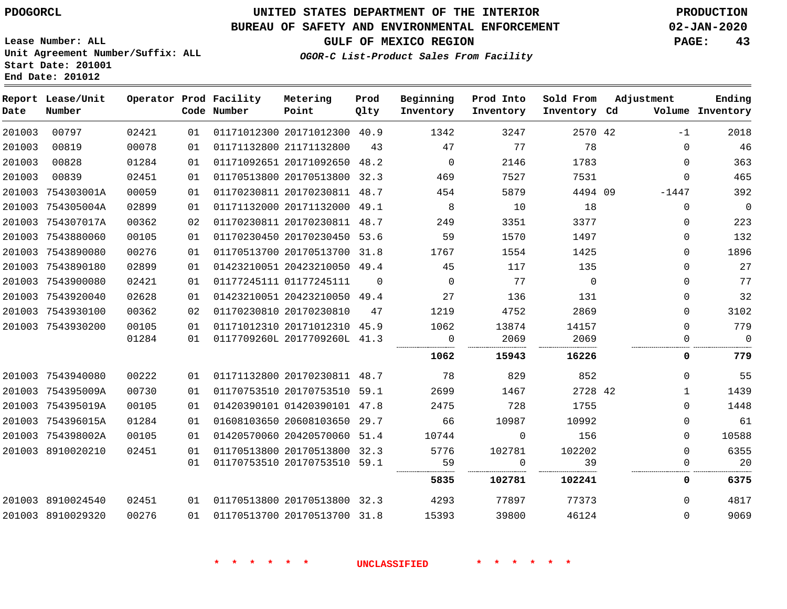**Lease Number: ALL**

**Start Date: 201001 End Date: 201012**

# **UNITED STATES DEPARTMENT OF THE INTERIOR PDOGORCL PRODUCTION**

## **BUREAU OF SAFETY AND ENVIRONMENTAL ENFORCEMENT 02-JAN-2020**

**Unit Agreement Number/Suffix: ALL**

**GULF OF MEXICO REGION PAGE: 43**

**OGOR-C List-Product Sales From Facility**

| Date   | Report Lease/Unit<br>Number |       |    | Operator Prod Facility<br>Code Number | Metering<br>Point            | Prod<br>Qlty | Beginning<br>Inventory | Prod Into<br>Inventory | Sold From<br>Inventory Cd | Adjustment   | Ending<br>Volume Inventory |
|--------|-----------------------------|-------|----|---------------------------------------|------------------------------|--------------|------------------------|------------------------|---------------------------|--------------|----------------------------|
| 201003 | 00797                       | 02421 | 01 |                                       | 01171012300 20171012300 40.9 |              | 1342                   | 3247                   | 2570 42                   | $-1$         | 2018                       |
| 201003 | 00819                       | 00078 | 01 |                                       | 01171132800 21171132800      | 43           | 47                     | 77                     | 78                        | $\mathbf{0}$ | 46                         |
| 201003 | 00828                       | 01284 | 01 |                                       | 01171092651 20171092650      | 48.2         | $\Omega$               | 2146                   | 1783                      | $\Omega$     | 363                        |
| 201003 | 00839                       | 02451 | 01 |                                       | 01170513800 20170513800      | 32.3         | 469                    | 7527                   | 7531                      | $\Omega$     | 465                        |
| 201003 | 754303001A                  | 00059 | 01 |                                       | 01170230811 20170230811 48.7 |              | 454                    | 5879                   | 4494 09                   | $-1447$      | 392                        |
|        | 201003 754305004A           | 02899 | 01 |                                       | 01171132000 20171132000 49.1 |              | 8                      | 10                     | 18                        | $\Omega$     | $\mathbf 0$                |
| 201003 | 754307017A                  | 00362 | 02 |                                       | 01170230811 20170230811 48.7 |              | 249                    | 3351                   | 3377                      | $\Omega$     | 223                        |
|        | 201003 7543880060           | 00105 | 01 |                                       | 01170230450 20170230450 53.6 |              | 59                     | 1570                   | 1497                      | 0            | 132                        |
|        | 201003 7543890080           | 00276 | 01 |                                       | 01170513700 20170513700 31.8 |              | 1767                   | 1554                   | 1425                      | 0            | 1896                       |
|        | 201003 7543890180           | 02899 | 01 |                                       | 01423210051 20423210050 49.4 |              | 45                     | 117                    | 135                       | $\Omega$     | 27                         |
|        | 201003 7543900080           | 02421 | 01 |                                       | 01177245111 01177245111      | $\Omega$     | $\mathbf 0$            | 77                     | $\overline{0}$            | 0            | 77                         |
|        | 201003 7543920040           | 02628 | 01 |                                       | 01423210051 20423210050 49.4 |              | 27                     | 136                    | 131                       | $\Omega$     | 32                         |
|        | 201003 7543930100           | 00362 | 02 |                                       | 01170230810 20170230810      | 47           | 1219                   | 4752                   | 2869                      | $\Omega$     | 3102                       |
|        | 201003 7543930200           | 00105 | 01 |                                       | 01171012310 20171012310      | 45.9         | 1062                   | 13874                  | 14157                     | $\Omega$     | 779                        |
|        |                             | 01284 | 01 |                                       | 0117709260L 2017709260L 41.3 |              | 0                      | 2069                   | 2069                      | $\Omega$     | $\Omega$                   |
|        |                             |       |    |                                       |                              |              | 1062                   | 15943                  | 16226                     | 0            | 779                        |
|        | 201003 7543940080           | 00222 | 01 |                                       | 01171132800 20170230811 48.7 |              | 78                     | 829                    | 852                       | $\Omega$     | 55                         |
|        | 201003 754395009A           | 00730 | 01 |                                       | 01170753510 20170753510      | 59.1         | 2699                   | 1467                   | 2728 42                   | $\mathbf{1}$ | 1439                       |
|        | 201003 754395019A           | 00105 | 01 |                                       | 01420390101 01420390101 47.8 |              | 2475                   | 728                    | 1755                      | $\Omega$     | 1448                       |
|        | 201003 754396015A           | 01284 | 01 |                                       | 01608103650 20608103650      | 29.7         | 66                     | 10987                  | 10992                     | $\Omega$     | 61                         |
|        | 201003 754398002A           | 00105 | 01 |                                       | 01420570060 20420570060 51.4 |              | 10744                  | $\Omega$               | 156                       | $\Omega$     | 10588                      |
|        | 201003 8910020210           | 02451 | 01 |                                       | 01170513800 20170513800 32.3 |              | 5776                   | 102781                 | 102202                    | $\Omega$     | 6355                       |
|        |                             |       | 01 |                                       | 01170753510 20170753510 59.1 |              | 59                     | $\mathbf 0$            | 39                        | $\mathbf{0}$ | 20                         |
|        |                             |       |    |                                       |                              |              | 5835                   | 102781                 | 102241                    | 0            | 6375                       |
|        | 201003 8910024540           | 02451 | 01 |                                       | 01170513800 20170513800 32.3 |              | 4293                   | 77897                  | 77373                     | 0            | 4817                       |
|        | 201003 8910029320           | 00276 | 01 |                                       | 01170513700 20170513700 31.8 |              | 15393                  | 39800                  | 46124                     | $\Omega$     | 9069                       |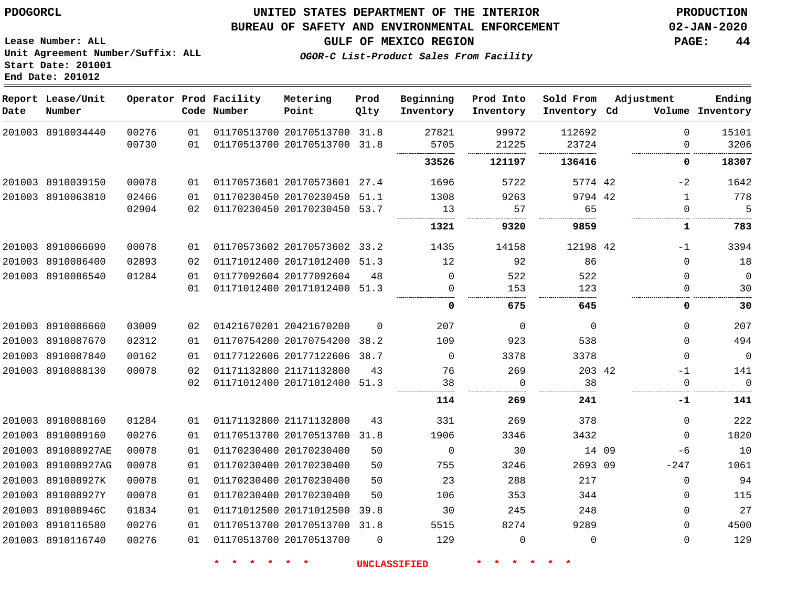## **BUREAU OF SAFETY AND ENVIRONMENTAL ENFORCEMENT 02-JAN-2020**

**GULF OF MEXICO REGION PAGE: 44**

**Lease Number: ALL Unit Agreement Number/Suffix: ALL Start Date: 201001 End Date: 201012**

**OGOR-C List-Product Sales From Facility**

| Date | Report Lease/Unit<br>Number |       |    | Operator Prod Facility<br>Code Number | Metering<br>Point            | Prod<br>Qlty | Beginning<br>Inventory | Prod Into<br>Inventory | Sold From<br>Inventory Cd | Adjustment |              | Ending<br>Volume Inventory |
|------|-----------------------------|-------|----|---------------------------------------|------------------------------|--------------|------------------------|------------------------|---------------------------|------------|--------------|----------------------------|
|      | 201003 8910034440           | 00276 | 01 |                                       | 01170513700 20170513700 31.8 |              | 27821                  | 99972                  | 112692                    |            | $\Omega$     | 15101                      |
|      |                             | 00730 | 01 |                                       | 01170513700 20170513700 31.8 |              | 5705                   | 21225                  | 23724                     |            | 0            | 3206                       |
|      |                             |       |    |                                       |                              |              | 33526                  | 121197                 | 136416                    |            | 0            | 18307                      |
|      | 201003 8910039150           | 00078 | 01 |                                       | 01170573601 20170573601 27.4 |              | 1696                   | 5722                   | 5774 42                   |            | $-2$         | 1642                       |
|      | 201003 8910063810           | 02466 | 01 |                                       | 01170230450 20170230450 51.1 |              | 1308                   | 9263                   | 9794 42                   |            | $\mathbf{1}$ | 778                        |
|      |                             | 02904 | 02 |                                       | 01170230450 20170230450 53.7 |              | 13                     | 57                     | 65                        |            | 0            | 5                          |
|      |                             |       |    |                                       |                              |              | 1321                   | 9320                   | 9859                      |            | 1            | 783                        |
|      | 201003 8910066690           | 00078 | 01 |                                       | 01170573602 20170573602 33.2 |              | 1435                   | 14158                  | 12198 42                  |            | $-1$         | 3394                       |
|      | 201003 8910086400           | 02893 | 02 |                                       | 01171012400 20171012400 51.3 |              | 12                     | 92                     | 86                        |            | $\Omega$     | 18                         |
|      | 201003 8910086540           | 01284 | 01 |                                       | 01177092604 20177092604      | 48           | $\Omega$               | 522                    | 522                       |            | $\mathbf 0$  | $\mathbf 0$                |
|      |                             |       | 01 |                                       | 01171012400 20171012400 51.3 |              | 0                      | 153                    | 123                       |            | 0            | 30                         |
|      |                             |       |    |                                       |                              |              | 0                      | 675                    | 645                       |            | 0            | 30                         |
|      | 201003 8910086660           | 03009 | 02 |                                       | 01421670201 20421670200      | $\Omega$     | 207                    | 0                      | $\Omega$                  |            | $\Omega$     | 207                        |
|      | 201003 8910087670           | 02312 | 01 |                                       | 01170754200 20170754200      | 38.2         | 109                    | 923                    | 538                       |            | 0            | 494                        |
|      | 201003 8910087840           | 00162 | 01 |                                       | 01177122606 20177122606      | 38.7         | $\mathbf 0$            | 3378                   | 3378                      |            | $\mathbf 0$  | $\mathbf 0$                |
|      | 201003 8910088130           | 00078 | 02 |                                       | 01171132800 21171132800      | 43           | 76                     | 269                    | 203 42                    |            | $-1$         | 141                        |
|      |                             |       | 02 |                                       | 01171012400 20171012400 51.3 |              | 38                     | 0                      | 38                        |            | 0<br>        | $\mathbf 0$                |
|      |                             |       |    |                                       |                              |              | 114                    | 269                    | 241                       |            | -1           | 141                        |
|      | 201003 8910088160           | 01284 | 01 |                                       | 01171132800 21171132800      | 43           | 331                    | 269                    | 378                       |            | $\mathbf 0$  | 222                        |
|      | 201003 8910089160           | 00276 | 01 |                                       | 01170513700 20170513700      | 31.8         | 1906                   | 3346                   | 3432                      |            | 0            | 1820                       |
|      | 201003 891008927AE          | 00078 | 01 |                                       | 01170230400 20170230400      | 50           | $\Omega$               | 30                     | 14 09                     |            | $-6$         | 10                         |
|      | 201003 891008927AG          | 00078 | 01 |                                       | 01170230400 20170230400      | 50           | 755                    | 3246                   | 2693 09                   |            | $-247$       | 1061                       |
|      | 201003 891008927K           | 00078 | 01 |                                       | 01170230400 20170230400      | 50           | 23                     | 288                    | 217                       |            | $\mathbf 0$  | 94                         |
|      | 201003 891008927Y           | 00078 | 01 |                                       | 01170230400 20170230400      | 50           | 106                    | 353                    | 344                       |            | 0            | 115                        |
|      | 201003 891008946C           | 01834 | 01 |                                       | 01171012500 20171012500 39.8 |              | 30                     | 245                    | 248                       |            | 0            | 27                         |
|      | 201003 8910116580           | 00276 | 01 |                                       | 01170513700 20170513700 31.8 |              | 5515                   | 8274                   | 9289                      |            | $\mathbf 0$  | 4500                       |
|      | 201003 8910116740           | 00276 | 01 |                                       | 01170513700 20170513700      | $\Omega$     | 129                    | $\mathbf 0$            | $\Omega$                  |            | $\mathbf 0$  | 129                        |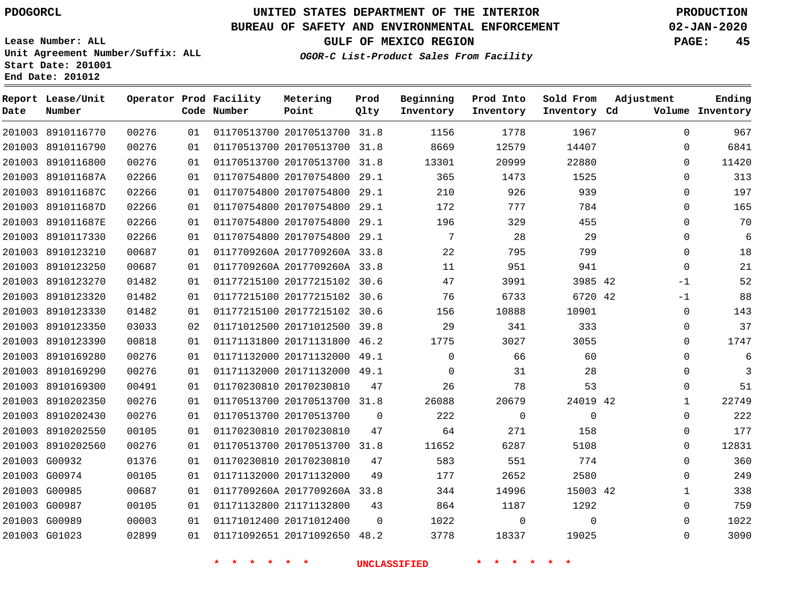**Report Lease/Unit**

**Number**

# **UNITED STATES DEPARTMENT OF THE INTERIOR PDOGORCL PRODUCTION**

**Prod Qlty**

## **BUREAU OF SAFETY AND ENVIRONMENTAL ENFORCEMENT 02-JAN-2020**

**Lease Number: ALL Unit Agreement Number/Suffix: ALL Start Date: 201001 End Date: 201012**

**Operator Prod Facility**

**Code Number**

**OGOR-C List-Product Sales From Facility**

**Beginning Inventory** **Prod Into Inventory** **Sold From Inventory**

**GULF OF MEXICO REGION PAGE: 45**

**Inventory Cd Volume**

**Adjustment**

  $\Omega$   $\Omega$  $\Omega$  $\Omega$  $\Omega$  -1  $-1$  $\Omega$  $\overline{0}$  $\overline{0}$  $\overline{0}$  $\Omega$  $\overline{0}$   $\Omega$   $\Omega$ 

**Ending**

|               | 201003 8910116770 | 00276 | 01 |                         | 01170513700 20170513700 31.8 |                | 1156            | 1778         | 1967        |  |
|---------------|-------------------|-------|----|-------------------------|------------------------------|----------------|-----------------|--------------|-------------|--|
|               | 201003 8910116790 | 00276 | 01 |                         | 01170513700 20170513700 31.8 |                | 8669            | 12579        | 14407       |  |
|               | 201003 8910116800 | 00276 | 01 |                         | 01170513700 20170513700 31.8 |                | 13301           | 20999        | 22880       |  |
|               | 201003 891011687A | 02266 | 01 |                         | 01170754800 20170754800 29.1 |                | 365             | 1473         | 1525        |  |
|               | 201003 891011687C | 02266 | 01 |                         | 01170754800 20170754800 29.1 |                | 210             | 926          | 939         |  |
|               | 201003 891011687D | 02266 | 01 |                         | 01170754800 20170754800 29.1 |                | 172             | 777          | 784         |  |
|               | 201003 891011687E | 02266 | 01 |                         | 01170754800 20170754800 29.1 |                | 196             | 329          | 455         |  |
|               | 201003 8910117330 | 02266 | 01 |                         | 01170754800 20170754800 29.1 |                | $7\overline{ }$ | 28           | 29          |  |
|               | 201003 8910123210 | 00687 | 01 |                         | 0117709260A 2017709260A 33.8 |                | 22              | 795          | 799         |  |
|               | 201003 8910123250 | 00687 | 01 |                         | 0117709260A 2017709260A 33.8 |                | 11              | 951          | 941         |  |
|               | 201003 8910123270 | 01482 | 01 |                         | 01177215100 20177215102 30.6 |                | 47              | 3991         | 3985 42     |  |
|               | 201003 8910123320 | 01482 | 01 |                         | 01177215100 20177215102 30.6 |                | 76              | 6733         | 6720 42     |  |
|               | 201003 8910123330 | 01482 | 01 |                         | 01177215100 20177215102 30.6 |                | 156             | 10888        | 10901       |  |
|               | 201003 8910123350 | 03033 | 02 |                         | 01171012500 20171012500 39.8 |                | 29              | 341          | 333         |  |
|               | 201003 8910123390 | 00818 | 01 |                         | 01171131800 20171131800 46.2 |                | 1775            | 3027         | 3055        |  |
|               | 201003 8910169280 | 00276 | 01 |                         | 01171132000 20171132000 49.1 |                | $\overline{0}$  | 66           | 60          |  |
|               | 201003 8910169290 | 00276 | 01 |                         | 01171132000 20171132000 49.1 |                | $\mathbf{0}$    | 31           | 28          |  |
|               | 201003 8910169300 | 00491 | 01 | 01170230810 20170230810 |                              | 47             | 26              | 78           | 53          |  |
|               | 201003 8910202350 | 00276 | 01 |                         | 01170513700 20170513700 31.8 |                | 26088           | 20679        | 24019 42    |  |
|               | 201003 8910202430 | 00276 | 01 | 01170513700 20170513700 |                              | $\overline{0}$ | 222             | $\mathbf{0}$ | $\mathbf 0$ |  |
|               | 201003 8910202550 | 00105 | 01 |                         | 01170230810 20170230810      | 47             | 64              | 271          | 158         |  |
|               | 201003 8910202560 | 00276 | 01 |                         | 01170513700 20170513700 31.8 |                | 11652           | 6287         | 5108        |  |
| 201003 G00932 |                   | 01376 | 01 | 01170230810 20170230810 |                              | 47             | 583             | 551          | 774         |  |
|               | 201003 G00974     | 00105 | 01 |                         | 01171132000 20171132000      | 49             | 177             | 2652         | 2580        |  |
| 201003 G00985 |                   | 00687 | 01 |                         | 0117709260A 2017709260A 33.8 |                | 344             | 14996        | 15003 42    |  |
|               | 201003 G00987     | 00105 | 01 |                         | 01171132800 21171132800      | 43             | 864             | 1187         | 1292        |  |
| 201003 G00989 |                   | 00003 | 01 |                         | 01171012400 20171012400      | $\overline{0}$ | 1022            | $\mathbf 0$  | $\mathbf 0$ |  |
| 201003 G01023 |                   | 02899 | 01 |                         | 01171092651 20171092650 48.2 |                | 3778            | 18337        | 19025       |  |
|               |                   |       |    |                         |                              |                |                 |              |             |  |

**Metering Point**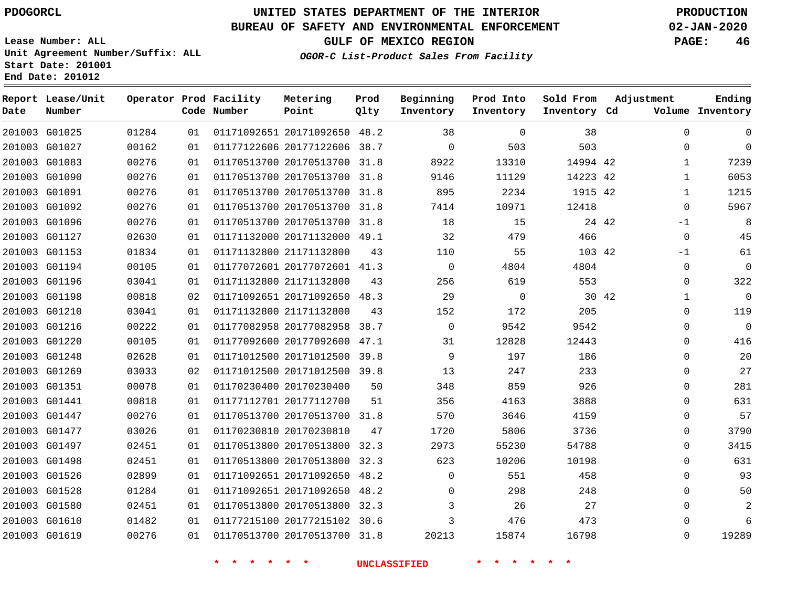**Prod**

**Metering**

## **BUREAU OF SAFETY AND ENVIRONMENTAL ENFORCEMENT 02-JAN-2020**

**Lease Number: ALL Unit Agreement Number/Suffix: ALL Start Date: 201001**

**Operator Prod Facility**

**End Date: 201012**

**Report Lease/Unit**

**GULF OF MEXICO REGION PAGE: 46**

**Adjustment**

**Ending**

**OGOR-C List-Product Sales From Facility**

**Beginning**

**Prod Into Inventory**

**Sold From Inventory**

| Date | Number        |       |    | Code Number | Point                        | Qlty | Inventory   | Inventory      | Inventory Cd |       |              | Volume Inventory |
|------|---------------|-------|----|-------------|------------------------------|------|-------------|----------------|--------------|-------|--------------|------------------|
|      | 201003 G01025 | 01284 | 01 |             | 01171092651 20171092650 48.2 |      | 38          | $\overline{0}$ | 38           |       | $\mathbf 0$  | $\mathbf 0$      |
|      | 201003 G01027 | 00162 | 01 |             | 01177122606 20177122606 38.7 |      | $\mathbf 0$ | 503            | 503          |       | $\mathbf 0$  | $\Omega$         |
|      | 201003 G01083 | 00276 | 01 |             | 01170513700 20170513700 31.8 |      | 8922        | 13310          | 14994 42     |       | $\mathbf{1}$ | 7239             |
|      | 201003 G01090 | 00276 | 01 |             | 01170513700 20170513700 31.8 |      | 9146        | 11129          | 14223 42     |       | $\mathbf{1}$ | 6053             |
|      | 201003 G01091 | 00276 | 01 |             | 01170513700 20170513700 31.8 |      | 895         | 2234           | 1915 42      |       | $\mathbf{1}$ | 1215             |
|      | 201003 G01092 | 00276 | 01 |             | 01170513700 20170513700 31.8 |      | 7414        | 10971          | 12418        |       | 0            | 5967             |
|      | 201003 G01096 | 00276 | 01 |             | 01170513700 20170513700 31.8 |      | 18          | 15             |              | 24 42 | $-1$         | 8                |
|      | 201003 G01127 | 02630 | 01 |             | 01171132000 20171132000 49.1 |      | 32          | 479            | 466          |       | $\mathbf 0$  | 45               |
|      | 201003 G01153 | 01834 | 01 |             | 01171132800 21171132800      | 43   | 110         | 55             | 103 42       |       | -1           | 61               |
|      | 201003 G01194 | 00105 | 01 |             | 01177072601 20177072601 41.3 |      | $\mathbf 0$ | 4804           | 4804         |       | $\mathbf 0$  | $\mathbf 0$      |
|      | 201003 G01196 | 03041 | 01 |             | 01171132800 21171132800      | 43   | 256         | 619            | 553          |       | $\mathbf 0$  | 322              |
|      | 201003 G01198 | 00818 | 02 |             | 01171092651 20171092650 48.3 |      | 29          | $\overline{0}$ |              | 30 42 | 1            | $\mathbf 0$      |
|      | 201003 G01210 | 03041 | 01 |             | 01171132800 21171132800      | 43   | 152         | 172            | 205          |       | $\mathbf 0$  | 119              |
|      | 201003 G01216 | 00222 | 01 |             | 01177082958 20177082958      | 38.7 | $\mathbf 0$ | 9542           | 9542         |       | $\mathbf 0$  | $\overline{0}$   |
|      | 201003 G01220 | 00105 | 01 |             | 01177092600 20177092600 47.1 |      | 31          | 12828          | 12443        |       | $\Omega$     | 416              |
|      | 201003 G01248 | 02628 | 01 |             | 01171012500 20171012500 39.8 |      | 9           | 197            | 186          |       | 0            | 20               |
|      | 201003 G01269 | 03033 | 02 |             | 01171012500 20171012500 39.8 |      | 13          | 247            | 233          |       | $\Omega$     | 27               |
|      | 201003 G01351 | 00078 | 01 |             | 01170230400 20170230400      | 50   | 348         | 859            | 926          |       | $\mathbf 0$  | 281              |
|      | 201003 G01441 | 00818 | 01 |             | 01177112701 20177112700      | 51   | 356         | 4163           | 3888         |       | $\mathbf 0$  | 631              |
|      | 201003 G01447 | 00276 | 01 |             | 01170513700 20170513700 31.8 |      | 570         | 3646           | 4159         |       | $\mathbf 0$  | 57               |
|      | 201003 G01477 | 03026 | 01 |             | 01170230810 20170230810      | 47   | 1720        | 5806           | 3736         |       | $\mathbf 0$  | 3790             |
|      | 201003 G01497 | 02451 | 01 |             | 01170513800 20170513800 32.3 |      | 2973        | 55230          | 54788        |       | $\Omega$     | 3415             |
|      | 201003 G01498 | 02451 | 01 |             | 01170513800 20170513800 32.3 |      | 623         | 10206          | 10198        |       | $\mathbf 0$  | 631              |
|      | 201003 G01526 | 02899 | 01 |             | 01171092651 20171092650 48.2 |      | $\Omega$    | 551            | 458          |       | $\Omega$     | 93               |
|      | 201003 G01528 | 01284 | 01 |             | 01171092651 20171092650      | 48.2 | 0           | 298            | 248          |       | $\Omega$     | 50               |
|      | 201003 G01580 | 02451 | 01 |             | 01170513800 20170513800      | 32.3 | 3           | 26             | 27           |       | $\Omega$     | 2                |
|      | 201003 G01610 | 01482 | 01 |             | 01177215100 20177215102 30.6 |      | 3           | 476            | 473          |       | 0            | 6                |
|      | 201003 G01619 | 00276 | 01 |             | 01170513700 20170513700 31.8 |      | 20213       | 15874          | 16798        |       | $\Omega$     | 19289            |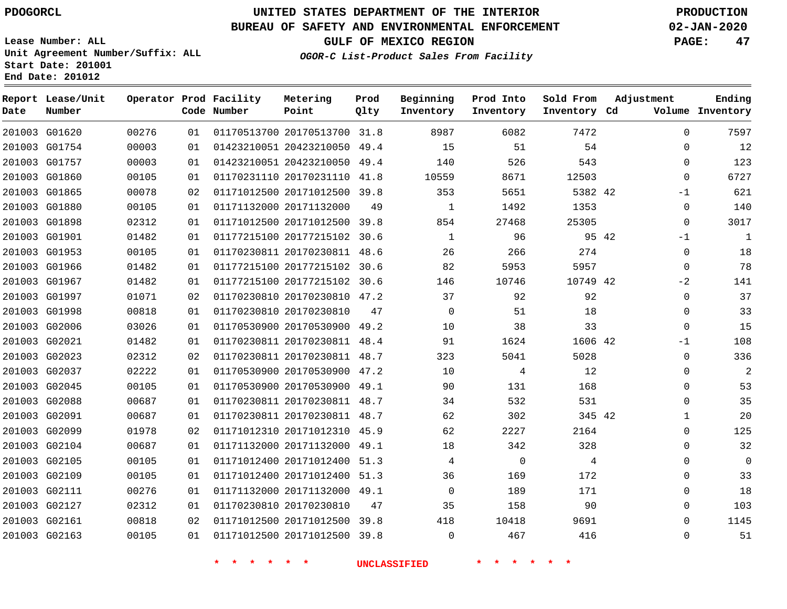**Report Lease/Unit**

# **UNITED STATES DEPARTMENT OF THE INTERIOR PDOGORCL PRODUCTION**

## **BUREAU OF SAFETY AND ENVIRONMENTAL ENFORCEMENT 02-JAN-2020**

**Lease Number: ALL Unit Agreement Number/Suffix: ALL Start Date: 201001**

**Operator Prod Facility Metering**

**GULF OF MEXICO REGION PAGE: 47**

**Prod**

**Adjustment**

**Ending**

**OGOR-C List-Product Sales From Facility**

**Beginning Prod Into Sold From**

| Date | Number        |       |    | Code Number | Point                        | Qlty | Inventory    | Inventory      | Inventory Cd |       |             | Volume Inventory |
|------|---------------|-------|----|-------------|------------------------------|------|--------------|----------------|--------------|-------|-------------|------------------|
|      | 201003 G01620 | 00276 | 01 |             | 01170513700 20170513700 31.8 |      | 8987         | 6082           | 7472         |       | $\mathbf 0$ | 7597             |
|      | 201003 G01754 | 00003 | 01 |             | 01423210051 20423210050      | 49.4 | 15           | 51             | 54           |       | $\mathbf 0$ | 12               |
|      | 201003 G01757 | 00003 | 01 |             | 01423210051 20423210050      | 49.4 | 140          | 526            | 543          |       | $\mathbf 0$ | 123              |
|      | 201003 G01860 | 00105 | 01 |             | 01170231110 20170231110      | 41.8 | 10559        | 8671           | 12503        |       | $\Omega$    | 6727             |
|      | 201003 G01865 | 00078 | 02 |             | 01171012500 20171012500 39.8 |      | 353          | 5651           | 5382 42      |       | $-1$        | 621              |
|      | 201003 G01880 | 00105 | 01 |             | 01171132000 20171132000      | 49   | 1            | 1492           | 1353         |       | $\mathbf 0$ | 140              |
|      | 201003 G01898 | 02312 | 01 |             | 01171012500 20171012500 39.8 |      | 854          | 27468          | 25305        |       | $\mathbf 0$ | 3017             |
|      | 201003 G01901 | 01482 | 01 |             | 01177215100 20177215102 30.6 |      | $\mathbf{1}$ | 96             |              | 95 42 | $-1$        | $\mathbf{1}$     |
|      | 201003 G01953 | 00105 | 01 |             | 01170230811 20170230811 48.6 |      | 26           | 266            | 274          |       | 0           | 18               |
|      | 201003 G01966 | 01482 | 01 |             | 01177215100 20177215102 30.6 |      | 82           | 5953           | 5957         |       | $\mathbf 0$ | 78               |
|      | 201003 G01967 | 01482 | 01 |             | 01177215100 20177215102      | 30.6 | 146          | 10746          | 10749 42     |       | $-2$        | 141              |
|      | 201003 G01997 | 01071 | 02 |             | 01170230810 20170230810 47.2 |      | 37           | 92             | 92           |       | $\mathbf 0$ | 37               |
|      | 201003 G01998 | 00818 | 01 |             | 01170230810 20170230810      | 47   | $\mathbf 0$  | 51             | 18           |       | $\mathbf 0$ | 33               |
|      | 201003 G02006 | 03026 | 01 |             | 01170530900 20170530900 49.2 |      | 10           | 38             | 33           |       | $\mathbf 0$ | 15               |
|      | 201003 G02021 | 01482 | 01 |             | 01170230811 20170230811 48.4 |      | 91           | 1624           | 1606 42      |       | $-1$        | 108              |
|      | 201003 G02023 | 02312 | 02 |             | 01170230811 20170230811 48.7 |      | 323          | 5041           | 5028         |       | $\mathbf 0$ | 336              |
|      | 201003 G02037 | 02222 | 01 |             | 01170530900 20170530900 47.2 |      | 10           | 4              | 12           |       | $\mathbf 0$ | $\overline{2}$   |
|      | 201003 G02045 | 00105 | 01 |             | 01170530900 20170530900 49.1 |      | 90           | 131            | 168          |       | 0           | 53               |
|      | 201003 G02088 | 00687 | 01 |             | 01170230811 20170230811 48.7 |      | 34           | 532            | 531          |       | $\Omega$    | 35               |
|      | 201003 G02091 | 00687 | 01 |             | 01170230811 20170230811 48.7 |      | 62           | 302            | 345 42       |       | 1           | 20               |
|      | 201003 G02099 | 01978 | 02 |             | 01171012310 20171012310 45.9 |      | 62           | 2227           | 2164         |       | $\mathbf 0$ | 125              |
|      | 201003 G02104 | 00687 | 01 |             | 01171132000 20171132000 49.1 |      | 18           | 342            | 328          |       | $\mathbf 0$ | 32               |
|      | 201003 G02105 | 00105 | 01 |             | 01171012400 20171012400 51.3 |      | 4            | $\overline{0}$ | 4            |       | $\mathbf 0$ | $\Omega$         |
|      | 201003 G02109 | 00105 | 01 |             | 01171012400 20171012400 51.3 |      | 36           | 169            | 172          |       | $\mathbf 0$ | 33               |
|      | 201003 G02111 | 00276 | 01 |             | 01171132000 20171132000 49.1 |      | $\mathbf 0$  | 189            | 171          |       | $\mathbf 0$ | 18               |
|      | 201003 G02127 | 02312 | 01 |             | 01170230810 20170230810      | 47   | 35           | 158            | 90           |       | $\Omega$    | 103              |
|      | 201003 G02161 | 00818 | 02 |             | 01171012500 20171012500 39.8 |      | 418          | 10418          | 9691         |       | $\mathbf 0$ | 1145             |
|      | 201003 G02163 | 00105 | 01 |             | 01171012500 20171012500 39.8 |      | $\mathbf 0$  | 467            | 416          |       | $\mathbf 0$ | 51               |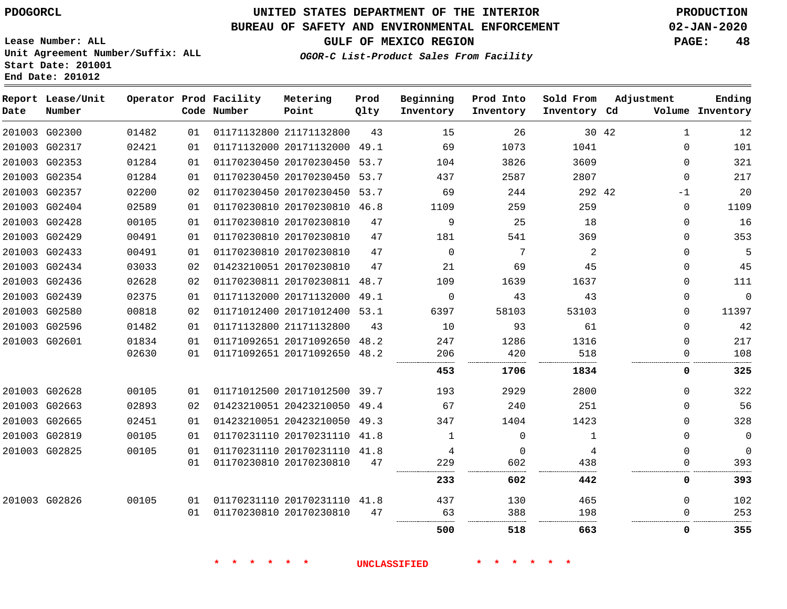**Date**

# **UNITED STATES DEPARTMENT OF THE INTERIOR PDOGORCL PRODUCTION**

## **BUREAU OF SAFETY AND ENVIRONMENTAL ENFORCEMENT 02-JAN-2020**

**OGOR-C List-Product Sales From Facility**

**GULF OF MEXICO REGION PAGE: 48**

 $\Omega$ 

 

**Lease Number: ALL Unit Agreement Number/Suffix: ALL Start Date: 201001 End Date: 201012**

| Lease/Unit<br>Number |       |    | Operator Prod Facility<br>Code Number | Metering<br>Point            | Prod<br>Qlty | Beginning<br>Inventory | Prod Into<br>Inventory | Sold From<br>Inventory Cd | Adjustment |              | Ending<br>Volume Inventory |
|----------------------|-------|----|---------------------------------------|------------------------------|--------------|------------------------|------------------------|---------------------------|------------|--------------|----------------------------|
| G02300               | 01482 | 01 |                                       | 01171132800 21171132800      | 43           | 15                     | 26                     |                           | 30 42      | $\mathbf{1}$ | 12                         |
| G02317               | 02421 | 01 |                                       | 01171132000 20171132000      | 49.1         | 69                     | 1073                   | 1041                      |            | 0            | 101                        |
| G02353               | 01284 | 01 |                                       | 01170230450 20170230450 53.7 |              | 104                    | 3826                   | 3609                      |            | 0            | 321                        |
| G02354               | 01284 | 01 |                                       | 01170230450 20170230450      | 53.7         | 437                    | 2587                   | 2807                      |            | $\Omega$     | 217                        |
| G02357               | 02200 | 02 |                                       | 01170230450 20170230450 53.7 |              | 69                     | 244                    | 292 42                    |            | $-1$         | 20                         |
| G02404               | 02589 | 01 |                                       | 01170230810 20170230810      | 46.8         | 1109                   | 259                    | 259                       |            | $\Omega$     | 1109                       |
| G02428               | 00105 | 01 |                                       | 01170230810 20170230810      | 47           | 9                      | 25                     | 18                        |            | $\Omega$     | 16                         |
| G02429               | 00491 | 01 |                                       | 01170230810 20170230810      | 47           | 181                    | 541                    | 369                       |            | $\Omega$     | 353                        |
| G02433               | 00491 | 01 |                                       | 01170230810 20170230810      | 47           | $\Omega$               | 7                      | $\overline{2}$            |            | 0            | 5                          |
| G02434               | 03033 | 02 |                                       | 01423210051 20170230810      | 47           | 21                     | 69                     | 45                        |            | $\Omega$     | 45                         |
| G02436               | 02628 | 02 |                                       | 01170230811 20170230811 48.7 |              | 109                    | 1639                   | 1637                      |            | $\Omega$     | 111                        |
| G02439               | 02375 | 01 |                                       | 01171132000 20171132000      | 49.1         | 0                      | 43                     | 43                        |            | 0            | 0                          |
| G02580               | 00818 | 02 |                                       | 01171012400 20171012400 53.1 |              | 6397                   | 58103                  | 53103                     |            | 0            | 11397                      |
| G02596               | 01482 | 01 |                                       | 01171132800 21171132800      | 43           | 10                     | 93                     | 61                        |            | $\Omega$     | 42                         |
| G02601               | 01834 | 01 |                                       | 01171092651 20171092650      | 48.2         | 247                    | 1286                   | 1316                      |            | $\Omega$     | 217                        |
|                      | 02630 | 01 |                                       | 01171092651 20171092650 48.2 |              | 206                    | 420                    | 518                       |            | $\Omega$     | 108                        |
|                      |       |    |                                       |                              |              | 453                    | 1706                   | 1834                      |            | 0            | 325                        |
| G02628               | 00105 | 01 |                                       | 01171012500 20171012500 39.7 |              | 193                    | 2929                   | 2800                      |            | $\Omega$     | 322                        |
| G02663               | 02893 | 02 |                                       | 01423210051 20423210050      | 49.4         | 67                     | 240                    | 251                       |            | 0            | 56                         |
| G02665               | 02451 | 01 |                                       | 01423210051 20423210050      | 49.3         | 347                    | 1404                   | 1423                      |            | 0            | 328                        |
| G02819               | 00105 | 01 |                                       | 01170231110 20170231110      | 41.8         | 1                      | $\Omega$               | 1                         |            | 0            | 0                          |
| G02825               | 00105 | 01 |                                       | 01170231110 20170231110 41.8 |              | 4                      | <sup>0</sup>           | 4                         |            | 0            | 0                          |
|                      |       | 01 |                                       | 01170230810 20170230810      | 47           | 229                    | 602                    | 438                       |            | 0            | 393                        |

G02826

 

**\* \* \* \* \* \* UNCLASSIFIED \* \* \* \* \* \***

 

 

 

20170230810

20170231110 41.8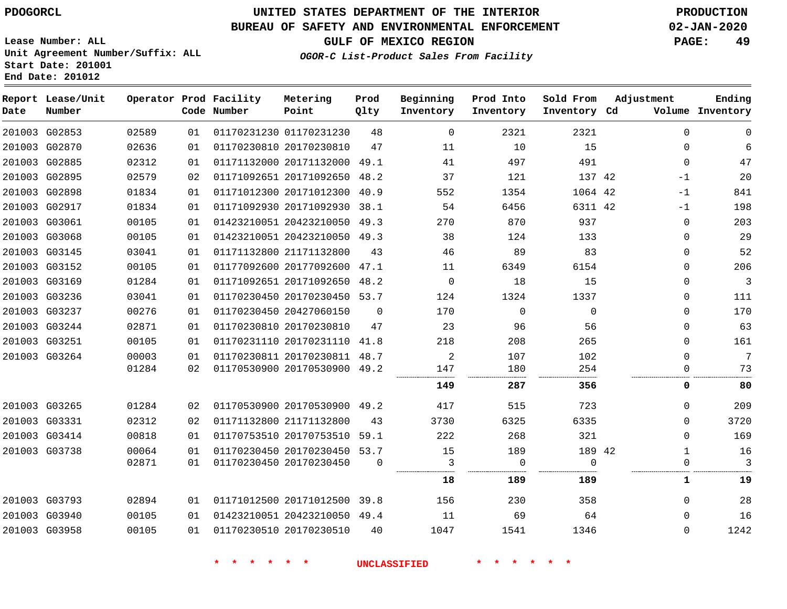## **BUREAU OF SAFETY AND ENVIRONMENTAL ENFORCEMENT 02-JAN-2020**

**Unit Agreement Number/Suffix: ALL**

**OGOR-C List-Product Sales From Facility**

**GULF OF MEXICO REGION PAGE: 49**

**Start Date: 201001 End Date: 201012**

**Lease Number: ALL**

| Date | Report Lease/Unit<br>Number |       |    | Operator Prod Facility<br>Code Number | Metering<br>Point            | Prod<br>Qlty | Beginning<br>Inventory | Prod Into<br>Inventory | Sold From<br>Inventory Cd | Adjustment   | Ending<br>Volume Inventory |
|------|-----------------------------|-------|----|---------------------------------------|------------------------------|--------------|------------------------|------------------------|---------------------------|--------------|----------------------------|
|      | 201003 G02853               | 02589 | 01 |                                       | 01170231230 01170231230      | 48           | $\mathbf 0$            | 2321                   | 2321                      | $\mathbf 0$  | $\mathbf 0$                |
|      | 201003 G02870               | 02636 | 01 |                                       | 01170230810 20170230810      | 47           | 11                     | 10                     | 15                        | $\mathbf 0$  | 6                          |
|      | 201003 G02885               | 02312 | 01 |                                       | 01171132000 20171132000      | 49.1         | 41                     | 497                    | 491                       | $\mathbf 0$  | 47                         |
|      | 201003 G02895               | 02579 | 02 |                                       | 01171092651 20171092650 48.2 |              | 37                     | 121                    | 137 42                    | $-1$         | 20                         |
|      | 201003 G02898               | 01834 | 01 |                                       | 01171012300 20171012300 40.9 |              | 552                    | 1354                   | 1064 42                   | $-1$         | 841                        |
|      | 201003 G02917               | 01834 | 01 |                                       | 01171092930 20171092930 38.1 |              | 54                     | 6456                   | 6311 42                   | $-1$         | 198                        |
|      | 201003 G03061               | 00105 | 01 |                                       | 01423210051 20423210050      | 49.3         | 270                    | 870                    | 937                       | $\mathbf 0$  | 203                        |
|      | 201003 G03068               | 00105 | 01 |                                       | 01423210051 20423210050 49.3 |              | 38                     | 124                    | 133                       | $\Omega$     | 29                         |
|      | 201003 G03145               | 03041 | 01 |                                       | 01171132800 21171132800      | 43           | 46                     | 89                     | 83                        | $\Omega$     | 52                         |
|      | 201003 G03152               | 00105 | 01 |                                       | 01177092600 20177092600 47.1 |              | 11                     | 6349                   | 6154                      | 0            | 206                        |
|      | 201003 G03169               | 01284 | 01 |                                       | 01171092651 20171092650 48.2 |              | 0                      | 18                     | 15                        | $\mathbf 0$  | $\mathbf{3}$               |
|      | 201003 G03236               | 03041 | 01 |                                       | 01170230450 20170230450 53.7 |              | 124                    | 1324                   | 1337                      | $\mathbf 0$  | 111                        |
|      | 201003 G03237               | 00276 | 01 |                                       | 01170230450 20427060150      | $\Omega$     | 170                    | $\Omega$               | $\Omega$                  | $\Omega$     | 170                        |
|      | 201003 G03244               | 02871 | 01 |                                       | 01170230810 20170230810      | 47           | 23                     | 96                     | 56                        | $\mathbf 0$  | 63                         |
|      | 201003 G03251               | 00105 | 01 |                                       | 01170231110 20170231110 41.8 |              | 218                    | 208                    | 265                       | $\Omega$     | 161                        |
|      | 201003 G03264               | 00003 | 01 |                                       | 01170230811 20170230811 48.7 |              | 2                      | 107                    | 102                       | $\Omega$     | 7                          |
|      |                             | 01284 | 02 |                                       | 01170530900 20170530900 49.2 |              | 147                    | 180                    | 254                       | $\mathbf 0$  | 73                         |
|      |                             |       |    |                                       |                              |              | 149                    | 287                    | 356                       | 0            | 80                         |
|      | 201003 G03265               | 01284 | 02 |                                       | 01170530900 20170530900 49.2 |              | 417                    | 515                    | 723                       | $\Omega$     | 209                        |
|      | 201003 G03331               | 02312 | 02 |                                       | 01171132800 21171132800      | 43           | 3730                   | 6325                   | 6335                      | $\Omega$     | 3720                       |
|      | 201003 G03414               | 00818 | 01 |                                       | 01170753510 20170753510 59.1 |              | 222                    | 268                    | 321                       | $\Omega$     | 169                        |
|      | 201003 G03738               | 00064 | 01 |                                       | 01170230450 20170230450 53.7 |              | 15                     | 189                    | 189 42                    | $\mathbf{1}$ | 16                         |
|      |                             | 02871 | 01 |                                       | 01170230450 20170230450      | $\Omega$     | 3                      | 0                      | $\Omega$                  | $\mathbf 0$  | 3                          |
|      |                             |       |    |                                       |                              |              | 18                     | 189                    | 189                       | 1            | 19                         |
|      | 201003 G03793               | 02894 | 01 |                                       | 01171012500 20171012500 39.8 |              | 156                    | 230                    | 358                       | $\mathbf 0$  | 28                         |
|      | 201003 G03940               | 00105 | 01 |                                       | 01423210051 20423210050 49.4 |              | 11                     | 69                     | 64                        | $\Omega$     | 16                         |
|      | 201003 G03958               | 00105 | 01 |                                       | 01170230510 20170230510      | 40           | 1047                   | 1541                   | 1346                      | $\Omega$     | 1242                       |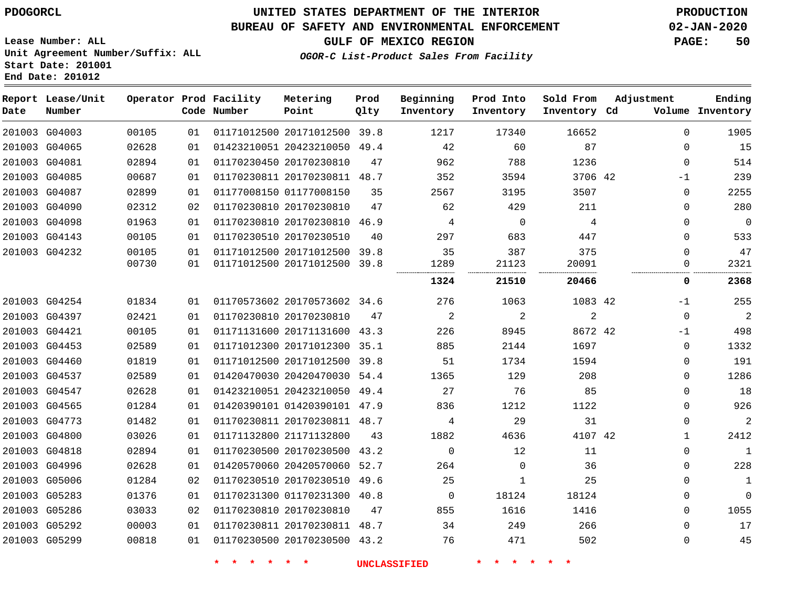## **BUREAU OF SAFETY AND ENVIRONMENTAL ENFORCEMENT 02-JAN-2020**

**GULF OF MEXICO REGION PAGE: 50**

**Lease Number: ALL Unit Agreement Number/Suffix: ALL Start Date: 201001 End Date: 201012**

| Date | Report Lease/Unit<br>Number |       |    | Operator Prod Facility<br>Code Number | Metering<br>Point            | Prod<br>Qlty | Beginning<br>Inventory | Prod Into<br>Inventory | Sold From<br>Inventory Cd | Adjustment |              | Ending<br>Volume Inventory |
|------|-----------------------------|-------|----|---------------------------------------|------------------------------|--------------|------------------------|------------------------|---------------------------|------------|--------------|----------------------------|
|      | 201003 G04003               | 00105 | 01 |                                       | 01171012500 20171012500 39.8 |              | 1217                   | 17340                  | 16652                     |            | $\Omega$     | 1905                       |
|      | 201003 G04065               | 02628 | 01 |                                       | 01423210051 20423210050 49.4 |              | 42                     | 60                     | 87                        |            | $\Omega$     | 15                         |
|      | 201003 G04081               | 02894 | 01 |                                       | 01170230450 20170230810      | 47           | 962                    | 788                    | 1236                      |            | $\mathbf{0}$ | 514                        |
|      | 201003 G04085               | 00687 | 01 |                                       | 01170230811 20170230811      | 48.7         | 352                    | 3594                   | 3706 42                   |            | -1           | 239                        |
|      | 201003 G04087               | 02899 | 01 |                                       | 01177008150 01177008150      | 35           | 2567                   | 3195                   | 3507                      |            | 0            | 2255                       |
|      | 201003 G04090               | 02312 | 02 |                                       | 01170230810 20170230810      | 47           | 62                     | 429                    | 211                       |            | $\Omega$     | 280                        |
|      | 201003 G04098               | 01963 | 01 |                                       | 01170230810 20170230810 46.9 |              | 4                      | 0                      | 4                         |            | $\mathbf 0$  | $\mathbf 0$                |
|      | 201003 G04143               | 00105 | 01 |                                       | 01170230510 20170230510      | 40           | 297                    | 683                    | 447                       |            | $\mathbf{0}$ | 533                        |
|      | 201003 G04232               | 00105 | 01 |                                       | 01171012500 20171012500 39.8 |              | 35                     | 387                    | 375                       |            | $\Omega$     | 47                         |
|      |                             | 00730 | 01 |                                       | 01171012500 20171012500 39.8 |              | 1289                   | 21123                  | 20091                     |            | 0            | 2321                       |
|      |                             |       |    |                                       |                              |              | 1324                   | 21510                  | 20466                     |            | 0            | 2368                       |
|      | 201003 G04254               | 01834 | 01 |                                       | 01170573602 20170573602 34.6 |              | 276                    | 1063                   | 1083 42                   |            | -1           | 255                        |
|      | 201003 G04397               | 02421 | 01 |                                       | 01170230810 20170230810      | 47           | 2                      | $\overline{c}$         | $\overline{a}$            |            | $\mathbf 0$  | $\overline{a}$             |
|      | 201003 G04421               | 00105 | 01 |                                       | 01171131600 20171131600 43.3 |              | 226                    | 8945                   | 8672 42                   |            | $-1$         | 498                        |
|      | 201003 G04453               | 02589 | 01 |                                       | 01171012300 20171012300 35.1 |              | 885                    | 2144                   | 1697                      |            | $\mathbf{0}$ | 1332                       |
|      | 201003 G04460               | 01819 | 01 |                                       | 01171012500 20171012500 39.8 |              | 51                     | 1734                   | 1594                      |            | $\mathbf 0$  | 191                        |
|      | 201003 G04537               | 02589 | 01 |                                       | 01420470030 20420470030 54.4 |              | 1365                   | 129                    | 208                       |            | 0            | 1286                       |
|      | 201003 G04547               | 02628 | 01 |                                       | 01423210051 20423210050 49.4 |              | 27                     | 76                     | 85                        |            | $\mathbf 0$  | 18                         |
|      | 201003 G04565               | 01284 | 01 |                                       | 01420390101 01420390101 47.9 |              | 836                    | 1212                   | 1122                      |            | 0            | 926                        |
|      | 201003 G04773               | 01482 | 01 |                                       | 01170230811 20170230811 48.7 |              | 4                      | 29                     | 31                        |            | $\Omega$     | $\overline{2}$             |
|      | 201003 G04800               | 03026 | 01 |                                       | 01171132800 21171132800      | 43           | 1882                   | 4636                   | 4107 42                   |            | $\mathbf{1}$ | 2412                       |
|      | 201003 G04818               | 02894 | 01 |                                       | 01170230500 20170230500 43.2 |              | $\Omega$               | 12                     | 11                        |            | $\Omega$     | $\mathbf{1}$               |
|      | 201003 G04996               | 02628 | 01 |                                       | 01420570060 20420570060 52.7 |              | 264                    | $\mathbf 0$            | 36                        |            | 0            | 228                        |
|      | 201003 G05006               | 01284 | 02 |                                       | 01170230510 20170230510 49.6 |              | 25                     | 1                      | 25                        |            | $\Omega$     | $\mathbf 1$                |
|      | 201003 G05283               | 01376 | 01 |                                       | 01170231300 01170231300 40.8 |              | $\mathbf 0$            | 18124                  | 18124                     |            | 0            | $\mathbf 0$                |
|      | 201003 G05286               | 03033 | 02 |                                       | 01170230810 20170230810      | 47           | 855                    | 1616                   | 1416                      |            | $\Omega$     | 1055                       |
|      | 201003 G05292               | 00003 | 01 |                                       | 01170230811 20170230811 48.7 |              | 34                     | 249                    | 266                       |            | 0            | 17                         |
|      | 201003 G05299               | 00818 | 01 |                                       | 01170230500 20170230500 43.2 |              | 76                     | 471                    | 502                       |            | 0            | 45                         |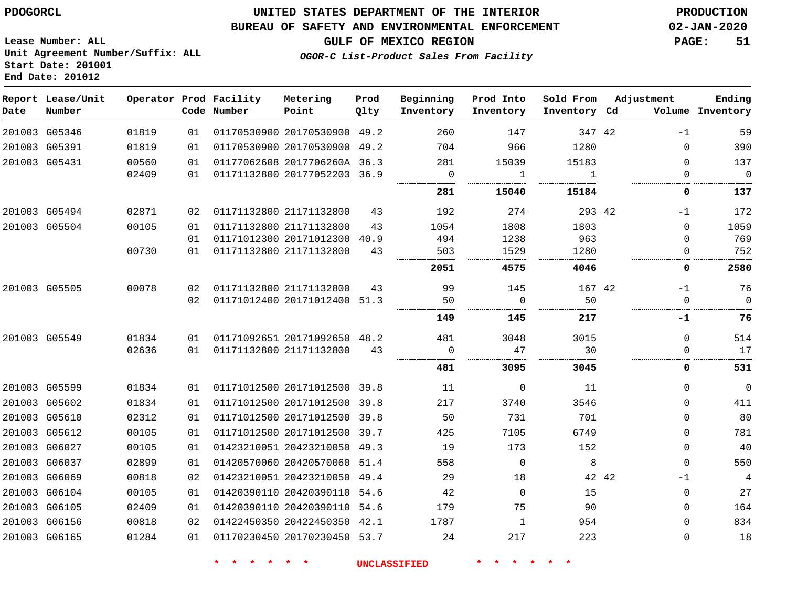G05346 G05391 G05431

**Date**

**Report Lease/Unit**

**Number**

 G05494 G05504

G05505

G05549

 G05599 G05602 G05610 G05612 G06027 G06037 G06069 G06104 G06105 G06156 G06165

## **UNITED STATES DEPARTMENT OF THE INTERIOR PDOGORCL PRODUCTION**

### **BUREAU OF SAFETY AND ENVIRONMENTAL ENFORCEMENT 02-JAN-2020**

**Lease Number: ALL Unit Agreement Number/Suffix: ALL Start Date: 201001 End Date: 201012**

**Operator Prod Facility**

**OGOR-C List-Product Sales From Facility**

**Beginning**

**Prod Into**

**Sold From**

**Adjustment**

 $\Omega$   $\Omega$  $\Omega$  $\Omega$  $\Omega$ -1  $\Omega$ 

**GULF OF MEXICO REGION PAGE: 51**

**Ending**

|       |    | Code Number | Point                   | Qlty | Inventory | Inventory | Inventory | Cd. | Volume       | Inventory          |
|-------|----|-------------|-------------------------|------|-----------|-----------|-----------|-----|--------------|--------------------|
| 01819 | 01 |             | 01170530900 20170530900 | 49.2 | 260       | 147       | 347 42    |     | $-1$         | 59                 |
| 01819 | 01 |             | 01170530900 20170530900 | 49.2 | 704       | 966       | 1280      |     | $\Omega$     | 390                |
| 00560 | 01 |             | 01177062608 2017706260A | 36.3 | 281       | 15039     | 15183     |     | $\Omega$     | 137                |
| 02409 | 01 |             | 01171132800 20177052203 | 36.9 | $\Omega$  |           |           |     | O            | $\Omega$           |
|       |    |             |                         |      | 281       | 15040     | 15184     |     | 0            | -----------<br>137 |
| 02871 | 02 |             | 01171132800 21171132800 | 43   | 192       | 274       | 293 42    |     | $-1$         | 172                |
| 00105 | 01 |             | 01171132800 21171132800 | 43   | 1054      | 1808      | 1803      |     | 0            | 1059               |
|       | 01 |             | 01171012300 20171012300 | 40.9 | 494       | 1238      | 963       |     | <sup>n</sup> | 769                |
| 00730 | 01 |             | 01171132800 21171132800 | 43   | 503       | 1529      | 1280      |     | $\Omega$     | 752                |
|       |    |             |                         |      | 2051      | 4575      | 4046      |     | 0            | 2580               |
| 00078 | 02 |             | 01171132800 21171132800 | 43   | 99        | 145       | 167 42    |     | $-1$         | 76                 |
|       | 02 |             | 01171012400 20171012400 | 51.3 | 50<br>    | C         | 50        |     | O            | 0                  |
|       |    |             |                         |      | 149       | 145       | 217       |     | -1           | 76                 |
| 01834 | 01 |             | 01171092651 20171092650 | 48.2 | 481       | 3048      | 3015      |     | $\Omega$     | 514                |
| 02636 | 01 |             | 01171132800 21171132800 | 43   | $\Omega$  | 47        | 30        |     |              | 17                 |
|       |    |             |                         |      | 481       | 3095      | 3045      |     | 0            | 531                |
| 01834 | 01 |             | 01171012500 20171012500 | 39.8 | 11        | $\Omega$  | 11        |     | $\Omega$     | 0                  |
| 01834 | 01 |             | 01171012500 20171012500 | 39.8 | 217       | 3740      | 3546      |     | $\Omega$     | 411                |
| 02312 | 01 |             | 01171012500 20171012500 | 39.8 | 50        | 731       | 701       |     | $\Omega$     | 80                 |
| 00105 | 01 |             | 01171012500 20171012500 | 39.7 | 425       | 7105      | 6749      |     | <sup>n</sup> | 781                |

**Prod**

**\* \* \* \* \* \* UNCLASSIFIED \* \* \* \* \* \***

 20171012500 39.7 20423210050 49.3 20420570060 51.4 20423210050 49.4 20420390110 54.6 20420390110 54.6 20422450350 42.1 20170230450 53.7

**Metering**

42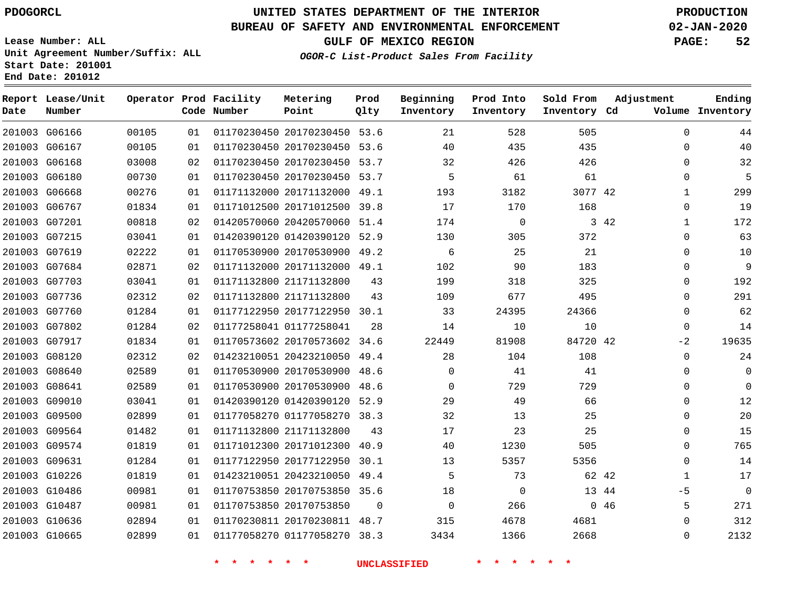**Report Lease/Unit**

**Number**

## **UNITED STATES DEPARTMENT OF THE INTERIOR PDOGORCL PRODUCTION**

**Prod Qlty**

## **BUREAU OF SAFETY AND ENVIRONMENTAL ENFORCEMENT 02-JAN-2020**

**Lease Number: ALL Unit Agreement Number/Suffix: ALL Start Date: 201001 End Date: 201012**

**Operator Prod Facility**

**Code Number**

**OGOR-C List-Product Sales From Facility**

**Beginning Inventory**

**Prod Into Inventory**

**Sold From Inventory**

**GULF OF MEXICO REGION PAGE: 52**

**Inventory Cd Volume**

**Adjustment**

  $\Omega$  $\Omega$   $\Omega$   $\Omega$  $\Omega$  $\Omega$   $\Omega$  $\Omega$  $\Omega$  $-2$  $\Omega$  $\Omega$  $\Omega$  $\Omega$  $\Omega$  $\Omega$  $\Omega$  $\Omega$  -5  $\Omega$ 

**Ending**

| 201003 G06166 |       |    |                                    |                              | 00105 01 01170230450 20170230450 53.6 21                                  | 528 32         | 505       |  |
|---------------|-------|----|------------------------------------|------------------------------|---------------------------------------------------------------------------|----------------|-----------|--|
| 201003 G06167 | 00105 |    |                                    |                              | 01 01170230450 20170230450 53.6 40                                        | 435            | 435       |  |
| 201003 G06168 | 03008 |    |                                    |                              | 02 01170230450 20170230450 53.7 32                                        | 426            | 426       |  |
| 201003 G06180 | 00730 |    |                                    |                              | 01 01170230450 20170230450 53.7 5                                         | 61             | 61        |  |
| 201003 G06668 | 00276 | 01 |                                    |                              | 01171132000 20171132000 49.1 193                                          | 3182           | 3077 42   |  |
| 201003 G06767 | 01834 |    |                                    |                              | 01 01171012500 20171012500 39.8 17 170                                    |                | 168       |  |
| 201003 G07201 | 00818 | 02 |                                    |                              | 01420570060 20420570060 51.4 174                                          | $\overline{0}$ | $3 \t 42$ |  |
| 201003 G07215 | 03041 |    |                                    |                              | 01 01420390120 01420390120 52.9 130 305                                   |                | 372       |  |
| 201003 G07619 | 02222 | 01 |                                    | 01170530900 20170530900 49.2 |                                                                           | $6$ 25         | 21        |  |
| 201003 G07684 | 02871 |    | 02  01171132000  20171132000  49.1 |                              | 102                                                                       | 90             | 183       |  |
| 201003 G07703 | 03041 | 01 |                                    | 01171132800 21171132800 43   |                                                                           | 199 318        | 325       |  |
| 201003 G07736 | 02312 |    |                                    |                              | 02 01171132800 21171132800 43 109 677 495                                 |                |           |  |
| 201003 G07760 | 01284 | 01 |                                    |                              | 01177122950 20177122950 30.1 33                                           | 24395          | 24366     |  |
| 201003 G07802 | 01284 |    |                                    |                              | 02 01177258041 01177258041 28 14 10                                       |                | 10        |  |
| 201003 G07917 | 01834 | 01 |                                    |                              | 01170573602 20170573602 34.6 22449 81908 84720 42                         |                |           |  |
| 201003 G08120 | 02312 | 02 |                                    |                              | 01423210051 20423210050 49.4 28 104                                       |                | 108       |  |
| 201003 G08640 | 02589 | 01 |                                    |                              | 01170530900 20170530900 48.6 0                                            | 41             | 41        |  |
| 201003 G08641 | 02589 | 01 |                                    |                              | 01170530900 20170530900 48.6 0                                            | 729            | 729       |  |
| 201003 G09010 | 03041 | 01 |                                    |                              | 01420390120 01420390120 52.9 29 49 66                                     |                |           |  |
| 201003 G09500 | 02899 | 01 |                                    |                              | 01177058270 01177058270 38.3 32 13 25                                     |                |           |  |
| 201003 G09564 | 01482 | 01 |                                    | 01171132800 21171132800 43   |                                                                           | 17 23          | 25        |  |
| 201003 G09574 | 01819 | 01 |                                    |                              | 01171012300 20171012300 40.9 40                                           | 1230           | 505       |  |
| 201003 G09631 | 01284 | 01 |                                    |                              | 01177122950 20177122950 30.1 13                                           | 5357           | 5356      |  |
| 201003 G10226 | 01819 | 01 |                                    |                              | 01423210051 20423210050 49.4 5 73 62 42                                   |                |           |  |
| 201003 G10486 | 00981 | 01 |                                    |                              | 01170753850 20170753850 35.6 18 0                                         |                | 13 44     |  |
| 201003 G10487 | 00981 | 01 |                                    |                              | 01170753850 20170753850 0 0 0                                             | 266 046        |           |  |
| 201003 G10636 | 02894 |    |                                    |                              | 01 01170230811 20170230811 48.7 315                                       | 4678           | 4681      |  |
|               |       |    |                                    |                              | 201003 G10665  02899  01  01177058270 01177058270  38.3  3434  1366  2668 |                |           |  |
|               |       |    |                                    |                              | * * * * * * UNCLASSIFIED * * * * * *                                      |                |           |  |

**Metering Point**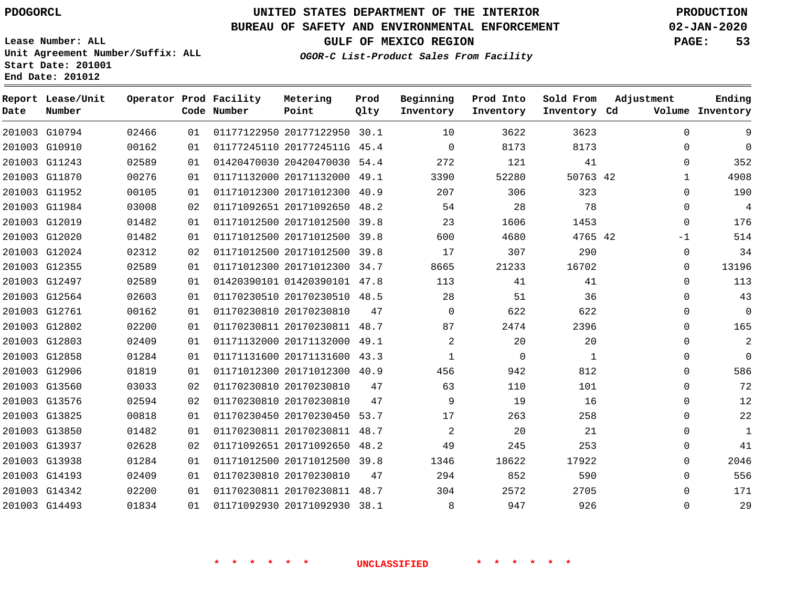## **BUREAU OF SAFETY AND ENVIRONMENTAL ENFORCEMENT 02-JAN-2020**

**Lease Number: ALL Unit Agreement Number/Suffix: ALL Start Date: 201001 End Date: 201012**

**OGOR-C List-Product Sales From Facility**

**GULF OF MEXICO REGION PAGE: 53**

**Ending**

| Date | Report Lease/Unit<br>Number |       |    | Operator Prod Facility<br>Code Number | Metering<br>Point            | Prod<br>Qlty | Beginning<br>Inventory | Prod Into<br>Inventory | Sold From<br>Inventory Cd | Adjustment   | Ending<br>Volume Inventory |
|------|-----------------------------|-------|----|---------------------------------------|------------------------------|--------------|------------------------|------------------------|---------------------------|--------------|----------------------------|
|      | 201003 G10794               | 02466 | 01 |                                       | 01177122950 20177122950 30.1 |              | 10                     | 3622                   | 3623                      | $\Omega$     | 9                          |
|      | 201003 G10910               | 00162 | 01 |                                       | 01177245110 2017724511G 45.4 |              | $\Omega$               | 8173                   | 8173                      | $\Omega$     | $\Omega$                   |
|      | 201003 G11243               | 02589 | 01 |                                       | 01420470030 20420470030 54.4 |              | 272                    | 121                    | 41                        | $\Omega$     | 352                        |
|      | 201003 G11870               | 00276 | 01 |                                       | 01171132000 20171132000 49.1 |              | 3390                   | 52280                  | 50763 42                  | $\mathbf{1}$ | 4908                       |
|      | 201003 G11952               | 00105 | 01 |                                       | 01171012300 20171012300 40.9 |              | 207                    | 306                    | 323                       | $\Omega$     | 190                        |
|      | 201003 G11984               | 03008 | 02 |                                       | 01171092651 20171092650 48.2 |              | 54                     | 28                     | 78                        | $\mathbf 0$  | 4                          |
|      | 201003 G12019               | 01482 | 01 |                                       | 01171012500 20171012500      | 39.8         | 23                     | 1606                   | 1453                      | $\Omega$     | 176                        |
|      | 201003 G12020               | 01482 | 01 |                                       | 01171012500 20171012500 39.8 |              | 600                    | 4680                   | 4765 42                   | $-1$         | 514                        |
|      | 201003 G12024               | 02312 | 02 |                                       | 01171012500 20171012500 39.8 |              | 17                     | 307                    | 290                       | $\mathbf 0$  | 34                         |
|      | 201003 G12355               | 02589 | 01 |                                       | 01171012300 20171012300 34.7 |              | 8665                   | 21233                  | 16702                     | $\Omega$     | 13196                      |
|      | 201003 G12497               | 02589 | 01 |                                       | 01420390101 01420390101 47.8 |              | 113                    | 41                     | 41                        | $\mathbf 0$  | 113                        |
|      | 201003 G12564               | 02603 | 01 |                                       | 01170230510 20170230510 48.5 |              | 28                     | 51                     | 36                        | $\Omega$     | 43                         |
|      | 201003 G12761               | 00162 | 01 |                                       | 01170230810 20170230810      | 47           | $\Omega$               | 622                    | 622                       | $\Omega$     | $\mathbf 0$                |
|      | 201003 G12802               | 02200 | 01 |                                       | 01170230811 20170230811 48.7 |              | 87                     | 2474                   | 2396                      | $\Omega$     | 165                        |
|      | 201003 G12803               | 02409 | 01 |                                       | 01171132000 20171132000 49.1 |              | $\overline{a}$         | 20                     | 20                        | $\Omega$     | 2                          |
|      | 201003 G12858               | 01284 | 01 |                                       | 01171131600 20171131600 43.3 |              | $\mathbf{1}$           | 0                      | $\mathbf{1}$              | $\Omega$     | $\mathbf 0$                |
|      | 201003 G12906               | 01819 | 01 |                                       | 01171012300 20171012300 40.9 |              | 456                    | 942                    | 812                       | $\Omega$     | 586                        |
|      | 201003 G13560               | 03033 | 02 |                                       | 01170230810 20170230810      | 47           | 63                     | 110                    | 101                       | $\Omega$     | 72                         |
|      | 201003 G13576               | 02594 | 02 |                                       | 01170230810 20170230810      | 47           | 9                      | 19                     | 16                        | $\Omega$     | 12                         |
|      | 201003 G13825               | 00818 | 01 |                                       | 01170230450 20170230450 53.7 |              | 17                     | 263                    | 258                       | $\mathbf 0$  | 22                         |
|      | 201003 G13850               | 01482 | 01 |                                       | 01170230811 20170230811 48.7 |              | $\overline{2}$         | 20                     | 21                        | $\Omega$     | $\mathbf 1$                |
|      | 201003 G13937               | 02628 | 02 |                                       | 01171092651 20171092650      | 48.2         | 49                     | 245                    | 253                       | $\Omega$     | 41                         |
|      | 201003 G13938               | 01284 | 01 |                                       | 01171012500 20171012500 39.8 |              | 1346                   | 18622                  | 17922                     | $\Omega$     | 2046                       |
|      | 201003 G14193               | 02409 | 01 |                                       | 01170230810 20170230810      | 47           | 294                    | 852                    | 590                       | $\Omega$     | 556                        |
|      | 201003 G14342               | 02200 | 01 |                                       | 01170230811 20170230811      | 48.7         | 304                    | 2572                   | 2705                      | $\mathbf{0}$ | 171                        |
|      | 201003 G14493               | 01834 | 01 |                                       | 01171092930 20171092930 38.1 |              | 8                      | 947                    | 926                       | $\Omega$     | 29                         |
|      |                             |       |    |                                       |                              |              |                        |                        |                           |              |                            |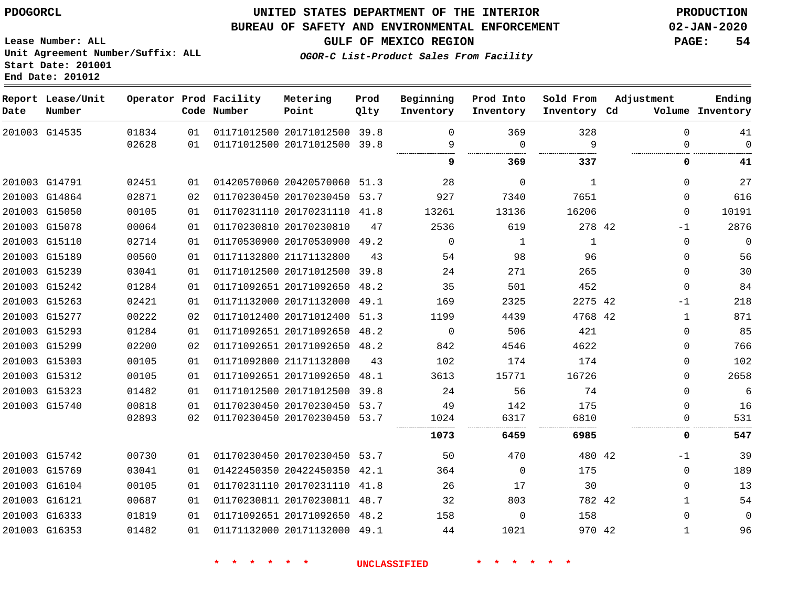**Start Date: 201001 End Date: 201012**

## **UNITED STATES DEPARTMENT OF THE INTERIOR PDOGORCL PRODUCTION**

## **BUREAU OF SAFETY AND ENVIRONMENTAL ENFORCEMENT 02-JAN-2020**

**Lease Number: ALL Unit Agreement Number/Suffix: ALL**

**GULF OF MEXICO REGION PAGE: 54**

**OGOR-C List-Product Sales From Facility**

| Date          | Report Lease/Unit<br>Number |       |    | Operator Prod Facility<br>Code Number | Metering<br>Point            | Prod<br>Qlty | Beginning<br>Inventory | Prod Into<br>Inventory | Sold From<br>Inventory Cd | Adjustment | Ending<br>Volume Inventory |
|---------------|-----------------------------|-------|----|---------------------------------------|------------------------------|--------------|------------------------|------------------------|---------------------------|------------|----------------------------|
|               | 201003 G14535               | 01834 | 01 |                                       | 01171012500 20171012500 39.8 |              | $\mathbf 0$            | 369                    | 328                       |            | $\mathbf 0$<br>41          |
|               |                             | 02628 | 01 |                                       | 01171012500 20171012500 39.8 |              | 9                      | $\overline{0}$         | 9                         |            | $\Omega$<br>0              |
|               |                             |       |    |                                       |                              |              | 9                      | 369                    | 337                       |            | 0<br>41                    |
| 201003 G14791 |                             | 02451 | 01 |                                       | 01420570060 20420570060 51.3 |              | 28                     | $\Omega$               | $\mathbf{1}$              |            | 27<br>$\Omega$             |
|               | 201003 G14864               | 02871 | 02 |                                       | 01170230450 20170230450 53.7 |              | 927                    | 7340                   | 7651                      |            | 616<br>$\Omega$            |
|               | 201003 G15050               | 00105 | 01 |                                       | 01170231110 20170231110 41.8 |              | 13261                  | 13136                  | 16206                     |            | 10191<br>$\Omega$          |
|               | 201003 G15078               | 00064 | 01 |                                       | 01170230810 20170230810      | 47           | 2536                   | 619                    | 278 42                    |            | 2876<br>$-1$               |
| 201003 G15110 |                             | 02714 | 01 |                                       | 01170530900 20170530900 49.2 |              | $\Omega$               | 1                      | 1                         |            | $\mathbf 0$<br>$\mathbf 0$ |
|               | 201003 G15189               | 00560 | 01 |                                       | 01171132800 21171132800      | 43           | 54                     | 98                     | 96                        |            | 56<br>$\Omega$             |
|               | 201003 G15239               | 03041 | 01 |                                       | 01171012500 20171012500      | 39.8         | 24                     | 271                    | 265                       |            | 30<br>$\mathbf 0$          |
|               | 201003 G15242               | 01284 | 01 |                                       | 01171092651 20171092650      | 48.2         | 35                     | 501                    | 452                       |            | 84<br>$\Omega$             |
|               | 201003 G15263               | 02421 | 01 |                                       | 01171132000 20171132000      | 49.1         | 169                    | 2325                   | 2275 42                   |            | 218<br>$-1$                |
|               | 201003 G15277               | 00222 | 02 |                                       | 01171012400 20171012400      | 51.3         | 1199                   | 4439                   | 4768 42                   |            | 871<br>$\mathbf{1}$        |
|               | 201003 G15293               | 01284 | 01 |                                       | 01171092651 20171092650      | 48.2         | $\Omega$               | 506                    | 421                       |            | 85<br>$\Omega$             |
|               | 201003 G15299               | 02200 | 02 |                                       | 01171092651 20171092650 48.2 |              | 842                    | 4546                   | 4622                      |            | 766<br>$\Omega$            |
|               | 201003 G15303               | 00105 | 01 |                                       | 01171092800 21171132800      | 43           | 102                    | 174                    | 174                       |            | 102<br>0                   |
|               | 201003 G15312               | 00105 | 01 |                                       | 01171092651 20171092650      | 48.1         | 3613                   | 15771                  | 16726                     |            | 2658<br>$\Omega$           |
|               | 201003 G15323               | 01482 | 01 |                                       | 01171012500 20171012500      | 39.8         | 24                     | 56                     | 74                        |            | 6<br>$\Omega$              |
| 201003 G15740 |                             | 00818 | 01 |                                       | 01170230450 20170230450 53.7 |              | 49                     | 142                    | 175                       |            | 16<br>0                    |
|               |                             | 02893 | 02 |                                       | 01170230450 20170230450      | 53.7         | 1024                   | 6317                   | 6810                      |            | 531<br>0                   |
|               |                             |       |    |                                       |                              |              | 1073                   | 6459                   | 6985                      |            | 547<br>0                   |
|               | 201003 G15742               | 00730 | 01 |                                       | 01170230450 20170230450 53.7 |              | 50                     | 470                    | 480 42                    |            | 39<br>$-1$                 |
|               | 201003 G15769               | 03041 | 01 |                                       | 01422450350 20422450350 42.1 |              | 364                    | $\Omega$               | 175                       |            | 189<br>$\Omega$            |
|               | 201003 G16104               | 00105 | 01 |                                       | 01170231110 20170231110      | 41.8         | 26                     | 17                     | 30                        |            | 13<br>$\Omega$             |
| 201003 G16121 |                             | 00687 | 01 |                                       | 01170230811 20170230811 48.7 |              | 32                     | 803                    | 782 42                    |            | 54<br>$\mathbf{1}$         |
|               | 201003 G16333               | 01819 | 01 |                                       | 01171092651 20171092650 48.2 |              | 158                    | $\mathbf 0$            | 158                       |            | 0<br>$\Omega$              |
|               | 201003 G16353               | 01482 | 01 |                                       | 01171132000 20171132000 49.1 |              | 44                     | 1021                   | 970 42                    |            | 96<br>$\mathbf{1}$         |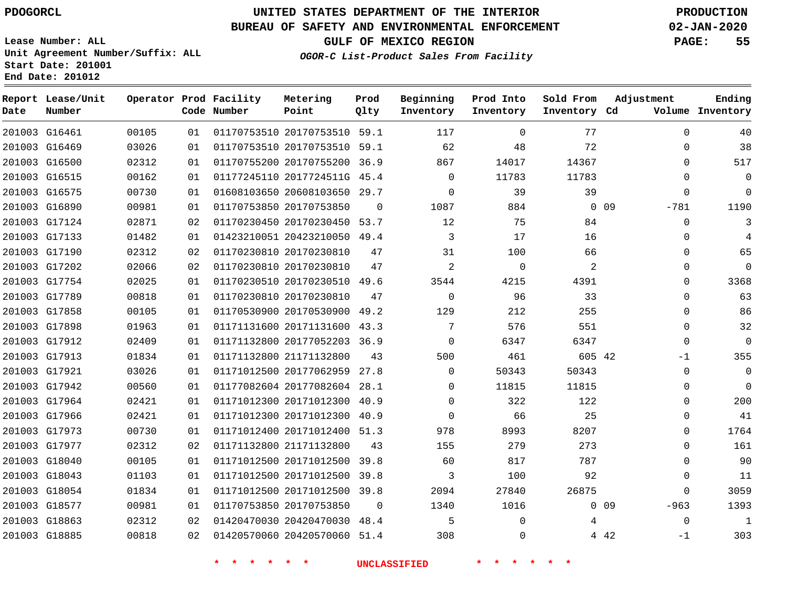G16461

**Date**

**Report Lease/Unit**

**Number**

# **UNITED STATES DEPARTMENT OF THE INTERIOR PDOGORCL PRODUCTION**

**Prod Qlty**

## **BUREAU OF SAFETY AND ENVIRONMENTAL ENFORCEMENT 02-JAN-2020**

**Lease Number: ALL Unit Agreement Number/Suffix: ALL Start Date: 201001 End Date: 201012**

> 

**Operator Prod Facility**

**Code Number**

  **OGOR-C List-Product Sales From Facility**

 

 

 

**Sold From Inventory**

**Prod Into Inventory**

**Beginning Inventory**

**GULF OF MEXICO REGION PAGE: 55**

**Inventory Cd Volume**

**Adjustment**

  $\Omega$   $\Omega$ -781  $\Omega$   $\Omega$  $\overline{0}$   $\overline{0}$ -1  $\Omega$  $\overline{0}$  $\Omega$  $\Omega$   $\Omega$  $\Omega$  -963 -1

**Ending**

|               |       |    | $\star$ | $\ast$                       |          | <b>UNCLASSIFIED</b> |          |        |                 |
|---------------|-------|----|---------|------------------------------|----------|---------------------|----------|--------|-----------------|
| 201003 G18885 | 00818 | 02 |         | 01420570060 20420570060 51.4 |          | 308                 | $\Omega$ |        | 4 4 2           |
| 201003 G18863 | 02312 | 02 |         | 01420470030 20420470030 48.4 |          | 5                   | $\Omega$ | 4      |                 |
| 201003 G18577 | 00981 | 01 |         | 01170753850 20170753850      | $\Omega$ | 1340                | 1016     |        | 0 <sub>09</sub> |
| 201003 G18054 | 01834 | 01 |         | 01171012500 20171012500 39.8 |          | 2094                | 27840    | 26875  |                 |
| 201003 G18043 | 01103 | 01 |         | 01171012500 20171012500      | 39.8     | 3                   | 100      | 92     |                 |
| 201003 G18040 | 00105 | 01 |         | 01171012500 20171012500 39.8 |          | 60                  | 817      | 787    |                 |
| 201003 G17977 | 02312 | 02 |         | 01171132800 21171132800      | 43       | 155                 | 279      | 273    |                 |
| 201003 G17973 | 00730 | 01 |         | 01171012400 20171012400 51.3 |          | 978                 | 8993     | 8207   |                 |
| 201003 G17966 | 02421 | 01 |         | 01171012300 20171012300 40.9 |          | 0                   | 66       | 25     |                 |
| 201003 G17964 | 02421 | 01 |         | 01171012300 20171012300 40.9 |          | 0                   | 322      | 122    |                 |
| 201003 G17942 | 00560 | 01 |         | 01177082604 20177082604 28.1 |          | 0                   | 11815    | 11815  |                 |
| 201003 G17921 | 03026 | 01 |         | 01171012500 20177062959 27.8 |          | 0                   | 50343    | 50343  |                 |
| 201003 G17913 | 01834 | 01 |         | 01171132800 21171132800      | 43       | 500                 | 461      | 605 42 |                 |
| 201003 G17912 | 02409 | 01 |         | 01171132800 20177052203 36.9 |          | 0                   | 6347     | 6347   |                 |
| 201003 G17898 | 01963 | 01 |         | 01171131600 20171131600 43.3 |          | 7                   | 576      | 551    |                 |
| 201003 G17858 | 00105 | 01 |         | 01170530900 20170530900 49.2 |          | 129                 | 212      | 255    |                 |
| 201003 G17789 | 00818 | 01 |         | 01170230810 20170230810      | 47       | 0                   | 96       | 33     |                 |
| 201003 G17754 | 02025 | 01 |         | 01170230510 20170230510 49.6 |          | 3544                | 4215     | 4391   |                 |
| 201003 G17202 | 02066 | 02 |         | 01170230810 20170230810      | 47       | 2                   | $\Omega$ | 2      |                 |
| 201003 G17190 | 02312 | 02 |         | 01170230810 20170230810      | 47       | 31                  | 100      | 66     |                 |
| 201003 G17133 | 01482 | 01 |         | 01423210051 20423210050 49.4 |          | 3                   | 17       | 16     |                 |
| 201003 G17124 | 02871 | 02 |         | 01170230450 20170230450 53.7 |          | 12                  | 75       | 84     |                 |
| 201003 G16890 | 00981 | 01 |         | 01170753850 20170753850      | $\Omega$ | 1087                | 884      |        | 0.09            |
| 201003 G16575 | 00730 | 01 |         | 01608103650 20608103650 29.7 |          | $\Omega$            | 39       | 39     |                 |
| 201003 G16515 | 00162 | 01 |         | 01177245110 2017724511G 45.4 |          | 0                   | 11783    | 11783  |                 |
| 201003 G16500 | 02312 | 01 |         | 01170755200 20170755200 36.9 |          | 867                 | 14017    | 14367  |                 |
| 201003 G16469 | 03026 | 01 |         | 01170753510 20170753510 59.1 |          | 62                  | 48       | 72     |                 |

20170753510 59.1

**Metering Point**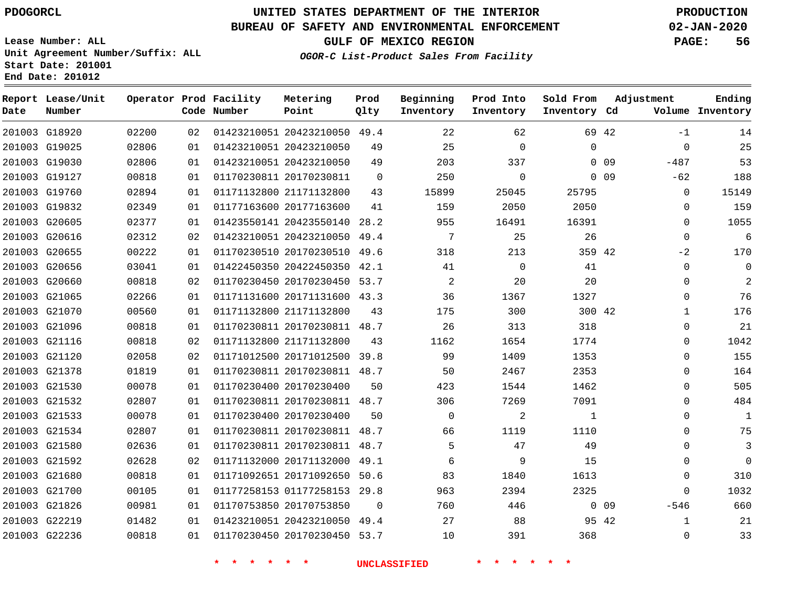# **UNITED STATES DEPARTMENT OF THE INTERIOR PDOGORCL PRODUCTION**

## **BUREAU OF SAFETY AND ENVIRONMENTAL ENFORCEMENT 02-JAN-2020**

**Lease Number: ALL Unit Agreement Number/Suffix: ALL Start Date: 201001**

**GULF OF MEXICO REGION PAGE: 56**

**OGOR-C List-Product Sales From Facility**

| Date          | Report Lease/Unit<br>Number |       |    | Operator Prod Facility<br>Code Number | Metering<br>Point            | Prod<br>Qlty | Beginning<br>Inventory | Prod Into<br>Inventory | Sold From<br>Inventory Cd | Adjustment      |             | Ending<br>Volume Inventory |
|---------------|-----------------------------|-------|----|---------------------------------------|------------------------------|--------------|------------------------|------------------------|---------------------------|-----------------|-------------|----------------------------|
| 201003 G18920 |                             | 02200 | 02 |                                       | 01423210051 20423210050 49.4 |              | 22                     | 62                     |                           | 69 42           | $-1$        | 14                         |
| 201003 G19025 |                             | 02806 | 01 |                                       | 01423210051 20423210050      | 49           | 25                     | $\Omega$               | $\Omega$                  |                 | $\Omega$    | 25                         |
| 201003 G19030 |                             | 02806 | 01 |                                       | 01423210051 20423210050      | 49           | 203                    | 337                    |                           | 0 <sub>09</sub> | $-487$      | 53                         |
| 201003 G19127 |                             | 00818 | 01 |                                       | 01170230811 20170230811      | $\Omega$     | 250                    | $\mathbf 0$            |                           | 0 <sub>09</sub> | $-62$       | 188                        |
| 201003 G19760 |                             | 02894 | 01 |                                       | 01171132800 21171132800      | 43           | 15899                  | 25045                  | 25795                     |                 | $\Omega$    | 15149                      |
| 201003 G19832 |                             | 02349 | 01 |                                       | 01177163600 20177163600      | 41           | 159                    | 2050                   | 2050                      |                 | $\Omega$    | 159                        |
| 201003 G20605 |                             | 02377 | 01 |                                       | 01423550141 20423550140 28.2 |              | 955                    | 16491                  | 16391                     |                 | $\mathbf 0$ | 1055                       |
|               | 201003 G20616               | 02312 | 02 |                                       | 01423210051 20423210050      | 49.4         | $7\phantom{.0}$        | 25                     | 26                        |                 | $\Omega$    | 6                          |
| 201003 G20655 |                             | 00222 | 01 |                                       | 01170230510 20170230510 49.6 |              | 318                    | 213                    | 359 42                    |                 | -2          | 170                        |
| 201003 G20656 |                             | 03041 | 01 |                                       | 01422450350 20422450350 42.1 |              | 41                     | $\mathbf 0$            | 41                        |                 | 0           | $\mathbf 0$                |
| 201003 G20660 |                             | 00818 | 02 |                                       | 01170230450 20170230450 53.7 |              | 2                      | 20                     | 20                        |                 | 0           | 2                          |
|               | 201003 G21065               | 02266 | 01 |                                       | 01171131600 20171131600 43.3 |              | 36                     | 1367                   | 1327                      |                 | $\Omega$    | 76                         |
| 201003 G21070 |                             | 00560 | 01 |                                       | 01171132800 21171132800      | 43           | 175                    | 300                    | 300 42                    |                 | 1           | 176                        |
| 201003 G21096 |                             | 00818 | 01 |                                       | 01170230811 20170230811 48.7 |              | 26                     | 313                    | 318                       |                 | 0           | 21                         |
| 201003 G21116 |                             | 00818 | 02 |                                       | 01171132800 21171132800      | 43           | 1162                   | 1654                   | 1774                      |                 | 0           | 1042                       |
| 201003 G21120 |                             | 02058 | 02 |                                       | 01171012500 20171012500 39.8 |              | 99                     | 1409                   | 1353                      |                 | $\Omega$    | 155                        |
| 201003 G21378 |                             | 01819 | 01 |                                       | 01170230811 20170230811 48.7 |              | 50                     | 2467                   | 2353                      |                 | 0           | 164                        |
| 201003 G21530 |                             | 00078 | 01 |                                       | 01170230400 20170230400      | 50           | 423                    | 1544                   | 1462                      |                 | $\Omega$    | 505                        |
| 201003 G21532 |                             | 02807 | 01 |                                       | 01170230811 20170230811 48.7 |              | 306                    | 7269                   | 7091                      |                 | 0           | 484                        |
| 201003 G21533 |                             | 00078 | 01 |                                       | 01170230400 20170230400      | 50           | $\Omega$               | $\overline{2}$         | 1                         |                 | $\Omega$    | $\mathbf{1}$               |
| 201003 G21534 |                             | 02807 | 01 |                                       | 01170230811 20170230811 48.7 |              | 66                     | 1119                   | 1110                      |                 | 0           | 75                         |
| 201003 G21580 |                             | 02636 | 01 |                                       | 01170230811 20170230811 48.7 |              | 5                      | 47                     | 49                        |                 | $\Omega$    | 3                          |
| 201003 G21592 |                             | 02628 | 02 |                                       | 01171132000 20171132000      | 49.1         | 6                      | 9                      | 15                        |                 | 0           | $\mathbf 0$                |
| 201003 G21680 |                             | 00818 | 01 |                                       | 01171092651 20171092650      | 50.6         | 83                     | 1840                   | 1613                      |                 | $\mathbf 0$ | 310                        |
| 201003 G21700 |                             | 00105 | 01 |                                       | 01177258153 01177258153      | 29.8         | 963                    | 2394                   | 2325                      |                 | 0           | 1032                       |
| 201003 G21826 |                             | 00981 | 01 |                                       | 01170753850 20170753850      | $\Omega$     | 760                    | 446                    |                           | $0\quad09$      | $-546$      | 660                        |
|               | 201003 G22219               | 01482 | 01 |                                       | 01423210051 20423210050 49.4 |              | 27                     | 88                     |                           | 95 42           | 1           | 21                         |
|               | 201003 G22236               | 00818 | 01 |                                       | 01170230450 20170230450 53.7 |              | 10                     | 391                    | 368                       |                 | 0           | 33                         |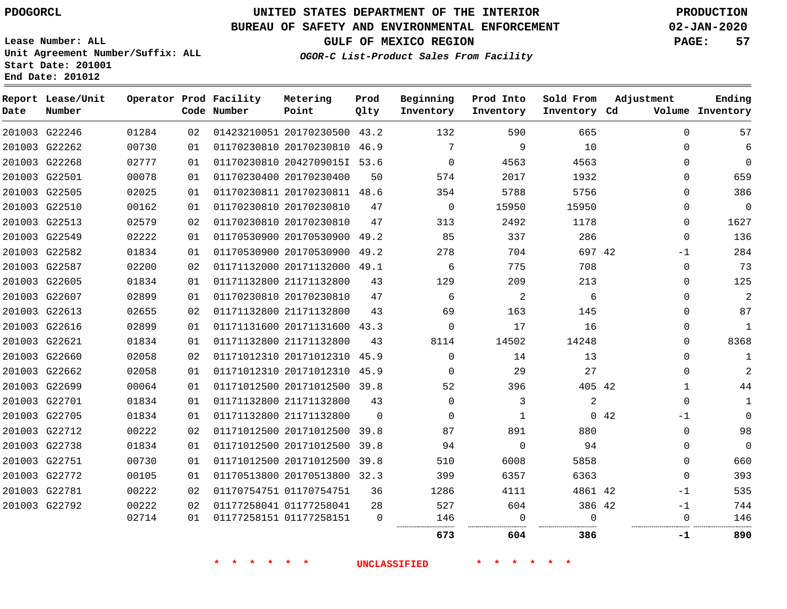**End Date: 201012**

**Report Lease/Unit**

**Number**

# **UNITED STATES DEPARTMENT OF THE INTERIOR PDOGORCL PRODUCTION**

## **BUREAU OF SAFETY AND ENVIRONMENTAL ENFORCEMENT 02-JAN-2020**

**Lease Number: ALL Unit Agreement Number/Suffix: ALL Start Date: 201001**

**Operator Prod Facility**

**Code Number**

**Point**

**OGOR-C List-Product Sales From Facility**

**GULF OF MEXICO REGION PAGE: 57**

**Inventory Cd Volume**

**Adjustment**

**Ending**

**Metering Beginning**

**Inventory**

**Prod Into Inventory**

**Sold From Inventory**

**Prod Qlty**

 G22246 20170230500 43.2  $\Omega$  G22262 20170230810 46.9  $\Omega$  G22268 2042709015I 53.6  $\Omega$   $\Omega$  $\Omega$  G22501 20170230400  $\Omega$  G22505 20170230811 48.6  $\Omega$  G22510 20170230810  $\Omega$   $\Omega$  $\Omega$  G22513 20170230810  $\Omega$  G22549 20170530900 49.2  $\Omega$  G22582 20170530900 49.2 42 -1 G22587 20171132000 49.1  $\Omega$  G22605 21171132800  $\Omega$  G22607 20170230810  $\Omega$  G22613 21171132800  $\Omega$  G22616 20171131600 43.3  $\Omega$  G22621 21171132800  $\Omega$  G22660 20171012310 45.9  $\Omega$   $\Omega$  G22662 20171012310 45.9  $\Omega$   $\Omega$  G22699 20171012500 39.8 42 G22701 21171132800  $\Omega$   $\overline{2}$  $\Omega$  G22705 21171132800  $\Omega$  $\Omega$  42 -1  $\Omega$  G22712 20171012500 39.8 G22738 20171012500  $\Omega$  39.8  $\Omega$  $\Omega$  G22751 20171012500 39.8  $\Omega$  G22772 20170513800 32.3 G22781 01170754751 42 -1 G22792 01177258041 42 -1 01177258151 . . . . . . . **604 386 -1 890**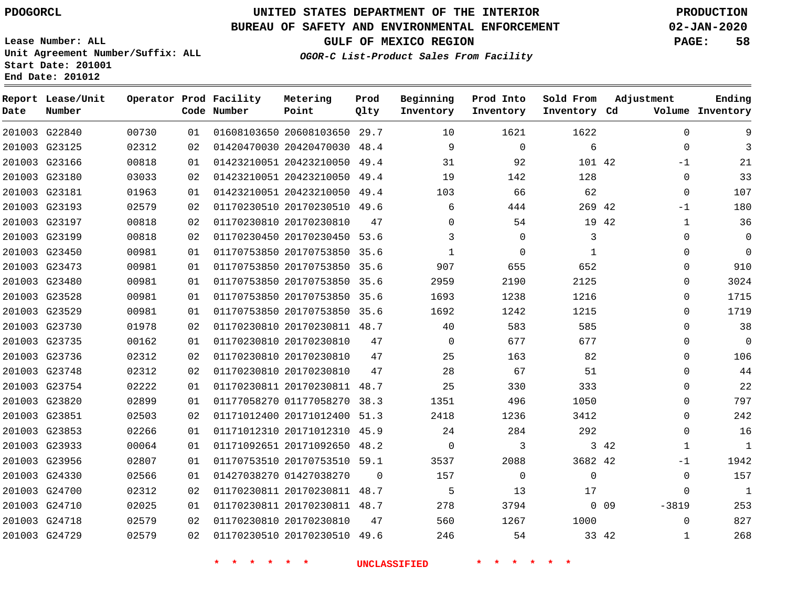**Prod Qlty**

## **BUREAU OF SAFETY AND ENVIRONMENTAL ENFORCEMENT 02-JAN-2020**

**Lease Number: ALL Unit Agreement Number/Suffix: ALL Start Date: 201001**

**Operator Prod Facility**

**Code Number**

20608103650 29.7

**Metering Point**

  $0<sup>2</sup>$ 

**End Date: 201012**

**Report Lease/Unit**

**Number**

G22840

**Date**

G24729

**GULF OF MEXICO REGION PAGE: 58**

**Inventory Cd Volume**

**Adjustment**

**Ending**

**OGOR-C List-Product Sales From Facility**

**Beginning Inventory**

**Sold From Inventory**

**Prod Into Inventory**

| 201003 G23125 | 02312 | 02  | 01420470030 20420470030 48.4 |          | 9              | 0        | 6        |       | 0        | 3           |
|---------------|-------|-----|------------------------------|----------|----------------|----------|----------|-------|----------|-------------|
| 201003 G23166 | 00818 | 01  | 01423210051 20423210050 49.4 |          | 31             | 92       | 101 42   |       | $-1$     | 21          |
| 201003 G23180 | 03033 | 02  | 01423210051 20423210050 49.4 |          | 19             | 142      | 128      |       | 0        | 33          |
| 201003 G23181 | 01963 | 01  | 01423210051 20423210050 49.4 |          | 103            | 66       | 62       |       | 0        | 107         |
| 201003 G23193 | 02579 | 02  | 01170230510 20170230510 49.6 |          | 6              | 444      | 269 42   |       | -1       | 180         |
| 201003 G23197 | 00818 | 02  | 01170230810 20170230810      | 47       | 0              | 54       |          | 19 42 | 1        | 36          |
| 201003 G23199 | 00818 | 02  | 01170230450 20170230450 53.6 |          |                | $\Omega$ | 3        |       | $\Omega$ | $\mathbf 0$ |
| 201003 G23450 | 00981 | 01  | 01170753850 20170753850 35.6 |          | $\overline{1}$ | $\Omega$ | 1        |       | 0        | $\mathbf 0$ |
| 201003 G23473 | 00981 | 01  | 01170753850 20170753850 35.6 |          | 907            | 655      | 652      |       | $\Omega$ | 910         |
| 201003 G23480 | 00981 | 01  | 01170753850 20170753850 35.6 |          | 2959           | 2190     | 2125     |       | $\Omega$ | 3024        |
| 201003 G23528 | 00981 | 01  | 01170753850 20170753850 35.6 |          | 1693           | 1238     | 1216     |       | $\Omega$ | 1715        |
| 201003 G23529 | 00981 | 01  | 01170753850 20170753850 35.6 |          | 1692           | 1242     | 1215     |       | $\Omega$ | 1719        |
| 201003 G23730 | 01978 | 02  | 01170230810 20170230811 48.7 |          | 40             | 583      | 585      |       | 0        | 38          |
| 201003 G23735 | 00162 | 01  | 01170230810 20170230810      | 47       | 0              | 677      | 677      |       | $\Omega$ | $\mathbf 0$ |
| 201003 G23736 | 02312 | 02  | 01170230810 20170230810      | 47       | 25             | 163      | 82       |       | $\Omega$ | 106         |
| 201003 G23748 | 02312 | 02  | 01170230810 20170230810      | 47       | 28             | 67       | 51       |       | 0        | 44          |
| 201003 G23754 | 02222 | 01  | 01170230811 20170230811 48.7 |          | 25             | 330      | 333      |       | $\Omega$ | 22          |
| 201003 G23820 | 02899 | 01  | 01177058270 01177058270 38.3 |          | 1351           | 496      | 1050     |       | $\Omega$ | 797         |
| 201003 G23851 | 02503 | 02  | 01171012400 20171012400 51.3 |          | 2418           | 1236     | 3412     |       | $\Omega$ | 242         |
| 201003 G23853 | 02266 | 01  | 01171012310 20171012310 45.9 |          | 24             | 284      | 292      |       | $\Omega$ | 16          |
| 201003 G23933 | 00064 | 01. | 01171092651 20171092650 48.2 |          | $\Omega$       | 3        |          | 3 4 2 | 1        | 1           |
| 201003 G23956 | 02807 | 01  | 01170753510 20170753510 59.1 |          | 3537           | 2088     | 3682 42  |       | -1       | 1942        |
| 201003 G24330 | 02566 | 01  | 01427038270 01427038270      | $\Omega$ | 157            | $\Omega$ | $\Omega$ |       | $\Omega$ | 157         |
| 201003 G24700 | 02312 | 02  | 01170230811 20170230811 48.7 |          | 5              | 13       | 17       |       | $\Omega$ | 1           |
| 201003 G24710 | 02025 | 01  | 01170230811 20170230811 48.7 |          | 278            | 3794     |          | 0.09  | $-3819$  | 253         |
| 201003 G24718 | 02579 | 02  | 01170230810 20170230810      | 47       | 560            | 1267     | 1000     |       | $\Omega$ | 827         |

20170230510 49.6

**\* \* \* \* \* \* UNCLASSIFIED \* \* \* \* \* \***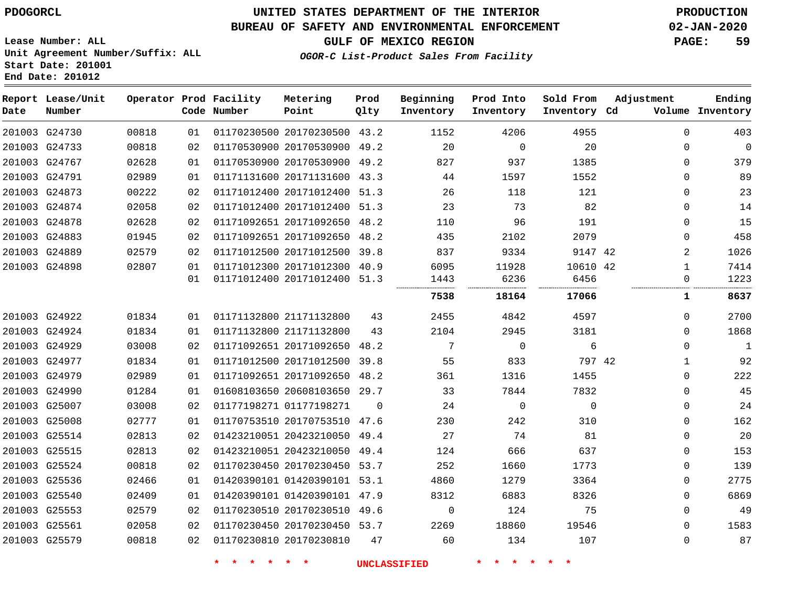G25579

# **UNITED STATES DEPARTMENT OF THE INTERIOR PDOGORCL PRODUCTION**

## **BUREAU OF SAFETY AND ENVIRONMENTAL ENFORCEMENT 02-JAN-2020**

**OGOR-C List-Product Sales From Facility**

**GULF OF MEXICO REGION PAGE: 59**

**Lease Number: ALL Unit Agreement Number/Suffix: ALL Start Date: 201001 End Date: 201012**

| Date | Report Lease/Unit<br>Number |       |    | Operator Prod Facility<br>Code Number | Metering<br>Point            | Prod<br>Qlty | Beginning<br>Inventory | Prod Into<br>Inventory | Sold From<br>Inventory Cd | Adjustment | Ending<br>Volume Inventory |
|------|-----------------------------|-------|----|---------------------------------------|------------------------------|--------------|------------------------|------------------------|---------------------------|------------|----------------------------|
|      | 201003 G24730               | 00818 | 01 |                                       | 01170230500 20170230500 43.2 |              | 1152                   | 4206                   | 4955                      |            | $\Omega$<br>403            |
|      | 201003 G24733               | 00818 | 02 |                                       | 01170530900 20170530900 49.2 |              | 20                     | $\mathbf 0$            | 20                        |            | 0<br>$\Omega$              |
|      | 201003 G24767               | 02628 | 01 |                                       | 01170530900 20170530900 49.2 |              | 827                    | 937                    | 1385                      |            | 379<br>$\Omega$            |
|      | 201003 G24791               | 02989 | 01 |                                       | 01171131600 20171131600 43.3 |              | 44                     | 1597                   | 1552                      |            | 89<br>$\Omega$             |
|      | 201003 G24873               | 00222 | 02 |                                       | 01171012400 20171012400 51.3 |              | 26                     | 118                    | 121                       |            | 23<br>0                    |
|      | 201003 G24874               | 02058 | 02 |                                       | 01171012400 20171012400 51.3 |              | 23                     | 73                     | 82                        |            | 14<br>$\Omega$             |
|      | 201003 G24878               | 02628 | 02 |                                       | 01171092651 20171092650 48.2 |              | 110                    | 96                     | 191                       |            | 15<br>$\mathbf{0}$         |
|      | 201003 G24883               | 01945 | 02 |                                       | 01171092651 20171092650 48.2 |              | 435                    | 2102                   | 2079                      |            | 458<br>$\Omega$            |
|      | 201003 G24889               | 02579 | 02 |                                       | 01171012500 20171012500 39.8 |              | 837                    | 9334                   | 9147 42                   |            | 2<br>1026                  |
|      | 201003 G24898               | 02807 | 01 |                                       | 01171012300 20171012300 40.9 |              | 6095                   | 11928                  | 10610 42                  |            | 7414<br>1                  |
|      |                             |       | 01 |                                       | 01171012400 20171012400 51.3 |              | 1443                   | 6236                   | 6456                      |            | 1223<br>0                  |
|      |                             |       |    |                                       |                              |              | 7538                   | 18164                  | 17066                     |            | 8637<br>1                  |
|      | 201003 G24922               | 01834 | 01 |                                       | 01171132800 21171132800      | 43           | 2455                   | 4842                   | 4597                      |            | 2700<br>0                  |
|      | 201003 G24924               | 01834 | 01 |                                       | 01171132800 21171132800      | 43           | 2104                   | 2945                   | 3181                      |            | 1868<br>$\Omega$           |
|      | 201003 G24929               | 03008 | 02 |                                       | 01171092651 20171092650      | 48.2         | 7                      | $\mathbf 0$            | 6                         |            | $\mathbf 1$<br>$\Omega$    |
|      | 201003 G24977               | 01834 | 01 |                                       | 01171012500 20171012500      | 39.8         | 55                     | 833                    | 797 42                    |            | 92<br>$\mathbf{1}$         |
|      | 201003 G24979               | 02989 | 01 |                                       | 01171092651 20171092650 48.2 |              | 361                    | 1316                   | 1455                      |            | 222<br>$\Omega$            |
|      | 201003 G24990               | 01284 | 01 |                                       | 01608103650 20608103650 29.7 |              | 33                     | 7844                   | 7832                      |            | 45<br>$\Omega$             |
|      | 201003 G25007               | 03008 | 02 |                                       | 01177198271 01177198271      | $\Omega$     | 24                     | $\Omega$               | $\Omega$                  |            | 24<br>$\Omega$             |
|      | 201003 G25008               | 02777 | 01 |                                       | 01170753510 20170753510 47.6 |              | 230                    | 242                    | 310                       |            | 162<br>0                   |
|      | 201003 G25514               | 02813 | 02 |                                       | 01423210051 20423210050 49.4 |              | 27                     | 74                     | 81                        |            | 20<br>$\Omega$             |
|      | 201003 G25515               | 02813 | 02 |                                       | 01423210051 20423210050 49.4 |              | 124                    | 666                    | 637                       |            | 153<br>0                   |
|      | 201003 G25524               | 00818 | 02 |                                       | 01170230450 20170230450 53.7 |              | 252                    | 1660                   | 1773                      |            | 139<br>$\Omega$            |
|      | 201003 G25536               | 02466 | 01 |                                       | 01420390101 01420390101 53.1 |              | 4860                   | 1279                   | 3364                      |            | 2775<br>$\Omega$           |
|      | 201003 G25540               | 02409 | 01 |                                       | 01420390101 01420390101 47.9 |              | 8312                   | 6883                   | 8326                      |            | 6869<br>0                  |
|      | 201003 G25553               | 02579 | 02 |                                       | 01170230510 20170230510 49.6 |              | $\Omega$               | 124                    | 75                        |            | 49<br>$\Omega$             |
|      | 201003 G25561               | 02058 | 02 |                                       | 01170230450 20170230450 53.7 |              | 2269                   | 18860                  | 19546                     |            | $\Omega$<br>1583           |

**\* \* \* \* \* \* UNCLASSIFIED \* \* \* \* \* \***

01170230810 20170230810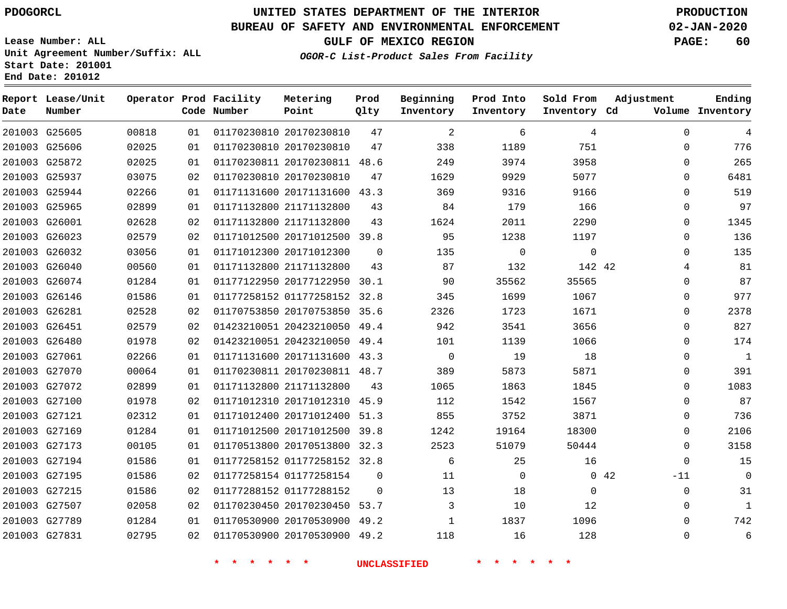**End Date: 201012**

**Report Lease/Unit**

**Number**

 G27507 G27789 G27831    

# **UNITED STATES DEPARTMENT OF THE INTERIOR PDOGORCL PRODUCTION**

**Prod Qlty**

## **BUREAU OF SAFETY AND ENVIRONMENTAL ENFORCEMENT 02-JAN-2020**

**Lease Number: ALL Unit Agreement Number/Suffix: ALL Start Date: 201001**

**Operator Prod Facility**

**Code Number**

**OGOR-C List-Product Sales From Facility**

**Beginning Inventory** **Prod Into Inventory** **Sold From Inventory**

**GULF OF MEXICO REGION PAGE: 60**

**Inventory Cd Volume**

**Adjustment**

  $\Omega$  $\Omega$   $\Omega$  $\Omega$  $\Omega$  $\Omega$  $\Omega$   $\Omega$  $\overline{0}$   $\Omega$  $\overline{0}$  $\Omega$  $\Omega$  $\Omega$  $\Omega$   $\Omega$  $\Omega$ -11  $\Omega$   $\Omega$ 

**Ending**

| 201003 | G25605        | 00818 | 01 | 01170230810 20170230810 |                              | 47       | 2        | 6        | 4           |      |
|--------|---------------|-------|----|-------------------------|------------------------------|----------|----------|----------|-------------|------|
|        | 201003 G25606 | 02025 | 01 | 01170230810 20170230810 |                              | 47       | 338      | 1189     | 751         |      |
|        | 201003 G25872 | 02025 | 01 |                         | 01170230811 20170230811 48.6 |          | 249      | 3974     | 3958        |      |
|        | 201003 G25937 | 03075 | 02 | 01170230810 20170230810 |                              | 47       | 1629     | 9929     | 5077        |      |
|        | 201003 G25944 | 02266 | 01 |                         | 01171131600 20171131600 43.3 |          | 369      | 9316     | 9166        |      |
|        | 201003 G25965 | 02899 | 01 | 01171132800 21171132800 |                              | 43       | 84       | 179      | 166         |      |
|        | 201003 G26001 | 02628 | 02 | 01171132800 21171132800 |                              | 43       | 1624     | 2011     | 2290        |      |
|        | 201003 G26023 | 02579 | 02 |                         | 01171012500 20171012500 39.8 |          | 95       | 1238     | 1197        |      |
|        | 201003 G26032 | 03056 | 01 | 01171012300 20171012300 |                              | $\Omega$ | 135      | $\Omega$ | $\mathbf 0$ |      |
|        | 201003 G26040 | 00560 | 01 | 01171132800 21171132800 |                              | 43       | 87       | 132      | 142 42      |      |
|        | 201003 G26074 | 01284 | 01 |                         | 01177122950 20177122950 30.1 |          | 90       | 35562    | 35565       |      |
|        | 201003 G26146 | 01586 | 01 |                         | 01177258152 01177258152 32.8 |          | 345      | 1699     | 1067        |      |
|        | 201003 G26281 | 02528 | 02 |                         | 01170753850 20170753850 35.6 |          | 2326     | 1723     | 1671        |      |
|        | 201003 G26451 | 02579 | 02 |                         | 01423210051 20423210050 49.4 |          | 942      | 3541     | 3656        |      |
|        | 201003 G26480 | 01978 | 02 |                         | 01423210051 20423210050 49.4 |          | 101      | 1139     | 1066        |      |
|        | 201003 G27061 | 02266 | 01 |                         | 01171131600 20171131600 43.3 |          | $\Omega$ | 19       | 18          |      |
|        | 201003 G27070 | 00064 | 01 |                         | 01170230811 20170230811 48.7 |          | 389      | 5873     | 5871        |      |
|        | 201003 G27072 | 02899 | 01 | 01171132800 21171132800 |                              | 43       | 1065     | 1863     | 1845        |      |
|        | 201003 G27100 | 01978 | 02 |                         | 01171012310 20171012310 45.9 |          | 112      | 1542     | 1567        |      |
|        | 201003 G27121 | 02312 | 01 |                         | 01171012400 20171012400 51.3 |          | 855      | 3752     | 3871        |      |
|        | 201003 G27169 | 01284 | 01 |                         | 01171012500 20171012500 39.8 |          | 1242     | 19164    | 18300       |      |
|        | 201003 G27173 | 00105 | 01 |                         | 01170513800 20170513800      | 32.3     | 2523     | 51079    | 50444       |      |
|        | 201003 G27194 | 01586 | 01 |                         | 01177258152 01177258152 32.8 |          | 6        | 25       | 16          |      |
|        | 201003 G27195 | 01586 | 02 | 01177258154 01177258154 |                              | $\Omega$ | 11       | 0        |             | 0.42 |
|        | 201003 G27215 | 01586 | 02 | 01177288152 01177288152 |                              | $\Omega$ | 13       | 18       | 0           |      |

**Metering Point**

 20170230450 53.7 20170530900 49.2 20170530900 49.2

 

**\* \* \* \* \* \* UNCLASSIFIED \* \* \* \* \* \***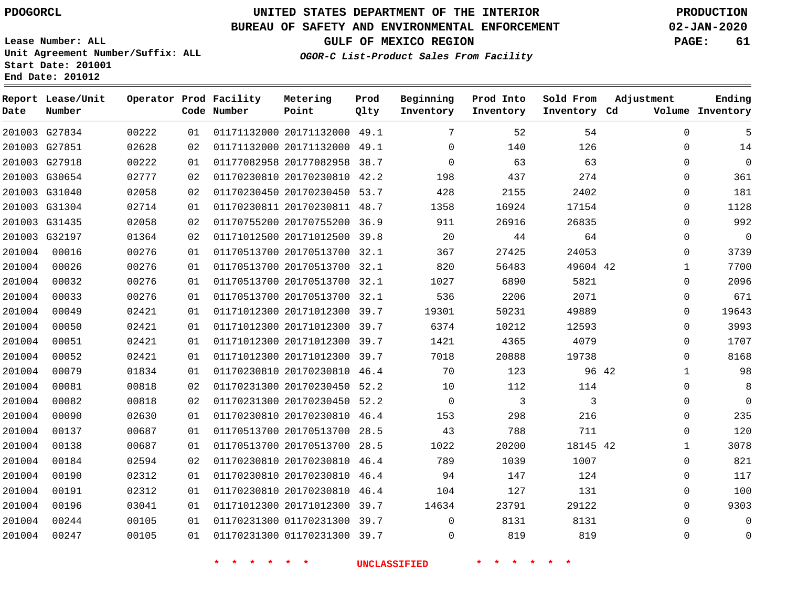# **UNITED STATES DEPARTMENT OF THE INTERIOR PDOGORCL PRODUCTION**

**Prod**

**Metering**

## **BUREAU OF SAFETY AND ENVIRONMENTAL ENFORCEMENT 02-JAN-2020**

**Lease Number: ALL Unit Agreement Number/Suffix: ALL Start Date: 201001 End Date: 201012**

**Operator Prod Facility**

**OGOR-C List-Product Sales From Facility**

**Beginning**

**Prod Into**

**Sold From**

**Adjustment**

**GULF OF MEXICO REGION PAGE: 61**

**Ending**

| Date   | Number        |       |    | Code Number                        | Point                        | Qlty | Inventory           | Inventory | Inventory Cd    |       |             | Volume Inventory |
|--------|---------------|-------|----|------------------------------------|------------------------------|------|---------------------|-----------|-----------------|-------|-------------|------------------|
|        | 201003 G27834 | 00222 | 01 |                                    | 01171132000 20171132000 49.1 |      | 7                   | 52        | 54              |       | $\Omega$    | 5                |
|        | 201003 G27851 | 02628 | 02 |                                    | 01171132000 20171132000 49.1 |      | $\Omega$            | 140       | 126             |       | $\Omega$    | 14               |
|        | 201003 G27918 | 00222 | 01 |                                    | 01177082958 20177082958 38.7 |      | $\mathbf 0$         | 63        | 63              |       | 0           | $\mathbf 0$      |
|        | 201003 G30654 | 02777 | 02 |                                    | 01170230810 20170230810 42.2 |      | 198                 | 437       | 274             |       | $\Omega$    | 361              |
|        | 201003 G31040 | 02058 | 02 |                                    | 01170230450 20170230450 53.7 |      | 428                 | 2155      | 2402            |       | $\Omega$    | 181              |
|        | 201003 G31304 | 02714 | 01 |                                    | 01170230811 20170230811 48.7 |      | 1358                | 16924     | 17154           |       | 0           | 1128             |
|        | 201003 G31435 | 02058 | 02 |                                    | 01170755200 20170755200 36.9 |      | 911                 | 26916     | 26835           |       | $\Omega$    | 992              |
|        | 201003 G32197 | 01364 | 02 |                                    | 01171012500 20171012500 39.8 |      | 20                  | 44        | 64              |       | $\Omega$    | $\mathbf 0$      |
| 201004 | 00016         | 00276 | 01 |                                    | 01170513700 20170513700 32.1 |      | 367                 | 27425     | 24053           |       | $\Omega$    | 3739             |
| 201004 | 00026         | 00276 | 01 |                                    | 01170513700 20170513700 32.1 |      | 820                 | 56483     | 49604 42        |       | 1           | 7700             |
| 201004 | 00032         | 00276 | 01 |                                    | 01170513700 20170513700 32.1 |      | 1027                | 6890      | 5821            |       | $\Omega$    | 2096             |
| 201004 | 00033         | 00276 | 01 |                                    | 01170513700 20170513700 32.1 |      | 536                 | 2206      | 2071            |       | 0           | 671              |
| 201004 | 00049         | 02421 | 01 |                                    | 01171012300 20171012300 39.7 |      | 19301               | 50231     | 49889           |       | 0           | 19643            |
| 201004 | 00050         | 02421 | 01 |                                    | 01171012300 20171012300 39.7 |      | 6374                | 10212     | 12593           |       | $\mathbf 0$ | 3993             |
| 201004 | 00051         | 02421 | 01 |                                    | 01171012300 20171012300 39.7 |      | 1421                | 4365      | 4079            |       | $\Omega$    | 1707             |
| 201004 | 00052         | 02421 | 01 |                                    | 01171012300 20171012300 39.7 |      | 7018                | 20888     | 19738           |       | 0           | 8168             |
| 201004 | 00079         | 01834 | 01 |                                    | 01170230810 20170230810 46.4 |      | 70                  | 123       |                 | 96 42 | $\mathbf 1$ | 98               |
| 201004 | 00081         | 00818 | 02 |                                    | 01170231300 20170230450 52.2 |      | 10                  | 112       | 114             |       | $\Omega$    | 8                |
| 201004 | 00082         | 00818 | 02 |                                    | 01170231300 20170230450 52.2 |      | $\overline{0}$      | 3         | 3               |       | 0           | $\overline{0}$   |
| 201004 | 00090         | 02630 | 01 |                                    | 01170230810 20170230810 46.4 |      | 153                 | 298       | 216             |       | $\Omega$    | 235              |
| 201004 | 00137         | 00687 | 01 |                                    | 01170513700 20170513700 28.5 |      | 43                  | 788       | 711             |       | $\mathbf 0$ | 120              |
| 201004 | 00138         | 00687 | 01 |                                    | 01170513700 20170513700 28.5 |      | 1022                | 20200     | 18145 42        |       | $\mathbf 1$ | 3078             |
| 201004 | 00184         | 02594 | 02 |                                    | 01170230810 20170230810 46.4 |      | 789                 | 1039      | 1007            |       | 0           | 821              |
| 201004 | 00190         | 02312 | 01 |                                    | 01170230810 20170230810 46.4 |      | 94                  | 147       | 124             |       | 0           | 117              |
| 201004 | 00191         | 02312 | 01 |                                    | 01170230810 20170230810 46.4 |      | 104                 | 127       | 131             |       | 0           | 100              |
| 201004 | 00196         | 03041 | 01 |                                    | 01171012300 20171012300 39.7 |      | 14634               | 23791     | 29122           |       | $\Omega$    | 9303             |
| 201004 | 00244         | 00105 | 01 |                                    | 01170231300 01170231300 39.7 |      | $\mathbf 0$         | 8131      | 8131            |       | $\Omega$    | 0                |
| 201004 | 00247         | 00105 | 01 |                                    | 01170231300 01170231300 39.7 |      | $\mathbf 0$         | 819       | 819             |       | 0           | $\mathbf 0$      |
|        |               |       |    | $\star$ $\star$<br>$\star$ $\star$ | $\star$ $\star$              |      | <b>UNCLASSIFIED</b> | * * * *   | $\star$ $\star$ |       |             |                  |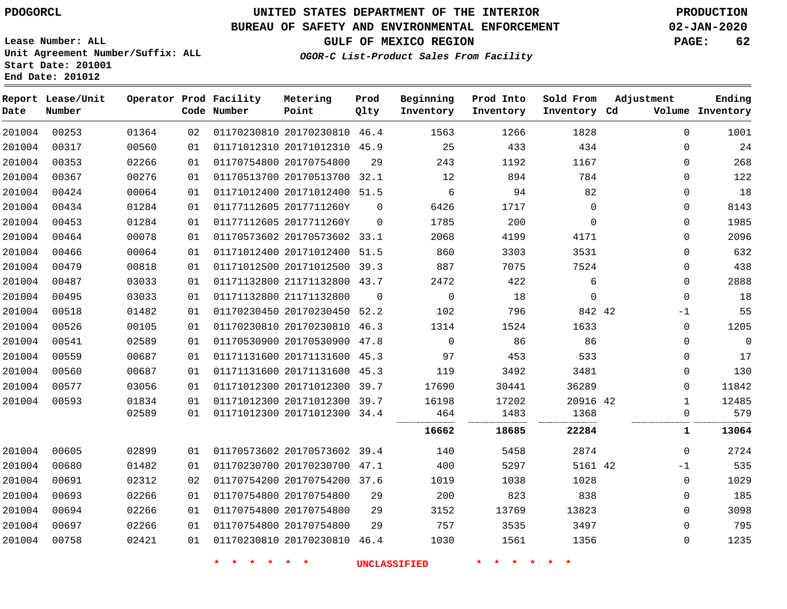**Number**

**Date**

# **UNITED STATES DEPARTMENT OF THE INTERIOR PDOGORCL PRODUCTION**

**Prod Qlty**

### **BUREAU OF SAFETY AND ENVIRONMENTAL ENFORCEMENT 02-JAN-2020**

**Lease Number: ALL Unit Agreement Number/Suffix: ALL Start Date: 201001 End Date: 201012**

**Operator Prod Facility**

**Code Number**

**OGOR-C List-Product Sales From Facility**

**Sold From Inventory**

**Prod Into Inventory**

**Beginning Inventory**

**GULF OF MEXICO REGION PAGE: 62**

**Inventory Cd Volume**

**Adjustment**

**Ending**

| 201004 | 00253 | 01364 | 02 | 01170230810 20170230810 46.4 |          | 1563           | 1266  | 1828        | $\mathbf 0$  | 1001  |
|--------|-------|-------|----|------------------------------|----------|----------------|-------|-------------|--------------|-------|
| 201004 | 00317 | 00560 | 01 | 01171012310 20171012310 45.9 |          | 25             | 433   | 434         | $\mathbf{0}$ | 24    |
| 201004 | 00353 | 02266 | 01 | 01170754800 20170754800      | 29       | 243            | 1192  | 1167        | 0            | 268   |
| 201004 | 00367 | 00276 | 01 | 01170513700 20170513700 32.1 |          | 12             | 894   | 784         | 0            | 122   |
| 201004 | 00424 | 00064 | 01 | 01171012400 20171012400 51.5 |          | 6              | 94    | 82          | $\mathbf 0$  | 18    |
| 201004 | 00434 | 01284 | 01 | 01177112605 2017711260Y      | $\Omega$ | 6426           | 1717  | $\mathbf 0$ | 0            | 8143  |
| 201004 | 00453 | 01284 | 01 | 01177112605 2017711260Y      | 0        | 1785           | 200   | $\mathbf 0$ | $\mathbf 0$  | 1985  |
| 201004 | 00464 | 00078 | 01 | 01170573602 20170573602 33.1 |          | 2068           | 4199  | 4171        | $\Omega$     | 2096  |
| 201004 | 00466 | 00064 | 01 | 01171012400 20171012400 51.5 |          | 860            | 3303  | 3531        | 0            | 632   |
| 201004 | 00479 | 00818 | 01 | 01171012500 20171012500 39.3 |          | 887            | 7075  | 7524        | 0            | 438   |
| 201004 | 00487 | 03033 | 01 | 01171132800 21171132800 43.7 |          | 2472           | 422   | 6           | $\mathbf 0$  | 2888  |
| 201004 | 00495 | 03033 | 01 | 01171132800 21171132800      | 0        | $\overline{0}$ | 18    | $\mathbf 0$ | $\mathbf 0$  | 18    |
| 201004 | 00518 | 01482 | 01 | 01170230450 20170230450 52.2 |          | 102            | 796   | 842 42      | -1           | 55    |
| 201004 | 00526 | 00105 | 01 | 01170230810 20170230810 46.3 |          | 1314           | 1524  | 1633        | $\mathbf 0$  | 1205  |
| 201004 | 00541 | 02589 | 01 | 01170530900 20170530900 47.8 |          | $\Omega$       | 86    | 86          | $\Omega$     | 0     |
| 201004 | 00559 | 00687 | 01 | 01171131600 20171131600 45.3 |          | 97             | 453   | 533         | 0            | 17    |
| 201004 | 00560 | 00687 | 01 | 01171131600 20171131600 45.3 |          | 119            | 3492  | 3481        | $\mathbf 0$  | 130   |
| 201004 | 00577 | 03056 | 01 | 01171012300 20171012300 39.7 |          | 17690          | 30441 | 36289       | $\mathbf 0$  | 11842 |
| 201004 | 00593 | 01834 | 01 | 01171012300 20171012300 39.7 |          | 16198          | 17202 | 20916 42    | 1            | 12485 |
|        |       | 02589 | 01 | 01171012300 20171012300 34.4 |          | 464            | 1483  | 1368        | 0            | 579   |
|        |       |       |    |                              |          | 16662          | 18685 | 22284       | 1            | 13064 |
| 201004 | 00605 | 02899 | 01 | 01170573602 20170573602 39.4 |          | 140            | 5458  | 2874        | 0            | 2724  |
| 201004 | 00680 | 01482 | 01 | 01170230700 20170230700 47.1 |          | 400            | 5297  | 5161 42     | $-1$         | 535   |
| 201004 | 00691 | 02312 | 02 | 01170754200 20170754200 37.6 |          | 1019           | 1038  | 1028        | $\mathbf 0$  | 1029  |
| 201004 | 00693 | 02266 | 01 | 01170754800 20170754800      | 29       | 200            | 823   | 838         | 0            | 185   |
| 201004 | 00694 | 02266 | 01 | 01170754800 20170754800      | 29       | 3152           | 13769 | 13823       | $\Omega$     | 3098  |
| 201004 | 00697 | 02266 | 01 | 01170754800 20170754800      | 29       | 757            | 3535  | 3497        | $\mathbf 0$  | 795   |
| 201004 | 00758 | 02421 | 01 | 01170230810 20170230810 46.4 |          | 1030           | 1561  | 1356        | 0            | 1235  |
|        |       |       |    |                              |          |                |       |             |              |       |

**Metering Point**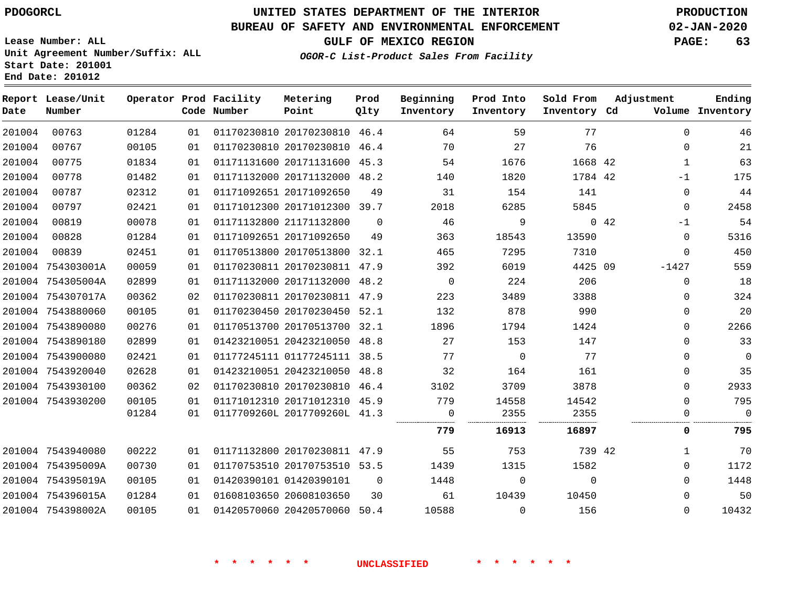**Number**

**Date**

 754395019A 754396015A 754398002A

# **UNITED STATES DEPARTMENT OF THE INTERIOR PDOGORCL PRODUCTION**

**Prod Qlty**

### **BUREAU OF SAFETY AND ENVIRONMENTAL ENFORCEMENT 02-JAN-2020**

**Lease Number: ALL Unit Agreement Number/Suffix: ALL Start Date: 201001 End Date: 201012**

**Operator Prod Facility**

**Code Number**

20170230810 46.4

**Metering Point**

   

**GULF OF MEXICO REGION PAGE: 63**

**Inventory Cd Volume**

**Adjustment**

**Ending**

  $\Omega$ 

**OGOR-C List-Product Sales From Facility**

**Beginning Inventory**

**Sold From Inventory**

**Prod Into Inventory**

| 201004 | 00767             | 00105 | 01 | 01170230810 20170230810      | 46.4     | 70       | 27       | 76      |             | $\Omega$ | 21       |
|--------|-------------------|-------|----|------------------------------|----------|----------|----------|---------|-------------|----------|----------|
| 201004 | 00775             | 01834 | 01 | 01171131600 20171131600      | 45.3     | 54       | 1676     | 1668 42 |             | 1        | 63       |
| 201004 | 00778             | 01482 | 01 | 01171132000 20171132000      | 48.2     | 140      | 1820     | 1784 42 |             | $-1$     | 175      |
| 201004 | 00787             | 02312 | 01 | 01171092651 20171092650      | 49       | 31       | 154      | 141     |             | $\Omega$ | 44       |
| 201004 | 00797             | 02421 | 01 | 01171012300 20171012300      | 39.7     | 2018     | 6285     | 5845    |             | 0        | 2458     |
| 201004 | 00819             | 00078 | 01 | 01171132800 21171132800      | $\Omega$ | 46       | 9        |         | $0\quad 42$ | $-1$     | 54       |
| 201004 | 00828             | 01284 | 01 | 01171092651 20171092650      | 49       | 363      | 18543    | 13590   |             | 0        | 5316     |
| 201004 | 00839             | 02451 | 01 | 01170513800 20170513800 32.1 |          | 465      | 7295     | 7310    |             | $\Omega$ | 450      |
| 201004 | 754303001A        | 00059 | 01 | 01170230811 20170230811      | 47.9     | 392      | 6019     | 4425 09 |             | $-1427$  | 559      |
| 201004 | 754305004A        | 02899 | 01 | 01171132000 20171132000      | 48.2     | $\Omega$ | 224      | 206     |             | 0        | 18       |
|        | 201004 754307017A | 00362 | 02 | 01170230811 20170230811 47.9 |          | 223      | 3489     | 3388    |             | $\Omega$ | 324      |
|        | 201004 7543880060 | 00105 | 01 | 01170230450 20170230450      | 52.1     | 132      | 878      | 990     |             | $\Omega$ | 20       |
|        | 201004 7543890080 | 00276 | 01 | 01170513700 20170513700      | 32.1     | 1896     | 1794     | 1424    |             | $\Omega$ | 2266     |
|        | 201004 7543890180 | 02899 | 01 | 01423210051 20423210050      | 48.8     | 27       | 153      | 147     |             | $\Omega$ | 33       |
| 201004 | 7543900080        | 02421 | 01 | 01177245111 01177245111      | 38.5     | 77       | $\Omega$ | 77      |             | $\Omega$ | $\Omega$ |
| 201004 | 7543920040        | 02628 | 01 | 01423210051 20423210050      | 48.8     | 32       | 164      | 161     |             | $\Omega$ | 35       |
|        | 201004 7543930100 | 00362 | 02 | 01170230810 20170230810      | 46.4     | 3102     | 3709     | 3878    |             | $\Omega$ | 2933     |
|        | 201004 7543930200 | 00105 | 01 | 01171012310 20171012310 45.9 |          | 779      | 14558    | 14542   |             | $\Omega$ | 795      |
|        |                   | 01284 | 01 | 0117709260L 2017709260L 41.3 |          |          | 2355     | 2355    |             | 0        | 0        |
|        |                   |       |    |                              |          | 779      | 16913    | 16897   |             | 0        | 795      |
|        | 201004 7543940080 | 00222 | 01 | 01171132800 20170230811      | 47.9     | 55       | 753      | 739 42  |             |          | 70       |
|        | 201004 754395009A | 00730 | 01 | 01170753510 20170753510 53.5 |          | 1439     | 1315     | 1582    |             | $\Omega$ | 1172     |

## **\* \* \* \* \* \* UNCLASSIFIED \* \* \* \* \* \***

 01420390101 20608103650

20420570060 50.4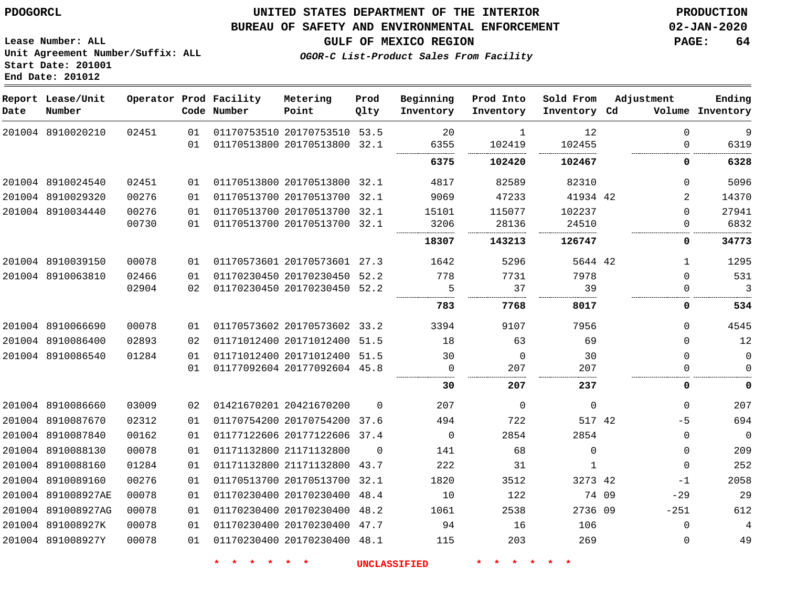8910089160 891008927AE 891008927AG 891008927K 891008927Y

## **UNITED STATES DEPARTMENT OF THE INTERIOR PDOGORCL PRODUCTION**

### **BUREAU OF SAFETY AND ENVIRONMENTAL ENFORCEMENT 02-JAN-2020**

**Lease Number: ALL Unit Agreement Number/Suffix: ALL Start Date: 201001**

-1  $-29$ -251  $\Omega$ 

**OGOR-C List-Product Sales From Facility**

**GULF OF MEXICO REGION PAGE: 64**

|      | Report Lease/Unit |       |    | Operator Prod Facility | Metering                     | Prod     | Beginning   | Prod Into   | Sold From    | Adjustment | Ending           |
|------|-------------------|-------|----|------------------------|------------------------------|----------|-------------|-------------|--------------|------------|------------------|
| Date | Number            |       |    | Code Number            | Point                        | Qlty     | Inventory   | Inventory   | Inventory Cd |            | Volume Inventory |
|      | 201004 8910020210 | 02451 | 01 |                        | 01170753510 20170753510      | 53.5     | 20          | 1           | 12           | $\Omega$   | $\mathsf 9$      |
|      |                   |       | 01 |                        | 01170513800 20170513800 32.1 |          | 6355        | 102419      | 102455       | $\Omega$   | 6319             |
|      |                   |       |    |                        |                              |          | 6375        | 102420      | 102467       | 0          | 6328             |
|      | 201004 8910024540 | 02451 | 01 |                        | 01170513800 20170513800 32.1 |          | 4817        | 82589       | 82310        | $\Omega$   | 5096             |
|      | 201004 8910029320 | 00276 | 01 |                        | 01170513700 20170513700 32.1 |          | 9069        | 47233       | 41934 42     | 2          | 14370            |
|      | 201004 8910034440 | 00276 | 01 |                        | 01170513700 20170513700 32.1 |          | 15101       | 115077      | 102237       | $\Omega$   | 27941            |
|      |                   | 00730 | 01 |                        | 01170513700 20170513700 32.1 |          | 3206        | 28136       | 24510        | $\Omega$   | 6832             |
|      |                   |       |    |                        |                              |          | 18307       | 143213      | 126747       | 0          | 34773            |
|      | 201004 8910039150 | 00078 | 01 |                        | 01170573601 20170573601 27.3 |          | 1642        | 5296        | 5644 42      |            | 1295             |
|      | 201004 8910063810 | 02466 | 01 |                        | 01170230450 20170230450 52.2 |          | 778         | 7731        | 7978         | $\Omega$   | 531              |
|      |                   | 02904 | 02 |                        | 01170230450 20170230450 52.2 |          | 5           | 37          | 39           | $\Omega$   | 3                |
|      |                   |       |    |                        |                              |          | 783         | 7768        | 8017         | 0          | 534              |
|      | 201004 8910066690 | 00078 | 01 |                        | 01170573602 20170573602 33.2 |          | 3394        | 9107        | 7956         | $\Omega$   | 4545             |
|      | 201004 8910086400 | 02893 | 02 |                        | 01171012400 20171012400 51.5 |          | 18          | 63          | 69           | $\Omega$   | 12               |
|      | 201004 8910086540 | 01284 | 01 |                        | 01171012400 20171012400      | 51.5     | 30          | $\Omega$    | 30           | $\Omega$   | $\mathbf 0$      |
|      |                   |       | 01 |                        | 01177092604 20177092604 45.8 |          | $\Omega$    | 207         | 207          |            | $\Omega$<br>.    |
|      |                   |       |    |                        |                              |          | 30          | 207         | 237          | 0          | 0                |
|      | 201004 8910086660 | 03009 | 02 |                        | 01421670201 20421670200      | $\Omega$ | 207         | $\mathbf 0$ | $\mathbf 0$  | $\Omega$   | 207              |
|      | 201004 8910087670 | 02312 | 01 |                        | 01170754200 20170754200      | 37.6     | 494         | 722         | 517 42       | $-5$       | 694              |
|      | 201004 8910087840 | 00162 | 01 |                        | 01177122606 20177122606 37.4 |          | $\mathbf 0$ | 2854        | 2854         | $\Omega$   | $\mathbf 0$      |
|      | 201004 8910088130 | 00078 | 01 |                        | 01171132800 21171132800      | $\Omega$ | 141         | 68          | $\Omega$     | $\Omega$   | 209              |
|      | 201004 8910088160 | 01284 | 01 |                        | 01171132800 21171132800      | 43.7     | 222         | 31          | $\mathbf{1}$ | $\Omega$   | 252              |

**\* \* \* \* \* \* UNCLASSIFIED \* \* \* \* \* \***

42 09 2736 09

 

 20170513700 32.1 20170230400 48.4 20170230400 48.2 20170230400 47.7 20170230400 48.1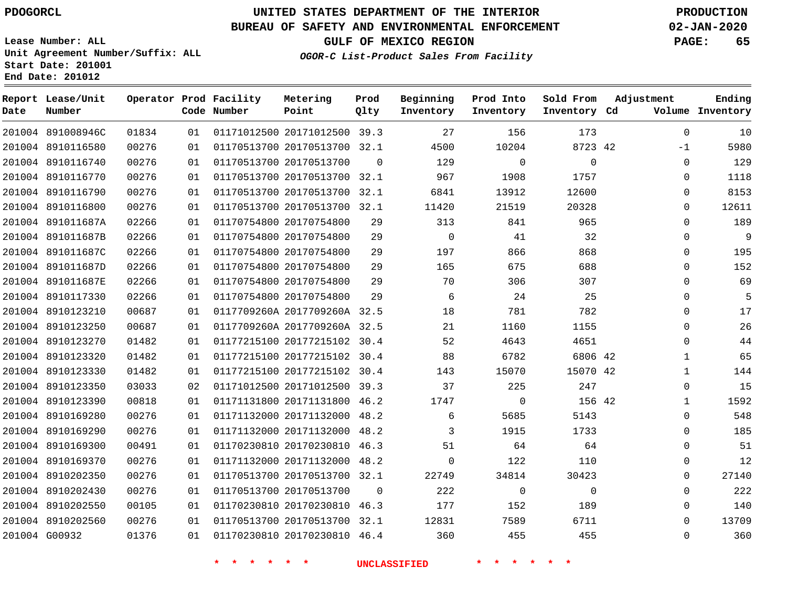# **UNITED STATES DEPARTMENT OF THE INTERIOR PDOGORCL PRODUCTION**

## **BUREAU OF SAFETY AND ENVIRONMENTAL ENFORCEMENT 02-JAN-2020**

**Lease Number: ALL Unit Agreement Number/Suffix: ALL Start Date: 201001 End Date: 201012**

**OGOR-C List-Product Sales From Facility**

**GULF OF MEXICO REGION PAGE: 65**

| Date | Report Lease/Unit<br>Number |       |    | Operator Prod Facility<br>Code Number | Metering<br>Point            | Prod<br>Qlty | Beginning<br>Inventory | Prod Into<br>Inventory | Sold From<br>Inventory Cd | Adjustment   | Ending<br>Volume Inventory |
|------|-----------------------------|-------|----|---------------------------------------|------------------------------|--------------|------------------------|------------------------|---------------------------|--------------|----------------------------|
|      | 201004 891008946C           | 01834 | 01 |                                       | 01171012500 20171012500 39.3 |              | 27                     | 156                    | 173                       | $\Omega$     | 10                         |
|      | 201004 8910116580           | 00276 | 01 |                                       | 01170513700 20170513700 32.1 |              | 4500                   | 10204                  | 8723 42                   | -1           | 5980                       |
|      | 201004 8910116740           | 00276 | 01 |                                       | 01170513700 20170513700      | $\Omega$     | 129                    | $\mathbf 0$            | $\mathbf 0$               | $\Omega$     | 129                        |
|      | 201004 8910116770           | 00276 | 01 |                                       | 01170513700 20170513700 32.1 |              | 967                    | 1908                   | 1757                      | $\Omega$     | 1118                       |
|      | 201004 8910116790           | 00276 | 01 |                                       | 01170513700 20170513700 32.1 |              | 6841                   | 13912                  | 12600                     | $\Omega$     | 8153                       |
|      | 201004 8910116800           | 00276 | 01 |                                       | 01170513700 20170513700 32.1 |              | 11420                  | 21519                  | 20328                     | 0            | 12611                      |
|      | 201004 891011687A           | 02266 | 01 |                                       | 01170754800 20170754800      | 29           | 313                    | 841                    | 965                       | $\Omega$     | 189                        |
|      | 201004 891011687B           | 02266 | 01 |                                       | 01170754800 20170754800      | 29           | $\mathbf 0$            | 41                     | 32                        | $\Omega$     | 9                          |
|      | 201004 891011687C           | 02266 | 01 |                                       | 01170754800 20170754800      | 29           | 197                    | 866                    | 868                       | $\Omega$     | 195                        |
|      | 201004 891011687D           | 02266 | 01 |                                       | 01170754800 20170754800      | 29           | 165                    | 675                    | 688                       | $\Omega$     | 152                        |
|      | 201004 891011687E           | 02266 | 01 |                                       | 01170754800 20170754800      | 29           | 70                     | 306                    | 307                       | $\Omega$     | 69                         |
|      | 201004 8910117330           | 02266 | 01 |                                       | 01170754800 20170754800      | 29           | 6                      | 24                     | 25                        | $\Omega$     | 5                          |
|      | 201004 8910123210           | 00687 | 01 |                                       | 0117709260A 2017709260A 32.5 |              | 18                     | 781                    | 782                       | $\Omega$     | 17                         |
|      | 201004 8910123250           | 00687 | 01 |                                       | 0117709260A 2017709260A 32.5 |              | 21                     | 1160                   | 1155                      | $\Omega$     | 26                         |
|      | 201004 8910123270           | 01482 | 01 |                                       | 01177215100 20177215102 30.4 |              | 52                     | 4643                   | 4651                      | $\Omega$     | 44                         |
|      | 201004 8910123320           | 01482 | 01 |                                       | 01177215100 20177215102 30.4 |              | 88                     | 6782                   | 6806 42                   | 1            | 65                         |
|      | 201004 8910123330           | 01482 | 01 |                                       | 01177215100 20177215102 30.4 |              | 143                    | 15070                  | 15070 42                  | $\mathbf 1$  | 144                        |
|      | 201004 8910123350           | 03033 | 02 |                                       | 01171012500 20171012500 39.3 |              | 37                     | 225                    | 247                       | $\Omega$     | 15                         |
|      | 201004 8910123390           | 00818 | 01 |                                       | 01171131800 20171131800 46.2 |              | 1747                   | $\mathbf 0$            | 156 42                    | $\mathbf{1}$ | 1592                       |
|      | 201004 8910169280           | 00276 | 01 |                                       | 01171132000 20171132000 48.2 |              | 6                      | 5685                   | 5143                      | $\Omega$     | 548                        |
|      | 201004 8910169290           | 00276 | 01 |                                       | 01171132000 20171132000 48.2 |              | 3                      | 1915                   | 1733                      | 0            | 185                        |
|      | 201004 8910169300           | 00491 | 01 |                                       | 01170230810 20170230810 46.3 |              | 51                     | 64                     | 64                        | 0            | 51                         |
|      | 201004 8910169370           | 00276 | 01 |                                       | 01171132000 20171132000 48.2 |              | $\mathbf 0$            | 122                    | 110                       | 0            | 12                         |
|      | 201004 8910202350           | 00276 | 01 |                                       | 01170513700 20170513700 32.1 |              | 22749                  | 34814                  | 30423                     | 0            | 27140                      |
|      | 201004 8910202430           | 00276 | 01 |                                       | 01170513700 20170513700      | $\Omega$     | 222                    | $\mathbf 0$            | $\mathbf 0$               | $\Omega$     | 222                        |
|      | 201004 8910202550           | 00105 | 01 |                                       | 01170230810 20170230810 46.3 |              | 177                    | 152                    | 189                       | $\Omega$     | 140                        |
|      | 201004 8910202560           | 00276 | 01 |                                       | 01170513700 20170513700 32.1 |              | 12831                  | 7589                   | 6711                      | $\Omega$     | 13709                      |
|      | 201004 G00932               | 01376 | 01 |                                       | 01170230810 20170230810 46.4 |              | 360                    | 455                    | 455                       | $\Omega$     | 360                        |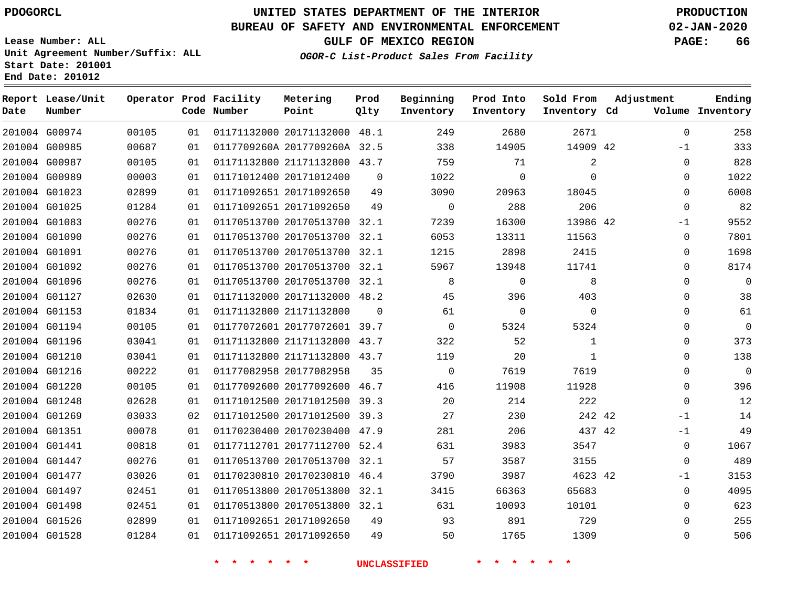**Report Lease/Unit**

**Number**

# **UNITED STATES DEPARTMENT OF THE INTERIOR PDOGORCL PRODUCTION**

**Prod Qlty**

## **BUREAU OF SAFETY AND ENVIRONMENTAL ENFORCEMENT 02-JAN-2020**

**Lease Number: ALL Unit Agreement Number/Suffix: ALL Start Date: 201001 End Date: 201012**

**Operator Prod Facility**

**Code Number**

**Metering Point**

**OGOR-C List-Product Sales From Facility**

**Beginning Inventory** **Prod Into Inventory** **Sold From Inventory**

**GULF OF MEXICO REGION PAGE: 66**

**Inventory Cd Volume**

**Adjustment**

  $-1$  $\Omega$   $\Omega$  -1  $\Omega$   $\Omega$  $\overline{0}$   $\Omega$  $\overline{0}$  $\Omega$  $\Omega$  $\Omega$  $-1$ -1 -1  $\Omega$ 

**Ending**

| 201004 G00974 | 00105 | 01 |             | 01171132000 20171132000 48.1 |              | 249                      | 2680         | 2671         |  |
|---------------|-------|----|-------------|------------------------------|--------------|--------------------------|--------------|--------------|--|
| 201004 G00985 | 00687 | 01 |             | 0117709260A 2017709260A 32.5 |              | 338                      | 14905        | 14909 42     |  |
| 201004 G00987 | 00105 | 01 |             | 01171132800 21171132800 43.7 |              | 759                      | 71           | 2            |  |
| 201004 G00989 | 00003 | 01 |             | 01171012400 20171012400      | $\mathbf{0}$ | 1022                     | 0            | 0            |  |
| 201004 G01023 | 02899 | 01 |             | 01171092651 20171092650      | 49           | 3090                     | 20963        | 18045        |  |
| 201004 G01025 | 01284 | 01 |             | 01171092651 20171092650      | 49           | $\overline{0}$           | 288          | 206          |  |
| 201004 G01083 | 00276 | 01 |             | 01170513700 20170513700 32.1 |              | 7239                     | 16300        | 13986 42     |  |
| 201004 G01090 | 00276 | 01 |             | 01170513700 20170513700 32.1 |              | 6053                     | 13311        | 11563        |  |
| 201004 G01091 | 00276 | 01 |             | 01170513700 20170513700 32.1 |              | 1215                     | 2898         | 2415         |  |
| 201004 G01092 | 00276 | 01 |             | 01170513700 20170513700 32.1 |              | 5967                     | 13948        | 11741        |  |
| 201004 G01096 | 00276 | 01 |             | 01170513700 20170513700 32.1 |              | 8                        | $\mathbf{0}$ | 8            |  |
| 201004 G01127 | 02630 | 01 |             | 01171132000 20171132000 48.2 |              | 45                       | 396          | 403          |  |
| 201004 G01153 | 01834 | 01 |             | 01171132800 21171132800      | $\mathbf{0}$ | 61                       | $\mathbf 0$  | $\mathbf 0$  |  |
| 201004 G01194 | 00105 | 01 |             | 01177072601 20177072601 39.7 |              | $\overline{\phantom{0}}$ | 5324         | 5324         |  |
| 201004 G01196 | 03041 | 01 |             | 01171132800 21171132800 43.7 |              | 322                      | 52           | $\mathbf{1}$ |  |
| 201004 G01210 | 03041 | 01 |             | 01171132800 21171132800 43.7 |              | 119                      | 20           | 1            |  |
| 201004 G01216 | 00222 | 01 |             | 01177082958 20177082958      | 35           | $\overline{0}$           | 7619         | 7619         |  |
| 201004 G01220 | 00105 | 01 |             | 01177092600 20177092600 46.7 |              | 416                      | 11908        | 11928        |  |
| 201004 G01248 | 02628 | 01 |             | 01171012500 20171012500 39.3 |              | 20                       | 214          | 222          |  |
| 201004 G01269 | 03033 | 02 |             | 01171012500 20171012500 39.3 |              | 27                       | 230          | 242 42       |  |
| 201004 G01351 | 00078 | 01 |             | 01170230400 20170230400 47.9 |              | 281                      | 206          | 437 42       |  |
| 201004 G01441 | 00818 | 01 |             | 01177112701 20177112700 52.4 |              | 631                      | 3983         | 3547         |  |
| 201004 G01447 | 00276 | 01 |             | 01170513700 20170513700 32.1 |              | 57                       | 3587         | 3155         |  |
| 201004 G01477 | 03026 | 01 |             | 01170230810 20170230810 46.4 |              | 3790                     | 3987         | 4623 42      |  |
| 201004 G01497 | 02451 | 01 |             | 01170513800 20170513800 32.1 |              | 3415                     | 66363        | 65683        |  |
| 201004 G01498 | 02451 | 01 |             | 01170513800 20170513800 32.1 |              | 631                      | 10093        | 10101        |  |
| 201004 G01526 | 02899 | 01 |             | 01171092651 20171092650      | 49           | 93                       | 891          | 729          |  |
| 201004 G01528 | 01284 | 01 |             | 01171092651 20171092650      | 49           | 50                       | 1765         | 1309         |  |
|               |       |    | * * * * * * |                              |              | <b>INCLASSIFIED</b>      | * * * * * *  |              |  |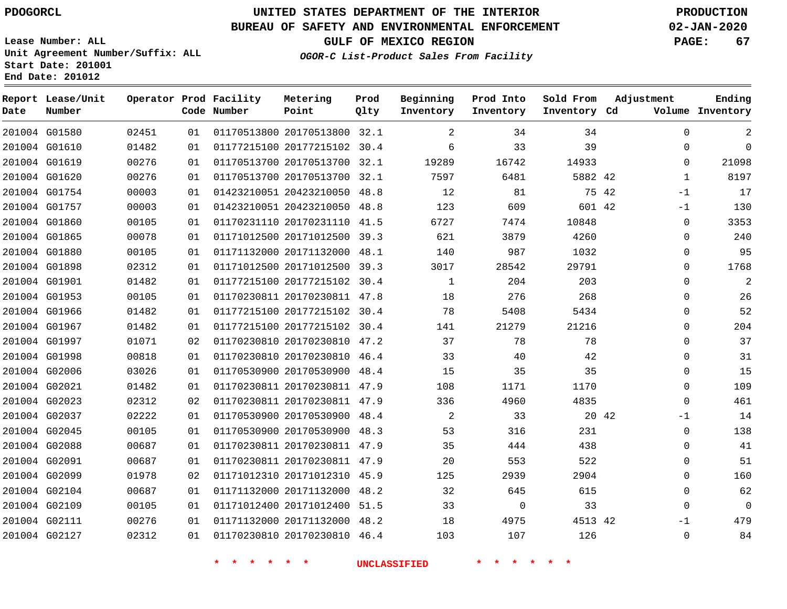**Report Lease/Unit**

**Number**

 G01580 G01610

**Date**

 G02111 G02127

# **UNITED STATES DEPARTMENT OF THE INTERIOR PDOGORCL PRODUCTION**

## **BUREAU OF SAFETY AND ENVIRONMENTAL ENFORCEMENT 02-JAN-2020**

**Lease Number: ALL Unit Agreement Number/Suffix: ALL Start Date: 201001**

> 

  **OGOR-C List-Product Sales From Facility**

**GULF OF MEXICO REGION PAGE: 67**

**Inventory Cd Volume**

**Adjustment**

 

 $\Omega$ 

**Ending**

|       |      | Operator Prod Facility<br>Code Number | Metering<br>Point | Prod<br>Olty | Beginning<br>Inventory | Prod Into<br>Inventory |
|-------|------|---------------------------------------|-------------------|--------------|------------------------|------------------------|
| 02451 | 01   | 01170513800 20170513800 32.1          |                   |              | -2                     | 34                     |
| 01482 | 01 L | 01177215100 20177215102 30.4          |                   |              | 6                      | 33                     |
| 00276 |      | 01 01170513700 20170513700 32.1       |                   |              | 19289                  | 16742                  |

| 201004 G01619 | 00276 | 01 | 01170513700 20170513700 32.1 |  | 19289 | 16742    | 14933   |       | $\mathbf 0$  |
|---------------|-------|----|------------------------------|--|-------|----------|---------|-------|--------------|
| 201004 G01620 | 00276 | 01 | 01170513700 20170513700 32.1 |  | 7597  | 6481     | 5882 42 |       | $\mathbf{1}$ |
| 201004 G01754 | 00003 | 01 | 01423210051 20423210050 48.8 |  | 12    | 81       |         | 75 42 | $-1$         |
| 201004 G01757 | 00003 | 01 | 01423210051 20423210050 48.8 |  | 123   | 609      | 601 42  |       | $-1$         |
| 201004 G01860 | 00105 | 01 | 01170231110 20170231110 41.5 |  | 6727  | 7474     | 10848   |       | $\mathbf 0$  |
| 201004 G01865 | 00078 | 01 | 01171012500 20171012500 39.3 |  | 621   | 3879     | 4260    |       | $\mathbf 0$  |
| 201004 G01880 | 00105 | 01 | 01171132000 20171132000 48.1 |  | 140   | 987      | 1032    |       | $\mathsf 0$  |
| 201004 G01898 | 02312 | 01 | 01171012500 20171012500 39.3 |  | 3017  | 28542    | 29791   |       | $\mathbf 0$  |
| 201004 G01901 | 01482 | 01 | 01177215100 20177215102 30.4 |  | 1     | 204      | 203     |       | $\mathbf 0$  |
| 201004 G01953 | 00105 | 01 | 01170230811 20170230811 47.8 |  | 18    | 276      | 268     |       | $\mathbf 0$  |
| 201004 G01966 | 01482 | 01 | 01177215100 20177215102 30.4 |  | 78    | 5408     | 5434    |       | $\mathbf 0$  |
| 201004 G01967 | 01482 | 01 | 01177215100 20177215102 30.4 |  | 141   | 21279    | 21216   |       | $\mathbf 0$  |
| 201004 G01997 | 01071 | 02 | 01170230810 20170230810 47.2 |  | 37    | 78       | 78      |       | $\mathbf 0$  |
| 201004 G01998 | 00818 | 01 | 01170230810 20170230810 46.4 |  | 33    | 40       | 42      |       | $\mathbf 0$  |
| 201004 G02006 | 03026 | 01 | 01170530900 20170530900 48.4 |  | 15    | 35       | 35      |       | $\mathbf 0$  |
| 201004 G02021 | 01482 | 01 | 01170230811 20170230811 47.9 |  | 108   | 1171     | 1170    |       | $\mathbf 0$  |
| 201004 G02023 | 02312 | 02 | 01170230811 20170230811 47.9 |  | 336   | 4960     | 4835    |       | $\mathbf 0$  |
| 201004 G02037 | 02222 | 01 | 01170530900 20170530900 48.4 |  | 2     | 33       |         | 20 42 | $-1$         |
| 201004 G02045 | 00105 | 01 | 01170530900 20170530900 48.3 |  | 53    | 316      | 231     |       | $\mathbf 0$  |
| 201004 G02088 | 00687 | 01 | 01170230811 20170230811 47.9 |  | 35    | 444      | 438     |       | $\mathbf 0$  |
| 201004 G02091 | 00687 | 01 | 01170230811 20170230811 47.9 |  | 20    | 553      | 522     |       | $\mathbf 0$  |
| 201004 G02099 | 01978 | 02 | 01171012310 20171012310 45.9 |  | 125   | 2939     | 2904    |       | $\mathbf 0$  |
| 201004 G02104 | 00687 | 01 | 01171132000 20171132000 48.2 |  | 32    | 645      | 615     |       | $\mathbf 0$  |
| 201004 G02109 | 00105 | 01 | 01171012400 20171012400 51.5 |  | 33    | $\Omega$ | 33      |       | $\mathbf 0$  |
| 201004 G02111 | 00276 | 01 | 01171132000 20171132000 48.2 |  | 18    | 4975     | 4513 42 |       | -1           |

 20171132000 48.2 20170230810 46.4

**\* \* \* \* \* \* UNCLASSIFIED \* \* \* \* \* \***

42

 

**Sold From Inventory**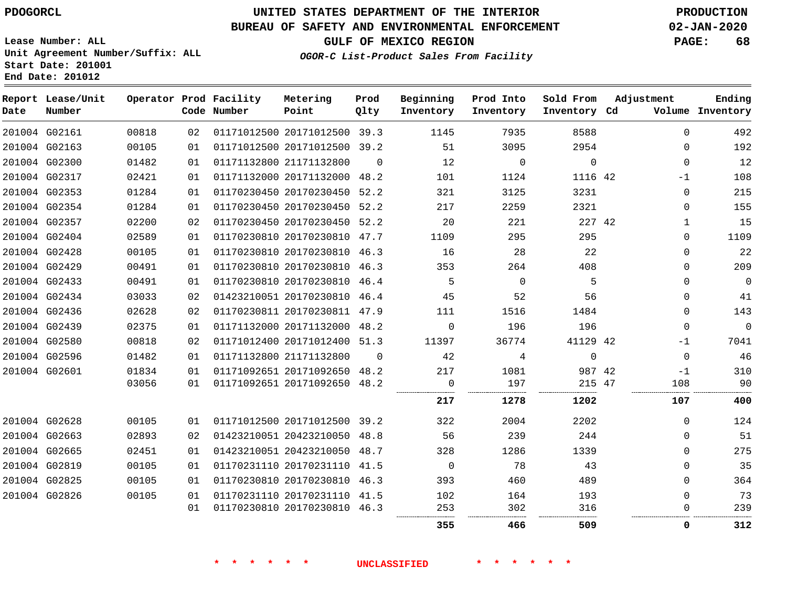# **UNITED STATES DEPARTMENT OF THE INTERIOR PDOGORCL PRODUCTION**

## **BUREAU OF SAFETY AND ENVIRONMENTAL ENFORCEMENT 02-JAN-2020**

**Lease Number: ALL Unit Agreement Number/Suffix: ALL Start Date: 201001**

**GULF OF MEXICO REGION PAGE: 68**

**OGOR-C List-Product Sales From Facility**

| Ending<br>Volume Inventory | Adjustment   | Sold From<br>Inventory Cd | Prod Into<br>Inventory | Beginning<br>Inventory | Prod<br>Qlty | Metering<br>Point            | Operator Prod Facility<br>Code Number |    |       | Report Lease/Unit<br>Number | Date |
|----------------------------|--------------|---------------------------|------------------------|------------------------|--------------|------------------------------|---------------------------------------|----|-------|-----------------------------|------|
| 492                        | $\Omega$     | 8588                      | 7935                   | 1145                   |              | 01171012500 20171012500 39.3 |                                       | 02 | 00818 | 201004 G02161               |      |
| 192                        | $\mathbf 0$  | 2954                      | 3095                   | 51                     |              | 01171012500 20171012500 39.2 |                                       | 01 | 00105 | 201004 G02163               |      |
| 12                         | $\Omega$     | $\mathbf 0$               | $\mathbf 0$            | 12                     | $\Omega$     |                              | 01171132800 21171132800               | 01 | 01482 | 201004 G02300               |      |
| 108                        | $-1$         | 1116 42                   | 1124                   | 101                    |              | 01171132000 20171132000 48.2 |                                       | 01 | 02421 | 201004 G02317               |      |
| 215                        | $\Omega$     | 3231                      | 3125                   | 321                    |              | 01170230450 20170230450 52.2 |                                       | 01 | 01284 | 201004 G02353               |      |
| 155                        | $\mathbf 0$  | 2321                      | 2259                   | 217                    |              | 01170230450 20170230450 52.2 |                                       | 01 | 01284 | 201004 G02354               |      |
| 15                         | $\mathbf{1}$ | 227 42                    | 221                    | 20                     |              | 01170230450 20170230450 52.2 |                                       | 02 | 02200 | 201004 G02357               |      |
| 1109                       | 0            | 295                       | 295                    | 1109                   |              | 01170230810 20170230810 47.7 |                                       | 01 | 02589 | 201004 G02404               |      |
| 22                         | $\Omega$     | 22                        | 28                     | 16                     |              | 01170230810 20170230810 46.3 |                                       | 01 | 00105 | 201004 G02428               |      |
| 209                        | 0            | 408                       | 264                    | 353                    |              | 01170230810 20170230810 46.3 |                                       | 01 | 00491 | 201004 G02429               |      |
| $\overline{0}$             | $\Omega$     | 5                         | $\Omega$               | 5                      |              | 01170230810 20170230810 46.4 |                                       | 01 | 00491 | 201004 G02433               |      |
| 41                         | $\mathbf 0$  | 56                        | 52                     | 45                     |              | 01423210051 20170230810 46.4 |                                       | 02 | 03033 | 201004 G02434               |      |
| 143                        | $\Omega$     | 1484                      | 1516                   | 111                    |              | 01170230811 20170230811 47.9 |                                       | 02 | 02628 | 201004 G02436               |      |
| $\mathbf{0}$               | $\Omega$     | 196                       | 196                    | $\Omega$               |              | 01171132000 20171132000 48.2 |                                       | 01 | 02375 | 201004 G02439               |      |
| 7041                       | $-1$         | 41129 42                  | 36774                  | 11397                  |              | 01171012400 20171012400 51.3 |                                       | 02 | 00818 | 201004 G02580               |      |
| 46                         | $\mathbf 0$  | $\Omega$                  | 4                      | 42                     | $\Omega$     |                              | 01171132800 21171132800               | 01 | 01482 | 201004 G02596               |      |
| 310                        | $-1$         | 987 42                    | 1081                   | 217                    |              | 01171092651 20171092650 48.2 |                                       | 01 | 01834 | 201004 G02601               |      |
| 90                         | 108          | 215 47                    | 197                    | $\mathbf 0$            |              | 01171092651 20171092650 48.2 |                                       | 01 | 03056 |                             |      |
| 400                        | 107          | 1202                      | 1278                   | 217                    |              |                              |                                       |    |       |                             |      |
| 124                        | $\mathbf 0$  | 2202                      | 2004                   | 322                    |              | 01171012500 20171012500 39.2 |                                       | 01 | 00105 | 201004 G02628               |      |
| 51                         | $\Omega$     | 244                       | 239                    | 56                     |              | 01423210051 20423210050 48.8 |                                       | 02 | 02893 | 201004 G02663               |      |
| 275                        | $\Omega$     | 1339                      | 1286                   | 328                    |              | 01423210051 20423210050 48.7 |                                       | 01 | 02451 | 201004 G02665               |      |
| 35                         | $\Omega$     | 43                        | 78                     | $\mathbf 0$            |              | 01170231110 20170231110 41.5 |                                       | 01 | 00105 | 201004 G02819               |      |
| 364                        | $\Omega$     | 489                       | 460                    | 393                    |              | 01170230810 20170230810 46.3 |                                       | 01 | 00105 | 201004 G02825               |      |
| 73                         | 0            | 193                       | 164                    | 102                    |              | 01170231110 20170231110 41.5 |                                       | 01 | 00105 | 201004 G02826               |      |
| 239                        | 0            | 316                       | 302                    | 253                    |              | 01170230810 20170230810 46.3 |                                       | 01 |       |                             |      |
| 312                        | 0            | 509                       | 466                    | 355                    |              |                              |                                       |    |       |                             |      |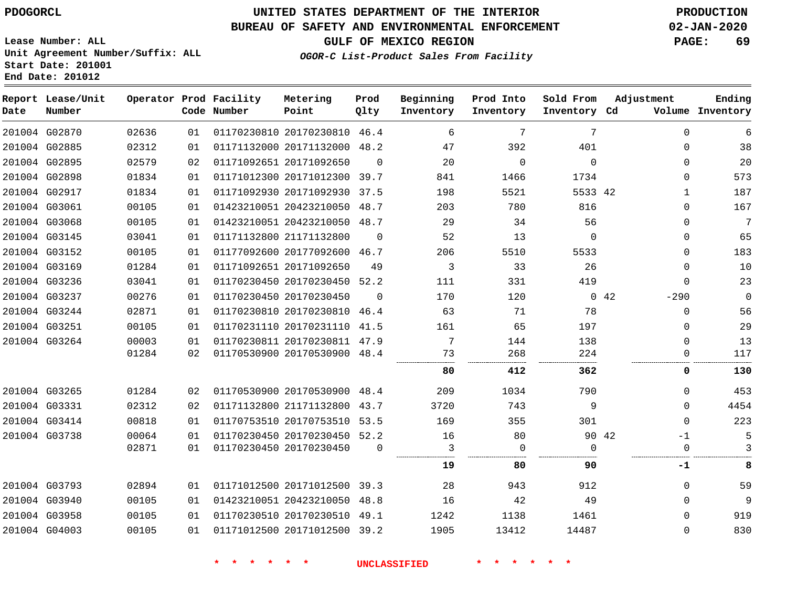# **UNITED STATES DEPARTMENT OF THE INTERIOR PDOGORCL PRODUCTION**

## **BUREAU OF SAFETY AND ENVIRONMENTAL ENFORCEMENT 02-JAN-2020**

**Lease Number: ALL Unit Agreement Number/Suffix: ALL Start Date: 201001**

**GULF OF MEXICO REGION PAGE: 69**

**OGOR-C List-Product Sales From Facility**

| Date | Report Lease/Unit<br>Number |       |    | Operator Prod Facility<br>Code Number | Metering<br>Point            | Prod<br>Qlty | Beginning<br>Inventory | Prod Into<br>Inventory | Sold From<br>Inventory Cd | Adjustment |              | Ending<br>Volume Inventory |
|------|-----------------------------|-------|----|---------------------------------------|------------------------------|--------------|------------------------|------------------------|---------------------------|------------|--------------|----------------------------|
|      | 201004 G02870               | 02636 | 01 |                                       | 01170230810 20170230810 46.4 |              | 6                      | $7\phantom{.0}$        | 7                         |            | $\Omega$     | 6                          |
|      | 201004 G02885               | 02312 | 01 |                                       | 01171132000 20171132000 48.2 |              | 47                     | 392                    | 401                       |            | $\mathbf{0}$ | 38                         |
|      | 201004 G02895               | 02579 | 02 |                                       | 01171092651 20171092650      | $\mathbf 0$  | 20                     | $\mathbf 0$            | $\mathbf 0$               |            | 0            | 20                         |
|      | 201004 G02898               | 01834 | 01 |                                       | 01171012300 20171012300 39.7 |              | 841                    | 1466                   | 1734                      |            | 0            | 573                        |
|      | 201004 G02917               | 01834 | 01 |                                       | 01171092930 20171092930      | 37.5         | 198                    | 5521                   | 5533 42                   |            | $\mathbf{1}$ | 187                        |
|      | 201004 G03061               | 00105 | 01 |                                       | 01423210051 20423210050 48.7 |              | 203                    | 780                    | 816                       |            | 0            | 167                        |
|      | 201004 G03068               | 00105 | 01 |                                       | 01423210051 20423210050 48.7 |              | 29                     | 34                     | 56                        |            | 0            | $7\phantom{.0}$            |
|      | 201004 G03145               | 03041 | 01 |                                       | 01171132800 21171132800      | $\Omega$     | 52                     | 13                     | $\Omega$                  |            | $\Omega$     | 65                         |
|      | 201004 G03152               | 00105 | 01 |                                       | 01177092600 20177092600 46.7 |              | 206                    | 5510                   | 5533                      |            | $\Omega$     | 183                        |
|      | 201004 G03169               | 01284 | 01 |                                       | 01171092651 20171092650      | 49           | 3                      | 33                     | 26                        |            | 0            | 10                         |
|      | 201004 G03236               | 03041 | 01 |                                       | 01170230450 20170230450 52.2 |              | 111                    | 331                    | 419                       |            | 0            | 23                         |
|      | 201004 G03237               | 00276 | 01 |                                       | 01170230450 20170230450      | $\Omega$     | 170                    | 120                    |                           | 042        | $-290$       | $\mathbf 0$                |
|      | 201004 G03244               | 02871 | 01 |                                       | 01170230810 20170230810 46.4 |              | 63                     | 71                     | 78                        |            | $\mathsf 0$  | 56                         |
|      | 201004 G03251               | 00105 | 01 |                                       | 01170231110 20170231110 41.5 |              | 161                    | 65                     | 197                       |            | 0            | 29                         |
|      | 201004 G03264               | 00003 | 01 |                                       | 01170230811 20170230811 47.9 |              | 7                      | 144                    | 138                       |            | $\mathbf{0}$ | 13                         |
|      |                             | 01284 | 02 |                                       | 01170530900 20170530900 48.4 |              | 73                     | 268                    | 224                       |            | 0            | 117                        |
|      |                             |       |    |                                       |                              |              | 80                     | 412                    | 362                       |            | 0            | 130                        |
|      | 201004 G03265               | 01284 | 02 |                                       | 01170530900 20170530900 48.4 |              | 209                    | 1034                   | 790                       |            | $\Omega$     | 453                        |
|      | 201004 G03331               | 02312 | 02 |                                       | 01171132800 21171132800      | 43.7         | 3720                   | 743                    | 9                         |            | $\Omega$     | 4454                       |
|      | 201004 G03414               | 00818 | 01 |                                       | 01170753510 20170753510 53.5 |              | 169                    | 355                    | 301                       |            | $\Omega$     | 223                        |
|      | 201004 G03738               | 00064 | 01 |                                       | 01170230450 20170230450 52.2 |              | 16                     | 80                     |                           | 90 42      | -1           | 5                          |
|      |                             | 02871 | 01 |                                       | 01170230450 20170230450      | $\Omega$     | 3                      | 0                      | $\Omega$                  |            | 0            | 3                          |
|      |                             |       |    |                                       |                              |              | 19                     | 80                     | 90                        |            | -1           | 8                          |
|      | 201004 G03793               | 02894 | 01 |                                       | 01171012500 20171012500 39.3 |              | 28                     | 943                    | 912                       |            | $\mathbf{0}$ | 59                         |
|      | 201004 G03940               | 00105 | 01 |                                       | 01423210051 20423210050 48.8 |              | 16                     | 42                     | 49                        |            | $\mathbf{0}$ | 9                          |
|      | 201004 G03958               | 00105 | 01 |                                       | 01170230510 20170230510 49.1 |              | 1242                   | 1138                   | 1461                      |            | 0            | 919                        |
|      | 201004 G04003               | 00105 | 01 |                                       | 01171012500 20171012500 39.2 |              | 1905                   | 13412                  | 14487                     |            | $\Omega$     | 830                        |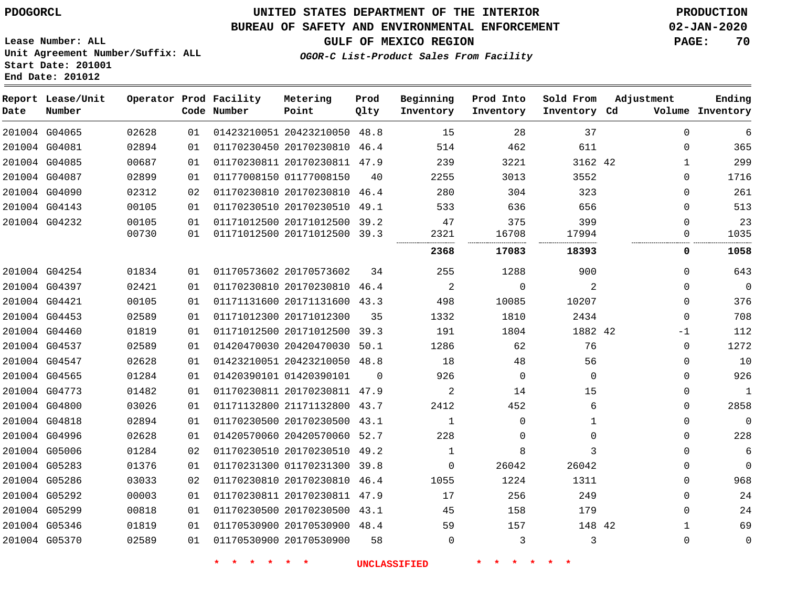## **BUREAU OF SAFETY AND ENVIRONMENTAL ENFORCEMENT 02-JAN-2020**

**Lease Number: ALL Unit Agreement Number/Suffix: ALL Start Date: 201001 End Date: 201012**

**GULF OF MEXICO REGION PAGE: 70**

**OGOR-C List-Product Sales From Facility**

| Date | Report Lease/Unit<br>Number |       |    | Operator Prod Facility<br>Code Number | Metering<br>Point            | Prod<br>Qlty | Beginning<br>Inventory | Prod Into<br>Inventory | Sold From<br>Inventory Cd | Adjustment  | Ending<br>Volume Inventory |
|------|-----------------------------|-------|----|---------------------------------------|------------------------------|--------------|------------------------|------------------------|---------------------------|-------------|----------------------------|
|      | 201004 G04065               | 02628 | 01 |                                       | 01423210051 20423210050 48.8 |              | 15                     | 28                     | 37                        | $\mathbf 0$ | 6                          |
|      | 201004 G04081               | 02894 | 01 |                                       | 01170230450 20170230810 46.4 |              | 514                    | 462                    | 611                       | $\mathbf 0$ | 365                        |
|      | 201004 G04085               | 00687 | 01 |                                       | 01170230811 20170230811 47.9 |              | 239                    | 3221                   | 3162 42                   | 1           | 299                        |
|      | 201004 G04087               | 02899 | 01 |                                       | 01177008150 01177008150      | 40           | 2255                   | 3013                   | 3552                      | $\mathbf 0$ | 1716                       |
|      | 201004 G04090               | 02312 | 02 |                                       | 01170230810 20170230810 46.4 |              | 280                    | 304                    | 323                       | $\Omega$    | 261                        |
|      | 201004 G04143               | 00105 | 01 |                                       | 01170230510 20170230510      | 49.1         | 533                    | 636                    | 656                       | 0           | 513                        |
|      | 201004 G04232               | 00105 | 01 |                                       | 01171012500 20171012500 39.2 |              | 47                     | 375                    | 399                       | $\Omega$    | 23                         |
|      |                             | 00730 | 01 |                                       | 01171012500 20171012500 39.3 |              | 2321                   | 16708                  | 17994                     | 0           | 1035                       |
|      |                             |       |    |                                       |                              |              | 2368                   | 17083                  | 18393                     | 0           | 1058                       |
|      | 201004 G04254               | 01834 | 01 |                                       | 01170573602 20170573602      | 34           | 255                    | 1288                   | 900                       | 0           | 643                        |
|      | 201004 G04397               | 02421 | 01 |                                       | 01170230810 20170230810 46.4 |              | $\overline{2}$         | $\mathbf 0$            | 2                         | $\mathbf 0$ | $\overline{0}$             |
|      | 201004 G04421               | 00105 | 01 |                                       | 01171131600 20171131600 43.3 |              | 498                    | 10085                  | 10207                     | $\mathbf 0$ | 376                        |
|      | 201004 G04453               | 02589 | 01 |                                       | 01171012300 20171012300      | 35           | 1332                   | 1810                   | 2434                      | $\mathbf 0$ | 708                        |
|      | 201004 G04460               | 01819 | 01 |                                       | 01171012500 20171012500 39.3 |              | 191                    | 1804                   | 1882 42                   | -1          | 112                        |
|      | 201004 G04537               | 02589 | 01 |                                       | 01420470030 20420470030      | 50.1         | 1286                   | 62                     | 76                        | $\mathbf 0$ | 1272                       |
|      | 201004 G04547               | 02628 | 01 |                                       | 01423210051 20423210050 48.8 |              | 18                     | 48                     | 56                        | $\Omega$    | 10                         |
|      | 201004 G04565               | 01284 | 01 |                                       | 01420390101 01420390101      | $\Omega$     | 926                    | 0                      | $\Omega$                  | $\Omega$    | 926                        |
|      | 201004 G04773               | 01482 | 01 |                                       | 01170230811 20170230811 47.9 |              | 2                      | 14                     | 15                        | 0           | 1                          |
|      | 201004 G04800               | 03026 | 01 |                                       | 01171132800 21171132800 43.7 |              | 2412                   | 452                    | 6                         | $\Omega$    | 2858                       |
|      | 201004 G04818               | 02894 | 01 |                                       | 01170230500 20170230500 43.1 |              | $\mathbf{1}$           | $\Omega$               | 1                         | $\Omega$    | $\mathbf 0$                |
|      | 201004 G04996               | 02628 | 01 |                                       | 01420570060 20420570060 52.7 |              | 228                    | $\Omega$               | $\Omega$                  | $\Omega$    | 228                        |
|      | 201004 G05006               | 01284 | 02 |                                       | 01170230510 20170230510      | 49.2         | $\mathbf{1}$           | 8                      | 3                         | 0           | 6                          |
|      | 201004 G05283               | 01376 | 01 |                                       | 01170231300 01170231300 39.8 |              | 0                      | 26042                  | 26042                     | $\mathbf 0$ | $\mathbf 0$                |
|      | 201004 G05286               | 03033 | 02 |                                       | 01170230810 20170230810 46.4 |              | 1055                   | 1224                   | 1311                      | 0           | 968                        |
|      | 201004 G05292               | 00003 | 01 |                                       | 01170230811 20170230811 47.9 |              | 17                     | 256                    | 249                       | $\mathbf 0$ | 24                         |
|      | 201004 G05299               | 00818 | 01 |                                       | 01170230500 20170230500 43.1 |              | 45                     | 158                    | 179                       | $\Omega$    | 24                         |
|      | 201004 G05346               | 01819 | 01 |                                       | 01170530900 20170530900 48.4 |              | 59                     | 157                    | 148 42                    | $\mathbf 1$ | 69                         |
|      | 201004 G05370               | 02589 | 01 |                                       | 01170530900 20170530900      | 58           | 0                      | 3                      | 3                         | $\Omega$    | $\mathbf 0$                |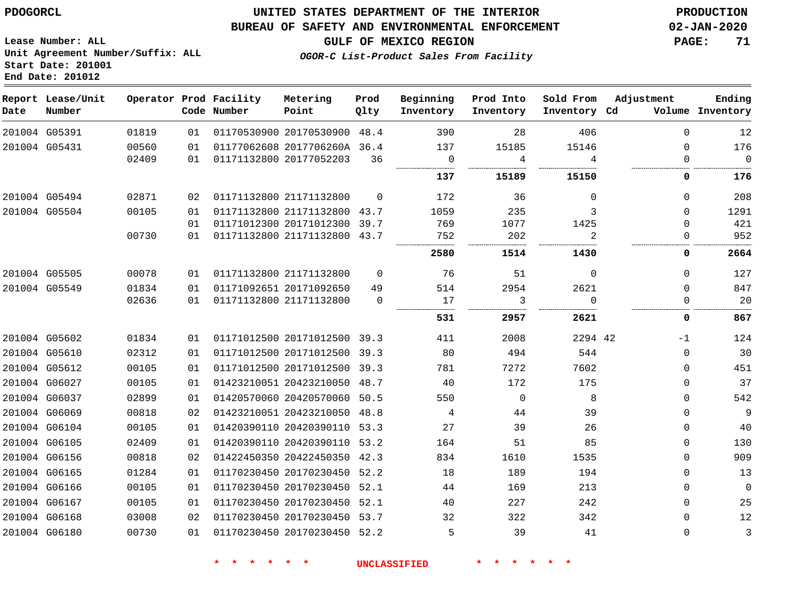## **UNITED STATES DEPARTMENT OF THE INTERIOR PDOGORCL PRODUCTION**

## **BUREAU OF SAFETY AND ENVIRONMENTAL ENFORCEMENT 02-JAN-2020**

**Lease Number: ALL Unit Agreement Number/Suffix: ALL Start Date: 201001**

**GULF OF MEXICO REGION PAGE: 71**

**OGOR-C List-Product Sales From Facility**

| Date          | Report Lease/Unit<br>Number |       |    | Operator Prod Facility<br>Code Number | Metering<br>Point            | Prod<br>Qlty | Beginning<br>Inventory | Prod Into<br>Inventory | Sold From<br>Inventory Cd | Adjustment | Ending<br>Volume Inventory |
|---------------|-----------------------------|-------|----|---------------------------------------|------------------------------|--------------|------------------------|------------------------|---------------------------|------------|----------------------------|
|               | 201004 G05391               | 01819 | 01 |                                       | 01170530900 20170530900 48.4 |              | 390                    | 28                     | 406                       | $\Omega$   | 12                         |
| 201004 G05431 |                             | 00560 | 01 |                                       | 01177062608 2017706260A 36.4 |              | 137                    | 15185                  | 15146                     | $\Omega$   | 176                        |
|               |                             | 02409 | 01 | 01171132800 20177052203               |                              | 36           | $\overline{0}$         | 4                      | 4                         | $\Omega$   | $\overline{0}$             |
|               |                             |       |    |                                       |                              |              | 137                    | 15189                  | 15150                     | 0          | 176                        |
|               | 201004 G05494               | 02871 | 02 |                                       | 01171132800 21171132800      | $\Omega$     | 172                    | 36                     | $\Omega$                  | $\Omega$   | 208                        |
|               | 201004 G05504               | 00105 | 01 |                                       | 01171132800 21171132800      | 43.7         | 1059                   | 235                    | 3                         | $\Omega$   | 1291                       |
|               |                             |       | 01 |                                       | 01171012300 20171012300 39.7 |              | 769                    | 1077                   | 1425                      | $\Omega$   | 421                        |
|               |                             | 00730 | 01 |                                       | 01171132800 21171132800 43.7 |              | 752                    | 202                    | .                         | $\Omega$   | 952                        |
|               |                             |       |    |                                       |                              |              | 2580                   | 1514                   | 1430                      | 0          | 2664                       |
| 201004 G05505 |                             | 00078 | 01 |                                       | 01171132800 21171132800      | $\Omega$     | 76                     | 51                     | $\mathbf 0$               | $\Omega$   | 127                        |
|               | 201004 G05549               | 01834 | 01 |                                       | 01171092651 20171092650      | 49           | 514                    | 2954                   | 2621                      | $\Omega$   | 847                        |
|               |                             | 02636 | 01 |                                       | 01171132800 21171132800      | $\Omega$     | 17                     | 3                      | $\Omega$                  | 0          | 20                         |
|               |                             |       |    |                                       |                              |              | 531                    | 2957                   | 2621                      | 0          | 867                        |
|               | 201004 G05602               | 01834 | 01 |                                       | 01171012500 20171012500 39.3 |              | 411                    | 2008                   | 2294 42                   | $-1$       | 124                        |
|               | 201004 G05610               | 02312 | 01 |                                       | 01171012500 20171012500 39.3 |              | 80                     | 494                    | 544                       | $\Omega$   | 30                         |
|               | 201004 G05612               | 00105 | 01 |                                       | 01171012500 20171012500 39.3 |              | 781                    | 7272                   | 7602                      | $\Omega$   | 451                        |
|               | 201004 G06027               | 00105 | 01 |                                       | 01423210051 20423210050 48.7 |              | 40                     | 172                    | 175                       | $\Omega$   | 37                         |
| 201004 G06037 |                             | 02899 | 01 |                                       | 01420570060 20420570060 50.5 |              | 550                    | $\overline{0}$         | 8                         | 0          | 542                        |
| 201004 G06069 |                             | 00818 | 02 |                                       | 01423210051 20423210050 48.8 |              | 4                      | 44                     | 39                        | $\Omega$   | $\overline{9}$             |
| 201004 G06104 |                             | 00105 | 01 |                                       | 01420390110 20420390110 53.3 |              | 27                     | 39                     | 26                        | 0          | 40                         |
| 201004 G06105 |                             | 02409 | 01 |                                       | 01420390110 20420390110 53.2 |              | 164                    | 51                     | 85                        | $\Omega$   | 130                        |
| 201004 G06156 |                             | 00818 | 02 |                                       | 01422450350 20422450350 42.3 |              | 834                    | 1610                   | 1535                      | $\Omega$   | 909                        |
| 201004 G06165 |                             | 01284 | 01 |                                       | 01170230450 20170230450 52.2 |              | 18                     | 189                    | 194                       | 0          | 13                         |
| 201004 G06166 |                             | 00105 | 01 |                                       | 01170230450 20170230450 52.1 |              | 44                     | 169                    | 213                       | 0          | $\mathbf 0$                |
| 201004 G06167 |                             | 00105 | 01 |                                       | 01170230450 20170230450 52.1 |              | 40                     | 227                    | 242                       | $\Omega$   | 25                         |
| 201004 G06168 |                             | 03008 | 02 |                                       | 01170230450 20170230450 53.7 |              | 32                     | 322                    | 342                       | 0          | 12                         |
|               | 201004 G06180               | 00730 | 01 |                                       | 01170230450 20170230450 52.2 |              | 5                      | 39                     | 41                        | $\Omega$   | $\mathbf{3}$               |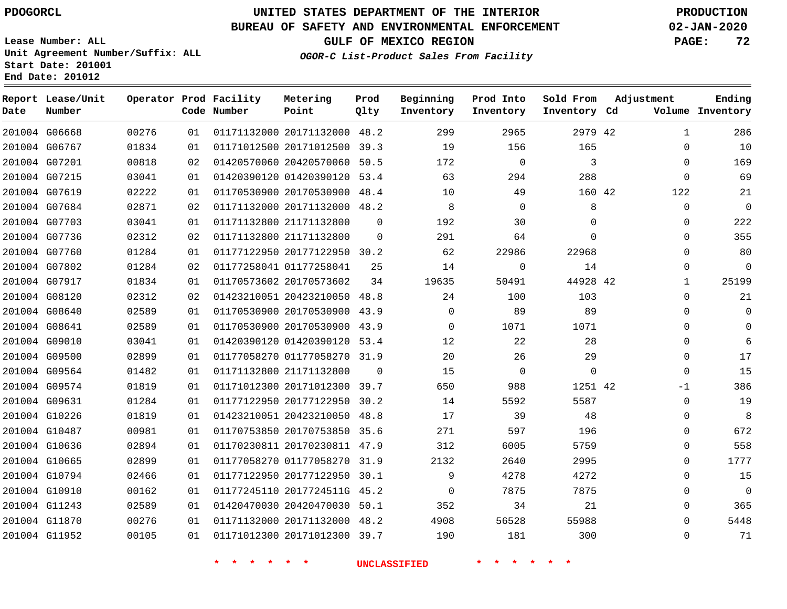G06668

**Report Lease/Unit**

**Number**

**Date**

# **UNITED STATES DEPARTMENT OF THE INTERIOR PDOGORCL PRODUCTION**

**Prod Qlty**

## **BUREAU OF SAFETY AND ENVIRONMENTAL ENFORCEMENT 02-JAN-2020**

**Lease Number: ALL Unit Agreement Number/Suffix: ALL Start Date: 201001 End Date: 201012**

**Operator Prod Facility**

**Code Number**

20171132000 48.2

**Metering Point**

**OGOR-C List-Product Sales From Facility**

**Prod Into Inventory**

**Beginning Inventory**

**GULF OF MEXICO REGION PAGE: 72**

**Inventory Cd Volume**

**Adjustment**

**Ending**

42

**Sold From Inventory**

| G06767 | 01834 | 01 |              | 01171012500 20171012500 39.3 |              | 19                  | 156          | 165                 |  |
|--------|-------|----|--------------|------------------------------|--------------|---------------------|--------------|---------------------|--|
| G07201 | 00818 | 02 |              | 01420570060 20420570060 50.5 |              | 172                 | $\mathbf 0$  | $\mathbf{3}$        |  |
| G07215 | 03041 | 01 |              | 01420390120 01420390120 53.4 |              | 63                  | 294          | 288                 |  |
| G07619 | 02222 | 01 |              | 01170530900 20170530900 48.4 |              | 10                  | 49           | 160 42              |  |
| G07684 | 02871 | 02 |              | 01171132000 20171132000 48.2 |              | 8                   | $\mathbf 0$  | 8                   |  |
| G07703 | 03041 | 01 |              | 01171132800 21171132800      | $\Omega$     | 192                 | 30           | 0                   |  |
| G07736 | 02312 | 02 |              | 01171132800 21171132800      | $\Omega$     | 291                 | 64           | 0                   |  |
| G07760 | 01284 | 01 |              | 01177122950 20177122950 30.2 |              | 62                  | 22986        | 22968               |  |
| G07802 | 01284 | 02 |              | 01177258041 01177258041      | 25           | 14                  | $\mathbf 0$  | 14                  |  |
| G07917 | 01834 | 01 |              | 01170573602 20170573602      | 34           | 19635               | 50491        | 44928 42            |  |
| G08120 | 02312 | 02 |              | 01423210051 20423210050 48.8 |              | 24                  | 100          | 103                 |  |
| G08640 | 02589 | 01 |              | 01170530900 20170530900 43.9 |              | $\mathbf{0}$        | 89           | 89                  |  |
| G08641 | 02589 | 01 |              | 01170530900 20170530900 43.9 |              | $\mathbf{0}$        | 1071         | 1071                |  |
| G09010 | 03041 | 01 |              | 01420390120 01420390120 53.4 |              | 12                  | 22           | 28                  |  |
| G09500 | 02899 | 01 |              | 01177058270 01177058270 31.9 |              | 20                  | 26           | 29                  |  |
| G09564 | 01482 | 01 |              | 01171132800 21171132800      | $\mathbf{0}$ | 15                  | $\mathsf{O}$ | $\mathsf{O}\xspace$ |  |
| G09574 | 01819 | 01 |              | 01171012300 20171012300 39.7 |              | 650                 | 988          | 1251 42             |  |
| G09631 | 01284 | 01 |              | 01177122950 20177122950 30.2 |              | 14                  | 5592         | 5587                |  |
| G10226 | 01819 | 01 |              | 01423210051 20423210050 48.8 |              | 17                  | 39           | 48                  |  |
| G10487 | 00981 | 01 |              | 01170753850 20170753850 35.6 |              | 271                 | 597          | 196                 |  |
| G10636 | 02894 | 01 |              | 01170230811 20170230811 47.9 |              | 312                 | 6005         | 5759                |  |
| G10665 | 02899 | 01 |              | 01177058270 01177058270 31.9 |              | 2132                | 2640         | 2995                |  |
| G10794 | 02466 | 01 |              | 01177122950 20177122950 30.1 |              | 9                   | 4278         | 4272                |  |
| G10910 | 00162 | 01 |              | 01177245110 2017724511G 45.2 |              | $\mathbf{0}$        | 7875         | 7875                |  |
| G11243 | 02589 | 01 |              | 01420470030 20420470030 50.1 |              | 352                 | 34           | 21                  |  |
| G11870 | 00276 | 01 |              | 01171132000 20171132000 48.2 |              | 4908                | 56528        | 55988               |  |
| G11952 | 00105 | 01 |              | 01171012300 20171012300 39.7 |              | 190                 | 181          | 300                 |  |
|        |       |    | *.<br>$\ast$ | * *                          |              | <b>UNCLASSIFIED</b> | $\star$      |                     |  |
|        |       |    |              |                              |              |                     |              |                     |  |
|        |       |    |              |                              |              |                     |              |                     |  |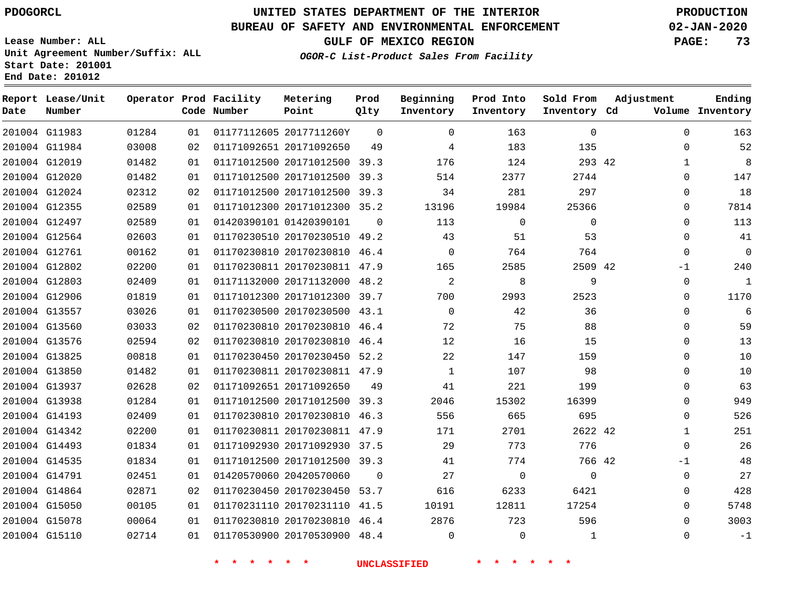## **UNITED STATES DEPARTMENT OF THE INTERIOR PDOGORCL PRODUCTION**

### **BUREAU OF SAFETY AND ENVIRONMENTAL ENFORCEMENT 02-JAN-2020**

**Lease Number: ALL Unit Agreement Number/Suffix: ALL Start Date: 201001**

### **OGOR-C List-Product Sales From Facility**

**GULF OF MEXICO REGION PAGE: 73**

| Date | Report Lease/Unit<br>Number |       |    | Operator Prod Facility<br>Code Number | Metering<br>Point            | Prod<br>Qlty | Beginning<br>Inventory | Prod Into<br>Inventory | Sold From<br>Inventory Cd | Adjustment |          | Ending<br>Volume Inventory |
|------|-----------------------------|-------|----|---------------------------------------|------------------------------|--------------|------------------------|------------------------|---------------------------|------------|----------|----------------------------|
|      | 201004 G11983               | 01284 | 01 |                                       | 01177112605 2017711260Y      | $\Omega$     | $\Omega$               | 163                    | $\mathbf 0$               |            | $\Omega$ | 163                        |
|      | 201004 G11984               | 03008 | 02 |                                       | 01171092651 20171092650      | 49           | 4                      | 183                    | 135                       |            | $\Omega$ | 52                         |
|      | 201004 G12019               | 01482 | 01 |                                       | 01171012500 20171012500 39.3 |              | 176                    | 124                    | 293 42                    |            | 1        | 8                          |
|      | 201004 G12020               | 01482 | 01 |                                       | 01171012500 20171012500 39.3 |              | 514                    | 2377                   | 2744                      |            | $\Omega$ | 147                        |
|      | 201004 G12024               | 02312 | 02 |                                       | 01171012500 20171012500 39.3 |              | 34                     | 281                    | 297                       |            | $\Omega$ | 18                         |
|      | 201004 G12355               | 02589 | 01 |                                       | 01171012300 20171012300 35.2 |              | 13196                  | 19984                  | 25366                     |            | $\Omega$ | 7814                       |
|      | 201004 G12497               | 02589 | 01 |                                       | 01420390101 01420390101      | $\Omega$     | 113                    | 0                      | $\mathbf 0$               |            | $\Omega$ | 113                        |
|      | 201004 G12564               | 02603 | 01 |                                       | 01170230510 20170230510 49.2 |              | 43                     | 51                     | 53                        |            | $\Omega$ | 41                         |
|      | 201004 G12761               | 00162 | 01 |                                       | 01170230810 20170230810 46.4 |              | $\Omega$               | 764                    | 764                       |            | $\Omega$ | $\mathbf 0$                |
|      | 201004 G12802               | 02200 | 01 |                                       | 01170230811 20170230811 47.9 |              | 165                    | 2585                   | 2509 42                   |            | $-1$     | 240                        |
|      | 201004 G12803               | 02409 | 01 |                                       | 01171132000 20171132000 48.2 |              | 2                      | 8                      | 9                         |            | $\Omega$ | $\mathbf{1}$               |
|      | 201004 G12906               | 01819 | 01 |                                       | 01171012300 20171012300      | 39.7         | 700                    | 2993                   | 2523                      |            | $\Omega$ | 1170                       |
|      | 201004 G13557               | 03026 | 01 |                                       | 01170230500 20170230500 43.1 |              | $\Omega$               | 42                     | 36                        |            | $\Omega$ | 6                          |
|      | 201004 G13560               | 03033 | 02 |                                       | 01170230810 20170230810 46.4 |              | 72                     | 75                     | 88                        |            | $\Omega$ | 59                         |
|      | 201004 G13576               | 02594 | 02 |                                       | 01170230810 20170230810 46.4 |              | 12                     | 16                     | 15                        |            | $\Omega$ | 13                         |
|      | 201004 G13825               | 00818 | 01 |                                       | 01170230450 20170230450 52.2 |              | 22                     | 147                    | 159                       |            | $\Omega$ | 10                         |
|      | 201004 G13850               | 01482 | 01 |                                       | 01170230811 20170230811 47.9 |              | $\mathbf{1}$           | 107                    | 98                        |            | $\Omega$ | 10                         |
|      | 201004 G13937               | 02628 | 02 |                                       | 01171092651 20171092650      | 49           | 41                     | 221                    | 199                       |            | $\Omega$ | 63                         |
|      | 201004 G13938               | 01284 | 01 |                                       | 01171012500 20171012500 39.3 |              | 2046                   | 15302                  | 16399                     |            | $\Omega$ | 949                        |
|      | 201004 G14193               | 02409 | 01 |                                       | 01170230810 20170230810 46.3 |              | 556                    | 665                    | 695                       |            | $\Omega$ | 526                        |
|      | 201004 G14342               | 02200 | 01 |                                       | 01170230811 20170230811 47.9 |              | 171                    | 2701                   | 2622 42                   |            | 1        | 251                        |
|      | 201004 G14493               | 01834 | 01 |                                       | 01171092930 20171092930 37.5 |              | 29                     | 773                    | 776                       |            | $\Omega$ | 26                         |
|      | 201004 G14535               | 01834 | 01 |                                       | 01171012500 20171012500 39.3 |              | 41                     | 774                    | 766 42                    |            | -1       | 48                         |
|      | 201004 G14791               | 02451 | 01 |                                       | 01420570060 20420570060      | $\Omega$     | 27                     | $\mathbf 0$            | $\Omega$                  |            | $\Omega$ | 27                         |
|      | 201004 G14864               | 02871 | 02 |                                       | 01170230450 20170230450 53.7 |              | 616                    | 6233                   | 6421                      |            | $\Omega$ | 428                        |
|      | 201004 G15050               | 00105 | 01 |                                       | 01170231110 20170231110 41.5 |              | 10191                  | 12811                  | 17254                     |            | $\Omega$ | 5748                       |
|      | 201004 G15078               | 00064 | 01 |                                       | 01170230810 20170230810 46.4 |              | 2876                   | 723                    | 596                       |            | $\Omega$ | 3003                       |
|      | 201004 G15110               | 02714 | 01 |                                       | 01170530900 20170530900 48.4 |              | $\Omega$               | $\mathbf 0$            | 1                         |            | $\Omega$ | $-1$                       |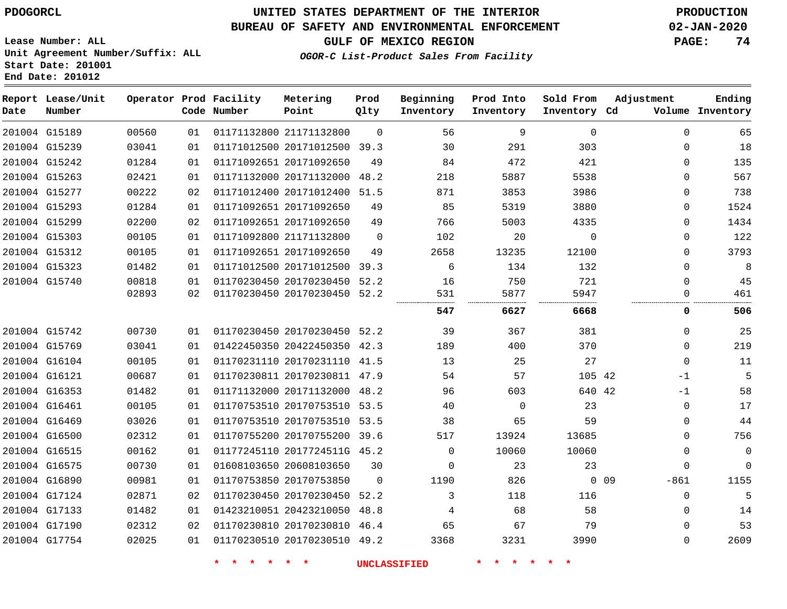**Report Lease/Unit**

**Number**

## **UNITED STATES DEPARTMENT OF THE INTERIOR PDOGORCL PRODUCTION**

**Prod Qlty**

#### **BUREAU OF SAFETY AND ENVIRONMENTAL ENFORCEMENT 02-JAN-2020**

**OGOR-C List-Product Sales From Facility**

**Beginning Inventory** **Prod Into Inventory**

**Sold From Inventory**

**Adjustment**

**GULF OF MEXICO REGION PAGE: 74**

**Metering Point**

**Ending**

**Lease Number: ALL Unit Agreement Number/Suffix: ALL Start Date: 201001 End Date: 201012**

**Operator Prod Facility**

| Date | Number        |       |    | Code Number | Point                        | Qlty     | Inventory | Inventory   | Inventory Cd |      |             | Volume Inventory |
|------|---------------|-------|----|-------------|------------------------------|----------|-----------|-------------|--------------|------|-------------|------------------|
|      | 201004 G15189 | 00560 | 01 |             | 01171132800 21171132800      | $\Omega$ | 56        | 9           | $\mathbf{0}$ |      | $\mathbf 0$ | 65               |
|      | 201004 G15239 | 03041 | 01 |             | 01171012500 20171012500 39.3 |          | 30        | 291         | 303          |      | 0           | 18               |
|      | 201004 G15242 | 01284 | 01 |             | 01171092651 20171092650      | 49       | 84        | 472         | 421          |      | 0           | 135              |
|      | 201004 G15263 | 02421 | 01 |             | 01171132000 20171132000      | 48.2     | 218       | 5887        | 5538         |      | 0           | 567              |
|      | 201004 G15277 | 00222 | 02 |             | 01171012400 20171012400 51.5 |          | 871       | 3853        | 3986         |      | $\Omega$    | 738              |
|      | 201004 G15293 | 01284 | 01 |             | 01171092651 20171092650      | 49       | 85        | 5319        | 3880         |      | 0           | 1524             |
|      | 201004 G15299 | 02200 | 02 |             | 01171092651 20171092650      | 49       | 766       | 5003        | 4335         |      | 0           | 1434             |
|      | 201004 G15303 | 00105 | 01 |             | 01171092800 21171132800      | $\Omega$ | 102       | 20          | 0            |      | 0           | 122              |
|      | 201004 G15312 | 00105 | 01 |             | 01171092651 20171092650      | 49       | 2658      | 13235       | 12100        |      | $\Omega$    | 3793             |
|      | 201004 G15323 | 01482 | 01 |             | 01171012500 20171012500 39.3 |          | 6         | 134         | 132          |      | $\Omega$    | 8                |
|      | 201004 G15740 | 00818 | 01 |             | 01170230450 20170230450 52.2 |          | 16        | 750         | 721          |      | $\Omega$    | 45               |
|      |               | 02893 | 02 |             | 01170230450 20170230450 52.2 |          | 531       | 5877        | 5947         |      | 0           | 461              |
|      |               |       |    |             |                              |          | 547       | 6627        | 6668         |      | 0           | 506              |
|      | 201004 G15742 | 00730 | 01 |             | 01170230450 20170230450 52.2 |          | 39        | 367         | 381          |      | 0           | 25               |
|      | 201004 G15769 | 03041 | 01 |             | 01422450350 20422450350 42.3 |          | 189       | 400         | 370          |      | 0           | 219              |
|      | 201004 G16104 | 00105 | 01 |             | 01170231110 20170231110 41.5 |          | 13        | 25          | 27           |      | $\Omega$    | 11               |
|      | 201004 G16121 | 00687 | 01 |             | 01170230811 20170230811 47.9 |          | 54        | 57          | 105 42       |      | $-1$        | 5                |
|      | 201004 G16353 | 01482 | 01 |             | 01171132000 20171132000 48.2 |          | 96        | 603         | 640 42       |      | -1          | 58               |
|      | 201004 G16461 | 00105 | 01 |             | 01170753510 20170753510 53.5 |          | 40        | $\mathbf 0$ | 23           |      | 0           | 17               |
|      | 201004 G16469 | 03026 | 01 |             | 01170753510 20170753510 53.5 |          | 38        | 65          | 59           |      | $\Omega$    | 44               |
|      | 201004 G16500 | 02312 | 01 |             | 01170755200 20170755200 39.6 |          | 517       | 13924       | 13685        |      | 0           | 756              |
|      | 201004 G16515 | 00162 | 01 |             | 01177245110 2017724511G 45.2 |          | $\Omega$  | 10060       | 10060        |      | 0           | 0                |
|      | 201004 G16575 | 00730 | 01 |             | 01608103650 20608103650      | 30       | $\Omega$  | 23          | 23           |      | $\Omega$    | $\Omega$         |
|      | 201004 G16890 | 00981 | 01 |             | 01170753850 20170753850      | $\Omega$ | 1190      | 826         |              | 0.09 | $-861$      | 1155             |
|      | 201004 G17124 | 02871 | 02 |             | 01170230450 20170230450 52.2 |          | 3         | 118         | 116          |      | 0           | 5                |
|      | 201004 G17133 | 01482 | 01 |             | 01423210051 20423210050 48.8 |          | 4         | 68          | 58           |      | 0           | 14               |
|      | 201004 G17190 | 02312 | 02 |             | 01170230810 20170230810 46.4 |          | 65        | 67          | 79           |      | $\Omega$    | 53               |
|      | 201004 G17754 | 02025 | 01 |             | 01170230510 20170230510 49.2 |          | 3368      | 3231        | 3990         |      | $\mathbf 0$ | 2609             |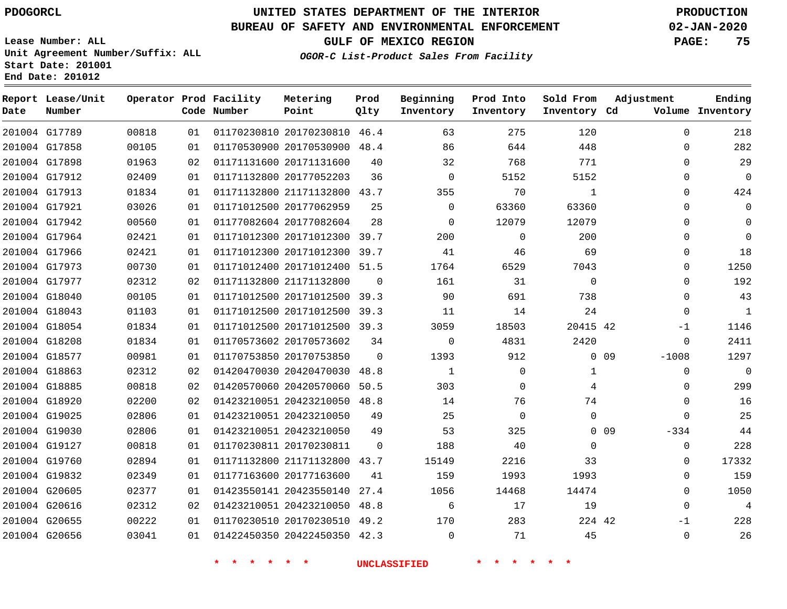G17789 G17858 G17898 G17912 G17913 G17921 G17942 G17964 G17966 G17973 G17977 G18040 G18043 G18054 G18208 G18577 G18863 G18885 G18920 G19025 G19030 G19127 G19760 G19832 G20605 G20616 G20655 G20656

**Date**

**Report Lease/Unit**

**Number**

## **UNITED STATES DEPARTMENT OF THE INTERIOR PDOGORCL PRODUCTION**

48.4 

**Prod Qlty**

> 

#### **BUREAU OF SAFETY AND ENVIRONMENTAL ENFORCEMENT 02-JAN-2020**

**Lease Number: ALL Unit Agreement Number/Suffix: ALL Start Date: 201001 End Date: 201012**

**Operator Prod Facility**

**Code Number**

20170230810 46.4

**Metering Point**

21171132800 43.7

 20171012300 39.7 20171012300 39.7 20171012400 51.5

 20170530900 20171131600 20177052203

 20177062959 20177082604

**OGOR-C List-Product Sales From Facility**

**Sold From Inventory**

**Prod Into Inventory**

**Beginning Inventory**

**GULF OF MEXICO REGION PAGE: 75**

**Inventory Cd Volume**

**Adjustment**

 $\Omega$  $\Omega$  $\Omega$  $\Omega$  $\Omega$  $\Omega$  $\Omega$  $\Omega$  $\Omega$  $\Omega$  $\Omega$  $\Omega$  $\Omega$ -1  $\Omega$ -1008  $\Omega$  $\Omega$  $\Omega$  $\Omega$ -334  $\Omega$   $\Omega$  -1  $\Omega$ 

**Ending**

| 02 |                         | 01171132800 21171132800      | <sup>0</sup> | 161      | 31       | 0           |    |
|----|-------------------------|------------------------------|--------------|----------|----------|-------------|----|
| 01 |                         | 01171012500 20171012500 39.3 |              | 90       | 691      | 738         |    |
| 01 |                         | 01171012500 20171012500      | 39.3         | 11       | 14       | 24          |    |
| 01 |                         | 01171012500 20171012500      | 39.3         | 3059     | 18503    | 20415 42    |    |
| 01 |                         | 01170573602 20170573602      | 34           | $\Omega$ | 4831     | 2420        |    |
| 01 |                         | 01170753850 20170753850      | $\Omega$     | 1393     | 912      | $\Omega$    | 09 |
| 02 |                         | 01420470030 20420470030      | 48.8         | 1        | 0        | 1           |    |
| 02 |                         | 01420570060 20420570060      | 50.5         | 303      | 0        | 4           |    |
| 02 |                         | 01423210051 20423210050      | 48.8         | 14       | 76       | 74          |    |
| 01 |                         | 01423210051 20423210050      | 49           | 25       | $\Omega$ | $\mathbf 0$ |    |
| 01 |                         | 01423210051 20423210050      | 49           | 53       | 325      | $\Omega$    | 09 |
| 01 |                         | 01170230811 20170230811      | $\Omega$     | 188      | 40       | 0           |    |
| 01 |                         | 01171132800 21171132800      | 43.7         | 15149    | 2216     | 33          |    |
| 01 | 01177163600 20177163600 |                              | 41           | 159      | 1993     | 1993        |    |
| 01 |                         | 01423550141 20423550140      | 27.4         | 1056     | 14468    | 14474       |    |
| 02 |                         | 01423210051 20423210050      | 48.8         | 6        | 17       | 19          |    |
| 01 |                         | 01170230510 20170230510      | 49.2         | 170      | 283      | 224 42      |    |

20422450350 42.3

**\* \* \* \* \* \* UNCLASSIFIED \* \* \* \* \* \***

 $\Omega$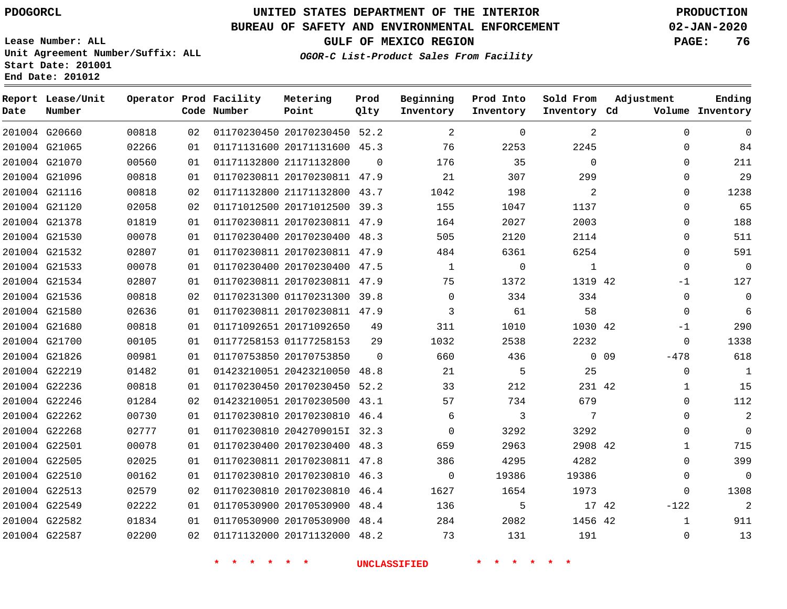**Report Lease/Unit**

**Number**

## **UNITED STATES DEPARTMENT OF THE INTERIOR PDOGORCL PRODUCTION**

**Prod Qlty**

#### **BUREAU OF SAFETY AND ENVIRONMENTAL ENFORCEMENT 02-JAN-2020**

**Lease Number: ALL Unit Agreement Number/Suffix: ALL Start Date: 201001 End Date: 201012**

 $0.0088$ 

**Operator Prod Facility**

**Code Number**

**Metering Point**

**OGOR-C List-Product Sales From Facility**

**Prod Into Inventory**

**Beginning Inventory**

**GULF OF MEXICO REGION PAGE: 76**

**Inventory Cd Volume**

**Adjustment**

  $\Omega$  $\Omega$  $\Omega$  $\Omega$  $\Omega$  $\Omega$  $\Omega$  $\Omega$  $\Omega$ -1  $\Omega$  $\overline{0}$ -1  $\Omega$ -478  $\Omega$   $\Omega$  $\Omega$  $\Omega$   $\Omega$   $\Omega$ -122  $\Omega$ 

**Sold From Inventory**

**Ending**

| 201004 G20660 | 00818 | 02 |                         | 01170230450 20170230450 52.2 |          | 2              | 0     | 2            |        |
|---------------|-------|----|-------------------------|------------------------------|----------|----------------|-------|--------------|--------|
| 201004 G21065 | 02266 | 01 |                         | 01171131600 20171131600 45.3 |          | 76             | 2253  | 2245         |        |
| 201004 G21070 | 00560 | 01 | 01171132800 21171132800 |                              | $\Omega$ | 176            | 35    | $\mathbf 0$  |        |
| 201004 G21096 | 00818 | 01 |                         | 01170230811 20170230811 47.9 |          | 21             | 307   | 299          |        |
| 201004 G21116 | 00818 | 02 |                         | 01171132800 21171132800 43.7 |          | 1042           | 198   | 2            |        |
| 201004 G21120 | 02058 | 02 |                         | 01171012500 20171012500 39.3 |          | 155            | 1047  | 1137         |        |
| 201004 G21378 | 01819 | 01 |                         | 01170230811 20170230811 47.9 |          | 164            | 2027  | 2003         |        |
| 201004 G21530 | 00078 | 01 |                         | 01170230400 20170230400 48.3 |          | 505            | 2120  | 2114         |        |
| 201004 G21532 | 02807 | 01 |                         | 01170230811 20170230811 47.9 |          | 484            | 6361  | 6254         |        |
| 201004 G21533 | 00078 | 01 |                         | 01170230400 20170230400 47.5 |          | $\mathbf{1}$   | 0     | $\mathbf{1}$ |        |
| 201004 G21534 | 02807 | 01 |                         | 01170230811 20170230811 47.9 |          | 75             | 1372  | 1319 42      |        |
| 201004 G21536 | 00818 | 02 |                         | 01170231300 01170231300 39.8 |          | $\mathbf 0$    | 334   | 334          |        |
| 201004 G21580 | 02636 | 01 |                         | 01170230811 20170230811 47.9 |          | 3              | 61    | 58           |        |
| 201004 G21680 | 00818 | 01 |                         | 01171092651 20171092650      | 49       | 311            | 1010  | 1030 42      |        |
| 201004 G21700 | 00105 | 01 |                         | 01177258153 01177258153      | 29       | 1032           | 2538  | 2232         |        |
| 201004 G21826 | 00981 | 01 |                         | 01170753850 20170753850      | $\Omega$ | 660            | 436   |              | $0$ 09 |
| 201004 G22219 | 01482 | 01 |                         | 01423210051 20423210050 48.8 |          | 21             | 5     | 25           |        |
| 201004 G22236 | 00818 | 01 |                         | 01170230450 20170230450 52.2 |          | 33             | 212   | 231 42       |        |
| 201004 G22246 | 01284 | 02 |                         | 01423210051 20170230500 43.1 |          | 57             | 734   | 679          |        |
| 201004 G22262 | 00730 | 01 |                         | 01170230810 20170230810 46.4 |          | 6              | 3     | 7            |        |
| 201004 G22268 | 02777 | 01 |                         | 01170230810 20427090151 32.3 |          | $\overline{0}$ | 3292  | 3292         |        |
| 201004 G22501 | 00078 | 01 |                         | 01170230400 20170230400 48.3 |          | 659            | 2963  | 2908 42      |        |
| 201004 G22505 | 02025 | 01 |                         | 01170230811 20170230811 47.8 |          | 386            | 4295  | 4282         |        |
| 201004 G22510 | 00162 | 01 |                         | 01170230810 20170230810 46.3 |          | $\overline{0}$ | 19386 | 19386        |        |
| 201004 G22513 | 02579 | 02 |                         | 01170230810 20170230810 46.4 |          | 1627           | 1654  | 1973         |        |
| 201004 G22549 | 02222 | 01 |                         | 01170530900 20170530900 48.4 |          | 136            | 5     | 17 42        |        |
| 201004 G22582 | 01834 | 01 |                         | 01170530900 20170530900 48.4 |          | 284            | 2082  | 1456 42      |        |
| 201004 G22587 | 02200 | 02 |                         | 01171132000 20171132000 48.2 |          | 73             | 131   | 191          |        |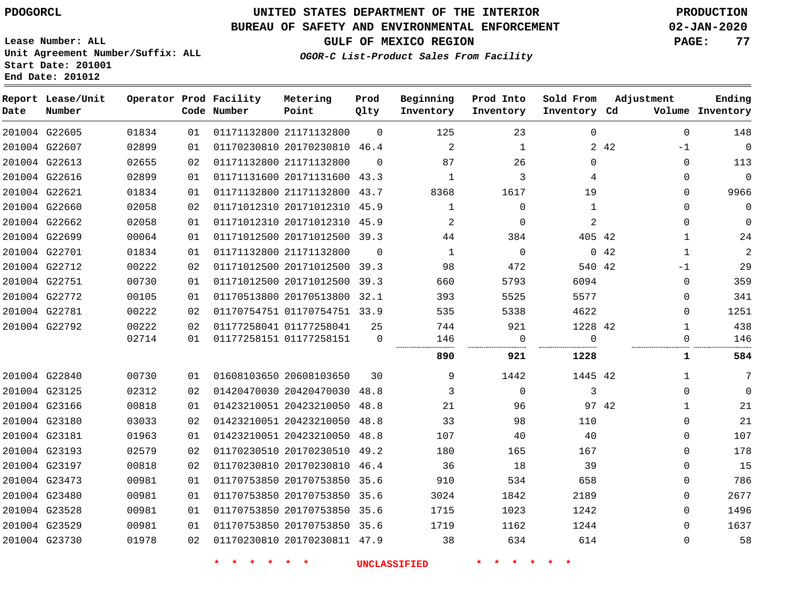### **BUREAU OF SAFETY AND ENVIRONMENTAL ENFORCEMENT 02-JAN-2020**

**Lease Number: ALL Unit Agreement Number/Suffix: ALL** **GULF OF MEXICO REGION PAGE: 77**

**OGOR-C List-Product Sales From Facility**

**Start Date: 201001**

**End Date: 201012**

| Date | Report Lease/Unit<br>Number |       |    | Operator Prod Facility<br>Code Number | Metering<br>Point            | Prod<br>Qlty | Beginning<br>Inventory | Prod Into<br>Inventory | Sold From<br>Inventory Cd | Adjustment          | Ending<br>Volume Inventory |
|------|-----------------------------|-------|----|---------------------------------------|------------------------------|--------------|------------------------|------------------------|---------------------------|---------------------|----------------------------|
|      | 201004 G22605               | 01834 | 01 |                                       | 01171132800 21171132800      | $\mathbf 0$  | 125                    | 23                     | $\mathbf 0$               | $\mathbf 0$         | 148                        |
|      | 201004 G22607               | 02899 | 01 |                                       | 01170230810 20170230810 46.4 |              | $\overline{2}$         | 1                      |                           | 2 4 2<br>$-1$       | $\mathbf 0$                |
|      | 201004 G22613               | 02655 | 02 | 01171132800 21171132800               |                              | $\Omega$     | 87                     | 26                     | 0                         | $\mathbf{0}$        | 113                        |
|      | 201004 G22616               | 02899 | 01 |                                       | 01171131600 20171131600 43.3 |              | 1                      | 3                      | 4                         | $\Omega$            | $\mathbf 0$                |
|      | 201004 G22621               | 01834 | 01 |                                       | 01171132800 21171132800      | 43.7         | 8368                   | 1617                   | 19                        | 0                   | 9966                       |
|      | 201004 G22660               | 02058 | 02 |                                       | 01171012310 20171012310      | 45.9         | 1                      | 0                      | 1                         | $\mathbf{0}$        | 0                          |
|      | 201004 G22662               | 02058 | 01 |                                       | 01171012310 20171012310 45.9 |              | 2                      | $\Omega$               | $\overline{2}$            | $\Omega$            | $\mathbf 0$                |
|      | 201004 G22699               | 00064 | 01 |                                       | 01171012500 20171012500      | 39.3         | 44                     | 384                    | 405 42                    | $\mathbf 1$         | 24                         |
|      | 201004 G22701               | 01834 | 01 |                                       | 01171132800 21171132800      | $\Omega$     | 1                      | $\mathbf 0$            |                           | 042<br>$\mathbf{1}$ | $\overline{2}$             |
|      | 201004 G22712               | 00222 | 02 |                                       | 01171012500 20171012500      | 39.3         | 98                     | 472                    | 540 42                    | $-1$                | 29                         |
|      | 201004 G22751               | 00730 | 01 |                                       | 01171012500 20171012500      | 39.3         | 660                    | 5793                   | 6094                      | $\Omega$            | 359                        |
|      | 201004 G22772               | 00105 | 01 |                                       | 01170513800 20170513800      | 32.1         | 393                    | 5525                   | 5577                      | 0                   | 341                        |
|      | 201004 G22781               | 00222 | 02 |                                       | 01170754751 01170754751 33.9 |              | 535                    | 5338                   | 4622                      | 0                   | 1251                       |
|      | 201004 G22792               | 00222 | 02 |                                       | 01177258041 01177258041      | 25           | 744                    | 921                    | 1228 42                   | $\mathbf{1}$        | 438                        |
|      |                             | 02714 | 01 |                                       | 01177258151 01177258151      | $\Omega$     | 146                    | $\Omega$<br>.          | $\Omega$<br>.             | $\Omega$            | 146                        |
|      |                             |       |    |                                       |                              |              | 890                    | 921                    | 1228                      | 1                   | 584                        |
|      | 201004 G22840               | 00730 | 01 |                                       | 01608103650 20608103650      | 30           | 9                      | 1442                   | 1445 42                   | 1                   | 7                          |
|      | 201004 G23125               | 02312 | 02 |                                       | 01420470030 20420470030      | 48.8         | 3                      | $\mathbf 0$            | 3                         | $\mathbf{0}$        | $\mathbf 0$                |
|      | 201004 G23166               | 00818 | 01 |                                       | 01423210051 20423210050      | 48.8         | 21                     | 96                     |                           | 97 42<br>1          | 21                         |
|      | 201004 G23180               | 03033 | 02 |                                       | 01423210051 20423210050      | 48.8         | 33                     | 98                     | 110                       | $\mathbf{0}$        | 21                         |
|      | 201004 G23181               | 01963 | 01 |                                       | 01423210051 20423210050      | 48.8         | 107                    | 40                     | 40                        | $\mathbf{0}$        | 107                        |
|      | 201004 G23193               | 02579 | 02 |                                       | 01170230510 20170230510      | 49.2         | 180                    | 165                    | 167                       | 0                   | 178                        |
|      | 201004 G23197               | 00818 | 02 |                                       | 01170230810 20170230810      | 46.4         | 36                     | 18                     | 39                        | 0                   | 15                         |
|      | 201004 G23473               | 00981 | 01 |                                       | 01170753850 20170753850 35.6 |              | 910                    | 534                    | 658                       | $\mathbf 0$         | 786                        |
|      | 201004 G23480               | 00981 | 01 |                                       | 01170753850 20170753850      | 35.6         | 3024                   | 1842                   | 2189                      | $\mathbf{0}$        | 2677                       |
|      | 201004 G23528               | 00981 | 01 |                                       | 01170753850 20170753850 35.6 |              | 1715                   | 1023                   | 1242                      | $\Omega$            | 1496                       |
|      | 201004 G23529               | 00981 | 01 |                                       | 01170753850 20170753850      | 35.6         | 1719                   | 1162                   | 1244                      | 0                   | 1637                       |
|      | 201004 G23730               | 01978 | 02 |                                       | 01170230810 20170230811 47.9 |              | 38                     | 634                    | 614                       | $\mathbf{0}$        | 58                         |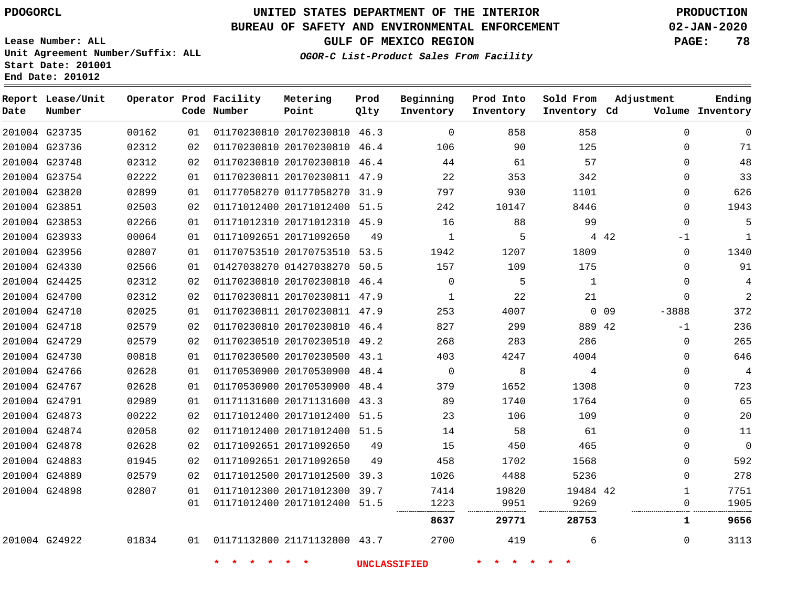### **BUREAU OF SAFETY AND ENVIRONMENTAL ENFORCEMENT 02-JAN-2020**

**Lease Number: ALL Unit Agreement Number/Suffix: ALL Start Date: 201001**

**End Date: 201012**

**GULF OF MEXICO REGION PAGE: 78**

**OGOR-C List-Product Sales From Facility**

| Date | Report Lease/Unit<br>Number |       |    | Operator Prod Facility<br>Code Number | Metering<br>Point            | Prod<br>Qlty | Beginning<br>Inventory | Prod Into<br>Inventory | Sold From<br>Inventory Cd | Adjustment                 | Ending<br>Volume Inventory |
|------|-----------------------------|-------|----|---------------------------------------|------------------------------|--------------|------------------------|------------------------|---------------------------|----------------------------|----------------------------|
|      | 201004 G23735               | 00162 | 01 |                                       | 01170230810 20170230810 46.3 |              | $\Omega$               | 858                    | 858                       | $\Omega$                   | $\Omega$                   |
|      | 201004 G23736               | 02312 | 02 |                                       | 01170230810 20170230810 46.4 |              | 106                    | 90                     | 125                       | $\mathbf{0}$               | 71                         |
|      | 201004 G23748               | 02312 | 02 |                                       | 01170230810 20170230810 46.4 |              | 44                     | 61                     | 57                        | $\mathbf 0$                | 48                         |
|      | 201004 G23754               | 02222 | 01 |                                       | 01170230811 20170230811 47.9 |              | 22                     | 353                    | 342                       | $\Omega$                   | 33                         |
|      | 201004 G23820               | 02899 | 01 |                                       | 01177058270 01177058270 31.9 |              | 797                    | 930                    | 1101                      | 0                          | 626                        |
|      | 201004 G23851               | 02503 | 02 |                                       | 01171012400 20171012400 51.5 |              | 242                    | 10147                  | 8446                      | $\Omega$                   | 1943                       |
|      | 201004 G23853               | 02266 | 01 |                                       | 01171012310 20171012310 45.9 |              | 16                     | 88                     | 99                        | $\mathbf 0$                | 5                          |
|      | 201004 G23933               | 00064 | 01 |                                       | 01171092651 20171092650      | 49           | 1                      | 5                      |                           | 4 4 2<br>$-1$              | $\mathbf{1}$               |
|      | 201004 G23956               | 02807 | 01 |                                       | 01170753510 20170753510 53.5 |              | 1942                   | 1207                   | 1809                      | $\Omega$                   | 1340                       |
|      | 201004 G24330               | 02566 | 01 |                                       | 01427038270 01427038270 50.5 |              | 157                    | 109                    | 175                       | $\Omega$                   | 91                         |
|      | 201004 G24425               | 02312 | 02 |                                       | 01170230810 20170230810 46.4 |              | $\Omega$               | 5                      | $\mathbf{1}$              | $\mathbf{0}$               | 4                          |
|      | 201004 G24700               | 02312 | 02 |                                       | 01170230811 20170230811 47.9 |              | $\mathbf{1}$           | 22                     | 21                        | $\mathbf 0$                | $\overline{2}$             |
|      | 201004 G24710               | 02025 | 01 |                                       | 01170230811 20170230811 47.9 |              | 253                    | 4007                   |                           | 0 <sub>09</sub><br>$-3888$ | 372                        |
|      | 201004 G24718               | 02579 | 02 |                                       | 01170230810 20170230810 46.4 |              | 827                    | 299                    | 889 42                    | $-1$                       | 236                        |
|      | 201004 G24729               | 02579 | 02 |                                       | 01170230510 20170230510 49.2 |              | 268                    | 283                    | 286                       | $\mathbf{0}$               | 265                        |
|      | 201004 G24730               | 00818 | 01 |                                       | 01170230500 20170230500 43.1 |              | 403                    | 4247                   | 4004                      | $\mathbf 0$                | 646                        |
|      | 201004 G24766               | 02628 | 01 |                                       | 01170530900 20170530900 48.4 |              | $\mathbf 0$            | 8                      | 4                         | $\mathbf 0$                | $\overline{4}$             |
|      | 201004 G24767               | 02628 | 01 |                                       | 01170530900 20170530900 48.4 |              | 379                    | 1652                   | 1308                      | $\mathbf{0}$               | 723                        |
|      | 201004 G24791               | 02989 | 01 |                                       | 01171131600 20171131600 43.3 |              | 89                     | 1740                   | 1764                      | $\mathbf{0}$               | 65                         |
|      | 201004 G24873               | 00222 | 02 |                                       | 01171012400 20171012400 51.5 |              | 23                     | 106                    | 109                       | 0                          | 20                         |
|      | 201004 G24874               | 02058 | 02 |                                       | 01171012400 20171012400 51.5 |              | 14                     | 58                     | 61                        | $\Omega$                   | 11                         |
|      | 201004 G24878               | 02628 | 02 |                                       | 01171092651 20171092650      | 49           | 15                     | 450                    | 465                       | $\Omega$                   | $\Omega$                   |
|      | 201004 G24883               | 01945 | 02 |                                       | 01171092651 20171092650      | 49           | 458                    | 1702                   | 1568                      | $\mathbf{0}$               | 592                        |
|      | 201004 G24889               | 02579 | 02 |                                       | 01171012500 20171012500 39.3 |              | 1026                   | 4488                   | 5236                      | $\mathbf 0$                | 278                        |
|      | 201004 G24898               | 02807 | 01 |                                       | 01171012300 20171012300 39.7 |              | 7414                   | 19820                  | 19484 42                  | $\mathbf{1}$               | 7751                       |
|      |                             |       | 01 |                                       | 01171012400 20171012400 51.5 |              | 1223                   | 9951                   | 9269                      | $\mathsf{O}\xspace$        | 1905                       |
|      |                             |       |    |                                       |                              |              | 8637                   | 29771                  | 28753                     | 1                          | 9656                       |
|      | 201004 G24922               | 01834 | 01 |                                       | 01171132800 21171132800 43.7 |              | 2700                   | 419                    | 6                         | 0                          | 3113                       |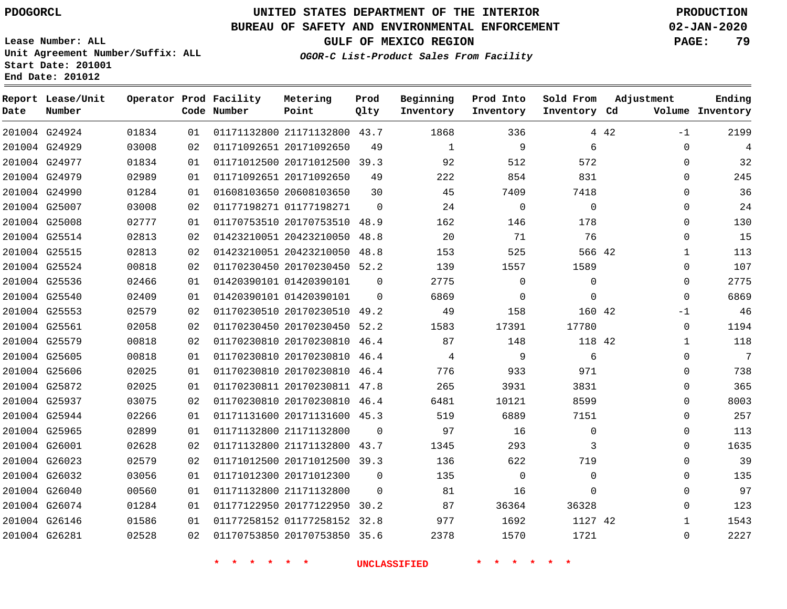## **UNITED STATES DEPARTMENT OF THE INTERIOR PDOGORCL PRODUCTION**

### **BUREAU OF SAFETY AND ENVIRONMENTAL ENFORCEMENT 02-JAN-2020**

**Lease Number: ALL Unit Agreement Number/Suffix: ALL Start Date: 201001**

**GULF OF MEXICO REGION PAGE: 79**

**OGOR-C List-Product Sales From Facility**

| Date | Report Lease/Unit<br>Number |       |    | Operator Prod Facility<br>Code Number | Metering<br>Point            | Prod<br>Qlty | Beginning<br>Inventory | Prod Into<br>Inventory | Sold From<br>Inventory Cd |       | Adjustment   | Ending<br>Volume Inventory |
|------|-----------------------------|-------|----|---------------------------------------|------------------------------|--------------|------------------------|------------------------|---------------------------|-------|--------------|----------------------------|
|      | 201004 G24924               | 01834 | 01 |                                       | 01171132800 21171132800 43.7 |              | 1868                   | 336                    |                           | 4 4 2 | $-1$         | 2199                       |
|      | 201004 G24929               | 03008 | 02 |                                       | 01171092651 20171092650      | 49           | $\mathbf{1}$           | 9                      | 6                         |       | $\Omega$     | 4                          |
|      | 201004 G24977               | 01834 | 01 |                                       | 01171012500 20171012500 39.3 |              | 92                     | 512                    | 572                       |       | 0            | 32                         |
|      | 201004 G24979               | 02989 | 01 |                                       | 01171092651 20171092650      | 49           | 222                    | 854                    | 831                       |       | $\Omega$     | 245                        |
|      | 201004 G24990               | 01284 | 01 |                                       | 01608103650 20608103650      | 30           | 45                     | 7409                   | 7418                      |       | 0            | 36                         |
|      | 201004 G25007               | 03008 | 02 |                                       | 01177198271 01177198271      | $\Omega$     | 24                     | $\Omega$               | $\Omega$                  |       | $\Omega$     | 24                         |
|      | 201004 G25008               | 02777 | 01 |                                       | 01170753510 20170753510 48.9 |              | 162                    | 146                    | 178                       |       | 0            | 130                        |
|      | 201004 G25514               | 02813 | 02 |                                       | 01423210051 20423210050 48.8 |              | 20                     | 71                     | 76                        |       | $\Omega$     | 15                         |
|      | 201004 G25515               | 02813 | 02 |                                       | 01423210051 20423210050 48.8 |              | 153                    | 525                    | 566 42                    |       | 1            | 113                        |
|      | 201004 G25524               | 00818 | 02 |                                       | 01170230450 20170230450 52.2 |              | 139                    | 1557                   | 1589                      |       | 0            | 107                        |
|      | 201004 G25536               | 02466 | 01 |                                       | 01420390101 01420390101      | $\mathbf 0$  | 2775                   | $\mathsf{O}$           | 0                         |       | 0            | 2775                       |
|      | 201004 G25540               | 02409 | 01 |                                       | 01420390101 01420390101      | $\Omega$     | 6869                   | $\mathbf 0$            | $\mathbf 0$               |       | $\Omega$     | 6869                       |
|      | 201004 G25553               | 02579 | 02 |                                       | 01170230510 20170230510 49.2 |              | 49                     | 158                    | 160 42                    |       | $-1$         | 46                         |
|      | 201004 G25561               | 02058 | 02 |                                       | 01170230450 20170230450 52.2 |              | 1583                   | 17391                  | 17780                     |       | 0            | 1194                       |
|      | 201004 G25579               | 00818 | 02 |                                       | 01170230810 20170230810 46.4 |              | 87                     | 148                    | 118 42                    |       | 1            | 118                        |
|      | 201004 G25605               | 00818 | 01 |                                       | 01170230810 20170230810      | 46.4         | 4                      | 9                      | 6                         |       | 0            | $\overline{7}$             |
|      | 201004 G25606               | 02025 | 01 |                                       | 01170230810 20170230810 46.4 |              | 776                    | 933                    | 971                       |       | $\Omega$     | 738                        |
|      | 201004 G25872               | 02025 | 01 |                                       | 01170230811 20170230811 47.8 |              | 265                    | 3931                   | 3831                      |       | 0            | 365                        |
|      | 201004 G25937               | 03075 | 02 |                                       | 01170230810 20170230810 46.4 |              | 6481                   | 10121                  | 8599                      |       | $\Omega$     | 8003                       |
|      | 201004 G25944               | 02266 | 01 |                                       | 01171131600 20171131600 45.3 |              | 519                    | 6889                   | 7151                      |       | 0            | 257                        |
|      | 201004 G25965               | 02899 | 01 |                                       | 01171132800 21171132800      | $\Omega$     | 97                     | 16                     | 0                         |       | $\Omega$     | 113                        |
|      | 201004 G26001               | 02628 | 02 |                                       | 01171132800 21171132800 43.7 |              | 1345                   | 293                    | 3                         |       | 0            | 1635                       |
|      | 201004 G26023               | 02579 | 02 |                                       | 01171012500 20171012500 39.3 |              | 136                    | 622                    | 719                       |       | 0            | 39                         |
|      | 201004 G26032               | 03056 | 01 |                                       | 01171012300 20171012300      | $\mathbf 0$  | 135                    | $\mathbf 0$            | $\mathbf 0$               |       | 0            | 135                        |
|      | 201004 G26040               | 00560 | 01 |                                       | 01171132800 21171132800      | $\Omega$     | 81                     | 16                     | $\Omega$                  |       | $\Omega$     | 97                         |
|      | 201004 G26074               | 01284 | 01 |                                       | 01177122950 20177122950 30.2 |              | 87                     | 36364                  | 36328                     |       | $\Omega$     | 123                        |
|      | 201004 G26146               | 01586 | 01 |                                       | 01177258152 01177258152 32.8 |              | 977                    | 1692                   | 1127 42                   |       | $\mathbf{1}$ | 1543                       |
|      | 201004 G26281               | 02528 | 02 |                                       | 01170753850 20170753850 35.6 |              | 2378                   | 1570                   | 1721                      |       | $\Omega$     | 2227                       |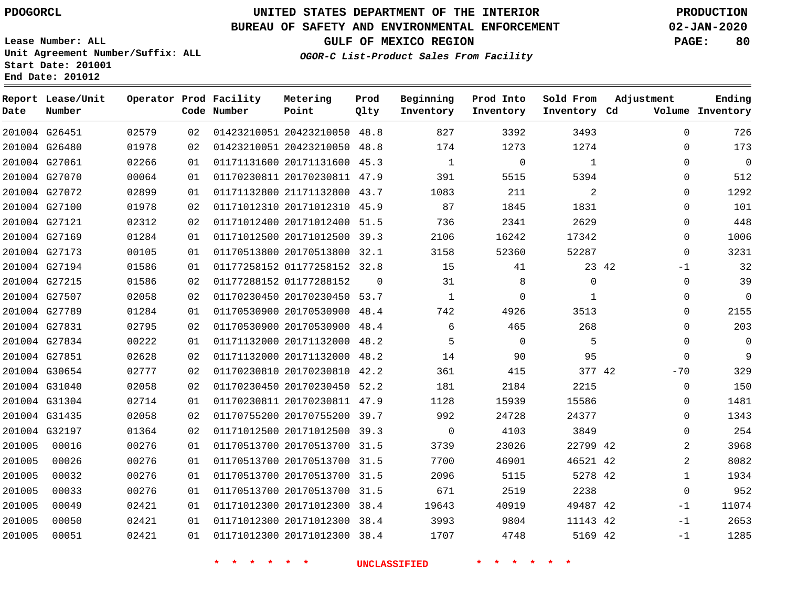## **UNITED STATES DEPARTMENT OF THE INTERIOR PDOGORCL PRODUCTION**

### **BUREAU OF SAFETY AND ENVIRONMENTAL ENFORCEMENT 02-JAN-2020**

**Lease Number: ALL Unit Agreement Number/Suffix: ALL Start Date: 201001**

### **OGOR-C List-Product Sales From Facility**

**GULF OF MEXICO REGION PAGE: 80**

| Date   | Report Lease/Unit<br>Number |       |    | Operator Prod Facility<br>Code Number | Metering<br>Point            | Prod<br>Qlty | Beginning<br>Inventory | Prod Into<br>Inventory | Sold From<br>Inventory Cd | Adjustment     | Ending<br>Volume Inventory |
|--------|-----------------------------|-------|----|---------------------------------------|------------------------------|--------------|------------------------|------------------------|---------------------------|----------------|----------------------------|
|        | 201004 G26451               | 02579 | 02 |                                       | 01423210051 20423210050 48.8 |              | 827                    | 3392                   | 3493                      | $\Omega$       | 726                        |
|        | 201004 G26480               | 01978 | 02 |                                       | 01423210051 20423210050 48.8 |              | 174                    | 1273                   | 1274                      | $\Omega$       | 173                        |
|        | 201004 G27061               | 02266 | 01 |                                       | 01171131600 20171131600 45.3 |              | $\mathbf{1}$           | $\mathbf 0$            | $\mathbf{1}$              | $\Omega$       | $\overline{0}$             |
|        | 201004 G27070               | 00064 | 01 |                                       | 01170230811 20170230811 47.9 |              | 391                    | 5515                   | 5394                      | $\Omega$       | 512                        |
|        | 201004 G27072               | 02899 | 01 |                                       | 01171132800 21171132800 43.7 |              | 1083                   | 211                    | 2                         | $\Omega$       | 1292                       |
|        | 201004 G27100               | 01978 | 02 |                                       | 01171012310 20171012310 45.9 |              | 87                     | 1845                   | 1831                      | $\Omega$       | 101                        |
|        | 201004 G27121               | 02312 | 02 |                                       | 01171012400 20171012400 51.5 |              | 736                    | 2341                   | 2629                      | 0              | 448                        |
|        | 201004 G27169               | 01284 | 01 |                                       | 01171012500 20171012500 39.3 |              | 2106                   | 16242                  | 17342                     | $\Omega$       | 1006                       |
|        | 201004 G27173               | 00105 | 01 |                                       | 01170513800 20170513800 32.1 |              | 3158                   | 52360                  | 52287                     | 0              | 3231                       |
|        | 201004 G27194               | 01586 | 01 |                                       | 01177258152 01177258152 32.8 |              | 15                     | 41                     |                           | 23 42<br>-1    | 32                         |
|        | 201004 G27215               | 01586 | 02 |                                       | 01177288152 01177288152      | $\Omega$     | 31                     | 8                      | $\mathbf 0$               | 0              | 39                         |
|        | 201004 G27507               | 02058 | 02 |                                       | 01170230450 20170230450 53.7 |              | $\mathbf{1}$           | $\mathbf 0$            | 1                         | $\Omega$       | $\mathbf 0$                |
|        | 201004 G27789               | 01284 | 01 |                                       | 01170530900 20170530900      | 48.4         | 742                    | 4926                   | 3513                      | $\Omega$       | 2155                       |
|        | 201004 G27831               | 02795 | 02 |                                       | 01170530900 20170530900 48.4 |              | 6                      | 465                    | 268                       | $\Omega$       | 203                        |
|        | 201004 G27834               | 00222 | 01 |                                       | 01171132000 20171132000 48.2 |              | 5                      | $\Omega$               | 5                         | $\Omega$       | $\overline{0}$             |
|        | 201004 G27851               | 02628 | 02 |                                       | 01171132000 20171132000 48.2 |              | 14                     | 90                     | 95                        | $\Omega$       | 9                          |
|        | 201004 G30654               | 02777 | 02 |                                       | 01170230810 20170230810 42.2 |              | 361                    | 415                    | 377 42                    | $-70$          | 329                        |
|        | 201004 G31040               | 02058 | 02 |                                       | 01170230450 20170230450 52.2 |              | 181                    | 2184                   | 2215                      | 0              | 150                        |
|        | 201004 G31304               | 02714 | 01 |                                       | 01170230811 20170230811 47.9 |              | 1128                   | 15939                  | 15586                     | $\Omega$       | 1481                       |
|        | 201004 G31435               | 02058 | 02 |                                       | 01170755200 20170755200 39.7 |              | 992                    | 24728                  | 24377                     | 0              | 1343                       |
|        | 201004 G32197               | 01364 | 02 |                                       | 01171012500 20171012500 39.3 |              | $\mathbf{0}$           | 4103                   | 3849                      | $\Omega$       | 254                        |
| 201005 | 00016                       | 00276 | 01 |                                       | 01170513700 20170513700 31.5 |              | 3739                   | 23026                  | 22799 42                  | $\overline{2}$ | 3968                       |
| 201005 | 00026                       | 00276 | 01 |                                       | 01170513700 20170513700 31.5 |              | 7700                   | 46901                  | 46521 42                  | $\overline{a}$ | 8082                       |
| 201005 | 00032                       | 00276 | 01 |                                       | 01170513700 20170513700 31.5 |              | 2096                   | 5115                   | 5278 42                   | $\mathbf 1$    | 1934                       |
| 201005 | 00033                       | 00276 | 01 |                                       | 01170513700 20170513700 31.5 |              | 671                    | 2519                   | 2238                      | $\Omega$       | 952                        |
| 201005 | 00049                       | 02421 | 01 |                                       | 01171012300 20171012300 38.4 |              | 19643                  | 40919                  | 49487 42                  | $-1$           | 11074                      |
| 201005 | 00050                       | 02421 | 01 |                                       | 01171012300 20171012300 38.4 |              | 3993                   | 9804                   | 11143 42                  | $-1$           | 2653                       |
| 201005 | 00051                       | 02421 | 01 |                                       | 01171012300 20171012300 38.4 |              | 1707                   | 4748                   | 5169 42                   | $-1$           | 1285                       |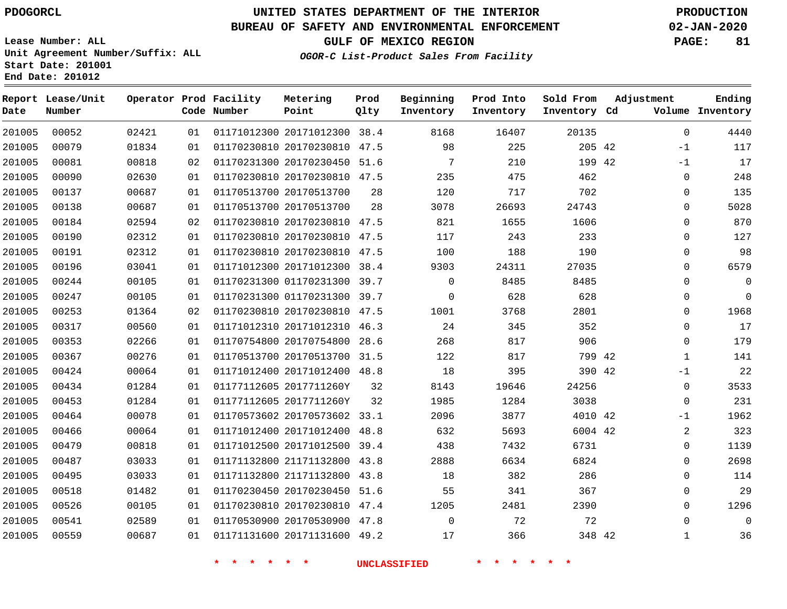**End Date: 201012**

**Report Lease/Unit**

**Number**

## **UNITED STATES DEPARTMENT OF THE INTERIOR PDOGORCL PRODUCTION**

**Prod Qlty**

#### **BUREAU OF SAFETY AND ENVIRONMENTAL ENFORCEMENT 02-JAN-2020**

**Lease Number: ALL Unit Agreement Number/Suffix: ALL Start Date: 201001**

**Operator Prod Facility**

**Code Number**

#### **OGOR-C List-Product Sales From Facility**

**GULF OF MEXICO REGION PAGE: 81**

**Inventory Cd Volume**

**Adjustment**

  $-1$ -1  $\Omega$  $\Omega$  $\Omega$  $\Omega$  $\Omega$  $\Omega$  $\Omega$  $\Omega$  $\overline{0}$   $\Omega$   $-1$  $\Omega$ 

**Ending**

**Beginning Inventory** **Prod Into Inventory** **Sold From Inventory**

| 201005 | 00052 | 02421 | 01 |                         | 01171012300 20171012300 38.4 |      | 8168     | 16407 | 20135  |  |
|--------|-------|-------|----|-------------------------|------------------------------|------|----------|-------|--------|--|
| 201005 | 00079 | 01834 | 01 |                         | 01170230810 20170230810      | 47.5 | 98       | 225   | 205 42 |  |
| 201005 | 00081 | 00818 | 02 |                         | 01170231300 20170230450 51.6 |      | 7        | 210   | 199 42 |  |
| 201005 | 00090 | 02630 | 01 |                         | 01170230810 20170230810      | 47.5 | 235      | 475   | 462    |  |
| 201005 | 00137 | 00687 | 01 | 01170513700 20170513700 |                              | 28   | 120      | 717   | 702    |  |
| 201005 | 00138 | 00687 | 01 | 01170513700 20170513700 |                              | 28   | 3078     | 26693 | 24743  |  |
| 201005 | 00184 | 02594 | 02 |                         | 01170230810 20170230810      | 47.5 | 821      | 1655  | 1606   |  |
| 201005 | 00190 | 02312 | 01 |                         | 01170230810 20170230810      | 47.5 | 117      | 243   | 233    |  |
| 201005 | 00191 | 02312 | 01 |                         | 01170230810 20170230810      | 47.5 | 100      | 188   | 190    |  |
| 201005 | 00196 | 03041 | 01 |                         | 01171012300 20171012300 38.4 |      | 9303     | 24311 | 27035  |  |
| 201005 | 00244 | 00105 | 01 |                         | 01170231300 01170231300 39.7 |      | $\Omega$ | 8485  | 8485   |  |
| 201005 | 00247 | 00105 | 01 |                         | 01170231300 01170231300 39.7 |      | 0        | 628   | 628    |  |
| 201005 | 00253 | 01364 | 02 |                         | 01170230810 20170230810 47.5 |      | 1001     | 3768  | 2801   |  |
| 201005 | 00317 | 00560 | 01 |                         | 01171012310 20171012310 46.3 |      | 24       | 345   | 352    |  |
| 201005 | 00353 | 02266 | 01 |                         | 01170754800 20170754800      | 28.6 | 268      | 817   | 906    |  |
| 201005 | 00367 | 00276 | 01 |                         | 01170513700 20170513700 31.5 |      | 122      | 817   | 799 42 |  |
| 201005 | 00424 | 00064 | 01 |                         | 01171012400 20171012400 48.8 |      | 18       | 395   | 390 42 |  |
| 201005 | 00434 | 01284 | 01 | 01177112605 2017711260Y |                              | 32   | 8143     | 19646 | 24256  |  |
| 201005 | 00453 | 01284 | 01 | 01177112605 2017711260Y |                              | 32   | 1985     | 1284  | 3038   |  |

**Metering Point**

 5 ح  $\cup$ . 20170573602 33.1 20171012400 48.8 20171012500 39.4 21171132800 43.8 21171132800 43.8 20170230450 51.6 20170230810 47.4 20170530900 47.8 20171131600 49.2 2017711260Y 42 42 42 ' ৪  $\Omega$  $-1$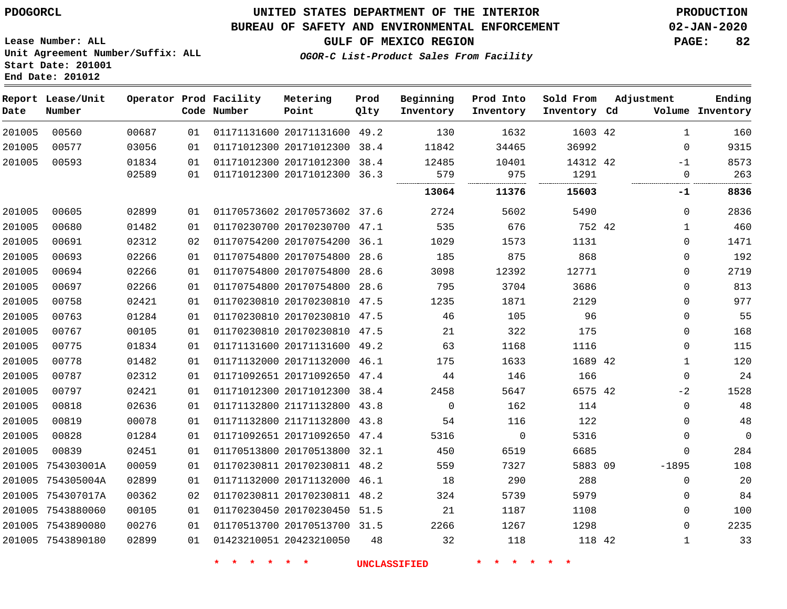**Date**

**End Date: 201012**

**Report Lease/Unit**

**Number**

## **UNITED STATES DEPARTMENT OF THE INTERIOR PDOGORCL PRODUCTION**

**Prod Qlty**

#### **BUREAU OF SAFETY AND ENVIRONMENTAL ENFORCEMENT 02-JAN-2020**

**Lease Number: ALL Unit Agreement Number/Suffix: ALL Start Date: 201001**

**Operator Prod Facility**

**Code Number**

**OGOR-C List-Product Sales From Facility**

**Beginning Inventory** **Prod Into Inventory** **Sold From Inventory**

**GULF OF MEXICO REGION PAGE: 82**

**Inventory Cd Volume**

**Adjustment**

**Ending**

| 00560      | 00687 | 01 | 01171131600 20171131600 49.2 |      | 130     | 1632    | 1603 42  | $\mathbf{1}$ | 160  |
|------------|-------|----|------------------------------|------|---------|---------|----------|--------------|------|
| 00577      | 03056 | 01 | 01171012300 20171012300      | 38.4 | 11842   | 34465   | 36992    | $\Omega$     | 9315 |
| 00593      | 01834 | 01 | 01171012300 20171012300 38.4 |      | 12485   | 10401   | 14312 42 | -1           | 8573 |
|            | 02589 | 01 | 01171012300 20171012300 36.3 |      | 579<br> | 975<br> | 1291     | 0            | 263  |
|            |       |    |                              |      | 13064   | 11376   | 15603    | -1           | 8836 |
| 00605      | 02899 | 01 | 01170573602 20170573602 37.6 |      | 2724    | 5602    | 5490     | 0            | 2836 |
| 00680      | 01482 | 01 | 01170230700 20170230700 47.1 |      | 535     | 676     | 752 42   | 1            | 460  |
| 00691      | 02312 | 02 | 01170754200 20170754200 36.1 |      | 1029    | 1573    | 1131     | $\Omega$     | 1471 |
| 00693      | 02266 | 01 | 01170754800 20170754800 28.6 |      | 185     | 875     | 868      | 0            | 192  |
| 00694      | 02266 | 01 | 01170754800 20170754800      | 28.6 | 3098    | 12392   | 12771    | $\Omega$     | 2719 |
| 00697      | 02266 | 01 | 01170754800 20170754800 28.6 |      | 795     | 3704    | 3686     | $\Omega$     | 813  |
| 00758      | 02421 | 01 | 01170230810 20170230810 47.5 |      | 1235    | 1871    | 2129     | 0            | 977  |
| 00763      | 01284 | 01 | 01170230810 20170230810 47.5 |      | 46      | 105     | 96       | $\mathbf 0$  | 55   |
| 00767      | 00105 | 01 | 01170230810 20170230810 47.5 |      | 21      | 322     | 175      | $\Omega$     | 168  |
| 00775      | 01834 | 01 | 01171131600 20171131600 49.2 |      | 63      | 1168    | 1116     | 0            | 115  |
| 00778      | 01482 | 01 | 01171132000 20171132000      | 46.1 | 175     | 1633    | 1689 42  | 1            | 120  |
| 00787      | 02312 | 01 | 01171092651 20171092650 47.4 |      | 44      | 146     | 166      | $\Omega$     | 24   |
| 00797      | 02421 | 01 | 01171012300 20171012300 38.4 |      | 2458    | 5647    | 6575 42  | $-2$         | 1528 |
| 00818      | 02636 | 01 | 01171132800 21171132800      | 43.8 | 0       | 162     | 114      | $\mathbf 0$  | 48   |
| 00819      | 00078 | 01 | 01171132800 21171132800 43.8 |      | 54      | 116     | 122      | $\Omega$     | 48   |
| 00828      | 01284 | 01 | 01171092651 20171092650 47.4 |      | 5316    | 0       | 5316     | 0            | 0    |
| 00839      | 02451 | 01 | 01170513800 20170513800 32.1 |      | 450     | 6519    | 6685     | 0            | 284  |
| 754303001A | 00059 | 01 | 01170230811 20170230811 48.2 |      | 559     | 7327    | 5883 09  | $-1895$      | 108  |
| 754305004A | 02899 | 01 | 01171132000 20171132000 46.1 |      | 18      | 290     | 288      | 0            | 20   |
| 754307017A | 00362 | 02 | 01170230811 20170230811 48.2 |      | 324     | 5739    | 5979     | 0            | 84   |
| 7543880060 | 00105 | 01 | 01170230450 20170230450 51.5 |      | 21      | 1187    | 1108     | $\Omega$     | 100  |
| 7543890080 | 00276 | 01 | 01170513700 20170513700 31.5 |      | 2266    | 1267    | 1298     | 0            | 2235 |
| 7543890180 | 02899 | 01 | 01423210051 20423210050      | 48   | 32      | 118     | 118 42   | 1            | 33   |

**Metering Point**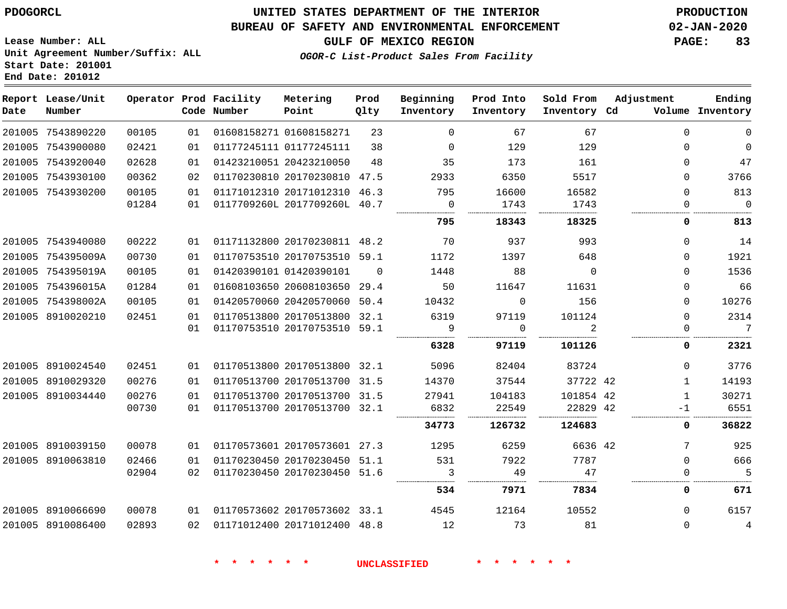## **UNITED STATES DEPARTMENT OF THE INTERIOR PDOGORCL PRODUCTION**

#### **BUREAU OF SAFETY AND ENVIRONMENTAL ENFORCEMENT 02-JAN-2020**

**Lease Number: ALL Unit Agreement Number/Suffix: ALL Start Date: 201001**

**GULF OF MEXICO REGION PAGE: 83**

**OGOR-C List-Product Sales From Facility**

| Date | Report Lease/Unit<br>Number |       |    | Operator Prod Facility<br>Code Number | Metering<br>Point            | Prod<br>Qlty | Beginning<br>Inventory | Prod Into<br>Inventory | Sold From<br>Inventory Cd | Adjustment   | Ending<br>Volume Inventory |
|------|-----------------------------|-------|----|---------------------------------------|------------------------------|--------------|------------------------|------------------------|---------------------------|--------------|----------------------------|
|      | 201005 7543890220           | 00105 | 01 |                                       | 01608158271 01608158271      | 23           | $\Omega$               | 67                     | 67                        | $\Omega$     | $\mathbf{0}$               |
|      | 201005 7543900080           | 02421 | 01 |                                       | 01177245111 01177245111      | 38           | $\Omega$               | 129                    | 129                       | $\Omega$     | $\overline{0}$             |
|      | 201005 7543920040           | 02628 | 01 |                                       | 01423210051 20423210050      | 48           | 35                     | 173                    | 161                       | 0            | 47                         |
|      | 201005 7543930100           | 00362 | 02 |                                       | 01170230810 20170230810 47.5 |              | 2933                   | 6350                   | 5517                      | $\Omega$     | 3766                       |
|      | 201005 7543930200           | 00105 | 01 |                                       | 01171012310 20171012310 46.3 |              | 795                    | 16600                  | 16582                     | 0            | 813                        |
|      |                             | 01284 | 01 |                                       | 0117709260L 2017709260L 40.7 |              | $\Omega$<br>           | 1743                   | 1743                      | $\Omega$     | $\overline{0}$             |
|      |                             |       |    |                                       |                              |              | 795                    | 18343                  | 18325                     | 0            | 813                        |
|      | 201005 7543940080           | 00222 | 01 |                                       | 01171132800 20170230811 48.2 |              | 70                     | 937                    | 993                       | $\Omega$     | 14                         |
|      | 201005 754395009A           | 00730 | 01 |                                       | 01170753510 20170753510 59.1 |              | 1172                   | 1397                   | 648                       | 0            | 1921                       |
|      | 201005 754395019A           | 00105 | 01 |                                       | 01420390101 01420390101      | $\Omega$     | 1448                   | 88                     | $\overline{0}$            | $\Omega$     | 1536                       |
|      | 201005 754396015A           | 01284 | 01 |                                       | 01608103650 20608103650 29.4 |              | 50                     | 11647                  | 11631                     | $\Omega$     | 66                         |
|      | 201005 754398002A           | 00105 | 01 |                                       | 01420570060 20420570060 50.4 |              | 10432                  | $\Omega$               | 156                       | $\Omega$     | 10276                      |
|      | 201005 8910020210           | 02451 | 01 |                                       | 01170513800 20170513800 32.1 |              | 6319                   | 97119                  | 101124                    | $\Omega$     | 2314                       |
|      |                             |       | 01 |                                       | 01170753510 20170753510 59.1 |              | 9                      | $\Omega$               | $\mathfrak{D}$            | $\Omega$     | $7\overline{ }$            |
|      |                             |       |    |                                       |                              |              | 6328                   | 97119                  | 101126                    | 0            | 2321                       |
|      | 201005 8910024540           | 02451 | 01 |                                       | 01170513800 20170513800 32.1 |              | 5096                   | 82404                  | 83724                     | $\Omega$     | 3776                       |
|      | 201005 8910029320           | 00276 | 01 |                                       | 01170513700 20170513700 31.5 |              | 14370                  | 37544                  | 37722 42                  | $\mathbf{1}$ | 14193                      |
|      | 201005 8910034440           | 00276 | 01 |                                       | 01170513700 20170513700 31.5 |              | 27941                  | 104183                 | 101854 42                 | $\mathbf{1}$ | 30271                      |
|      |                             | 00730 | 01 |                                       | 01170513700 20170513700 32.1 |              | 6832                   | 22549                  | 22829 42                  | -1           | 6551                       |
|      |                             |       |    |                                       |                              |              | 34773                  | 126732                 | 124683                    | 0            | 36822                      |
|      | 201005 8910039150           | 00078 | 01 |                                       | 01170573601 20170573601 27.3 |              | 1295                   | 6259                   | 6636 42                   | 7            | 925                        |
|      | 201005 8910063810           | 02466 | 01 |                                       | 01170230450 20170230450 51.1 |              | 531                    | 7922                   | 7787                      | $\Omega$     | 666                        |
|      |                             | 02904 | 02 |                                       | 01170230450 20170230450 51.6 |              | 3                      | 49                     | 47                        | $\Omega$     | 5                          |
|      |                             |       |    |                                       |                              |              | 534                    | 7971                   | 7834                      | 0            | 671                        |
|      | 201005 8910066690           | 00078 | 01 |                                       | 01170573602 20170573602 33.1 |              | 4545                   | 12164                  | 10552                     | $\Omega$     | 6157                       |
|      | 201005 8910086400           | 02893 | 02 |                                       | 01171012400 20171012400 48.8 |              | 12                     | 73                     | 81                        | $\Omega$     | $\overline{4}$             |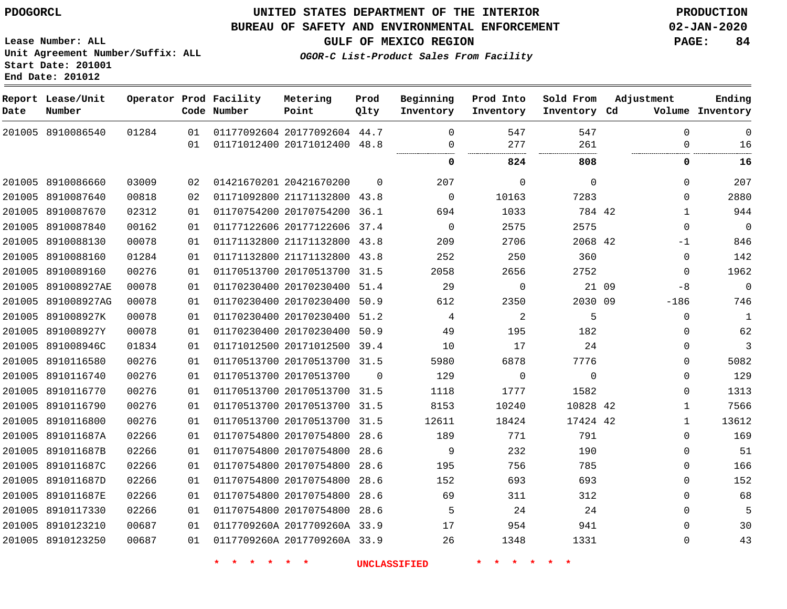8910086540

**Report Lease/Unit**

**Number**

**Date**

### **UNITED STATES DEPARTMENT OF THE INTERIOR PDOGORCL PRODUCTION**

**Prod Qlty**

#### **BUREAU OF SAFETY AND ENVIRONMENTAL ENFORCEMENT 02-JAN-2020**

**Lease Number: ALL Unit Agreement Number/Suffix: ALL Start Date: 201001 End Date: 201012**

**Operator Prod Facility**

**Code Number**

**OGOR-C List-Product Sales From Facility**

**Sold From Inventory**

**Prod Into Inventory**

**Beginning Inventory**

**Inventory Cd Volume**

**Adjustment**

  $\overline{0}$ 

**GULF OF MEXICO REGION PAGE: 84**

 

**Ending**

|             |       | 01 | 01171012400 20171012400 48.8 |                     | 0            | 277         | 261         |       | $\Omega$     | 16          |
|-------------|-------|----|------------------------------|---------------------|--------------|-------------|-------------|-------|--------------|-------------|
|             |       |    |                              |                     | 0            | 824         | 808         |       | 0            | 16          |
| 8910086660  | 03009 | 02 | 01421670201 20421670200      | $\Omega$            | 207          | $\mathbf 0$ | $\mathbf 0$ |       | $\Omega$     | 207         |
| 8910087640  | 00818 | 02 | 01171092800 21171132800 43.8 |                     | $\mathbf{0}$ | 10163       | 7283        |       | $\Omega$     | 2880        |
| 8910087670  | 02312 | 01 | 01170754200 20170754200 36.1 |                     | 694          | 1033        | 784 42      |       | $\mathbf{1}$ | 944         |
| 8910087840  | 00162 | 01 | 01177122606 20177122606 37.4 |                     | $\mathbf 0$  | 2575        | 2575        |       | $\Omega$     | $\mathbf 0$ |
| 8910088130  | 00078 | 01 | 01171132800 21171132800 43.8 |                     | 209          | 2706        | 2068 42     |       | -1           | 846         |
| 8910088160  | 01284 | 01 | 01171132800 21171132800 43.8 |                     | 252          | 250         | 360         |       | $\mathbf 0$  | 142         |
| 8910089160  | 00276 | 01 | 01170513700 20170513700 31.5 |                     | 2058         | 2656        | 2752        |       | $\Omega$     | 1962        |
| 891008927AE | 00078 | 01 | 01170230400 20170230400 51.4 |                     | 29           | 0           |             | 21 09 | -8           | $\mathbf 0$ |
| 891008927AG | 00078 | 01 | 01170230400 20170230400 50.9 |                     | 612          | 2350        | 2030 09     |       | $-186$       | 746         |
| 891008927K  | 00078 | 01 | 01170230400 20170230400 51.2 |                     | 4            | 2           | 5           |       | $\Omega$     | $\mathbf 1$ |
| 891008927Y  | 00078 | 01 | 01170230400 20170230400 50.9 |                     | 49           | 195         | 182         |       | $\Omega$     | 62          |
| 891008946C  | 01834 | 01 | 01171012500 20171012500 39.4 |                     | 10           | 17          | 24          |       | $\Omega$     | 3           |
| 8910116580  | 00276 | 01 | 01170513700 20170513700 31.5 |                     | 5980         | 6878        | 7776        |       | $\Omega$     | 5082        |
| 8910116740  | 00276 | 01 | 01170513700 20170513700      | $\Omega$            | 129          | $\Omega$    | $\mathbf 0$ |       | $\Omega$     | 129         |
| 8910116770  | 00276 | 01 | 01170513700 20170513700 31.5 |                     | 1118         | 1777        | 1582        |       | $\mathbf 0$  | 1313        |
| 8910116790  | 00276 | 01 | 01170513700 20170513700 31.5 |                     | 8153         | 10240       | 10828 42    |       | $\mathbf{1}$ | 7566        |
| 8910116800  | 00276 | 01 | 01170513700 20170513700 31.5 |                     | 12611        | 18424       | 17424 42    |       | $\mathbf{1}$ | 13612       |
| 891011687A  | 02266 | 01 | 01170754800 20170754800 28.6 |                     | 189          | 771         | 791         |       | $\Omega$     | 169         |
| 891011687B  | 02266 | 01 | 01170754800 20170754800 28.6 |                     | 9            | 232         | 190         |       | $\Omega$     | 51          |
| 891011687C  | 02266 | 01 | 01170754800 20170754800 28.6 |                     | 195          | 756         | 785         |       | $\Omega$     | 166         |
| 891011687D  | 02266 | 01 | 01170754800 20170754800 28.6 |                     | 152          | 693         | 693         |       | $\Omega$     | 152         |
| 891011687E  | 02266 | 01 | 01170754800 20170754800 28.6 |                     | 69           | 311         | 312         |       | $\Omega$     | 68          |
| 8910117330  | 02266 | 01 | 01170754800 20170754800 28.6 |                     | 5            | 24          | 24          |       | $\mathbf 0$  | 5           |
| 8910123210  | 00687 | 01 | 0117709260A 2017709260A 33.9 |                     | 17           | 954         | 941         |       | $\Omega$     | 30          |
| 8910123250  | 00687 | 01 | 0117709260A 2017709260A 33.9 |                     | 26           | 1348        | 1331        |       | $\Omega$     | 43          |
|             |       |    |                              | <b>UNCLASSIFIED</b> |              |             |             |       |              |             |
|             |       |    |                              |                     |              |             |             |       |              |             |

20177092604 44.7

**Metering Point**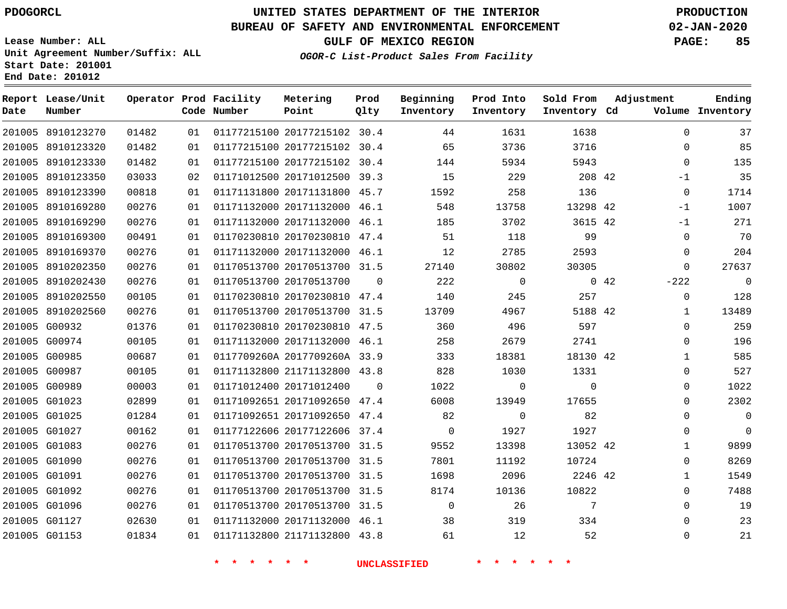## **UNITED STATES DEPARTMENT OF THE INTERIOR PDOGORCL PRODUCTION**

**Prod**

#### **BUREAU OF SAFETY AND ENVIRONMENTAL ENFORCEMENT 02-JAN-2020**

**Lease Number: ALL Unit Agreement Number/Suffix: ALL Start Date: 201001 End Date: 201012**

**OGOR-C List-Product Sales From Facility**

**Beginning**

**Prod Into**

**Sold From**

**GULF OF MEXICO REGION PAGE: 85**

**Adjustment**

**Ending**

| Date   | Report Lease/Unit<br>Number |       |    | Operator Prod Facility<br>Code Number | Metering<br>Point            | Prod<br>Qlty | Beginning<br>Inventory | Prod Into<br>Inventory | Sold From<br>Inventory Cd | Adjustment     | Ending<br>Volume Inventory |
|--------|-----------------------------|-------|----|---------------------------------------|------------------------------|--------------|------------------------|------------------------|---------------------------|----------------|----------------------------|
|        | 201005 8910123270           | 01482 | 01 |                                       | 01177215100 20177215102 30.4 |              | 44                     | 1631                   | 1638                      | 0              | 37                         |
|        | 201005 8910123320           | 01482 | 01 |                                       | 01177215100 20177215102 30.4 |              | 65                     | 3736                   | 3716                      | $\Omega$       | 85                         |
|        | 201005 8910123330           | 01482 | 01 |                                       | 01177215100 20177215102 30.4 |              | 144                    | 5934                   | 5943                      | $\Omega$       | 135                        |
|        | 201005 8910123350           | 03033 | 02 |                                       | 01171012500 20171012500 39.3 |              | 15                     | 229                    | 208 42                    | $-1$           | 35                         |
|        | 201005 8910123390           | 00818 | 01 |                                       | 01171131800 20171131800 45.7 |              | 1592                   | 258                    | 136                       | $\mathbf 0$    | 1714                       |
|        | 201005 8910169280           | 00276 | 01 |                                       | 01171132000 20171132000 46.1 |              | 548                    | 13758                  | 13298 42                  | $-1$           | 1007                       |
|        | 201005 8910169290           | 00276 | 01 |                                       | 01171132000 20171132000 46.1 |              | 185                    | 3702                   | 3615 42                   | $-1$           | 271                        |
|        | 201005 8910169300           | 00491 | 01 |                                       | 01170230810 20170230810 47.4 |              | 51                     | 118                    | 99                        | $\mathbf 0$    | 70                         |
|        | 201005 8910169370           | 00276 | 01 |                                       | 01171132000 20171132000 46.1 |              | 12                     | 2785                   | 2593                      | $\mathbf{0}$   | 204                        |
| 201005 | 8910202350                  | 00276 | 01 |                                       | 01170513700 20170513700 31.5 |              | 27140                  | 30802                  | 30305                     | $\Omega$       | 27637                      |
|        | 201005 8910202430           | 00276 | 01 |                                       | 01170513700 20170513700      | $\Omega$     | 222                    | $\mathsf{O}$           |                           | 0.42<br>$-222$ | $\Omega$                   |
|        | 201005 8910202550           | 00105 | 01 |                                       | 01170230810 20170230810 47.4 |              | 140                    | 245                    | 257                       | $\Omega$       | 128                        |
|        | 201005 8910202560           | 00276 | 01 |                                       | 01170513700 20170513700 31.5 |              | 13709                  | 4967                   | 5188 42                   | $\mathbf 1$    | 13489                      |
|        | 201005 G00932               | 01376 | 01 |                                       | 01170230810 20170230810 47.5 |              | 360                    | 496                    | 597                       | $\Omega$       | 259                        |
|        | 201005 G00974               | 00105 | 01 |                                       | 01171132000 20171132000 46.1 |              | 258                    | 2679                   | 2741                      | $\Omega$       | 196                        |
|        | 201005 G00985               | 00687 | 01 |                                       | 0117709260A 2017709260A 33.9 |              | 333                    | 18381                  | 18130 42                  | 1              | 585                        |
|        | 201005 G00987               | 00105 | 01 |                                       | 01171132800 21171132800 43.8 |              | 828                    | 1030                   | 1331                      | $\mathbf 0$    | 527                        |
|        | 201005 G00989               | 00003 | 01 |                                       | 01171012400 20171012400      | $\Omega$     | 1022                   | 0                      | $\mathbf 0$               | 0              | 1022                       |
|        | 201005 G01023               | 02899 | 01 |                                       | 01171092651 20171092650 47.4 |              | 6008                   | 13949                  | 17655                     | $\Omega$       | 2302                       |
|        | 201005 G01025               | 01284 | 01 |                                       | 01171092651 20171092650 47.4 |              | 82                     | $\mathbf 0$            | 82                        | 0              | 0                          |
|        | 201005 G01027               | 00162 | 01 |                                       | 01177122606 20177122606 37.4 |              | $\Omega$               | 1927                   | 1927                      | 0              | $\mathbf 0$                |
|        | 201005 G01083               | 00276 | 01 |                                       | 01170513700 20170513700 31.5 |              | 9552                   | 13398                  | 13052 42                  | $\mathbf{1}$   | 9899                       |
|        | 201005 G01090               | 00276 | 01 |                                       | 01170513700 20170513700 31.5 |              | 7801                   | 11192                  | 10724                     | $\Omega$       | 8269                       |
|        | 201005 G01091               | 00276 | 01 |                                       | 01170513700 20170513700 31.5 |              | 1698                   | 2096                   | 2246 42                   | $\mathbf 1$    | 1549                       |
|        | 201005 G01092               | 00276 | 01 |                                       | 01170513700 20170513700 31.5 |              | 8174                   | 10136                  | 10822                     | 0              | 7488                       |
|        | 201005 G01096               | 00276 | 01 |                                       | 01170513700 20170513700 31.5 |              | $\mathbf 0$            | 26                     | 7                         | $\Omega$       | 19                         |
|        | 201005 G01127               | 02630 | 01 |                                       | 01171132000 20171132000 46.1 |              | 38                     | 319                    | 334                       | $\Omega$       | 23                         |
|        | 201005 G01153               | 01834 | 01 |                                       | 01171132800 21171132800 43.8 |              | 61                     | 12                     | 52                        | $\Omega$       | 21                         |
|        |                             |       |    |                                       |                              |              |                        |                        |                           |                |                            |

**Metering**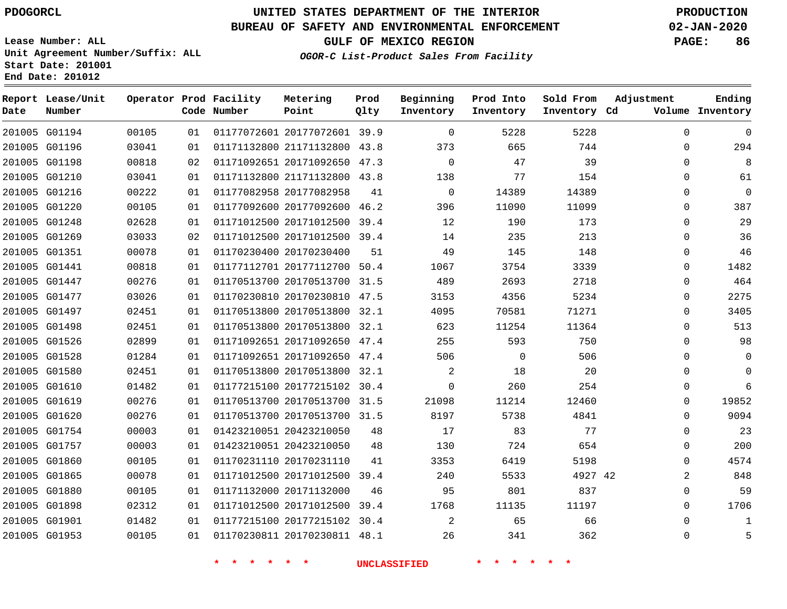**End Date: 201012**

**Report Lease/Unit**

**Number**

 G01901 G01953    

## **UNITED STATES DEPARTMENT OF THE INTERIOR PDOGORCL PRODUCTION**

**Prod Qlty**

#### **BUREAU OF SAFETY AND ENVIRONMENTAL ENFORCEMENT 02-JAN-2020**

**Lease Number: ALL Unit Agreement Number/Suffix: ALL Start Date: 201001**

**Operator Prod Facility**

**Code Number**

**OGOR-C List-Product Sales From Facility**

**Beginning Inventory** **Prod Into Inventory** **Sold From Inventory**

**GULF OF MEXICO REGION PAGE: 86**

**Inventory Cd Volume**

**Adjustment**

  $\Omega$ 

**Ending**

|               | 201005 G01194 | 00105 | 01 |                         | 01177072601 20177072601 39.9 |    | $\mathbf 0$  | 5228           | 5228    | $\mathbf 0$  |
|---------------|---------------|-------|----|-------------------------|------------------------------|----|--------------|----------------|---------|--------------|
|               | 201005 G01196 | 03041 | 01 |                         | 01171132800 21171132800 43.8 |    | 373          | 665            | 744     | $\Omega$     |
|               | 201005 G01198 | 00818 | 02 |                         | 01171092651 20171092650 47.3 |    | $\mathbf{0}$ | 47             | 39      | $\Omega$     |
|               | 201005 G01210 | 03041 | 01 |                         | 01171132800 21171132800 43.8 |    | 138          | 77             | 154     | 0            |
| 201005 G01216 |               | 00222 | 01 | 01177082958 20177082958 |                              | 41 | 0            | 14389          | 14389   | 0            |
| 201005 G01220 |               | 00105 | 01 |                         | 01177092600 20177092600 46.2 |    | 396          | 11090          | 11099   | 0            |
| 201005 G01248 |               | 02628 | 01 |                         | 01171012500 20171012500 39.4 |    | 12           | 190            | 173     | 0            |
|               | 201005 G01269 | 03033 | 02 |                         | 01171012500 20171012500 39.4 |    | 14           | 235            | 213     | $\Omega$     |
|               | 201005 G01351 | 00078 | 01 | 01170230400 20170230400 |                              | 51 | 49           | 145            | 148     | $\Omega$     |
|               | 201005 G01441 | 00818 | 01 |                         | 01177112701 20177112700 50.4 |    | 1067         | 3754           | 3339    | 0            |
|               | 201005 G01447 | 00276 | 01 |                         | 01170513700 20170513700 31.5 |    | 489          | 2693           | 2718    | 0            |
|               | 201005 G01477 | 03026 | 01 |                         | 01170230810 20170230810 47.5 |    | 3153         | 4356           | 5234    | $\Omega$     |
|               | 201005 G01497 | 02451 | 01 |                         | 01170513800 20170513800 32.1 |    | 4095         | 70581          | 71271   | $\Omega$     |
| 201005 G01498 |               | 02451 | 01 |                         | 01170513800 20170513800 32.1 |    | 623          | 11254          | 11364   | $\Omega$     |
| 201005 G01526 |               | 02899 | 01 |                         | 01171092651 20171092650 47.4 |    | 255          | 593            | 750     | $\Omega$     |
|               | 201005 G01528 | 01284 | 01 |                         | 01171092651 20171092650 47.4 |    | 506          | $\overline{0}$ | 506     | $\Omega$     |
| 201005 G01580 |               | 02451 | 01 |                         | 01170513800 20170513800 32.1 |    | 2            | 18             | 20      | $\Omega$     |
| 201005 G01610 |               | 01482 | 01 |                         | 01177215100 20177215102 30.4 |    | $\mathbf{0}$ | 260            | 254     | 0            |
| 201005 G01619 |               | 00276 | 01 |                         | 01170513700 20170513700 31.5 |    | 21098        | 11214          | 12460   | 0            |
| 201005 G01620 |               | 00276 | 01 |                         | 01170513700 20170513700 31.5 |    | 8197         | 5738           | 4841    | $\Omega$     |
| 201005 G01754 |               | 00003 | 01 | 01423210051 20423210050 |                              | 48 | 17           | 83             | 77      | $\Omega$     |
| 201005 G01757 |               | 00003 | 01 | 01423210051 20423210050 |                              | 48 | 130          | 724            | 654     | $\Omega$     |
| 201005 G01860 |               | 00105 | 01 | 01170231110 20170231110 |                              | 41 | 3353         | 6419           | 5198    | $\Omega$     |
| 201005 G01865 |               | 00078 | 01 |                         | 01171012500 20171012500 39.4 |    | 240          | 5533           | 4927 42 | 2            |
| 201005 G01880 |               | 00105 | 01 | 01171132000 20171132000 |                              | 46 | 95           | 801            | 837     | $\Omega$     |
| 201005 G01898 |               | 02312 | 01 |                         | 01171012500 20171012500 39.4 |    | 1768         | 11135          | 11197   | $\mathbf{0}$ |

**Metering Point**

**\* \* \* \* \* \* UNCLASSIFIED \* \* \* \* \* \***

 20177215102 30.4 20170230811 48.1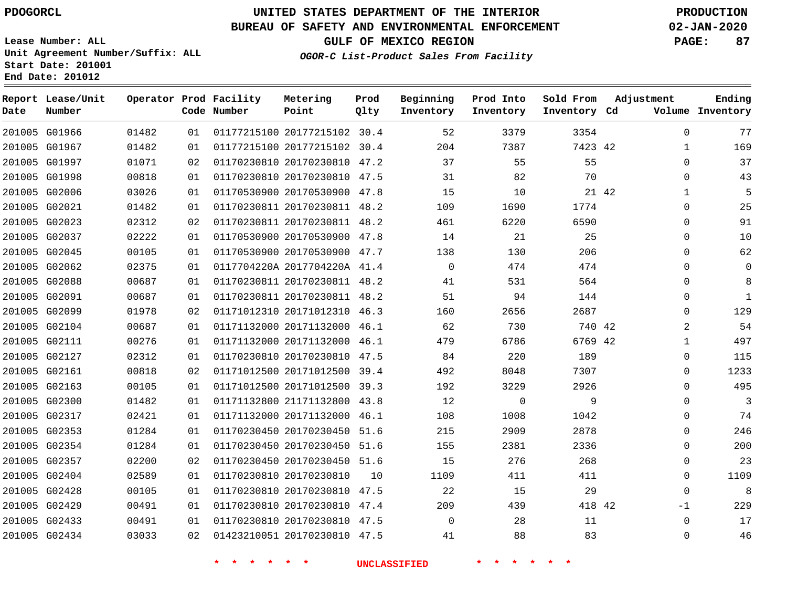#### **BUREAU OF SAFETY AND ENVIRONMENTAL ENFORCEMENT 02-JAN-2020**

**Lease Number: ALL Unit Agreement Number/Suffix: ALL Start Date: 201001**

**End Date: 201012**

**GULF OF MEXICO REGION PAGE: 87**

**OGOR-C List-Product Sales From Facility**

| Date | Report Lease/Unit<br>Number |       |    | Operator Prod Facility<br>Code Number | Metering<br>Point            | Prod<br>Qlty | Beginning<br>Inventory | Prod Into<br>Inventory | Sold From<br>Inventory Cd | Adjustment   | Ending<br>Volume Inventory |
|------|-----------------------------|-------|----|---------------------------------------|------------------------------|--------------|------------------------|------------------------|---------------------------|--------------|----------------------------|
|      | 201005 G01966               | 01482 | 01 |                                       | 01177215100 20177215102 30.4 |              | 52                     | 3379                   | 3354                      | $\mathbf{0}$ | 77                         |
|      | 201005 G01967               | 01482 | 01 |                                       | 01177215100 20177215102 30.4 |              | 204                    | 7387                   | 7423 42                   | $\mathbf{1}$ | 169                        |
|      | 201005 G01997               | 01071 | 02 |                                       | 01170230810 20170230810 47.2 |              | 37                     | 55                     | 55                        | $\Omega$     | 37                         |
|      | 201005 G01998               | 00818 | 01 |                                       | 01170230810 20170230810 47.5 |              | 31                     | 82                     | 70                        | $\mathbf{0}$ | 43                         |
|      | 201005 G02006               | 03026 | 01 |                                       | 01170530900 20170530900 47.8 |              | 15                     | 10                     |                           | 21 42<br>1   | 5                          |
|      | 201005 G02021               | 01482 | 01 |                                       | 01170230811 20170230811 48.2 |              | 109                    | 1690                   | 1774                      | $\mathbf{0}$ | 25                         |
|      | 201005 G02023               | 02312 | 02 |                                       | 01170230811 20170230811 48.2 |              | 461                    | 6220                   | 6590                      | $\mathbf{0}$ | 91                         |
|      | 201005 G02037               | 02222 | 01 |                                       | 01170530900 20170530900 47.8 |              | 14                     | 21                     | 25                        | $\mathbf{0}$ | 10                         |
|      | 201005 G02045               | 00105 | 01 |                                       | 01170530900 20170530900 47.7 |              | 138                    | 130                    | 206                       | $\mathbf{0}$ | 62                         |
|      | 201005 G02062               | 02375 | 01 |                                       | 0117704220A 2017704220A 41.4 |              | $\mathbf 0$            | 474                    | 474                       | $\mathbf{0}$ | $\Omega$                   |
|      | 201005 G02088               | 00687 | 01 |                                       | 01170230811 20170230811 48.2 |              | 41                     | 531                    | 564                       | $\mathbf{0}$ | 8                          |
|      | 201005 G02091               | 00687 | 01 |                                       | 01170230811 20170230811 48.2 |              | 51                     | 94                     | 144                       | $\mathbf 0$  | $\mathbf{1}$               |
|      | 201005 G02099               | 01978 | 02 |                                       | 01171012310 20171012310 46.3 |              | 160                    | 2656                   | 2687                      | 0            | 129                        |
|      | 201005 G02104               | 00687 | 01 |                                       | 01171132000 20171132000 46.1 |              | 62                     | 730                    | 740 42                    | 2            | 54                         |
|      | 201005 G02111               | 00276 | 01 |                                       | 01171132000 20171132000 46.1 |              | 479                    | 6786                   | 6769 42                   | $\mathbf{1}$ | 497                        |
|      | 201005 G02127               | 02312 | 01 |                                       | 01170230810 20170230810 47.5 |              | 84                     | 220                    | 189                       | $\mathbf 0$  | 115                        |
|      | 201005 G02161               | 00818 | 02 |                                       | 01171012500 20171012500 39.4 |              | 492                    | 8048                   | 7307                      | 0            | 1233                       |
|      | 201005 G02163               | 00105 | 01 |                                       | 01171012500 20171012500 39.3 |              | 192                    | 3229                   | 2926                      | $\mathbf 0$  | 495                        |
|      | 201005 G02300               | 01482 | 01 |                                       | 01171132800 21171132800 43.8 |              | 12                     | $\mathbf 0$            | 9                         | 0            | 3                          |
|      | 201005 G02317               | 02421 | 01 |                                       | 01171132000 20171132000 46.1 |              | 108                    | 1008                   | 1042                      | $\mathbf 0$  | 74                         |
|      | 201005 G02353               | 01284 | 01 |                                       | 01170230450 20170230450 51.6 |              | 215                    | 2909                   | 2878                      | 0            | 246                        |
|      | 201005 G02354               | 01284 | 01 |                                       | 01170230450 20170230450 51.6 |              | 155                    | 2381                   | 2336                      | $\mathbf 0$  | 200                        |
|      | 201005 G02357               | 02200 | 02 |                                       | 01170230450 20170230450 51.6 |              | 15                     | 276                    | 268                       | 0            | 23                         |
|      | 201005 G02404               | 02589 | 01 |                                       | 01170230810 20170230810      | 10           | 1109                   | 411                    | 411                       | $\mathbf 0$  | 1109                       |
|      | 201005 G02428               | 00105 | 01 |                                       | 01170230810 20170230810 47.5 |              | 22                     | 15                     | 29                        | $\mathbf 0$  | 8                          |
|      | 201005 G02429               | 00491 | 01 |                                       | 01170230810 20170230810 47.4 |              | 209                    | 439                    | 418 42                    | $-1$         | 229                        |
|      | 201005 G02433               | 00491 | 01 |                                       | 01170230810 20170230810 47.5 |              | $\Omega$               | 28                     | 11                        | 0            | 17                         |
|      | 201005 G02434               | 03033 | 02 |                                       | 01423210051 20170230810 47.5 |              | 41                     | 88                     | 83                        | $\mathbf 0$  | 46                         |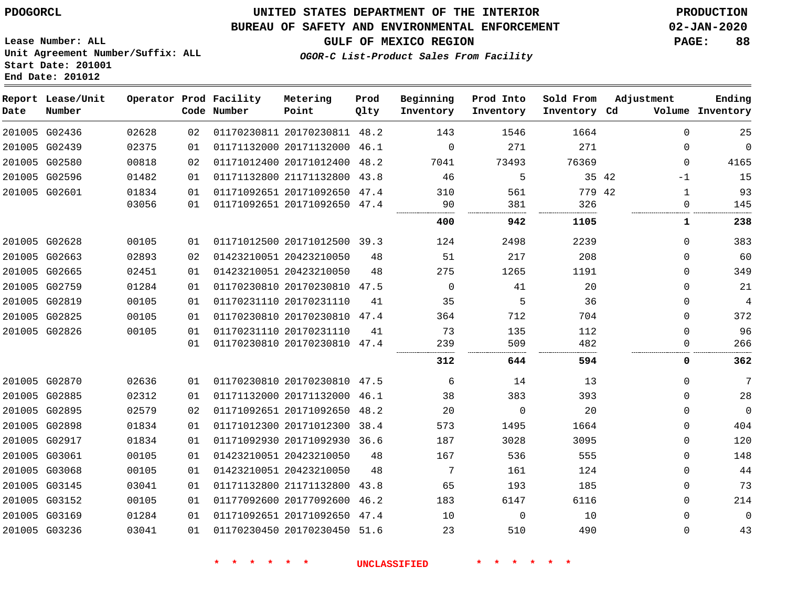#### **BUREAU OF SAFETY AND ENVIRONMENTAL ENFORCEMENT 02-JAN-2020**

**GULF OF MEXICO REGION PAGE: 88**

**Lease Number: ALL Unit Agreement Number/Suffix: ALL Start Date: 201001 End Date: 201012**

**OGOR-C List-Product Sales From Facility**

| Date | Report Lease/Unit<br>Number |       |    | Operator Prod Facility<br>Code Number | Metering<br>Point            | Prod<br>Qlty | Beginning<br>Inventory | Prod Into<br>Inventory | Sold From<br>Inventory Cd | Adjustment    | Ending<br>Volume Inventory |
|------|-----------------------------|-------|----|---------------------------------------|------------------------------|--------------|------------------------|------------------------|---------------------------|---------------|----------------------------|
|      | 201005 G02436               | 02628 | 02 |                                       | 01170230811 20170230811 48.2 |              | 143                    | 1546                   | 1664                      | $\Omega$      | 25                         |
|      | 201005 G02439               | 02375 | 01 |                                       | 01171132000 20171132000 46.1 |              | $\mathbf{0}$           | 271                    | 271                       | 0             | $\mathbf 0$                |
|      | 201005 G02580               | 00818 | 02 |                                       | 01171012400 20171012400 48.2 |              | 7041                   | 73493                  | 76369                     | $\Omega$      | 4165                       |
|      | 201005 G02596               | 01482 | 01 |                                       | 01171132800 21171132800 43.8 |              | 46                     | 5                      |                           | 35 42<br>$-1$ | 15                         |
|      | 201005 G02601               | 01834 | 01 |                                       | 01171092651 20171092650 47.4 |              | 310                    | 561                    | 779 42                    | $\mathbf{1}$  | 93                         |
|      |                             | 03056 | 01 |                                       | 01171092651 20171092650 47.4 |              | 90                     | 381                    | 326                       | 0             | 145                        |
|      |                             |       |    |                                       |                              |              | 400                    | 942                    | 1105                      | 1             | 238                        |
|      | 201005 G02628               | 00105 | 01 |                                       | 01171012500 20171012500 39.3 |              | 124                    | 2498                   | 2239                      | 0             | 383                        |
|      | 201005 G02663               | 02893 | 02 |                                       | 01423210051 20423210050      | 48           | 51                     | 217                    | 208                       | 0             | 60                         |
|      | 201005 G02665               | 02451 | 01 |                                       | 01423210051 20423210050      | 48           | 275                    | 1265                   | 1191                      | 0             | 349                        |
|      | 201005 G02759               | 01284 | 01 |                                       | 01170230810 20170230810 47.5 |              | 0                      | 41                     | 20                        | 0             | 21                         |
|      | 201005 G02819               | 00105 | 01 |                                       | 01170231110 20170231110      | 41           | 35                     | 5                      | 36                        | 0             | $\overline{4}$             |
|      | 201005 G02825               | 00105 | 01 |                                       | 01170230810 20170230810 47.4 |              | 364                    | 712                    | 704                       | 0             | 372                        |
|      | 201005 G02826               | 00105 | 01 |                                       | 01170231110 20170231110      | 41           | 73                     | 135                    | 112                       | $\Omega$      | 96                         |
|      |                             |       | 01 |                                       | 01170230810 20170230810 47.4 |              | 239                    | 509                    | 482                       | $\Omega$      | 266                        |
|      |                             |       |    |                                       |                              |              | 312                    | 644                    | 594                       | 0             | 362                        |
|      | 201005 G02870               | 02636 | 01 |                                       | 01170230810 20170230810 47.5 |              | 6                      | 14                     | 13                        | 0             | 7                          |
|      | 201005 G02885               | 02312 | 01 |                                       | 01171132000 20171132000 46.1 |              | 38                     | 383                    | 393                       | 0             | 28                         |
|      | 201005 G02895               | 02579 | 02 |                                       | 01171092651 20171092650      | 48.2         | 20                     | $\mathbf 0$            | 20                        | 0             | $\mathsf 0$                |
|      | 201005 G02898               | 01834 | 01 |                                       | 01171012300 20171012300 38.4 |              | 573                    | 1495                   | 1664                      | 0             | 404                        |
|      | 201005 G02917               | 01834 | 01 |                                       | 01171092930 20171092930 36.6 |              | 187                    | 3028                   | 3095                      | 0             | 120                        |
|      | 201005 G03061               | 00105 | 01 |                                       | 01423210051 20423210050      | 48           | 167                    | 536                    | 555                       | 0             | 148                        |
|      | 201005 G03068               | 00105 | 01 |                                       | 01423210051 20423210050      | 48           | 7                      | 161                    | 124                       | 0             | 44                         |
|      | 201005 G03145               | 03041 | 01 |                                       | 01171132800 21171132800 43.8 |              | 65                     | 193                    | 185                       | 0             | 73                         |
|      | 201005 G03152               | 00105 | 01 |                                       | 01177092600 20177092600 46.2 |              | 183                    | 6147                   | 6116                      | $\Omega$      | 214                        |
|      | 201005 G03169               | 01284 | 01 |                                       | 01171092651 20171092650 47.4 |              | 10                     | $\Omega$               | 10                        | 0             | $\mathbf 0$                |
|      | 201005 G03236               | 03041 | 01 |                                       | 01170230450 20170230450 51.6 |              | 23                     | 510                    | 490                       | 0             | 43                         |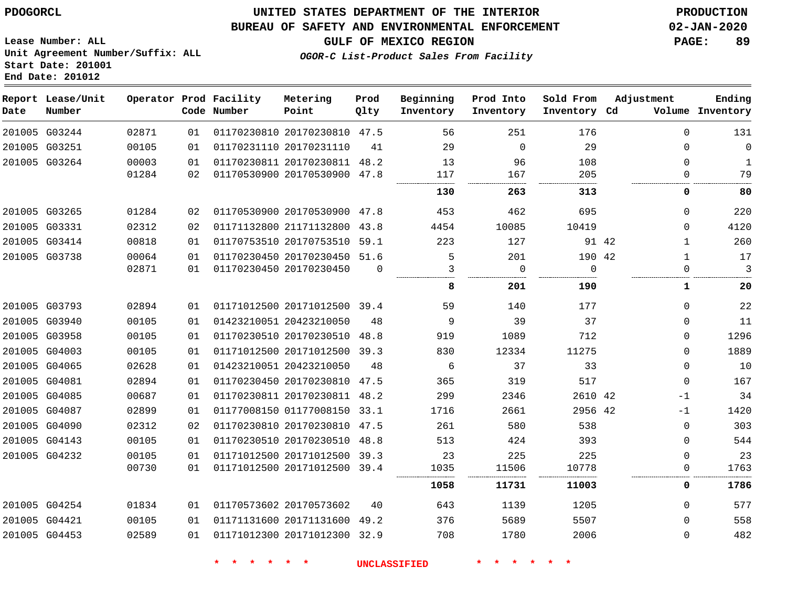#### **BUREAU OF SAFETY AND ENVIRONMENTAL ENFORCEMENT 02-JAN-2020**

**Lease Number: ALL Unit Agreement Number/Suffix: ALL Start Date: 201001 End Date: 201012**

**GULF OF MEXICO REGION PAGE: 89**

**OGOR-C List-Product Sales From Facility**

| Date | Report Lease/Unit<br>Number |       |    | Operator Prod Facility<br>Code Number | Metering<br>Point            | Prod<br>Qlty | Beginning<br>Inventory | Prod Into<br>Inventory | Sold From<br>Inventory Cd | Adjustment            | Ending<br>Volume Inventory |
|------|-----------------------------|-------|----|---------------------------------------|------------------------------|--------------|------------------------|------------------------|---------------------------|-----------------------|----------------------------|
|      | 201005 G03244               | 02871 | 01 |                                       | 01170230810 20170230810 47.5 |              | 56                     | 251                    | 176                       | 0                     | 131                        |
|      | 201005 G03251               | 00105 | 01 |                                       | 01170231110 20170231110      | 41           | 29                     | $\Omega$               | 29                        | $\Omega$              | $\mathbf 0$                |
|      | 201005 G03264               | 00003 | 01 |                                       | 01170230811 20170230811 48.2 |              | 13                     | 96                     | 108                       | 0                     | 1                          |
|      |                             | 01284 | 02 |                                       | 01170530900 20170530900 47.8 |              | 117                    | 167                    | 205                       | 0                     | 79                         |
|      |                             |       |    |                                       |                              |              | 130                    | 263                    | 313                       | 0                     | 80                         |
|      | 201005 G03265               | 01284 | 02 |                                       | 01170530900 20170530900 47.8 |              | 453                    | 462                    | 695                       | $\Omega$              | 220                        |
|      | 201005 G03331               | 02312 | 02 |                                       | 01171132800 21171132800      | 43.8         | 4454                   | 10085                  | 10419                     |                       | 4120<br>0                  |
|      | 201005 G03414               | 00818 | 01 |                                       | 01170753510 20170753510 59.1 |              | 223                    | 127                    |                           | 91 42<br>$\mathbf{1}$ | 260                        |
|      | 201005 G03738               | 00064 | 01 |                                       | 01170230450 20170230450 51.6 |              | 5                      | 201                    | 190 42                    | $\mathbf{1}$          | 17                         |
|      |                             | 02871 | 01 |                                       | 01170230450 20170230450      | $\Omega$     | 3                      | $\mathbf 0$            | $\Omega$                  | $\Omega$              | 3                          |
|      |                             |       |    |                                       |                              |              | 8                      | 201                    | 190                       | 1                     | 20                         |
|      | 201005 G03793               | 02894 | 01 |                                       | 01171012500 20171012500 39.4 |              | 59                     | 140                    | 177                       | $\mathbf 0$           | 22                         |
|      | 201005 G03940               | 00105 | 01 |                                       | 01423210051 20423210050      | 48           | 9                      | 39                     | 37                        |                       | 11<br>$\Omega$             |
|      | 201005 G03958               | 00105 | 01 |                                       | 01170230510 20170230510 48.8 |              | 919                    | 1089                   | 712                       | $\mathbf 0$           | 1296                       |
|      | 201005 G04003               | 00105 | 01 |                                       | 01171012500 20171012500 39.3 |              | 830                    | 12334                  | 11275                     | $\Omega$              | 1889                       |
|      | 201005 G04065               | 02628 | 01 |                                       | 01423210051 20423210050      | 48           | 6                      | 37                     | 33                        | $\mathbf 0$           | 10                         |
|      | 201005 G04081               | 02894 | 01 |                                       | 01170230450 20170230810 47.5 |              | 365                    | 319                    | 517                       | $\mathbf 0$           | 167                        |
|      | 201005 G04085               | 00687 | 01 |                                       | 01170230811 20170230811 48.2 |              | 299                    | 2346                   | 2610 42                   | $-1$                  | 34                         |
|      | 201005 G04087               | 02899 | 01 |                                       | 01177008150 01177008150 33.1 |              | 1716                   | 2661                   | 2956 42                   | $-1$                  | 1420                       |
|      | 201005 G04090               | 02312 | 02 |                                       | 01170230810 20170230810 47.5 |              | 261                    | 580                    | 538                       | $\mathbf 0$           | 303                        |
|      | 201005 G04143               | 00105 | 01 |                                       | 01170230510 20170230510 48.8 |              | 513                    | 424                    | 393                       | 0                     | 544                        |
|      | 201005 G04232               | 00105 | 01 |                                       | 01171012500 20171012500 39.3 |              | 23                     | 225                    | 225                       | 0                     | 23                         |
|      |                             | 00730 | 01 |                                       | 01171012500 20171012500 39.4 |              | 1035                   | 11506                  | 10778                     |                       | 1763<br>0                  |
|      |                             |       |    |                                       |                              |              | 1058                   | 11731                  | 11003                     | 0                     | 1786                       |
|      | 201005 G04254               | 01834 | 01 |                                       | 01170573602 20170573602      | 40           | 643                    | 1139                   | 1205                      | $\mathbf 0$           | 577                        |
|      | 201005 G04421               | 00105 | 01 |                                       | 01171131600 20171131600 49.2 |              | 376                    | 5689                   | 5507                      | $\mathbf 0$           | 558                        |
|      | 201005 G04453               | 02589 | 01 |                                       | 01171012300 20171012300 32.9 |              | 708                    | 1780                   | 2006                      | $\mathbf 0$           | 482                        |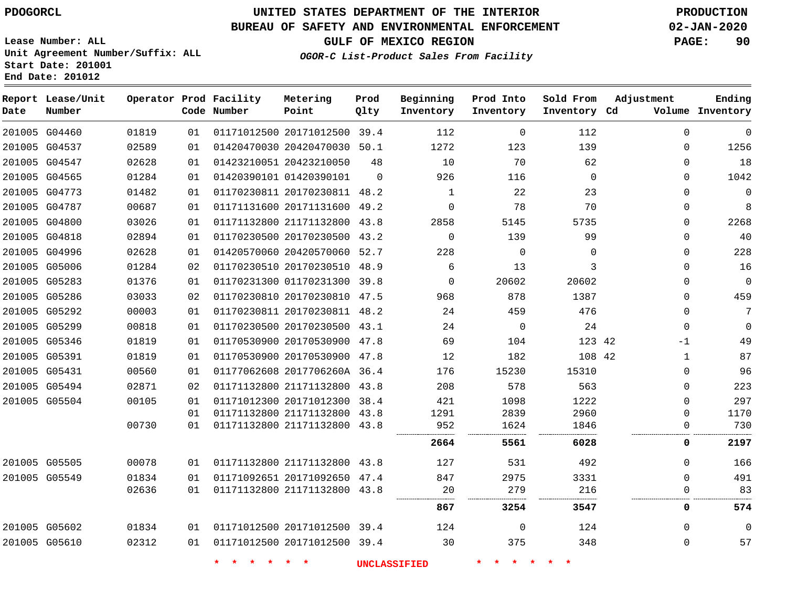**End Date: 201012**

**Report Lease/Unit**

**Number**

## **UNITED STATES DEPARTMENT OF THE INTERIOR PDOGORCL PRODUCTION**

**Prod Qlty**

#### **BUREAU OF SAFETY AND ENVIRONMENTAL ENFORCEMENT 02-JAN-2020**

**Lease Number: ALL Unit Agreement Number/Suffix: ALL Start Date: 201001**

**Operator Prod Facility**

**Code Number**

**Metering Point**

**GULF OF MEXICO REGION PAGE: 90**

**Inventory Cd Volume**

**Adjustment**

**Ending**

**OGOR-C List-Product Sales From Facility**

**Beginning Inventory**

**Sold From Inventory**

**Prod Into Inventory**

| 201005 G04460 | 01819 | 01 | 01171012500 20171012500 39.4 |          | 112         | $\Omega$       | 112      | 0        | $\mathbf 0$ |
|---------------|-------|----|------------------------------|----------|-------------|----------------|----------|----------|-------------|
| 201005 G04537 | 02589 | 01 | 01420470030 20420470030 50.1 |          | 1272        | 123            | 139      | 0        | 1256        |
| 201005 G04547 | 02628 | 01 | 01423210051 20423210050      | 48       | 10          | 70             | 62       | 0        | 18          |
| 201005 G04565 | 01284 | 01 | 01420390101 01420390101      | $\Omega$ | 926         | 116            | $\Omega$ | $\Omega$ | 1042        |
| 201005 G04773 | 01482 | 01 | 01170230811 20170230811 48.2 |          | 1           | 22             | 23       | 0        | $\mathbf 0$ |
| 201005 G04787 | 00687 | 01 | 01171131600 20171131600 49.2 |          | $\Omega$    | 78             | 70       | 0        | 8           |
| 201005 G04800 | 03026 | 01 | 01171132800 21171132800 43.8 |          | 2858        | 5145           | 5735     | 0        | 2268        |
| 201005 G04818 | 02894 | 01 | 01170230500 20170230500 43.2 |          | $\mathbf 0$ | 139            | 99       | 0        | 40          |
| 201005 G04996 | 02628 | 01 | 01420570060 20420570060 52.7 |          | 228         | $\Omega$       | $\Omega$ | 0        | 228         |
| 201005 G05006 | 01284 | 02 | 01170230510 20170230510 48.9 |          | 6           | 13             | 3        | 0        | 16          |
| 201005 G05283 | 01376 | 01 | 01170231300 01170231300 39.8 |          | $\Omega$    | 20602          | 20602    | 0        | $\mathbf 0$ |
| 201005 G05286 | 03033 | 02 | 01170230810 20170230810 47.5 |          | 968         | 878            | 1387     | 0        | 459         |
| 201005 G05292 | 00003 | 01 | 01170230811 20170230811 48.2 |          | 24          | 459            | 476      | $\Omega$ | 7           |
| 201005 G05299 | 00818 | 01 | 01170230500 20170230500 43.1 |          | 24          | $\overline{0}$ | 24       | 0        | $\Omega$    |
| 201005 G05346 | 01819 | 01 | 01170530900 20170530900 47.8 |          | 69          | 104            | 123 42   | -1       | 49          |
| 201005 G05391 | 01819 | 01 | 01170530900 20170530900 47.8 |          | 12          | 182            | 108 42   | 1        | 87          |
| 201005 G05431 | 00560 | 01 | 01177062608 2017706260A 36.4 |          | 176         | 15230          | 15310    | 0        | 96          |
| 201005 G05494 | 02871 | 02 | 01171132800 21171132800 43.8 |          | 208         | 578            | 563      | 0        | 223         |
| 201005 G05504 | 00105 | 01 | 01171012300 20171012300 38.4 |          | 421         | 1098           | 1222     | 0        | 297         |
|               |       | 01 | 01171132800 21171132800 43.8 |          | 1291        | 2839           | 2960     | 0        | 1170        |
|               | 00730 | 01 | 01171132800 21171132800 43.8 |          | 952         | 1624           | 1846     | 0        | 730         |
|               |       |    |                              |          | 2664        | 5561           | 6028     | 0        | 2197        |
| 201005 G05505 | 00078 | 01 | 01171132800 21171132800 43.8 |          | 127         | 531            | 492      | $\Omega$ | 166         |
| 201005 G05549 | 01834 | 01 | 01171092651 20171092650 47.4 |          | 847         | 2975           | 3331     | 0        | 491         |
|               | 02636 | 01 | 01171132800 21171132800 43.8 |          | 20          | 279            | 216      | 0        | 83          |
|               |       |    |                              |          | 867         | 3254           | 3547     | 0        | 574         |
| 201005 G05602 | 01834 | 01 | 01171012500 20171012500 39.4 |          | 124         | $\Omega$       | 124      | 0        | $\mathbf 0$ |
| 201005 G05610 | 02312 | 01 | 01171012500 20171012500 39.4 |          | 30          | 375            | 348      | $\Omega$ | 57          |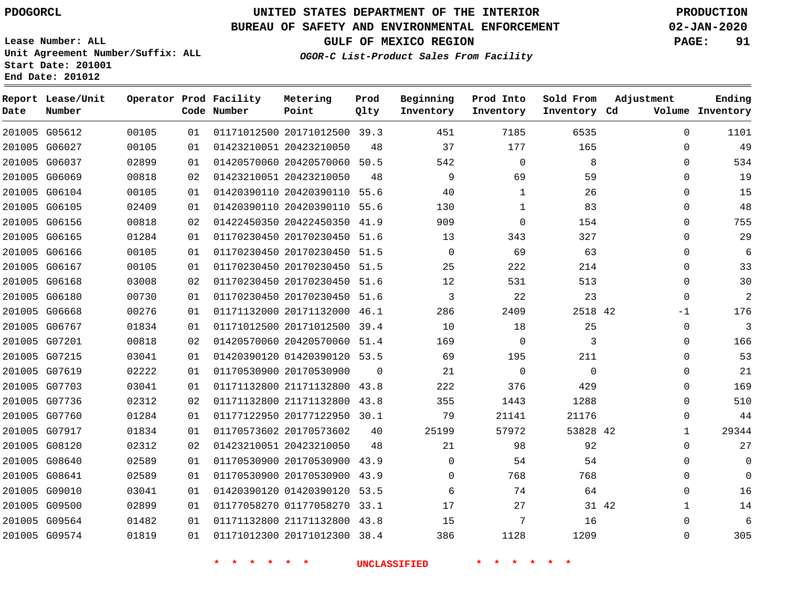## **UNITED STATES DEPARTMENT OF THE INTERIOR PDOGORCL PRODUCTION**

#### **BUREAU OF SAFETY AND ENVIRONMENTAL ENFORCEMENT 02-JAN-2020**

**Lease Number: ALL Unit Agreement Number/Suffix: ALL**

**OGOR-C List-Product Sales From Facility**

**GULF OF MEXICO REGION PAGE: 91**

**Start Date: 201001 End Date: 201012**

| Date   | Report Lease/Unit<br>Number |       |    | Operator Prod Facility<br>Code Number | Metering<br>Point            | Prod<br>Qlty | Beginning<br>Inventory | Prod Into<br>Inventory | Sold From<br>Inventory Cd | Adjustment   | Ending<br>Volume Inventory |
|--------|-----------------------------|-------|----|---------------------------------------|------------------------------|--------------|------------------------|------------------------|---------------------------|--------------|----------------------------|
|        | 201005 G05612               | 00105 | 01 |                                       | 01171012500 20171012500 39.3 |              | 451                    | 7185                   | 6535                      | $\mathbf 0$  | 1101                       |
|        | 201005 G06027               | 00105 | 01 |                                       | 01423210051 20423210050      | 48           | 37                     | 177                    | 165                       | $\mathbf 0$  | 49                         |
|        | 201005 G06037               | 02899 | 01 |                                       | 01420570060 20420570060 50.5 |              | 542                    | $\mathbf 0$            | 8                         | $\Omega$     | 534                        |
|        | 201005 G06069               | 00818 | 02 |                                       | 01423210051 20423210050      | 48           | 9                      | 69                     | 59                        | $\Omega$     | 19                         |
|        | 201005 G06104               | 00105 | 01 |                                       | 01420390110 20420390110 55.6 |              | 40                     | $\mathbf{1}$           | 26                        | $\Omega$     | 15                         |
|        | 201005 G06105               | 02409 | 01 |                                       | 01420390110 20420390110 55.6 |              | 130                    | $\mathbf{1}$           | 83                        | $\mathbf 0$  | 48                         |
|        | 201005 G06156               | 00818 | 02 |                                       | 01422450350 20422450350      | 41.9         | 909                    | $\Omega$               | 154                       | $\Omega$     | 755                        |
|        | 201005 G06165               | 01284 | 01 |                                       | 01170230450 20170230450      | 51.6         | 13                     | 343                    | 327                       | $\mathbf 0$  | 29                         |
|        | 201005 G06166               | 00105 | 01 |                                       | 01170230450 20170230450      | 51.5         | $\Omega$               | 69                     | 63                        | $\Omega$     | 6                          |
|        | 201005 G06167               | 00105 | 01 |                                       | 01170230450 20170230450      | 51.5         | 25                     | 222                    | 214                       | 0            | 33                         |
|        | 201005 G06168               | 03008 | 02 |                                       | 01170230450 20170230450 51.6 |              | 12                     | 531                    | 513                       | $\Omega$     | 30                         |
| 201005 | G06180                      | 00730 | 01 |                                       | 01170230450 20170230450      | 51.6         | 3                      | 22                     | 23                        | $\mathbf 0$  | $\overline{a}$             |
|        | 201005 G06668               | 00276 | 01 |                                       | 01171132000 20171132000 46.1 |              | 286                    | 2409                   | 2518 42                   | -1           | 176                        |
| 201005 | G06767                      | 01834 | 01 |                                       | 01171012500 20171012500      | 39.4         | 10                     | 18                     | 25                        | $\mathbf 0$  | 3                          |
|        | 201005 G07201               | 00818 | 02 |                                       | 01420570060 20420570060 51.4 |              | 169                    | $\Omega$               | 3                         | $\Omega$     | 166                        |
|        | 201005 G07215               | 03041 | 01 |                                       | 01420390120 01420390120 53.5 |              | 69                     | 195                    | 211                       | $\mathbf 0$  | 53                         |
|        | 201005 G07619               | 02222 | 01 |                                       | 01170530900 20170530900      | 0            | 21                     | $\mathbf 0$            | $\mathbf 0$               | $\mathbf 0$  | 21                         |
|        | 201005 G07703               | 03041 | 01 |                                       | 01171132800 21171132800 43.8 |              | 222                    | 376                    | 429                       | $\mathbf 0$  | 169                        |
|        | 201005 G07736               | 02312 | 02 |                                       | 01171132800 21171132800 43.8 |              | 355                    | 1443                   | 1288                      | $\mathbf 0$  | 510                        |
|        | 201005 G07760               | 01284 | 01 |                                       | 01177122950 20177122950 30.1 |              | 79                     | 21141                  | 21176                     | $\mathbf 0$  | 44                         |
|        | 201005 G07917               | 01834 | 01 |                                       | 01170573602 20170573602      | 40           | 25199                  | 57972                  | 53828 42                  | $\mathbf{1}$ | 29344                      |
|        | 201005 G08120               | 02312 | 02 |                                       | 01423210051 20423210050      | 48           | 21                     | 98                     | 92                        | $\Omega$     | 27                         |
|        | 201005 G08640               | 02589 | 01 |                                       | 01170530900 20170530900 43.9 |              | $\Omega$               | 54                     | 54                        | $\mathbf 0$  | $\mathbf 0$                |
|        | 201005 G08641               | 02589 | 01 |                                       | 01170530900 20170530900      | 43.9         | $\Omega$               | 768                    | 768                       | $\Omega$     | $\Omega$                   |
|        | 201005 G09010               | 03041 | 01 |                                       | 01420390120 01420390120      | 53.5         | 6                      | 74                     | 64                        | 0            | 16                         |
|        | 201005 G09500               | 02899 | 01 |                                       | 01177058270 01177058270      | 33.1         | 17                     | 27                     | 31 42                     | $\mathbf{1}$ | 14                         |
|        | 201005 G09564               | 01482 | 01 |                                       | 01171132800 21171132800      | 43.8         | 15                     | 7                      | 16                        | $\mathbf 0$  | 6                          |
|        | 201005 G09574               | 01819 | 01 |                                       | 01171012300 20171012300 38.4 |              | 386                    | 1128                   | 1209                      | $\Omega$     | 305                        |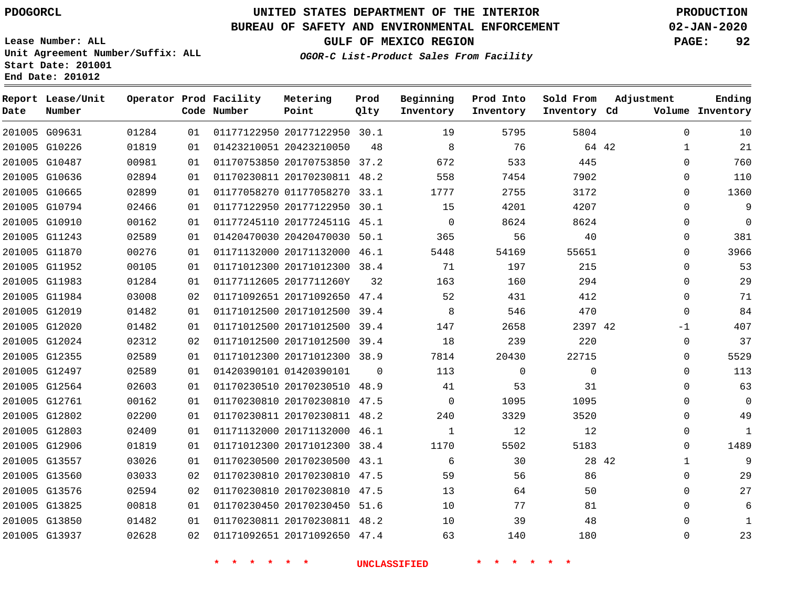**Report Lease/Unit**

**Number**

 G09631 G10226 G10487 G10636 G10665 G10794 G10910 G11243 G11870 G11952 G11983 G11984 G12019 G12020 G12024 G12355 G12497 G12564 G12761 G12802 G12803 G12906 G13557 G13560 G13576 G13825 G13850 G13937

**Date**

## **UNITED STATES DEPARTMENT OF THE INTERIOR PDOGORCL PRODUCTION**

**Prod Qlty**

#### **BUREAU OF SAFETY AND ENVIRONMENTAL ENFORCEMENT 02-JAN-2020**

**Lease Number: ALL Unit Agreement Number/Suffix: ALL Start Date: 201001**

> 

**Operator Prod Facility**

**Code Number**

 

**OGOR-C List-Product Sales From Facility**

**Beginning Inventory**

> 

 

**Prod Into Inventory**

**GULF OF MEXICO REGION PAGE: 92**

**Inventory Cd Volume**

**Adjustment**

  $\Omega$  $\Omega$  $\Omega$  $\Omega$  $\Omega$  $\Omega$  $\Omega$  $\Omega$  $\Omega$  $\Omega$  $\Omega$  $-1$  $\Omega$  $\Omega$  $\Omega$  $\cap$  $\Omega$  $\Omega$  $\Omega$  $\Omega$   $\Omega$   $\Omega$ 

**Ending**

64 42

**Sold From Inventory**

| 02894 | 01 | 01170230811 20170230811 48.2 |             | 558         | 7454  | 7902        |       |
|-------|----|------------------------------|-------------|-------------|-------|-------------|-------|
| 02899 | 01 | 01177058270 01177058270      | 33.1        | 1777        | 2755  | 3172        |       |
| 02466 | 01 | 01177122950 20177122950 30.1 |             | 15          | 4201  | 4207        |       |
| 00162 | 01 | 01177245110 2017724511G 45.1 |             | $\Omega$    | 8624  | 8624        |       |
| 02589 | 01 | 01420470030 20420470030 50.1 |             | 365         | 56    | 40          |       |
| 00276 | 01 | 01171132000 20171132000      | 46.1        | 5448        | 54169 | 55651       |       |
| 00105 | 01 | 01171012300 20171012300 38.4 |             | 71          | 197   | 215         |       |
| 01284 | 01 | 01177112605 2017711260Y      | 32          | 163         | 160   | 294         |       |
| 03008 | 02 | 01171092651 20171092650 47.4 |             | 52          | 431   | 412         |       |
| 01482 | 01 | 01171012500 20171012500      | 39.4        | 8           | 546   | 470         |       |
| 01482 | 01 | 01171012500 20171012500 39.4 |             | 147         | 2658  | 2397 42     |       |
| 02312 | 02 | 01171012500 20171012500      | 39.4        | 18          | 239   | 220         |       |
| 02589 | 01 | 01171012300 20171012300 38.9 |             | 7814        | 20430 | 22715       |       |
| 02589 | 01 | 01420390101 01420390101      | $\mathbf 0$ | 113         | 0     | $\mathbf 0$ |       |
| 02603 | 01 | 01170230510 20170230510 48.9 |             | 41          | 53    | 31          |       |
| 00162 | 01 | 01170230810 20170230810      | 47.5        | $\Omega$    | 1095  | 1095        |       |
| 02200 | 01 | 01170230811 20170230811 48.2 |             | 240         | 3329  | 3520        |       |
| 02409 | 01 | 01171132000 20171132000      | 46.1        | $\mathbf 1$ | 12    | 12          |       |
| 01819 | 01 | 01171012300 20171012300      | 38.4        | 1170        | 5502  | 5183        |       |
| 03026 | 01 | 01170230500 20170230500      | 43.1        | 6           | 30    |             | 28 42 |
| 03033 | 02 | 01170230810 20170230810      | 47.5        | 59          | 56    | 86          |       |
| 02594 | 02 | 01170230810 20170230810      | 47.5        | 13          | 64    | 50          |       |
| 00818 | 01 | 01170230450 20170230450 51.6 |             | 10          | 77    | 81          |       |
| 01482 | 01 | 01170230811 20170230811 48.2 |             | 10          | 39    | 48          |       |
| 02628 | 02 | 01171092651 20171092650 47.4 |             | 63          | 140   | 180         |       |

20177122950 30.1

**Metering Point**

20170753850 37.2

20423210050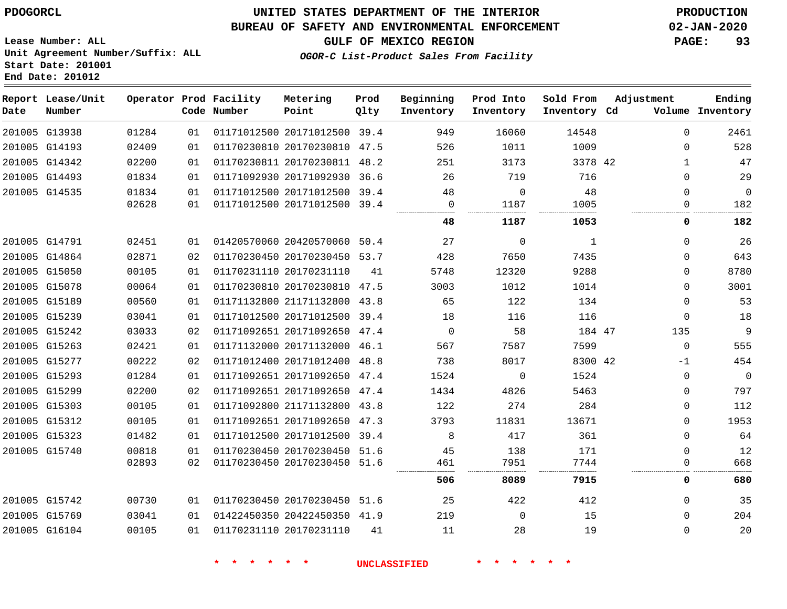## **UNITED STATES DEPARTMENT OF THE INTERIOR PDOGORCL PRODUCTION**

#### **BUREAU OF SAFETY AND ENVIRONMENTAL ENFORCEMENT 02-JAN-2020**

**Lease Number: ALL Unit Agreement Number/Suffix: ALL Start Date: 201001**

**GULF OF MEXICO REGION PAGE: 93**

**OGOR-C List-Product Sales From Facility**

# **Metering Prod Into**

| Date | Report Lease/Unit<br>Number |       |    | Operator Prod Facility<br>Code Number | Metering<br>Point            | Prod<br>Olty | Beginning<br>Inventory | Prod Into<br>Inventory | Sold From<br>Inventory Cd | Adjustment   | Ending<br>Volume Inventory |
|------|-----------------------------|-------|----|---------------------------------------|------------------------------|--------------|------------------------|------------------------|---------------------------|--------------|----------------------------|
|      | 201005 G13938               | 01284 | 01 |                                       | 01171012500 20171012500 39.4 |              | 949                    | 16060                  | 14548                     | $\Omega$     | 2461                       |
|      | 201005 G14193               | 02409 | 01 |                                       | 01170230810 20170230810 47.5 |              | 526                    | 1011                   | 1009                      | 0            | 528                        |
|      | 201005 G14342               | 02200 | 01 |                                       | 01170230811 20170230811 48.2 |              | 251                    | 3173                   | 3378 42                   | $\mathbf{1}$ | 47                         |
|      | 201005 G14493               | 01834 | 01 |                                       | 01171092930 20171092930 36.6 |              | 26                     | 719                    | 716                       | $\mathbf{0}$ | 29                         |
|      | 201005 G14535               | 01834 | 01 |                                       | 01171012500 20171012500 39.4 |              | 48                     | $\Omega$               | 48                        | $\Omega$     | $\overline{0}$             |
|      |                             | 02628 | 01 |                                       | 01171012500 20171012500 39.4 |              | $\mathbf 0$            | 1187                   | 1005                      | $\Omega$     | 182                        |
|      |                             |       |    |                                       |                              |              | 48                     | 1187                   | 1053                      | 0            | 182                        |
|      | 201005 G14791               | 02451 | 01 |                                       | 01420570060 20420570060 50.4 |              | 27                     | $\Omega$               | 1                         | $\Omega$     | 26                         |
|      | 201005 G14864               | 02871 | 02 |                                       | 01170230450 20170230450 53.7 |              | 428                    | 7650                   | 7435                      | 0            | 643                        |
|      | 201005 G15050               | 00105 | 01 |                                       | 01170231110 20170231110      | 41           | 5748                   | 12320                  | 9288                      | $\Omega$     | 8780                       |
|      | 201005 G15078               | 00064 | 01 |                                       | 01170230810 20170230810 47.5 |              | 3003                   | 1012                   | 1014                      | 0            | 3001                       |
|      | 201005 G15189               | 00560 | 01 |                                       | 01171132800 21171132800 43.8 |              | 65                     | 122                    | 134                       | 0            | 53                         |
|      | 201005 G15239               | 03041 | 01 |                                       | 01171012500 20171012500 39.4 |              | 18                     | 116                    | 116                       | $\mathbf{0}$ | 18                         |
|      | 201005 G15242               | 03033 | 02 |                                       | 01171092651 20171092650      | 47.4         | $\mathbf 0$            | 58                     | 184 47                    | 135          | 9                          |
|      | 201005 G15263               | 02421 | 01 |                                       | 01171132000 20171132000 46.1 |              | 567                    | 7587                   | 7599                      | $\Omega$     | 555                        |
|      | 201005 G15277               | 00222 | 02 |                                       | 01171012400 20171012400 48.8 |              | 738                    | 8017                   | 8300 42                   | -1           | 454                        |
|      | 201005 G15293               | 01284 | 01 |                                       | 01171092651 20171092650 47.4 |              | 1524                   | $\Omega$               | 1524                      | $\Omega$     | $\overline{0}$             |
|      | 201005 G15299               | 02200 | 02 |                                       | 01171092651 20171092650 47.4 |              | 1434                   | 4826                   | 5463                      | $\Omega$     | 797                        |
|      | 201005 G15303               | 00105 | 01 |                                       | 01171092800 21171132800 43.8 |              | 122                    | 274                    | 284                       | $\Omega$     | 112                        |
|      | 201005 G15312               | 00105 | 01 |                                       | 01171092651 20171092650 47.3 |              | 3793                   | 11831                  | 13671                     | $\mathbf{0}$ | 1953                       |
|      | 201005 G15323               | 01482 | 01 |                                       | 01171012500 20171012500      | 39.4         | 8                      | 417                    | 361                       | $\mathbf{0}$ | 64                         |
|      | 201005 G15740               | 00818 | 01 |                                       | 01170230450 20170230450 51.6 |              | 45                     | 138                    | 171                       | $\Omega$     | 12                         |
|      |                             | 02893 | 02 |                                       | 01170230450 20170230450 51.6 |              | 461                    | 7951                   | 7744                      | 0            | 668                        |
|      |                             |       |    |                                       |                              |              | 506                    | 8089                   | 7915                      | 0            | 680                        |
|      | 201005 G15742               | 00730 | 01 |                                       | 01170230450 20170230450 51.6 |              | 25                     | 422                    | 412                       | $\mathbf{0}$ | 35                         |
|      | 201005 G15769               | 03041 | 01 |                                       | 01422450350 20422450350 41.9 |              | 219                    | $\Omega$               | 15                        | $\Omega$     | 204                        |
|      | 201005 G16104               | 00105 | 01 |                                       | 01170231110 20170231110      | 41           | 11                     | 28                     | 19                        | $\Omega$     | 20                         |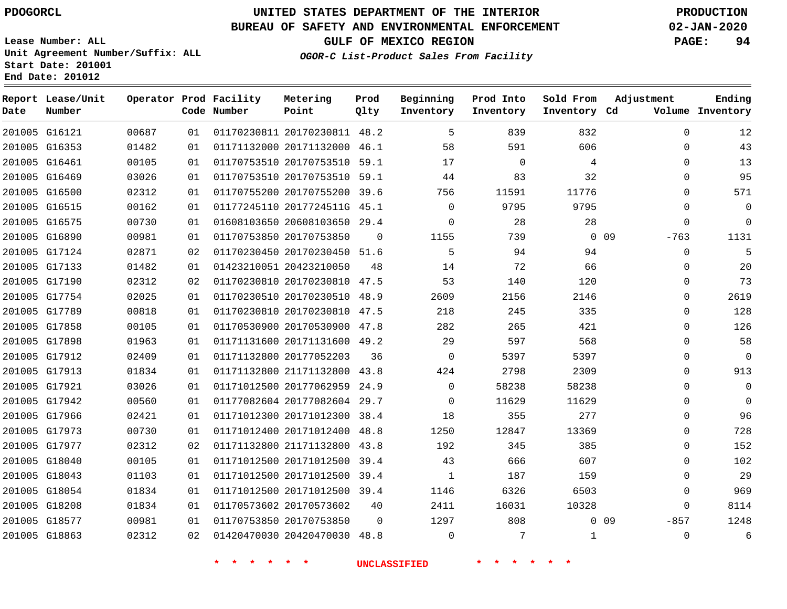G16121 G16353 G16461 G16469 G16500 G16515 G16575 G16890 G17124 G17133 G17190 G17754 G17789 G17858 G17898 G17912 G17913 G17921 G17942 G17966 G17973 G17977 G18040 G18043 G18054 G18208 G18577 G18863

**Date**

**Report Lease/Unit**

**Number**

## **UNITED STATES DEPARTMENT OF THE INTERIOR PDOGORCL PRODUCTION**

**Prod Qlty**

#### **BUREAU OF SAFETY AND ENVIRONMENTAL ENFORCEMENT 02-JAN-2020**

**Lease Number: ALL Unit Agreement Number/Suffix: ALL Start Date: 201001 End Date: 201012**

**Operator Prod Facility**

**Code Number**

**OGOR-C List-Product Sales From Facility**

**Sold From Inventory**

**Prod Into Inventory**

**Beginning Inventory**

**GULF OF MEXICO REGION PAGE: 94**

**Inventory Cd Volume**

**Adjustment**

 $\Omega$  $\Omega$  $\Omega$  $\Omega$  $\Omega$  $\Omega$  $\Omega$ -763  $\Omega$  $\Omega$  $\Omega$  $\Omega$  $\Omega$   $\Omega$  $\overline{0}$  $\Omega$  $\Omega$  $\Omega$  $\Omega$   $\Omega$  $\Omega$   $\Omega$  -857  $\Omega$ 

**Ending**

| 01482 | 01 | 01171132000 20171132000      | 46.1     | 58       | 591      | 606      |    |
|-------|----|------------------------------|----------|----------|----------|----------|----|
| 00105 | 01 | 01170753510 20170753510      | 59.1     | 17       | $\Omega$ | 4        |    |
| 03026 | 01 | 01170753510 20170753510      | 59.1     | 44       | 83       | 32       |    |
| 02312 | 01 | 01170755200 20170755200      | 39.6     | 756      | 11591    | 11776    |    |
| 00162 | 01 | 01177245110 2017724511G      | 45.1     | $\Omega$ | 9795     | 9795     |    |
| 00730 | 01 | 01608103650 20608103650      | 29.4     | $\Omega$ | 28       | 28       |    |
| 00981 | 01 | 01170753850 20170753850      | $\Omega$ | 1155     | 739      | $\Omega$ | 09 |
| 02871 | 02 | 01170230450 20170230450 51.6 |          | 5        | 94       | 94       |    |
| 01482 | 01 | 01423210051 20423210050      | 48       | 14       | 72       | 66       |    |
| 02312 | 02 | 01170230810 20170230810      | 47.5     | 53       | 140      | 120      |    |
| 02025 | 01 | 01170230510 20170230510      | 48.9     | 2609     | 2156     | 2146     |    |
| 00818 | 01 | 01170230810 20170230810      | 47.5     | 218      | 245      | 335      |    |
| 00105 | 01 | 01170530900 20170530900      | 47.8     | 282      | 265      | 421      |    |
| 01963 | 01 | 01171131600 20171131600      | 49.2     | 29       | 597      | 568      |    |
| 02409 | 01 | 01171132800 20177052203      | 36       | 0        | 5397     | 5397     |    |
| 01834 | 01 | 01171132800 21171132800      | 43.8     | 424      | 2798     | 2309     |    |
| 03026 | 01 | 01171012500 20177062959      | 24.9     | $\Omega$ | 58238    | 58238    |    |
| 00560 | 01 | 01177082604 20177082604      | 29.7     | $\Omega$ | 11629    | 11629    |    |
| 02421 | 01 | 01171012300 20171012300      | 38.4     | 18       | 355      | 277      |    |
| 00730 | 01 | 01171012400 20171012400      | 48.8     | 1250     | 12847    | 13369    |    |
| 02312 | 02 | 01171132800 21171132800      | 43.8     | 192      | 345      | 385      |    |
| 00105 | 01 | 01171012500 20171012500      | 39.4     | 43       | 666      | 607      |    |

20170230811 48.2

**Metering Point**

**\* \* \* \* \* \* UNCLASSIFIED \* \* \* \* \* \***

 20171012500 39.4 20171012500 39.4

20420470030 48.8

 20170573602 20170753850

  $\Omega$ 

0 0 9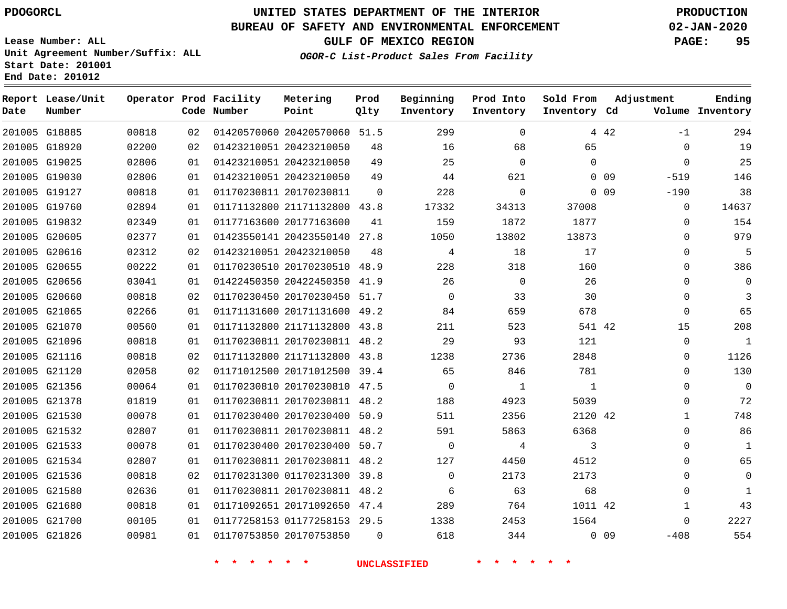## **UNITED STATES DEPARTMENT OF THE INTERIOR PDOGORCL PRODUCTION**

### **BUREAU OF SAFETY AND ENVIRONMENTAL ENFORCEMENT 02-JAN-2020**

**Lease Number: ALL Unit Agreement Number/Suffix: ALL Start Date: 201001**

**GULF OF MEXICO REGION PAGE: 95**

**OGOR-C List-Product Sales From Facility**

| Date | Report Lease/Unit<br>Number |       |    | Operator Prod Facility<br>Code Number | Metering<br>Point            | Prod<br>Qlty | Beginning<br>Inventory | Prod Into<br>Inventory | Sold From<br>Inventory Cd |        | Adjustment   | Ending<br>Volume Inventory |
|------|-----------------------------|-------|----|---------------------------------------|------------------------------|--------------|------------------------|------------------------|---------------------------|--------|--------------|----------------------------|
|      | 201005 G18885               | 00818 | 02 |                                       | 01420570060 20420570060 51.5 |              | 299                    | $\mathbf 0$            |                           | 4 4 2  | $-1$         | 294                        |
|      | 201005 G18920               | 02200 | 02 |                                       | 01423210051 20423210050      | 48           | 16                     | 68                     | 65                        |        | 0            | 19                         |
|      | 201005 G19025               | 02806 | 01 |                                       | 01423210051 20423210050      | 49           | 25                     | $\mathbf 0$            | $\Omega$                  |        | $\mathbf 0$  | 25                         |
|      | 201005 G19030               | 02806 | 01 |                                       | 01423210051 20423210050      | 49           | 44                     | 621                    |                           | $0$ 09 | $-519$       | 146                        |
|      | 201005 G19127               | 00818 | 01 |                                       | 01170230811 20170230811      | -0           | 228                    | $\mathbf 0$            |                           | $0$ 09 | $-190$       | 38                         |
|      | 201005 G19760               | 02894 | 01 |                                       | 01171132800 21171132800 43.8 |              | 17332                  | 34313                  | 37008                     |        | 0            | 14637                      |
|      | 201005 G19832               | 02349 | 01 |                                       | 01177163600 20177163600      | 41           | 159                    | 1872                   | 1877                      |        | 0            | 154                        |
|      | 201005 G20605               | 02377 | 01 |                                       | 01423550141 20423550140 27.8 |              | 1050                   | 13802                  | 13873                     |        | 0            | 979                        |
|      | 201005 G20616               | 02312 | 02 |                                       | 01423210051 20423210050      | 48           | 4                      | 18                     | 17                        |        | 0            | 5                          |
|      | 201005 G20655               | 00222 | 01 |                                       | 01170230510 20170230510 48.9 |              | 228                    | 318                    | 160                       |        | 0            | 386                        |
|      | 201005 G20656               | 03041 | 01 |                                       | 01422450350 20422450350 41.9 |              | 26                     | $\mathbf 0$            | 26                        |        | 0            | 0                          |
|      | 201005 G20660               | 00818 | 02 |                                       | 01170230450 20170230450 51.7 |              | $\mathbf 0$            | 33                     | 30                        |        | 0            | 3                          |
|      | 201005 G21065               | 02266 | 01 |                                       | 01171131600 20171131600 49.2 |              | 84                     | 659                    | 678                       |        | $\mathbf 0$  | 65                         |
|      | 201005 G21070               | 00560 | 01 |                                       | 01171132800 21171132800 43.8 |              | 211                    | 523                    | 541 42                    |        | 15           | 208                        |
|      | 201005 G21096               | 00818 | 01 |                                       | 01170230811 20170230811 48.2 |              | 29                     | 93                     | 121                       |        | $\mathbf 0$  | 1                          |
|      | 201005 G21116               | 00818 | 02 |                                       | 01171132800 21171132800 43.8 |              | 1238                   | 2736                   | 2848                      |        | $\mathbf 0$  | 1126                       |
|      | 201005 G21120               | 02058 | 02 |                                       | 01171012500 20171012500 39.4 |              | 65                     | 846                    | 781                       |        | $\Omega$     | 130                        |
|      | 201005 G21356               | 00064 | 01 |                                       | 01170230810 20170230810 47.5 |              | $\mathbf 0$            | 1                      | $\mathbf{1}$              |        | $\mathbf 0$  | $\mathbf 0$                |
|      | 201005 G21378               | 01819 | 01 |                                       | 01170230811 20170230811 48.2 |              | 188                    | 4923                   | 5039                      |        | $\Omega$     | 72                         |
|      | 201005 G21530               | 00078 | 01 |                                       | 01170230400 20170230400 50.9 |              | 511                    | 2356                   | 2120 42                   |        | $\mathbf{1}$ | 748                        |
|      | 201005 G21532               | 02807 | 01 |                                       | 01170230811 20170230811 48.2 |              | 591                    | 5863                   | 6368                      |        | 0            | 86                         |
|      | 201005 G21533               | 00078 | 01 |                                       | 01170230400 20170230400 50.7 |              | $\mathbf 0$            | 4                      | 3                         |        | 0            | $\mathbf{1}$               |
|      | 201005 G21534               | 02807 | 01 |                                       | 01170230811 20170230811 48.2 |              | 127                    | 4450                   | 4512                      |        | $\Omega$     | 65                         |
|      | 201005 G21536               | 00818 | 02 |                                       | 01170231300 01170231300 39.8 |              | $\mathbf 0$            | 2173                   | 2173                      |        | 0            | 0                          |
|      | 201005 G21580               | 02636 | 01 |                                       | 01170230811 20170230811 48.2 |              | 6                      | 63                     | 68                        |        | $\Omega$     | $\mathbf{1}$               |
|      | 201005 G21680               | 00818 | 01 |                                       | 01171092651 20171092650 47.4 |              | 289                    | 764                    | 1011 42                   |        | $\mathbf{1}$ | 43                         |
|      | 201005 G21700               | 00105 | 01 |                                       | 01177258153 01177258153 29.5 |              | 1338                   | 2453                   | 1564                      |        | $\Omega$     | 2227                       |
|      | 201005 G21826               | 00981 | 01 |                                       | 01170753850 20170753850      | $\Omega$     | 618                    | 344                    |                           | 0.09   | $-408$       | 554                        |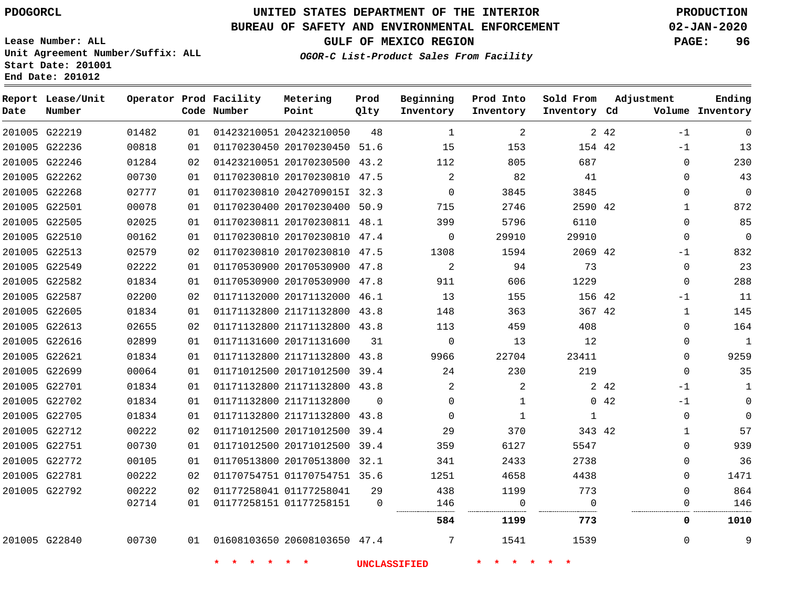### **BUREAU OF SAFETY AND ENVIRONMENTAL ENFORCEMENT 02-JAN-2020**

**Lease Number: ALL Unit Agreement Number/Suffix: ALL Start Date: 201001 End Date: 201012**

**OGOR-C List-Product Sales From Facility**

**GULF OF MEXICO REGION PAGE: 96**

|  |  | __ |  |
|--|--|----|--|
|  |  |    |  |
|  |  |    |  |

| Date          | Report Lease/Unit<br>Number |       |    | Operator Prod Facility<br>Code Number | Metering<br>Point            | Prod<br>Qlty | Beginning<br>Inventory | Prod Into<br>Inventory | Sold From<br>Inventory Cd | Adjustment |              | Ending<br>Volume Inventory |
|---------------|-----------------------------|-------|----|---------------------------------------|------------------------------|--------------|------------------------|------------------------|---------------------------|------------|--------------|----------------------------|
|               | 201005 G22219               | 01482 | 01 |                                       | 01423210051 20423210050      | 48           | 1                      | 2                      |                           | 2 4 2      | $-1$         | $\mathbf 0$                |
|               | 201005 G22236               | 00818 | 01 |                                       | 01170230450 20170230450 51.6 |              | 15                     | 153                    | 154 42                    |            | $-1$         | 13                         |
|               | 201005 G22246               | 01284 | 02 |                                       | 01423210051 20170230500 43.2 |              | 112                    | 805                    | 687                       |            | $\mathbf 0$  | 230                        |
|               | 201005 G22262               | 00730 | 01 |                                       | 01170230810 20170230810 47.5 |              | 2                      | 82                     | 41                        |            | $\Omega$     | 43                         |
|               | 201005 G22268               | 02777 | 01 |                                       | 01170230810 2042709015I 32.3 |              | $\Omega$               | 3845                   | 3845                      |            | $\mathbf 0$  | $\mathbf 0$                |
|               | 201005 G22501               | 00078 | 01 |                                       | 01170230400 20170230400 50.9 |              | 715                    | 2746                   | 2590 42                   |            | $\mathbf{1}$ | 872                        |
|               | 201005 G22505               | 02025 | 01 |                                       | 01170230811 20170230811 48.1 |              | 399                    | 5796                   | 6110                      |            | $\mathbf 0$  | 85                         |
|               | 201005 G22510               | 00162 | 01 |                                       | 01170230810 20170230810 47.4 |              | $\Omega$               | 29910                  | 29910                     |            | $\Omega$     | $\mathbf 0$                |
|               | 201005 G22513               | 02579 | 02 |                                       | 01170230810 20170230810 47.5 |              | 1308                   | 1594                   | 2069 42                   |            | $-1$         | 832                        |
|               | 201005 G22549               | 02222 | 01 |                                       | 01170530900 20170530900 47.8 |              | 2                      | 94                     | 73                        |            | $\Omega$     | 23                         |
|               | 201005 G22582               | 01834 | 01 |                                       | 01170530900 20170530900 47.8 |              | 911                    | 606                    | 1229                      |            | $\Omega$     | 288                        |
|               | 201005 G22587               | 02200 | 02 |                                       | 01171132000 20171132000 46.1 |              | 13                     | 155                    | 156 42                    |            | $-1$         | 11                         |
|               | 201005 G22605               | 01834 | 01 |                                       | 01171132800 21171132800 43.8 |              | 148                    | 363                    | 367 42                    |            | $\mathbf{1}$ | 145                        |
| 201005 G22613 |                             | 02655 | 02 |                                       | 01171132800 21171132800 43.8 |              | 113                    | 459                    | 408                       |            | $\mathbf 0$  | 164                        |
|               | 201005 G22616               | 02899 | 01 |                                       | 01171131600 20171131600      | 31           | $\Omega$               | 13                     | 12                        |            | $\Omega$     | 1                          |
|               | 201005 G22621               | 01834 | 01 |                                       | 01171132800 21171132800 43.8 |              | 9966                   | 22704                  | 23411                     |            | $\mathbf 0$  | 9259                       |
|               | 201005 G22699               | 00064 | 01 |                                       | 01171012500 20171012500 39.4 |              | 24                     | 230                    | 219                       |            | $\mathbf 0$  | 35                         |
|               | 201005 G22701               | 01834 | 01 |                                       | 01171132800 21171132800 43.8 |              | 2                      | 2                      |                           | 2 4 2      | $-1$         | $\mathbf{1}$               |
|               | 201005 G22702               | 01834 | 01 |                                       | 01171132800 21171132800      | $\Omega$     | $\mathbf 0$            | 1                      |                           | 042        | $-1$         | $\mathbf 0$                |
|               | 201005 G22705               | 01834 | 01 |                                       | 01171132800 21171132800 43.8 |              | $\Omega$               | 1                      | 1                         |            | $\Omega$     | $\mathbf 0$                |
|               | 201005 G22712               | 00222 | 02 |                                       | 01171012500 20171012500 39.4 |              | 29                     | 370                    | 343 42                    |            | $\mathbf{1}$ | 57                         |
|               | 201005 G22751               | 00730 | 01 |                                       | 01171012500 20171012500 39.4 |              | 359                    | 6127                   | 5547                      |            | $\Omega$     | 939                        |
|               | 201005 G22772               | 00105 | 01 |                                       | 01170513800 20170513800 32.1 |              | 341                    | 2433                   | 2738                      |            | $\mathbf 0$  | 36                         |
| 201005 G22781 |                             | 00222 | 02 |                                       | 01170754751 01170754751 35.6 |              | 1251                   | 4658                   | 4438                      |            | $\Omega$     | 1471                       |
|               | 201005 G22792               | 00222 | 02 |                                       | 01177258041 01177258041      | 29           | 438                    | 1199                   | 773                       |            | $\Omega$     | 864                        |
|               |                             | 02714 | 01 |                                       | 01177258151 01177258151      | $\mathbf 0$  | 146                    | 0                      | $\Omega$                  |            | 0            | 146                        |
|               |                             |       |    |                                       |                              |              | 584                    | 1199                   | 773                       |            | 0            | 1010                       |
|               | 201005 G22840               | 00730 | 01 |                                       | 01608103650 20608103650 47.4 |              | 7                      | 1541                   | 1539                      |            | $\Omega$     | 9                          |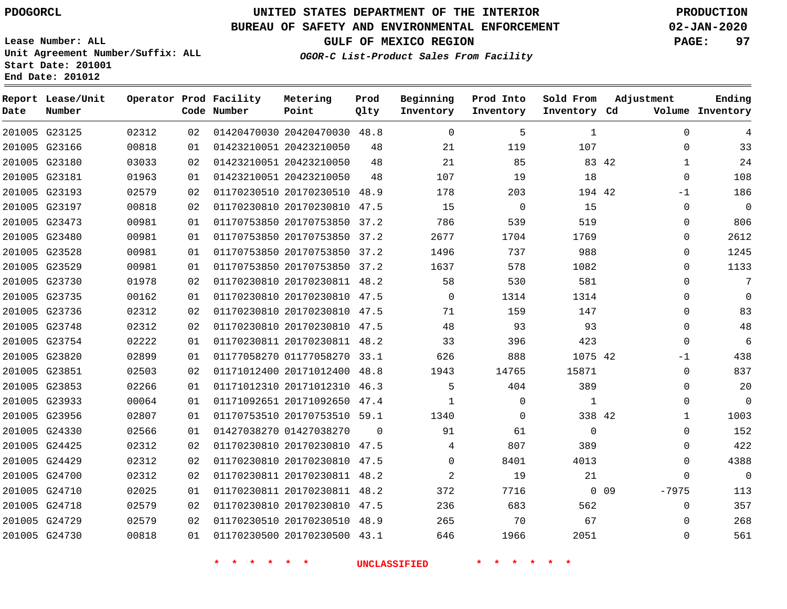**End Date: 201012**

**Report Lease/Unit**

**Number**

## **UNITED STATES DEPARTMENT OF THE INTERIOR PDOGORCL PRODUCTION**

**Prod Qlty**

#### **BUREAU OF SAFETY AND ENVIRONMENTAL ENFORCEMENT 02-JAN-2020**

**Lease Number: ALL Unit Agreement Number/Suffix: ALL Start Date: 201001**

**Operator Prod Facility**

**Code Number**

**OGOR-C List-Product Sales From Facility**

**Beginning Inventory** **Prod Into Inventory** **Sold From Inventory**

**GULF OF MEXICO REGION PAGE: 97**

**Inventory Cd Volume**

**Adjustment**

  $\Omega$  -1  $\Omega$  $\Omega$   $\Omega$  $\Omega$  $\Omega$  $\Omega$  $\overline{0}$   $\overline{0}$ -1  $\Omega$  $\Omega$  $\Omega$   $\Omega$  $\Omega$  -7975  $\Omega$ 

**Ending**

| 201005 G23125 | 02312 | 02 | 01420470030 20420470030 48.8 |             | $\mathbf 0$    | 5              | $\mathbf{1}$ |            |
|---------------|-------|----|------------------------------|-------------|----------------|----------------|--------------|------------|
| 201005 G23166 | 00818 | 01 | 01423210051 20423210050      | 48          | 21             | 119            | 107          |            |
| 201005 G23180 | 03033 | 02 | 01423210051 20423210050      | 48          | 21             | 85             | 83 42        |            |
| 201005 G23181 | 01963 | 01 | 01423210051 20423210050      | 48          | 107            | 19             | 18           |            |
| 201005 G23193 | 02579 | 02 | 01170230510 20170230510 48.9 |             | 178            | 203            | 194 42       |            |
| 201005 G23197 | 00818 | 02 | 01170230810 20170230810 47.5 |             | 15             | $\overline{0}$ | 15           |            |
| 201005 G23473 | 00981 | 01 | 01170753850 20170753850 37.2 |             | 786            | 539            | 519          |            |
| 201005 G23480 | 00981 | 01 | 01170753850 20170753850 37.2 |             | 2677           | 1704           | 1769         |            |
| 201005 G23528 | 00981 | 01 | 01170753850 20170753850 37.2 |             | 1496           | 737            | 988          |            |
| 201005 G23529 | 00981 | 01 | 01170753850 20170753850 37.2 |             | 1637           | 578            | 1082         |            |
| 201005 G23730 | 01978 | 02 | 01170230810 20170230811 48.2 |             | 58             | 530            | 581          |            |
| 201005 G23735 | 00162 | 01 | 01170230810 20170230810 47.5 |             | $\overline{0}$ | 1314           | 1314         |            |
| 201005 G23736 | 02312 | 02 | 01170230810 20170230810 47.5 |             | 71             | 159            | 147          |            |
| 201005 G23748 | 02312 | 02 | 01170230810 20170230810 47.5 |             | 48             | 93             | 93           |            |
| 201005 G23754 | 02222 | 01 | 01170230811 20170230811 48.2 |             | 33             | 396            | 423          |            |
| 201005 G23820 | 02899 | 01 | 01177058270 01177058270 33.1 |             | 626            | 888            | 1075 42      |            |
| 201005 G23851 | 02503 | 02 | 01171012400 20171012400 48.8 |             | 1943           | 14765          | 15871        |            |
| 201005 G23853 | 02266 | 01 | 01171012310 20171012310 46.3 |             | 5              | 404            | 389          |            |
| 201005 G23933 | 00064 | 01 | 01171092651 20171092650 47.4 |             | $\mathbf{1}$   | $\Omega$       | $\mathbf{1}$ |            |
| 201005 G23956 | 02807 | 01 | 01170753510 20170753510 59.1 |             | 1340           | $\mathbf{0}$   | 338 42       |            |
| 201005 G24330 | 02566 | 01 | 01427038270 01427038270      | $\mathbf 0$ | 91             | 61             | $\mathbf 0$  |            |
| 201005 G24425 | 02312 | 02 | 01170230810 20170230810 47.5 |             | 4              | 807            | 389          |            |
| 201005 G24429 | 02312 | 02 | 01170230810 20170230810 47.5 |             | $\mathbf 0$    | 8401           | 4013         |            |
| 201005 G24700 | 02312 | 02 | 01170230811 20170230811 48.2 |             | $\overline{2}$ | 19             | 21           |            |
| 201005 G24710 | 02025 | 01 | 01170230811 20170230811 48.2 |             | 372            | 7716           |              | $0\quad09$ |
| 201005 G24718 | 02579 | 02 | 01170230810 20170230810 47.5 |             | 236            | 683            | 562          |            |
| 201005 G24729 | 02579 | 02 | 01170230510 20170230510 48.9 |             | 265            | 70             | 67           |            |
| 201005 G24730 | 00818 | 01 | 01170230500 20170230500 43.1 |             | 646            | 1966           | 2051         |            |
|               |       |    |                              |             |                |                |              |            |
|               |       |    |                              |             |                |                |              |            |

**Metering Point**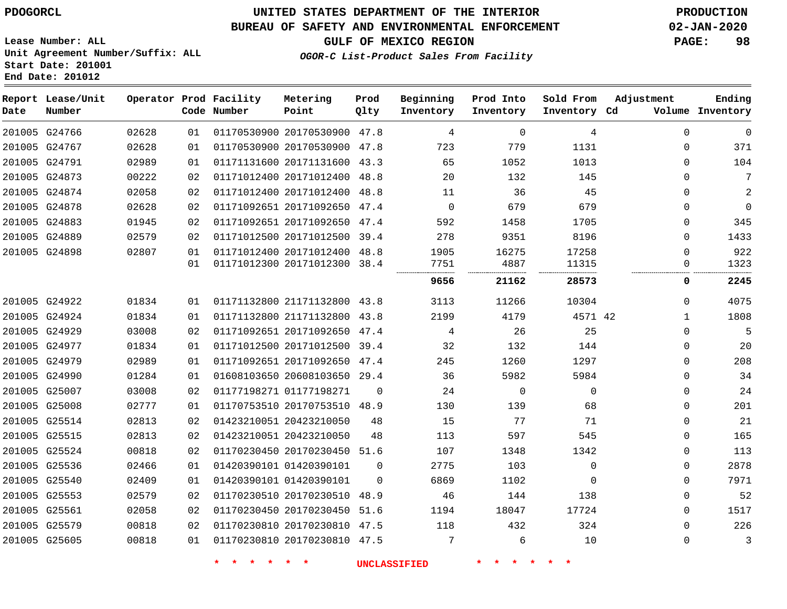G24766 G24767 G24791 G24873 G24874 G24878 G24883 G24889 G24898

**Date**

**Report Lease/Unit**

**Number**

G24922

## **UNITED STATES DEPARTMENT OF THE INTERIOR PDOGORCL PRODUCTION**

**Prod**

**Metering**

#### **BUREAU OF SAFETY AND ENVIRONMENTAL ENFORCEMENT 02-JAN-2020**

**Lease Number: ALL Unit Agreement Number/Suffix: ALL Start Date: 201001 End Date: 201012**

**Operator Prod Facility**

## **OGOR-C List-Product Sales From Facility**

**Beginning**

**GULF OF MEXICO REGION PAGE: 98**

**Ending**

**Prod Into**

**Sold From**

**Adjustment**

|               | Code Number | Point                   | Qlty | Inventory | Inventory | Inventory  | Cd | Volume   | Inventory |
|---------------|-------------|-------------------------|------|-----------|-----------|------------|----|----------|-----------|
| 01            |             | 01170530900 20170530900 | 47.8 | 4         | $\Omega$  | 4          |    | $\Omega$ | $\Omega$  |
| 01            |             | 01170530900 20170530900 | 47.8 | 723       | 779       | 1131       |    | $\Omega$ | 371       |
| 01            |             | 01171131600 20171131600 | 43.3 | 65        | 1052      | 1013       |    | $\Omega$ | 104       |
| 02            |             | 01171012400 20171012400 | 48.8 | 20        | 132       | 145        |    | $\Omega$ | 7         |
| 02            |             | 01171012400 20171012400 | 48.8 | 11        | 36        | 45         |    | $\Omega$ | 2         |
| 02            |             | 01171092651 20171092650 | 47.4 | 0         | 679       | 679        |    | $\Omega$ | $\Omega$  |
| 02            |             | 01171092651 20171092650 | 47.4 | 592       | 1458      | 1705       |    | $\Omega$ | 345       |
| 02            |             | 01171012500 20171012500 | 39.4 | 278       | 9351      | 8196       |    | $\Omega$ | 1433      |
| 01            |             | 01171012400 20171012400 | 48.8 | 1905      | 16275     | 17258      |    | $\Omega$ | 922       |
| 01            |             | 01171012300 20171012300 | 38.4 | 7751      | 4887      | 11315      |    | O        | 1323      |
|               |             |                         |      | 9656      | 21162     | 28573      |    | 0        | 2245      |
| 01            |             | 01171132800 21171132800 | 43.8 | 3113      | 11266     | 10304      |    | $\Omega$ | 4075      |
| 01            |             | 01171132800 21171132800 | 43.8 | 2199      | 4179      | 4571 42    |    |          | 1808      |
| $\sim$ $\sim$ |             |                         |      |           | $\sim$    | $\sim$ $-$ |    |          |           |

|               | 201005 G24924 | 01834 | 01 | 01171132800 21171132800 43.8 |          | 2199 | 4179     | 4571 42     |          | 1808 |
|---------------|---------------|-------|----|------------------------------|----------|------|----------|-------------|----------|------|
|               | 201005 G24929 | 03008 | 02 | 01171092651 20171092650 47.4 |          | 4    | 26       | 25          | $\Omega$ | 5    |
|               | 201005 G24977 | 01834 | 01 | 01171012500 20171012500      | 39.4     | 32   | 132      | 144         | $\Omega$ | 20   |
|               | 201005 G24979 | 02989 | 01 | 01171092651 20171092650      | 47.4     | 245  | 1260     | 1297        | $\Omega$ | 208  |
|               | 201005 G24990 | 01284 | 01 | 01608103650 20608103650 29.4 |          | 36   | 5982     | 5984        | 0        | 34   |
| 201005 G25007 |               | 03008 | 02 | 01177198271 01177198271      | $\Omega$ | 24   | $\Omega$ | $\mathbf 0$ | $\Omega$ | 24   |
|               | 201005 G25008 | 02777 | 01 | 01170753510 20170753510      | 48.9     | 130  | 139      | 68          | $\Omega$ | 201  |
| 201005 G25514 |               | 02813 | 02 | 01423210051 20423210050      | 48       | 15   | 77       | 71          | 0        | 21   |
| 201005 G25515 |               | 02813 | 02 | 01423210051 20423210050      | 48       | 113  | 597      | 545         | $\Omega$ | 165  |
|               | 201005 G25524 | 00818 | 02 | 01170230450 20170230450      | 51.6     | 107  | 1348     | 1342        | $\Omega$ | 113  |
| 201005 G25536 |               | 02466 | 01 | 01420390101 01420390101      | $\Omega$ | 2775 | 103      | $\mathbf 0$ | $\Omega$ | 2878 |
| 201005 G25540 |               | 02409 | 01 | 01420390101 01420390101      | $\Omega$ | 6869 | 1102     | $\Omega$    | $\Omega$ | 7971 |
|               | 201005 G25553 | 02579 | 02 | 01170230510 20170230510      | 48.9     | 46   | 144      | 138         | $\Omega$ | 52   |
| 201005 G25561 |               | 02058 | 02 | 01170230450 20170230450 51.6 |          | 1194 | 18047    | 17724       | $\Omega$ | 1517 |
| 201005 G25579 |               | 00818 | 02 | 01170230810 20170230810      | 47.5     | 118  | 432      | 324         | $\Omega$ | 226  |
|               | 201005 G25605 | 00818 | 01 | 01170230810 20170230810      | 47.5     | 7    | 6        | 10          | $\Omega$ |      |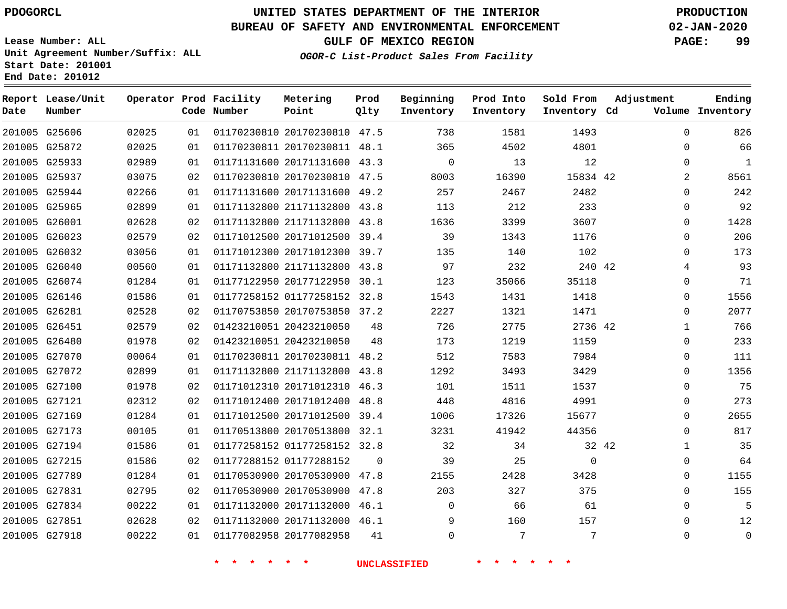#### **BUREAU OF SAFETY AND ENVIRONMENTAL ENFORCEMENT 02-JAN-2020**

**Lease Number: ALL Unit Agreement Number/Suffix: ALL Start Date: 201001**

**End Date: 201012**

**GULF OF MEXICO REGION PAGE: 99**

| OGOR-C List-Product Sales From Facility |  |  |
|-----------------------------------------|--|--|
|                                         |  |  |

| Date | Report Lease/Unit<br>Number |       |    | Operator Prod Facility<br>Code Number | Metering<br>Point            | Prod<br>Qlty | Beginning<br>Inventory | Prod Into<br>Inventory | Sold From<br>Inventory Cd | Adjustment   | Ending<br>Volume Inventory |
|------|-----------------------------|-------|----|---------------------------------------|------------------------------|--------------|------------------------|------------------------|---------------------------|--------------|----------------------------|
|      | 201005 G25606               | 02025 | 01 |                                       | 01170230810 20170230810 47.5 |              | 738                    | 1581                   | 1493                      | $\Omega$     | 826                        |
|      | 201005 G25872               | 02025 | 01 |                                       | 01170230811 20170230811 48.1 |              | 365                    | 4502                   | 4801                      | 0            | 66                         |
|      | 201005 G25933               | 02989 | 01 |                                       | 01171131600 20171131600 43.3 |              | $\mathbf 0$            | 13                     | 12                        | $\mathbf 0$  | 1                          |
|      | 201005 G25937               | 03075 | 02 |                                       | 01170230810 20170230810 47.5 |              | 8003                   | 16390                  | 15834 42                  | 2            | 8561                       |
|      | 201005 G25944               | 02266 | 01 |                                       | 01171131600 20171131600 49.2 |              | 257                    | 2467                   | 2482                      | 0            | 242                        |
|      | 201005 G25965               | 02899 | 01 |                                       | 01171132800 21171132800 43.8 |              | 113                    | 212                    | 233                       | $\mathbf 0$  | 92                         |
|      | 201005 G26001               | 02628 | 02 |                                       | 01171132800 21171132800 43.8 |              | 1636                   | 3399                   | 3607                      | 0            | 1428                       |
|      | 201005 G26023               | 02579 | 02 |                                       | 01171012500 20171012500 39.4 |              | 39                     | 1343                   | 1176                      | $\mathbf 0$  | 206                        |
|      | 201005 G26032               | 03056 | 01 |                                       | 01171012300 20171012300 39.7 |              | 135                    | 140                    | 102                       | 0            | 173                        |
|      | 201005 G26040               | 00560 | 01 |                                       | 01171132800 21171132800 43.8 |              | 97                     | 232                    | 240 42                    | 4            | 93                         |
|      | 201005 G26074               | 01284 | 01 |                                       | 01177122950 20177122950 30.1 |              | 123                    | 35066                  | 35118                     | 0            | 71                         |
|      | 201005 G26146               | 01586 | 01 |                                       | 01177258152 01177258152 32.8 |              | 1543                   | 1431                   | 1418                      | 0            | 1556                       |
|      | 201005 G26281               | 02528 | 02 |                                       | 01170753850 20170753850 37.2 |              | 2227                   | 1321                   | 1471                      | 0            | 2077                       |
|      | 201005 G26451               | 02579 | 02 |                                       | 01423210051 20423210050      | 48           | 726                    | 2775                   | 2736 42                   | $\mathbf{1}$ | 766                        |
|      | 201005 G26480               | 01978 | 02 |                                       | 01423210051 20423210050      | 48           | 173                    | 1219                   | 1159                      | $\mathbf 0$  | 233                        |
|      | 201005 G27070               | 00064 | 01 |                                       | 01170230811 20170230811 48.2 |              | 512                    | 7583                   | 7984                      | 0            | 111                        |
|      | 201005 G27072               | 02899 | 01 |                                       | 01171132800 21171132800 43.8 |              | 1292                   | 3493                   | 3429                      | $\mathbf 0$  | 1356                       |
|      | 201005 G27100               | 01978 | 02 |                                       | 01171012310 20171012310 46.3 |              | 101                    | 1511                   | 1537                      | $\mathbf 0$  | 75                         |
|      | 201005 G27121               | 02312 | 02 |                                       | 01171012400 20171012400 48.8 |              | 448                    | 4816                   | 4991                      | 0            | 273                        |
|      | 201005 G27169               | 01284 | 01 |                                       | 01171012500 20171012500 39.4 |              | 1006                   | 17326                  | 15677                     | 0            | 2655                       |
|      | 201005 G27173               | 00105 | 01 |                                       | 01170513800 20170513800 32.1 |              | 3231                   | 41942                  | 44356                     | $\Omega$     | 817                        |
|      | 201005 G27194               | 01586 | 01 |                                       | 01177258152 01177258152 32.8 |              | 32                     | 34                     | 32 42                     | $\mathbf 1$  | 35                         |
|      | 201005 G27215               | 01586 | 02 |                                       | 01177288152 01177288152      | $\Omega$     | 39                     | 25                     | $\mathbf 0$               | 0            | 64                         |
|      | 201005 G27789               | 01284 | 01 |                                       | 01170530900 20170530900 47.8 |              | 2155                   | 2428                   | 3428                      | 0            | 1155                       |
|      | 201005 G27831               | 02795 | 02 |                                       | 01170530900 20170530900 47.8 |              | 203                    | 327                    | 375                       | $\mathbf 0$  | 155                        |
|      | 201005 G27834               | 00222 | 01 |                                       | 01171132000 20171132000 46.1 |              | $\mathbf 0$            | 66                     | 61                        | 0            | 5                          |
|      | 201005 G27851               | 02628 | 02 |                                       | 01171132000 20171132000 46.1 |              | 9                      | 160                    | 157                       | 0            | 12                         |
|      | 201005 G27918               | 00222 | 01 |                                       | 01177082958 20177082958      | 41           | $\mathbf 0$            | 7                      | 7                         | $\mathbf 0$  | $\mathsf{O}\xspace$        |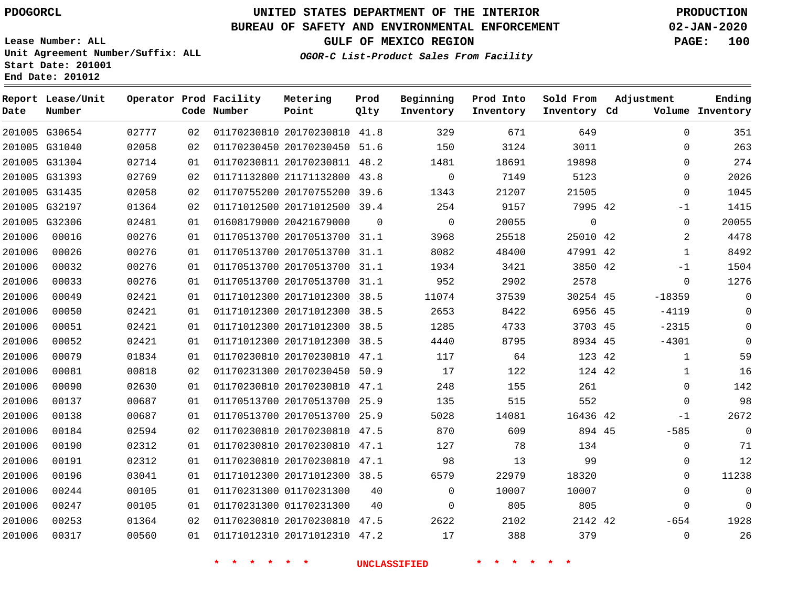#### **BUREAU OF SAFETY AND ENVIRONMENTAL ENFORCEMENT 02-JAN-2020**

**Lease Number: ALL Unit Agreement Number/Suffix: ALL Start Date: 201001 End Date: 201012**

**GULF OF MEXICO REGION PAGE: 100**

**OGOR-C List-Product Sales From Facility**

| Date   | Report Lease/Unit<br>Number |       |    | Operator Prod Facility<br>Code Number | Metering<br>Point            | Prod<br>Qlty | Beginning<br>Inventory | Prod Into<br>Inventory | Sold From<br>Inventory Cd | Adjustment | Ending<br>Volume Inventory |
|--------|-----------------------------|-------|----|---------------------------------------|------------------------------|--------------|------------------------|------------------------|---------------------------|------------|----------------------------|
|        | 201005 G30654               | 02777 | 02 |                                       | 01170230810 20170230810 41.8 |              | 329                    | 671                    | 649                       |            | $\Omega$<br>351            |
|        | 201005 G31040               | 02058 | 02 |                                       | 01170230450 20170230450 51.6 |              | 150                    | 3124                   | 3011                      |            | 263<br>$\mathbf 0$         |
|        | 201005 G31304               | 02714 | 01 |                                       | 01170230811 20170230811 48.2 |              | 1481                   | 18691                  | 19898                     |            | 274<br>$\Omega$            |
|        | 201005 G31393               | 02769 | 02 |                                       | 01171132800 21171132800      | 43.8         | $\mathbf 0$            | 7149                   | 5123                      |            | 2026<br>$\mathbf 0$        |
|        | 201005 G31435               | 02058 | 02 |                                       | 01170755200 20170755200      | 39.6         | 1343                   | 21207                  | 21505                     |            | 1045<br>$\Omega$           |
|        | 201005 G32197               | 01364 | 02 |                                       | 01171012500 20171012500 39.4 |              | 254                    | 9157                   | 7995 42                   |            | 1415<br>$-1$               |
|        | 201005 G32306               | 02481 | 01 |                                       | 01608179000 20421679000      | $\mathbf 0$  | $\overline{0}$         | 20055                  | $\mathbf{0}$              |            | 20055<br>$\mathbf 0$       |
| 201006 | 00016                       | 00276 | 01 |                                       | 01170513700 20170513700 31.1 |              | 3968                   | 25518                  | 25010 42                  |            | 4478<br>$\overline{2}$     |
| 201006 | 00026                       | 00276 | 01 |                                       | 01170513700 20170513700 31.1 |              | 8082                   | 48400                  | 47991 42                  |            | 8492<br>1                  |
| 201006 | 00032                       | 00276 | 01 |                                       | 01170513700 20170513700 31.1 |              | 1934                   | 3421                   | 3850 42                   |            | 1504<br>$-1$               |
| 201006 | 00033                       | 00276 | 01 |                                       | 01170513700 20170513700 31.1 |              | 952                    | 2902                   | 2578                      |            | 1276<br>0                  |
| 201006 | 00049                       | 02421 | 01 |                                       | 01171012300 20171012300 38.5 |              | 11074                  | 37539                  | 30254 45                  | $-18359$   | $\Omega$                   |
| 201006 | 00050                       | 02421 | 01 |                                       | 01171012300 20171012300 38.5 |              | 2653                   | 8422                   | 6956 45                   | $-4119$    | $\mathbf 0$                |
| 201006 | 00051                       | 02421 | 01 |                                       | 01171012300 20171012300 38.5 |              | 1285                   | 4733                   | 3703 45                   | $-2315$    | $\Omega$                   |
| 201006 | 00052                       | 02421 | 01 |                                       | 01171012300 20171012300 38.5 |              | 4440                   | 8795                   | 8934 45                   | $-4301$    | $\Omega$                   |
| 201006 | 00079                       | 01834 | 01 |                                       | 01170230810 20170230810 47.1 |              | 117                    | 64                     | 123 42                    |            | 59<br>$\mathbf{1}$         |
| 201006 | 00081                       | 00818 | 02 |                                       | 01170231300 20170230450 50.9 |              | 17                     | 122                    | 124 42                    |            | 16<br>1                    |
| 201006 | 00090                       | 02630 | 01 |                                       | 01170230810 20170230810 47.1 |              | 248                    | 155                    | 261                       |            | 142<br>$\mathbf 0$         |
| 201006 | 00137                       | 00687 | 01 |                                       | 01170513700 20170513700 25.9 |              | 135                    | 515                    | 552                       |            | 98<br>$\mathbf 0$          |
| 201006 | 00138                       | 00687 | 01 |                                       | 01170513700 20170513700      | 25.9         | 5028                   | 14081                  | 16436 42                  |            | 2672<br>$-1$               |
| 201006 | 00184                       | 02594 | 02 |                                       | 01170230810 20170230810 47.5 |              | 870                    | 609                    | 894 45                    | $-585$     | $\mathbf 0$                |
| 201006 | 00190                       | 02312 | 01 |                                       | 01170230810 20170230810 47.1 |              | 127                    | 78                     | 134                       |            | 71<br>$\mathbf 0$          |
| 201006 | 00191                       | 02312 | 01 |                                       | 01170230810 20170230810 47.1 |              | 98                     | 13                     | 99                        |            | 12<br>0                    |
| 201006 | 00196                       | 03041 | 01 |                                       | 01171012300 20171012300 38.5 |              | 6579                   | 22979                  | 18320                     |            | 11238<br>$\mathbf 0$       |
| 201006 | 00244                       | 00105 | 01 |                                       | 01170231300 01170231300      | 40           | $\mathbf{0}$           | 10007                  | 10007                     |            | $\mathbf 0$<br>$\mathbf 0$ |
| 201006 | 00247                       | 00105 | 01 |                                       | 01170231300 01170231300      | 40           | $\Omega$               | 805                    | 805                       |            | $\Omega$<br>$\Omega$       |
| 201006 | 00253                       | 01364 | 02 |                                       | 01170230810 20170230810 47.5 |              | 2622                   | 2102                   | 2142 42                   | $-654$     | 1928                       |
| 201006 | 00317                       | 00560 | 01 |                                       | 01171012310 20171012310 47.2 |              | 17                     | 388                    | 379                       |            | 26<br>$\mathbf 0$          |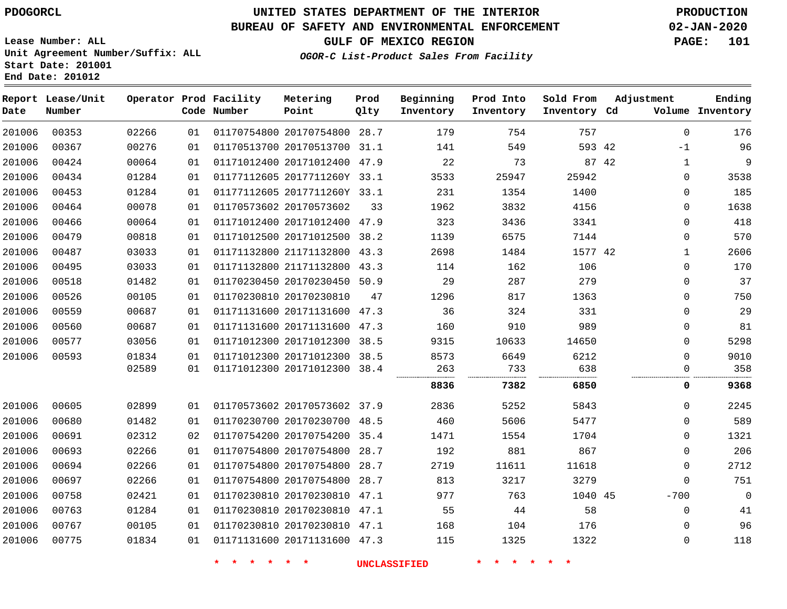## **UNITED STATES DEPARTMENT OF THE INTERIOR PDOGORCL PRODUCTION**

### **BUREAU OF SAFETY AND ENVIRONMENTAL ENFORCEMENT 02-JAN-2020**

**Lease Number: ALL Unit Agreement Number/Suffix: ALL Start Date: 201001**

**GULF OF MEXICO REGION PAGE: 101**

**OGOR-C List-Product Sales From Facility**

| Date   | Report Lease/Unit<br>Number |       |    | Operator Prod Facility<br>Code Number | Metering<br>Point            | Prod<br>Qlty | Beginning<br>Inventory | Prod Into<br>Inventory | Sold From<br>Inventory Cd | Adjustment  | Ending<br>Volume Inventory |
|--------|-----------------------------|-------|----|---------------------------------------|------------------------------|--------------|------------------------|------------------------|---------------------------|-------------|----------------------------|
| 201006 | 00353                       | 02266 | 01 |                                       | 01170754800 20170754800      | 28.7         | 179                    | 754                    | 757                       | $\mathbf 0$ | 176                        |
| 201006 | 00367                       | 00276 | 01 |                                       | 01170513700 20170513700 31.1 |              | 141                    | 549                    | 593 42                    | $-1$        | 96                         |
| 201006 | 00424                       | 00064 | 01 |                                       | 01171012400 20171012400      | 47.9         | 22                     | 73                     | 87 42                     | $\mathbf 1$ | 9                          |
| 201006 | 00434                       | 01284 | 01 |                                       | 01177112605 2017711260Y 33.1 |              | 3533                   | 25947                  | 25942                     | $\Omega$    | 3538                       |
| 201006 | 00453                       | 01284 | 01 |                                       | 01177112605 2017711260Y 33.1 |              | 231                    | 1354                   | 1400                      | 0           | 185                        |
| 201006 | 00464                       | 00078 | 01 |                                       | 01170573602 20170573602      | 33           | 1962                   | 3832                   | 4156                      | 0           | 1638                       |
| 201006 | 00466                       | 00064 | 01 |                                       | 01171012400 20171012400 47.9 |              | 323                    | 3436                   | 3341                      | 0           | 418                        |
| 201006 | 00479                       | 00818 | 01 |                                       | 01171012500 20171012500      | 38.2         | 1139                   | 6575                   | 7144                      | 0           | 570                        |
| 201006 | 00487                       | 03033 | 01 |                                       | 01171132800 21171132800      | 43.3         | 2698                   | 1484                   | 1577 42                   | 1           | 2606                       |
| 201006 | 00495                       | 03033 | 01 |                                       | 01171132800 21171132800      | 43.3         | 114                    | 162                    | 106                       | 0           | 170                        |
| 201006 | 00518                       | 01482 | 01 |                                       | 01170230450 20170230450 50.9 |              | 29                     | 287                    | 279                       | $\mathbf 0$ | 37                         |
| 201006 | 00526                       | 00105 | 01 |                                       | 01170230810 20170230810      | 47           | 1296                   | 817                    | 1363                      | $\mathbf 0$ | 750                        |
| 201006 | 00559                       | 00687 | 01 |                                       | 01171131600 20171131600 47.3 |              | 36                     | 324                    | 331                       | $\mathbf 0$ | 29                         |
| 201006 | 00560                       | 00687 | 01 |                                       | 01171131600 20171131600      | 47.3         | 160                    | 910                    | 989                       | 0           | 81                         |
| 201006 | 00577                       | 03056 | 01 |                                       | 01171012300 20171012300      | 38.5         | 9315                   | 10633                  | 14650                     | $\mathbf 0$ | 5298                       |
| 201006 | 00593                       | 01834 | 01 |                                       | 01171012300 20171012300      | 38.5         | 8573                   | 6649                   | 6212                      | $\Omega$    | 9010                       |
|        |                             | 02589 | 01 |                                       | 01171012300 20171012300 38.4 |              | 263                    | 733                    | 638                       | 0           | 358                        |
|        |                             |       |    |                                       |                              |              | 8836                   | 7382                   | 6850                      | 0           | 9368                       |
| 201006 | 00605                       | 02899 | 01 |                                       | 01170573602 20170573602 37.9 |              | 2836                   | 5252                   | 5843                      | 0           | 2245                       |
| 201006 | 00680                       | 01482 | 01 |                                       | 01170230700 20170230700      | 48.5         | 460                    | 5606                   | 5477                      | 0           | 589                        |
| 201006 | 00691                       | 02312 | 02 |                                       | 01170754200 20170754200 35.4 |              | 1471                   | 1554                   | 1704                      | 0           | 1321                       |
| 201006 | 00693                       | 02266 | 01 |                                       | 01170754800 20170754800      | 28.7         | 192                    | 881                    | 867                       | 0           | 206                        |
| 201006 | 00694                       | 02266 | 01 |                                       | 01170754800 20170754800      | 28.7         | 2719                   | 11611                  | 11618                     | $\mathbf 0$ | 2712                       |
| 201006 | 00697                       | 02266 | 01 |                                       | 01170754800 20170754800      | 28.7         | 813                    | 3217                   | 3279                      | $\mathbf 0$ | 751                        |
| 201006 | 00758                       | 02421 | 01 |                                       | 01170230810 20170230810      | 47.1         | 977                    | 763                    | 1040 45                   | $-700$      | $\overline{0}$             |
| 201006 | 00763                       | 01284 | 01 |                                       | 01170230810 20170230810      | 47.1         | 55                     | 44                     | 58                        | $\mathbf 0$ | 41                         |
| 201006 | 00767                       | 00105 | 01 |                                       | 01170230810 20170230810 47.1 |              | 168                    | 104                    | 176                       | $\mathbf 0$ | 96                         |
| 201006 | 00775                       | 01834 | 01 |                                       | 01171131600 20171131600 47.3 |              | 115                    | 1325                   | 1322                      | 0           | 118                        |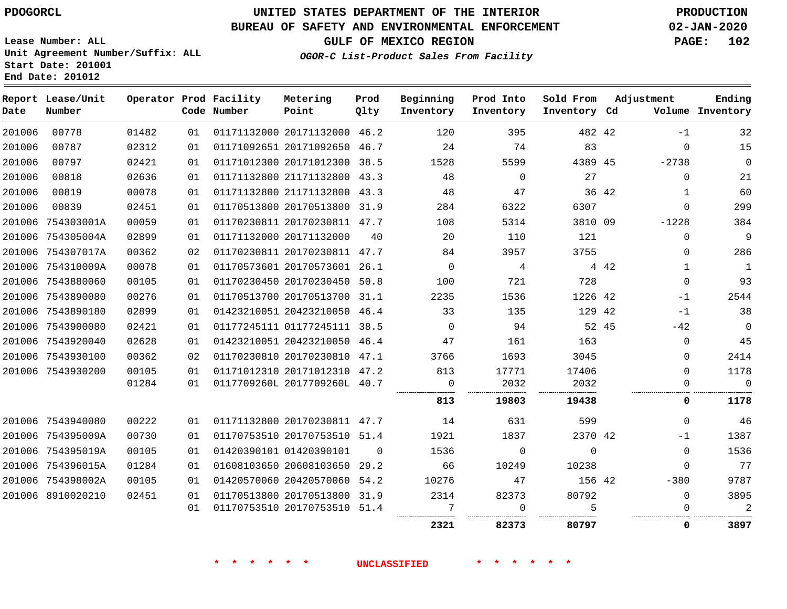**Prod**

#### **BUREAU OF SAFETY AND ENVIRONMENTAL ENFORCEMENT 02-JAN-2020**

**Lease Number: ALL Unit Agreement Number/Suffix: ALL Start Date: 201001**

**Operator Prod Facility Metering**

**End Date: 201012**

**Report Lease/Unit**

**GULF OF MEXICO REGION PAGE: 102**

**Ending**

**OGOR-C List-Product Sales From Facility**

| Date   | Number            |       |    | Code Number | Point                        | Qlty     | Inventory   | Inventory   | Inventory Cd |       |             | Volume Inventory |
|--------|-------------------|-------|----|-------------|------------------------------|----------|-------------|-------------|--------------|-------|-------------|------------------|
| 201006 | 00778             | 01482 | 01 |             | 01171132000 20171132000 46.2 |          | 120         | 395         | 482 42       |       | $-1$        | 32               |
| 201006 | 00787             | 02312 | 01 |             | 01171092651 20171092650 46.7 |          | 24          | 74          | 83           |       | $\Omega$    | 15               |
| 201006 | 00797             | 02421 | 01 |             | 01171012300 20171012300 38.5 |          | 1528        | 5599        | 4389 45      |       | $-2738$     | $\Omega$         |
| 201006 | 00818             | 02636 | 01 |             | 01171132800 21171132800 43.3 |          | 48          | $\mathbf 0$ | 27           |       | $\Omega$    | 21               |
| 201006 | 00819             | 00078 | 01 |             | 01171132800 21171132800 43.3 |          | 48          | 47          |              | 36 42 | 1           | 60               |
| 201006 | 00839             | 02451 | 01 |             | 01170513800 20170513800 31.9 |          | 284         | 6322        | 6307         |       | $\mathbf 0$ | 299              |
| 201006 | 754303001A        | 00059 | 01 |             | 01170230811 20170230811 47.7 |          | 108         | 5314        | 3810 09      |       | $-1228$     | 384              |
|        | 201006 754305004A | 02899 | 01 |             | 01171132000 20171132000      | 40       | 20          | 110         | 121          |       | $\Omega$    | 9                |
|        | 201006 754307017A | 00362 | 02 |             | 01170230811 20170230811 47.7 |          | 84          | 3957        | 3755         |       | $\Omega$    | 286              |
|        | 201006 754310009A | 00078 | 01 |             | 01170573601 20170573601 26.1 |          | 0           | 4           |              | 4 4 2 | 1           | $\mathbf{1}$     |
|        | 201006 7543880060 | 00105 | 01 |             | 01170230450 20170230450 50.8 |          | 100         | 721         | 728          |       | $\Omega$    | 93               |
|        | 201006 7543890080 | 00276 | 01 |             | 01170513700 20170513700      | 31.1     | 2235        | 1536        | 1226 42      |       | -1          | 2544             |
|        | 201006 7543890180 | 02899 | 01 |             | 01423210051 20423210050 46.4 |          | 33          | 135         | 129 42       |       | $-1$        | 38               |
|        | 201006 7543900080 | 02421 | 01 |             | 01177245111 01177245111 38.5 |          | $\mathbf 0$ | 94          |              | 52 45 | $-42$       | $\Omega$         |
|        | 201006 7543920040 | 02628 | 01 |             | 01423210051 20423210050 46.4 |          | 47          | 161         | 163          |       | $\Omega$    | 45               |
|        | 201006 7543930100 | 00362 | 02 |             | 01170230810 20170230810 47.1 |          | 3766        | 1693        | 3045         |       | $\Omega$    | 2414             |
|        | 201006 7543930200 | 00105 | 01 |             | 01171012310 20171012310 47.2 |          | 813         | 17771       | 17406        |       | 0           | 1178             |
|        |                   | 01284 | 01 |             | 0117709260L 2017709260L 40.7 |          | $\mathbf 0$ | 2032        | 2032         |       | 0           | $\Omega$         |
|        |                   |       |    |             |                              |          | 813         | 19803       | 19438        |       | 0           | 1178             |
|        | 201006 7543940080 | 00222 | 01 |             | 01171132800 20170230811 47.7 |          | 14          | 631         | 599          |       | $\Omega$    | 46               |
|        | 201006 754395009A | 00730 | 01 |             | 01170753510 20170753510 51.4 |          | 1921        | 1837        | 2370 42      |       | $-1$        | 1387             |
|        | 201006 754395019A | 00105 | 01 |             | 01420390101 01420390101      | $\Omega$ | 1536        | $\mathbf 0$ | $\mathbf 0$  |       | $\Omega$    | 1536             |
|        | 201006 754396015A | 01284 | 01 |             | 01608103650 20608103650 29.2 |          | 66          | 10249       | 10238        |       | $\Omega$    | 77               |
|        | 201006 754398002A | 00105 | 01 |             | 01420570060 20420570060      | 54.2     | 10276       | 47          | 156 42       |       | $-380$      | 9787             |
|        | 201006 8910020210 | 02451 | 01 |             | 01170513800 20170513800 31.9 |          | 2314        | 82373       | 80792        |       | $\Omega$    | 3895             |
|        |                   |       | 01 |             | 01170753510 20170753510 51.4 |          | 7           | $\mathbf 0$ | 5            |       | $\Omega$    | 2                |
|        |                   |       |    |             |                              |          | 2321        | 82373       | 80797        |       | 0           | 3897             |

**Beginning Prod Into Sold From Adjustment**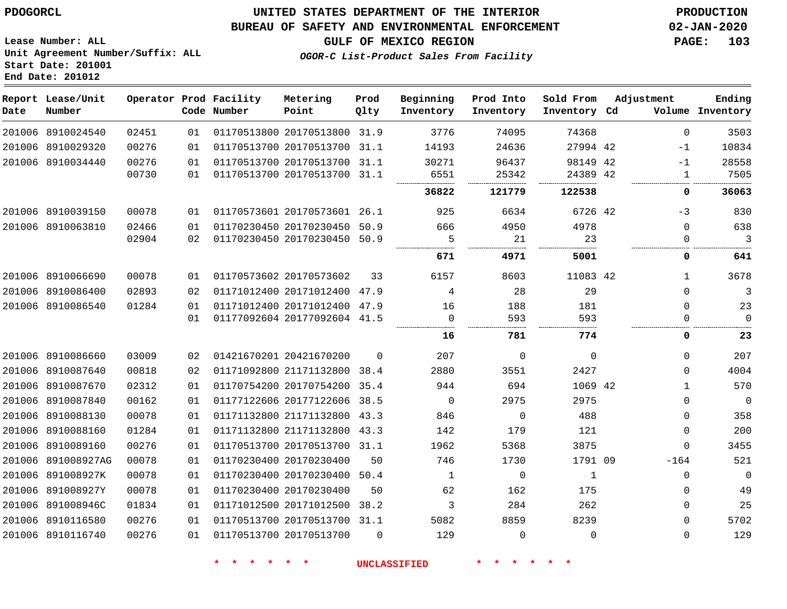#### **BUREAU OF SAFETY AND ENVIRONMENTAL ENFORCEMENT 02-JAN-2020**

**Lease Number: ALL Unit Agreement Number/Suffix: ALL Start Date: 201001 End Date: 201012**

**GULF OF MEXICO REGION PAGE: 103**

**OGOR-C List-Product Sales From Facility**

| Date | Report Lease/Unit<br>Number |       |    | Operator Prod Facility<br>Code Number | Metering<br>Point            | Prod<br>Qlty | Beginning<br>Inventory | Prod Into<br>Inventory | Sold From<br>Inventory Cd | Adjustment |              | Ending<br>Volume Inventory |
|------|-----------------------------|-------|----|---------------------------------------|------------------------------|--------------|------------------------|------------------------|---------------------------|------------|--------------|----------------------------|
|      | 201006 8910024540           | 02451 | 01 |                                       | 01170513800 20170513800 31.9 |              | 3776                   | 74095                  | 74368                     |            | $\Omega$     | 3503                       |
|      | 201006 8910029320           | 00276 | 01 |                                       | 01170513700 20170513700 31.1 |              | 14193                  | 24636                  | 27994 42                  |            | $-1$         | 10834                      |
|      | 201006 8910034440           | 00276 | 01 |                                       | 01170513700 20170513700 31.1 |              | 30271                  | 96437                  | 98149 42                  |            | $-1$         | 28558                      |
|      |                             | 00730 | 01 |                                       | 01170513700 20170513700 31.1 |              | 6551                   | 25342                  | 24389 42                  |            | $\mathbf{1}$ | 7505                       |
|      |                             |       |    |                                       |                              |              | 36822                  | 121779                 | 122538                    |            | 0            | 36063                      |
|      | 201006 8910039150           | 00078 | 01 |                                       | 01170573601 20170573601 26.1 |              | 925                    | 6634                   | 6726 42                   |            | $-3$         | 830                        |
|      | 201006 8910063810           | 02466 | 01 |                                       | 01170230450 20170230450      | 50.9         | 666                    | 4950                   | 4978                      |            | $\Omega$     | 638                        |
|      |                             | 02904 | 02 |                                       | 01170230450 20170230450 50.9 |              | 5                      | 21                     | 23                        |            | $\Omega$     | 3                          |
|      |                             |       |    |                                       |                              |              | 671                    | 4971                   | 5001                      |            | 0            | 641                        |
|      | 201006 8910066690           | 00078 | 01 |                                       | 01170573602 20170573602      | 33           | 6157                   | 8603                   | 11083 42                  |            | $\mathbf{1}$ | 3678                       |
|      | 201006 8910086400           | 02893 | 02 |                                       | 01171012400 20171012400 47.9 |              | 4                      | 28                     | 29                        |            | $\Omega$     | 3                          |
|      | 201006 8910086540           | 01284 | 01 |                                       | 01171012400 20171012400 47.9 |              | 16                     | 188                    | 181                       |            | 0            | 23                         |
|      |                             |       | 01 |                                       | 01177092604 20177092604 41.5 |              | $\Omega$               | 593                    | 593                       |            | 0            | $\Omega$                   |
|      |                             |       |    |                                       |                              |              | 16                     | 781                    | 774                       |            | 0            | 23                         |
|      | 201006 8910086660           | 03009 | 02 |                                       | 01421670201 20421670200      | $\Omega$     | 207                    | $\Omega$               | $\Omega$                  |            | $\Omega$     | 207                        |
|      | 201006 8910087640           | 00818 | 02 |                                       | 01171092800 21171132800      | 38.4         | 2880                   | 3551                   | 2427                      |            | $\Omega$     | 4004                       |
|      | 201006 8910087670           | 02312 | 01 |                                       | 01170754200 20170754200      | 35.4         | 944                    | 694                    | 1069 42                   |            | $\mathbf{1}$ | 570                        |
|      | 201006 8910087840           | 00162 | 01 |                                       | 01177122606 20177122606 38.5 |              | 0                      | 2975                   | 2975                      |            | 0            | $\overline{0}$             |
|      | 201006 8910088130           | 00078 | 01 |                                       | 01171132800 21171132800      | 43.3         | 846                    | $\mathbf 0$            | 488                       |            | 0            | 358                        |
|      | 201006 8910088160           | 01284 | 01 |                                       | 01171132800 21171132800      | 43.3         | 142                    | 179                    | 121                       |            | 0            | 200                        |
|      | 201006 8910089160           | 00276 | 01 |                                       | 01170513700 20170513700 31.1 |              | 1962                   | 5368                   | 3875                      |            | $\Omega$     | 3455                       |
|      | 201006 891008927AG          | 00078 | 01 |                                       | 01170230400 20170230400      | 50           | 746                    | 1730                   | 1791 09                   |            | $-164$       | 521                        |
|      | 201006 891008927K           | 00078 | 01 |                                       | 01170230400 20170230400      | 50.4         | 1                      | $\mathbf 0$            | $\mathbf{1}$              |            | $\mathbf 0$  | $\overline{0}$             |
|      | 201006 891008927Y           | 00078 | 01 |                                       | 01170230400 20170230400      | 50           | 62                     | 162                    | 175                       |            | 0            | 49                         |
|      | 201006 891008946C           | 01834 | 01 |                                       | 01171012500 20171012500      | 38.2         | 3                      | 284                    | 262                       |            | $\Omega$     | 25                         |
|      | 201006 8910116580           | 00276 | 01 |                                       | 01170513700 20170513700 31.1 |              | 5082                   | 8859                   | 8239                      |            | $\Omega$     | 5702                       |
|      | 201006 8910116740           | 00276 | 01 |                                       | 01170513700 20170513700      | $\Omega$     | 129                    | $\Omega$               | $\Omega$                  |            | $\Omega$     | 129                        |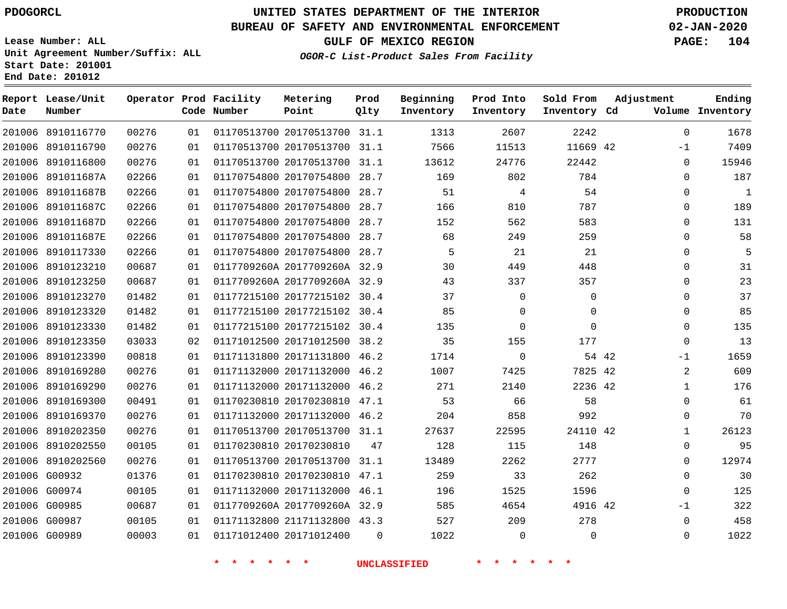**Report Lease/Unit**

**Number**

## **UNITED STATES DEPARTMENT OF THE INTERIOR PDOGORCL PRODUCTION**

**Prod Qlty**

**Metering Point**

#### **BUREAU OF SAFETY AND ENVIRONMENTAL ENFORCEMENT 02-JAN-2020**

**Lease Number: ALL Unit Agreement Number/Suffix: ALL Start Date: 201001 End Date: 201012**

**Operator Prod Facility**

**GULF OF MEXICO REGION PAGE: 104**

**Ending**

**OGOR-C List-Product Sales From Facility**

**Beginning Inventory**

**Prod Into Inventory**

**Sold From Inventory**

**Adjustment**

| Date   | Number            |       |    | Code Number | Point                        | Qlty     | Inventory | Inventory   | Inventory Cd |       |              | Volume Inventory |
|--------|-------------------|-------|----|-------------|------------------------------|----------|-----------|-------------|--------------|-------|--------------|------------------|
| 201006 | 8910116770        | 00276 | 01 |             | 01170513700 20170513700 31.1 |          | 1313      | 2607        | 2242         |       | $\Omega$     | 1678             |
|        | 201006 8910116790 | 00276 | 01 |             | 01170513700 20170513700 31.1 |          | 7566      | 11513       | 11669 42     |       | $-1$         | 7409             |
|        | 201006 8910116800 | 00276 | 01 |             | 01170513700 20170513700 31.1 |          | 13612     | 24776       | 22442        |       | $\Omega$     | 15946            |
| 201006 | 891011687A        | 02266 | 01 |             | 01170754800 20170754800      | 28.7     | 169       | 802         | 784          |       | $\Omega$     | 187              |
| 201006 | 891011687B        | 02266 | 01 |             | 01170754800 20170754800      | 28.7     | 51        | 4           | 54           |       | $\mathbf{0}$ | $\mathbf{1}$     |
|        | 201006 891011687C | 02266 | 01 |             | 01170754800 20170754800 28.7 |          | 166       | 810         | 787          |       | $\Omega$     | 189              |
| 201006 | 891011687D        | 02266 | 01 |             | 01170754800 20170754800      | 28.7     | 152       | 562         | 583          |       | $\Omega$     | 131              |
| 201006 | 891011687E        | 02266 | 01 |             | 01170754800 20170754800 28.7 |          | 68        | 249         | 259          |       | $\Omega$     | 58               |
| 201006 | 8910117330        | 02266 | 01 |             | 01170754800 20170754800 28.7 |          | 5         | 21          | 21           |       | $\Omega$     | 5                |
|        | 201006 8910123210 | 00687 | 01 |             | 0117709260A 2017709260A 32.9 |          | 30        | 449         | 448          |       | $\Omega$     | 31               |
| 201006 | 8910123250        | 00687 | 01 |             | 0117709260A 2017709260A 32.9 |          | 43        | 337         | 357          |       | $\mathbf{0}$ | 23               |
| 201006 | 8910123270        | 01482 | 01 |             | 01177215100 20177215102 30.4 |          | 37        | $\Omega$    | $\Omega$     |       | $\Omega$     | 37               |
|        | 201006 8910123320 | 01482 | 01 |             | 01177215100 20177215102 30.4 |          | 85        | $\Omega$    | $\Omega$     |       | $\Omega$     | 85               |
| 201006 | 8910123330        | 01482 | 01 |             | 01177215100 20177215102 30.4 |          | 135       | $\mathbf 0$ | $\Omega$     |       | $\mathbf 0$  | 135              |
| 201006 | 8910123350        | 03033 | 02 |             | 01171012500 20171012500 38.2 |          | 35        | 155         | 177          |       | $\mathbf 0$  | 13               |
|        | 201006 8910123390 | 00818 | 01 |             | 01171131800 20171131800 46.2 |          | 1714      | $\mathbf 0$ |              | 54 42 | $-1$         | 1659             |
| 201006 | 8910169280        | 00276 | 01 |             | 01171132000 20171132000 46.2 |          | 1007      | 7425        | 7825 42      |       | 2            | 609              |
| 201006 | 8910169290        | 00276 | 01 |             | 01171132000 20171132000 46.2 |          | 271       | 2140        | 2236 42      |       | $\mathbf{1}$ | 176              |
| 201006 | 8910169300        | 00491 | 01 |             | 01170230810 20170230810 47.1 |          | 53        | 66          | 58           |       | $\Omega$     | 61               |
|        | 201006 8910169370 | 00276 | 01 |             | 01171132000 20171132000 46.2 |          | 204       | 858         | 992          |       | $\Omega$     | 70               |
| 201006 | 8910202350        | 00276 | 01 |             | 01170513700 20170513700 31.1 |          | 27637     | 22595       | 24110 42     |       | $\mathbf{1}$ | 26123            |
| 201006 | 8910202550        | 00105 | 01 |             | 01170230810 20170230810      | 47       | 128       | 115         | 148          |       | $\mathbf 0$  | 95               |
|        | 201006 8910202560 | 00276 | 01 |             | 01170513700 20170513700 31.1 |          | 13489     | 2262        | 2777         |       | $\mathbf 0$  | 12974            |
|        | 201006 G00932     | 01376 | 01 |             | 01170230810 20170230810 47.1 |          | 259       | 33          | 262          |       | $\Omega$     | 30               |
|        | 201006 G00974     | 00105 | 01 |             | 01171132000 20171132000 46.1 |          | 196       | 1525        | 1596         |       | $\Omega$     | 125              |
|        | 201006 G00985     | 00687 | 01 |             | 0117709260A 2017709260A 32.9 |          | 585       | 4654        | 4916 42      |       | $-1$         | 322              |
|        | 201006 G00987     | 00105 | 01 |             | 01171132800 21171132800 43.3 |          | 527       | 209         | 278          |       | $\Omega$     | 458              |
|        | 201006 G00989     | 00003 | 01 |             | 01171012400 20171012400      | $\Omega$ | 1022      | $\mathbf 0$ | $\Omega$     |       | $\Omega$     | 1022             |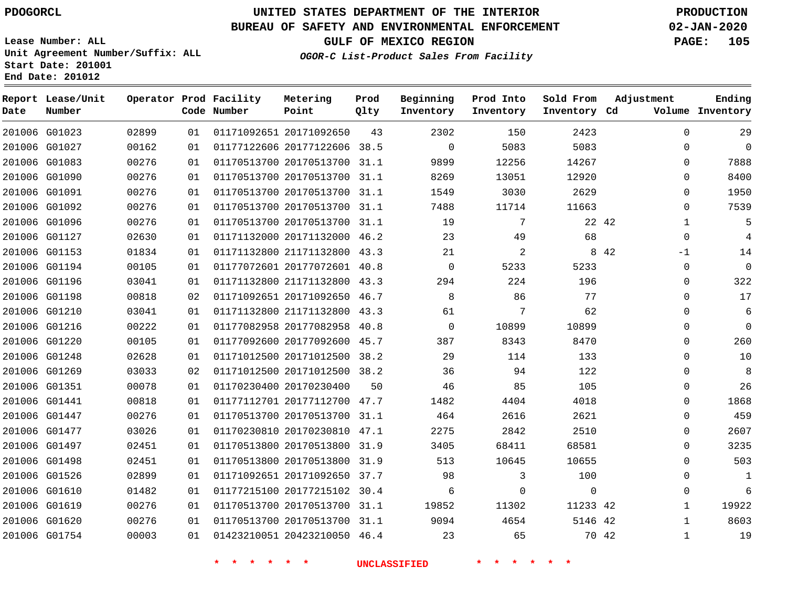G01023

**Date**

**Report Lease/Unit**

**Number**

## **UNITED STATES DEPARTMENT OF THE INTERIOR PDOGORCL PRODUCTION**

#### **BUREAU OF SAFETY AND ENVIRONMENTAL ENFORCEMENT 02-JAN-2020**

**Lease Number: ALL Unit Agreement Number/Suffix: ALL Start Date: 201001 End Date: 201012**

> 

**Operator Prod Facility**

**Code Number**

20171092650

**Metering Point**

 

**Prod Qlty**

**GULF OF MEXICO REGION PAGE: 105**

**Inventory Cd Volume**

**Adjustment**

 

**Ending**

| OGOR-C List-Product Sales From Facility |
|-----------------------------------------|
|                                         |

**Beginning Inventory**

> $\Omega$

   

**Sold From Inventory**

**Prod Into Inventory**

|               | 201006 G01027 | 00162 | 01 | 01177122606 20177122606      | 38.5 | $\Omega$ | 5083  | 5083  |       | $\Omega$ |
|---------------|---------------|-------|----|------------------------------|------|----------|-------|-------|-------|----------|
|               | 201006 G01083 | 00276 | 01 | 01170513700 20170513700      | 31.1 | 9899     | 12256 | 14267 |       | $\Omega$ |
|               | 201006 G01090 | 00276 | 01 | 01170513700 20170513700      | 31.1 | 8269     | 13051 | 12920 |       | $\Omega$ |
| 201006 G01091 |               | 00276 | 01 | 01170513700 20170513700      | 31.1 | 1549     | 3030  | 2629  |       | $\Omega$ |
|               | 201006 G01092 | 00276 | 01 | 01170513700 20170513700      | 31.1 | 7488     | 11714 | 11663 |       | $\Omega$ |
|               | 201006 G01096 | 00276 | 01 | 01170513700 20170513700      | 31.1 | 19       | 7     | 22 42 |       |          |
| 201006 G01127 |               | 02630 | 01 | 01171132000 20171132000      | 46.2 | 23       | 49    | 68    |       | $\Omega$ |
| 201006 G01153 |               | 01834 | 01 | 01171132800 21171132800      | 43.3 | 21       | 2     |       | 8 4 2 | $-1$     |
|               | 201006 G01194 | 00105 | 01 | 01177072601 20177072601 40.8 |      | $\Omega$ | 5233  | 5233  |       | $\Omega$ |
|               | 201006 G01196 | 03041 | 01 | 01171132800 21171132800      | 43.3 | 294      | 224   | 196   |       | $\Omega$ |
|               | 201006 G01198 | 00818 | 02 | 01171092651 20171092650      | 46.7 | 8        | 86    | 77    |       | $\Omega$ |
|               | 201006 G01210 | 03041 | 01 | 01171132800 21171132800      | 43.3 | 61       | 7     | 62    |       | $\Omega$ |
|               | 201006 G01216 | 00222 | 01 | 01177082958 20177082958      | 40.8 | $\Omega$ | 10899 | 10899 |       | $\Omega$ |
|               | 201006 G01220 | 00105 | 01 | 01177092600 20177092600      | 45.7 | 387      | 8343  | 8470  |       | $\Omega$ |
| 201006 G01248 |               | 02628 | 01 | 01171012500 20171012500      | 38.2 | 29       | 114   | 133   |       | $\Omega$ |
| 201006 G01269 |               | 03033 | 02 | 01171012500 20171012500      | 38.2 | 36       | 94    | 122   |       | $\Omega$ |
| 201006 G01351 |               | 00078 | 01 | 01170230400 20170230400      | 50   | 46       | 85    | 105   |       | $\Omega$ |
| 201006 G01441 |               | 00818 | 01 | 01177112701 20177112700      | 47.7 | 1482     | 4404  | 4018  |       | $\Omega$ |
| 201006 G01447 |               | 00276 | 01 | 01170513700 20170513700      | 31.1 | 464      | 2616  | 2621  |       | $\Omega$ |
| 201006 G01477 |               | 03026 | 01 | 01170230810 20170230810 47.1 |      | 2275     | 2842  | 2510  |       | $\Omega$ |

| 201006 G01477 | 03026 | 01 | 01170230810 20170230810      | 47.1 | 2275  | 2842     | 2510     |       |                | 2607  |
|---------------|-------|----|------------------------------|------|-------|----------|----------|-------|----------------|-------|
| 201006 G01497 | 02451 | 01 | 01170513800 20170513800      | 31.9 | 3405  | 68411    | 68581    |       | $\overline{0}$ | 3235  |
| 201006 G01498 | 02451 | 01 | 01170513800 20170513800      | 31.9 | 513   | 10645    | 10655    |       | 0              | 503   |
| 201006 G01526 | 02899 | 01 | 01171092651 20171092650      | 37.7 | 98    |          | 100      |       | 0              |       |
| 201006 G01610 | 01482 | 01 | 01177215100 20177215102 30.4 |      |       | $\Omega$ |          |       | $\Omega$       | 6     |
| 201006 G01619 | 00276 | 01 | 01170513700 20170513700      | 31.1 | 19852 | 11302    | 11233 42 |       |                | 19922 |
| 201006 G01620 | 00276 | 01 | 01170513700 20170513700      | 31.1 | 9094  | 4654     | 5146 42  |       |                | 8603  |
| 201006 G01754 | 00003 | 01 | 01423210051 20423210050 46.4 |      | 23    | 65       |          | 70 42 |                | 19    |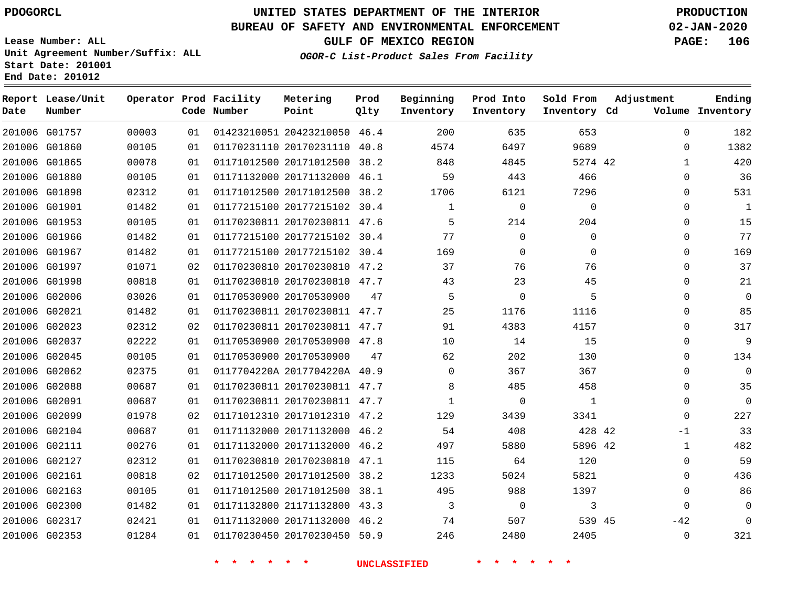**Report Lease/Unit**

**Number**

 G02317 G02353    

## **UNITED STATES DEPARTMENT OF THE INTERIOR PDOGORCL PRODUCTION**

**Prod Qlty**

#### **BUREAU OF SAFETY AND ENVIRONMENTAL ENFORCEMENT 02-JAN-2020**

**Lease Number: ALL Unit Agreement Number/Suffix: ALL Start Date: 201001 End Date: 201012**

**Operator Prod Facility**

**Code Number**

**GULF OF MEXICO REGION PAGE: 106**

**Inventory Cd Volume**

**Adjustment**

**Ending**

 

 $-42$ 

**OGOR-C List-Product Sales From Facility**

**Beginning Inventory** **Prod Into Inventory** **Sold From Inventory**

| 201006 G01757 | 00003 | 01  | 01423210051 20423210050      | 46.4 | 200      | 635         | 653      | 0        | 182      |
|---------------|-------|-----|------------------------------|------|----------|-------------|----------|----------|----------|
| 201006 G01860 | 00105 | 01  | 01170231110 20170231110      | 40.8 | 4574     | 6497        | 9689     | 0        | 1382     |
| 201006 G01865 | 00078 | 01  | 01171012500 20171012500 38.2 |      | 848      | 4845        | 5274 42  |          | 420      |
| 201006 G01880 | 00105 | 01  | 01171132000 20171132000 46.1 |      | 59       | 443         | 466      | $\Omega$ | 36       |
| 201006 G01898 | 02312 | 01  | 01171012500 20171012500 38.2 |      | 1706     | 6121        | 7296     | $\Omega$ | 531      |
| 201006 G01901 | 01482 | 01  | 01177215100 20177215102 30.4 |      |          | $\mathbf 0$ | 0        | $\Omega$ | 1        |
| 201006 G01953 | 00105 | 01  | 01170230811 20170230811 47.6 |      | 5        | 214         | 204      | $\Omega$ | 15       |
| 201006 G01966 | 01482 | 01  | 01177215100 20177215102 30.4 |      | 77       | 0           | 0        | $\Omega$ | 77       |
| 201006 G01967 | 01482 | 01  | 01177215100 20177215102 30.4 |      | 169      | 0           | $\Omega$ | $\Omega$ | 169      |
| 201006 G01997 | 01071 | 02  | 01170230810 20170230810 47.2 |      | 37       | 76          | 76       | $\Omega$ | 37       |
| 201006 G01998 | 00818 | 01  | 01170230810 20170230810 47.7 |      | 43       | 23          | 45       | $\Omega$ | 21       |
| 201006 G02006 | 03026 | 01  | 01170530900 20170530900      | 47   | 5        | $\Omega$    | 5        | $\Omega$ | $\Omega$ |
| 201006 G02021 | 01482 | 01  | 01170230811 20170230811 47.7 |      | 25       | 1176        | 1116     | 0        | 85       |
| 201006 G02023 | 02312 | 02  | 01170230811 20170230811 47.7 |      | 91       | 4383        | 4157     | $\Omega$ | 317      |
| 201006 G02037 | 02222 | 01  | 01170530900 20170530900 47.8 |      | 10       | 14          | 15       | 0        | 9        |
| 201006 G02045 | 00105 | 01  | 01170530900 20170530900      | 47   | 62       | 202         | 130      | 0        | 134      |
| 201006 G02062 | 02375 | 01  | 0117704220A 2017704220A 40.9 |      | $\Omega$ | 367         | 367      | $\Omega$ | 0        |
| 201006 G02088 | 00687 | 01. | 01170230811 20170230811 47.7 |      | 8        | 485         | 458      | 0        | 35       |
| 201006 G02091 | 00687 | 01  | 01170230811 20170230811 47.7 |      |          | 0           | 1        | $\Omega$ | 0        |
| 201006 G02099 | 01978 | 02  | 01171012310 20171012310 47.2 |      | 129      | 3439        | 3341     | $\Omega$ | 227      |
| 201006 G02104 | 00687 | 01  | 01171132000 20171132000 46.2 |      | 54       | 408         | 428 42   | $-1$     | 33       |
| 201006 G02111 | 00276 | 01  | 01171132000 20171132000 46.2 |      | 497      | 5880        | 5896 42  |          | 482      |
| 201006 G02127 | 02312 | 01  | 01170230810 20170230810 47.1 |      | 115      | 64          | 120      | 0        | 59       |
| 201006 G02161 | 00818 | 02  | 01171012500 20171012500      | 38.2 | 1233     | 5024        | 5821     | 0        | 436      |
| 201006 G02163 | 00105 | 01  | 01171012500 20171012500 38.1 |      | 495      | 988         | 1397     | $\Omega$ | 86       |
| 201006 G02300 | 01482 | 01  | 01171132800 21171132800 43.3 |      | 3        | 0           | 3        | $\Omega$ | 0        |

 20171132000 46.2 20170230450 50.9

**Metering Point**

 

  45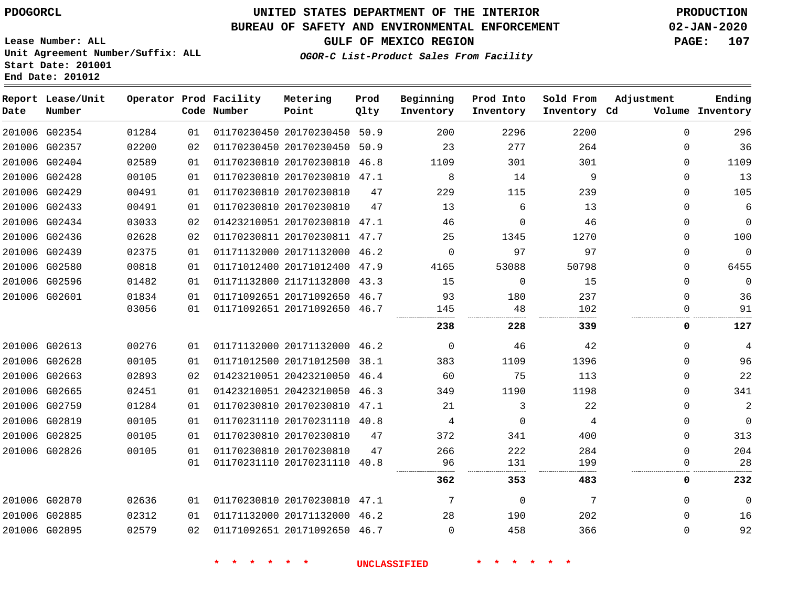## **UNITED STATES DEPARTMENT OF THE INTERIOR PDOGORCL PRODUCTION**

### **BUREAU OF SAFETY AND ENVIRONMENTAL ENFORCEMENT 02-JAN-2020**

**Lease Number: ALL Unit Agreement Number/Suffix: ALL Start Date: 201001**

**GULF OF MEXICO REGION PAGE: 107**

**OGOR-C List-Product Sales From Facility**

| Date          | Report Lease/Unit<br>Number |       |    | Operator Prod Facility<br>Code Number | Metering<br>Point            | Prod<br>Qlty | Beginning<br>Inventory | Prod Into<br>Inventory | Sold From<br>Inventory Cd | Adjustment | Ending<br>Volume Inventory |
|---------------|-----------------------------|-------|----|---------------------------------------|------------------------------|--------------|------------------------|------------------------|---------------------------|------------|----------------------------|
|               | 201006 G02354               | 01284 | 01 |                                       | 01170230450 20170230450 50.9 |              | 200                    | 2296                   | 2200                      | $\Omega$   | 296                        |
|               | 201006 G02357               | 02200 | 02 |                                       | 01170230450 20170230450 50.9 |              | 23                     | 277                    | 264                       | $\Omega$   | 36                         |
|               | 201006 G02404               | 02589 | 01 |                                       | 01170230810 20170230810      | 46.8         | 1109                   | 301                    | 301                       | 0          | 1109                       |
|               | 201006 G02428               | 00105 | 01 |                                       | 01170230810 20170230810 47.1 |              | 8                      | 14                     | 9                         | 0          | 13                         |
|               | 201006 G02429               | 00491 | 01 |                                       | 01170230810 20170230810      | 47           | 229                    | 115                    | 239                       | 0          | 105                        |
|               | 201006 G02433               | 00491 | 01 |                                       | 01170230810 20170230810      | 47           | 13                     | 6                      | 13                        | $\Omega$   | $\overline{6}$             |
|               | 201006 G02434               | 03033 | 02 |                                       | 01423210051 20170230810      | 47.1         | 46                     | 0                      | 46                        | 0          | $\mathbf{0}$               |
|               | 201006 G02436               | 02628 | 02 |                                       | 01170230811 20170230811 47.7 |              | 25                     | 1345                   | 1270                      | $\Omega$   | 100                        |
|               | 201006 G02439               | 02375 | 01 |                                       | 01171132000 20171132000 46.2 |              | $\mathbf 0$            | 97                     | 97                        | $\Omega$   | $\Omega$                   |
|               | 201006 G02580               | 00818 | 01 |                                       | 01171012400 20171012400      | 47.9         | 4165                   | 53088                  | 50798                     | 0          | 6455                       |
|               | 201006 G02596               | 01482 | 01 |                                       | 01171132800 21171132800      | 43.3         | 15                     | $\mathbf 0$            | 15                        | 0          | $\mathbf 0$                |
| 201006 G02601 |                             | 01834 | 01 |                                       | 01171092651 20171092650 46.7 |              | 93                     | 180                    | 237                       | 0          | 36                         |
|               |                             | 03056 | 01 |                                       | 01171092651 20171092650 46.7 |              | 145                    | 48                     | 102                       | $\Omega$   | 91                         |
|               |                             |       |    |                                       |                              |              | 238                    | 228                    | 339                       | 0          | 127                        |
|               | 201006 G02613               | 00276 | 01 |                                       | 01171132000 20171132000 46.2 |              | $\mathbf 0$            | 46                     | 42                        | 0          | 4                          |
|               | 201006 G02628               | 00105 | 01 |                                       | 01171012500 20171012500      | 38.1         | 383                    | 1109                   | 1396                      | 0          | 96                         |
|               | 201006 G02663               | 02893 | 02 |                                       | 01423210051 20423210050 46.4 |              | 60                     | 75                     | 113                       | 0          | 22                         |
|               | 201006 G02665               | 02451 | 01 |                                       | 01423210051 20423210050      | 46.3         | 349                    | 1190                   | 1198                      | $\Omega$   | 341                        |
|               | 201006 G02759               | 01284 | 01 |                                       | 01170230810 20170230810 47.1 |              | 21                     | 3                      | 22                        | $\Omega$   | $\overline{2}$             |
|               | 201006 G02819               | 00105 | 01 |                                       | 01170231110 20170231110 40.8 |              | 4                      | 0                      | 4                         | 0          | $\overline{0}$             |
|               | 201006 G02825               | 00105 | 01 |                                       | 01170230810 20170230810      | 47           | 372                    | 341                    | 400                       | 0          | 313                        |
|               | 201006 G02826               | 00105 | 01 |                                       | 01170230810 20170230810      | 47           | 266                    | 222                    | 284                       | $\Omega$   | 204                        |
|               |                             |       | 01 |                                       | 01170231110 20170231110 40.8 |              | 96                     | 131                    | 199                       | $\Omega$   | 28                         |
|               |                             |       |    |                                       |                              |              | 362                    | 353                    | 483                       | 0          | 232                        |
| 201006 G02870 |                             | 02636 | 01 |                                       | 01170230810 20170230810      | 47.1         | 7                      | $\mathbf 0$            | 7                         | $\Omega$   | $\Omega$                   |
|               | 201006 G02885               | 02312 | 01 |                                       | 01171132000 20171132000 46.2 |              | 28                     | 190                    | 202                       | $\Omega$   | 16                         |
|               | 201006 G02895               | 02579 | 02 |                                       | 01171092651 20171092650 46.7 |              | $\Omega$               | 458                    | 366                       | $\Omega$   | 92                         |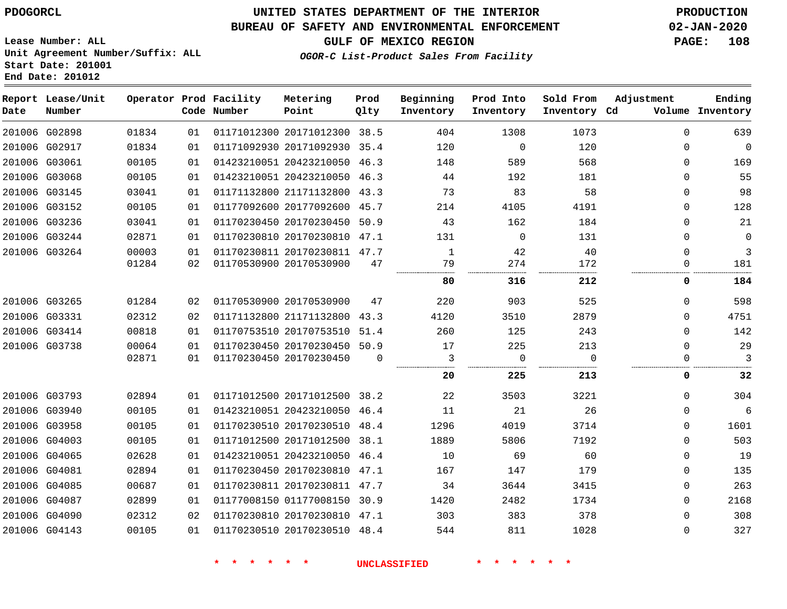## **UNITED STATES DEPARTMENT OF THE INTERIOR PDOGORCL PRODUCTION**

### **BUREAU OF SAFETY AND ENVIRONMENTAL ENFORCEMENT 02-JAN-2020**

**Lease Number: ALL Unit Agreement Number/Suffix: ALL Start Date: 201001**

**GULF OF MEXICO REGION PAGE: 108**

**OGOR-C List-Product Sales From Facility**

| Date | Report Lease/Unit<br>Number |       |    | Operator Prod Facility<br>Code Number | Metering<br>Point            | Prod<br>Qlty | Beginning<br>Inventory | Prod Into<br>Inventory | Sold From<br>Inventory Cd | Adjustment  | Ending<br>Volume Inventory |
|------|-----------------------------|-------|----|---------------------------------------|------------------------------|--------------|------------------------|------------------------|---------------------------|-------------|----------------------------|
|      | 201006 G02898               | 01834 | 01 |                                       | 01171012300 20171012300 38.5 |              | 404                    | 1308                   | 1073                      | $\Omega$    | 639                        |
|      | 201006 G02917               | 01834 | 01 |                                       | 01171092930 20171092930 35.4 |              | 120                    | $\Omega$               | 120                       | $\Omega$    | 0                          |
|      | 201006 G03061               | 00105 | 01 |                                       | 01423210051 20423210050 46.3 |              | 148                    | 589                    | 568                       | $\Omega$    | 169                        |
|      | 201006 G03068               | 00105 | 01 |                                       | 01423210051 20423210050 46.3 |              | 44                     | 192                    | 181                       | $\Omega$    | 55                         |
|      | 201006 G03145               | 03041 | 01 |                                       | 01171132800 21171132800 43.3 |              | 73                     | 83                     | 58                        | $\Omega$    | 98                         |
|      | 201006 G03152               | 00105 | 01 |                                       | 01177092600 20177092600 45.7 |              | 214                    | 4105                   | 4191                      | $\Omega$    | 128                        |
|      | 201006 G03236               | 03041 | 01 |                                       | 01170230450 20170230450      | 50.9         | 43                     | 162                    | 184                       | $\Omega$    | 21                         |
|      | 201006 G03244               | 02871 | 01 |                                       | 01170230810 20170230810 47.1 |              | 131                    | $\mathbf 0$            | 131                       | 0           | 0                          |
|      | 201006 G03264               | 00003 | 01 |                                       | 01170230811 20170230811 47.7 |              | 1                      | 42                     | 40                        | $\Omega$    | 3                          |
|      |                             | 01284 | 02 |                                       | 01170530900 20170530900      | 47           | 79                     | 274                    | 172                       | 0           | 181                        |
|      |                             |       |    |                                       |                              |              | 80                     | 316                    | 212                       | 0           | 184                        |
|      | 201006 G03265               | 01284 | 02 |                                       | 01170530900 20170530900      | 47           | 220                    | 903                    | 525                       | $\Omega$    | 598                        |
|      | 201006 G03331               | 02312 | 02 |                                       | 01171132800 21171132800 43.3 |              | 4120                   | 3510                   | 2879                      | $\Omega$    | 4751                       |
|      | 201006 G03414               | 00818 | 01 |                                       | 01170753510 20170753510 51.4 |              | 260                    | 125                    | 243                       | $\Omega$    | 142                        |
|      | 201006 G03738               | 00064 | 01 |                                       | 01170230450 20170230450 50.9 |              | 17                     | 225                    | 213                       | $\Omega$    | 29                         |
|      |                             | 02871 | 01 |                                       | 01170230450 20170230450      | $\Omega$     | 3                      | $\mathbf 0$            | $\Omega$                  | $\Omega$    | 3                          |
|      |                             |       |    |                                       |                              |              | 20                     | 225                    | 213                       | 0           | 32                         |
|      | 201006 G03793               | 02894 | 01 |                                       | 01171012500 20171012500 38.2 |              | 22                     | 3503                   | 3221                      | $\Omega$    | 304                        |
|      | 201006 G03940               | 00105 | 01 |                                       | 01423210051 20423210050 46.4 |              | 11                     | 21                     | 26                        | 0           | 6                          |
|      | 201006 G03958               | 00105 | 01 |                                       | 01170230510 20170230510 48.4 |              | 1296                   | 4019                   | 3714                      | $\Omega$    | 1601                       |
|      | 201006 G04003               | 00105 | 01 |                                       | 01171012500 20171012500 38.1 |              | 1889                   | 5806                   | 7192                      | $\Omega$    | 503                        |
|      | 201006 G04065               | 02628 | 01 |                                       | 01423210051 20423210050 46.4 |              | 10                     | 69                     | 60                        | $\Omega$    | 19                         |
|      | 201006 G04081               | 02894 | 01 |                                       | 01170230450 20170230810 47.1 |              | 167                    | 147                    | 179                       | $\mathbf 0$ | 135                        |
|      | 201006 G04085               | 00687 | 01 |                                       | 01170230811 20170230811 47.7 |              | 34                     | 3644                   | 3415                      | $\Omega$    | 263                        |
|      | 201006 G04087               | 02899 | 01 |                                       | 01177008150 01177008150 30.9 |              | 1420                   | 2482                   | 1734                      | $\mathbf 0$ | 2168                       |
|      | 201006 G04090               | 02312 | 02 |                                       | 01170230810 20170230810 47.1 |              | 303                    | 383                    | 378                       | $\Omega$    | 308                        |
|      | 201006 G04143               | 00105 | 01 |                                       | 01170230510 20170230510 48.4 |              | 544                    | 811                    | 1028                      | $\mathbf 0$ | 327                        |
|      |                             |       |    |                                       |                              |              |                        |                        |                           |             |                            |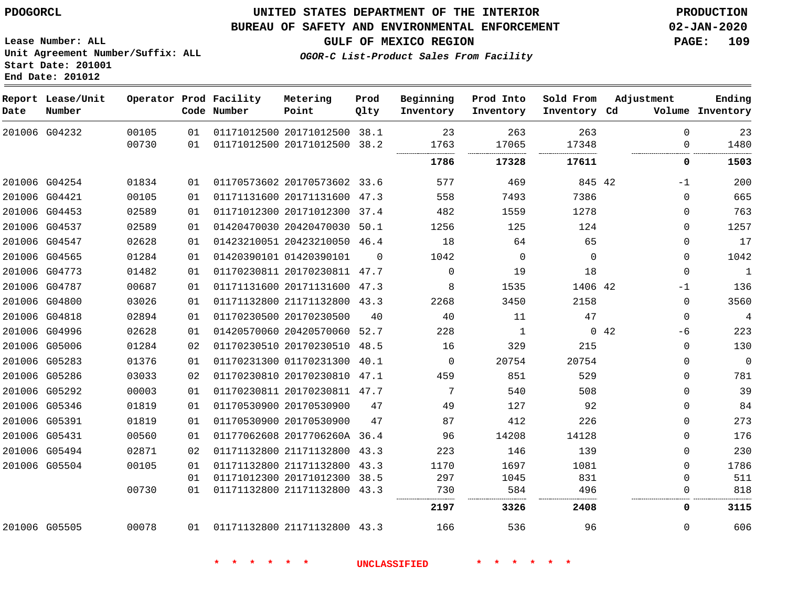**Report Lease/Unit**

**Number**

### **UNITED STATES DEPARTMENT OF THE INTERIOR PDOGORCL PRODUCTION**

**Prod Qlty**

#### **BUREAU OF SAFETY AND ENVIRONMENTAL ENFORCEMENT 02-JAN-2020**

**Lease Number: ALL Unit Agreement Number/Suffix: ALL Start Date: 201001 End Date: 201012**

**Operator Prod Facility**

**Code Number**

**Metering Point**

**GULF OF MEXICO REGION PAGE: 109**

**Inventory Cd Volume**

**Adjustment**

**Ending**

 $\Omega$ 

**OGOR-C List-Product Sales From Facility**

**Beginning Inventory** **Prod Into Inventory**

**Sold From Inventory**

|        | 201006 G04232 | 00105 | 01 | 01171012500 20171012500      | 38.1     | 23       | 263      | 263      |             | $\Omega$    | 23       |
|--------|---------------|-------|----|------------------------------|----------|----------|----------|----------|-------------|-------------|----------|
|        |               | 00730 | 01 | 01171012500 20171012500 38.2 |          | 1763     | 17065    | 17348    |             | 0           | 1480     |
|        |               |       |    |                              |          | 1786     | 17328    | 17611    |             | 0           | 1503     |
|        | 201006 G04254 | 01834 | 01 | 01170573602 20170573602 33.6 |          | 577      | 469      | 845 42   |             | -1          | 200      |
|        | 201006 G04421 | 00105 | 01 | 01171131600 20171131600 47.3 |          | 558      | 7493     | 7386     |             | $\Omega$    | 665      |
|        | 201006 G04453 | 02589 | 01 | 01171012300 20171012300      | 37.4     | 482      | 1559     | 1278     |             | $\mathbf 0$ | 763      |
| 201006 | G04537        | 02589 | 01 | 01420470030 20420470030      | 50.1     | 1256     | 125      | 124      |             | $\Omega$    | 1257     |
|        | 201006 G04547 | 02628 | 01 | 01423210051 20423210050 46.4 |          | 18       | 64       | 65       |             | $\Omega$    | 17       |
|        | 201006 G04565 | 01284 | 01 | 01420390101 01420390101      | $\Omega$ | 1042     | $\Omega$ | $\Omega$ |             | 0           | 1042     |
|        | 201006 G04773 | 01482 | 01 | 01170230811 20170230811 47.7 |          | $\Omega$ | 19       | 18       |             | $\Omega$    | 1        |
| 201006 | G04787        | 00687 | 01 | 01171131600 20171131600      | 47.3     | 8        | 1535     | 1406 42  |             | $-1$        | 136      |
|        | 201006 G04800 | 03026 | 01 | 01171132800 21171132800      | 43.3     | 2268     | 3450     | 2158     |             | 0           | 3560     |
| 201006 | G04818        | 02894 | 01 | 01170230500 20170230500      | 40       | 40       | 11       | 47       |             | 0           | 4        |
|        | 201006 G04996 | 02628 | 01 | 01420570060 20420570060      | 52.7     | 228      | 1        |          | $0\quad 42$ | -6          | 223      |
|        | 201006 G05006 | 01284 | 02 | 01170230510 20170230510      | 48.5     | 16       | 329      | 215      |             | $\mathbf 0$ | 130      |
|        | 201006 G05283 | 01376 | 01 | 01170231300 01170231300      | 40.1     | $\Omega$ | 20754    | 20754    |             | $\Omega$    | $\Omega$ |
|        | 201006 G05286 | 03033 | 02 | 01170230810 20170230810 47.1 |          | 459      | 851      | 529      |             | $\Omega$    | 781      |
| 201006 | G05292        | 00003 | 01 | 01170230811 20170230811      | 47.7     | 7        | 540      | 508      |             | $\mathbf 0$ | 39       |
|        | 201006 G05346 | 01819 | 01 | 01170530900 20170530900      | 47       | 49       | 127      | 92       |             | $\Omega$    | 84       |
|        | 201006 G05391 | 01819 | 01 | 01170530900 20170530900      | 47       | 87       | 412      | 226      |             | 0           | 273      |
|        | 201006 G05431 | 00560 | 01 | 01177062608 2017706260A 36.4 |          | 96       | 14208    | 14128    |             | 0           | 176      |
|        | 201006 G05494 | 02871 | 02 | 01171132800 21171132800      | 43.3     | 223      | 146      | 139      |             | $\Omega$    | 230      |
|        | 201006 G05504 | 00105 | 01 | 01171132800 21171132800      | 43.3     | 1170     | 1697     | 1081     |             | $\Omega$    | 1786     |
|        |               |       | 01 | 01171012300 20171012300      | 38.5     | 297      | 1045     | 831      |             | $\Omega$    | 511      |
|        |               | 00730 | 01 | 01171132800 21171132800      | 43.3     | 730      | 584      | 496      |             |             | 818      |
|        |               |       |    |                              |          | 2197     | 3326     | 2408     |             | 0           | 3115     |

G05505

01171132800 21171132800 43.3

**\* \* \* \* \* \* UNCLASSIFIED \* \* \* \* \* \***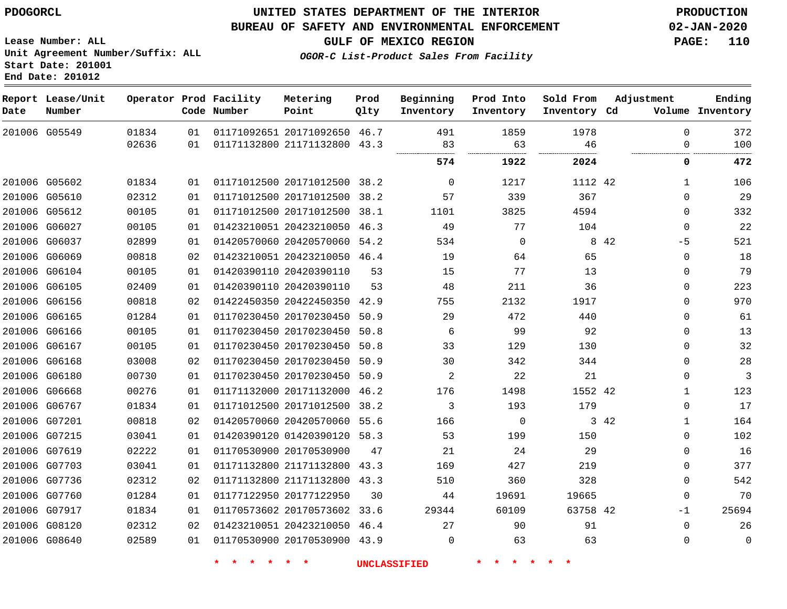**End Date: 201012**

### **UNITED STATES DEPARTMENT OF THE INTERIOR PDOGORCL PRODUCTION**

#### **BUREAU OF SAFETY AND ENVIRONMENTAL ENFORCEMENT 02-JAN-2020**

**Lease Number: ALL Unit Agreement Number/Suffix: ALL Start Date: 201001**

**GULF OF MEXICO REGION PAGE: 110**

**OGOR-C List-Product Sales From Facility**

| Date | Report Lease/Unit<br>Number |       |    | Operator Prod Facility<br>Code Number | Metering<br>Point            | Prod<br>01ty | Beginning<br>Inventory | Prod Into<br>Inventory | Sold From<br>Inventory Cd | Adjustment | Ending<br>Volume Inventory  |
|------|-----------------------------|-------|----|---------------------------------------|------------------------------|--------------|------------------------|------------------------|---------------------------|------------|-----------------------------|
|      | 201006 G05549               | 01834 | 01 |                                       | 01171092651 20171092650 46.7 |              | 491                    | 1859                   | 1978                      |            | 372<br>$\Omega$             |
|      |                             | 02636 | 01 |                                       | 01171132800 21171132800 43.3 |              | 83                     | 63                     | 46                        |            | 100<br>0                    |
|      |                             |       |    |                                       |                              |              | 574                    | 1922                   | 2024                      |            | 472<br>0                    |
|      | 201006 G05602               | 01834 | 01 |                                       | 01171012500 20171012500 38.2 |              | $\Omega$               | 1217                   | 1112 42                   |            | 106<br>$\mathbf{1}$         |
|      | 201006 G05610               | 02312 | 01 |                                       | 01171012500 20171012500 38.2 |              | 57                     | 339                    | 367                       |            | 29<br>$\mathbf 0$           |
|      | 201006 G05612               | 00105 | 01 |                                       | 01171012500 20171012500 38.1 |              | 1101                   | 3825                   | 4594                      |            | 332<br>$\Omega$             |
|      | 201006 G06027               | 00105 | 01 |                                       | 01423210051 20423210050      | 46.3         | 49                     | 77                     | 104                       |            | 22<br>$\mathbf 0$           |
|      | 201006 G06037               | 02899 | 01 |                                       | 01420570060 20420570060 54.2 |              | 534                    | $\mathbf 0$            |                           | 8 4 2      | 521<br>$-5$                 |
|      | 201006 G06069               | 00818 | 02 |                                       | 01423210051 20423210050 46.4 |              | 19                     | 64                     | 65                        |            | 18<br>0                     |
|      | 201006 G06104               | 00105 | 01 |                                       | 01420390110 20420390110      | 53           | 15                     | 77                     | 13                        |            | 79<br>$\mathbf 0$           |
|      | 201006 G06105               | 02409 | 01 |                                       | 01420390110 20420390110      | 53           | 48                     | 211                    | 36                        |            | 223<br>$\mathbf 0$          |
|      | 201006 G06156               | 00818 | 02 |                                       | 01422450350 20422450350      | 42.9         | 755                    | 2132                   | 1917                      |            | 970<br>$\mathbf 0$          |
|      | 201006 G06165               | 01284 | 01 |                                       | 01170230450 20170230450 50.9 |              | 29                     | 472                    | 440                       |            | 61<br>$\mathbf 0$           |
|      | 201006 G06166               | 00105 | 01 |                                       | 01170230450 20170230450 50.8 |              | 6                      | 99                     | 92                        |            | 13<br>$\mathbf 0$           |
|      | 201006 G06167               | 00105 | 01 |                                       | 01170230450 20170230450      | 50.8         | 33                     | 129                    | 130                       |            | 32<br>$\mathbf 0$           |
|      | 201006 G06168               | 03008 | 02 |                                       | 01170230450 20170230450      | 50.9         | 30                     | 342                    | 344                       |            | 28<br>0                     |
|      | 201006 G06180               | 00730 | 01 |                                       | 01170230450 20170230450 50.9 |              | 2                      | 22                     | 21                        |            | 3<br>$\Omega$               |
|      | 201006 G06668               | 00276 | 01 |                                       | 01171132000 20171132000 46.2 |              | 176                    | 1498                   | 1552 42                   |            | 123<br>$\mathbf{1}$         |
|      | 201006 G06767               | 01834 | 01 |                                       | 01171012500 20171012500 38.2 |              | 3                      | 193                    | 179                       |            | 17<br>$\mathbf 0$           |
|      | 201006 G07201               | 00818 | 02 |                                       | 01420570060 20420570060 55.6 |              | 166                    | $\mathbf 0$            |                           | 3 42       | 164<br>$\mathbf{1}$         |
|      | 201006 G07215               | 03041 | 01 |                                       | 01420390120 01420390120 58.3 |              | 53                     | 199                    | 150                       |            | 102<br>$\mathbf 0$          |
|      | 201006 G07619               | 02222 | 01 |                                       | 01170530900 20170530900      | 47           | 21                     | 24                     | 29                        |            | 16<br>$\mathbf 0$           |
|      | 201006 G07703               | 03041 | 01 |                                       | 01171132800 21171132800      | 43.3         | 169                    | 427                    | 219                       |            | 377<br>$\mathbf 0$          |
|      | 201006 G07736               | 02312 | 02 |                                       | 01171132800 21171132800 43.3 |              | 510                    | 360                    | 328                       |            | 542<br>$\mathbf 0$          |
|      | 201006 G07760               | 01284 | 01 |                                       | 01177122950 20177122950      | 30           | 44                     | 19691                  | 19665                     |            | 70<br>$\mathbf 0$           |
|      | 201006 G07917               | 01834 | 01 |                                       | 01170573602 20170573602 33.6 |              | 29344                  | 60109                  | 63758 42                  |            | 25694<br>$-1$               |
|      | 201006 G08120               | 02312 | 02 |                                       | 01423210051 20423210050 46.4 |              | 27                     | 90                     | 91                        |            | $\mathbf 0$<br>26           |
|      | 201006 G08640               | 02589 | 01 |                                       | 01170530900 20170530900 43.9 |              | $\Omega$               | 63                     | 63                        |            | $\mathbf{0}$<br>$\mathbf 0$ |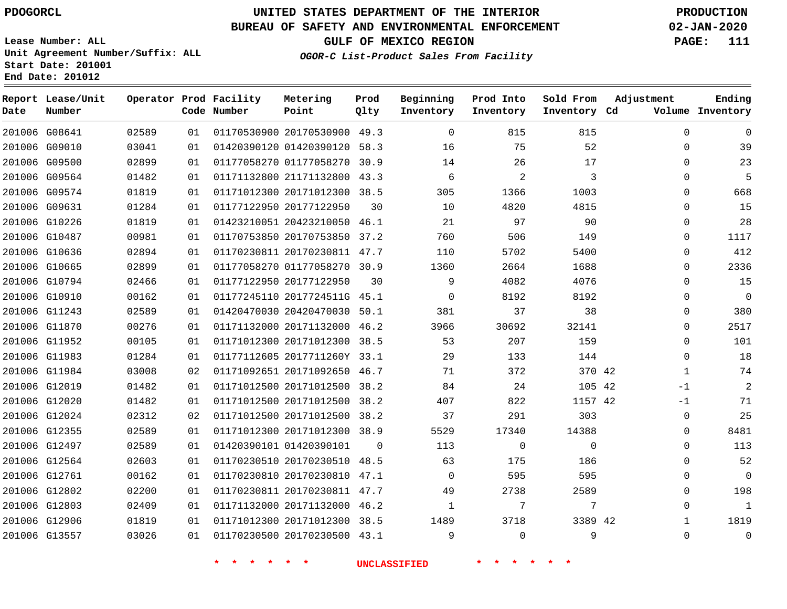**Report Lease/Unit**

**Number**

# **UNITED STATES DEPARTMENT OF THE INTERIOR PDOGORCL PRODUCTION**

**Prod Qlty**

#### **BUREAU OF SAFETY AND ENVIRONMENTAL ENFORCEMENT 02-JAN-2020**

**Lease Number: ALL Unit Agreement Number/Suffix: ALL Start Date: 201001 End Date: 201012**

**Operator Prod Facility**

**OGOR-C List-Product Sales From Facility**

**Beginning Inventory**

**Prod Into Inventory**

**Sold From Inventory**

**GULF OF MEXICO REGION PAGE: 111**

**Adjustment**

**Ending**

| Date | Number        |       |                 | Code Number | Point                        | Qlty     | Inventory | Inventory      | Inventory Cd |              | Volume Inventory |
|------|---------------|-------|-----------------|-------------|------------------------------|----------|-----------|----------------|--------------|--------------|------------------|
|      | 201006 G08641 | 02589 | 01              |             | 01170530900 20170530900 49.3 |          | $\Omega$  | 815            | 815          | $\Omega$     | 0                |
|      | 201006 G09010 | 03041 | 01              |             | 01420390120 01420390120 58.3 |          | 16        | 75             | 52           | $\Omega$     | 39               |
|      | 201006 G09500 | 02899 | 01              |             | 01177058270 01177058270 30.9 |          | 14        | 26             | 17           | $\Omega$     | 23               |
|      | 201006 G09564 | 01482 | 01              |             | 01171132800 21171132800 43.3 |          | 6         | $\overline{2}$ | 3            | $\Omega$     | 5                |
|      | 201006 G09574 | 01819 | 01              |             | 01171012300 20171012300 38.5 |          | 305       | 1366           | 1003         | $\Omega$     | 668              |
|      | 201006 G09631 | 01284 | 01              |             | 01177122950 20177122950      | 30       | 10        | 4820           | 4815         | $\Omega$     | 15               |
|      | 201006 G10226 | 01819 | 01              |             | 01423210051 20423210050 46.1 |          | 21        | 97             | 90           | $\Omega$     | 28               |
|      | 201006 G10487 | 00981 | 01              |             | 01170753850 20170753850 37.2 |          | 760       | 506            | 149          | $\Omega$     | 1117             |
|      | 201006 G10636 | 02894 | 01              |             | 01170230811 20170230811 47.7 |          | 110       | 5702           | 5400         | $\Omega$     | 412              |
|      | 201006 G10665 | 02899 | 01              |             | 01177058270 01177058270 30.9 |          | 1360      | 2664           | 1688         | $\Omega$     | 2336             |
|      | 201006 G10794 | 02466 | 01              |             | 01177122950 20177122950      | 30       | 9         | 4082           | 4076         | $\Omega$     | 15               |
|      | 201006 G10910 | 00162 | 01              |             | 01177245110 2017724511G 45.1 |          | $\Omega$  | 8192           | 8192         | $\Omega$     | $\overline{0}$   |
|      | 201006 G11243 | 02589 | 01              |             | 01420470030 20420470030 50.1 |          | 381       | 37             | 38           | $\mathbf 0$  | 380              |
|      | 201006 G11870 | 00276 | 01              |             | 01171132000 20171132000 46.2 |          | 3966      | 30692          | 32141        | $\Omega$     | 2517             |
|      | 201006 G11952 | 00105 | 01              |             | 01171012300 20171012300 38.5 |          | 53        | 207            | 159          | $\Omega$     | 101              |
|      | 201006 G11983 | 01284 | 01              |             | 01177112605 2017711260Y 33.1 |          | 29        | 133            | 144          | $\Omega$     | 18               |
|      | 201006 G11984 | 03008 | 02 <sub>o</sub> |             | 01171092651 20171092650 46.7 |          | 71        | 372            | 370 42       | $\mathbf{1}$ | 74               |
|      | 201006 G12019 | 01482 | 01              |             | 01171012500 20171012500 38.2 |          | 84        | 24             | 105 42       | -1           | 2                |
|      | 201006 G12020 | 01482 | 01              |             | 01171012500 20171012500 38.2 |          | 407       | 822            | 1157 42      | $-1$         | 71               |
|      | 201006 G12024 | 02312 | 02              |             | 01171012500 20171012500 38.2 |          | 37        | 291            | 303          | 0            | 25               |
|      | 201006 G12355 | 02589 | 01              |             | 01171012300 20171012300 38.9 |          | 5529      | 17340          | 14388        | $\Omega$     | 8481             |
|      | 201006 G12497 | 02589 | 01              |             | 01420390101 01420390101      | $\Omega$ | 113       | 0              | $\mathbf 0$  | $\Omega$     | 113              |
|      | 201006 G12564 | 02603 | 01              |             | 01170230510 20170230510 48.5 |          | 63        | 175            | 186          | $\Omega$     | 52               |
|      | 201006 G12761 | 00162 | 01              |             | 01170230810 20170230810 47.1 |          | 0         | 595            | 595          | $\Omega$     | 0                |
|      | 201006 G12802 | 02200 | 01              |             | 01170230811 20170230811 47.7 |          | 49        | 2738           | 2589         | $\Omega$     | 198              |
|      | 201006 G12803 | 02409 | 01              |             | 01171132000 20171132000 46.2 |          | 1         | 7              | 7            | 0            | $\mathbf{1}$     |
|      | 201006 G12906 | 01819 | 01              |             | 01171012300 20171012300 38.5 |          | 1489      | 3718           | 3389 42      | $\mathbf 1$  | 1819             |
|      | 201006 G13557 | 03026 | 01              |             | 01170230500 20170230500 43.1 |          | 9         | $\mathbf 0$    | 9            | $\mathbf 0$  | 0                |

**Metering Point**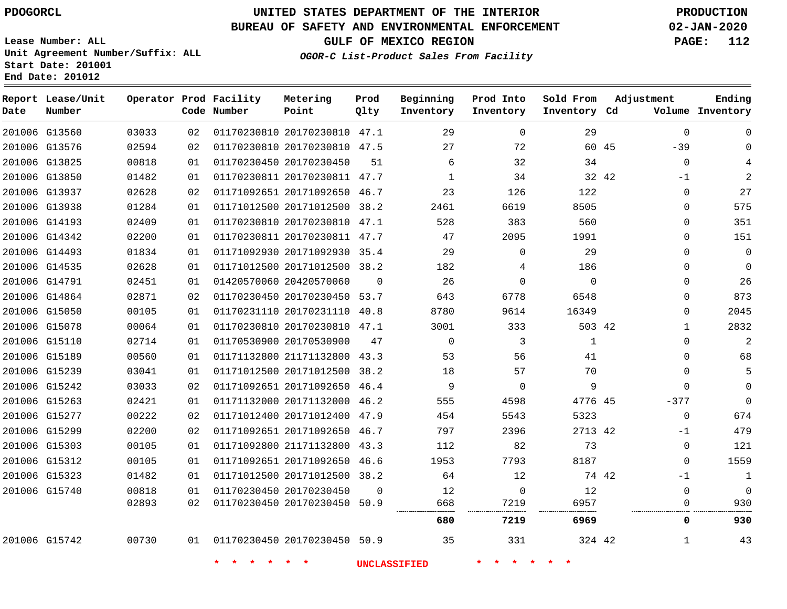**Report Date**

### **UNITED STATES DEPARTMENT OF THE INTERIOR PDOGORCL PRODUCTION**

#### **BUREAU OF SAFETY AND ENVIRONMENTAL ENFORCEMENT 02-JAN-2020**

**Lease Number: ALL Unit Agreement Number/Suffix: ALL Start Date: 201001 End Date: 201012**

**OGOR-C List-Product Sales From Facility**

**GULF OF MEXICO REGION PAGE: 112**

| Lease/Unit<br>Number |       |    | Operator Prod Facility<br>Code Number | Metering<br>Point            | Prod<br>Qlty | Beginning<br>Inventory | Prod Into<br>Inventory | Sold From<br>Inventory Cd | Adjustment     | Ending<br>Volume Inventory |
|----------------------|-------|----|---------------------------------------|------------------------------|--------------|------------------------|------------------------|---------------------------|----------------|----------------------------|
| G13560               | 03033 | 02 |                                       | 01170230810 20170230810 47.1 |              | 29                     | $\Omega$               | 29                        | $\Omega$       | $\Omega$                   |
| G13576               | 02594 | 02 |                                       | 01170230810 20170230810 47.5 |              | 27                     | 72                     |                           | $-39$<br>60 45 | 0                          |
| G13825               | 00818 | 01 |                                       | 01170230450 20170230450      | 51           | 6                      | 32                     | 34                        | $\mathbf 0$    |                            |
| G13850               | 01482 | 01 |                                       | 01170230811 20170230811 47.7 |              | $\mathbf{1}$           | 34                     |                           | 32 42<br>$-1$  | 2                          |
| G13937               | 02628 | 02 |                                       | 01171092651 20171092650 46.7 |              | 23                     | 126                    | 122                       | $\mathbf 0$    | 27                         |
| G13938               | 01284 | 01 |                                       | 01171012500 20171012500 38.2 |              | 2461                   | 6619                   | 8505                      | $\mathbf 0$    | 575                        |
| G14193               | 02409 | 01 |                                       | 01170230810 20170230810 47.1 |              | 528                    | 383                    | 560                       | $\mathbf 0$    | 351                        |
| G14342               | 02200 | 01 |                                       | 01170230811 20170230811 47.7 |              | 47                     | 2095                   | 1991                      | 0              | 151                        |
| G14493               | 01834 | 01 |                                       | 01171092930 20171092930 35.4 |              | 29                     | $\Omega$               | 29                        | $\Omega$       | $\mathbf 0$                |
| G14535               | 02628 | 01 |                                       | 01171012500 20171012500 38.2 |              | 182                    | 4                      | 186                       | $\mathbf 0$    | $\mathbf 0$                |
| G14791               | 02451 | 01 |                                       | 01420570060 20420570060      | $\Omega$     | 26                     | $\Omega$               | $\Omega$                  | $\mathbf 0$    | 26                         |
| G14864               | 02871 | 02 |                                       | 01170230450 20170230450 53.7 |              | 643                    | 6778                   | 6548                      | $\mathbf 0$    | 873                        |
| G15050               | 00105 | 01 |                                       | 01170231110 20170231110 40.8 |              | 8780                   | 9614                   | 16349                     | 0              | 2045                       |
| G15078               | 00064 | 01 |                                       | 01170230810 20170230810 47.1 |              | 3001                   | 333                    | 503 42                    | $\mathbf{1}$   | 2832                       |
| G15110               | 02714 | 01 |                                       | 01170530900 20170530900      | 47           | $\mathbf 0$            | 3                      | $\mathbf{1}$              | 0              | $\overline{2}$             |
| G15189               | 00560 | 01 |                                       | 01171132800 21171132800 43.3 |              | 53                     | 56                     | 41                        | $\Omega$       | 68                         |
| G15239               | 03041 | 01 |                                       | 01171012500 20171012500 38.2 |              | 18                     | 57                     | 70                        | 0              | 5                          |
| G15242               | 03033 | 02 |                                       | 01171092651 20171092650 46.4 |              | 9                      | $\Omega$               | 9                         | $\Omega$       | $\Omega$                   |
| G15263               | 02421 | 01 |                                       | 01171132000 20171132000 46.2 |              | 555                    | 4598                   | 4776 45                   | $-377$         | $\Omega$                   |
| G15277               | 00222 | 02 |                                       | 01171012400 20171012400 47.9 |              | 454                    | 5543                   | 5323                      | $\mathbf 0$    | 674                        |
| G15299               | 02200 | 02 |                                       | 01171092651 20171092650 46.7 |              | 797                    | 2396                   | 2713 42                   | $-1$           | 479                        |
| G15303               | 00105 | 01 |                                       | 01171092800 21171132800 43.3 |              | 112                    | 82                     | 73                        | 0              | 121                        |
| G15312               | 00105 | 01 |                                       | 01171092651 20171092650 46.6 |              | 1953                   | 7793                   | 8187                      | $\Omega$       | 1559                       |
| G15323               | 01482 | 01 |                                       | 01171012500 20171012500 38.2 |              | 64                     | 12                     |                           | 74 42<br>$-1$  | $\mathbf{1}$               |
| G15740               | 00818 | 01 |                                       | 01170230450 20170230450      | $\Omega$     | 12                     | $\mathbf 0$            | 12                        | $\mathbf 0$    | $\mathbf 0$                |
|                      | 02893 | 02 |                                       | 01170230450 20170230450 50.9 |              | 668                    | 7219                   | 6957                      | $\Omega$       | 930                        |
|                      |       |    |                                       |                              |              | 680                    | 7219                   | 6969                      | 0              | 930                        |
| G15742               | 00730 | 01 | 01170230450 20170230450 50.9          |                              |              | 35                     | 331                    | 324 42                    | $\mathbf{1}$   | 43                         |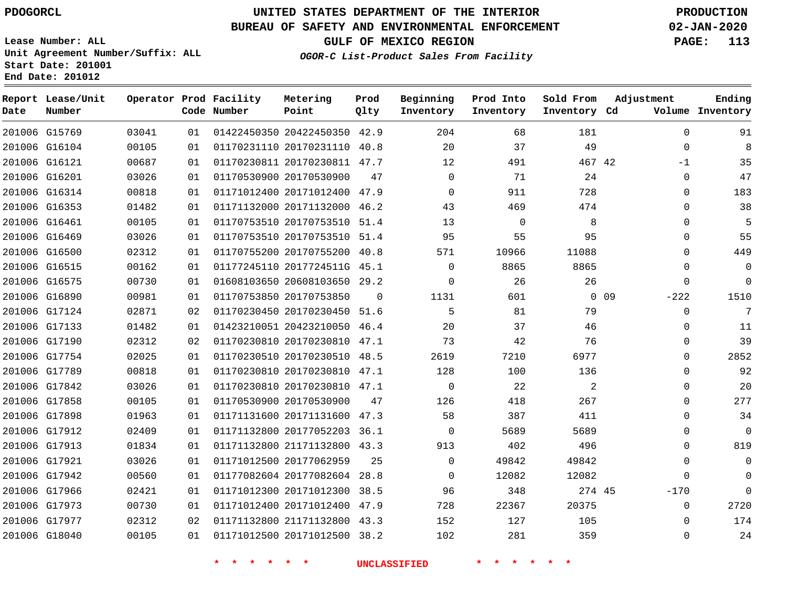G15769 G16104 G16121

**Date**

**Report Lease/Unit**

**Number**

### **UNITED STATES DEPARTMENT OF THE INTERIOR PDOGORCL PRODUCTION**

**Prod Qlty**

#### **BUREAU OF SAFETY AND ENVIRONMENTAL ENFORCEMENT 02-JAN-2020**

**Lease Number: ALL Unit Agreement Number/Suffix: ALL Start Date: 201001 End Date: 201012**

> 

**Operator Prod Facility**

**Code Number**

 20422450350 42.9 20170231110 40.8 20170230811 47.7

**Metering Point**

  **OGOR-C List-Product Sales From Facility**

 

 

**Prod Into Inventory**

**Beginning Inventory**

**GULF OF MEXICO REGION PAGE: 113**

**Inventory Cd Volume**

**Adjustment**

 -1  $\Omega$  $\Omega$  $\Omega$  -222  $\overline{0}$   $\Omega$  $\overline{0}$  $\Omega$  $\Omega$  $\Omega$  $\Omega$  $\Omega$  -170 

**Ending**

42

 

**Sold From Inventory**

| 201006 G16201 | 03026 | 01 | 01170530900 20170530900      | 47       | 0                   | 71    | 24     |                 |
|---------------|-------|----|------------------------------|----------|---------------------|-------|--------|-----------------|
| 201006 G16314 | 00818 | 01 | 01171012400 20171012400 47.9 |          | $\Omega$            | 911   | 728    |                 |
| 201006 G16353 | 01482 | 01 | 01171132000 20171132000 46.2 |          | 43                  | 469   | 474    |                 |
| 201006 G16461 | 00105 | 01 | 01170753510 20170753510 51.4 |          | 13                  | 0     | 8      |                 |
| 201006 G16469 | 03026 | 01 | 01170753510 20170753510 51.4 |          | 95                  | 55    | 95     |                 |
| 201006 G16500 | 02312 | 01 | 01170755200 20170755200 40.8 |          | 571                 | 10966 | 11088  |                 |
| 201006 G16515 | 00162 | 01 | 01177245110 2017724511G 45.1 |          | 0                   | 8865  | 8865   |                 |
| 201006 G16575 | 00730 | 01 | 01608103650 20608103650 29.2 |          | $\Omega$            | 26    | 26     |                 |
| 201006 G16890 | 00981 | 01 | 01170753850 20170753850      | $\Omega$ | 1131                | 601   |        | 0 <sub>09</sub> |
| 201006 G17124 | 02871 | 02 | 01170230450 20170230450 51.6 |          | 5                   | 81    | 79     |                 |
| 201006 G17133 | 01482 | 01 | 01423210051 20423210050 46.4 |          | 20                  | 37    | 46     |                 |
| 201006 G17190 | 02312 | 02 | 01170230810 20170230810 47.1 |          | 73                  | 42    | 76     |                 |
| 201006 G17754 | 02025 | 01 | 01170230510 20170230510 48.5 |          | 2619                | 7210  | 6977   |                 |
| 201006 G17789 | 00818 | 01 | 01170230810 20170230810 47.1 |          | 128                 | 100   | 136    |                 |
| 201006 G17842 | 03026 | 01 | 01170230810 20170230810 47.1 |          | $\mathbf 0$         | 22    | 2      |                 |
| 201006 G17858 | 00105 | 01 | 01170530900 20170530900      | 47       | 126                 | 418   | 267    |                 |
| 201006 G17898 | 01963 | 01 | 01171131600 20171131600 47.3 |          | 58                  | 387   | 411    |                 |
| 201006 G17912 | 02409 | 01 | 01171132800 20177052203 36.1 |          | 0                   | 5689  | 5689   |                 |
| 201006 G17913 | 01834 | 01 | 01171132800 21171132800 43.3 |          | 913                 | 402   | 496    |                 |
| 201006 G17921 | 03026 | 01 | 01171012500 20177062959      | 25       | 0                   | 49842 | 49842  |                 |
| 201006 G17942 | 00560 | 01 | 01177082604 20177082604 28.8 |          | $\mathbf 0$         | 12082 | 12082  |                 |
| 201006 G17966 | 02421 | 01 | 01171012300 20171012300 38.5 |          | 96                  | 348   | 274 45 |                 |
| 201006 G17973 | 00730 | 01 | 01171012400 20171012400 47.9 |          | 728                 | 22367 | 20375  |                 |
| 201006 G17977 | 02312 | 02 | 01171132800 21171132800 43.3 |          | 152                 | 127   | 105    |                 |
| 201006 G18040 | 00105 | 01 | 01171012500 20171012500 38.2 |          | 102                 | 281   | 359    |                 |
|               |       |    |                              |          |                     |       |        |                 |
|               |       |    |                              |          | <b>UNCLASSIFIED</b> |       |        |                 |
|               |       |    |                              |          |                     |       |        |                 |
|               |       |    |                              |          |                     |       |        |                 |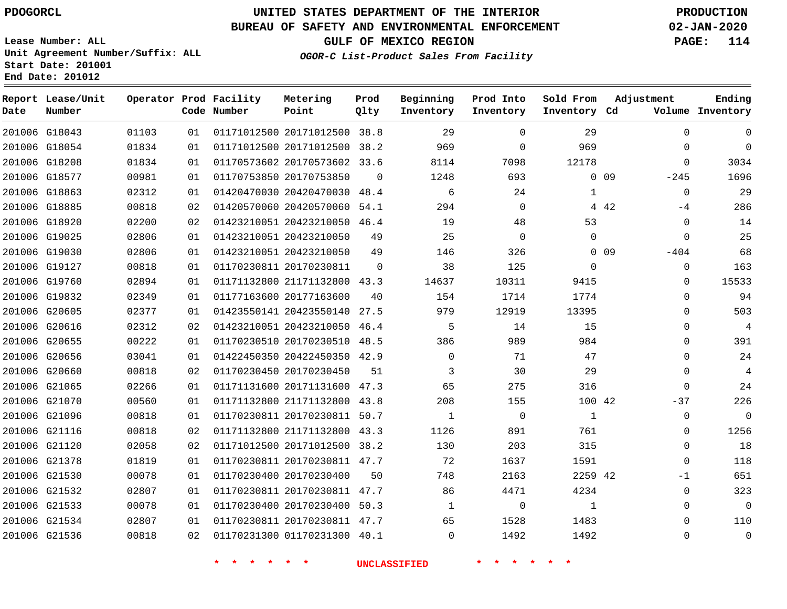**Report Lease/Unit**

**Number**

### **UNITED STATES DEPARTMENT OF THE INTERIOR PDOGORCL PRODUCTION**

**Prod Qlty**

#### **BUREAU OF SAFETY AND ENVIRONMENTAL ENFORCEMENT 02-JAN-2020**

**Lease Number: ALL Unit Agreement Number/Suffix: ALL Start Date: 201001 End Date: 201012**

**Operator Prod Facility**

**Code Number**

**Metering Point**

**OGOR-C List-Product Sales From Facility**

**Beginning Inventory** **Prod Into Inventory** **Sold From Inventory**

**GULF OF MEXICO REGION PAGE: 114**

**Inventory Cd Volume**

**Adjustment**

  $\Omega$  $-245$  $\Omega$  $-4$   $-404$   $\Omega$  $\overline{0}$   $\Omega$  $\overline{0}$  $\Omega$  $\overline{0}$  $-37$  $\Omega$   $\overline{0}$  -1 

**Ending**

| 201006 G18043 | 01103 | 01 |                         | 01171012500 20171012500 38.8 |                | 29             | $\mathbf 0$    | 29             |                 |
|---------------|-------|----|-------------------------|------------------------------|----------------|----------------|----------------|----------------|-----------------|
| 201006 G18054 | 01834 | 01 |                         | 01171012500 20171012500 38.2 |                | 969            | $\mathbf{0}$   | 969            |                 |
| 201006 G18208 | 01834 | 01 |                         | 01170573602 20170573602 33.6 |                | 8114           | 7098           | 12178          |                 |
| 201006 G18577 | 00981 | 01 | 01170753850 20170753850 |                              | $\Omega$       | 1248           | 693            |                | $0$ 09          |
| 201006 G18863 | 02312 | 01 |                         | 01420470030 20420470030 48.4 |                | 6              | 24             | $\mathbf{1}$   |                 |
| 201006 G18885 | 00818 | 02 |                         | 01420570060 20420570060 54.1 |                | 294            | $\overline{0}$ |                | 4 4 2           |
| 201006 G18920 | 02200 | 02 |                         | 01423210051 20423210050 46.4 |                | 19             | 48             | 53             |                 |
| 201006 G19025 | 02806 | 01 |                         | 01423210051 20423210050      | 49             | 25             | $\overline{0}$ | $\overline{0}$ |                 |
| 201006 G19030 | 02806 | 01 |                         | 01423210051 20423210050      | 49             | 146            | 326            |                | 0 <sub>09</sub> |
| 201006 G19127 | 00818 | 01 |                         | 01170230811 20170230811      | $\overline{0}$ | 38             | 125            | $\Omega$       |                 |
| 201006 G19760 | 02894 | 01 |                         | 01171132800 21171132800 43.3 |                | 14637          | 10311          | 9415           |                 |
| 201006 G19832 | 02349 | 01 | 01177163600 20177163600 |                              | 40             | 154            | 1714           | 1774           |                 |
| 201006 G20605 | 02377 | 01 |                         | 01423550141 20423550140 27.5 |                | 979 — 10       | 12919          | 13395          |                 |
| 201006 G20616 | 02312 | 02 |                         | 01423210051 20423210050 46.4 |                | 5              | 14             | 15             |                 |
| 201006 G20655 | 00222 | 01 |                         | 01170230510 20170230510 48.5 |                | 386            | 989            | 984            |                 |
| 201006 G20656 | 03041 | 01 |                         | 01422450350 20422450350 42.9 |                | $\overline{0}$ | 71             | 47             |                 |
| 201006 G20660 | 00818 | 02 | 01170230450 20170230450 |                              | 51             | $\mathbf{3}$   | 30             | 29             |                 |
| 201006 G21065 | 02266 | 01 |                         | 01171131600 20171131600 47.3 |                | 65             | 275            | 316            |                 |
| 201006 G21070 | 00560 | 01 |                         | 01171132800 21171132800 43.8 |                | 208            | 155            | 100 42         |                 |
| 201006 G21096 | 00818 | 01 |                         | 01170230811 20170230811 50.7 |                | $\overline{1}$ | $\Omega$       | 1              |                 |
| 201006 G21116 | 00818 | 02 |                         | 01171132800 21171132800 43.3 |                | 1126           | 891            | 761            |                 |
| 201006 G21120 | 02058 | 02 |                         | 01171012500 20171012500 38.2 |                | 130            | 203            | 315            |                 |
| 201006 G21378 | 01819 | 01 |                         | 01170230811 20170230811 47.7 |                | 72             | 1637           | 1591           |                 |
| 201006 G21530 | 00078 | 01 | 01170230400 20170230400 |                              | 50             | 748            | 2163           | 2259 42        |                 |
| 201006 G21532 | 02807 | 01 |                         | 01170230811 20170230811 47.7 |                | 86             | 4471           | 4234           |                 |
| 201006 G21533 | 00078 | 01 |                         | 01170230400 20170230400 50.3 |                | 1              | $\overline{0}$ | 1              |                 |
| 201006 G21534 | 02807 | 01 |                         | 01170230811 20170230811 47.7 |                | 65             | 1528           | 1483           |                 |
| 201006 G21536 | 00818 | 02 |                         | 01170231300 01170231300 40.1 |                | $\overline{0}$ | 1492           | 1492           |                 |
|               |       |    |                         |                              |                |                |                |                |                 |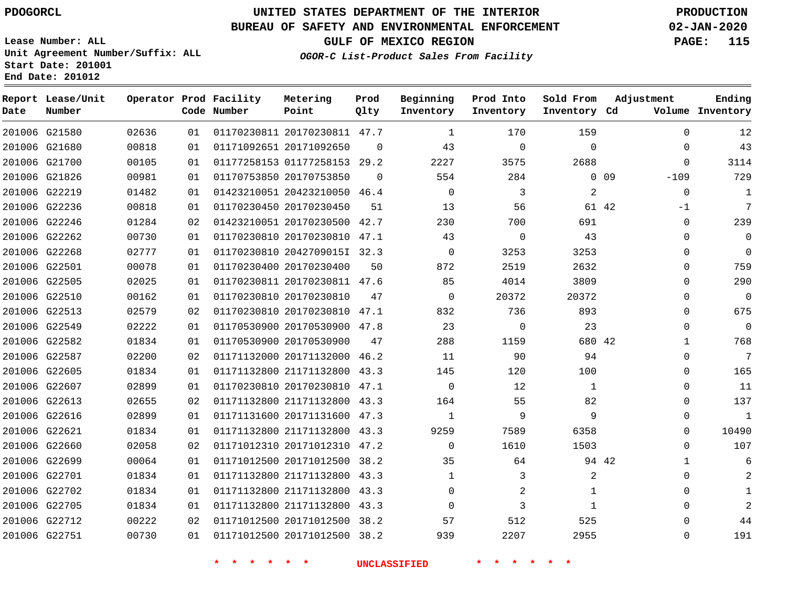**Report Lease/Unit**

### **UNITED STATES DEPARTMENT OF THE INTERIOR PDOGORCL PRODUCTION**

**Prod Qlty**

#### **BUREAU OF SAFETY AND ENVIRONMENTAL ENFORCEMENT 02-JAN-2020**

**Lease Number: ALL Unit Agreement Number/Suffix: ALL Start Date: 201001 End Date: 201012**

**Operator Prod Facility**

**OGOR-C List-Product Sales From Facility**

**Beginning**

**Prod Into Inventory**

**Sold From Inventory**

**GULF OF MEXICO REGION PAGE: 115**

**Adjustment**

**Ending**

| Date | Number        |       |    | Code Number                         | Point                        | Qlty     | Inventory           | Inventory                                | Inventory Cd   |                 |             | Volume Inventory |
|------|---------------|-------|----|-------------------------------------|------------------------------|----------|---------------------|------------------------------------------|----------------|-----------------|-------------|------------------|
|      | 201006 G21580 | 02636 | 01 |                                     | 01170230811 20170230811 47.7 |          | 1                   | 170                                      | 159            |                 | $\Omega$    | 12               |
|      | 201006 G21680 | 00818 | 01 |                                     | 01171092651 20171092650      | $\Omega$ | 43                  | $\mathbf 0$                              | $\mathbf 0$    |                 | 0           | 43               |
|      | 201006 G21700 | 00105 | 01 |                                     | 01177258153 01177258153 29.2 |          | 2227                | 3575                                     | 2688           |                 | $\Omega$    | 3114             |
|      | 201006 G21826 | 00981 | 01 |                                     | 01170753850 20170753850      | $\Omega$ | 554                 | 284                                      |                | 0 <sub>09</sub> | $-109$      | 729              |
|      | 201006 G22219 | 01482 | 01 |                                     | 01423210051 20423210050 46.4 |          | $\overline{0}$      | 3                                        | 2              |                 | $\mathbf 0$ | 1                |
|      | 201006 G22236 | 00818 | 01 |                                     | 01170230450 20170230450      | 51       | 13                  | 56                                       |                | 61 42           | $-1$        | 7                |
|      | 201006 G22246 | 01284 | 02 |                                     | 01423210051 20170230500 42.7 |          | 230                 | 700                                      | 691            |                 | $\Omega$    | 239              |
|      | 201006 G22262 | 00730 | 01 |                                     | 01170230810 20170230810 47.1 |          | 43                  | $\mathsf{O}$                             | 43             |                 | 0           | 0                |
|      | 201006 G22268 | 02777 | 01 |                                     | 01170230810 2042709015I 32.3 |          | $\overline{0}$      | 3253                                     | 3253           |                 | $\Omega$    | $\overline{0}$   |
|      | 201006 G22501 | 00078 | 01 |                                     | 01170230400 20170230400      | 50       | 872                 | 2519                                     | 2632           |                 | $\Omega$    | 759              |
|      | 201006 G22505 | 02025 | 01 |                                     | 01170230811 20170230811 47.6 |          | 85                  | 4014                                     | 3809           |                 | $\Omega$    | 290              |
|      | 201006 G22510 | 00162 | 01 |                                     | 01170230810 20170230810      | 47       | $\overline{0}$      | 20372                                    | 20372          |                 | $\Omega$    | $\overline{0}$   |
|      | 201006 G22513 | 02579 | 02 |                                     | 01170230810 20170230810 47.1 |          | 832                 | 736                                      | 893            |                 | $\Omega$    | 675              |
|      | 201006 G22549 | 02222 | 01 |                                     | 01170530900 20170530900 47.8 |          | 23                  | $\mathbf 0$                              | 23             |                 | $\Omega$    | $\overline{0}$   |
|      | 201006 G22582 | 01834 | 01 |                                     | 01170530900 20170530900      | 47       | 288                 | 1159                                     | 680 42         |                 | $\mathbf 1$ | 768              |
|      | 201006 G22587 | 02200 | 02 |                                     | 01171132000 20171132000 46.2 |          | 11                  | 90                                       | 94             |                 | $\Omega$    | $\overline{7}$   |
|      | 201006 G22605 | 01834 | 01 |                                     | 01171132800 21171132800 43.3 |          | 145                 | 120                                      | 100            |                 | 0           | 165              |
|      | 201006 G22607 | 02899 | 01 |                                     | 01170230810 20170230810 47.1 |          | $\overline{0}$      | 12                                       | 1              |                 | $\Omega$    | 11               |
|      | 201006 G22613 | 02655 | 02 |                                     | 01171132800 21171132800 43.3 |          | 164                 | 55                                       | 82             |                 | 0           | 137              |
|      | 201006 G22616 | 02899 | 01 |                                     | 01171131600 20171131600 47.3 |          | 1                   | 9                                        | 9              |                 | 0           | $\mathbf{1}$     |
|      | 201006 G22621 | 01834 | 01 |                                     | 01171132800 21171132800 43.3 |          | 9259                | 7589                                     | 6358           |                 | $\Omega$    | 10490            |
|      | 201006 G22660 | 02058 | 02 |                                     | 01171012310 20171012310 47.2 |          | $\mathbf 0$         | 1610                                     | 1503           |                 | $\Omega$    | 107              |
|      | 201006 G22699 | 00064 | 01 |                                     | 01171012500 20171012500 38.2 |          | 35                  | 64                                       |                | 94 42           | 1           | 6                |
|      | 201006 G22701 | 01834 | 01 |                                     | 01171132800 21171132800 43.3 |          | $\mathbf{1}$        | 3                                        | $\overline{2}$ |                 | $\Omega$    | 2                |
|      | 201006 G22702 | 01834 | 01 |                                     | 01171132800 21171132800 43.3 |          | $\Omega$            | $\overline{a}$                           | $\mathbf{1}$   |                 | $\Omega$    | 1                |
|      | 201006 G22705 | 01834 | 01 |                                     | 01171132800 21171132800 43.3 |          | $\Omega$            | 3                                        | $\mathbf 1$    |                 | $\Omega$    | 2                |
|      | 201006 G22712 | 00222 | 02 |                                     | 01171012500 20171012500 38.2 |          | 57                  | 512                                      | 525            |                 | $\Omega$    | 44               |
|      | 201006 G22751 | 00730 | 01 |                                     | 01171012500 20171012500 38.2 |          | 939                 | 2207                                     | 2955           |                 | 0           | 191              |
|      |               |       |    | $\star$<br>$\star$<br>$\star$<br>一大 | $\star$ $\star$              |          | <b>UNCLASSIFIED</b> | $\star$<br>$\star$<br>$\star$<br>$\star$ |                |                 |             |                  |

**Metering Point**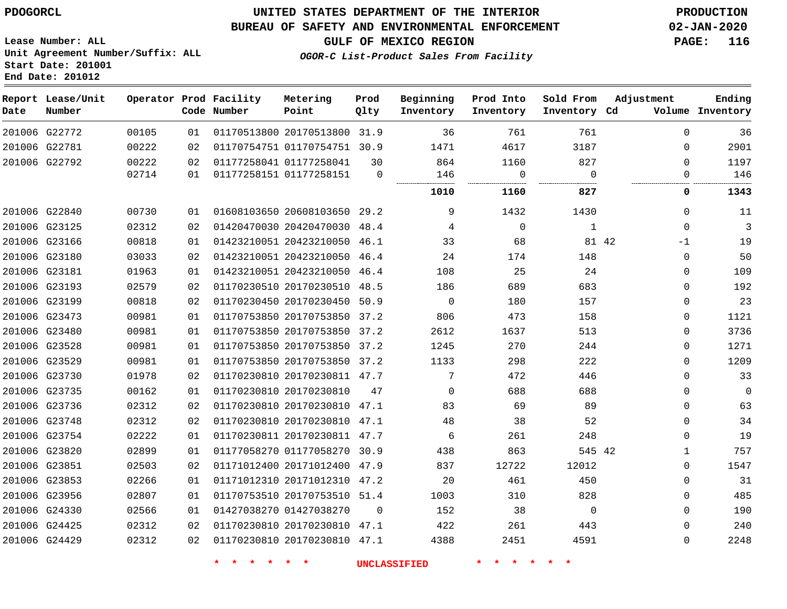### **UNITED STATES DEPARTMENT OF THE INTERIOR PDOGORCL PRODUCTION**

#### **BUREAU OF SAFETY AND ENVIRONMENTAL ENFORCEMENT 02-JAN-2020**

**Lease Number: ALL Unit Agreement Number/Suffix: ALL Start Date: 201001 End Date: 201012**

**OGOR-C List-Product Sales From Facility**

**GULF OF MEXICO REGION PAGE: 116**

| Date | Report Lease/Unit<br>Number |       |    | Operator Prod Facility<br>Code Number | Metering<br>Point            | Prod<br>Qlty | Beginning<br>Inventory | Prod Into<br>Inventory | Sold From<br>Inventory Cd | Adjustment    | Ending<br>Volume Inventory |
|------|-----------------------------|-------|----|---------------------------------------|------------------------------|--------------|------------------------|------------------------|---------------------------|---------------|----------------------------|
|      | 201006 G22772               | 00105 | 01 |                                       | 01170513800 20170513800 31.9 |              | 36                     | 761                    | 761                       | $\Omega$      | 36                         |
|      | 201006 G22781               | 00222 | 02 |                                       | 01170754751 01170754751 30.9 |              | 1471                   | 4617                   | 3187                      | $\Omega$      | 2901                       |
|      | 201006 G22792               | 00222 | 02 |                                       | 01177258041 01177258041      | 30           | 864                    | 1160                   | 827                       | $\Omega$      | 1197                       |
|      |                             | 02714 | 01 |                                       | 01177258151 01177258151      | $\Omega$     | 146                    | $\mathbf 0$            | $\Omega$                  | 0             | 146                        |
|      |                             |       |    |                                       |                              |              | 1010                   | 1160                   | 827                       | 0             | 1343                       |
|      | 201006 G22840               | 00730 | 01 |                                       | 01608103650 20608103650 29.2 |              | 9                      | 1432                   | 1430                      | $\mathbf 0$   | 11                         |
|      | 201006 G23125               | 02312 | 02 |                                       | 01420470030 20420470030 48.4 |              | 4                      | $\mathbf 0$            | $\mathbf{1}$              | $\mathbf 0$   | $\overline{3}$             |
|      | 201006 G23166               | 00818 | 01 |                                       | 01423210051 20423210050 46.1 |              | 33                     | 68                     |                           | 81 42<br>$-1$ | 19                         |
|      | 201006 G23180               | 03033 | 02 |                                       | 01423210051 20423210050 46.4 |              | 24                     | 174                    | 148                       | $\Omega$      | 50                         |
|      | 201006 G23181               | 01963 | 01 |                                       | 01423210051 20423210050 46.4 |              | 108                    | 25                     | 24                        | $\Omega$      | 109                        |
|      | 201006 G23193               | 02579 | 02 |                                       | 01170230510 20170230510 48.5 |              | 186                    | 689                    | 683                       | $\Omega$      | 192                        |
|      | 201006 G23199               | 00818 | 02 |                                       | 01170230450 20170230450 50.9 |              | $\mathbf 0$            | 180                    | 157                       | $\mathbf 0$   | 23                         |
|      | 201006 G23473               | 00981 | 01 |                                       | 01170753850 20170753850 37.2 |              | 806                    | 473                    | 158                       | $\mathbf 0$   | 1121                       |
|      | 201006 G23480               | 00981 | 01 |                                       | 01170753850 20170753850 37.2 |              | 2612                   | 1637                   | 513                       | $\mathbf 0$   | 3736                       |
|      | 201006 G23528               | 00981 | 01 |                                       | 01170753850 20170753850 37.2 |              | 1245                   | 270                    | 244                       | $\mathbf 0$   | 1271                       |
|      | 201006 G23529               | 00981 | 01 |                                       | 01170753850 20170753850 37.2 |              | 1133                   | 298                    | 222                       | $\mathbf 0$   | 1209                       |
|      | 201006 G23730               | 01978 | 02 |                                       | 01170230810 20170230811 47.7 |              | 7                      | 472                    | 446                       | $\Omega$      | 33                         |
|      | 201006 G23735               | 00162 | 01 |                                       | 01170230810 20170230810      | 47           | $\Omega$               | 688                    | 688                       | $\Omega$      | $\Omega$                   |
|      | 201006 G23736               | 02312 | 02 |                                       | 01170230810 20170230810 47.1 |              | 83                     | 69                     | 89                        | $\Omega$      | 63                         |
|      | 201006 G23748               | 02312 | 02 |                                       | 01170230810 20170230810 47.1 |              | 48                     | 38                     | 52                        | $\Omega$      | 34                         |
|      | 201006 G23754               | 02222 | 01 |                                       | 01170230811 20170230811 47.7 |              | 6                      | 261                    | 248                       | $\mathbf 0$   | 19                         |
|      | 201006 G23820               | 02899 | 01 |                                       | 01177058270 01177058270 30.9 |              | 438                    | 863                    | 545 42                    | $\mathbf{1}$  | 757                        |
|      | 201006 G23851               | 02503 | 02 |                                       | 01171012400 20171012400 47.9 |              | 837                    | 12722                  | 12012                     | $\mathbf 0$   | 1547                       |
|      | 201006 G23853               | 02266 | 01 |                                       | 01171012310 20171012310 47.2 |              | 20                     | 461                    | 450                       | $\mathbf 0$   | 31                         |
|      | 201006 G23956               | 02807 | 01 |                                       | 01170753510 20170753510 51.4 |              | 1003                   | 310                    | 828                       | $\Omega$      | 485                        |
|      | 201006 G24330               | 02566 | 01 | 01427038270 01427038270               |                              | $\Omega$     | 152                    | 38                     | $\Omega$                  | $\Omega$      | 190                        |
|      | 201006 G24425               | 02312 | 02 |                                       | 01170230810 20170230810 47.1 |              | 422                    | 261                    | 443                       | $\Omega$      | 240                        |
|      | 201006 G24429               | 02312 | 02 |                                       | 01170230810 20170230810 47.1 |              | 4388                   | 2451                   | 4591                      | $\Omega$      | 2248                       |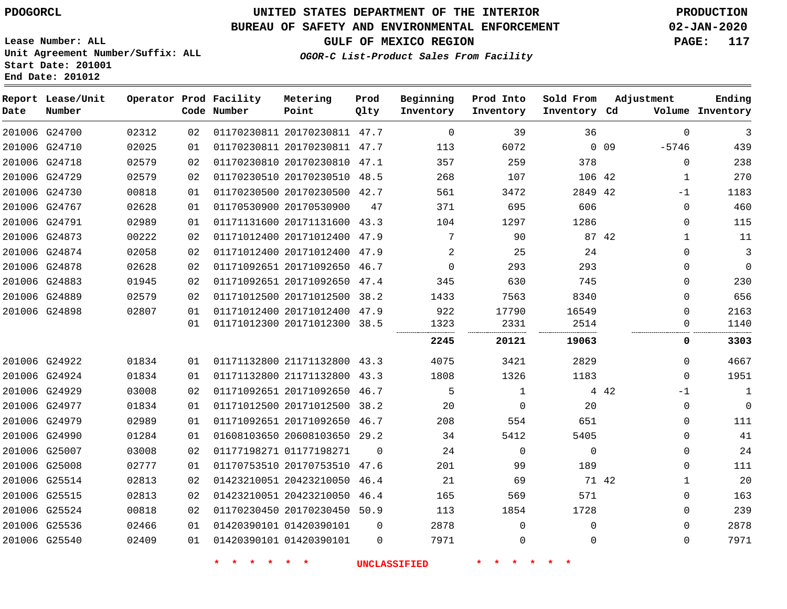G24700 G24710 G24718 G24729 G24730 G24767 G24791 G24873 G24874 G24878 G24883 G24889 G24898

**Date**

**Report Lease/Unit**

**Number**

 G24922 G24924 G24929 G24977 G24979 G24990 G25007 G25008 G25514 G25515 G25524 G25536 G25540

# **UNITED STATES DEPARTMENT OF THE INTERIOR PDOGORCL PRODUCTION**

**Prod Qlty**

#### **BUREAU OF SAFETY AND ENVIRONMENTAL ENFORCEMENT 02-JAN-2020**

**Lease Number: ALL Unit Agreement Number/Suffix: ALL Start Date: 201001 End Date: 201012**

**Operator Prod Facility**

**Code Number**

**Prod Into Inventory**

**Beginning Inventory**

**GULF OF MEXICO REGION PAGE: 117**

**Inventory Cd Volume**

**Adjustment**

 -5746  $\Omega$  -1  $\Omega$  $\Omega$   $\Omega$  $\Omega$  $\Omega$  $\Omega$  $\overline{0}$  $\overline{0}$ 

> $\Omega$  -1  $\Omega$  $\Omega$  $\Omega$  $\Omega$   $\Omega$  $\Omega$  $\Omega$  $\Omega$

**Ending**

| 02 |  | 48.5                                                                                                                                                                                                                                                                                                                                                                                                                                                                    | 268      | 107      |       |    |                                         | 270         |
|----|--|-------------------------------------------------------------------------------------------------------------------------------------------------------------------------------------------------------------------------------------------------------------------------------------------------------------------------------------------------------------------------------------------------------------------------------------------------------------------------|----------|----------|-------|----|-----------------------------------------|-------------|
| 01 |  | 42.7                                                                                                                                                                                                                                                                                                                                                                                                                                                                    | 561      | 3472     |       | 42 | $-1$                                    | 1183        |
| 01 |  | 47                                                                                                                                                                                                                                                                                                                                                                                                                                                                      | 371      | 695      |       |    |                                         | 460         |
| 01 |  | 43.3                                                                                                                                                                                                                                                                                                                                                                                                                                                                    | 104      | 1297     | 1286  |    | <sup>n</sup>                            | 115         |
| 02 |  | 47.9                                                                                                                                                                                                                                                                                                                                                                                                                                                                    | 7        | 90       |       | 42 |                                         | 11          |
| 02 |  | 47.9                                                                                                                                                                                                                                                                                                                                                                                                                                                                    | 2        | 25       | 24    |    | 0                                       | 3           |
| 02 |  | 46.7                                                                                                                                                                                                                                                                                                                                                                                                                                                                    |          | 293      |       |    | $\Omega$                                | $\mathbf 0$ |
| 02 |  | 47.4                                                                                                                                                                                                                                                                                                                                                                                                                                                                    | 345      | 630      | 745   |    | $\Omega$                                | 230         |
| 02 |  | 38.2                                                                                                                                                                                                                                                                                                                                                                                                                                                                    | 1433     | 7563     | 8340  |    | O                                       | 656         |
| 01 |  | 47.9                                                                                                                                                                                                                                                                                                                                                                                                                                                                    | 922      | 17790    | 16549 |    |                                         | 2163        |
| 01 |  | 38.5                                                                                                                                                                                                                                                                                                                                                                                                                                                                    | 1323<br> | 2331     | 2514  |    |                                         | 1140        |
|    |  |                                                                                                                                                                                                                                                                                                                                                                                                                                                                         | 2245     | 20121    | 19063 |    | O                                       | 3303        |
| 01 |  | 43.3                                                                                                                                                                                                                                                                                                                                                                                                                                                                    | 4075     | 3421     | 2829  |    | <sup>0</sup>                            | 4667        |
| 01 |  | 43.3                                                                                                                                                                                                                                                                                                                                                                                                                                                                    | 1808     | 1326     | 1183  |    |                                         | 1951        |
| 02 |  | 46.7                                                                                                                                                                                                                                                                                                                                                                                                                                                                    | 5        |          |       | 42 | $-1$                                    |             |
| 01 |  | 38.2                                                                                                                                                                                                                                                                                                                                                                                                                                                                    | 20       | $\Omega$ | 20    |    | 0                                       | 0           |
| 01 |  | 46.7                                                                                                                                                                                                                                                                                                                                                                                                                                                                    | 208      | 554      | 651   |    |                                         | 111         |
| 01 |  | 29.2                                                                                                                                                                                                                                                                                                                                                                                                                                                                    | 34       | 5412     | 5405  |    |                                         | 41          |
|    |  | 01170230510 20170230510<br>01170230500 20170230500<br>01170530900 20170530900<br>01171131600 20171131600<br>01171012400 20171012400<br>01171012400 20171012400<br>01171092651 20171092650<br>01171092651 20171092650<br>01171012500 20171012500<br>01171012400 20171012400<br>01171012300 20171012300<br>01171132800 21171132800<br>01171132800 21171132800<br>01171092651 20171092650<br>01171012500 20171012500<br>01171092651 20171092650<br>01608103650 20608103650 |          |          |       |    | 106 42<br>2849<br>606<br>87<br>293<br>4 |             |

 20170230811 47.7 20170230811 47.7 20170230810 47.1

**Metering Point**

**OGOR-C List-Product Sales From Facility**

01177198271

20423210050

 01420390101 01420390101

20170753510 47.6

 20423210050 46.4 20170230450 50.9

 $\Omega$ 

 $\Omega$  $\Omega$ 

46.4

**\* \* \* \* \* \* UNCLASSIFIED \* \* \* \* \* \***

 $\Omega$   $\Omega$  $\Omega$ 

 $\Omega$ 

42

  $\Omega$ 

0 0 9

**Sold From Inventory**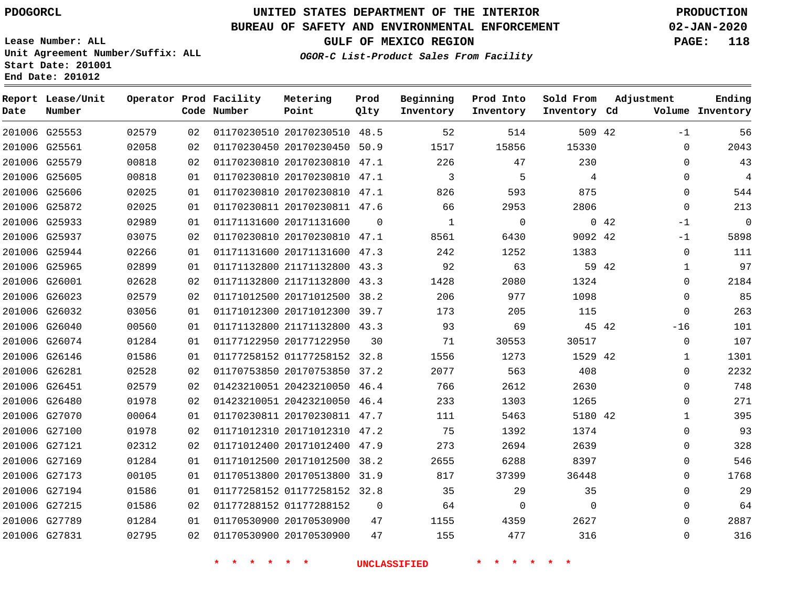# **UNITED STATES DEPARTMENT OF THE INTERIOR PDOGORCL PRODUCTION**

**Prod**

#### **BUREAU OF SAFETY AND ENVIRONMENTAL ENFORCEMENT 02-JAN-2020**

**Lease Number: ALL Unit Agreement Number/Suffix: ALL Start Date: 201001 End Date: 201012**

**OGOR-C List-Product Sales From Facility**

**Beginning**

**GULF OF MEXICO REGION PAGE: 118**

**Adjustment**

**Ending**

| Date | Report Lease/Unit<br>Number |       |    | Operator Prod Facility<br>Code Number | Metering<br>Point            | Prod<br>Qlty | Beginning<br>Inventory | Prod Into<br>Inventory     | Sold From<br>Inventory Cd | Adjustment | Ending<br>Volume Inventory |
|------|-----------------------------|-------|----|---------------------------------------|------------------------------|--------------|------------------------|----------------------------|---------------------------|------------|----------------------------|
|      | 201006 G25553               | 02579 | 02 |                                       | 01170230510 20170230510 48.5 |              | 52                     | 514                        | 509 42                    |            | 56<br>$-1$                 |
|      | 201006 G25561               | 02058 | 02 |                                       | 01170230450 20170230450 50.9 |              | 1517                   | 15856                      | 15330                     |            | 2043<br>0                  |
|      | 201006 G25579               | 00818 | 02 |                                       | 01170230810 20170230810 47.1 |              | 226                    | 47                         | 230                       |            | 43<br>0                    |
|      | 201006 G25605               | 00818 | 01 |                                       | 01170230810 20170230810 47.1 |              | 3                      | 5                          | 4                         |            | $\overline{4}$<br>0        |
|      | 201006 G25606               | 02025 | 01 |                                       | 01170230810 20170230810 47.1 |              | 826                    | 593                        | 875                       |            | 544<br>$\Omega$            |
|      | 201006 G25872               | 02025 | 01 |                                       | 01170230811 20170230811 47.6 |              | 66                     | 2953                       | 2806                      |            | 213<br>$\Omega$            |
|      | 201006 G25933               | 02989 | 01 |                                       | 01171131600 20171131600      | $\Omega$     | $\mathbf{1}$           | $\mathbf 0$                |                           | 042        | $\mathbf 0$<br>$-1$        |
|      | 201006 G25937               | 03075 | 02 |                                       | 01170230810 20170230810 47.1 |              | 8561                   | 6430                       | 9092 42                   |            | 5898<br>$-1$               |
|      | 201006 G25944               | 02266 | 01 |                                       | 01171131600 20171131600 47.3 |              | 242                    | 1252                       | 1383                      |            | 0<br>111                   |
|      | 201006 G25965               | 02899 | 01 |                                       | 01171132800 21171132800 43.3 |              | 92                     | 63                         | 59 42                     |            | 97<br>$\mathbf{1}$         |
|      | 201006 G26001               | 02628 | 02 |                                       | 01171132800 21171132800 43.3 |              | 1428                   | 2080                       | 1324                      |            | 2184<br>0                  |
|      | 201006 G26023               | 02579 | 02 |                                       | 01171012500 20171012500 38.2 |              | 206                    | 977                        | 1098                      |            | 85<br>$\mathbf 0$          |
|      | 201006 G26032               | 03056 | 01 |                                       | 01171012300 20171012300 39.7 |              | 173                    | 205                        | 115                       |            | 263<br>$\mathbf{0}$        |
|      | 201006 G26040               | 00560 | 01 |                                       | 01171132800 21171132800 43.3 |              | 93                     | 69                         | 45 42                     | $-16$      | 101                        |
|      | 201006 G26074               | 01284 | 01 |                                       | 01177122950 20177122950      | 30           | 71                     | 30553                      | 30517                     |            | 0<br>107                   |
|      | 201006 G26146               | 01586 | 01 |                                       | 01177258152 01177258152 32.8 |              | 1556                   | 1273                       | 1529 42                   |            | 1301<br>$\mathbf{1}$       |
|      | 201006 G26281               | 02528 | 02 |                                       | 01170753850 20170753850 37.2 |              | 2077                   | 563                        | 408                       |            | 2232<br>$\mathbf 0$        |
|      | 201006 G26451               | 02579 | 02 |                                       | 01423210051 20423210050 46.4 |              | 766                    | 2612                       | 2630                      |            | 748<br>$\mathbf 0$         |
|      | 201006 G26480               | 01978 | 02 |                                       | 01423210051 20423210050 46.4 |              | 233                    | 1303                       | 1265                      |            | 271<br>$\Omega$            |
|      | 201006 G27070               | 00064 | 01 |                                       | 01170230811 20170230811 47.7 |              | 111                    | 5463                       | 5180 42                   |            | 395<br>1                   |
|      | 201006 G27100               | 01978 | 02 |                                       | 01171012310 20171012310 47.2 |              | 75                     | 1392                       | 1374                      |            | 93<br>$\Omega$             |
|      | 201006 G27121               | 02312 | 02 |                                       | 01171012400 20171012400 47.9 |              | 273                    | 2694                       | 2639                      |            | 328<br>0                   |
|      | 201006 G27169               | 01284 | 01 |                                       | 01171012500 20171012500 38.2 |              | 2655                   | 6288                       | 8397                      |            | 546<br>0                   |
|      | 201006 G27173               | 00105 | 01 |                                       | 01170513800 20170513800 31.9 |              | 817                    | 37399                      | 36448                     |            | 1768<br>$\mathbf 0$        |
|      | 201006 G27194               | 01586 | 01 |                                       | 01177258152 01177258152 32.8 |              | 35                     | 29                         | 35                        |            | 29<br>$\mathbf 0$          |
|      | 201006 G27215               | 01586 | 02 |                                       | 01177288152 01177288152      | $\mathbf 0$  | 64                     | 0                          | $\Omega$                  |            | 64<br>$\mathbf 0$          |
|      | 201006 G27789               | 01284 | 01 |                                       | 01170530900 20170530900      | 47           | 1155                   | 4359                       | 2627                      |            | 2887<br>$\Omega$           |
|      | 201006 G27831               | 02795 | 02 |                                       | 01170530900 20170530900      | 47           | 155                    | 477                        | 316                       |            | 316<br>$\mathbf{0}$        |
|      |                             |       |    | $\star$<br>$\star$ $\star$<br>$\star$ | $\star$<br>$\star$           |              | <b>UNCLASSIFIED</b>    | $\star$ $\star$<br>$\star$ | $\star$<br>$\ast$         |            |                            |

**Metering**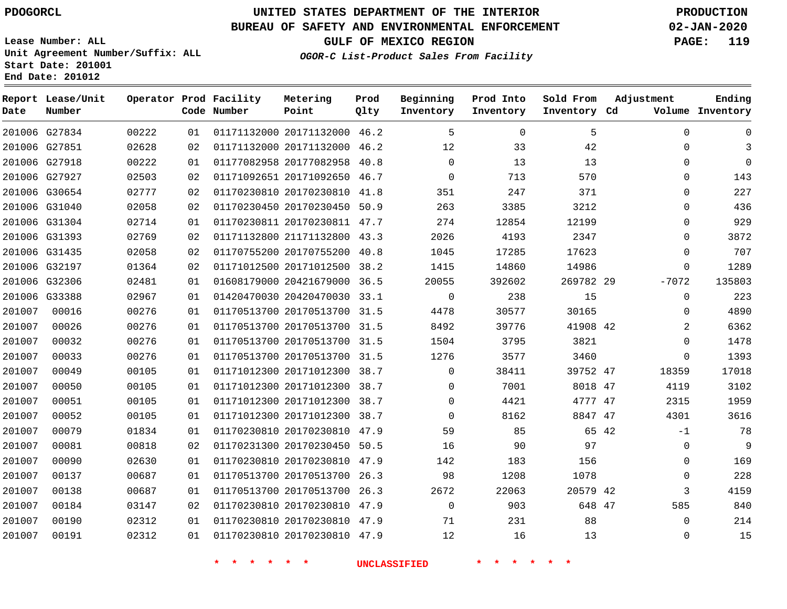G27834 G27851 G27918

**Date**

**Report Lease/Unit**

**Number**

# **UNITED STATES DEPARTMENT OF THE INTERIOR PDOGORCL PRODUCTION**

**Prod Qlty**

#### **BUREAU OF SAFETY AND ENVIRONMENTAL ENFORCEMENT 02-JAN-2020**

**Lease Number: ALL Unit Agreement Number/Suffix: ALL Start Date: 201001 End Date: 201012**

> 

**Operator Prod Facility**

**Code Number**

 20171132000 46.2 20171132000 46.2 20177082958 40.8

**Metering Point**

  **OGOR-C List-Product Sales From Facility**

  $\Omega$ 

 

 

**Sold From Inventory**

**Prod Into Inventory**

**Beginning Inventory**

**GULF OF MEXICO REGION PAGE: 119**

**Inventory Cd Volume**

**Adjustment**

**Ending**

|        | 201006 G27927 | 02503 | 02 |                                    | 01171092651 20171092650 46.7 | $\mathbf 0$         | 713                   | 570       |  |
|--------|---------------|-------|----|------------------------------------|------------------------------|---------------------|-----------------------|-----------|--|
|        | 201006 G30654 | 02777 | 02 |                                    | 01170230810 20170230810 41.8 | 351                 | 247                   | 371       |  |
|        | 201006 G31040 | 02058 | 02 |                                    | 01170230450 20170230450 50.9 | 263                 | 3385                  | 3212      |  |
|        | 201006 G31304 | 02714 | 01 |                                    | 01170230811 20170230811 47.7 | 274                 | 12854                 | 12199     |  |
|        | 201006 G31393 | 02769 | 02 |                                    | 01171132800 21171132800 43.3 | 2026                | 4193                  | 2347      |  |
|        | 201006 G31435 | 02058 | 02 |                                    | 01170755200 20170755200 40.8 | 1045                | 17285                 | 17623     |  |
|        | 201006 G32197 | 01364 | 02 |                                    | 01171012500 20171012500 38.2 | 1415                | 14860                 | 14986     |  |
|        | 201006 G32306 | 02481 | 01 |                                    | 01608179000 20421679000 36.5 | 20055               | 392602                | 269782 29 |  |
|        | 201006 G33388 | 02967 | 01 |                                    | 01420470030 20420470030 33.1 | $\mathbf{0}$        | 238                   | 15        |  |
| 201007 | 00016         | 00276 | 01 |                                    | 01170513700 20170513700 31.5 | 4478                | 30577                 | 30165     |  |
| 201007 | 00026         | 00276 | 01 |                                    | 01170513700 20170513700 31.5 | 8492                | 39776                 | 41908 42  |  |
| 201007 | 00032         | 00276 | 01 |                                    | 01170513700 20170513700 31.5 | 1504                | 3795                  | 3821      |  |
| 201007 | 00033         | 00276 | 01 |                                    | 01170513700 20170513700 31.5 | 1276                | 3577                  | 3460      |  |
| 201007 | 00049         | 00105 | 01 |                                    | 01171012300 20171012300 38.7 | $\Omega$            | 38411                 | 39752 47  |  |
| 201007 | 00050         | 00105 | 01 |                                    | 01171012300 20171012300 38.7 | $\Omega$            | 7001                  | 8018 47   |  |
| 201007 | 00051         | 00105 | 01 |                                    | 01171012300 20171012300 38.7 | $\mathbf 0$         | 4421                  | 4777 47   |  |
| 201007 | 00052         | 00105 | 01 |                                    | 01171012300 20171012300 38.7 | $\Omega$            | 8162                  | 8847 47   |  |
| 201007 | 00079         | 01834 | 01 |                                    | 01170230810 20170230810 47.9 | 59                  | 85                    | 65 42     |  |
| 201007 | 00081         | 00818 | 02 |                                    | 01170231300 20170230450 50.5 | 16                  | 90                    | 97        |  |
| 201007 | 00090         | 02630 | 01 |                                    | 01170230810 20170230810 47.9 | 142                 | 183                   | 156       |  |
| 201007 | 00137         | 00687 | 01 |                                    | 01170513700 20170513700 26.3 | 98                  | 1208                  | 1078      |  |
| 201007 | 00138         | 00687 | 01 |                                    | 01170513700 20170513700 26.3 | 2672                | 22063                 | 20579 42  |  |
| 201007 | 00184         | 03147 | 02 |                                    | 01170230810 20170230810 47.9 | $\mathbf 0$         | 903                   | 648 47    |  |
| 201007 | 00190         | 02312 | 01 |                                    | 01170230810 20170230810 47.9 | 71                  | 231                   | 88        |  |
| 201007 | 00191         | 02312 | 01 |                                    | 01170230810 20170230810 47.9 | 12                  | 16                    | 13        |  |
|        |               |       |    |                                    |                              |                     |                       |           |  |
|        |               |       |    | $\star$ $\star$<br>$\star$ $\star$ | 一米                           | <b>UNCLASSIFIED</b> | $\star$ $\star$<br>一米 |           |  |
|        |               |       |    |                                    |                              |                     |                       |           |  |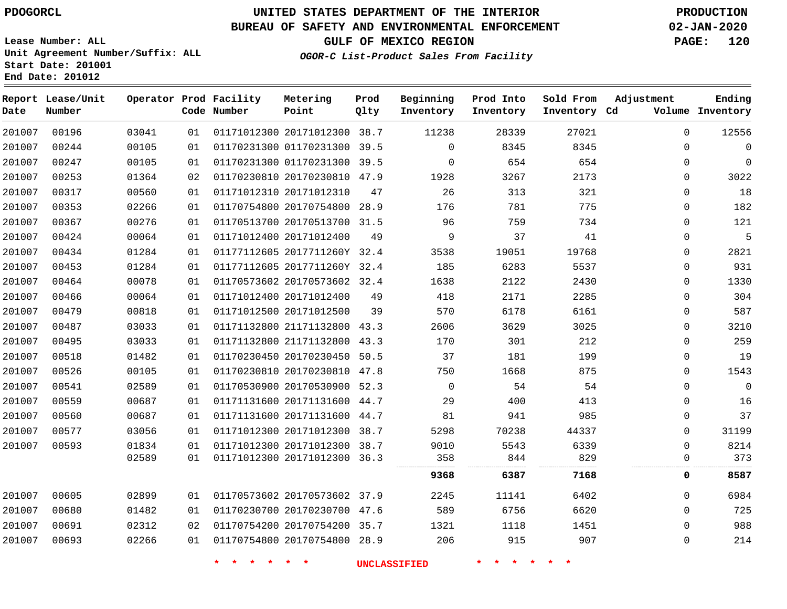**End Date: 201012**

### **UNITED STATES DEPARTMENT OF THE INTERIOR PDOGORCL PRODUCTION**

### **BUREAU OF SAFETY AND ENVIRONMENTAL ENFORCEMENT 02-JAN-2020**

**Lease Number: ALL Unit Agreement Number/Suffix: ALL Start Date: 201001**

**OGOR-C List-Product Sales From Facility**

**GULF OF MEXICO REGION PAGE: 120**

| Date   | Report Lease/Unit<br>Number |       |    | Operator Prod Facility<br>Code Number | Metering<br>Point            | Prod<br>Qlty | Beginning<br>Inventory | Prod Into<br>Inventory | Sold From<br>Inventory Cd | Adjustment   | Ending<br>Volume Inventory |
|--------|-----------------------------|-------|----|---------------------------------------|------------------------------|--------------|------------------------|------------------------|---------------------------|--------------|----------------------------|
| 201007 | 00196                       | 03041 | 01 |                                       | 01171012300 20171012300 38.7 |              | 11238                  | 28339                  | 27021                     | $\mathbf 0$  | 12556                      |
| 201007 | 00244                       | 00105 | 01 |                                       | 01170231300 01170231300 39.5 |              | $\Omega$               | 8345                   | 8345                      | $\Omega$     | 0                          |
| 201007 | 00247                       | 00105 | 01 |                                       | 01170231300 01170231300      | 39.5         | $\mathbf 0$            | 654                    | 654                       | 0            | 0                          |
| 201007 | 00253                       | 01364 | 02 |                                       | 01170230810 20170230810 47.9 |              | 1928                   | 3267                   | 2173                      | 0            | 3022                       |
| 201007 | 00317                       | 00560 | 01 |                                       | 01171012310 20171012310      | 47           | 26                     | 313                    | 321                       | $\Omega$     | 18                         |
| 201007 | 00353                       | 02266 | 01 |                                       | 01170754800 20170754800 28.9 |              | 176                    | 781                    | 775                       | $\Omega$     | 182                        |
| 201007 | 00367                       | 00276 | 01 |                                       | 01170513700 20170513700      | 31.5         | 96                     | 759                    | 734                       | $\Omega$     | 121                        |
| 201007 | 00424                       | 00064 | 01 |                                       | 01171012400 20171012400      | 49           | 9                      | 37                     | 41                        | 0            | 5                          |
| 201007 | 00434                       | 01284 | 01 |                                       | 01177112605 2017711260Y 32.4 |              | 3538                   | 19051                  | 19768                     | 0            | 2821                       |
| 201007 | 00453                       | 01284 | 01 |                                       | 01177112605 2017711260Y 32.4 |              | 185                    | 6283                   | 5537                      | 0            | 931                        |
| 201007 | 00464                       | 00078 | 01 |                                       | 01170573602 20170573602 32.4 |              | 1638                   | 2122                   | 2430                      | 0            | 1330                       |
| 201007 | 00466                       | 00064 | 01 |                                       | 01171012400 20171012400      | 49           | 418                    | 2171                   | 2285                      | $\Omega$     | 304                        |
| 201007 | 00479                       | 00818 | 01 |                                       | 01171012500 20171012500      | 39           | 570                    | 6178                   | 6161                      | $\Omega$     | 587                        |
| 201007 | 00487                       | 03033 | 01 |                                       | 01171132800 21171132800      | 43.3         | 2606                   | 3629                   | 3025                      | $\Omega$     | 3210                       |
| 201007 | 00495                       | 03033 | 01 |                                       | 01171132800 21171132800      | 43.3         | 170                    | 301                    | 212                       | 0            | 259                        |
| 201007 | 00518                       | 01482 | 01 |                                       | 01170230450 20170230450      | 50.5         | 37                     | 181                    | 199                       | 0            | 19                         |
| 201007 | 00526                       | 00105 | 01 |                                       | 01170230810 20170230810      | 47.8         | 750                    | 1668                   | 875                       | $\Omega$     | 1543                       |
| 201007 | 00541                       | 02589 | 01 |                                       | 01170530900 20170530900 52.3 |              | $\mathbf 0$            | 54                     | 54                        | $\Omega$     | 0                          |
| 201007 | 00559                       | 00687 | 01 |                                       | 01171131600 20171131600      | 44.7         | 29                     | 400                    | 413                       | $\Omega$     | 16                         |
| 201007 | 00560                       | 00687 | 01 |                                       | 01171131600 20171131600      | 44.7         | 81                     | 941                    | 985                       | 0            | 37                         |
| 201007 | 00577                       | 03056 | 01 |                                       | 01171012300 20171012300      | 38.7         | 5298                   | 70238                  | 44337                     | $\Omega$     | 31199                      |
| 201007 | 00593                       | 01834 | 01 |                                       | 01171012300 20171012300 38.7 |              | 9010                   | 5543                   | 6339                      | $\mathbf 0$  | 8214                       |
|        |                             | 02589 | 01 |                                       | 01171012300 20171012300      | 36.3         | 358<br>                | 844                    | 829                       | $\mathbf 0$  | 373                        |
|        |                             |       |    |                                       |                              |              | 9368                   | 6387                   | 7168                      | 0            | 8587                       |
| 201007 | 00605                       | 02899 | 01 |                                       | 01170573602 20170573602 37.9 |              | 2245                   | 11141                  | 6402                      | $\Omega$     | 6984                       |
| 201007 | 00680                       | 01482 | 01 |                                       | 01170230700 20170230700 47.6 |              | 589                    | 6756                   | 6620                      | $\Omega$     | 725                        |
| 201007 | 00691                       | 02312 | 02 |                                       | 01170754200 20170754200      | 35.7         | 1321                   | 1118                   | 1451                      | 0            | 988                        |
| 201007 | 00693                       | 02266 | 01 |                                       | 01170754800 20170754800 28.9 |              | 206                    | 915                    | 907                       | $\mathbf{0}$ | 214                        |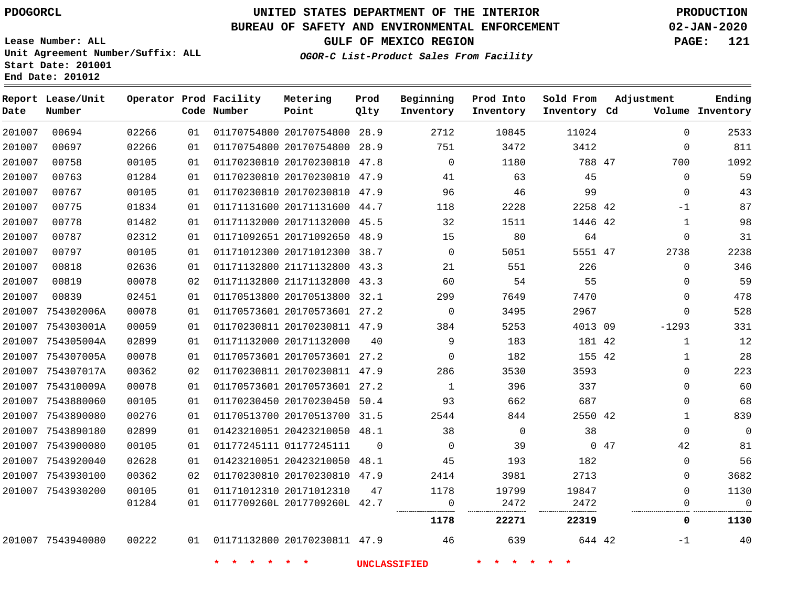**Report Lease/Unit**

**Number**

**Date**

### **UNITED STATES DEPARTMENT OF THE INTERIOR PDOGORCL PRODUCTION**

**Prod Qlty**

#### **BUREAU OF SAFETY AND ENVIRONMENTAL ENFORCEMENT 02-JAN-2020**

**Lease Number: ALL Unit Agreement Number/Suffix: ALL Start Date: 201001 End Date: 201012**

**Operator Prod Facility**

**Code Number**

 20170754800 28.9 20170754800 28.9 20170230810 47.8 20170230810 47.9 20170230810 47.9 20171131600 44.7

**Metering Point**

**OGOR-C List-Product Sales From Facility**

**Prod Into Inventory**

**Beginning Inventory**

**GULF OF MEXICO REGION PAGE: 121**

**Inventory Cd Volume**

**Adjustment**

  $\Omega$   $\Omega$  $\Omega$ -1  $\Omega$   $\Omega$  $\Omega$  $\Omega$  $\Omega$ -1293  $\Omega$  $\cap$  $\Omega$   $\Omega$   $\Omega$ 

**Ending**

-1

47

 

 

**Sold From Inventory**

42

644 42

|       |    |                         |          | 1178     | 22271    | 22319    |    | 0            | 1130     |
|-------|----|-------------------------|----------|----------|----------|----------|----|--------------|----------|
| 01284 | 01 | 0117709260L 2017709260L | 42.7     | 0        | 2472     | 2472     |    | 0            | 0        |
| 00105 | 01 | 01171012310 20171012310 | 47       | 1178     | 19799    | 19847    |    | 0            | 1130     |
| 00362 | 02 | 01170230810 20170230810 | 47.9     | 2414     | 3981     | 2713     |    | 0            | 3682     |
| 02628 | 01 | 01423210051 20423210050 | 48.1     | 45       | 193      | 182      |    | 0            | 56       |
| 00105 | 01 | 01177245111 01177245111 | $\Omega$ | 0        | 39       | $\Omega$ | 47 | 42           | 81       |
| 02899 | 01 | 01423210051 20423210050 | 48.1     | 38       | $\Omega$ | 38       |    | $\Omega$     | $\Omega$ |
| 00276 | 01 | 01170513700 20170513700 | 31.5     | 2544     | 844      | 2550 42  |    |              | 839      |
| 00105 | 01 | 01170230450 20170230450 | 50.4     | 93       | 662      | 687      |    | 0            | 68       |
| 00078 | 01 | 01170573601 20170573601 | 27.2     | 1        | 396      | 337      |    | 0            | 60       |
| 00362 | 02 | 01170230811 20170230811 | 47.9     | 286      | 3530     | 3593     |    | 0            | 223      |
| 00078 | 01 | 01170573601 20170573601 | 27.2     | 0        | 182      | 155 42   |    |              | 28       |
| 02899 | 01 | 01171132000 20171132000 | 40       | 9        | 183      | 181 42   |    | 1            | 12       |
| 00059 | 01 | 01170230811 20170230811 | 47.9     | 384      | 5253     | 4013 09  |    | $-1293$      | 331      |
| 00078 | 01 | 01170573601 20170573601 | 27.2     | 0        | 3495     | 2967     |    | 0            | 528      |
| 02451 | 01 | 01170513800 20170513800 | 32.1     | 299      | 7649     | 7470     |    | 0            | 478      |
| 00078 | 02 | 01171132800 21171132800 | 43.3     | 60       | 54       | 55       |    | $\Omega$     | 59       |
| 02636 | 01 | 01171132800 21171132800 | 43.3     | 21       | 551      | 226      |    | $\Omega$     | 346      |
| 00105 | 01 | 01171012300 20171012300 | 38.7     | $\Omega$ | 5051     | 5551 47  |    | 2738         | 2238     |
| 02312 | 01 | 01171092651 20171092650 | 48.9     | 15       | 80       | 64       |    | <sup>0</sup> | 31       |
| 01482 | 01 | 01171132000 20171132000 | 45.5     | 32       | 1511     | 1446 42  |    |              | 98       |

7543940080

20170230811 47.9

**\* \* \* \* \* \* UNCLASSIFIED \* \* \* \* \* \***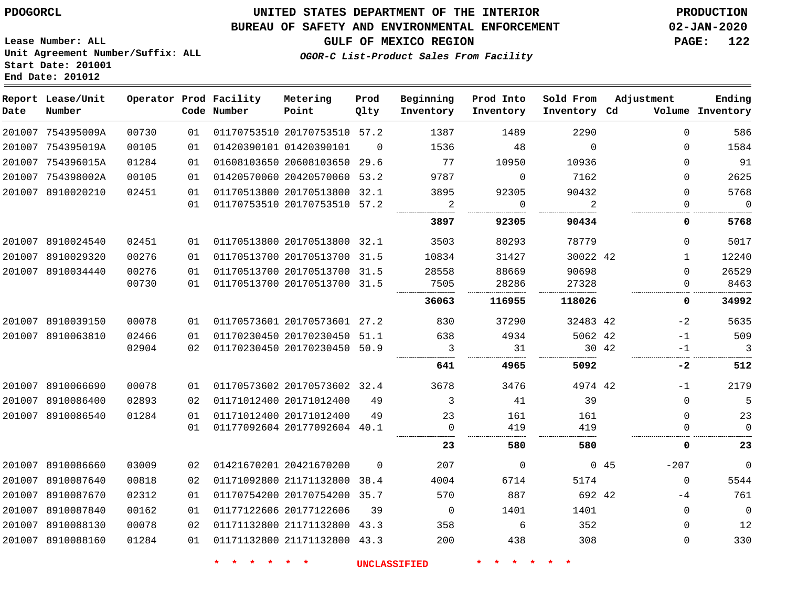### **UNITED STATES DEPARTMENT OF THE INTERIOR PDOGORCL PRODUCTION**

#### **BUREAU OF SAFETY AND ENVIRONMENTAL ENFORCEMENT 02-JAN-2020**

**OGOR-C List-Product Sales From Facility**

**GULF OF MEXICO REGION PAGE: 122**

**Lease Number: ALL Unit Agreement Number/Suffix: ALL Start Date: 201001 End Date: 201012**

| Date   | Report Lease/Unit<br>Number |       |    | Operator Prod Facility<br>Code Number | Metering<br>Point            | Prod<br>Qlty | Beginning<br>Inventory | Prod Into<br>Inventory | Sold From<br>Inventory Cd | Adjustment    | Ending<br>Volume Inventory |
|--------|-----------------------------|-------|----|---------------------------------------|------------------------------|--------------|------------------------|------------------------|---------------------------|---------------|----------------------------|
|        | 201007 754395009A           | 00730 | 01 |                                       | 01170753510 20170753510 57.2 |              | 1387                   | 1489                   | 2290                      | $\Omega$      | 586                        |
|        | 201007 754395019A           | 00105 | 01 |                                       | 01420390101 01420390101      | $\Omega$     | 1536                   | 48                     | $\Omega$                  | $\Omega$      | 1584                       |
|        | 201007 754396015A           | 01284 | 01 |                                       | 01608103650 20608103650 29.6 |              | 77                     | 10950                  | 10936                     | $\Omega$      | 91                         |
|        | 201007 754398002A           | 00105 | 01 |                                       | 01420570060 20420570060      | 53.2         | 9787                   | $\Omega$               | 7162                      | $\Omega$      | 2625                       |
|        | 201007 8910020210           | 02451 | 01 |                                       | 01170513800 20170513800 32.1 |              | 3895                   | 92305                  | 90432                     | $\Omega$      | 5768                       |
|        |                             |       | 01 |                                       | 01170753510 20170753510 57.2 |              | 2                      | 0                      | 2                         | $\mathbf 0$   | $\overline{0}$             |
|        |                             |       |    |                                       |                              |              | 3897                   | 92305                  | 90434                     | 0             | 5768                       |
|        | 201007 8910024540           | 02451 | 01 |                                       | 01170513800 20170513800 32.1 |              | 3503                   | 80293                  | 78779                     | $\Omega$      | 5017                       |
|        | 201007 8910029320           | 00276 | 01 |                                       | 01170513700 20170513700 31.5 |              | 10834                  | 31427                  | 30022 42                  | $\mathbf{1}$  | 12240                      |
|        | 201007 8910034440           | 00276 | 01 |                                       | 01170513700 20170513700 31.5 |              | 28558                  | 88669                  | 90698                     | $\mathbf 0$   | 26529                      |
|        |                             | 00730 | 01 |                                       | 01170513700 20170513700 31.5 |              | 7505                   | 28286                  | 27328                     | $\mathbf{0}$  | 8463                       |
|        |                             |       |    |                                       |                              |              | 36063                  | 116955                 | 118026                    | 0             | 34992                      |
|        | 201007 8910039150           | 00078 | 01 |                                       | 01170573601 20170573601 27.2 |              | 830                    | 37290                  | 32483 42                  | -2            | 5635                       |
|        | 201007 8910063810           | 02466 | 01 |                                       | 01170230450 20170230450 51.1 |              | 638                    | 4934                   | 5062 42                   | $-1$          | 509                        |
|        |                             | 02904 | 02 |                                       | 01170230450 20170230450 50.9 |              | 3                      | 31                     | 30 42                     | $-1$          | 3                          |
|        |                             |       |    |                                       |                              |              | 641                    | 4965                   | 5092                      | -2            | 512                        |
|        | 201007 8910066690           | 00078 | 01 |                                       | 01170573602 20170573602 32.4 |              | 3678                   | 3476                   | 4974 42                   | $-1$          | 2179                       |
|        | 201007 8910086400           | 02893 | 02 |                                       | 01171012400 20171012400      | 49           | 3                      | 41                     | 39                        | $\mathbf{0}$  | 5                          |
|        | 201007 8910086540           | 01284 | 01 |                                       | 01171012400 20171012400      | 49           | 23                     | 161                    | 161                       | $\Omega$      | 23                         |
|        |                             |       | 01 |                                       | 01177092604 20177092604 40.1 |              | $\Omega$               | 419                    | 419                       | $\Omega$      | $\Omega$                   |
|        |                             |       |    |                                       |                              |              | 23                     | 580                    | 580                       | 0             | 23                         |
|        | 201007 8910086660           | 03009 | 02 |                                       | 01421670201 20421670200      | $\mathbf 0$  | 207                    | $\Omega$               |                           | $-207$<br>045 | $\mathbf 0$                |
|        | 201007 8910087640           | 00818 | 02 |                                       | 01171092800 21171132800 38.4 |              | 4004                   | 6714                   | 5174                      | $\mathbf 0$   | 5544                       |
| 201007 | 8910087670                  | 02312 | 01 |                                       | 01170754200 20170754200 35.7 |              | 570                    | 887                    | 692 42                    | $-4$          | 761                        |
| 201007 | 8910087840                  | 00162 | 01 |                                       | 01177122606 20177122606      | 39           | $\mathbf 0$            | 1401                   | 1401                      | $\mathbf 0$   | $\overline{0}$             |
|        | 201007 8910088130           | 00078 | 02 |                                       | 01171132800 21171132800 43.3 |              | 358                    | 6                      | 352                       | $\Omega$      | 12                         |
|        | 201007 8910088160           | 01284 | 01 |                                       | 01171132800 21171132800 43.3 |              | 200                    | 438                    | 308                       | 0             | 330                        |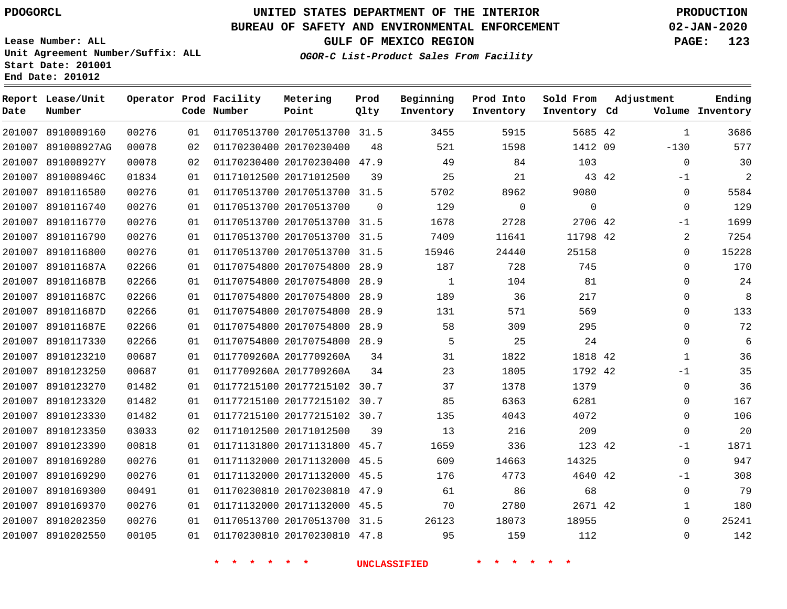**Report Lease/Unit**

# **UNITED STATES DEPARTMENT OF THE INTERIOR PDOGORCL PRODUCTION**

**Prod**

#### **BUREAU OF SAFETY AND ENVIRONMENTAL ENFORCEMENT 02-JAN-2020**

**Lease Number: ALL Unit Agreement Number/Suffix: ALL Start Date: 201001 End Date: 201012**

**Operator Prod Facility**

**OGOR-C List-Product Sales From Facility**

**Beginning Prod Into Sold From**

**GULF OF MEXICO REGION PAGE: 123**

**Adjustment**

**Ending**

| Date | Number             |       |    | Code Number | Point                        | Qlty           | Inventory           | Inventory | Inventory Cd |       |                | Volume Inventory |
|------|--------------------|-------|----|-------------|------------------------------|----------------|---------------------|-----------|--------------|-------|----------------|------------------|
|      | 201007 8910089160  | 00276 | 01 |             | 01170513700 20170513700 31.5 |                | 3455                | 5915      | 5685 42      |       | $\mathbf{1}$   | 3686             |
|      | 201007 891008927AG | 00078 | 02 |             | 01170230400 20170230400      | 48             | 521                 | 1598      | 1412 09      |       | $-130$         | 577              |
|      | 201007 891008927Y  | 00078 | 02 |             | 01170230400 20170230400 47.9 |                | 49                  | 84        | 103          |       | $\overline{0}$ | 30               |
|      | 201007 891008946C  | 01834 | 01 |             | 01171012500 20171012500      | 39             | 25                  | 21        |              | 43 42 | $-1$           | $\overline{2}$   |
|      | 201007 8910116580  | 00276 | 01 |             | 01170513700 20170513700 31.5 |                | 5702                | 8962      | 9080         |       | $\mathbf 0$    | 5584             |
|      | 201007 8910116740  | 00276 | 01 |             | 01170513700 20170513700      | $\overline{0}$ | 129                 | 0         | $\mathbf 0$  |       | $\mathbf 0$    | 129              |
|      | 201007 8910116770  | 00276 | 01 |             | 01170513700 20170513700 31.5 |                | 1678                | 2728      | 2706 42      |       | $-1$           | 1699             |
|      | 201007 8910116790  | 00276 | 01 |             | 01170513700 20170513700 31.5 |                | 7409                | 11641     | 11798 42     |       | 2              | 7254             |
|      | 201007 8910116800  | 00276 | 01 |             | 01170513700 20170513700 31.5 |                | 15946               | 24440     | 25158        |       | $\Omega$       | 15228            |
|      | 201007 891011687A  | 02266 | 01 |             | 01170754800 20170754800 28.9 |                | 187                 | 728       | 745          |       | $\Omega$       | 170              |
|      | 201007 891011687B  | 02266 | 01 |             | 01170754800 20170754800 28.9 |                | 1                   | 104       | 81           |       | $\Omega$       | 24               |
|      | 201007 891011687C  | 02266 | 01 |             | 01170754800 20170754800 28.9 |                | 189                 | 36        | 217          |       | $\Omega$       | -8               |
|      | 201007 891011687D  | 02266 | 01 |             | 01170754800 20170754800 28.9 |                | 131                 | 571       | 569          |       | $\mathbf 0$    | 133              |
|      | 201007 891011687E  | 02266 | 01 |             | 01170754800 20170754800 28.9 |                | 58                  | 309       | 295          |       | $\Omega$       | 72               |
|      | 201007 8910117330  | 02266 | 01 |             | 01170754800 20170754800 28.9 |                | 5                   | 25        | 24           |       | $\Omega$       | 6                |
|      | 201007 8910123210  | 00687 | 01 |             | 0117709260A 2017709260A      | 34             | 31                  | 1822      | 1818 42      |       | $\mathbf{1}$   | 36               |
|      | 201007 8910123250  | 00687 | 01 |             | 0117709260A 2017709260A      | 34             | 23                  | 1805      | 1792 42      |       | $-1$           | 35               |
|      | 201007 8910123270  | 01482 | 01 |             | 01177215100 20177215102 30.7 |                | 37                  | 1378      | 1379         |       | $\mathbf 0$    | 36               |
|      | 201007 8910123320  | 01482 | 01 |             | 01177215100 20177215102 30.7 |                | 85                  | 6363      | 6281         |       | $\Omega$       | 167              |
|      | 201007 8910123330  | 01482 | 01 |             | 01177215100 20177215102 30.7 |                | 135                 | 4043      | 4072         |       | $\mathbf 0$    | 106              |
|      | 201007 8910123350  | 03033 | 02 |             | 01171012500 20171012500      | 39             | 13                  | 216       | 209          |       | $\Omega$       | 20               |
|      | 201007 8910123390  | 00818 | 01 |             | 01171131800 20171131800 45.7 |                | 1659                | 336       | 123 42       |       | $-1$           | 1871             |
|      | 201007 8910169280  | 00276 | 01 |             | 01171132000 20171132000 45.5 |                | 609                 | 14663     | 14325        |       | $\mathbf 0$    | 947              |
|      | 201007 8910169290  | 00276 | 01 |             | 01171132000 20171132000 45.5 |                | 176                 | 4773      | 4640 42      |       | $-1$           | 308              |
|      | 201007 8910169300  | 00491 | 01 |             | 01170230810 20170230810 47.9 |                | 61                  | 86        | 68           |       | $\mathbf 0$    | 79               |
|      | 201007 8910169370  | 00276 | 01 |             | 01171132000 20171132000 45.5 |                | 70                  | 2780      | 2671 42      |       | $\mathbf{1}$   | 180              |
|      | 201007 8910202350  | 00276 | 01 |             | 01170513700 20170513700 31.5 |                | 26123               | 18073     | 18955        |       | $\Omega$       | 25241            |
|      | 201007 8910202550  | 00105 | 01 |             | 01170230810 20170230810 47.8 |                | 95                  | 159       | 112          |       | $\Omega$       | 142              |
|      |                    |       |    | * * * *     | $*$ $*$                      |                | <b>UNCLASSIFIED</b> | * * * *   |              |       |                |                  |

**Metering**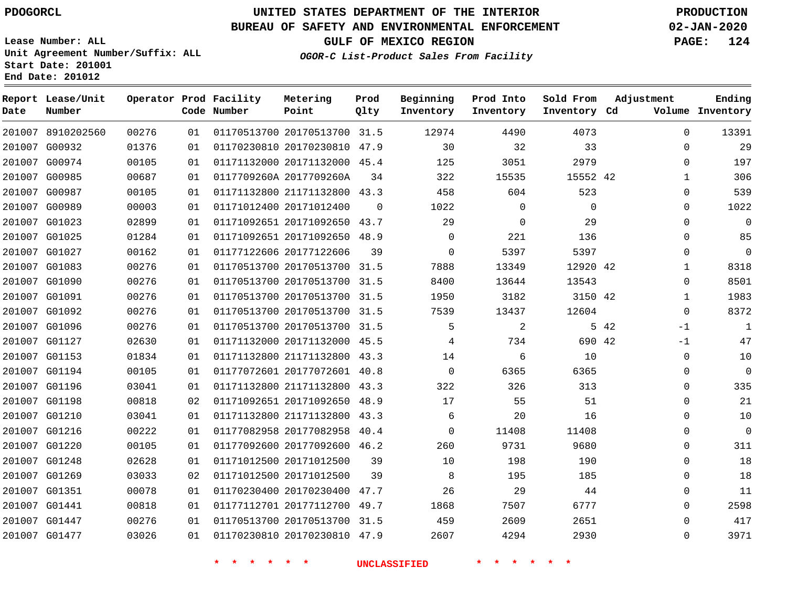8910202560 G00932 G00974 G00985 G00987 G00989 G01023 G01025 G01027 G01083 G01090 G01091 G01092 G01096 G01127 G01153 G01194 G01196 G01198 G01210 G01216 G01220 G01248 G01269 G01351 G01441 G01447 G01477

**Report Lease/Unit**

**Number**

### **UNITED STATES DEPARTMENT OF THE INTERIOR PDOGORCL PRODUCTION**

**Prod Qlty**

#### **BUREAU OF SAFETY AND ENVIRONMENTAL ENFORCEMENT 02-JAN-2020**

**Lease Number: ALL Unit Agreement Number/Suffix: ALL Start Date: 201001 End Date: 201012**

**Operator Prod Facility**

**Code Number**

 20170513700 31.5 20170230810 47.9 20171132000 45.4

**Metering Point**

0117709260A 2017709260A

**OGOR-C List-Product Sales From Facility**

**Prod Into Inventory**

**Beginning Inventory**

**Inventory Cd Volume**

**Adjustment**

  $\Omega$  $\Omega$   $\Omega$  $\Omega$  $\Omega$  $\Omega$   $\overline{0}$ -1  $-1$  $\overline{0}$  $\Omega$  $\Omega$  $\Omega$  $\Omega$  $\overline{0}$  $\Omega$  $\Omega$   $\Omega$ 

42

 

**Sold From Inventory**

**GULF OF MEXICO REGION PAGE: 124**

**Ending**

|       |    |                              | <b>UNCLASSIFIED</b> |             |              |             |    |
|-------|----|------------------------------|---------------------|-------------|--------------|-------------|----|
| 03026 | 01 | 01170230810 20170230810 47.9 |                     | 2607        | 4294         | 2930        |    |
| 00276 | 01 | 01170513700 20170513700      | 31.5                | 459         | 2609         | 2651        |    |
| 00818 | 01 | 01177112701 20177112700 49.7 |                     | 1868        | 7507         | 6777        |    |
| 00078 | 01 | 01170230400 20170230400      | 47.7                | 26          | 29           | 44          |    |
| 03033 | 02 | 01171012500 20171012500      | 39                  | 8           | 195          | 185         |    |
| 02628 | 01 | 01171012500 20171012500      | 39                  | 10          | 198          | 190         |    |
| 00105 | 01 | 01177092600 20177092600 46.2 |                     | 260         | 9731         | 9680        |    |
| 00222 | 01 | 01177082958 20177082958      | 40.4                | $\mathbf 0$ | 11408        | 11408       |    |
| 03041 | 01 | 01171132800 21171132800      | 43.3                | 6           | 20           | 16          |    |
| 00818 | 02 | 01171092651 20171092650 48.9 |                     | 17          | 55           | 51          |    |
| 03041 | 01 | 01171132800 21171132800      | 43.3                | 322         | 326          | 313         |    |
| 00105 | 01 | 01177072601 20177072601 40.8 |                     | 0           | 6365         | 6365        |    |
| 01834 | 01 | 01171132800 21171132800      | 43.3                | 14          | 6            | 10          |    |
| 02630 | 01 | 01171132000 20171132000 45.5 |                     | 4           | 734          | 690 42      |    |
| 00276 | 01 | 01170513700 20170513700      | 31.5                | 5           | 2            | 5           | 42 |
| 00276 | 01 | 01170513700 20170513700      | 31.5                | 7539        | 13437        | 12604       |    |
| 00276 | 01 | 01170513700 20170513700      | 31.5                | 1950        | 3182         | 3150 42     |    |
| 00276 | 01 | 01170513700 20170513700      | 31.5                | 8400        | 13644        | 13543       |    |
| 00276 | 01 | 01170513700 20170513700 31.5 |                     | 7888        | 13349        | 12920 42    |    |
| 00162 | 01 | 01177122606 20177122606      | 39                  | $\Omega$    | 5397         | 5397        |    |
| 01284 | 01 | 01171092651 20171092650 48.9 |                     | $\Omega$    | 221          | 136         |    |
| 02899 | 01 | 01171092651 20171092650 43.7 |                     | 29          | 0            | 29          |    |
| 00003 | 01 | 01171012400 20171012400      | $\mathbf 0$         | 1022        | $\mathbf{0}$ | $\mathsf 0$ |    |
| 00105 | 01 | 01171132800 21171132800 43.3 |                     | 458         | 604          | 523         |    |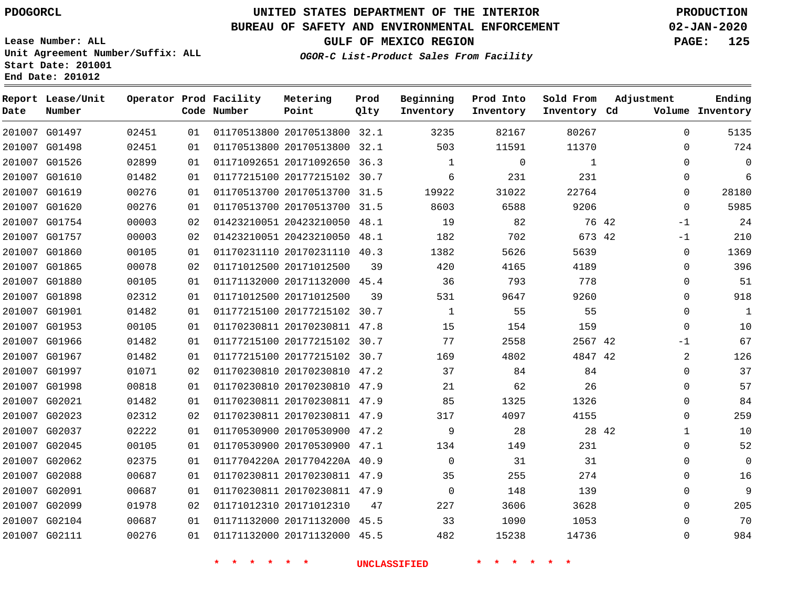## **UNITED STATES DEPARTMENT OF THE INTERIOR PDOGORCL PRODUCTION**

**Prod Qlty**

**Metering Point**

#### **BUREAU OF SAFETY AND ENVIRONMENTAL ENFORCEMENT 02-JAN-2020**

**Lease Number: ALL Unit Agreement Number/Suffix: ALL Start Date: 201001**

**Operator Prod Facility**

**End Date: 201012**

**Report Lease/Unit**

**Number**

**GULF OF MEXICO REGION PAGE: 125**

**Adjustment**

**Ending**

**OGOR-C List-Product Sales From Facility**

**Beginning Inventory**

**Prod Into Inventory**

**Sold From Inventory**

| Date | Number        |       |    | Code Number | Point                        | Qlty | Inventory    | Inventory | Inventory Cd |       |              | Volume Inventory |
|------|---------------|-------|----|-------------|------------------------------|------|--------------|-----------|--------------|-------|--------------|------------------|
|      | 201007 G01497 | 02451 | 01 |             | 01170513800 20170513800 32.1 |      | 3235         | 82167     | 80267        |       | $\mathbf{0}$ | 5135             |
|      | 201007 G01498 | 02451 | 01 |             | 01170513800 20170513800 32.1 |      | 503          | 11591     | 11370        |       | 0            | 724              |
|      | 201007 G01526 | 02899 | 01 |             | 01171092651 20171092650 36.3 |      | $\mathbf{1}$ | $\Omega$  | $\mathbf{1}$ |       | $\Omega$     | $\mathbf 0$      |
|      | 201007 G01610 | 01482 | 01 |             | 01177215100 20177215102 30.7 |      | 6            | 231       | 231          |       | 0            | 6                |
|      | 201007 G01619 | 00276 | 01 |             | 01170513700 20170513700 31.5 |      | 19922        | 31022     | 22764        |       | 0            | 28180            |
|      | 201007 G01620 | 00276 | 01 |             | 01170513700 20170513700 31.5 |      | 8603         | 6588      | 9206         |       | $\Omega$     | 5985             |
|      | 201007 G01754 | 00003 | 02 |             | 01423210051 20423210050 48.1 |      | 19           | 82        |              | 76 42 | -1           | 24               |
|      | 201007 G01757 | 00003 | 02 |             | 01423210051 20423210050      | 48.1 | 182          | 702       | 673 42       |       | -1           | 210              |
|      | 201007 G01860 | 00105 | 01 |             | 01170231110 20170231110 40.3 |      | 1382         | 5626      | 5639         |       | 0            | 1369             |
|      | 201007 G01865 | 00078 | 02 |             | 01171012500 20171012500      | 39   | 420          | 4165      | 4189         |       | $\Omega$     | 396              |
|      | 201007 G01880 | 00105 | 01 |             | 01171132000 20171132000 45.4 |      | 36           | 793       | 778          |       | $\mathbf 0$  | 51               |
|      | 201007 G01898 | 02312 | 01 |             | 01171012500 20171012500      | 39   | 531          | 9647      | 9260         |       | $\Omega$     | 918              |
|      | 201007 G01901 | 01482 | 01 |             | 01177215100 20177215102 30.7 |      | $\mathbf{1}$ | 55        | 55           |       | $\mathbf 0$  | $\mathbf{1}$     |
|      | 201007 G01953 | 00105 | 01 |             | 01170230811 20170230811 47.8 |      | 15           | 154       | 159          |       | $\mathbf 0$  | 10               |
|      | 201007 G01966 | 01482 | 01 |             | 01177215100 20177215102 30.7 |      | 77           | 2558      | 2567 42      |       | $-1$         | 67               |
|      | 201007 G01967 | 01482 | 01 |             | 01177215100 20177215102 30.7 |      | 169          | 4802      | 4847 42      |       | 2            | 126              |
|      | 201007 G01997 | 01071 | 02 |             | 01170230810 20170230810 47.2 |      | 37           | 84        | 84           |       | $\Omega$     | 37               |
|      | 201007 G01998 | 00818 | 01 |             | 01170230810 20170230810 47.9 |      | 21           | 62        | 26           |       | $\mathbf 0$  | 57               |
|      | 201007 G02021 | 01482 | 01 |             | 01170230811 20170230811 47.9 |      | 85           | 1325      | 1326         |       | $\mathbf{0}$ | 84               |
|      | 201007 G02023 | 02312 | 02 |             | 01170230811 20170230811 47.9 |      | 317          | 4097      | 4155         |       | $\mathbf 0$  | 259              |
|      | 201007 G02037 | 02222 | 01 |             | 01170530900 20170530900 47.2 |      | 9            | 28        |              | 28 42 | $\mathbf 1$  | 10               |
|      | 201007 G02045 | 00105 | 01 |             | 01170530900 20170530900 47.1 |      | 134          | 149       | 231          |       | 0            | 52               |
|      | 201007 G02062 | 02375 | 01 |             | 0117704220A 2017704220A 40.9 |      | $\Omega$     | 31        | 31           |       | 0            | $\mathbf 0$      |
|      | 201007 G02088 | 00687 | 01 |             | 01170230811 20170230811 47.9 |      | 35           | 255       | 274          |       | $\mathbf 0$  | 16               |
|      | 201007 G02091 | 00687 | 01 |             | 01170230811 20170230811 47.9 |      | $\Omega$     | 148       | 139          |       | $\Omega$     | 9                |
|      | 201007 G02099 | 01978 | 02 |             | 01171012310 20171012310      | 47   | 227          | 3606      | 3628         |       | $\Omega$     | 205              |
|      | 201007 G02104 | 00687 | 01 |             | 01171132000 20171132000      | 45.5 | 33           | 1090      | 1053         |       | 0            | 70               |
|      | 201007 G02111 | 00276 | 01 |             | 01171132000 20171132000 45.5 |      | 482          | 15238     | 14736        |       | $\mathbf{0}$ | 984              |
|      |               |       |    |             |                              |      |              |           |              |       |              |                  |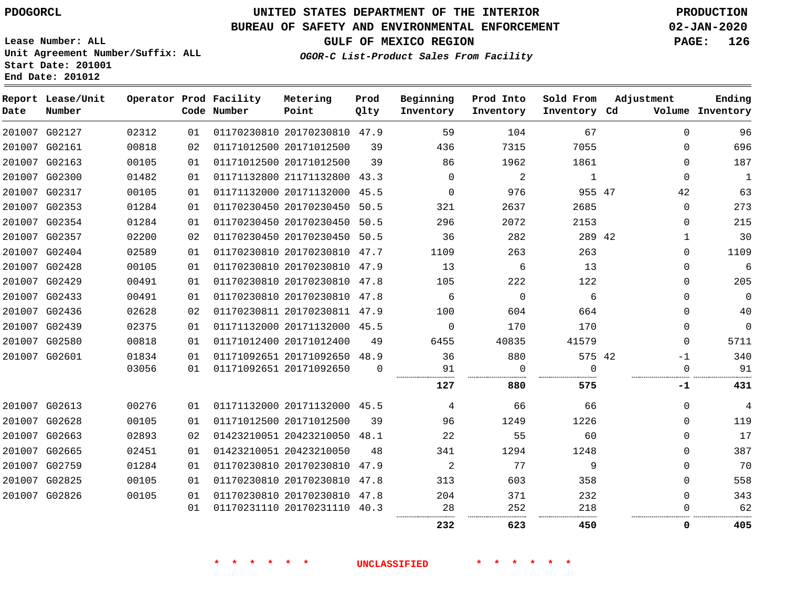**Date**

**End Date: 201012**

**Report Lease/Unit**

**Number**

### **UNITED STATES DEPARTMENT OF THE INTERIOR PDOGORCL PRODUCTION**

**Prod Qlty**

#### **BUREAU OF SAFETY AND ENVIRONMENTAL ENFORCEMENT 02-JAN-2020**

**Lease Number: ALL Unit Agreement Number/Suffix: ALL Start Date: 201001**

**Operator Prod Facility**

**Code Number**

**OGOR-C List-Product Sales From Facility**

**Beginning Inventory**

**Sold From Inventory**

**Prod Into Inventory**

**GULF OF MEXICO REGION PAGE: 126**

**Inventory Cd Volume**

**Adjustment**

  $\Omega$  $\Omega$   $\Omega$   $\Omega$ 

**-1**

  $\Omega$  $\Omega$   $\Omega$   $\Omega$   $\Omega$  $\overline{0}$  $\overline{0}$  $\overline{0}$ -1

**Ending**

. . . . . . . . . . . . . . .

|               | 201007 G02127 | 02312 | 01 |                         | 01170230810 20170230810 47.9 |          | 59       | 104         | 67       |  |
|---------------|---------------|-------|----|-------------------------|------------------------------|----------|----------|-------------|----------|--|
| 201007 G02161 |               | 00818 | 02 | 01171012500 20171012500 |                              | 39       | 436      | 7315        | 7055     |  |
| 201007        | G02163        | 00105 | 01 |                         | 01171012500 20171012500      | 39       | 86       | 1962        | 1861     |  |
|               | 201007 G02300 | 01482 | 01 |                         | 01171132800 21171132800 43.3 |          | $\Omega$ | 2           | 1        |  |
| 201007        | G02317        | 00105 | 01 |                         | 01171132000 20171132000      | 45.5     | $\Omega$ | 976         | 955 47   |  |
| 201007 G02353 |               | 01284 | 01 |                         | 01170230450 20170230450 50.5 |          | 321      | 2637        | 2685     |  |
| 201007 G02354 |               | 01284 | 01 |                         | 01170230450 20170230450      | 50.5     | 296      | 2072        | 2153     |  |
|               | 201007 G02357 | 02200 | 02 |                         | 01170230450 20170230450      | 50.5     | 36       | 282         | 289 42   |  |
| 201007 G02404 |               | 02589 | 01 |                         | 01170230810 20170230810 47.7 |          | 1109     | 263         | 263      |  |
| 201007 G02428 |               | 00105 | 01 |                         | 01170230810 20170230810 47.9 |          | 13       | 6           | 13       |  |
|               | 201007 G02429 | 00491 | 01 |                         | 01170230810 20170230810 47.8 |          | 105      | 222         | 122      |  |
| 201007 G02433 |               | 00491 | 01 |                         | 01170230810 20170230810      | 47.8     | 6        | $\mathbf 0$ | 6        |  |
| 201007 G02436 |               | 02628 | 02 |                         | 01170230811 20170230811 47.9 |          | 100      | 604         | 664      |  |
| 201007 G02439 |               | 02375 | 01 |                         | 01171132000 20171132000 45.5 |          | $\Omega$ | 170         | 170      |  |
|               | 201007 G02580 | 00818 | 01 | 01171012400 20171012400 |                              | 49       | 6455     | 40835       | 41579    |  |
| 201007 G02601 |               | 01834 | 01 |                         | 01171092651 20171092650 48.9 |          | 36       | 880         | 575 42   |  |
|               |               | 03056 | 01 | 01171092651 20171092650 |                              | $\Omega$ | 91       | 0           | $\Omega$ |  |
|               |               |       |    |                         |                              |          | 127      | 880         | 575      |  |
|               | 201007 G02613 | 00276 | 01 |                         | 01171132000 20171132000 45.5 |          | 4        | 66          | 66       |  |
| 201007 G02628 |               | 00105 | 01 | 01171012500 20171012500 |                              | 39       | 96       | 1249        | 1226     |  |
| 201007        | G02663        | 02893 | 02 |                         | 01423210051 20423210050 48.1 |          | 22       | 55          | 60       |  |
| 201007 G02665 |               | 02451 | 01 | 01423210051 20423210050 |                              | 48       | 341      | 1294        | 1248     |  |
| 201007 G02759 |               | 01284 | 01 |                         | 01170230810 20170230810      | 47.9     | 2        | 77          | 9        |  |
| 201007 G02825 |               | 00105 | 01 |                         | 01170230810 20170230810 47.8 |          | 313      | 603         | 358      |  |
| 201007 G02826 |               | 00105 | 01 |                         | 01170230810 20170230810 47.8 |          | 204      | 371         | 232      |  |
|               |               |       | 01 |                         | 01170231110 20170231110 40.3 |          | 28       | 252         | 218      |  |

**Metering Point**

**\* \* \* \* \* \* UNCLASSIFIED \* \* \* \* \* \***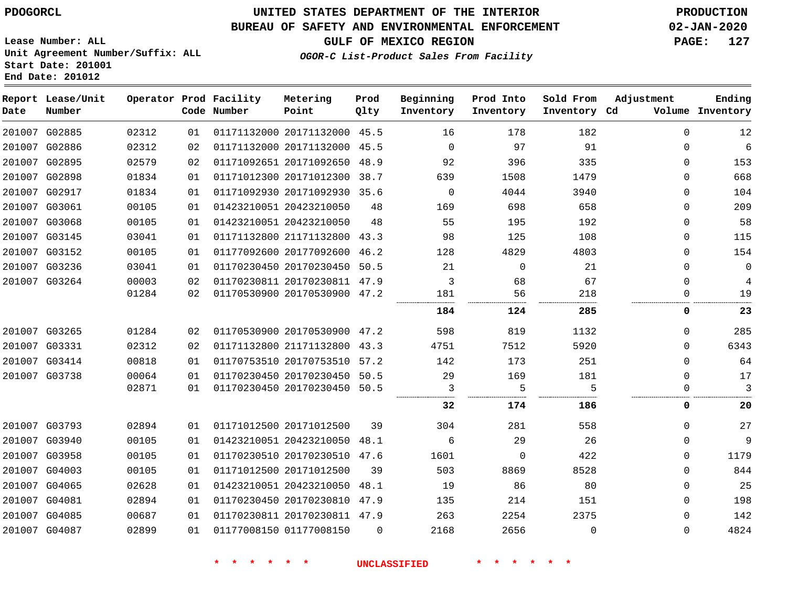**End Date: 201012**

### **UNITED STATES DEPARTMENT OF THE INTERIOR PDOGORCL PRODUCTION**

### **BUREAU OF SAFETY AND ENVIRONMENTAL ENFORCEMENT 02-JAN-2020**

**Lease Number: ALL Unit Agreement Number/Suffix: ALL Start Date: 201001**

### **GULF OF MEXICO REGION PAGE: 127**

**OGOR-C List-Product Sales From Facility**

| Date | Report Lease/Unit<br>Number |       |    | Operator Prod Facility<br>Code Number | Metering<br>Point            | Prod<br>Qlty | Beginning<br>Inventory | Prod Into<br>Inventory | Sold From<br>Inventory Cd | Adjustment   | Ending<br>Volume Inventory |
|------|-----------------------------|-------|----|---------------------------------------|------------------------------|--------------|------------------------|------------------------|---------------------------|--------------|----------------------------|
|      | 201007 G02885               | 02312 | 01 |                                       | 01171132000 20171132000 45.5 |              | 16                     | 178                    | 182                       | $\mathbf{0}$ | 12                         |
|      | 201007 G02886               | 02312 | 02 |                                       | 01171132000 20171132000 45.5 |              | $\Omega$               | 97                     | 91                        | $\mathbf{0}$ | $\epsilon$                 |
|      | 201007 G02895               | 02579 | 02 |                                       | 01171092651 20171092650 48.9 |              | 92                     | 396                    | 335                       | $\mathbf{0}$ | 153                        |
|      | 201007 G02898               | 01834 | 01 |                                       | 01171012300 20171012300 38.7 |              | 639                    | 1508                   | 1479                      | $\Omega$     | 668                        |
|      | 201007 G02917               | 01834 | 01 |                                       | 01171092930 20171092930 35.6 |              | $\mathbf 0$            | 4044                   | 3940                      | $\mathbf{0}$ | 104                        |
|      | 201007 G03061               | 00105 | 01 |                                       | 01423210051 20423210050      | 48           | 169                    | 698                    | 658                       | 0            | 209                        |
|      | 201007 G03068               | 00105 | 01 |                                       | 01423210051 20423210050      | 48           | 55                     | 195                    | 192                       | 0            | 58                         |
|      | 201007 G03145               | 03041 | 01 |                                       | 01171132800 21171132800 43.3 |              | 98                     | 125                    | 108                       | $\mathbf{0}$ | 115                        |
|      | 201007 G03152               | 00105 | 01 |                                       | 01177092600 20177092600 46.2 |              | 128                    | 4829                   | 4803                      | 0            | 154                        |
|      | 201007 G03236               | 03041 | 01 |                                       | 01170230450 20170230450 50.5 |              | 21                     | $\Omega$               | 21                        | $\mathbf{0}$ | $\mathbf 0$                |
|      | 201007 G03264               | 00003 | 02 |                                       | 01170230811 20170230811 47.9 |              | 3                      | 68                     | 67                        | $\mathbf{0}$ | $\overline{4}$             |
|      |                             | 01284 | 02 |                                       | 01170530900 20170530900 47.2 |              | 181                    | 56                     | 218                       | $\mathbf{0}$ | 19                         |
|      |                             |       |    |                                       |                              |              | 184                    | 124                    | 285                       | 0            | 23                         |
|      | 201007 G03265               | 01284 | 02 |                                       | 01170530900 20170530900 47.2 |              | 598                    | 819                    | 1132                      | $\Omega$     | 285                        |
|      | 201007 G03331               | 02312 | 02 |                                       | 01171132800 21171132800 43.3 |              | 4751                   | 7512                   | 5920                      | $\Omega$     | 6343                       |
|      | 201007 G03414               | 00818 | 01 |                                       | 01170753510 20170753510 57.2 |              | 142                    | 173                    | 251                       | $\Omega$     | 64                         |
|      | 201007 G03738               | 00064 | 01 |                                       | 01170230450 20170230450      | 50.5         | 29                     | 169                    | 181                       | $\Omega$     | 17                         |
|      |                             | 02871 | 01 |                                       | 01170230450 20170230450      | 50.5         | 3                      | 5                      | 5                         | 0            | 3                          |
|      |                             |       |    |                                       |                              |              | 32                     | 174                    | 186                       | 0            | 20                         |
|      | 201007 G03793               | 02894 | 01 |                                       | 01171012500 20171012500      | 39           | 304                    | 281                    | 558                       | $\mathbf 0$  | 27                         |
|      | 201007 G03940               | 00105 | 01 |                                       | 01423210051 20423210050 48.1 |              | 6                      | 29                     | 26                        | 0            | 9                          |
|      | 201007 G03958               | 00105 | 01 |                                       | 01170230510 20170230510 47.6 |              | 1601                   | 0                      | 422                       | 0            | 1179                       |
|      | 201007 G04003               | 00105 | 01 |                                       | 01171012500 20171012500      | 39           | 503                    | 8869                   | 8528                      | $\mathbf{0}$ | 844                        |
|      | 201007 G04065               | 02628 | 01 |                                       | 01423210051 20423210050      | 48.1         | 19                     | 86                     | 80                        | $\mathbf{0}$ | 25                         |
|      | 201007 G04081               | 02894 | 01 |                                       | 01170230450 20170230810 47.9 |              | 135                    | 214                    | 151                       | $\Omega$     | 198                        |
|      | 201007 G04085               | 00687 | 01 |                                       | 01170230811 20170230811 47.9 |              | 263                    | 2254                   | 2375                      | $\mathbf{0}$ | 142                        |
|      | 201007 G04087               | 02899 | 01 |                                       | 01177008150 01177008150      | $\Omega$     | 2168                   | 2656                   | $\Omega$                  | $\Omega$     | 4824                       |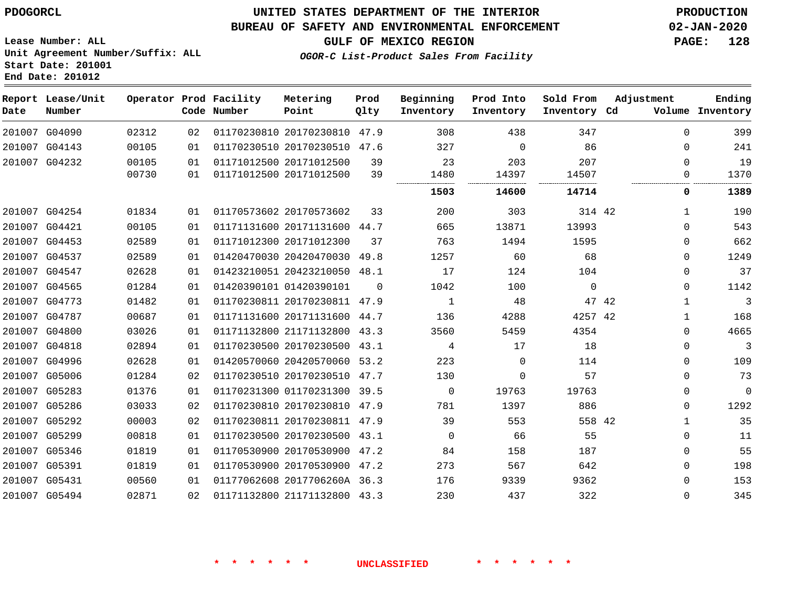### **UNITED STATES DEPARTMENT OF THE INTERIOR PDOGORCL PRODUCTION**

#### **BUREAU OF SAFETY AND ENVIRONMENTAL ENFORCEMENT 02-JAN-2020**

**Lease Number: ALL Unit Agreement Number/Suffix: ALL Start Date: 201001 End Date: 201012**

**GULF OF MEXICO REGION PAGE: 128**

**OGOR-C List-Product Sales From Facility**

| Date   | Report Lease/Unit<br>Number |       |    | Operator Prod Facility<br>Code Number | Metering<br>Point            | Prod<br>Qlty | Beginning<br>Inventory | Prod Into<br>Inventory | Sold From<br>Inventory Cd | Adjustment |              | Ending<br>Volume Inventory |
|--------|-----------------------------|-------|----|---------------------------------------|------------------------------|--------------|------------------------|------------------------|---------------------------|------------|--------------|----------------------------|
|        | 201007 G04090               | 02312 | 02 |                                       | 01170230810 20170230810 47.9 |              | 308                    | 438                    | 347                       |            | 0            | 399                        |
| 201007 | G04143                      | 00105 | 01 |                                       | 01170230510 20170230510 47.6 |              | 327                    | $\mathbf 0$            | 86                        |            | 0            | 241                        |
|        | 201007 G04232               | 00105 | 01 |                                       | 01171012500 20171012500      | 39           | 23                     | 203                    | 207                       |            | $\Omega$     | 19                         |
|        |                             | 00730 | 01 |                                       | 01171012500 20171012500      | 39           | 1480                   | 14397                  | 14507                     |            | 0            | 1370                       |
|        |                             |       |    |                                       |                              |              | 1503                   | 14600                  | 14714                     |            | 0            | 1389                       |
|        | 201007 G04254               | 01834 | 01 |                                       | 01170573602 20170573602      | 33           | 200                    | 303                    | 314 42                    |            | $\mathbf{1}$ | 190                        |
|        | 201007 G04421               | 00105 | 01 |                                       | 01171131600 20171131600 44.7 |              | 665                    | 13871                  | 13993                     |            | 0            | 543                        |
|        | 201007 G04453               | 02589 | 01 |                                       | 01171012300 20171012300      | 37           | 763                    | 1494                   | 1595                      |            | 0            | 662                        |
| 201007 | G04537                      | 02589 | 01 |                                       | 01420470030 20420470030      | 49.8         | 1257                   | 60                     | 68                        |            | 0            | 1249                       |
|        | 201007 G04547               | 02628 | 01 |                                       | 01423210051 20423210050 48.1 |              | 17                     | 124                    | 104                       |            | 0            | 37                         |
|        | 201007 G04565               | 01284 | 01 |                                       | 01420390101 01420390101      | $\Omega$     | 1042                   | 100                    | $\Omega$                  |            | 0            | 1142                       |
| 201007 | G04773                      | 01482 | 01 |                                       | 01170230811 20170230811 47.9 |              | $\mathbf{1}$           | 48                     |                           | 47 42      | 1            | 3                          |
| 201007 | G04787                      | 00687 | 01 |                                       | 01171131600 20171131600 44.7 |              | 136                    | 4288                   | 4257 42                   |            | $\mathbf{1}$ | 168                        |
| 201007 | G04800                      | 03026 | 01 |                                       | 01171132800 21171132800      | 43.3         | 3560                   | 5459                   | 4354                      |            | $\Omega$     | 4665                       |
|        | 201007 G04818               | 02894 | 01 |                                       | 01170230500 20170230500 43.1 |              | 4                      | 17                     | 18                        |            | $\Omega$     | 3                          |
| 201007 | G04996                      | 02628 | 01 |                                       | 01420570060 20420570060 53.2 |              | 223                    | $\Omega$               | 114                       |            | $\Omega$     | 109                        |
| 201007 | G05006                      | 01284 | 02 |                                       | 01170230510 20170230510 47.7 |              | 130                    | 0                      | 57                        |            | $\mathbf 0$  | 73                         |
| 201007 | G05283                      | 01376 | 01 |                                       | 01170231300 01170231300 39.5 |              | 0                      | 19763                  | 19763                     |            | 0            | $\mathbf{0}$               |
|        | 201007 G05286               | 03033 | 02 |                                       | 01170230810 20170230810 47.9 |              | 781                    | 1397                   | 886                       |            | 0            | 1292                       |
| 201007 | G05292                      | 00003 | 02 |                                       | 01170230811 20170230811      | 47.9         | 39                     | 553                    | 558 42                    |            | 1            | 35                         |
| 201007 | G05299                      | 00818 | 01 |                                       | 01170230500 20170230500 43.1 |              | 0                      | 66                     | 55                        |            | $\mathbf 0$  | 11                         |
| 201007 | G05346                      | 01819 | 01 |                                       | 01170530900 20170530900 47.2 |              | 84                     | 158                    | 187                       |            | $\mathbf 0$  | 55                         |
| 201007 | G05391                      | 01819 | 01 |                                       | 01170530900 20170530900 47.2 |              | 273                    | 567                    | 642                       |            | 0            | 198                        |
| 201007 | G05431                      | 00560 | 01 |                                       | 01177062608 2017706260A 36.3 |              | 176                    | 9339                   | 9362                      |            | $\Omega$     | 153                        |
|        | 201007 G05494               | 02871 | 02 |                                       | 01171132800 21171132800 43.3 |              | 230                    | 437                    | 322                       |            | $\Omega$     | 345                        |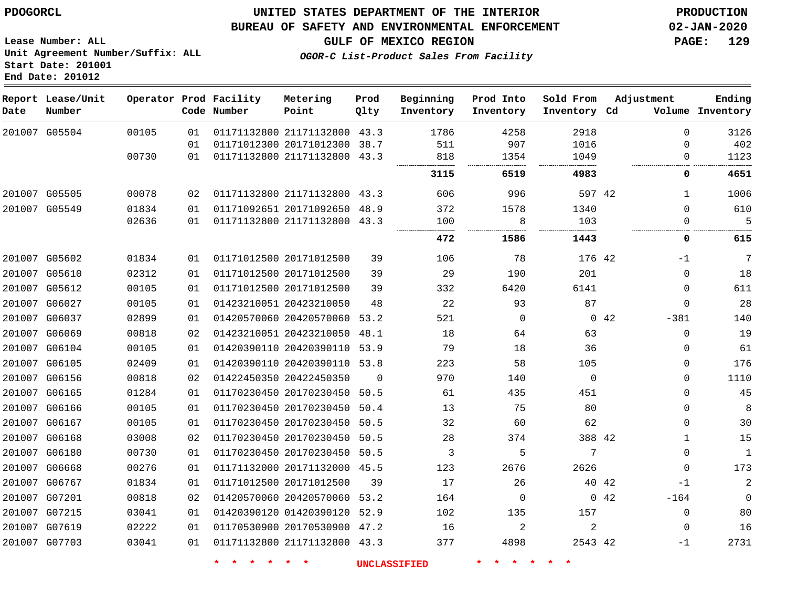### **UNITED STATES DEPARTMENT OF THE INTERIOR PDOGORCL PRODUCTION**

#### **BUREAU OF SAFETY AND ENVIRONMENTAL ENFORCEMENT 02-JAN-2020**

**Lease Number: ALL Unit Agreement Number/Suffix: ALL Start Date: 201001 End Date: 201012**

**GULF OF MEXICO REGION PAGE: 129**

**OGOR-C List-Product Sales From Facility**

| Date          | Report Lease/Unit<br>Number |       |    | Operator Prod Facility<br>Code Number | Metering<br>Point            | Prod<br>Olty | Beginning<br>Inventory | Prod Into<br>Inventory | Sold From<br>Inventory Cd | Adjustment     | Ending<br>Volume Inventory |
|---------------|-----------------------------|-------|----|---------------------------------------|------------------------------|--------------|------------------------|------------------------|---------------------------|----------------|----------------------------|
| 201007 G05504 |                             | 00105 | 01 |                                       | 01171132800 21171132800      | 43.3         | 1786                   | 4258                   | 2918                      |                | $\Omega$<br>3126           |
|               |                             |       | 01 |                                       | 01171012300 20171012300 38.7 |              | 511                    | 907                    | 1016                      | $\Omega$       | 402                        |
|               |                             | 00730 | 01 |                                       | 01171132800 21171132800 43.3 |              | 818                    | 1354                   | 1049                      |                | 1123<br>0                  |
|               |                             |       |    |                                       |                              |              | 3115                   | 6519                   | 4983                      |                | 4651<br>0                  |
| 201007 G05505 |                             | 00078 | 02 |                                       | 01171132800 21171132800 43.3 |              | 606                    | 996                    | 597 42                    |                | 1006<br>1                  |
| 201007 G05549 |                             | 01834 | 01 |                                       | 01171092651 20171092650 48.9 |              | 372                    | 1578                   | 1340                      |                | $\Omega$<br>610            |
|               |                             | 02636 | 01 |                                       | 01171132800 21171132800 43.3 |              | 100                    | 8                      | 103                       |                | 5<br>$\Omega$              |
|               |                             |       |    |                                       |                              |              | 472                    | 1586                   | 1443                      |                | 0<br>615                   |
| 201007 G05602 |                             | 01834 | 01 |                                       | 01171012500 20171012500      | 39           | 106                    | 78                     | 176 42                    | $-1$           | 7                          |
| 201007 G05610 |                             | 02312 | 01 |                                       | 01171012500 20171012500      | 39           | 29                     | 190                    | 201                       |                | 18<br>0                    |
| 201007 G05612 |                             | 00105 | 01 |                                       | 01171012500 20171012500      | 39           | 332                    | 6420                   | 6141                      |                | 611<br>0                   |
| 201007 G06027 |                             | 00105 | 01 |                                       | 01423210051 20423210050      | 48           | 22                     | 93                     | 87                        | $\Omega$       | 28                         |
| 201007 G06037 |                             | 02899 | 01 |                                       | 01420570060 20420570060      | 53.2         | 521                    | $\Omega$               |                           | 0.42<br>$-381$ | 140                        |
| 201007 G06069 |                             | 00818 | 02 |                                       | 01423210051 20423210050      | 48.1         | 18                     | 64                     | 63                        |                | 19<br>0                    |
| 201007 G06104 |                             | 00105 | 01 |                                       | 01420390110 20420390110 53.9 |              | 79                     | 18                     | 36                        |                | 61<br>0                    |
| 201007 G06105 |                             | 02409 | 01 |                                       | 01420390110 20420390110 53.8 |              | 223                    | 58                     | 105                       |                | 176<br>0                   |
| 201007 G06156 |                             | 00818 | 02 |                                       | 01422450350 20422450350      | $\Omega$     | 970                    | 140                    | $\Omega$                  |                | 1110<br>0                  |
| 201007 G06165 |                             | 01284 | 01 |                                       | 01170230450 20170230450 50.5 |              | 61                     | 435                    | 451                       |                | 0<br>45                    |
| 201007 G06166 |                             | 00105 | 01 |                                       | 01170230450 20170230450 50.4 |              | 13                     | 75                     | 80                        |                | 0<br>8                     |
| 201007 G06167 |                             | 00105 | 01 |                                       | 01170230450 20170230450      | 50.5         | 32                     | 60                     | 62                        |                | 30<br>0                    |
| 201007 G06168 |                             | 03008 | 02 |                                       | 01170230450 20170230450      | 50.5         | 28                     | 374                    | 388 42                    |                | 15<br>$\mathbf{1}$         |
| 201007 G06180 |                             | 00730 | 01 |                                       | 01170230450 20170230450 50.5 |              | 3                      | 5                      | 7                         |                | $\mathbf{1}$<br>$\Omega$   |
| 201007 G06668 |                             | 00276 | 01 |                                       | 01171132000 20171132000 45.5 |              | 123                    | 2676                   | 2626                      |                | 173<br>0                   |
| 201007 G06767 |                             | 01834 | 01 |                                       | 01171012500 20171012500      | 39           | 17                     | 26                     |                           | 40 42<br>$-1$  | $\overline{a}$             |
| 201007 G07201 |                             | 00818 | 02 |                                       | 01420570060 20420570060 53.2 |              | 164                    | 0                      |                           | 0.42<br>$-164$ | $\mathbf 0$                |
| 201007 G07215 |                             | 03041 | 01 |                                       | 01420390120 01420390120      | 52.9         | 102                    | 135                    | 157                       | $\mathbf 0$    | 80                         |
| 201007 G07619 |                             | 02222 | 01 |                                       | 01170530900 20170530900 47.2 |              | 16                     | 2                      | 2                         |                | 16<br>0                    |
| 201007 G07703 |                             | 03041 | 01 |                                       | 01171132800 21171132800 43.3 |              | 377                    | 4898                   | 2543 42                   | -1             | 2731                       |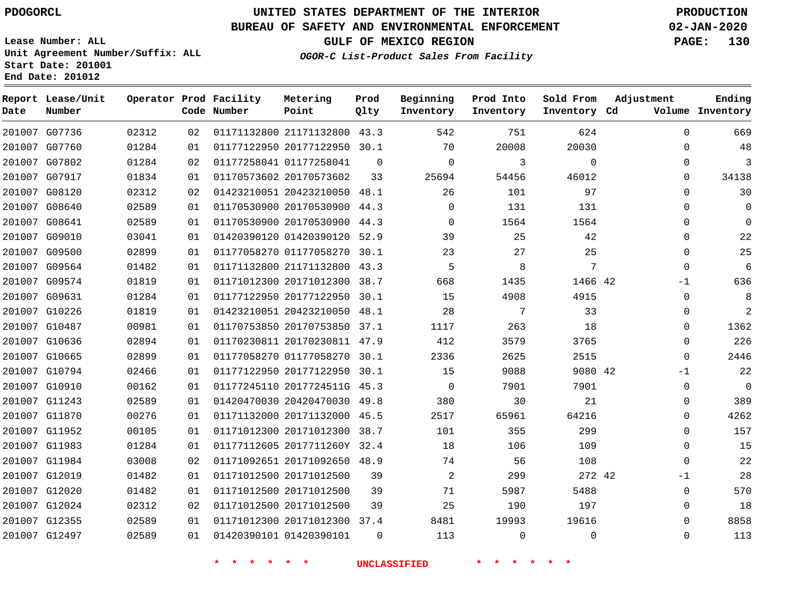### **UNITED STATES DEPARTMENT OF THE INTERIOR PDOGORCL PRODUCTION**

#### **BUREAU OF SAFETY AND ENVIRONMENTAL ENFORCEMENT 02-JAN-2020**

**Lease Number: ALL Unit Agreement Number/Suffix: ALL Start Date: 201001 End Date: 201012**

**OGOR-C List-Product Sales From Facility**

**GULF OF MEXICO REGION PAGE: 130**

| Date          | Report Lease/Unit<br>Number |       |    | Operator Prod Facility<br>Code Number | Metering<br>Point            | Prod<br>Qlty | Beginning<br>Inventory | Prod Into<br>Inventory | Sold From<br>Inventory Cd | Adjustment   | Ending<br>Volume Inventory |
|---------------|-----------------------------|-------|----|---------------------------------------|------------------------------|--------------|------------------------|------------------------|---------------------------|--------------|----------------------------|
|               | 201007 G07736               | 02312 | 02 |                                       | 01171132800 21171132800 43.3 |              | 542                    | 751                    | 624                       | $\Omega$     | 669                        |
|               | 201007 G07760               | 01284 | 01 |                                       | 01177122950 20177122950 30.1 |              | 70                     | 20008                  | 20030                     | $\Omega$     | 48                         |
|               | 201007 G07802               | 01284 | 02 | 01177258041 01177258041               |                              | $\Omega$     | $\mathbf 0$            | 3                      | $\Omega$                  | $\mathbf{0}$ | 3                          |
|               | 201007 G07917               | 01834 | 01 |                                       | 01170573602 20170573602      | 33           | 25694                  | 54456                  | 46012                     | $\Omega$     | 34138                      |
| 201007 G08120 |                             | 02312 | 02 |                                       | 01423210051 20423210050 48.1 |              | 26                     | 101                    | 97                        | $\Omega$     | 30                         |
|               | 201007 G08640               | 02589 | 01 |                                       | 01170530900 20170530900 44.3 |              | $\mathbf 0$            | 131                    | 131                       | $\Omega$     | $\Omega$                   |
| 201007 G08641 |                             | 02589 | 01 |                                       | 01170530900 20170530900 44.3 |              | $\mathbf 0$            | 1564                   | 1564                      | $\Omega$     | $\Omega$                   |
| 201007 G09010 |                             | 03041 | 01 |                                       | 01420390120 01420390120 52.9 |              | 39                     | 25                     | 42                        | 0            | 22                         |
| 201007 G09500 |                             | 02899 | 01 |                                       | 01177058270 01177058270 30.1 |              | 23                     | 27                     | 25                        | $\Omega$     | 25                         |
|               | 201007 G09564               | 01482 | 01 |                                       | 01171132800 21171132800 43.3 |              | 5                      | 8                      | 7                         | $\Omega$     | 6                          |
|               | 201007 G09574               | 01819 | 01 |                                       | 01171012300 20171012300 38.7 |              | 668                    | 1435                   | 1466 42                   | $-1$         | 636                        |
| 201007 G09631 |                             | 01284 | 01 |                                       | 01177122950 20177122950 30.1 |              | 15                     | 4908                   | 4915                      | 0            | 8                          |
|               | 201007 G10226               | 01819 | 01 |                                       | 01423210051 20423210050 48.1 |              | 28                     | 7                      | 33                        | $\mathbf{0}$ | $\overline{2}$             |
| 201007 G10487 |                             | 00981 | 01 |                                       | 01170753850 20170753850 37.1 |              | 1117                   | 263                    | 18                        | 0            | 1362                       |
|               | 201007 G10636               | 02894 | 01 |                                       | 01170230811 20170230811 47.9 |              | 412                    | 3579                   | 3765                      | $\mathbf{0}$ | 226                        |
|               | 201007 G10665               | 02899 | 01 |                                       | 01177058270 01177058270 30.1 |              | 2336                   | 2625                   | 2515                      | $\Omega$     | 2446                       |
|               | 201007 G10794               | 02466 | 01 |                                       | 01177122950 20177122950 30.1 |              | 15                     | 9088                   | 9080 42                   | $-1$         | 22                         |
| 201007 G10910 |                             | 00162 | 01 |                                       | 01177245110 2017724511G 45.3 |              | $\mathbf 0$            | 7901                   | 7901                      | $\mathbf 0$  | $\mathbf 0$                |
|               | 201007 G11243               | 02589 | 01 |                                       | 01420470030 20420470030 49.8 |              | 380                    | 30                     | 21                        | 0            | 389                        |
|               | 201007 G11870               | 00276 | 01 |                                       | 01171132000 20171132000 45.5 |              | 2517                   | 65961                  | 64216                     | $\Omega$     | 4262                       |
|               | 201007 G11952               | 00105 | 01 |                                       | 01171012300 20171012300 38.7 |              | 101                    | 355                    | 299                       | $\Omega$     | 157                        |
| 201007 G11983 |                             | 01284 | 01 |                                       | 01177112605 2017711260Y 32.4 |              | 18                     | 106                    | 109                       | $\mathbf 0$  | 15                         |
|               | 201007 G11984               | 03008 | 02 |                                       | 01171092651 20171092650 48.9 |              | 74                     | 56                     | 108                       | $\Omega$     | 22                         |
| 201007 G12019 |                             | 01482 | 01 |                                       | 01171012500 20171012500      | 39           | $\overline{a}$         | 299                    | 272 42                    | $-1$         | 28                         |
| 201007 G12020 |                             | 01482 | 01 |                                       | 01171012500 20171012500      | 39           | 71                     | 5987                   | 5488                      | $\Omega$     | 570                        |
|               | 201007 G12024               | 02312 | 02 |                                       | 01171012500 20171012500      | 39           | 25                     | 190                    | 197                       | $\Omega$     | 18                         |
|               | 201007 G12355               | 02589 | 01 |                                       | 01171012300 20171012300 37.4 |              | 8481                   | 19993                  | 19616                     | $\Omega$     | 8858                       |
|               | 201007 G12497               | 02589 | 01 | 01420390101 01420390101               |                              | $\Omega$     | 113                    | $\mathbf{0}$           | $\mathbf 0$               | 0            | 113                        |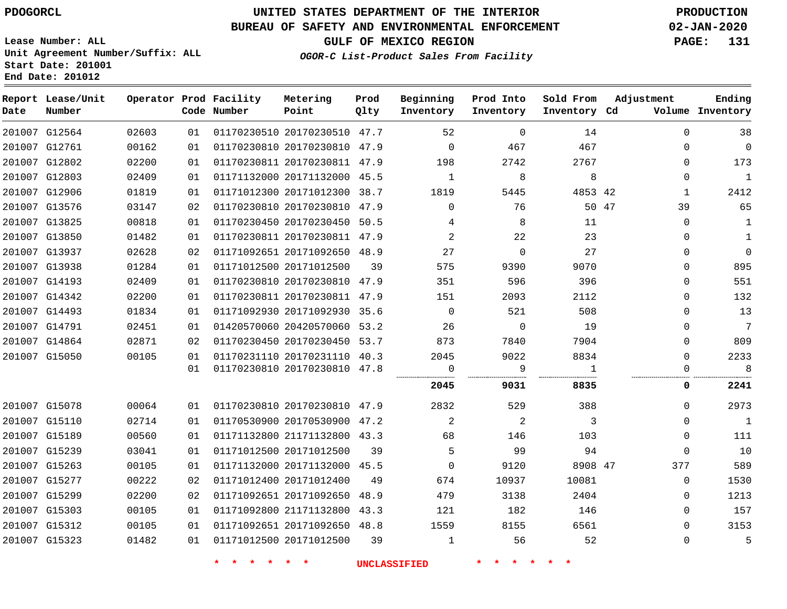**End Date: 201012**

### **UNITED STATES DEPARTMENT OF THE INTERIOR PDOGORCL PRODUCTION**

#### **BUREAU OF SAFETY AND ENVIRONMENTAL ENFORCEMENT 02-JAN-2020**

**Lease Number: ALL Unit Agreement Number/Suffix: ALL Start Date: 201001**

**GULF OF MEXICO REGION PAGE: 131**

**OGOR-C List-Product Sales From Facility**

| Date | Report Lease/Unit<br>Number |       |      | Operator Prod Facility<br>Code Number | Metering<br>Point            | Prod<br>Qlty | Beginning<br>Inventory | Prod Into<br>Inventory | Sold From<br>Inventory Cd | Adjustment |              | Ending<br>Volume Inventory |
|------|-----------------------------|-------|------|---------------------------------------|------------------------------|--------------|------------------------|------------------------|---------------------------|------------|--------------|----------------------------|
|      | 201007 G12564               | 02603 | 01   |                                       | 01170230510 20170230510 47.7 |              | 52                     | $\Omega$               | 14                        |            | $\Omega$     | 38                         |
|      | 201007 G12761               | 00162 | 01   |                                       | 01170230810 20170230810 47.9 |              | $\Omega$               | 467                    | 467                       |            | $\Omega$     | $\overline{0}$             |
|      | 201007 G12802               | 02200 | 01   |                                       | 01170230811 20170230811 47.9 |              | 198                    | 2742                   | 2767                      |            | 0            | 173                        |
|      | 201007 G12803               | 02409 | 01   |                                       | 01171132000 20171132000 45.5 |              | 1                      | 8                      | 8                         |            | 0            | $\mathbf{1}$               |
|      | 201007 G12906               | 01819 | 01   |                                       | 01171012300 20171012300 38.7 |              | 1819                   | 5445                   | 4853 42                   |            | $\mathbf{1}$ | 2412                       |
|      | 201007 G13576               | 03147 | 02   |                                       | 01170230810 20170230810 47.9 |              | $\Omega$               | 76                     |                           | 50 47      | 39           | 65                         |
|      | 201007 G13825               | 00818 | 01   |                                       | 01170230450 20170230450 50.5 |              | 4                      | 8                      | 11                        |            | 0            | 1                          |
|      | 201007 G13850               | 01482 | 01   |                                       | 01170230811 20170230811 47.9 |              | 2                      | 22                     | 23                        |            | $\Omega$     | $\mathbf{1}$               |
|      | 201007 G13937               | 02628 | 02   |                                       | 01171092651 20171092650 48.9 |              | 27                     | $\Omega$               | 27                        |            | $\Omega$     | $\Omega$                   |
|      | 201007 G13938               | 01284 | 01   |                                       | 01171012500 20171012500      | 39           | 575                    | 9390                   | 9070                      |            | 0            | 895                        |
|      | 201007 G14193               | 02409 | 01   |                                       | 01170230810 20170230810 47.9 |              | 351                    | 596                    | 396                       |            | 0            | 551                        |
|      | 201007 G14342               | 02200 | 01   |                                       | 01170230811 20170230811 47.9 |              | 151                    | 2093                   | 2112                      |            | 0            | 132                        |
|      | 201007 G14493               | 01834 | 01   |                                       | 01171092930 20171092930 35.6 |              | $\overline{0}$         | 521                    | 508                       |            | $\Omega$     | 13                         |
|      | 201007 G14791               | 02451 | 01   |                                       | 01420570060 20420570060 53.2 |              | 26                     | $\overline{0}$         | 19                        |            | 0            | $\overline{7}$             |
|      | 201007 G14864               | 02871 | 02   |                                       | 01170230450 20170230450 53.7 |              | 873                    | 7840                   | 7904                      |            | 0            | 809                        |
|      | 201007 G15050               | 00105 | 01   |                                       | 01170231110 20170231110 40.3 |              | 2045                   | 9022                   | 8834                      |            | $\Omega$     | 2233                       |
|      |                             |       | 01   |                                       | 01170230810 20170230810 47.8 |              | $\overline{0}$<br>     | 9                      | $\overline{1}$            |            | $\Omega$     | 8                          |
|      |                             |       |      |                                       |                              |              | 2045                   | 9031                   | 8835                      |            | 0            | 2241                       |
|      | 201007 G15078               | 00064 | 01 D |                                       | 01170230810 20170230810 47.9 |              | 2832                   | 529                    | 388                       |            | $\Omega$     | 2973                       |
|      | 201007 G15110               | 02714 | 01   |                                       | 01170530900 20170530900 47.2 |              | 2                      | 2                      | 3                         |            | 0            | $\overline{1}$             |
|      | 201007 G15189               | 00560 | 01   |                                       | 01171132800 21171132800 43.3 |              | 68                     | 146                    | 103                       |            | $\Omega$     | 111                        |
|      | 201007 G15239               | 03041 | 01   |                                       | 01171012500 20171012500      | 39           | 5                      | 99                     | 94                        |            | $\Omega$     | 10                         |
|      | 201007 G15263               | 00105 | 01   |                                       | 01171132000 20171132000 45.5 |              | $\overline{0}$         | 9120                   | 8908 47                   |            | 377          | 589                        |
|      | 201007 G15277               | 00222 | 02   |                                       | 01171012400 20171012400      | 49           | 674                    | 10937                  | 10081                     |            | $\mathbf 0$  | 1530                       |
|      | 201007 G15299               | 02200 | 02   |                                       | 01171092651 20171092650 48.9 |              | 479                    | 3138                   | 2404                      |            | 0            | 1213                       |
|      | 201007 G15303               | 00105 | 01   |                                       | 01171092800 21171132800 43.3 |              | 121                    | 182                    | 146                       |            | 0            | 157                        |
|      | 201007 G15312               | 00105 | 01   |                                       | 01171092651 20171092650 48.8 |              | 1559                   | 8155                   | 6561                      |            | 0            | 3153                       |
|      | 201007 G15323               | 01482 | 01   |                                       | 01171012500 20171012500      | 39           | 1                      | 56                     | 52                        |            | $\Omega$     | 5                          |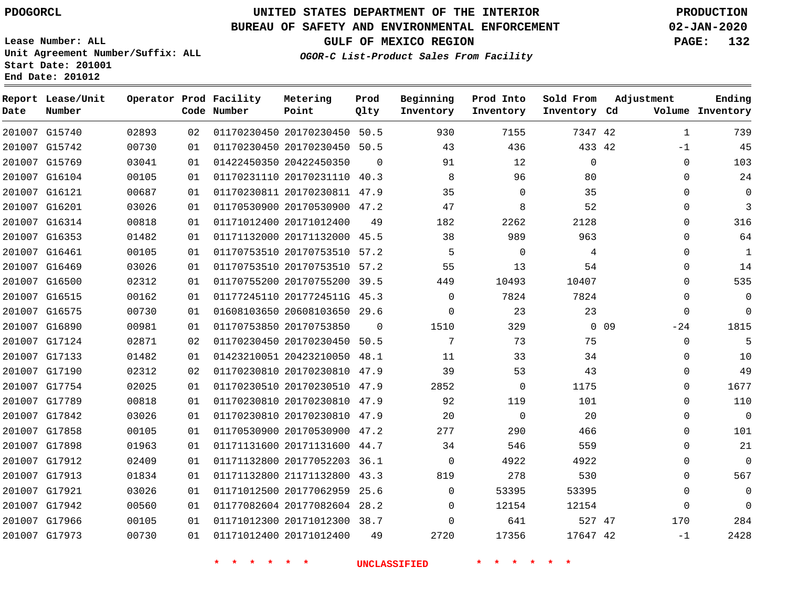**Report Lease/Unit**

**Number**

G17973

# **UNITED STATES DEPARTMENT OF THE INTERIOR PDOGORCL PRODUCTION**

**Prod Qlty**

#### **BUREAU OF SAFETY AND ENVIRONMENTAL ENFORCEMENT 02-JAN-2020**

**Lease Number: ALL Unit Agreement Number/Suffix: ALL Start Date: 201001 End Date: 201012**

**Operator Prod Facility**

**Code Number**

**Metering Point**

**GULF OF MEXICO REGION PAGE: 132**

**Inventory Cd Volume**

**Adjustment**

**Ending**

-1

**OGOR-C List-Product Sales From Facility**

**Beginning Inventory**

**Sold From Inventory**

**Prod Into Inventory**

| 201007 G15740 | 02893 | 02 | 01170230450 20170230450 50.5 |          | 930      | 7155     | 7347 42      |                 | 1        | 739         |
|---------------|-------|----|------------------------------|----------|----------|----------|--------------|-----------------|----------|-------------|
| 201007 G15742 | 00730 | 01 | 01170230450 20170230450 50.5 |          | 43       | 436      | 433 42       |                 | -1       | 45          |
| 201007 G15769 | 03041 | 01 | 01422450350 20422450350      | $\Omega$ | 91       | 12       | $\mathbf{0}$ |                 | $\Omega$ | 103         |
| 201007 G16104 | 00105 | 01 | 01170231110 20170231110 40.3 |          | 8        | 96       | 80           |                 | 0        | 24          |
| 201007 G16121 | 00687 | 01 | 01170230811 20170230811 47.9 |          | 35       | $\Omega$ | 35           |                 | 0        | $\Omega$    |
| 201007 G16201 | 03026 | 01 | 01170530900 20170530900 47.2 |          | 47       | 8        | 52           |                 | $\Omega$ | 3           |
| 201007 G16314 | 00818 | 01 | 01171012400 20171012400      | 49       | 182      | 2262     | 2128         |                 | $\Omega$ | 316         |
| 201007 G16353 | 01482 | 01 | 01171132000 20171132000 45.5 |          | 38       | 989      | 963          |                 | 0        | 64          |
| 201007 G16461 | 00105 | 01 | 01170753510 20170753510 57.2 |          | 5        | $\Omega$ | 4            |                 | 0        | 1           |
| 201007 G16469 | 03026 | 01 | 01170753510 20170753510 57.2 |          | 55       | 13       | 54           |                 | 0        | 14          |
| 201007 G16500 | 02312 | 01 | 01170755200 20170755200 39.5 |          | 449      | 10493    | 10407        |                 | 0        | 535         |
| 201007 G16515 | 00162 | 01 | 01177245110 2017724511G 45.3 |          | $\Omega$ | 7824     | 7824         |                 | 0        | $\mathbf 0$ |
| 201007 G16575 | 00730 | 01 | 01608103650 20608103650 29.6 |          | 0        | 23       | 23           |                 | $\Omega$ | $\Omega$    |
| 201007 G16890 | 00981 | 01 | 01170753850 20170753850      | $\Omega$ | 1510     | 329      |              | 0 <sub>09</sub> | $-24$    | 1815        |
| 201007 G17124 | 02871 | 02 | 01170230450 20170230450 50.5 |          | 7        | 73       | 75           |                 | $\Omega$ | 5           |
| 201007 G17133 | 01482 | 01 | 01423210051 20423210050 48.1 |          | 11       | 33       | 34           |                 | 0        | 10          |
| 201007 G17190 | 02312 | 02 | 01170230810 20170230810 47.9 |          | 39       | 53       | 43           |                 | $\Omega$ | 49          |
| 201007 G17754 | 02025 | 01 | 01170230510 20170230510 47.9 |          | 2852     | $\Omega$ | 1175         |                 | $\Omega$ | 1677        |
| 201007 G17789 | 00818 | 01 | 01170230810 20170230810 47.9 |          | 92       | 119      | 101          |                 | $\Omega$ | 110         |
| 201007 G17842 | 03026 | 01 | 01170230810 20170230810 47.9 |          | 20       | $\Omega$ | 20           |                 | 0        | $\mathbf 0$ |
| 201007 G17858 | 00105 | 01 | 01170530900 20170530900 47.2 |          | 277      | 290      | 466          |                 | 0        | 101         |
| 201007 G17898 | 01963 | 01 | 01171131600 20171131600 44.7 |          | 34       | 546      | 559          |                 | $\Omega$ | 21          |
| 201007 G17912 | 02409 | 01 | 01171132800 20177052203 36.1 |          | $\Omega$ | 4922     | 4922         |                 | 0        | $\mathbf 0$ |
| 201007 G17913 | 01834 | 01 | 01171132800 21171132800 43.3 |          | 819      | 278      | 530          |                 | $\Omega$ | 567         |
| 201007 G17921 | 03026 | 01 | 01171012500 20177062959 25.6 |          | 0        | 53395    | 53395        |                 | 0        | 0           |
| 201007 G17942 | 00560 | 01 | 01177082604 20177082604 28.2 |          | $\Omega$ | 12154    | 12154        |                 | 0        | $\Omega$    |
| 201007 G17966 | 00105 | 01 | 01171012300 20171012300 38.7 |          | $\Omega$ | 641      | 527 47       |                 | 170      | 284         |

20171012400

42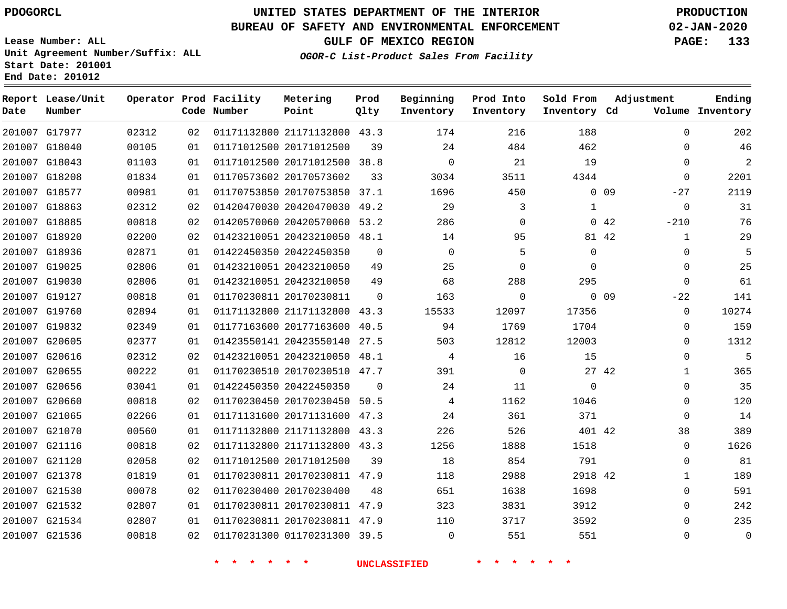### **UNITED STATES DEPARTMENT OF THE INTERIOR PDOGORCL PRODUCTION**

### **BUREAU OF SAFETY AND ENVIRONMENTAL ENFORCEMENT 02-JAN-2020**

**Lease Number: ALL Unit Agreement Number/Suffix: ALL Start Date: 201001 End Date: 201012**

**GULF OF MEXICO REGION PAGE: 133**

**OGOR-C List-Product Sales From Facility**

| Date | Report Lease/Unit<br>Number |       |    | Operator Prod Facility<br>Code Number | Metering<br>Point            | Prod<br>Qlty   | Beginning<br>Inventory | Prod Into<br>Inventory | Sold From<br>Inventory Cd | Adjustment               | Ending<br>Volume Inventory |
|------|-----------------------------|-------|----|---------------------------------------|------------------------------|----------------|------------------------|------------------------|---------------------------|--------------------------|----------------------------|
|      | 201007 G17977               | 02312 | 02 |                                       | 01171132800 21171132800 43.3 |                | 174                    | 216                    | 188                       | $\Omega$                 | 202                        |
|      | 201007 G18040               | 00105 | 01 |                                       | 01171012500 20171012500      | 39             | 24                     | 484                    | 462                       | $\mathbf 0$              | 46                         |
|      | 201007 G18043               | 01103 | 01 |                                       | 01171012500 20171012500 38.8 |                | $\Omega$               | 21                     | 19                        | $\Omega$                 | 2                          |
|      | 201007 G18208               | 01834 | 01 |                                       | 01170573602 20170573602      | 33             | 3034                   | 3511                   | 4344                      | $\mathbf 0$              | 2201                       |
|      | 201007 G18577               | 00981 | 01 |                                       | 01170753850 20170753850 37.1 |                | 1696                   | 450                    |                           | 0 <sub>09</sub><br>$-27$ | 2119                       |
|      | 201007 G18863               | 02312 | 02 |                                       | 01420470030 20420470030 49.2 |                | 29                     | 3                      | $\mathbf{1}$              | $\mathbf 0$              | 31                         |
|      | 201007 G18885               | 00818 | 02 |                                       | 01420570060 20420570060 53.2 |                | 286                    | $\mathbf 0$            |                           | $-210$<br>042            | 76                         |
|      | 201007 G18920               | 02200 | 02 |                                       | 01423210051 20423210050 48.1 |                | 14                     | 95                     |                           | $\mathbf{1}$<br>81 42    | 29                         |
|      | 201007 G18936               | 02871 | 01 |                                       | 01422450350 20422450350      | $\mathbf 0$    | $\Omega$               | 5                      | $\mathbf 0$               | $\mathbf 0$              | 5                          |
|      | 201007 G19025               | 02806 | 01 |                                       | 01423210051 20423210050      | 49             | 25                     | $\Omega$               | $\Omega$                  | $\mathbf 0$              | 25                         |
|      | 201007 G19030               | 02806 | 01 |                                       | 01423210051 20423210050      | 49             | 68                     | 288                    | 295                       | $\mathbf 0$              | 61                         |
|      | 201007 G19127               | 00818 | 01 |                                       | 01170230811 20170230811      | $\Omega$       | 163                    | $\mathbf 0$            |                           | $0$ 09<br>$-22$          | 141                        |
|      | 201007 G19760               | 02894 | 01 |                                       | 01171132800 21171132800 43.3 |                | 15533                  | 12097                  | 17356                     | $\mathbf 0$              | 10274                      |
|      | 201007 G19832               | 02349 | 01 |                                       | 01177163600 20177163600 40.5 |                | 94                     | 1769                   | 1704                      | $\Omega$                 | 159                        |
|      | 201007 G20605               | 02377 | 01 |                                       | 01423550141 20423550140 27.5 |                | 503                    | 12812                  | 12003                     | $\Omega$                 | 1312                       |
|      | 201007 G20616               | 02312 | 02 |                                       | 01423210051 20423210050 48.1 |                | 4                      | 16                     | 15                        | $\mathbf 0$              | 5                          |
|      | 201007 G20655               | 00222 | 01 |                                       | 01170230510 20170230510 47.7 |                | 391                    | $\mathbf 0$            | 27 42                     | $\mathbf{1}$             | 365                        |
|      | 201007 G20656               | 03041 | 01 |                                       | 01422450350 20422450350      | $\overline{0}$ | 24                     | 11                     | $\mathbf 0$               | $\mathbf 0$              | 35                         |
|      | 201007 G20660               | 00818 | 02 |                                       | 01170230450 20170230450 50.5 |                | 4                      | 1162                   | 1046                      | $\Omega$                 | 120                        |
|      | 201007 G21065               | 02266 | 01 |                                       | 01171131600 20171131600 47.3 |                | 24                     | 361                    | 371                       | $\mathbf 0$              | 14                         |
|      | 201007 G21070               | 00560 | 01 |                                       | 01171132800 21171132800 43.3 |                | 226                    | 526                    | 401 42                    | 38                       | 389                        |
|      | 201007 G21116               | 00818 | 02 |                                       | 01171132800 21171132800 43.3 |                | 1256                   | 1888                   | 1518                      | $\Omega$                 | 1626                       |
|      | 201007 G21120               | 02058 | 02 |                                       | 01171012500 20171012500      | 39             | 18                     | 854                    | 791                       | $\mathbf 0$              | 81                         |
|      | 201007 G21378               | 01819 | 01 |                                       | 01170230811 20170230811 47.9 |                | 118                    | 2988                   | 2918 42                   | $\mathbf{1}$             | 189                        |
|      | 201007 G21530               | 00078 | 02 |                                       | 01170230400 20170230400      | 48             | 651                    | 1638                   | 1698                      | $\mathbf 0$              | 591                        |
|      | 201007 G21532               | 02807 | 01 |                                       | 01170230811 20170230811 47.9 |                | 323                    | 3831                   | 3912                      | $\Omega$                 | 242                        |
|      | 201007 G21534               | 02807 | 01 |                                       | 01170230811 20170230811 47.9 |                | 110                    | 3717                   | 3592                      | $\mathbf 0$              | 235                        |
|      | 201007 G21536               | 00818 | 02 |                                       | 01170231300 01170231300 39.5 |                | $\mathbf 0$            | 551                    | 551                       | $\mathbf 0$              | $\mathbf 0$                |
|      |                             |       |    |                                       |                              |                |                        |                        |                           |                          |                            |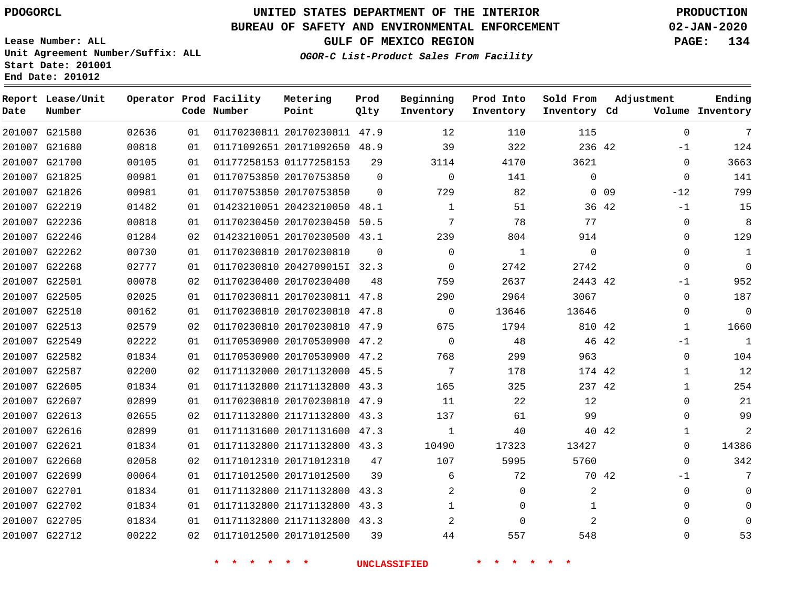**End Date: 201012**

### **UNITED STATES DEPARTMENT OF THE INTERIOR PDOGORCL PRODUCTION**

### **BUREAU OF SAFETY AND ENVIRONMENTAL ENFORCEMENT 02-JAN-2020**

**Lease Number: ALL Unit Agreement Number/Suffix: ALL Start Date: 201001**

**OGOR-C List-Product Sales From Facility**

**GULF OF MEXICO REGION PAGE: 134**

| Date | Report Lease/Unit<br>Number |       |    | Operator Prod Facility<br>Code Number | Metering<br>Point            | Prod<br>Qlty | Beginning<br>Inventory | Prod Into<br>Inventory | Sold From<br>Inventory Cd | Adjustment               | Ending<br>Volume Inventory |
|------|-----------------------------|-------|----|---------------------------------------|------------------------------|--------------|------------------------|------------------------|---------------------------|--------------------------|----------------------------|
|      | 201007 G21580               | 02636 | 01 |                                       | 01170230811 20170230811 47.9 |              | 12                     | 110                    | 115                       | $\Omega$                 | 7                          |
|      | 201007 G21680               | 00818 | 01 |                                       | 01171092651 20171092650 48.9 |              | 39                     | 322                    | 236 42                    | $-1$                     | 124                        |
|      | 201007 G21700               | 00105 | 01 |                                       | 01177258153 01177258153      | 29           | 3114                   | 4170                   | 3621                      | $\mathbf 0$              | 3663                       |
|      | 201007 G21825               | 00981 | 01 |                                       | 01170753850 20170753850      | $\Omega$     | $\mathbf 0$            | 141                    | 0                         | 0                        | 141                        |
|      | 201007 G21826               | 00981 | 01 |                                       | 01170753850 20170753850      | $\Omega$     | 729                    | 82                     |                           | 0 <sub>09</sub><br>$-12$ | 799                        |
|      | 201007 G22219               | 01482 | 01 |                                       | 01423210051 20423210050 48.1 |              | 1                      | 51                     | 36 42                     | $-1$                     | 15                         |
|      | 201007 G22236               | 00818 | 01 |                                       | 01170230450 20170230450 50.5 |              | 7                      | 78                     | 77                        | 0                        | 8                          |
|      | 201007 G22246               | 01284 | 02 |                                       | 01423210051 20170230500 43.1 |              | 239                    | 804                    | 914                       | $\Omega$                 | 129                        |
|      | 201007 G22262               | 00730 | 01 |                                       | 01170230810 20170230810      | $\Omega$     | $\mathbf 0$            | 1                      | 0                         | 0                        | $\mathbf{1}$               |
|      | 201007 G22268               | 02777 | 01 |                                       | 01170230810 2042709015I 32.3 |              | $\mathbf 0$            | 2742                   | 2742                      | $\mathbf 0$              | $\Omega$                   |
|      | 201007 G22501               | 00078 | 02 |                                       | 01170230400 20170230400      | 48           | 759                    | 2637                   | 2443 42                   | $-1$                     | 952                        |
|      | 201007 G22505               | 02025 | 01 |                                       | 01170230811 20170230811 47.8 |              | 290                    | 2964                   | 3067                      | $\mathbf 0$              | 187                        |
|      | 201007 G22510               | 00162 | 01 |                                       | 01170230810 20170230810 47.8 |              | $\mathbf 0$            | 13646                  | 13646                     | 0                        | $\mathbf 0$                |
|      | 201007 G22513               | 02579 | 02 |                                       | 01170230810 20170230810 47.9 |              | 675                    | 1794                   | 810 42                    | $\mathbf{1}$             | 1660                       |
|      | 201007 G22549               | 02222 | 01 |                                       | 01170530900 20170530900 47.2 |              | $\Omega$               | 48                     | 46 42                     | $-1$                     | $\mathbf{1}$               |
|      | 201007 G22582               | 01834 | 01 |                                       | 01170530900 20170530900 47.2 |              | 768                    | 299                    | 963                       | $\mathbf 0$              | 104                        |
|      | 201007 G22587               | 02200 | 02 |                                       | 01171132000 20171132000 45.5 |              | 7                      | 178                    | 174 42                    | $\mathbf{1}$             | 12                         |
|      | 201007 G22605               | 01834 | 01 |                                       | 01171132800 21171132800 43.3 |              | 165                    | 325                    | 237 42                    | $\mathbf{1}$             | 254                        |
|      | 201007 G22607               | 02899 | 01 |                                       | 01170230810 20170230810 47.9 |              | 11                     | 22                     | 12                        | $\Omega$                 | 21                         |
|      | 201007 G22613               | 02655 | 02 |                                       | 01171132800 21171132800 43.3 |              | 137                    | 61                     | 99                        | 0                        | 99                         |
|      | 201007 G22616               | 02899 | 01 |                                       | 01171131600 20171131600 47.3 |              | 1                      | 40                     | 40 42                     | 1                        | 2                          |
|      | 201007 G22621               | 01834 | 01 |                                       | 01171132800 21171132800 43.3 |              | 10490                  | 17323                  | 13427                     | 0                        | 14386                      |
|      | 201007 G22660               | 02058 | 02 |                                       | 01171012310 20171012310      | 47           | 107                    | 5995                   | 5760                      | $\Omega$                 | 342                        |
|      | 201007 G22699               | 00064 | 01 |                                       | 01171012500 20171012500      | 39           | 6                      | 72                     | 70 42                     | -1                       |                            |
|      | 201007 G22701               | 01834 | 01 |                                       | 01171132800 21171132800      | 43.3         | 2                      | 0                      | 2                         | 0                        | $\Omega$                   |
|      | 201007 G22702               | 01834 | 01 |                                       | 01171132800 21171132800 43.3 |              | $\mathbf{1}$           | 0                      | $\mathbf{1}$              | $\Omega$                 | $\Omega$                   |
|      | 201007 G22705               | 01834 | 01 |                                       | 01171132800 21171132800 43.3 |              | 2                      | 0                      | 2                         | $\mathbf{0}$             |                            |
|      | 201007 G22712               | 00222 | 02 |                                       | 01171012500 20171012500      | 39           | 44                     | 557                    | 548                       | $\mathbf{0}$             | 53                         |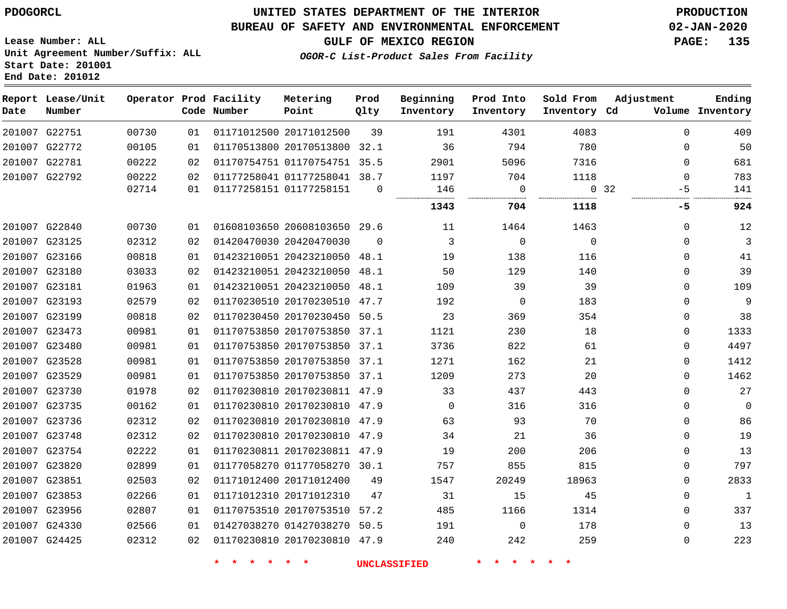**Report Lease/Unit**

**Number**

### **UNITED STATES DEPARTMENT OF THE INTERIOR PDOGORCL PRODUCTION**

**Prod Qlty**

#### **BUREAU OF SAFETY AND ENVIRONMENTAL ENFORCEMENT 02-JAN-2020**

**Lease Number: ALL Unit Agreement Number/Suffix: ALL Start Date: 201001 End Date: 201012**

**Operator Prod Facility**

**Code Number**

**Metering Point**

**GULF OF MEXICO REGION PAGE: 135**

**Inventory Cd Volume**

**Adjustment**

**Ending**

**OGOR-C List-Product Sales From Facility**

**Beginning Inventory** **Prod Into Inventory**

**Sold From Inventory**

| 201007 G22751 | 00730 | 01  | 01171012500 20171012500      | 39       | 191      | 4301           | 4083     | $\Omega$    | 409          |
|---------------|-------|-----|------------------------------|----------|----------|----------------|----------|-------------|--------------|
| 201007 G22772 | 00105 | 01  | 01170513800 20170513800 32.1 |          | 36       | 794            | 780      | 0           | 50           |
| 201007 G22781 | 00222 | 02  | 01170754751 01170754751 35.5 |          | 2901     | 5096           | 7316     | $\Omega$    | 681          |
| 201007 G22792 | 00222 | 02  | 01177258041 01177258041 38.7 |          | 1197     | 704            | 1118     | $\Omega$    | 783          |
|               | 02714 | 01  | 01177258151 01177258151      | $\Omega$ | 146      | - 0            |          | 0, 32<br>-5 | 141          |
|               |       |     |                              |          | 1343     | 704            | 1118     | -5          | 924          |
| 201007 G22840 | 00730 | 01  | 01608103650 20608103650 29.6 |          | 11       | 1464           | 1463     | $\Omega$    | 12           |
| 201007 G23125 | 02312 | 02  | 01420470030 20420470030      | $\Omega$ | 3        | $\overline{0}$ | $\Omega$ | 0           | 3            |
| 201007 G23166 | 00818 | 01  | 01423210051 20423210050 48.1 |          | 19       | 138            | 116      | 0           | 41           |
| 201007 G23180 | 03033 | 02  | 01423210051 20423210050 48.1 |          | 50       | 129            | 140      | 0           | 39           |
| 201007 G23181 | 01963 | 01  | 01423210051 20423210050 48.1 |          | 109      | 39             | 39       | $\Omega$    | 109          |
| 201007 G23193 | 02579 | 02  | 01170230510 20170230510 47.7 |          | 192      | $\overline{0}$ | 183      | 0           | 9            |
| 201007 G23199 | 00818 | 02  | 01170230450 20170230450 50.5 |          | 23       | 369            | 354      | $\Omega$    | 38           |
| 201007 G23473 | 00981 | 01  | 01170753850 20170753850 37.1 |          | 1121     | 230            | 18       | $\Omega$    | 1333         |
| 201007 G23480 | 00981 | 01  | 01170753850 20170753850 37.1 |          | 3736     | 822            | 61       | 0           | 4497         |
| 201007 G23528 | 00981 | 01  | 01170753850 20170753850 37.1 |          | 1271     | 162            | 21       | $\Omega$    | 1412         |
| 201007 G23529 | 00981 | 01  | 01170753850 20170753850 37.1 |          | 1209     | 273            | 20       | $\Omega$    | 1462         |
| 201007 G23730 | 01978 | 02  | 01170230810 20170230811 47.9 |          | 33       | 437            | 443      | 0           | 27           |
| 201007 G23735 | 00162 | 01  | 01170230810 20170230810 47.9 |          | $\Omega$ | 316            | 316      | $\Omega$    | $\mathbf 0$  |
| 201007 G23736 | 02312 | 02  | 01170230810 20170230810 47.9 |          | 63       | 93             | 70       | $\Omega$    | 86           |
| 201007 G23748 | 02312 | 02  | 01170230810 20170230810 47.9 |          | 34       | 21             | 36       | $\Omega$    | 19           |
| 201007 G23754 | 02222 | 01  | 01170230811 20170230811 47.9 |          | 19       | 200            | 206      | 0           | 13           |
| 201007 G23820 | 02899 | 01  | 01177058270 01177058270 30.1 |          | 757      | 855            | 815      | $\Omega$    | 797          |
| 201007 G23851 | 02503 | 02  | 01171012400 20171012400      | 49       | 1547     | 20249          | 18963    | $\Omega$    | 2833         |
| 201007 G23853 | 02266 | 01  | 01171012310 20171012310      | 47       | 31       | 15             | 45       | $\Omega$    | $\mathbf{1}$ |
| 201007 G23956 | 02807 | 01  | 01170753510 20170753510 57.2 |          | 485      | 1166           | 1314     | 0           | 337          |
| 201007 G24330 | 02566 | O 1 | 01427038270 01427038270 50.5 |          | 191      | $\Omega$       | 178      | $\Omega$    | 13           |
| 201007 G24425 | 02312 | 02  | 01170230810 20170230810 47.9 |          | 240      | 242            | 259      | $\Omega$    | 223          |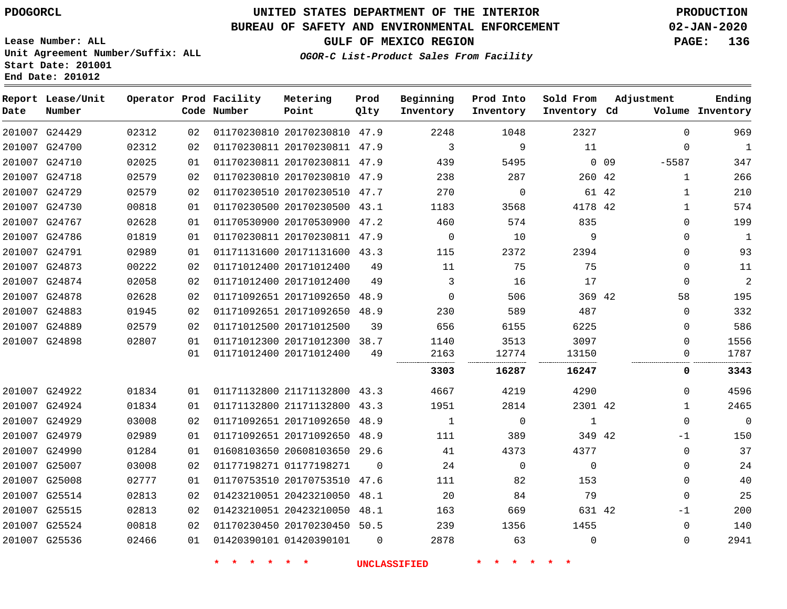## **UNITED STATES DEPARTMENT OF THE INTERIOR PDOGORCL PRODUCTION**

#### **BUREAU OF SAFETY AND ENVIRONMENTAL ENFORCEMENT 02-JAN-2020**

**Lease Number: ALL Unit Agreement Number/Suffix: ALL Start Date: 201001**

**Operator Prod Facility**

**End Date: 201012**

**Report Lease/Unit**

**GULF OF MEXICO REGION PAGE: 136**

**Prod**

**Metering**

**Adjustment**

**Ending**

**OGOR-C List-Product Sales From Facility**

**Beginning**

**Prod Into**

**Sold From**

| Date | Number        |       |    | Code Number | Point                        | Qlty     | Inventory    | Inventory   | Inventory Cd |        |              | Volume Inventory |
|------|---------------|-------|----|-------------|------------------------------|----------|--------------|-------------|--------------|--------|--------------|------------------|
|      | 201007 G24429 | 02312 | 02 |             | 01170230810 20170230810 47.9 |          | 2248         | 1048        | 2327         |        | $\mathbf{0}$ | 969              |
|      | 201007 G24700 | 02312 | 02 |             | 01170230811 20170230811 47.9 |          | 3            | 9           | 11           |        | $\Omega$     | $\mathbf{1}$     |
|      | 201007 G24710 | 02025 | 01 |             | 01170230811 20170230811 47.9 |          | 439          | 5495        |              | $0$ 09 | $-5587$      | 347              |
|      | 201007 G24718 | 02579 | 02 |             | 01170230810 20170230810 47.9 |          | 238          | 287         | 260 42       |        | 1            | 266              |
|      | 201007 G24729 | 02579 | 02 |             | 01170230510 20170230510      | 47.7     | 270          | $\mathbf 0$ |              | 61 42  | $\mathbf{1}$ | 210              |
|      | 201007 G24730 | 00818 | 01 |             | 01170230500 20170230500 43.1 |          | 1183         | 3568        | 4178 42      |        | $\mathbf{1}$ | 574              |
|      | 201007 G24767 | 02628 | 01 |             | 01170530900 20170530900      | 47.2     | 460          | 574         | 835          |        | $\mathbf 0$  | 199              |
|      | 201007 G24786 | 01819 | 01 |             | 01170230811 20170230811 47.9 |          | $\mathbf 0$  | 10          | 9            |        | $\mathbf{0}$ | 1                |
|      | 201007 G24791 | 02989 | 01 |             | 01171131600 20171131600 43.3 |          | 115          | 2372        | 2394         |        | $\mathbf 0$  | 93               |
|      | 201007 G24873 | 00222 | 02 |             | 01171012400 20171012400      | 49       | 11           | 75          | 75           |        | $\mathbf{0}$ | 11               |
|      | 201007 G24874 | 02058 | 02 |             | 01171012400 20171012400      | 49       | 3            | 16          | 17           |        | $\Omega$     | $\overline{2}$   |
|      | 201007 G24878 | 02628 | 02 |             | 01171092651 20171092650 48.9 |          | $\Omega$     | 506         | 369 42       |        | 58           | 195              |
|      | 201007 G24883 | 01945 | 02 |             | 01171092651 20171092650 48.9 |          | 230          | 589         | 487          |        | $\mathbf{0}$ | 332              |
|      | 201007 G24889 | 02579 | 02 |             | 01171012500 20171012500      | 39       | 656          | 6155        | 6225         |        | $\mathbf{0}$ | 586              |
|      | 201007 G24898 | 02807 | 01 |             | 01171012300 20171012300 38.7 |          | 1140         | 3513        | 3097         |        | $\mathbf{0}$ | 1556             |
|      |               |       | 01 |             | 01171012400 20171012400      | 49       | 2163         | 12774       | 13150        |        | 0            | 1787             |
|      |               |       |    |             |                              |          | 3303         | 16287       | 16247        |        | 0            | 3343             |
|      | 201007 G24922 | 01834 | 01 |             | 01171132800 21171132800 43.3 |          | 4667         | 4219        | 4290         |        | $\Omega$     | 4596             |
|      | 201007 G24924 | 01834 | 01 |             | 01171132800 21171132800 43.3 |          | 1951         | 2814        | 2301 42      |        | 1            | 2465             |
|      | 201007 G24929 | 03008 | 02 |             | 01171092651 20171092650 48.9 |          | $\mathbf{1}$ | $\Omega$    | $\mathbf{1}$ |        | $\mathbf 0$  | $\mathbf 0$      |
|      | 201007 G24979 | 02989 | 01 |             | 01171092651 20171092650      | 48.9     | 111          | 389         | 349 42       |        | $-1$         | 150              |
|      | 201007 G24990 | 01284 | 01 |             | 01608103650 20608103650 29.6 |          | 41           | 4373        | 4377         |        | $\Omega$     | 37               |
|      | 201007 G25007 | 03008 | 02 |             | 01177198271 01177198271      | $\Omega$ | 24           | $\Omega$    | $\mathbf 0$  |        | $\mathbf 0$  | 24               |
|      | 201007 G25008 | 02777 | 01 |             | 01170753510 20170753510 47.6 |          | 111          | 82          | 153          |        | $\mathbf 0$  | 40               |
|      | 201007 G25514 | 02813 | 02 |             | 01423210051 20423210050      | 48.1     | 20           | 84          | 79           |        | $\mathbf{0}$ | 25               |
|      | 201007 G25515 | 02813 | 02 |             | 01423210051 20423210050      | 48.1     | 163          | 669         | 631 42       |        | -1           | 200              |
|      | 201007 G25524 | 00818 | 02 |             | 01170230450 20170230450 50.5 |          | 239          | 1356        | 1455         |        | $\mathbf{0}$ | 140              |
|      | 201007 G25536 | 02466 | 01 |             | 01420390101 01420390101      | 0        | 2878         | 63          | $\mathbf 0$  |        | $\Omega$     | 2941             |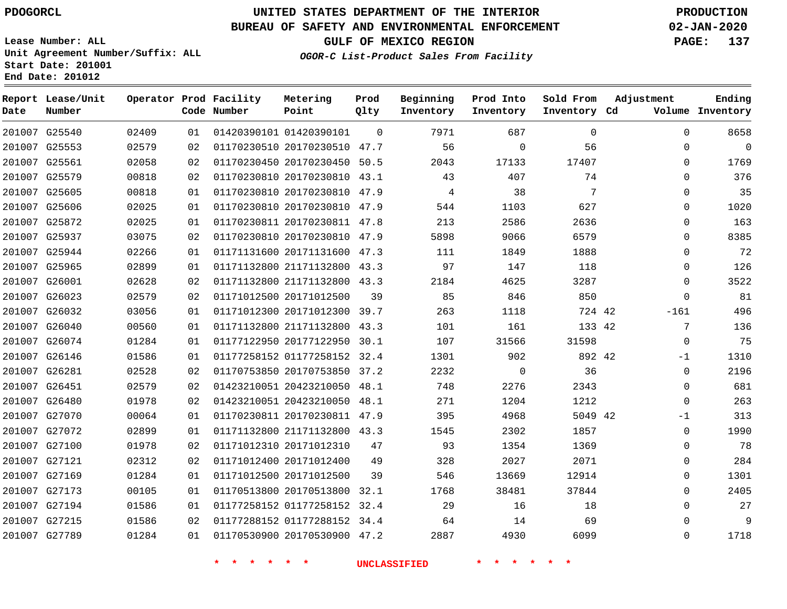**Report Lease/Unit**

**Number**

## **UNITED STATES DEPARTMENT OF THE INTERIOR PDOGORCL PRODUCTION**

**Prod Qlty**

#### **BUREAU OF SAFETY AND ENVIRONMENTAL ENFORCEMENT 02-JAN-2020**

**Lease Number: ALL Unit Agreement Number/Suffix: ALL Start Date: 201001 End Date: 201012**

**Operator Prod Facility**

**Code Number**

**OGOR-C List-Product Sales From Facility**

**Beginning Inventory** **Prod Into Inventory** **Sold From Inventory**

**GULF OF MEXICO REGION PAGE: 137**

**Inventory Cd Volume**

**Adjustment**

**Ending**

| 201007 G25540 | 02409 | 01 | 01420390101 01420390101      |    | 7971<br>$\Omega$ | 687            | $\mathbf{0}$ | 0           |
|---------------|-------|----|------------------------------|----|------------------|----------------|--------------|-------------|
| 201007 G25553 | 02579 | 02 | 01170230510 20170230510 47.7 |    | 56               | $\overline{0}$ | 56           | 0           |
| 201007 G25561 | 02058 | 02 | 01170230450 20170230450 50.5 |    | 2043             | 17133          | 17407        | 0           |
| 201007 G25579 | 00818 | 02 | 01170230810 20170230810 43.1 |    | 43               | 407            | 74           | 0           |
| 201007 G25605 | 00818 | 01 | 01170230810 20170230810 47.9 |    | $\overline{4}$   | 38             | 7            | 0           |
| 201007 G25606 | 02025 | 01 | 01170230810 20170230810 47.9 |    | 544              | 1103           | 627          | 0           |
| 201007 G25872 | 02025 | 01 | 01170230811 20170230811 47.8 |    | 213              | 2586           | 2636         | 0           |
| 201007 G25937 | 03075 | 02 | 01170230810 20170230810 47.9 |    | 5898             | 9066           | 6579         | 0           |
| 201007 G25944 | 02266 | 01 | 01171131600 20171131600 47.3 |    | 111              | 1849           | 1888         | 0           |
| 201007 G25965 | 02899 | 01 | 01171132800 21171132800 43.3 |    | 97               | 147            | 118          | 0           |
| 201007 G26001 | 02628 | 02 | 01171132800 21171132800 43.3 |    | 2184             | 4625           | 3287         | 0           |
| 201007 G26023 | 02579 | 02 | 01171012500 20171012500      | 39 | 85               | 846            | 850          | $\Omega$    |
| 201007 G26032 | 03056 | 01 | 01171012300 20171012300 39.7 |    | 263              | 1118           | 724 42       | $-161$      |
| 201007 G26040 | 00560 | 01 | 01171132800 21171132800 43.3 |    | 101              | 161            | 133 42       | 7           |
| 201007 G26074 | 01284 | 01 | 01177122950 20177122950 30.1 |    | 107              | 31566          | 31598        | $\mathbf 0$ |
| 201007 G26146 | 01586 | 01 | 01177258152 01177258152 32.4 |    | 1301             | 902            | 892 42       | $-1$        |
| 201007 G26281 | 02528 | 02 | 01170753850 20170753850 37.2 |    | 2232             | $\overline{0}$ | 36           | 0           |
| 201007 G26451 | 02579 | 02 | 01423210051 20423210050 48.1 |    | 748              | 2276           | 2343         | $\mathbf 0$ |
| 201007 G26480 | 01978 | 02 | 01423210051 20423210050 48.1 |    | 271              | 1204           | 1212         | $\Omega$    |
| 201007 G27070 | 00064 | 01 | 01170230811 20170230811 47.9 |    | 395              | 4968           | 5049 42      | $-1$        |
| 201007 G27072 | 02899 | 01 | 01171132800 21171132800 43.3 |    | 1545             | 2302           | 1857         | 0           |
| 201007 G27100 | 01978 | 02 | 01171012310 20171012310      | 47 | 93               | 1354           | 1369         | 0           |
| 201007 G27121 | 02312 | 02 | 01171012400 20171012400      | 49 | 328              | 2027           | 2071         | 0           |
| 201007 G27169 | 01284 | 01 | 01171012500 20171012500      | 39 | 546              | 13669          | 12914        | 0           |
| 201007 G27173 | 00105 | 01 | 01170513800 20170513800 32.1 |    | 1768             | 38481          | 37844        | 0           |
| 201007 G27194 | 01586 | 01 | 01177258152 01177258152 32.4 |    | 29               | 16             | 18           | 0           |
| 201007 G27215 | 01586 | 02 | 01177288152 01177288152 34.4 |    | 64               | 14             | 69           | 0           |
| 201007 G27789 | 01284 | 01 | 01170530900 20170530900 47.2 |    | 2887             | 4930           | 6099         | 0           |
|               |       |    |                              |    |                  |                |              |             |

**Metering Point**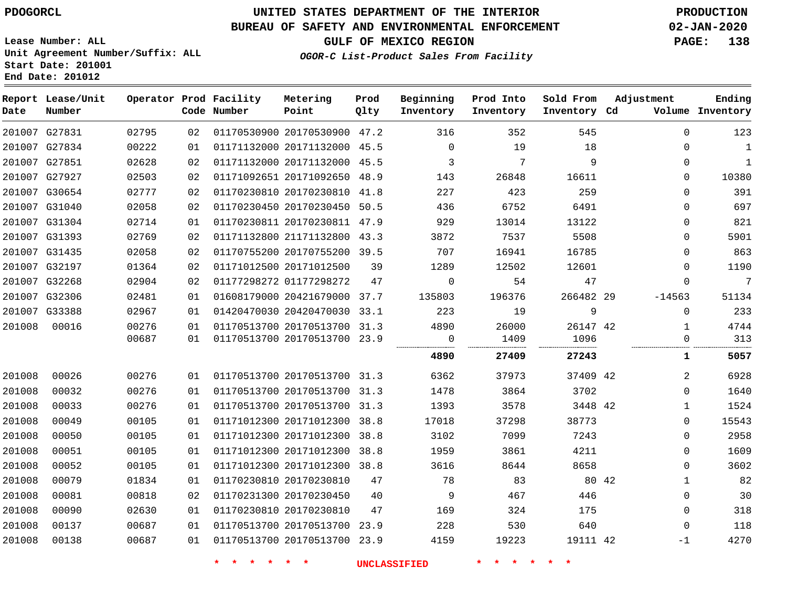**End Date: 201012**

# **UNITED STATES DEPARTMENT OF THE INTERIOR PDOGORCL PRODUCTION**

### **BUREAU OF SAFETY AND ENVIRONMENTAL ENFORCEMENT 02-JAN-2020**

**Lease Number: ALL Unit Agreement Number/Suffix: ALL Start Date: 201001**

### **OGOR-C List-Product Sales From Facility**

**GULF OF MEXICO REGION PAGE: 138**

| Date   | Report Lease/Unit<br>Number |       |    | Operator Prod Facility<br>Code Number | Metering<br>Point            | Prod<br>Qlty | Beginning<br>Inventory | Prod Into<br>Inventory | Sold From<br>Inventory Cd | Adjustment   | Ending<br>Volume Inventory |
|--------|-----------------------------|-------|----|---------------------------------------|------------------------------|--------------|------------------------|------------------------|---------------------------|--------------|----------------------------|
|        | 201007 G27831               | 02795 | 02 |                                       | 01170530900 20170530900 47.2 |              | 316                    | 352                    | 545                       | $\Omega$     | 123                        |
|        | 201007 G27834               | 00222 | 01 |                                       | 01171132000 20171132000 45.5 |              | $\Omega$               | 19                     | 18                        | $\Omega$     | 1                          |
|        | 201007 G27851               | 02628 | 02 |                                       | 01171132000 20171132000      | 45.5         | 3                      | 7                      | 9                         | $\mathbf 0$  | $\mathbf{1}$               |
|        | 201007 G27927               | 02503 | 02 |                                       | 01171092651 20171092650 48.9 |              | 143                    | 26848                  | 16611                     | $\Omega$     | 10380                      |
|        | 201007 G30654               | 02777 | 02 |                                       | 01170230810 20170230810 41.8 |              | 227                    | 423                    | 259                       | $\Omega$     | 391                        |
|        | 201007 G31040               | 02058 | 02 |                                       | 01170230450 20170230450 50.5 |              | 436                    | 6752                   | 6491                      | $\Omega$     | 697                        |
|        | 201007 G31304               | 02714 | 01 |                                       | 01170230811 20170230811 47.9 |              | 929                    | 13014                  | 13122                     | 0            | 821                        |
|        | 201007 G31393               | 02769 | 02 |                                       | 01171132800 21171132800 43.3 |              | 3872                   | 7537                   | 5508                      | 0            | 5901                       |
|        | 201007 G31435               | 02058 | 02 |                                       | 01170755200 20170755200 39.5 |              | 707                    | 16941                  | 16785                     | $\Omega$     | 863                        |
|        | 201007 G32197               | 01364 | 02 |                                       | 01171012500 20171012500      | 39           | 1289                   | 12502                  | 12601                     | 0            | 1190                       |
|        | 201007 G32268               | 02904 | 02 |                                       | 01177298272 01177298272      | 47           | 0                      | 54                     | 47                        | $\Omega$     | 7                          |
|        | 201007 G32306               | 02481 | 01 |                                       | 01608179000 20421679000 37.7 |              | 135803                 | 196376                 | 266482 29                 | $-14563$     | 51134                      |
|        | 201007 G33388               | 02967 | 01 |                                       | 01420470030 20420470030 33.1 |              | 223                    | 19                     | 9                         | $\mathbf{0}$ | 233                        |
| 201008 | 00016                       | 00276 | 01 |                                       | 01170513700 20170513700 31.3 |              | 4890                   | 26000                  | 26147 42                  | $\mathbf{1}$ | 4744                       |
|        |                             | 00687 | 01 |                                       | 01170513700 20170513700 23.9 |              | 0                      | 1409                   | 1096                      | 0            | 313                        |
|        |                             |       |    |                                       |                              |              | 4890                   | 27409                  | 27243                     | 1            | 5057                       |
| 201008 | 00026                       | 00276 | 01 |                                       | 01170513700 20170513700 31.3 |              | 6362                   | 37973                  | 37409 42                  | 2            | 6928                       |
| 201008 | 00032                       | 00276 | 01 |                                       | 01170513700 20170513700 31.3 |              | 1478                   | 3864                   | 3702                      | $\mathbf 0$  | 1640                       |
| 201008 | 00033                       | 00276 | 01 |                                       | 01170513700 20170513700 31.3 |              | 1393                   | 3578                   | 3448 42                   | $\mathbf 1$  | 1524                       |
| 201008 | 00049                       | 00105 | 01 |                                       | 01171012300 20171012300 38.8 |              | 17018                  | 37298                  | 38773                     | $\mathbf 0$  | 15543                      |
| 201008 | 00050                       | 00105 | 01 |                                       | 01171012300 20171012300      | 38.8         | 3102                   | 7099                   | 7243                      | 0            | 2958                       |
| 201008 | 00051                       | 00105 | 01 |                                       | 01171012300 20171012300      | 38.8         | 1959                   | 3861                   | 4211                      | $\mathbf 0$  | 1609                       |
| 201008 | 00052                       | 00105 | 01 |                                       | 01171012300 20171012300 38.8 |              | 3616                   | 8644                   | 8658                      | 0            | 3602                       |
| 201008 | 00079                       | 01834 | 01 |                                       | 01170230810 20170230810      | 47           | 78                     | 83                     | 80 42                     | 1            | 82                         |
| 201008 | 00081                       | 00818 | 02 |                                       | 01170231300 20170230450      | 40           | 9                      | 467                    | 446                       | $\Omega$     | 30                         |
| 201008 | 00090                       | 02630 | 01 |                                       | 01170230810 20170230810      | 47           | 169                    | 324                    | 175                       | 0            | 318                        |
| 201008 | 00137                       | 00687 | 01 |                                       | 01170513700 20170513700 23.9 |              | 228                    | 530                    | 640                       | $\Omega$     | 118                        |
| 201008 | 00138                       | 00687 | 01 |                                       | 01170513700 20170513700 23.9 |              | 4159                   | 19223                  | 19111 42                  | $-1$         | 4270                       |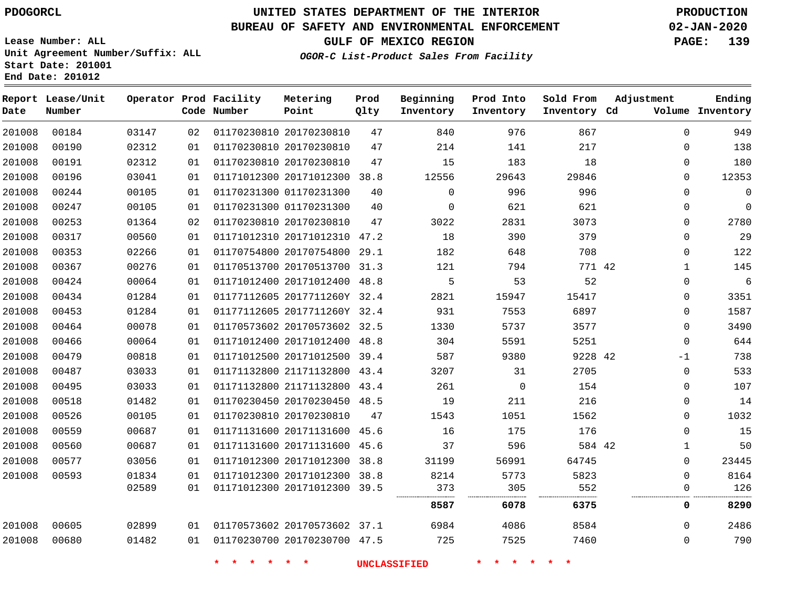**Report Lease/Unit**

**Date**

 

### **UNITED STATES DEPARTMENT OF THE INTERIOR PDOGORCL PRODUCTION**

**Prod**  $Q1 + 3z$ 

**Metering Point**

#### **BUREAU OF SAFETY AND ENVIRONMENTAL ENFORCEMENT 02-JAN-2020**

**Lease Number: ALL Unit Agreement Number/Suffix: ALL Start Date: 201001 End Date: 201012**

**Operator Prod Facility**

**OGOR-C List-Product Sales From Facility**

**Beginning Inventory** **Prod Into Inventory** **Sold From Inventory**

**Adjustment**

**GULF OF MEXICO REGION PAGE: 139**

**Ending**

| Number |       |    | Code Number        | Point                        | Qlty | Inventory           | Inventory          | Inventory Cd |              | Volume Inventory |
|--------|-------|----|--------------------|------------------------------|------|---------------------|--------------------|--------------|--------------|------------------|
| 00184  | 03147 | 02 |                    | 01170230810 20170230810      | 47   | 840                 | 976                | 867          | $\Omega$     | 949              |
| 00190  | 02312 | 01 |                    | 01170230810 20170230810      | 47   | 214                 | 141                | 217          | 0            | 138              |
| 00191  | 02312 | 01 |                    | 01170230810 20170230810      | 47   | 15                  | 183                | 18           | $\mathbf 0$  | 180              |
| 00196  | 03041 | 01 |                    | 01171012300 20171012300 38.8 |      | 12556               | 29643              | 29846        | 0            | 12353            |
| 00244  | 00105 | 01 |                    | 01170231300 01170231300      | 40   | $\mathbf 0$         | 996                | 996          | $\mathbf 0$  | $\mathbf 0$      |
| 00247  | 00105 | 01 |                    | 01170231300 01170231300      | 40   | 0                   | 621                | 621          | $\mathbf 0$  | $\mathbf 0$      |
| 00253  | 01364 | 02 |                    | 01170230810 20170230810      | 47   | 3022                | 2831               | 3073         | 0            | 2780             |
| 00317  | 00560 | 01 |                    | 01171012310 20171012310 47.2 |      | 18                  | 390                | 379          | $\mathbf 0$  | 29               |
| 00353  | 02266 | 01 |                    | 01170754800 20170754800 29.1 |      | 182                 | 648                | 708          | $\mathbf 0$  | 122              |
| 00367  | 00276 | 01 |                    | 01170513700 20170513700 31.3 |      | 121                 | 794                | 771 42       | $\mathbf{1}$ | 145              |
| 00424  | 00064 | 01 |                    | 01171012400 20171012400 48.8 |      | 5                   | 53                 | 52           | $\mathbf 0$  | $\overline{6}$   |
| 00434  | 01284 | 01 |                    | 01177112605 2017711260Y 32.4 |      | 2821                | 15947              | 15417        | 0            | 3351             |
| 00453  | 01284 | 01 |                    | 01177112605 2017711260Y 32.4 |      | 931                 | 7553               | 6897         | $\mathbf 0$  | 1587             |
| 00464  | 00078 | 01 |                    | 01170573602 20170573602 32.5 |      | 1330                | 5737               | 3577         | $\mathbf 0$  | 3490             |
| 00466  | 00064 | 01 |                    | 01171012400 20171012400 48.8 |      | 304                 | 5591               | 5251         | $\Omega$     | 644              |
| 00479  | 00818 | 01 |                    | 01171012500 20171012500 39.4 |      | 587                 | 9380               | 9228 42      | -1           | 738              |
| 00487  | 03033 | 01 |                    | 01171132800 21171132800 43.4 |      | 3207                | 31                 | 2705         | 0            | 533              |
| 00495  | 03033 | 01 |                    | 01171132800 21171132800 43.4 |      | 261                 | $\mathbf 0$        | 154          | $\mathbf 0$  | 107              |
| 00518  | 01482 | 01 |                    | 01170230450 20170230450 48.5 |      | 19                  | 211                | 216          | 0            | 14               |
| 00526  | 00105 | 01 |                    | 01170230810 20170230810      | 47   | 1543                | 1051               | 1562         | $\mathbf 0$  | 1032             |
| 00559  | 00687 | 01 |                    | 01171131600 20171131600 45.6 |      | 16                  | 175                | 176          | $\Omega$     | 15               |
| 00560  | 00687 | 01 |                    | 01171131600 20171131600 45.6 |      | 37                  | 596                | 584 42       | $\mathbf 1$  | 50               |
| 00577  | 03056 | 01 |                    | 01171012300 20171012300 38.8 |      | 31199               | 56991              | 64745        | $\mathbf 0$  | 23445            |
| 00593  | 01834 | 01 |                    | 01171012300 20171012300 38.8 |      | 8214                | 5773               | 5823         | $\Omega$     | 8164             |
|        | 02589 | 01 |                    | 01171012300 20171012300 39.5 |      | 373                 | 305<br>.           | 552          | 0            | 126              |
|        |       |    |                    |                              |      | 8587                | 6078               | 6375         | 0            | 8290             |
| 00605  | 02899 | 01 |                    | 01170573602 20170573602 37.1 |      | 6984                | 4086               | 8584         | 0            | 2486             |
| 00680  | 01482 | 01 |                    | 01170230700 20170230700 47.5 |      | 725                 | 7525               | 7460         | $\Omega$     | 790              |
|        |       |    | $\star$<br>$\star$ | $\star$<br>$\star$           |      | <b>UNCLASSIFIED</b> | $\star$<br>$\star$ |              |              |                  |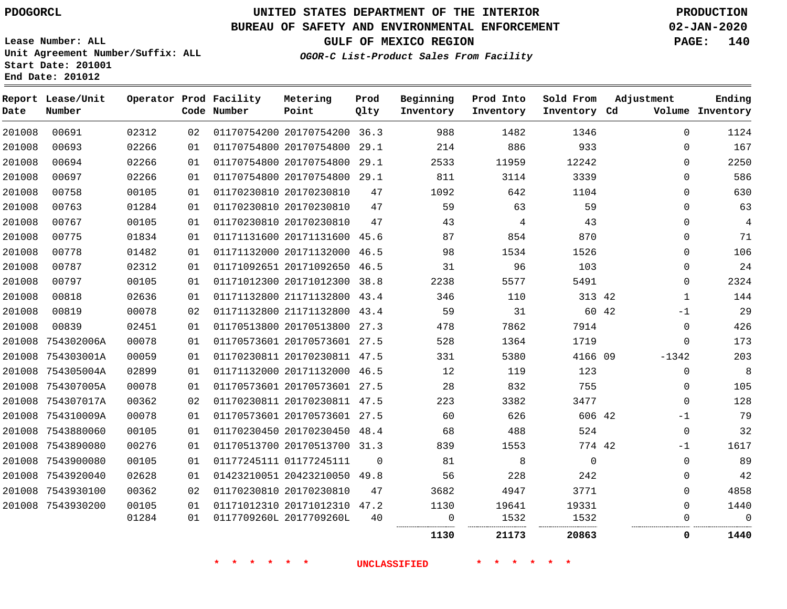**Report Lease/Unit**

**Number**

### **UNITED STATES DEPARTMENT OF THE INTERIOR PDOGORCL PRODUCTION**

**Prod Qlty**

### **BUREAU OF SAFETY AND ENVIRONMENTAL ENFORCEMENT 02-JAN-2020**

**Lease Number: ALL Unit Agreement Number/Suffix: ALL Start Date: 201001 End Date: 201012**

**Operator Prod Facility**

**OGOR-C List-Product Sales From Facility**

**Beginning Inventory**

**Prod Into Inventory**

**Sold From Inventory**

**GULF OF MEXICO REGION PAGE: 140**

**Adjustment**

**Ending**

| Date   | Number            |       |    | Code Number                          | Point                        | Qlty     | Inventory           | Inventory                     | Inventory Cd       |             | Volume Inventory |
|--------|-------------------|-------|----|--------------------------------------|------------------------------|----------|---------------------|-------------------------------|--------------------|-------------|------------------|
| 201008 | 00691             | 02312 | 02 |                                      | 01170754200 20170754200 36.3 |          | 988                 | 1482                          | 1346               | $\mathbf 0$ | 1124             |
| 201008 | 00693             | 02266 | 01 |                                      | 01170754800 20170754800 29.1 |          | 214                 | 886                           | 933                | $\mathbf 0$ | 167              |
| 201008 | 00694             | 02266 | 01 |                                      | 01170754800 20170754800 29.1 |          | 2533                | 11959                         | 12242              | $\mathbf 0$ | 2250             |
| 201008 | 00697             | 02266 | 01 |                                      | 01170754800 20170754800 29.1 |          | 811                 | 3114                          | 3339               | $\Omega$    | 586              |
| 201008 | 00758             | 00105 | 01 |                                      | 01170230810 20170230810      | 47       | 1092                | 642                           | 1104               | $\Omega$    | 630              |
| 201008 | 00763             | 01284 | 01 |                                      | 01170230810 20170230810      | 47       | 59                  | 63                            | 59                 | $\mathbf 0$ | 63               |
| 201008 | 00767             | 00105 | 01 |                                      | 01170230810 20170230810      | 47       | 43                  | 4                             | 43                 | $\mathbf 0$ | $\overline{4}$   |
| 201008 | 00775             | 01834 | 01 |                                      | 01171131600 20171131600 45.6 |          | 87                  | 854                           | 870                | 0           | 71               |
| 201008 | 00778             | 01482 | 01 |                                      | 01171132000 20171132000 46.5 |          | 98                  | 1534                          | 1526               | $\mathbf 0$ | 106              |
| 201008 | 00787             | 02312 | 01 |                                      | 01171092651 20171092650 46.5 |          | 31                  | 96                            | 103                | $\mathbf 0$ | 24               |
| 201008 | 00797             | 00105 | 01 |                                      | 01171012300 20171012300 38.8 |          | 2238                | 5577                          | 5491               | 0           | 2324             |
| 201008 | 00818             | 02636 | 01 |                                      | 01171132800 21171132800 43.4 |          | 346                 | 110                           | 313 42             | $\mathbf 1$ | 144              |
| 201008 | 00819             | 00078 | 02 |                                      | 01171132800 21171132800 43.4 |          | 59                  | 31                            | 60 42              | $-1$        | 29               |
| 201008 | 00839             | 02451 | 01 |                                      | 01170513800 20170513800 27.3 |          | 478                 | 7862                          | 7914               | $\mathbf 0$ | 426              |
| 201008 | 754302006A        | 00078 | 01 |                                      | 01170573601 20170573601 27.5 |          | 528                 | 1364                          | 1719               | 0           | 173              |
|        | 201008 754303001A | 00059 | 01 |                                      | 01170230811 20170230811 47.5 |          | 331                 | 5380                          | 4166 09            | $-1342$     | 203              |
|        | 201008 754305004A | 02899 | 01 |                                      | 01171132000 20171132000 46.5 |          | 12                  | 119                           | 123                | 0           | 8                |
|        | 201008 754307005A | 00078 | 01 |                                      | 01170573601 20170573601 27.5 |          | 28                  | 832                           | 755                | $\mathbf 0$ | 105              |
|        | 201008 754307017A | 00362 | 02 |                                      | 01170230811 20170230811 47.5 |          | 223                 | 3382                          | 3477               | $\mathbf 0$ | 128              |
|        | 201008 754310009A | 00078 | 01 |                                      | 01170573601 20170573601 27.5 |          | 60                  | 626                           | 606 42             | -1          | 79               |
|        | 201008 7543880060 | 00105 | 01 |                                      | 01170230450 20170230450 48.4 |          | 68                  | 488                           | 524                | 0           | 32               |
|        | 201008 7543890080 | 00276 | 01 |                                      | 01170513700 20170513700 31.3 |          | 839                 | 1553                          | 774 42             | $-1$        | 1617             |
|        | 201008 7543900080 | 00105 | 01 |                                      | 01177245111 01177245111      | $\Omega$ | 81                  | 8                             | $\mathbf 0$        | 0           | 89               |
|        | 201008 7543920040 | 02628 | 01 |                                      | 01423210051 20423210050 49.8 |          | 56                  | 228                           | 242                | 0           | 42               |
|        | 201008 7543930100 | 00362 | 02 |                                      | 01170230810 20170230810      | 47       | 3682                | 4947                          | 3771               | $\mathbf 0$ | 4858             |
|        | 201008 7543930200 | 00105 | 01 |                                      | 01171012310 20171012310 47.2 |          | 1130                | 19641                         | 19331              | $\Omega$    | 1440             |
|        |                   | 01284 | 01 |                                      | 0117709260L 2017709260L      | 40       | 0<br>               | 1532                          | 1532<br>           | $\Omega$    | $\mathbf 0$      |
|        |                   |       |    |                                      |                              |          | 1130                | 21173                         | 20863              | 0           | 1440             |
|        |                   |       |    | $\star$<br>一大<br><b>水</b><br>$\star$ | $*$ *                        |          | <b>UNCLASSIFIED</b> | $\star$<br>$\star$<br>$\star$ | $\star$<br>$\star$ |             |                  |

**Metering Point**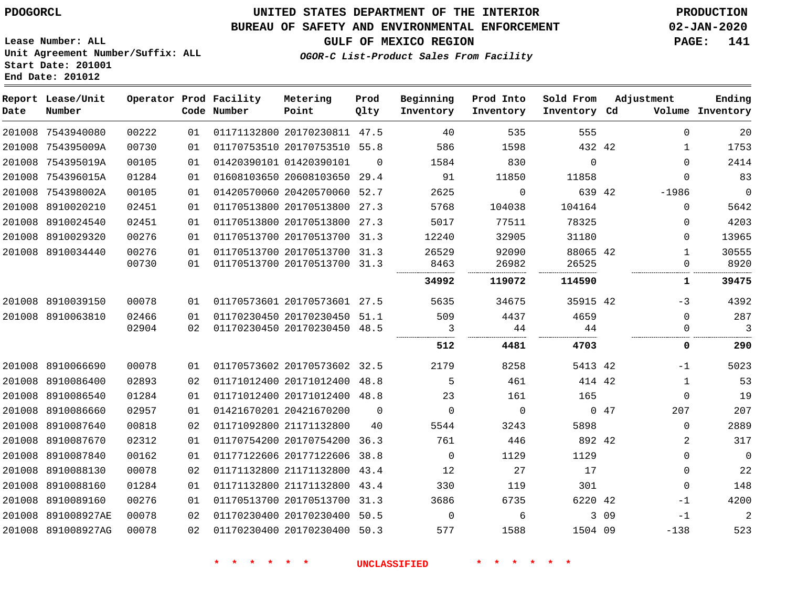8910087840 8910088130 8910088160 8910089160 891008927AE 891008927AG

# **UNITED STATES DEPARTMENT OF THE INTERIOR PDOGORCL PRODUCTION**

#### **BUREAU OF SAFETY AND ENVIRONMENTAL ENFORCEMENT 02-JAN-2020**

**Lease Number: ALL Unit Agreement Number/Suffix: ALL Start Date: 201001 End Date: 201012**

#### **OGOR-C List-Product Sales From Facility**

**GULF OF MEXICO REGION PAGE: 141**

-1  $\Omega$   $\overline{0}$  -1 -1 -138

 

| Date   | Report Lease/Unit<br>Number |       |    | Operator Prod Facility<br>Code Number | Metering<br>Point            | Prod<br>Qlty | Beginning<br>Inventory | Prod Into<br>Inventory | Sold From<br>Inventory Cd | Adjustment | Volume   | Ending<br>Inventory |
|--------|-----------------------------|-------|----|---------------------------------------|------------------------------|--------------|------------------------|------------------------|---------------------------|------------|----------|---------------------|
| 201008 | 7543940080                  | 00222 | 01 |                                       | 01171132800 20170230811 47.5 |              | 40                     | 535                    | 555                       |            | $\Omega$ | 20                  |
| 201008 | 754395009A                  | 00730 | 01 |                                       | 01170753510 20170753510 55.8 |              | 586                    | 1598                   | 432 42                    |            | 1        | 1753                |
| 201008 | 754395019A                  | 00105 | 01 |                                       | 01420390101 01420390101      | $\Omega$     | 1584                   | 830                    | $\Omega$                  |            | $\Omega$ | 2414                |
| 201008 | 754396015A                  | 01284 | 01 |                                       | 01608103650 20608103650      | 29.4         | 91                     | 11850                  | 11858                     |            | $\Omega$ | 83                  |
| 201008 | 754398002A                  | 00105 | 01 |                                       | 01420570060 20420570060      | 52.7         | 2625                   | 0                      | 639 42                    |            | $-1986$  | $\overline{0}$      |
| 201008 | 8910020210                  | 02451 | 01 |                                       | 01170513800 20170513800      | 27.3         | 5768                   | 104038                 | 104164                    |            | $\Omega$ | 5642                |
| 201008 | 8910024540                  | 02451 | 01 |                                       | 01170513800 20170513800      | 27.3         | 5017                   | 77511                  | 78325                     |            | $\Omega$ | 4203                |
| 201008 | 8910029320                  | 00276 | 01 |                                       | 01170513700 20170513700      | 31.3         | 12240                  | 32905                  | 31180                     |            | $\Omega$ | 13965               |
| 201008 | 8910034440                  | 00276 | 01 |                                       | 01170513700 20170513700 31.3 |              | 26529                  | 92090                  | 88065 42                  |            | 1        | 30555               |
|        |                             | 00730 | 01 |                                       | 01170513700 20170513700 31.3 |              | 8463                   | 26982                  | 26525                     |            | $\Omega$ | 8920                |
|        |                             |       |    |                                       |                              |              | 34992                  | 119072                 | 114590                    |            | 1        | 39475               |
| 201008 | 8910039150                  | 00078 | 01 |                                       | 01170573601 20170573601      | 27.5         | 5635                   | 34675                  | 35915 42                  |            | $-3$     | 4392                |
| 201008 | 8910063810                  | 02466 | 01 |                                       | 01170230450 20170230450      | 51.1         | 509                    | 4437                   | 4659                      |            | $\Omega$ | 287                 |
|        |                             | 02904 | 02 |                                       | 01170230450 20170230450 48.5 |              |                        | 44                     | 44                        |            | $\Omega$ | 3                   |
|        |                             |       |    |                                       |                              |              | 512                    | 4481                   | 4703                      |            | 0        | 290                 |
| 201008 | 8910066690                  | 00078 | 01 |                                       | 01170573602 20170573602 32.5 |              | 2179                   | 8258                   | 5413 42                   |            | $-1$     | 5023                |
| 201008 | 8910086400                  | 02893 | 02 |                                       | 01171012400 20171012400      | 48.8         | 5                      | 461                    | 414 42                    |            | 1        | 53                  |
| 201008 | 8910086540                  | 01284 | 01 |                                       | 01171012400 20171012400 48.8 |              | 23                     | 161                    | 165                       |            | $\Omega$ | 19                  |
| 201008 | 8910086660                  | 02957 | 01 |                                       | 01421670201 20421670200      | $\Omega$     | $\Omega$               | $\Omega$               |                           | 047        | 207      | 207                 |
| 201008 | 8910087640                  | 00818 | 02 |                                       | 01171092800 21171132800      | 40           | 5544                   | 3243                   | 5898                      |            | $\Omega$ | 2889                |
|        | 201008 8910087670           | 02312 | 01 |                                       | 01170754200 20170754200      | 36.3         | 761                    | 446                    | 892 42                    |            | 2        | 317                 |

 20177122606 38.8 21171132800 43.4 21171132800 43.4 20170513700 31.3 20170230400 50.5 20170230400 50.3

42 09 1504 09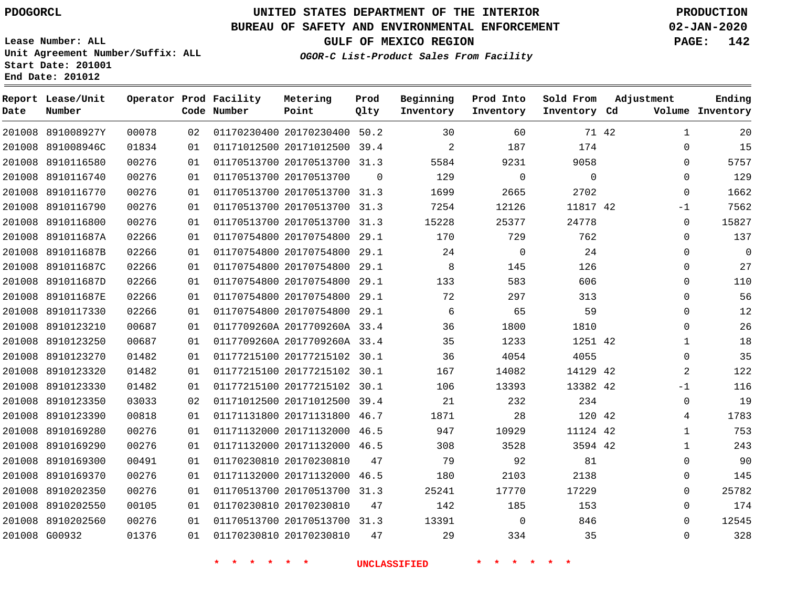**Report Lease/Unit**

 8910202550 8910202560 G00932

   

# **UNITED STATES DEPARTMENT OF THE INTERIOR PDOGORCL PRODUCTION**

**Prod**

#### **BUREAU OF SAFETY AND ENVIRONMENTAL ENFORCEMENT 02-JAN-2020**

**Lease Number: ALL Unit Agreement Number/Suffix: ALL Start Date: 201001 End Date: 201012**

**Operator Prod Facility**

#### **OGOR-C List-Product Sales From Facility**

**Beginning**

**Prod Into**

**Sold From**

**GULF OF MEXICO REGION PAGE: 142**

  $\Omega$  $\Omega$   $\Omega$ -1  $\Omega$  $\Omega$  $\Omega$  $\Omega$  $\Omega$  $\Omega$  $\Omega$   $\overline{0}$   $-1$  $\Omega$   $\Omega$  $\Omega$  $\Omega$   $\Omega$ 

**Adjustment**

**Ending**

| Date | Number            |       |    | Code Number | Point                        | Qlty     | Inventory | Inventory   | Inventory Cd |       |              | Volume Inventory |
|------|-------------------|-------|----|-------------|------------------------------|----------|-----------|-------------|--------------|-------|--------------|------------------|
|      | 201008 891008927Y | 00078 | 02 |             | 01170230400 20170230400 50.2 |          | 30        | 60          |              | 71 42 | $\mathbf{1}$ | 20               |
|      | 201008 891008946C | 01834 | 01 |             | 01171012500 20171012500 39.4 |          | 2         | 187         | 174          |       | 0            | 15               |
|      | 201008 8910116580 | 00276 | 01 |             | 01170513700 20170513700 31.3 |          | 5584      | 9231        | 9058         |       | $\Omega$     | 5757             |
|      | 201008 8910116740 | 00276 | 01 |             | 01170513700 20170513700      | $\Omega$ | 129       | $\Omega$    | $\Omega$     |       | $\Omega$     | 129              |
|      | 201008 8910116770 | 00276 | 01 |             | 01170513700 20170513700 31.3 |          | 1699      | 2665        | 2702         |       | $\mathbf 0$  | 1662             |
|      | 201008 8910116790 | 00276 | 01 |             | 01170513700 20170513700 31.3 |          | 7254      | 12126       | 11817 42     |       | $-1$         | 7562             |
|      | 201008 8910116800 | 00276 | 01 |             | 01170513700 20170513700      | 31.3     | 15228     | 25377       | 24778        |       | $\Omega$     | 15827            |
|      | 201008 891011687A | 02266 | 01 |             | 01170754800 20170754800 29.1 |          | 170       | 729         | 762          |       | $\Omega$     | 137              |
|      | 201008 891011687B | 02266 | 01 |             | 01170754800 20170754800      | 29.1     | 24        | $\mathbf 0$ | 24           |       | $\Omega$     | $\mathbf 0$      |
|      | 201008 891011687C | 02266 | 01 |             | 01170754800 20170754800 29.1 |          | 8         | 145         | 126          |       | 0            | 27               |
|      | 201008 891011687D | 02266 | 01 |             | 01170754800 20170754800      | 29.1     | 133       | 583         | 606          |       | 0            | 110              |
|      | 201008 891011687E | 02266 | 01 |             | 01170754800 20170754800 29.1 |          | 72        | 297         | 313          |       | $\Omega$     | 56               |
|      | 201008 8910117330 | 02266 | 01 |             | 01170754800 20170754800 29.1 |          | 6         | 65          | 59           |       | $\Omega$     | 12               |
|      | 201008 8910123210 | 00687 | 01 |             | 0117709260A 2017709260A 33.4 |          | 36        | 1800        | 1810         |       | $\Omega$     | 26               |
|      | 201008 8910123250 | 00687 | 01 |             | 0117709260A 2017709260A 33.4 |          | 35        | 1233        | 1251 42      |       | 1            | 18               |
|      | 201008 8910123270 | 01482 | 01 |             | 01177215100 20177215102 30.1 |          | 36        | 4054        | 4055         |       | 0            | 35               |
|      | 201008 8910123320 | 01482 | 01 |             | 01177215100 20177215102 30.1 |          | 167       | 14082       | 14129 42     |       | 2            | 122              |
|      | 201008 8910123330 | 01482 | 01 |             | 01177215100 20177215102      | 30.1     | 106       | 13393       | 13382 42     |       | $-1$         | 116              |
|      | 201008 8910123350 | 03033 | 02 |             | 01171012500 20171012500 39.4 |          | 21        | 232         | 234          |       | $\Omega$     | 19               |
|      | 201008 8910123390 | 00818 | 01 |             | 01171131800 20171131800 46.7 |          | 1871      | 28          | 120 42       |       | 4            | 1783             |
|      | 201008 8910169280 | 00276 | 01 |             | 01171132000 20171132000      | 46.5     | 947       | 10929       | 11124 42     |       | 1            | 753              |
|      | 201008 8910169290 | 00276 | 01 |             | 01171132000 20171132000 46.5 |          | 308       | 3528        | 3594 42      |       | 1            | 243              |
|      | 201008 8910169300 | 00491 | 01 |             | 01170230810 20170230810      | 47       | 79        | 92          | 81           |       | $\Omega$     | 90               |
|      | 201008 8910169370 | 00276 | 01 |             | 01171132000 20171132000 46.5 |          | 180       | 2103        | 2138         |       | $\Omega$     | 145              |
|      | 201008 8910202350 | 00276 | 01 |             | 01170513700 20170513700 31.3 |          | 25241     | 17770       | 17229        |       | $\Omega$     | 25782            |

20170230810

20170230810

20170513700 31.3

**Metering**

 

**\* \* \* \* \* \* UNCLASSIFIED \* \* \* \* \* \***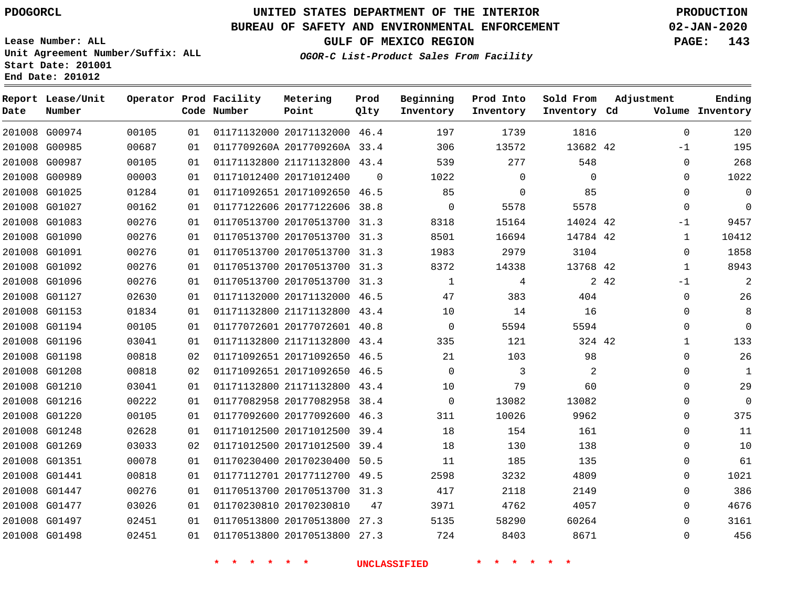**Report Lease/Unit**

**Number**

## **UNITED STATES DEPARTMENT OF THE INTERIOR PDOGORCL PRODUCTION**

**Prod Qlty**

#### **BUREAU OF SAFETY AND ENVIRONMENTAL ENFORCEMENT 02-JAN-2020**

**Lease Number: ALL Unit Agreement Number/Suffix: ALL Start Date: 201001 End Date: 201012**

**Operator Prod Facility**

**OGOR-C List-Product Sales From Facility**

**Beginning Inventory** **Prod Into Inventory** **Sold From Inventory**

**GULF OF MEXICO REGION PAGE: 143**

**Adjustment**

**Ending**

| Date | Number        |       |    | Code Number                         | Point                        | Qlty     | Inventory           | Inventory                  | Inventory Cd |       |              | Volume Inventory |
|------|---------------|-------|----|-------------------------------------|------------------------------|----------|---------------------|----------------------------|--------------|-------|--------------|------------------|
|      | 201008 G00974 | 00105 | 01 |                                     | 01171132000 20171132000 46.4 |          | 197                 | 1739                       | 1816         |       | $\mathbf 0$  | 120              |
|      | 201008 G00985 | 00687 | 01 |                                     | 0117709260A 2017709260A 33.4 |          | 306                 | 13572                      | 13682 42     |       | $-1$         | 195              |
|      | 201008 G00987 | 00105 | 01 |                                     | 01171132800 21171132800 43.4 |          | 539                 | 277                        | 548          |       | 0            | 268              |
|      | 201008 G00989 | 00003 | 01 |                                     | 01171012400 20171012400      | $\Omega$ | 1022                | $\mathbf 0$                | $\Omega$     |       | $\Omega$     | 1022             |
|      | 201008 G01025 | 01284 | 01 |                                     | 01171092651 20171092650 46.5 |          | 85                  | $\mathbf{0}$               | 85           |       | $\Omega$     | $\mathbf 0$      |
|      | 201008 G01027 | 00162 | 01 |                                     | 01177122606 20177122606 38.8 |          | $\overline{0}$      | 5578                       | 5578         |       | $\mathbf 0$  | $\overline{0}$   |
|      | 201008 G01083 | 00276 | 01 |                                     | 01170513700 20170513700 31.3 |          | 8318                | 15164                      | 14024 42     |       | $-1$         | 9457             |
|      | 201008 G01090 | 00276 | 01 |                                     | 01170513700 20170513700 31.3 |          | 8501                | 16694                      | 14784 42     |       | $\mathbf{1}$ | 10412            |
|      | 201008 G01091 | 00276 | 01 |                                     | 01170513700 20170513700 31.3 |          | 1983                | 2979                       | 3104         |       | 0            | 1858             |
|      | 201008 G01092 | 00276 | 01 |                                     | 01170513700 20170513700 31.3 |          | 8372                | 14338                      | 13768 42     |       | $\mathbf{1}$ | 8943             |
|      | 201008 G01096 | 00276 | 01 |                                     | 01170513700 20170513700 31.3 |          | 1                   | 4                          |              | 2 4 2 | $-1$         | $\overline{2}$   |
|      | 201008 G01127 | 02630 | 01 |                                     | 01171132000 20171132000 46.5 |          | 47                  | 383                        | 404          |       | $\mathbf 0$  | 26               |
|      | 201008 G01153 | 01834 | 01 |                                     | 01171132800 21171132800 43.4 |          | 10                  | 14                         | 16           |       | $\Omega$     | 8                |
|      | 201008 G01194 | 00105 | 01 |                                     | 01177072601 20177072601 40.8 |          | $\Omega$            | 5594                       | 5594         |       | $\Omega$     | $\mathbf 0$      |
|      | 201008 G01196 | 03041 | 01 |                                     | 01171132800 21171132800 43.4 |          | 335                 | 121                        | 324 42       |       | $\mathbf 1$  | 133              |
|      | 201008 G01198 | 00818 | 02 |                                     | 01171092651 20171092650 46.5 |          | 21                  | 103                        | 98           |       | $\Omega$     | 26               |
|      | 201008 G01208 | 00818 | 02 |                                     | 01171092651 20171092650 46.5 |          | $\Omega$            | 3                          | 2            |       | $\Omega$     | 1                |
|      | 201008 G01210 | 03041 | 01 |                                     | 01171132800 21171132800 43.4 |          | 10                  | 79                         | 60           |       | 0            | 29               |
|      | 201008 G01216 | 00222 | 01 |                                     | 01177082958 20177082958 38.4 |          | $\overline{0}$      | 13082                      | 13082        |       | 0            | $\overline{0}$   |
|      | 201008 G01220 | 00105 | 01 |                                     | 01177092600 20177092600 46.3 |          | 311                 | 10026                      | 9962         |       | $\Omega$     | 375              |
|      | 201008 G01248 | 02628 | 01 |                                     | 01171012500 20171012500 39.4 |          | 18                  | 154                        | 161          |       | $\Omega$     | 11               |
|      | 201008 G01269 | 03033 | 02 |                                     | 01171012500 20171012500 39.4 |          | 18                  | 130                        | 138          |       | 0            | 10               |
|      | 201008 G01351 | 00078 | 01 |                                     | 01170230400 20170230400 50.5 |          | 11                  | 185                        | 135          |       | $\Omega$     | 61               |
|      | 201008 G01441 | 00818 | 01 |                                     | 01177112701 20177112700 49.5 |          | 2598                | 3232                       | 4809         |       | 0            | 1021             |
|      | 201008 G01447 | 00276 | 01 |                                     | 01170513700 20170513700 31.3 |          | 417                 | 2118                       | 2149         |       | 0            | 386              |
|      | 201008 G01477 | 03026 | 01 |                                     | 01170230810 20170230810      | 47       | 3971                | 4762                       | 4057         |       | $\Omega$     | 4676             |
|      | 201008 G01497 | 02451 | 01 |                                     | 01170513800 20170513800 27.3 |          | 5135                | 58290                      | 60264        |       | $\Omega$     | 3161             |
|      | 201008 G01498 | 02451 | 01 |                                     | 01170513800 20170513800 27.3 |          | 724                 | 8403                       | 8671         |       | $\mathbf 0$  | 456              |
|      |               |       |    | $\star$<br>一大<br>$\star$<br>$\star$ | $\star$ $\star$              |          | <b>UNCLASSIFIED</b> | $\star$ $\star$<br>$\star$ | $\star$      |       |              |                  |

**Metering Point**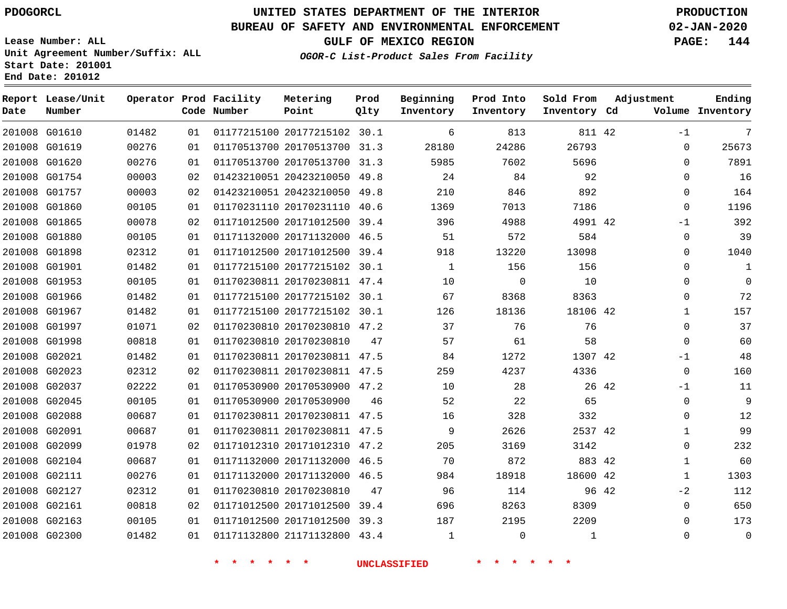# **UNITED STATES DEPARTMENT OF THE INTERIOR PDOGORCL PRODUCTION**

**Metering**

#### **BUREAU OF SAFETY AND ENVIRONMENTAL ENFORCEMENT 02-JAN-2020**

**Lease Number: ALL Unit Agreement Number/Suffix: ALL Start Date: 201001 End Date: 201012**

**OGOR-C List-Product Sales From Facility**

**Beginning**

**Prod Into**

**Sold From**

**GULF OF MEXICO REGION PAGE: 144**

**Adjustment**

| Date | Report Lease/Unit<br>Number |       |    | Operator Prod Facility<br>Code Number | Metering<br>Point            | Prod<br>Qlty | Beginning<br>Inventory | Prod Into<br>Inventory | Sold From<br>Inventory Cd | Adjustment   | Ending<br>Volume Inventory |
|------|-----------------------------|-------|----|---------------------------------------|------------------------------|--------------|------------------------|------------------------|---------------------------|--------------|----------------------------|
|      | 201008 G01610               | 01482 | 01 |                                       | 01177215100 20177215102 30.1 |              | 6                      | 813                    | 811 42                    | $-1$         | 7                          |
|      | 201008 G01619               | 00276 | 01 |                                       | 01170513700 20170513700 31.3 |              | 28180                  | 24286                  | 26793                     | $\mathbf 0$  | 25673                      |
|      | 201008 G01620               | 00276 | 01 |                                       | 01170513700 20170513700 31.3 |              | 5985                   | 7602                   | 5696                      | $\Omega$     | 7891                       |
|      | 201008 G01754               | 00003 | 02 |                                       | 01423210051 20423210050 49.8 |              | 24                     | 84                     | 92                        | $\Omega$     | 16                         |
|      | 201008 G01757               | 00003 | 02 |                                       | 01423210051 20423210050 49.8 |              | 210                    | 846                    | 892                       | $\Omega$     | 164                        |
|      | 201008 G01860               | 00105 | 01 |                                       | 01170231110 20170231110 40.6 |              | 1369                   | 7013                   | 7186                      | $\Omega$     | 1196                       |
|      | 201008 G01865               | 00078 | 02 |                                       | 01171012500 20171012500 39.4 |              | 396                    | 4988                   | 4991 42                   | $-1$         | 392                        |
|      | 201008 G01880               | 00105 | 01 |                                       | 01171132000 20171132000 46.5 |              | 51                     | 572                    | 584                       | $\Omega$     | 39                         |
|      | 201008 G01898               | 02312 | 01 |                                       | 01171012500 20171012500 39.4 |              | 918                    | 13220                  | 13098                     | 0            | 1040                       |
|      | 201008 G01901               | 01482 | 01 |                                       | 01177215100 20177215102 30.1 |              | $\mathbf{1}$           | 156                    | 156                       | $\Omega$     | 1                          |
|      | 201008 G01953               | 00105 | 01 |                                       | 01170230811 20170230811 47.4 |              | 10                     | 0                      | 10                        | 0            | 0                          |
|      | 201008 G01966               | 01482 | 01 |                                       | 01177215100 20177215102 30.1 |              | 67                     | 8368                   | 8363                      | 0            | 72                         |
|      | 201008 G01967               | 01482 | 01 |                                       | 01177215100 20177215102 30.1 |              | 126                    | 18136                  | 18106 42                  | 1            | 157                        |
|      | 201008 G01997               | 01071 | 02 |                                       | 01170230810 20170230810 47.2 |              | 37                     | 76                     | 76                        | $\Omega$     | 37                         |
|      | 201008 G01998               | 00818 | 01 |                                       | 01170230810 20170230810      | 47           | 57                     | 61                     | 58                        | $\mathbf 0$  | 60                         |
|      | 201008 G02021               | 01482 | 01 |                                       | 01170230811 20170230811 47.5 |              | 84                     | 1272                   | 1307 42                   | $-1$         | 48                         |
|      | 201008 G02023               | 02312 | 02 |                                       | 01170230811 20170230811 47.5 |              | 259                    | 4237                   | 4336                      | $\mathbf 0$  | 160                        |
|      | 201008 G02037               | 02222 | 01 |                                       | 01170530900 20170530900 47.2 |              | 10                     | 28                     | 26 42                     | $-1$         | 11                         |
|      | 201008 G02045               | 00105 | 01 |                                       | 01170530900 20170530900      | 46           | 52                     | 22                     | 65                        | $\mathbf 0$  | 9                          |
|      | 201008 G02088               | 00687 | 01 |                                       | 01170230811 20170230811 47.5 |              | 16                     | 328                    | 332                       | 0            | 12                         |
|      | 201008 G02091               | 00687 | 01 |                                       | 01170230811 20170230811 47.5 |              | 9                      | 2626                   | 2537 42                   | 1            | 99                         |
|      | 201008 G02099               | 01978 | 02 |                                       | 01171012310 20171012310 47.2 |              | 205                    | 3169                   | 3142                      | 0            | 232                        |
|      | 201008 G02104               | 00687 | 01 |                                       | 01171132000 20171132000 46.5 |              | 70                     | 872                    | 883 42                    | $\mathbf 1$  | 60                         |
|      | 201008 G02111               | 00276 | 01 |                                       | 01171132000 20171132000 46.5 |              | 984                    | 18918                  | 18600 42                  | $\mathbf{1}$ | 1303                       |
|      | 201008 G02127               | 02312 | 01 |                                       | 01170230810 20170230810      | 47           | 96                     | 114                    | 96 42                     | $-2$         | 112                        |
|      | 201008 G02161               | 00818 | 02 |                                       | 01171012500 20171012500 39.4 |              | 696                    | 8263                   | 8309                      | $\mathbf 0$  | 650                        |
|      | 201008 G02163               | 00105 | 01 |                                       | 01171012500 20171012500 39.3 |              | 187                    | 2195                   | 2209                      | $\Omega$     | 173                        |
|      | 201008 G02300               | 01482 | 01 |                                       | 01171132800 21171132800 43.4 |              | $\mathbf{1}$           | $\mathbf 0$            | 1                         | $\Omega$     | $\mathbf 0$                |
|      |                             |       |    |                                       |                              |              |                        |                        |                           |              |                            |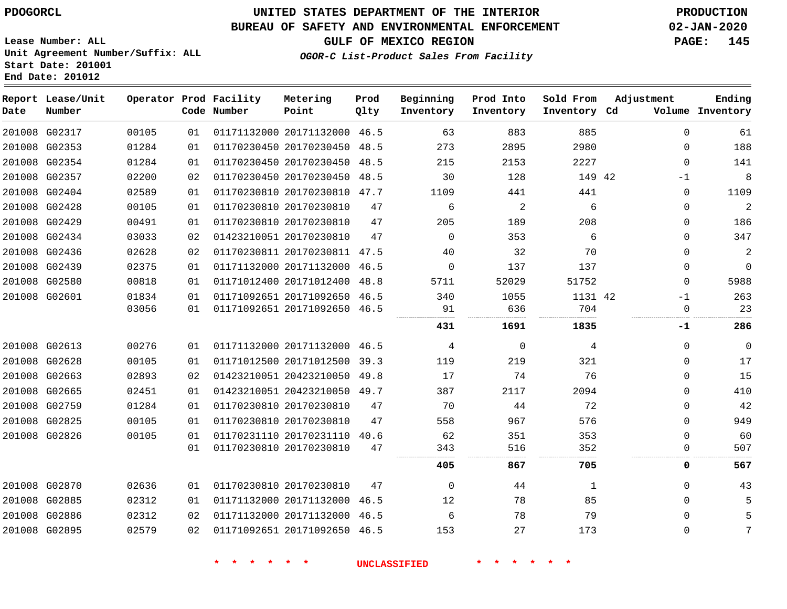**Report Lease/Unit**

**Number**

 G02885 G02886 G02895

### **UNITED STATES DEPARTMENT OF THE INTERIOR PDOGORCL PRODUCTION**

**Prod Qlty**

#### **BUREAU OF SAFETY AND ENVIRONMENTAL ENFORCEMENT 02-JAN-2020**

**Lease Number: ALL Unit Agreement Number/Suffix: ALL Start Date: 201001 End Date: 201012**

**Operator Prod Facility**

**Code Number**

 

**OGOR-C List-Product Sales From Facility**

 $00E$ 

**Sold From Inventory**

**Prod Into Inventory**

**Beginning Inventory**

**GULF OF MEXICO REGION PAGE: 145**

**Inventory Cd Volume**

**Adjustment**

  $\Omega$  $\Omega$   $\Omega$  $\Omega$  $\Omega$ 

**-1**

  $\Omega$  $\Omega$  $-1$  $\Omega$  $\Omega$  $\Omega$  $\Omega$  $\Omega$  $\Omega$  -1

**Ending**

| 201008 | G02317        | 00105 | 01 | 01171132000 20171132000 |                         | 46.5 | 63   | 883      | 885     |  |
|--------|---------------|-------|----|-------------------------|-------------------------|------|------|----------|---------|--|
| 201008 | G02353        | 01284 | 01 | 01170230450 20170230450 |                         | 48.5 | 273  | 2895     | 2980    |  |
| 201008 | G02354        | 01284 | 01 | 01170230450 20170230450 |                         | 48.5 | 215  | 2153     | 2227    |  |
| 201008 | G02357        | 02200 | 02 | 01170230450 20170230450 |                         | 48.5 | 30   | 128      | 149 42  |  |
| 201008 | G02404        | 02589 | 01 | 01170230810 20170230810 |                         | 47.7 | 1109 | 441      | 441     |  |
| 201008 | G02428        | 00105 | 01 | 01170230810 20170230810 |                         | 47   | 6    | 2        | 6       |  |
|        | 201008 G02429 | 00491 | 01 | 01170230810 20170230810 |                         | 47   | 205  | 189      | 208     |  |
| 201008 | G02434        | 03033 | 02 | 01423210051 20170230810 |                         | 47   | 0    | 353      | 6       |  |
|        | 201008 G02436 | 02628 | 02 | 01170230811 20170230811 |                         | 47.5 | 40   | 32       | 70      |  |
| 201008 | G02439        | 02375 | 01 | 01171132000 20171132000 |                         | 46.5 | 0    | 137      | 137     |  |
| 201008 | G02580        | 00818 | 01 | 01171012400 20171012400 |                         | 48.8 | 5711 | 52029    | 51752   |  |
|        | 201008 G02601 | 01834 | 01 | 01171092651 20171092650 |                         | 46.5 | 340  | 1055     | 1131 42 |  |
|        |               | 03056 | 01 | 01171092651 20171092650 |                         | 46.5 | 91   | 636      | 704     |  |
|        |               |       |    |                         |                         |      | 431  | 1691     | 1835    |  |
| 201008 | G02613        | 00276 | 01 | 01171132000 20171132000 |                         | 46.5 | 4    | $\Omega$ | 4       |  |
| 201008 | G02628        | 00105 | 01 | 01171012500 20171012500 |                         | 39.3 | 119  | 219      | 321     |  |
| 201008 | G02663        | 02893 | 02 | 01423210051 20423210050 |                         | 49.8 | 17   | 74       | 76      |  |
| 201008 | G02665        | 02451 | 01 | 01423210051 20423210050 |                         | 49.7 | 387  | 2117     | 2094    |  |
| 201008 | G02759        | 01284 | 01 | 01170230810 20170230810 |                         | 47   | 70   | 44       | 72      |  |
| 201008 | G02825        | 00105 | 01 | 01170230810 20170230810 |                         | 47   | 558  | 967      | 576     |  |
|        | 201008 G02826 | 00105 | 01 |                         | 01170231110 20170231110 | 40.6 | 62   | 351      | 353     |  |
|        |               |       | 01 | 01170230810 20170230810 |                         | 47   | 343  | 516      | 352     |  |
|        |               |       |    |                         |                         |      | 405  | 867      | 705     |  |
|        | 201008 G02870 | 02636 | 01 | 01170230810 20170230810 |                         | 47   | 0    | 44       | 1       |  |

**Metering Point**

**\* \* \* \* \* \* UNCLASSIFIED \* \* \* \* \* \***

 

 

 20171132000 46.5 20171132000 46.5 20171092650 46.5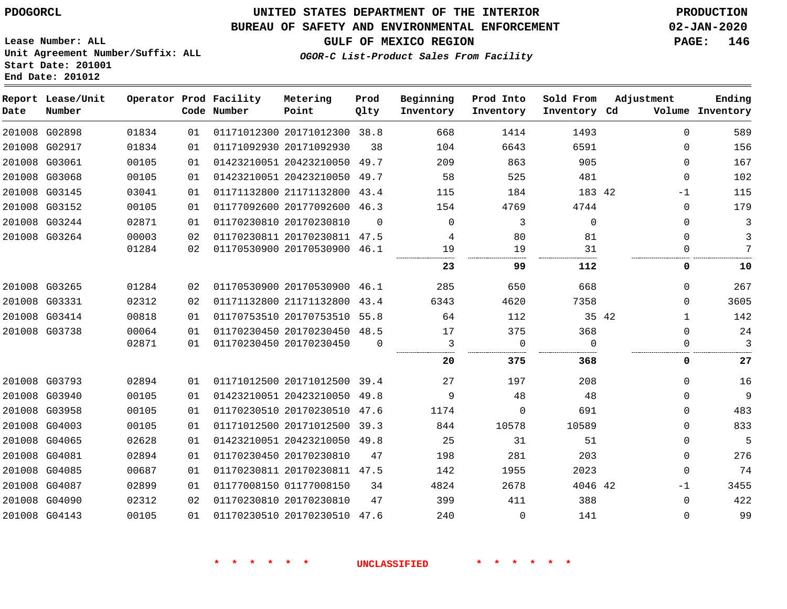### **BUREAU OF SAFETY AND ENVIRONMENTAL ENFORCEMENT 02-JAN-2020**

**Lease Number: ALL Unit Agreement Number/Suffix: ALL Start Date: 201001 End Date: 201012**

### **OGOR-C List-Product Sales From Facility**

| Date | Report Lease/Unit<br>Number |       |    | Operator Prod Facility<br>Code Number | Metering<br>Point            | Prod<br>Qlty | Beginning<br>Inventory | Prod Into<br>Inventory | Sold From<br>Inventory Cd | Adjustment            | Ending<br>Volume Inventory |
|------|-----------------------------|-------|----|---------------------------------------|------------------------------|--------------|------------------------|------------------------|---------------------------|-----------------------|----------------------------|
|      | 201008 G02898               | 01834 | 01 |                                       | 01171012300 20171012300 38.8 |              | 668                    | 1414                   | 1493                      | $\Omega$              | 589                        |
|      | 201008 G02917               | 01834 | 01 |                                       | 01171092930 20171092930      | 38           | 104                    | 6643                   | 6591                      | $\mathbf{0}$          | 156                        |
|      | 201008 G03061               | 00105 | 01 |                                       | 01423210051 20423210050      | 49.7         | 209                    | 863                    | 905                       | $\Omega$              | 167                        |
|      | 201008 G03068               | 00105 | 01 |                                       | 01423210051 20423210050 49.7 |              | 58                     | 525                    | 481                       | $\Omega$              | 102                        |
|      | 201008 G03145               | 03041 | 01 |                                       | 01171132800 21171132800 43.4 |              | 115                    | 184                    | 183 42                    | $-1$                  | 115                        |
|      | 201008 G03152               | 00105 | 01 |                                       | 01177092600 20177092600 46.3 |              | 154                    | 4769                   | 4744                      | $\mathbf{0}$          | 179                        |
|      | 201008 G03244               | 02871 | 01 |                                       | 01170230810 20170230810      | $\Omega$     | $\Omega$               | 3                      | $\Omega$                  | $\mathbf{0}$          | 3                          |
|      | 201008 G03264               | 00003 | 02 |                                       | 01170230811 20170230811 47.5 |              | 4                      | 80                     | 81                        | $\Omega$              | 3                          |
|      |                             | 01284 | 02 |                                       | 01170530900 20170530900 46.1 |              | 19                     | 19                     | 31                        | $\Omega$              | 7                          |
|      |                             |       |    |                                       |                              |              | 23                     | 99                     | 112                       | 0                     | 10                         |
|      | 201008 G03265               | 01284 | 02 |                                       | 01170530900 20170530900 46.1 |              | 285                    | 650                    | 668                       | $\Omega$              | 267                        |
|      | 201008 G03331               | 02312 | 02 |                                       | 01171132800 21171132800 43.4 |              | 6343                   | 4620                   | 7358                      | $\Omega$              | 3605                       |
|      | 201008 G03414               | 00818 | 01 |                                       | 01170753510 20170753510 55.8 |              | 64                     | 112                    |                           | 35 42<br>$\mathbf{1}$ | 142                        |
|      | 201008 G03738               | 00064 | 01 |                                       | 01170230450 20170230450 48.5 |              | 17                     | 375                    | 368                       | $\Omega$              | 24                         |
|      |                             | 02871 | 01 |                                       | 01170230450 20170230450      | $\Omega$     | 3                      | $\mathbf 0$            | $\Omega$                  | 0                     | 3                          |
|      |                             |       |    |                                       |                              |              | 20                     | 375                    | 368                       | 0                     | 27                         |
|      | 201008 G03793               | 02894 | 01 |                                       | 01171012500 20171012500 39.4 |              | 27                     | 197                    | 208                       | $\Omega$              | 16                         |
|      | 201008 G03940               | 00105 | 01 |                                       | 01423210051 20423210050 49.8 |              | 9                      | 48                     | 48                        | $\Omega$              | 9                          |
|      | 201008 G03958               | 00105 | 01 |                                       | 01170230510 20170230510 47.6 |              | 1174                   | $\Omega$               | 691                       | $\mathbf{0}$          | 483                        |
|      | 201008 G04003               | 00105 | 01 |                                       | 01171012500 20171012500 39.3 |              | 844                    | 10578                  | 10589                     | $\mathbf{0}$          | 833                        |
|      | 201008 G04065               | 02628 | 01 |                                       | 01423210051 20423210050 49.8 |              | 25                     | 31                     | 51                        | $\Omega$              | 5                          |
|      | 201008 G04081               | 02894 | 01 |                                       | 01170230450 20170230810      | 47           | 198                    | 281                    | 203                       | $\mathbf{0}$          | 276                        |
|      | 201008 G04085               | 00687 | 01 |                                       | 01170230811 20170230811 47.5 |              | 142                    | 1955                   | 2023                      | $\Omega$              | 74                         |
|      | 201008 G04087               | 02899 | 01 |                                       | 01177008150 01177008150      | 34           | 4824                   | 2678                   | 4046 42                   | $-1$                  | 3455                       |
|      | 201008 G04090               | 02312 | 02 |                                       | 01170230810 20170230810      | 47           | 399                    | 411                    | 388                       | $\Omega$              | 422                        |
|      | 201008 G04143               | 00105 | 01 |                                       | 01170230510 20170230510 47.6 |              | 240                    | $\mathbf 0$            | 141                       | $\Omega$              | 99                         |

**\* \* \* \* \* \* UNCLASSIFIED \* \* \* \* \* \***

**GULF OF MEXICO REGION PAGE: 146**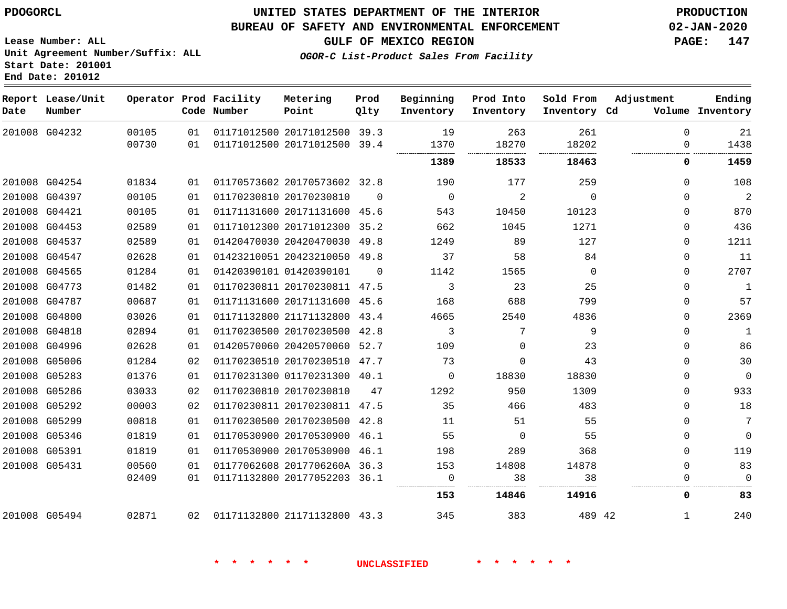**End Date: 201012**

### **UNITED STATES DEPARTMENT OF THE INTERIOR PDOGORCL PRODUCTION**

### **BUREAU OF SAFETY AND ENVIRONMENTAL ENFORCEMENT 02-JAN-2020**

**Lease Number: ALL Unit Agreement Number/Suffix: ALL Start Date: 201001**

**GULF OF MEXICO REGION PAGE: 147**

**OGOR-C List-Product Sales From Facility**

| Date | Report Lease/Unit<br>Number |                |          | Operator Prod Facility<br>Code Number | Metering<br>Point                                            | Prod<br>Qlty | Beginning<br>Inventory | Prod Into<br>Inventory | Sold From<br>Inventory Cd | Adjustment    | Ending<br>Volume Inventory |
|------|-----------------------------|----------------|----------|---------------------------------------|--------------------------------------------------------------|--------------|------------------------|------------------------|---------------------------|---------------|----------------------------|
|      | 201008 G04232               | 00105<br>00730 | 01<br>01 |                                       | 01171012500 20171012500 39.3<br>01171012500 20171012500 39.4 |              | 19<br>1370             | 263<br>18270           | 261<br>18202              | $\Omega$<br>0 | 21<br>1438                 |
|      |                             |                |          |                                       |                                                              |              | 1389                   | 18533                  | 18463                     | 0             | 1459                       |
|      | 201008 G04254               | 01834          | 01       |                                       | 01170573602 20170573602 32.8                                 |              | 190                    | 177                    | 259                       | $\Omega$      | 108                        |
|      | 201008 G04397               | 00105          | 01       |                                       | 01170230810 20170230810                                      | $\Omega$     | $\overline{0}$         | 2                      | $\Omega$                  | $\Omega$      | $\overline{c}$             |
|      | 201008 G04421               | 00105          | 01       |                                       | 01171131600 20171131600 45.6                                 |              | 543                    | 10450                  | 10123                     | $\Omega$      | 870                        |
|      | 201008 G04453               | 02589          | 01       |                                       | 01171012300 20171012300 35.2                                 |              | 662                    | 1045                   | 1271                      | $\Omega$      | 436                        |
|      | 201008 G04537               | 02589          | 01       |                                       | 01420470030 20420470030 49.8                                 |              | 1249                   | 89                     | 127                       | $\Omega$      | 1211                       |
|      | 201008 G04547               | 02628          | 01       |                                       | 01423210051 20423210050 49.8                                 |              | 37                     | 58                     | 84                        | $\Omega$      | 11                         |
|      | 201008 G04565               | 01284          | 01       |                                       | 01420390101 01420390101                                      | $\Omega$     | 1142                   | 1565                   | $\mathbf 0$               | 0             | 2707                       |
|      | 201008 G04773               | 01482          | 01       |                                       | 01170230811 20170230811 47.5                                 |              | 3                      | 23                     | 25                        | $\Omega$      | $\mathbf{1}$               |
|      | 201008 G04787               | 00687          | 01       |                                       | 01171131600 20171131600 45.6                                 |              | 168                    | 688                    | 799                       | $\Omega$      | 57                         |
|      | 201008 G04800               | 03026          | 01       |                                       | 01171132800 21171132800 43.4                                 |              | 4665                   | 2540                   | 4836                      | $\Omega$      | 2369                       |
|      | 201008 G04818               | 02894          | 01       |                                       | 01170230500 20170230500 42.8                                 |              | 3                      | 7                      | 9                         | $\Omega$      | $\mathbf{1}$               |
|      | 201008 G04996               | 02628          | 01       |                                       | 01420570060 20420570060 52.7                                 |              | 109                    | $\Omega$               | 23                        | $\Omega$      | 86                         |
|      | 201008 G05006               | 01284          | 02       |                                       | 01170230510 20170230510 47.7                                 |              | 73                     | $\mathbf 0$            | 43                        | $\Omega$      | 30                         |
|      | 201008 G05283               | 01376          | 01       |                                       | 01170231300 01170231300 40.1                                 |              | $\Omega$               | 18830                  | 18830                     | $\Omega$      | $\Omega$                   |
|      | 201008 G05286               | 03033          | 02       |                                       | 01170230810 20170230810                                      | 47           | 1292                   | 950                    | 1309                      | $\Omega$      | 933                        |
|      | 201008 G05292               | 00003          | 02       |                                       | 01170230811 20170230811 47.5                                 |              | 35                     | 466                    | 483                       | $\Omega$      | 18                         |
|      | 201008 G05299               | 00818          | 01       |                                       | 01170230500 20170230500 42.8                                 |              | 11                     | 51                     | 55                        | $\Omega$      | 7                          |
|      | 201008 G05346               | 01819          | 01       |                                       | 01170530900 20170530900 46.1                                 |              | 55                     | $\Omega$               | 55                        | $\Omega$      | $\Omega$                   |
|      | 201008 G05391               | 01819          | 01       |                                       | 01170530900 20170530900 46.1                                 |              | 198                    | 289                    | 368                       | $\Omega$      | 119                        |
|      | 201008 G05431               | 00560          | 01       |                                       | 01177062608 2017706260A 36.3                                 |              | 153                    | 14808                  | 14878                     | $\Omega$      | 83                         |
|      |                             | 02409          | 01       |                                       | 01171132800 20177052203 36.1                                 |              | $\Omega$               | 38                     | 38                        | 0             | $\Omega$                   |
|      |                             |                |          |                                       |                                                              |              | 153                    | 14846                  | 14916                     | 0             | 83                         |
|      | 201008 G05494               | 02871          | 02       | 01171132800 21171132800 43.3          |                                                              |              | 345                    | 383                    | 489 42                    | 1             | 240                        |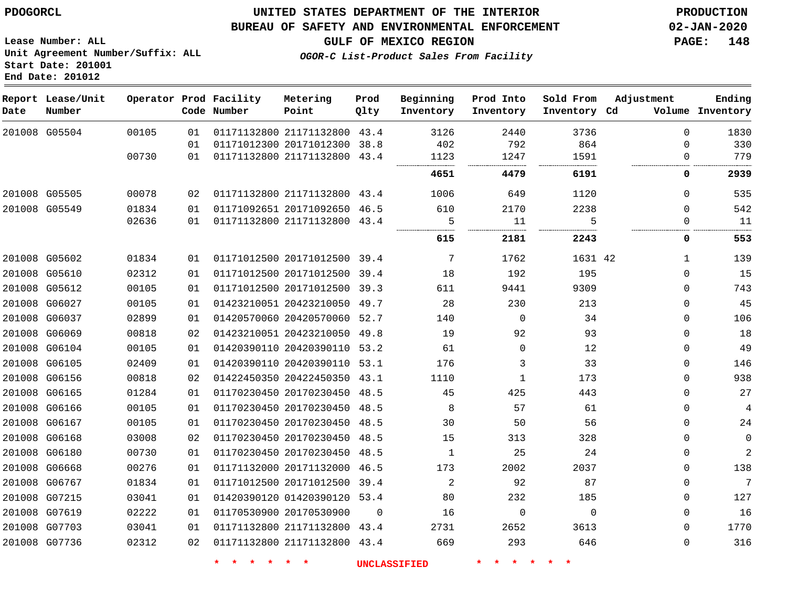### **BUREAU OF SAFETY AND ENVIRONMENTAL ENFORCEMENT 02-JAN-2020**

**Lease Number: ALL Unit Agreement Number/Suffix: ALL Start Date: 201001 End Date: 201012**

**GULF OF MEXICO REGION PAGE: 148**

**OGOR-C List-Product Sales From Facility**

| Date          | Report Lease/Unit<br>Number |       |    | Operator Prod Facility<br>Code Number | Metering<br>Point            | Prod<br>Qlty   | Beginning<br>Inventory | Prod Into<br>Inventory | Sold From<br>Inventory Cd | Adjustment   | Ending<br>Volume Inventory |
|---------------|-----------------------------|-------|----|---------------------------------------|------------------------------|----------------|------------------------|------------------------|---------------------------|--------------|----------------------------|
|               | 201008 G05504               | 00105 | 01 |                                       | 01171132800 21171132800 43.4 |                | 3126                   | 2440                   | 3736                      | $\Omega$     | 1830                       |
|               |                             |       | 01 |                                       | 01171012300 20171012300 38.8 |                | 402                    | 792                    | 864                       | $\Omega$     | 330                        |
|               |                             | 00730 | 01 |                                       | 01171132800 21171132800 43.4 |                | 1123                   | 1247<br>               | 1591                      | $\Omega$     | 779                        |
|               |                             |       |    |                                       |                              |                | 4651                   | 4479                   | 6191                      | 0            | 2939                       |
| 201008 G05505 |                             | 00078 | 02 |                                       | 01171132800 21171132800 43.4 |                | 1006                   | 649                    | 1120                      | $\Omega$     | 535                        |
| 201008 G05549 |                             | 01834 | 01 |                                       | 01171092651 20171092650 46.5 |                | 610                    | 2170                   | 2238                      | $\Omega$     | 542                        |
|               |                             | 02636 | 01 |                                       | 01171132800 21171132800 43.4 |                | 5                      | 11                     | 5                         | 0            | 11                         |
|               |                             |       |    |                                       |                              |                | 615                    | 2181                   | 2243                      | 0            | 553                        |
|               | 201008 G05602               | 01834 | 01 |                                       | 01171012500 20171012500 39.4 |                | 7                      | 1762                   | 1631 42                   | $\mathbf{1}$ | 139                        |
| 201008 G05610 |                             | 02312 | 01 |                                       | 01171012500 20171012500 39.4 |                | 18                     | 192                    | 195                       | $\Omega$     | 15                         |
|               | 201008 G05612               | 00105 | 01 |                                       | 01171012500 20171012500 39.3 |                | 611                    | 9441                   | 9309                      | $\Omega$     | 743                        |
|               | 201008 G06027               | 00105 | 01 |                                       | 01423210051 20423210050 49.7 |                | 28                     | 230                    | 213                       | $\Omega$     | 45                         |
|               | 201008 G06037               | 02899 | 01 |                                       | 01420570060 20420570060 52.7 |                | 140                    | $\Omega$               | 34                        | $\Omega$     | 106                        |
|               | 201008 G06069               | 00818 | 02 |                                       | 01423210051 20423210050 49.8 |                | 19                     | 92                     | 93                        | $\mathbf 0$  | 18                         |
|               | 201008 G06104               | 00105 | 01 |                                       | 01420390110 20420390110 53.2 |                | 61                     | $\Omega$               | 12                        | $\Omega$     | 49                         |
|               | 201008 G06105               | 02409 | 01 |                                       | 01420390110 20420390110 53.1 |                | 176                    | 3                      | 33                        | $\mathbf 0$  | 146                        |
|               | 201008 G06156               | 00818 | 02 |                                       | 01422450350 20422450350 43.1 |                | 1110                   | $\mathbf 1$            | 173                       | $\mathbf 0$  | 938                        |
|               | 201008 G06165               | 01284 | 01 |                                       | 01170230450 20170230450 48.5 |                | 45                     | 425                    | 443                       | $\mathbf 0$  | 27                         |
|               | 201008 G06166               | 00105 | 01 |                                       | 01170230450 20170230450 48.5 |                | 8                      | 57                     | 61                        | $\mathbf 0$  | 4                          |
|               | 201008 G06167               | 00105 | 01 |                                       | 01170230450 20170230450 48.5 |                | 30                     | 50                     | 56                        | $\mathbf 0$  | 24                         |
|               | 201008 G06168               | 03008 | 02 |                                       | 01170230450 20170230450 48.5 |                | 15                     | 313                    | 328                       | $\mathbf{0}$ | $\mathsf 0$                |
|               | 201008 G06180               | 00730 | 01 |                                       | 01170230450 20170230450 48.5 |                | $\mathbf{1}$           | 25                     | 24                        | $\Omega$     | $\overline{2}$             |
|               | 201008 G06668               | 00276 | 01 |                                       | 01171132000 20171132000 46.5 |                | 173                    | 2002                   | 2037                      | $\mathbf{0}$ | 138                        |
|               | 201008 G06767               | 01834 | 01 |                                       | 01171012500 20171012500 39.4 |                | 2                      | 92                     | 87                        | $\mathbf 0$  | 7                          |
|               | 201008 G07215               | 03041 | 01 |                                       | 01420390120 01420390120 53.4 |                | 80                     | 232                    | 185                       | $\mathbf 0$  | 127                        |
| 201008 G07619 |                             | 02222 | 01 |                                       | 01170530900 20170530900      | $\overline{0}$ | 16                     | $\mathbf 0$            | $\mathbf 0$               | $\Omega$     | 16                         |
|               | 201008 G07703               | 03041 | 01 |                                       | 01171132800 21171132800 43.4 |                | 2731                   | 2652                   | 3613                      | $\Omega$     | 1770                       |
|               | 201008 G07736               | 02312 | 02 |                                       | 01171132800 21171132800 43.4 |                | 669                    | 293                    | 646                       | $\mathbf{0}$ | 316                        |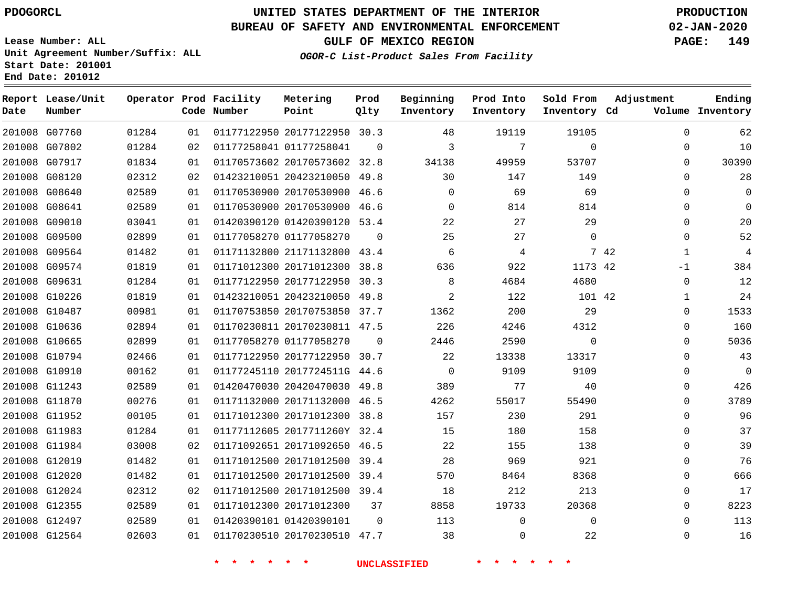G07760

**Report Lease/Unit**

**Number**

G12564

**Date**

# **UNITED STATES DEPARTMENT OF THE INTERIOR PDOGORCL PRODUCTION**

 $\Omega$ 

**Prod Qlty**

#### **BUREAU OF SAFETY AND ENVIRONMENTAL ENFORCEMENT 02-JAN-2020**

**Lease Number: ALL Unit Agreement Number/Suffix: ALL Start Date: 201001 End Date: 201012**

> 

**Operator Prod Facility**

**Code Number**

20177122950 30.3

**Metering Point**

 

**GULF OF MEXICO REGION PAGE: 149**

**Inventory Cd Volume**

**Adjustment**

  $\Omega$ 

 

**Ending**

 

 $\Omega$ 

**OGOR-C List-Product Sales From Facility**

**Beginning Inventory**

> 

    $\Omega$ 

**Sold From Inventory**

**Prod Into Inventory**

| 10          | $\Omega$  | $\Omega$     | 7        | 3        | 0        |                              | 01177258041 01177258041 | 02   | 01284 | 201008 G07802 |  |
|-------------|-----------|--------------|----------|----------|----------|------------------------------|-------------------------|------|-------|---------------|--|
| 30390       | 0         | 53707        | 49959    | 34138    |          | 01170573602 20170573602 32.8 |                         | 01   | 01834 | 201008 G07917 |  |
| 28          | $\Omega$  | 149          | 147      | 30       |          | 01423210051 20423210050 49.8 |                         | 02   | 02312 | 201008 G08120 |  |
| $\mathbf 0$ | $\Omega$  | 69           | 69       | $\Omega$ |          | 01170530900 20170530900 46.6 |                         | 01   | 02589 | 201008 G08640 |  |
| $\mathbf 0$ | $\Omega$  | 814          | 814      | 0        |          | 01170530900 20170530900 46.6 |                         | 01   | 02589 | 201008 G08641 |  |
| 20          | 0         | 29           | 27       | 22       |          | 01420390120 01420390120 53.4 |                         | 01   | 03041 | 201008 G09010 |  |
| 52          | 0         | $\Omega$     | 27       | 25       | $\Omega$ |                              | 01177058270 01177058270 | 01   | 02899 | 201008 G09500 |  |
| 4           | 7 42<br>1 |              | 4        | 6        |          | 01171132800 21171132800 43.4 |                         | 01   | 01482 | 201008 G09564 |  |
| 384         | -1        | 1173 42      | 922      | 636      |          | 01171012300 20171012300 38.8 |                         | 01   | 01819 | 201008 G09574 |  |
| 12          | 0         | 4680         | 4684     | 8        |          | 01177122950 20177122950 30.3 |                         | 01   | 01284 | 201008 G09631 |  |
| 24          |           | 101 42       | 122      | 2        |          | 01423210051 20423210050 49.8 |                         | 01   | 01819 | 201008 G10226 |  |
| 1533        | $\Omega$  | 29           | 200      | 1362     |          | 01170753850 20170753850 37.7 |                         | 01   | 00981 | 201008 G10487 |  |
| 160         | 0         | 4312         | 4246     | 226      |          | 01170230811 20170230811 47.5 |                         | 01   | 02894 | 201008 G10636 |  |
| 5036        | $\Omega$  | $\mathbf{0}$ | 2590     | 2446     | $\Omega$ |                              | 01177058270 01177058270 | 01   | 02899 | 201008 G10665 |  |
| 43          | $\Omega$  | 13317        | 13338    | 22       |          | 01177122950 20177122950 30.7 |                         | 01   | 02466 | 201008 G10794 |  |
| $\mathbf 0$ | 0         | 9109         | 9109     | $\Omega$ |          | 01177245110 2017724511G 44.6 |                         | 01   | 00162 | 201008 G10910 |  |
| 426         | $\Omega$  | 40           | 77       | 389      |          | 01420470030 20420470030 49.8 |                         | 01   | 02589 | 201008 G11243 |  |
| 3789        | $\Omega$  | 55490        | 55017    | 4262     |          | 01171132000 20171132000 46.5 |                         | 01   | 00276 | 201008 G11870 |  |
| 96          | 0         | 291          | 230      | 157      |          | 01171012300 20171012300 38.8 |                         | 01   | 00105 | 201008 G11952 |  |
| 37          | $\Omega$  | 158          | 180      | 15       |          | 01177112605 2017711260Y 32.4 |                         | 01   | 01284 | 201008 G11983 |  |
| 39          | 0         | 138          | 155      | 22       |          | 01171092651 20171092650 46.5 |                         | 02   | 03008 | 201008 G11984 |  |
| 76          | $\Omega$  | 921          | 969      | 28       |          | 01171012500 20171012500 39.4 |                         | 01   | 01482 | 201008 G12019 |  |
| 666         | $\Omega$  | 8368         | 8464     | 570      |          | 01171012500 20171012500 39.4 |                         | 01   | 01482 | 201008 G12020 |  |
| 17          | 0         | 213          | 212      | 18       |          | 01171012500 20171012500 39.4 |                         | 02   | 02312 | 201008 G12024 |  |
| 8223        | 0         | 20368        | 19733    | 8858     | 37       |                              | 01171012300 20171012300 | 01   | 02589 | 201008 G12355 |  |
| 113         | 0         | $\Omega$     | $\Omega$ | 113      | $\Omega$ |                              | 01420390101 01420390101 | 01 D | 02589 | 201008 G12497 |  |
|             |           |              |          |          |          |                              |                         |      |       |               |  |

**\* \* \* \* \* \* UNCLASSIFIED \* \* \* \* \* \***

20170230510 47.7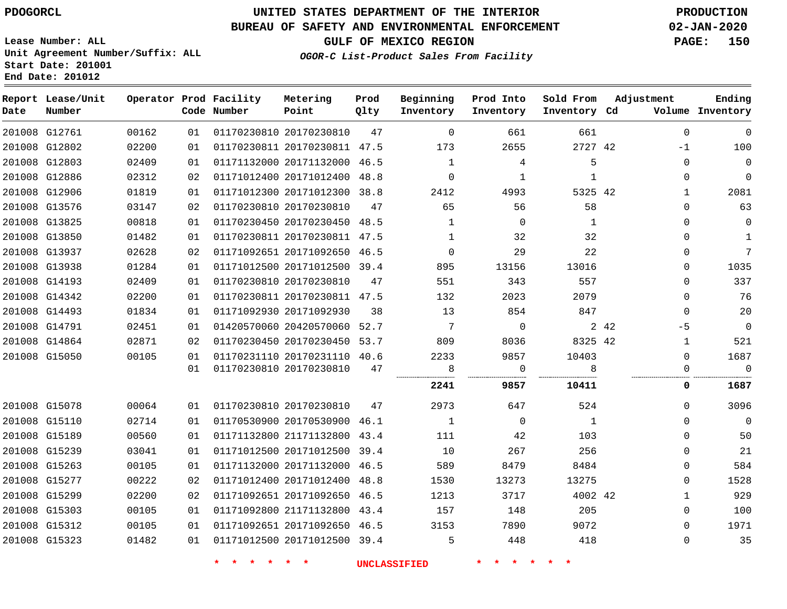**End Date: 201012**

**Report Lease/Unit**

**Number**

G12761

**Date**

G15323

# **UNITED STATES DEPARTMENT OF THE INTERIOR PDOGORCL PRODUCTION**

**Prod Qlty**

#### **BUREAU OF SAFETY AND ENVIRONMENTAL ENFORCEMENT 02-JAN-2020**

**Lease Number: ALL Unit Agreement Number/Suffix: ALL Start Date: 201001**

**Operator Prod Facility**

**Code Number**

20170230810

**Metering Point**

**OGOR-C List-Product Sales From Facility**

**Beginning Inventory**

**Sold From Inventory**

**Prod Into Inventory**

**GULF OF MEXICO REGION PAGE: 150**

**Inventory Cd Volume**

**Adjustment**

 $\Omega$   $\Omega$  $\Omega$   $\Omega$   $\Omega$  $\Omega$  $\Omega$ 

  $-1$  $\Omega$   $\Omega$  $\Omega$  $\Omega$  $\Omega$  $\Omega$  $\Omega$  $\Omega$  $\overline{0}$ -5  $\overline{0}$ 

**Ending**

| 201008 G12802 | 02200 | 01 | 01170230811 20170230811 47.5       |    | 173            | 2655           | 2727 42        | $-1$         | 100            |
|---------------|-------|----|------------------------------------|----|----------------|----------------|----------------|--------------|----------------|
| 201008 G12803 | 02409 | 01 | 01171132000 20171132000 46.5       |    | 1              | 4              | 5              | $\Omega$     | 0              |
| 201008 G12886 | 02312 | 02 | 01171012400 20171012400 48.8       |    | $\overline{0}$ | 1              | 1              | $\Omega$     | $\mathbf 0$    |
| 201008 G12906 | 01819 | 01 | 01171012300 20171012300 38.8       |    | 2412           | 4993           | 5325 42        | $\mathbf{1}$ | 2081           |
| 201008 G13576 | 03147 | 02 | 01170230810 20170230810            | 47 | 65             | 56             | 58             | 0            | 63             |
| 201008 G13825 | 00818 | 01 | 01170230450 20170230450 48.5       |    | $\mathbf{1}$   | $\overline{0}$ | $\overline{1}$ | 0            | 0              |
| 201008 G13850 | 01482 | 01 | 01170230811 20170230811 47.5       |    | 1              | 32             | 32             | $\Omega$     | 1              |
| 201008 G13937 | 02628 | 02 | 01171092651 20171092650 46.5       |    | $\sim$ 0       | 29             | 22             | $\Omega$     | $\overline{7}$ |
| 201008 G13938 | 01284 | 01 | 01171012500 20171012500 39.4       |    | 895            | 13156          | 13016          | $\Omega$     | 1035           |
| 201008 G14193 | 02409 | 01 | 01170230810 20170230810            | 47 | 551            | 343            | 557            | $\Omega$     | 337            |
| 201008 G14342 | 02200 | 01 | 01170230811 20170230811 47.5       |    | 132            | 2023           | 2079           | $\Omega$     | 76             |
| 201008 G14493 | 01834 | 01 | 01171092930 20171092930            | 38 | 13             | 854            | 847            | $\mathbf{0}$ | 20             |
| 201008 G14791 | 02451 | 01 | 01420570060 20420570060 52.7       |    | $\overline{7}$ | $\overline{0}$ | 2 4 2          | $-5$         | $\overline{0}$ |
| 201008 G14864 | 02871 | 02 | 01170230450 20170230450 53.7       |    | 809            | 8036           | 8325 42        | $\mathbf{1}$ | 521            |
| 201008 G15050 | 00105 | 01 | 01170231110 20170231110 40.6       |    | 2233           | 9857           | 10403          | $\Omega$     | 1687           |
|               |       |    | 01 01170230810 20170230810         | 47 | 8 <sup>8</sup> | $\overline{0}$ | 8              | $\Omega$     | $\overline{0}$ |
|               |       |    |                                    |    | 2241           | 9857           | 10411          | 0            | 1687           |
| 201008 G15078 | 00064 |    | 01 01170230810 20170230810 47 2973 |    |                | 647            | 524            | $\Omega$     | 3096           |
| 201008 G15110 | 02714 | 01 | 01170530900 20170530900 46.1       |    | $\sim$ 1       | $\overline{0}$ | $\overline{1}$ | 0            | $\overline{0}$ |
| 201008 G15189 | 00560 | 01 | 01171132800 21171132800 43.4       |    | 111            | 42             | 103            | $\Omega$     | 50             |
| 201008 G15239 | 03041 | 01 | 01171012500 20171012500 39.4       |    | 10             | 267            | 256            | $\Omega$     | 21             |
| 201008 G15263 | 00105 | 01 | 01171132000 20171132000 46.5       |    | 589            | 8479           | 8484           | $\Omega$     | 584            |
| 201008 G15277 | 00222 | 02 | 01171012400 20171012400 48.8       |    | 1530           | 13273          | 13275          | $\Omega$     | 1528           |
| 201008 G15299 | 02200 | 02 | 01171092651 20171092650 46.5       |    | 1213           | 3717           | 4002 42        | $\mathbf{1}$ | 929            |
| 201008 G15303 | 00105 | 01 | 01171092800 21171132800 43.4       |    | 157            | 148            | 205            | $\Omega$     | 100            |
| 201008 G15312 | 00105 |    | 01 01171092651 20171092650 46.5    |    | 3153           | 7890           | 9072           | $\Omega$     | 1971           |

20171012500 39.4

**\* \* \* \* \* \* UNCLASSIFIED \* \* \* \* \* \***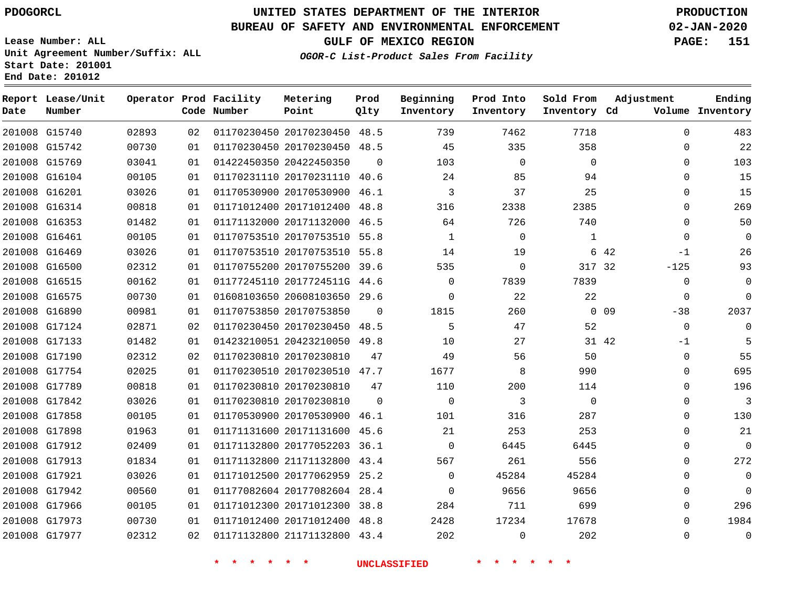**Prod**

**Metering**

#### **BUREAU OF SAFETY AND ENVIRONMENTAL ENFORCEMENT 02-JAN-2020**

**Lease Number: ALL Unit Agreement Number/Suffix: ALL Start Date: 201001**

**Operator Prod Facility**

**End Date: 201012**

**Report Lease/Unit**

**GULF OF MEXICO REGION PAGE: 151**

**Sold From Adjustment**

**Ending**

**OGOR-C List-Product Sales From Facility**

**Beginning Prod Into**

| Date | Number        |       |    | Code Number | Point                        | Qlty     | Inventory   | Inventory      | Inventory Cd |                 |              | Volume Inventory |
|------|---------------|-------|----|-------------|------------------------------|----------|-------------|----------------|--------------|-----------------|--------------|------------------|
|      | 201008 G15740 | 02893 | 02 |             | 01170230450 20170230450      | 48.5     | 739         | 7462           | 7718         |                 | $\Omega$     | 483              |
|      | 201008 G15742 | 00730 | 01 |             | 01170230450 20170230450 48.5 |          | 45          | 335            | 358          |                 | $\Omega$     | 22               |
|      | 201008 G15769 | 03041 | 01 |             | 01422450350 20422450350      | $\Omega$ | 103         | $\mathbf 0$    | $\Omega$     |                 | $\mathbf{0}$ | 103              |
|      | 201008 G16104 | 00105 | 01 |             | 01170231110 20170231110 40.6 |          | 24          | 85             | 94           |                 | $\Omega$     | 15               |
|      | 201008 G16201 | 03026 | 01 |             | 01170530900 20170530900 46.1 |          | 3           | 37             | 25           |                 | $\mathbf{0}$ | 15               |
|      | 201008 G16314 | 00818 | 01 |             | 01171012400 20171012400 48.8 |          | 316         | 2338           | 2385         |                 | $\Omega$     | 269              |
|      | 201008 G16353 | 01482 | 01 |             | 01171132000 20171132000      | 46.5     | 64          | 726            | 740          |                 | $\Omega$     | 50               |
|      | 201008 G16461 | 00105 | 01 |             | 01170753510 20170753510 55.8 |          | 1           | $\overline{0}$ | 1            |                 | $\mathbf{0}$ | $\mathbf{0}$     |
|      | 201008 G16469 | 03026 | 01 |             | 01170753510 20170753510 55.8 |          | 14          | 19             |              | 6 42            | $-1$         | 26               |
|      | 201008 G16500 | 02312 | 01 |             | 01170755200 20170755200 39.6 |          | 535         | $\mathbf 0$    | 317 32       |                 | $-125$       | 93               |
|      | 201008 G16515 | 00162 | 01 |             | 01177245110 2017724511G 44.6 |          | $\Omega$    | 7839           | 7839         |                 | $\mathbf 0$  | $\mathbf 0$      |
|      | 201008 G16575 | 00730 | 01 |             | 01608103650 20608103650      | 29.6     | 0           | 22             | 22           |                 | $\mathbf 0$  | $\Omega$         |
|      | 201008 G16890 | 00981 | 01 |             | 01170753850 20170753850      | $\Omega$ | 1815        | 260            |              | 0 <sub>09</sub> | $-38$        | 2037             |
|      | 201008 G17124 | 02871 | 02 |             | 01170230450 20170230450 48.5 |          | 5           | 47             | 52           |                 | $\mathbf 0$  | $\Omega$         |
|      | 201008 G17133 | 01482 | 01 |             | 01423210051 20423210050 49.8 |          | 10          | 27             |              | 31 42           | -1           |                  |
|      | 201008 G17190 | 02312 | 02 |             | 01170230810 20170230810      | 47       | 49          | 56             | 50           |                 | 0            | 55               |
|      | 201008 G17754 | 02025 | 01 |             | 01170230510 20170230510 47.7 |          | 1677        | 8              | 990          |                 | $\mathbf 0$  | 695              |
|      | 201008 G17789 | 00818 | 01 |             | 01170230810 20170230810      | 47       | 110         | 200            | 114          |                 | 0            | 196              |
|      | 201008 G17842 | 03026 | 01 |             | 01170230810 20170230810      | $\Omega$ | $\Omega$    | 3              | $\Omega$     |                 | $\Omega$     | 3                |
|      | 201008 G17858 | 00105 | 01 |             | 01170530900 20170530900 46.1 |          | 101         | 316            | 287          |                 | $\mathbf{0}$ | 130              |
|      | 201008 G17898 | 01963 | 01 |             | 01171131600 20171131600      | 45.6     | 21          | 253            | 253          |                 | $\Omega$     | 21               |
|      | 201008 G17912 | 02409 | 01 |             | 01171132800 20177052203 36.1 |          | $\Omega$    | 6445           | 6445         |                 | $\Omega$     | $\mathbf 0$      |
|      | 201008 G17913 | 01834 | 01 |             | 01171132800 21171132800 43.4 |          | 567         | 261            | 556          |                 | $\Omega$     | 272              |
|      | 201008 G17921 | 03026 | 01 |             | 01171012500 20177062959 25.2 |          | $\mathbf 0$ | 45284          | 45284        |                 | $\mathbf{0}$ | $\mathbf 0$      |
|      | 201008 G17942 | 00560 | 01 |             | 01177082604 20177082604 28.4 |          | $\mathbf 0$ | 9656           | 9656         |                 | $\mathbf{0}$ | $\Omega$         |
|      | 201008 G17966 | 00105 | 01 |             | 01171012300 20171012300 38.8 |          | 284         | 711            | 699          |                 | $\Omega$     | 296              |
|      | 201008 G17973 | 00730 | 01 |             | 01171012400 20171012400 48.8 |          | 2428        | 17234          | 17678        |                 | $\Omega$     | 1984             |
|      | 201008 G17977 | 02312 | 02 |             | 01171132800 21171132800 43.4 |          | 202         | $\mathbf 0$    | 202          |                 | $\mathbf{0}$ | $\mathsf 0$      |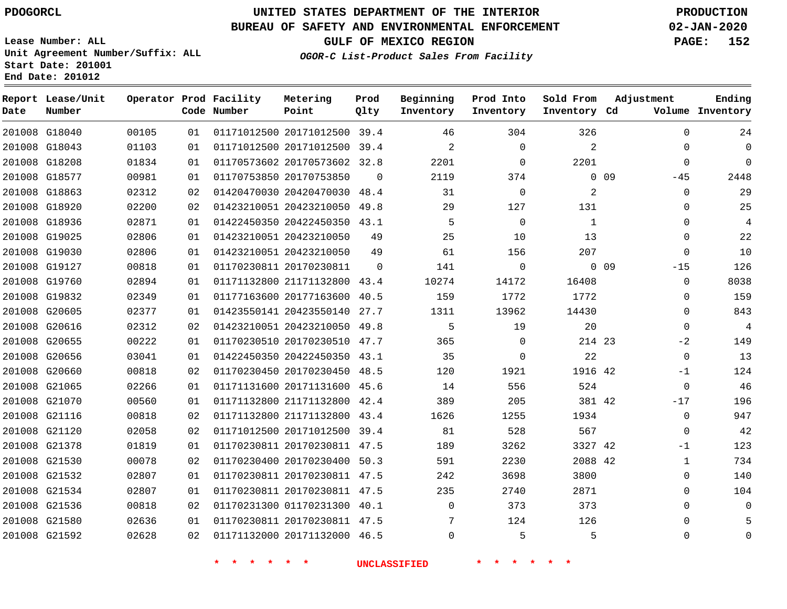G18040

**Date**

**Report Lease/Unit**

**Number**

 G21536 G21580 G21592

# **UNITED STATES DEPARTMENT OF THE INTERIOR PDOGORCL PRODUCTION**

**Prod Qlty**

#### **BUREAU OF SAFETY AND ENVIRONMENTAL ENFORCEMENT 02-JAN-2020**

**Lease Number: ALL Unit Agreement Number/Suffix: ALL Start Date: 201001 End Date: 201012**

**Operator Prod Facility**

**Code Number**

20171012500 39.4

**Metering Point**

**GULF OF MEXICO REGION PAGE: 152**

**Inventory Cd Volume**

**Adjustment**

  $\sim$ 

  $\Omega$ 

**Ending**

**OGOR-C List-Product Sales From Facility**

**Beginning Inventory**

  $\sim$ 

**Sold From Inventory**

**Prod Into Inventory**

 $\Omega$ 

| 201008 G18043 | 01103 | 01 |                         | 01171012500 20171012500 39.4 |          | $\overline{a}$ | $\Omega$ | $\overline{2}$ |        | $\Omega$ |
|---------------|-------|----|-------------------------|------------------------------|----------|----------------|----------|----------------|--------|----------|
| 201008 G18208 | 01834 | 01 | 01170573602 20170573602 |                              | 32.8     | 2201           | 0        | 2201           |        | $\Omega$ |
| 201008 G18577 | 00981 | 01 | 01170753850 20170753850 |                              | $\Omega$ | 2119           | 374      |                | 0.09   | $-45$    |
| 201008 G18863 | 02312 | 02 | 01420470030 20420470030 |                              | 48.4     | 31             | 0        | 2              |        | $\Omega$ |
| 201008 G18920 | 02200 | 02 | 01423210051 20423210050 |                              | 49.8     | 29             | 127      | 131            |        | $\Omega$ |
| 201008 G18936 | 02871 | 01 |                         | 01422450350 20422450350 43.1 |          | 5              | 0        | 1              |        | $\Omega$ |
| 201008 G19025 | 02806 | 01 | 01423210051 20423210050 |                              | 49       | 25             | 10       | 13             |        | $\Omega$ |
| 201008 G19030 | 02806 | 01 | 01423210051 20423210050 |                              | 49       | 61             | 156      | 207            |        | $\Omega$ |
| 201008 G19127 | 00818 | 01 | 01170230811 20170230811 |                              | 0        | 141            | 0        |                | $0$ 09 | $-15$    |
| 201008 G19760 | 02894 | 01 | 01171132800 21171132800 |                              | 43.4     | 10274          | 14172    | 16408          |        | $\Omega$ |
| 201008 G19832 | 02349 | 01 | 01177163600 20177163600 |                              | 40.5     | 159            | 1772     | 1772           |        | $\Omega$ |
| 201008 G20605 | 02377 | 01 | 01423550141 20423550140 |                              | 27.7     | 1311           | 13962    | 14430          |        | $\Omega$ |
| 201008 G20616 | 02312 | 02 | 01423210051 20423210050 |                              | 49.8     | 5              | 19       | 20             |        | $\Omega$ |
| 201008 G20655 | 00222 | 01 | 01170230510 20170230510 |                              | 47.7     | 365            | $\Omega$ | 214 23         |        | $-2$     |
| 201008 G20656 | 03041 | 01 |                         | 01422450350 20422450350 43.1 |          | 35             | $\Omega$ | 22             |        | $\Omega$ |
| 201008 G20660 | 00818 | 02 | 01170230450 20170230450 |                              | 48.5     | 120            | 1921     | 1916 42        |        | $-1$     |
| 201008 G21065 | 02266 | 01 | 01171131600 20171131600 |                              | 45.6     | 14             | 556      | 524            |        | $\Omega$ |
| 201008 G21070 | 00560 | 01 | 01171132800 21171132800 |                              | 42.4     | 389            | 205      | 381 42         |        | $-17$    |
| 201008 G21116 | 00818 | 02 | 01171132800 21171132800 |                              | 43.4     | 1626           | 1255     | 1934           |        | $\Omega$ |
| 201008 G21120 | 02058 | 02 | 01171012500 20171012500 |                              | 39.4     | 81             | 528      | 567            |        | $\Omega$ |
| 201008 G21378 | 01819 | 01 | 01170230811 20170230811 |                              | 47.5     | 189            | 3262     | 3327 42        |        | $-1$     |
| 201008 G21530 | 00078 | 02 | 01170230400 20170230400 |                              | 50.3     | 591            | 2230     | 2088 42        |        | 1        |
| 201008 G21532 | 02807 | 01 |                         | 01170230811 20170230811 47.5 |          | 242            | 3698     | 3800           |        | $\Omega$ |
| 201008 G21534 | 02807 | 01 |                         | 01170230811 20170230811 47.5 |          | 235            | 2740     | 2871           |        | $\Omega$ |

 01171132000 20171132000 46.5 20170230811 47.5  $\Omega$  

01170231300 40.1

**\* \* \* \* \* \* UNCLASSIFIED \* \* \* \* \* \***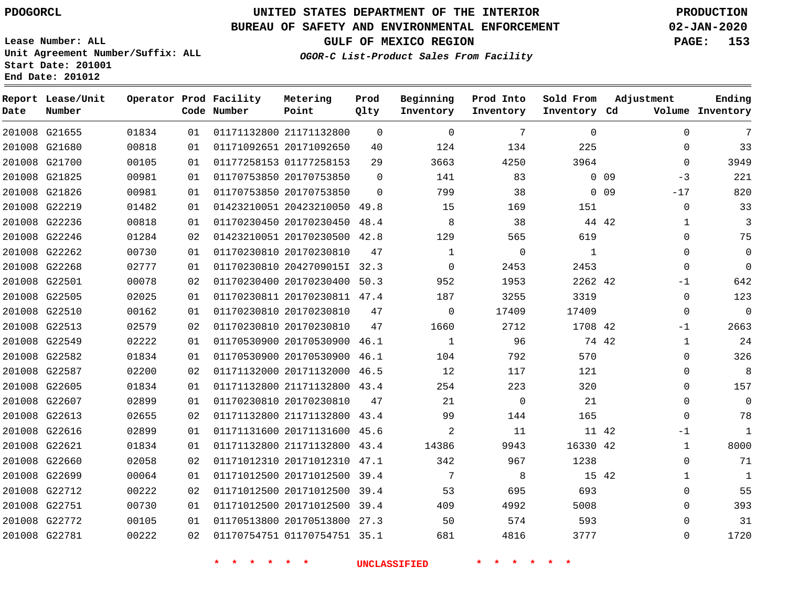G21655

**Date**

**Report Lease/Unit**

**Number**

 G22712 G22751 G22772 G22781

# **UNITED STATES DEPARTMENT OF THE INTERIOR PDOGORCL PRODUCTION**

 $\Omega$ 

**Prod Qlty**

### **BUREAU OF SAFETY AND ENVIRONMENTAL ENFORCEMENT 02-JAN-2020**

**Lease Number: ALL Unit Agreement Number/Suffix: ALL Start Date: 201001 End Date: 201012**

**Operator Prod Facility**

 

**Code Number**

21171132800

**Metering Point**

**GULF OF MEXICO REGION PAGE: 153**

**Prod Into Inventory**

**Sold From Inventory**

**Inventory Cd Volume**

**Adjustment**

 $\Omega$  $\Omega$   $\Omega$ 

 

**Ending**

**OGOR-C List-Product Sales From Facility**

**Beginning Inventory**

 $\Omega$ 

|               | 201008 G21680 | 00818 | 01 | 01171092651 20171092650 |                              | 40       | 124      | 134         | 225      |                 | $\Omega$    | 33             |
|---------------|---------------|-------|----|-------------------------|------------------------------|----------|----------|-------------|----------|-----------------|-------------|----------------|
|               | 201008 G21700 | 00105 | 01 | 01177258153 01177258153 |                              | 29       | 3663     | 4250        | 3964     |                 | $\Omega$    | 3949           |
|               | 201008 G21825 | 00981 | 01 | 01170753850 20170753850 |                              | $\Omega$ | 141      | 83          |          | 0 <sub>09</sub> | $-3$        | 221            |
|               | 201008 G21826 | 00981 | 01 | 01170753850 20170753850 |                              | $\Omega$ | 799      | 38          |          | 0.09            | $-17$       | 820            |
| 201008        | G22219        | 01482 | 01 | 01423210051 20423210050 |                              | 49.8     | 15       | 169         | 151      |                 | $\mathbf 0$ | 33             |
|               | 201008 G22236 | 00818 | 01 | 01170230450 20170230450 |                              | 48.4     | 8        | 38          |          | 44 42           | 1           | 3              |
|               | 201008 G22246 | 01284 | 02 |                         | 01423210051 20170230500 42.8 |          | 129      | 565         | 619      |                 | $\Omega$    | 75             |
|               | 201008 G22262 | 00730 | 01 | 01170230810 20170230810 |                              | 47       | 1        | $\mathbf 0$ | 1        |                 | $\Omega$    | $\mathbf 0$    |
| 201008        | G22268        | 02777 | 01 | 01170230810 2042709015I |                              | 32.3     | $\Omega$ | 2453        | 2453     |                 | $\Omega$    | $\overline{0}$ |
| 201008 G22501 |               | 00078 | 02 |                         | 01170230400 20170230400      | 50.3     | 952      | 1953        | 2262 42  |                 | $-1$        | 642            |
|               | 201008 G22505 | 02025 | 01 |                         | 01170230811 20170230811 47.4 |          | 187      | 3255        | 3319     |                 | $\Omega$    | 123            |
| 201008        | G22510        | 00162 | 01 | 01170230810 20170230810 |                              | 47       | $\Omega$ | 17409       | 17409    |                 | $\Omega$    | $\overline{0}$ |
|               | 201008 G22513 | 02579 | 02 | 01170230810 20170230810 |                              | 47       | 1660     | 2712        | 1708 42  |                 | $-1$        | 2663           |
|               | 201008 G22549 | 02222 | 01 | 01170530900 20170530900 |                              | 46.1     | 1        | 96          |          | 74 42           |             | 24             |
|               | 201008 G22582 | 01834 | 01 | 01170530900 20170530900 |                              | 46.1     | 104      | 792         | 570      |                 | $\Omega$    | 326            |
| 201008        | G22587        | 02200 | 02 | 01171132000 20171132000 |                              | 46.5     | 12       | 117         | 121      |                 | $\Omega$    | 8              |
| 201008        | G22605        | 01834 | 01 | 01171132800 21171132800 |                              | 43.4     | 254      | 223         | 320      |                 | $\Omega$    | 157            |
| 201008 G22607 |               | 02899 | 01 | 01170230810 20170230810 |                              | 47       | 21       | $\Omega$    | 21       |                 | $\Omega$    | $\Omega$       |
| 201008        | G22613        | 02655 | 02 | 01171132800 21171132800 |                              | 43.4     | 99       | 144         | 165      |                 | $\Omega$    | 78             |
| 201008        | G22616        | 02899 | 01 | 01171131600 20171131600 |                              | 45.6     | 2        | 11          |          | 11 42           | $-1$        |                |
| 201008 G22621 |               | 01834 | 01 |                         | 01171132800 21171132800      | 43.4     | 14386    | 9943        | 16330 42 |                 | 1           | 8000           |
|               | 201008 G22660 | 02058 | 02 | 01171012310 20171012310 |                              | 47.1     | 342      | 967         | 1238     |                 | 0           | 71             |
| 201008 G22699 |               | 00064 | 01 |                         | 01171012500 20171012500      | 39.4     | 7        | 8           |          | 15 42           |             | 1              |

 20171012500 39.4 20171012500 39.4 20170513800 27.3 01170754751 35.1

**\* \* \* \* \* \* UNCLASSIFIED \* \* \* \* \* \***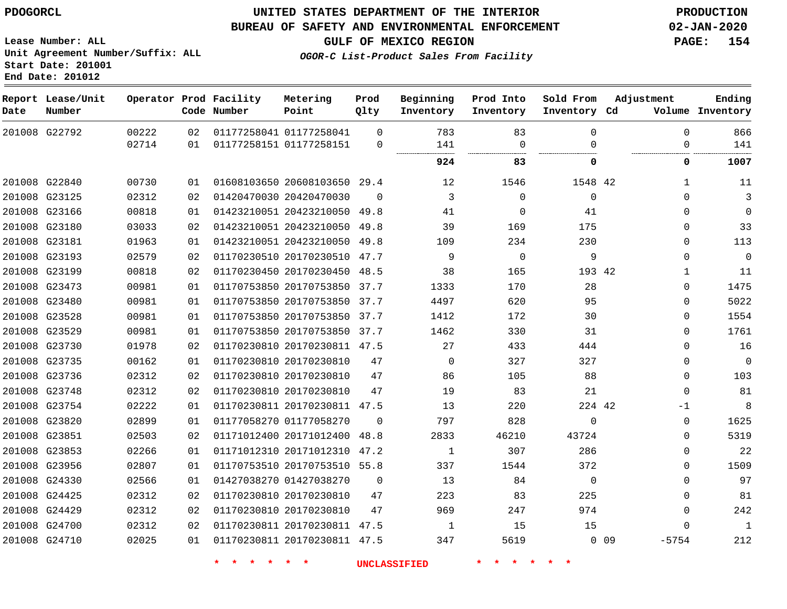**End Date: 201012**

### **UNITED STATES DEPARTMENT OF THE INTERIOR PDOGORCL PRODUCTION**

### **BUREAU OF SAFETY AND ENVIRONMENTAL ENFORCEMENT 02-JAN-2020**

**Lease Number: ALL Unit Agreement Number/Suffix: ALL Start Date: 201001**

**GULF OF MEXICO REGION PAGE: 154**

**OGOR-C List-Product Sales From Facility**

| Date | Report Lease/Unit<br>Number |       |    | Operator Prod Facility<br>Code Number | Metering<br>Point            | Prod<br>Qlty | Beginning<br>Inventory | Prod Into<br>Inventory | Sold From<br>Inventory Cd | Adjustment        | Ending<br>Volume Inventory  |
|------|-----------------------------|-------|----|---------------------------------------|------------------------------|--------------|------------------------|------------------------|---------------------------|-------------------|-----------------------------|
|      | 201008 G22792               | 00222 | 02 |                                       | 01177258041 01177258041      | $\Omega$     | 783                    | 83                     | $\Omega$                  |                   | $\mathbf{0}$<br>866         |
|      |                             | 02714 | 01 |                                       | 01177258151 01177258151      | $\mathbf 0$  | 141                    | $\Omega$               | ∩                         |                   | 141<br>$\Omega$             |
|      |                             |       |    |                                       |                              |              | 924                    | 83                     | 0                         |                   | 0<br>1007                   |
|      | 201008 G22840               | 00730 | 01 |                                       | 01608103650 20608103650 29.4 |              | 12                     | 1546                   | 1548 42                   |                   | 11<br>$\mathbf{1}$          |
|      | 201008 G23125               | 02312 | 02 |                                       | 01420470030 20420470030      | $\Omega$     | 3                      | 0                      | $\mathbf 0$               |                   | $\mathbf{0}$<br>3           |
|      | 201008 G23166               | 00818 | 01 |                                       | 01423210051 20423210050 49.8 |              | 41                     | $\Omega$               | 41                        |                   | $\mathbf{0}$<br>$\mathbf 0$ |
|      | 201008 G23180               | 03033 | 02 |                                       | 01423210051 20423210050      | 49.8         | 39                     | 169                    | 175                       |                   | 33<br>0                     |
|      | 201008 G23181               | 01963 | 01 |                                       | 01423210051 20423210050 49.8 |              | 109                    | 234                    | 230                       |                   | 113<br>0                    |
|      | 201008 G23193               | 02579 | 02 |                                       | 01170230510 20170230510 47.7 |              | 9                      | $\mathbf 0$            | 9                         |                   | $\Omega$<br>$\mathbf 0$     |
|      | 201008 G23199               | 00818 | 02 |                                       | 01170230450 20170230450 48.5 |              | 38                     | 165                    | 193 42                    |                   | 1<br>11                     |
|      | 201008 G23473               | 00981 | 01 |                                       | 01170753850 20170753850      | 37.7         | 1333                   | 170                    | 28                        |                   | 1475<br>0                   |
|      | 201008 G23480               | 00981 | 01 |                                       | 01170753850 20170753850 37.7 |              | 4497                   | 620                    | 95                        |                   | 5022<br>$\mathbf{0}$        |
|      | 201008 G23528               | 00981 | 01 |                                       | 01170753850 20170753850 37.7 |              | 1412                   | 172                    | 30                        |                   | 1554<br>$\mathbf{0}$        |
|      | 201008 G23529               | 00981 | 01 |                                       | 01170753850 20170753850 37.7 |              | 1462                   | 330                    | 31                        |                   | 1761<br>0                   |
|      | 201008 G23730               | 01978 | 02 |                                       | 01170230810 20170230811 47.5 |              | 27                     | 433                    | 444                       |                   | 16<br>0                     |
|      | 201008 G23735               | 00162 | 01 |                                       | 01170230810 20170230810      | 47           | $\mathbf 0$            | 327                    | 327                       |                   | $\mathsf{O}\xspace$<br>0    |
|      | 201008 G23736               | 02312 | 02 |                                       | 01170230810 20170230810      | 47           | 86                     | 105                    | 88                        |                   | 103<br>$\mathbf{0}$         |
|      | 201008 G23748               | 02312 | 02 |                                       | 01170230810 20170230810      | 47           | 19                     | 83                     | 21                        |                   | 81<br>$\mathbf{0}$          |
|      | 201008 G23754               | 02222 | 01 |                                       | 01170230811 20170230811 47.5 |              | 13                     | 220                    | 224 42                    | -1                | 8                           |
|      | 201008 G23820               | 02899 | 01 |                                       | 01177058270 01177058270      | $\Omega$     | 797                    | 828                    | $\mathbf 0$               |                   | 0<br>1625                   |
|      | 201008 G23851               | 02503 | 02 |                                       | 01171012400 20171012400      | 48.8         | 2833                   | 46210                  | 43724                     |                   | 5319<br>$\mathbf{0}$        |
|      | 201008 G23853               | 02266 | 01 |                                       | 01171012310 20171012310 47.2 |              | $\mathbf{1}$           | 307                    | 286                       |                   | 22<br>$\mathbf{0}$          |
|      | 201008 G23956               | 02807 | 01 |                                       | 01170753510 20170753510 55.8 |              | 337                    | 1544                   | 372                       |                   | 1509<br>0                   |
|      | 201008 G24330               | 02566 | 01 |                                       | 01427038270 01427038270      | $\mathbf 0$  | 13                     | 84                     | $\mathbf 0$               |                   | 97<br>0                     |
|      | 201008 G24425               | 02312 | 02 |                                       | 01170230810 20170230810      | 47           | 223                    | 83                     | 225                       |                   | 81<br>0                     |
|      | 201008 G24429               | 02312 | 02 |                                       | 01170230810 20170230810      | 47           | 969                    | 247                    | 974                       |                   | 242<br>$\mathbf{0}$         |
|      | 201008 G24700               | 02312 | 02 |                                       | 01170230811 20170230811 47.5 |              | 1                      | 15                     | 15                        |                   | $\Omega$<br>1               |
|      | 201008 G24710               | 02025 | 01 |                                       | 01170230811 20170230811 47.5 |              | 347                    | 5619                   |                           | $0$ 09<br>$-5754$ | 212                         |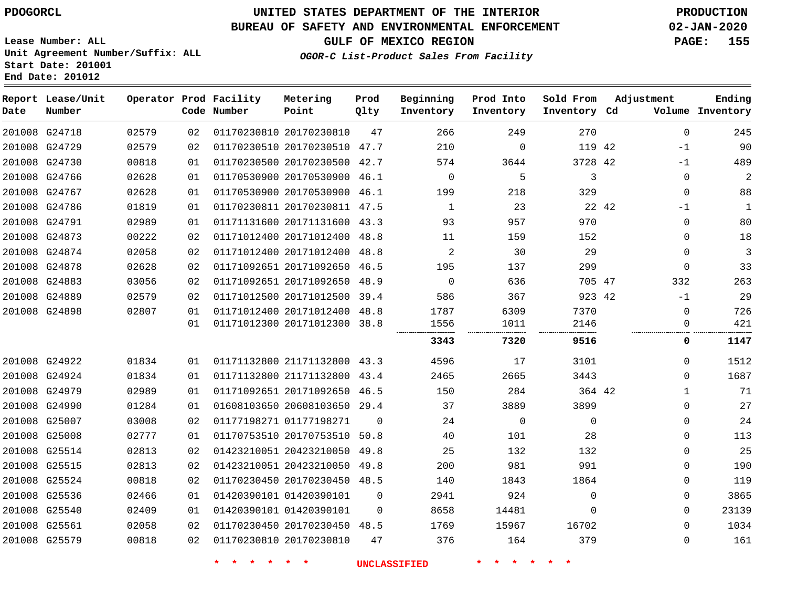### **BUREAU OF SAFETY AND ENVIRONMENTAL ENFORCEMENT 02-JAN-2020**

**Lease Number: ALL Unit Agreement Number/Suffix: ALL Start Date: 201001 End Date: 201012**

**GULF OF MEXICO REGION PAGE: 155**

**OGOR-C List-Product Sales From Facility**

| Date | Report Lease/Unit<br>Number |       |    | Operator Prod Facility<br>Code Number | Metering<br>Point            | Prod<br>Qlty | Beginning<br>Inventory | Prod Into<br>Inventory | Sold From<br>Inventory Cd | Adjustment   | Ending<br>Volume Inventory |
|------|-----------------------------|-------|----|---------------------------------------|------------------------------|--------------|------------------------|------------------------|---------------------------|--------------|----------------------------|
|      | 201008 G24718               | 02579 | 02 |                                       | 01170230810 20170230810      | 47           | 266                    | 249                    | 270                       | $\mathbf 0$  | 245                        |
|      | 201008 G24729               | 02579 | 02 |                                       | 01170230510 20170230510 47.7 |              | 210                    | $\mathbf 0$            | 119 42                    | -1           | 90                         |
|      | 201008 G24730               | 00818 | 01 |                                       | 01170230500 20170230500 42.7 |              | 574                    | 3644                   | 3728 42                   | -1           | 489                        |
|      | 201008 G24766               | 02628 | 01 |                                       | 01170530900 20170530900 46.1 |              | $\mathbf 0$            | 5                      | 3                         | $\mathbf{0}$ | 2                          |
|      | 201008 G24767               | 02628 | 01 |                                       | 01170530900 20170530900 46.1 |              | 199                    | 218                    | 329                       | $\mathbf 0$  | 88                         |
|      | 201008 G24786               | 01819 | 01 |                                       | 01170230811 20170230811 47.5 |              | 1                      | 23                     | 22 42                     | -1           | 1                          |
|      | 201008 G24791               | 02989 | 01 |                                       | 01171131600 20171131600 43.3 |              | 93                     | 957                    | 970                       | $\mathbf{0}$ | 80                         |
|      | 201008 G24873               | 00222 | 02 |                                       | 01171012400 20171012400 48.8 |              | 11                     | 159                    | 152                       | 0            | 18                         |
|      | 201008 G24874               | 02058 | 02 |                                       | 01171012400 20171012400 48.8 |              | $\overline{a}$         | 30                     | 29                        | $\mathbf 0$  | 3                          |
|      | 201008 G24878               | 02628 | 02 |                                       | 01171092651 20171092650 46.5 |              | 195                    | 137                    | 299                       | $\mathbf 0$  | 33                         |
|      | 201008 G24883               | 03056 | 02 |                                       | 01171092651 20171092650 48.9 |              | $\Omega$               | 636                    | 705 47                    | 332          | 263                        |
|      | 201008 G24889               | 02579 | 02 |                                       | 01171012500 20171012500 39.4 |              | 586                    | 367                    | 923 42                    | $-1$         | 29                         |
|      | 201008 G24898               | 02807 | 01 |                                       | 01171012400 20171012400 48.8 |              | 1787                   | 6309                   | 7370                      | 0            | 726                        |
|      |                             |       | 01 |                                       | 01171012300 20171012300 38.8 |              | 1556                   | 1011                   | 2146                      | $\mathbf{0}$ | 421                        |
|      |                             |       |    |                                       |                              |              | 3343                   | 7320                   | 9516                      | 0            | 1147                       |
|      | 201008 G24922               | 01834 | 01 |                                       | 01171132800 21171132800 43.3 |              | 4596                   | 17                     | 3101                      | $\mathbf{0}$ | 1512                       |
|      | 201008 G24924               | 01834 | 01 |                                       | 01171132800 21171132800 43.4 |              | 2465                   | 2665                   | 3443                      | $\Omega$     | 1687                       |
|      | 201008 G24979               | 02989 | 01 |                                       | 01171092651 20171092650 46.5 |              | 150                    | 284                    | 364 42                    | 1            | 71                         |
|      | 201008 G24990               | 01284 | 01 |                                       | 01608103650 20608103650 29.4 |              | 37                     | 3889                   | 3899                      | $\Omega$     | 27                         |
|      | 201008 G25007               | 03008 | 02 |                                       | 01177198271 01177198271      | $\Omega$     | 24                     | $\mathbf 0$            | $\mathbf 0$               | $\mathbf{0}$ | 24                         |
|      | 201008 G25008               | 02777 | 01 |                                       | 01170753510 20170753510 50.8 |              | 40                     | 101                    | 28                        | $\Omega$     | 113                        |
|      | 201008 G25514               | 02813 | 02 |                                       | 01423210051 20423210050 49.8 |              | 25                     | 132                    | 132                       | 0            | 25                         |
|      | 201008 G25515               | 02813 | 02 |                                       | 01423210051 20423210050 49.8 |              | 200                    | 981                    | 991                       | $\Omega$     | 190                        |
|      | 201008 G25524               | 00818 | 02 |                                       | 01170230450 20170230450 48.5 |              | 140                    | 1843                   | 1864                      | $\mathbf{0}$ | 119                        |
|      | 201008 G25536               | 02466 | 01 |                                       | 01420390101 01420390101      | $\Omega$     | 2941                   | 924                    | $\mathbf{0}$              | 0            | 3865                       |
|      | 201008 G25540               | 02409 | 01 |                                       | 01420390101 01420390101      | $\Omega$     | 8658                   | 14481                  | $\Omega$                  | $\Omega$     | 23139                      |
|      | 201008 G25561               | 02058 | 02 |                                       | 01170230450 20170230450 48.5 |              | 1769                   | 15967                  | 16702                     | $\Omega$     | 1034                       |
|      | 201008 G25579               | 00818 | 02 |                                       | 01170230810 20170230810      | 47           | 376                    | 164                    | 379                       | 0            | 161                        |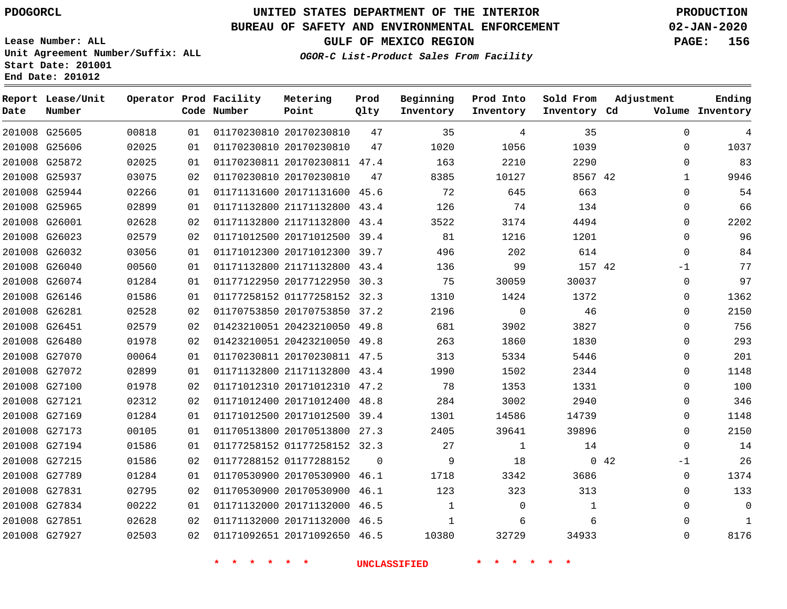**Report Lease/Unit**

**Date**

# **UNITED STATES DEPARTMENT OF THE INTERIOR PDOGORCL PRODUCTION**

**Prod**

**Metering**

#### **BUREAU OF SAFETY AND ENVIRONMENTAL ENFORCEMENT 02-JAN-2020**

**Lease Number: ALL Unit Agreement Number/Suffix: ALL Start Date: 201001 End Date: 201012**

**Operator Prod Facility**

**OGOR-C List-Product Sales From Facility**

**Beginning**

**Prod Into**

**Sold From**

**Adjustment**

**GULF OF MEXICO REGION PAGE: 156**

**Ending**

| Number |       |    | Code Number | Point                        | Qlty     | Inventory    | Inventory   | Inventory Cd |      |              | Volume Inventory |
|--------|-------|----|-------------|------------------------------|----------|--------------|-------------|--------------|------|--------------|------------------|
| G25605 | 00818 | 01 |             | 01170230810 20170230810      | 47       | 35           | 4           | 35           |      | $\mathbf 0$  | 4                |
| G25606 | 02025 | 01 |             | 01170230810 20170230810      | 47       | 1020         | 1056        | 1039         |      | 0            | 1037             |
| G25872 | 02025 | 01 |             | 01170230811 20170230811 47.4 |          | 163          | 2210        | 2290         |      | 0            | 83               |
| G25937 | 03075 | 02 |             | 01170230810 20170230810      | 47       | 8385         | 10127       | 8567 42      |      | $\mathbf{1}$ | 9946             |
| G25944 | 02266 | 01 |             | 01171131600 20171131600 45.6 |          | 72           | 645         | 663          |      | $\mathbf 0$  | 54               |
| G25965 | 02899 | 01 |             | 01171132800 21171132800 43.4 |          | 126          | 74          | 134          |      | $\mathbf 0$  | 66               |
| G26001 | 02628 | 02 |             | 01171132800 21171132800      | 43.4     | 3522         | 3174        | 4494         |      | $\mathbf 0$  | 2202             |
| G26023 | 02579 | 02 |             | 01171012500 20171012500 39.4 |          | 81           | 1216        | 1201         |      | $\Omega$     | 96               |
| G26032 | 03056 | 01 |             | 01171012300 20171012300 39.7 |          | 496          | 202         | 614          |      | $\mathbf 0$  | 84               |
| G26040 | 00560 | 01 |             | 01171132800 21171132800 43.4 |          | 136          | 99          | 157 42       |      | $-1$         | 77               |
| G26074 | 01284 | 01 |             | 01177122950 20177122950      | 30.3     | 75           | 30059       | 30037        |      | 0            | 97               |
| G26146 | 01586 | 01 |             | 01177258152 01177258152 32.3 |          | 1310         | 1424        | 1372         |      | $\Omega$     | 1362             |
| G26281 | 02528 | 02 |             | 01170753850 20170753850 37.2 |          | 2196         | $\mathbf 0$ | 46           |      | $\mathbf 0$  | 2150             |
| G26451 | 02579 | 02 |             | 01423210051 20423210050 49.8 |          | 681          | 3902        | 3827         |      | $\Omega$     | 756              |
| G26480 | 01978 | 02 |             | 01423210051 20423210050 49.8 |          | 263          | 1860        | 1830         |      | $\mathbf 0$  | 293              |
| G27070 | 00064 | 01 |             | 01170230811 20170230811 47.5 |          | 313          | 5334        | 5446         |      | 0            | 201              |
| G27072 | 02899 | 01 |             | 01171132800 21171132800 43.4 |          | 1990         | 1502        | 2344         |      | $\mathbf 0$  | 1148             |
| G27100 | 01978 | 02 |             | 01171012310 20171012310      | 47.2     | 78           | 1353        | 1331         |      | $\Omega$     | 100              |
| G27121 | 02312 | 02 |             | 01171012400 20171012400      | 48.8     | 284          | 3002        | 2940         |      | $\mathbf 0$  | 346              |
| G27169 | 01284 | 01 |             | 01171012500 20171012500      | 39.4     | 1301         | 14586       | 14739        |      | 0            | 1148             |
| G27173 | 00105 | 01 |             | 01170513800 20170513800 27.3 |          | 2405         | 39641       | 39896        |      | $\mathbf 0$  | 2150             |
| G27194 | 01586 | 01 |             | 01177258152 01177258152 32.3 |          | 27           | 1           | 14           |      | $\mathbf 0$  | 14               |
| G27215 | 01586 | 02 |             | 01177288152 01177288152      | $\Omega$ | 9            | 18          |              | 0.42 | $-1$         | 26               |
| G27789 | 01284 | 01 |             | 01170530900 20170530900 46.1 |          | 1718         | 3342        | 3686         |      | 0            | 1374             |
| G27831 | 02795 | 02 |             | 01170530900 20170530900 46.1 |          | 123          | 323         | 313          |      | $\Omega$     | 133              |
| G27834 | 00222 | 01 |             | 01171132000 20171132000      | 46.5     | $\mathbf{1}$ | 0           | $\mathbf{1}$ |      | $\mathbf 0$  | 0                |
| G27851 | 02628 | 02 |             | 01171132000 20171132000 46.5 |          | $\mathbf{1}$ | 6           | 6            |      | $\Omega$     | $\mathbf{1}$     |
| G27927 | 02503 | 02 |             | 01171092651 20171092650 46.5 |          | 10380        | 32729       | 34933        |      | $\mathbf 0$  | 8176             |
|        |       |    |             |                              |          |              |             |              |      |              |                  |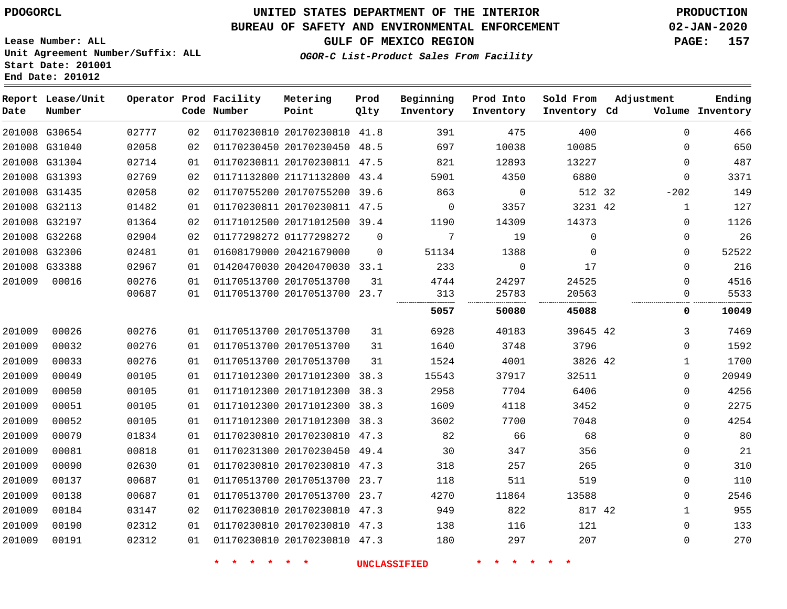#### **BUREAU OF SAFETY AND ENVIRONMENTAL ENFORCEMENT 02-JAN-2020**

**Lease Number: ALL Unit Agreement Number/Suffix: ALL Start Date: 201001**

**End Date: 201012**

**GULF OF MEXICO REGION PAGE: 157**

**OGOR-C List-Product Sales From Facility**

| Date   | Report Lease/Unit<br>Number |       |    | Operator Prod Facility<br>Code Number | Metering<br>Point            | Prod<br>Qlty | Beginning<br>Inventory | Prod Into<br>Inventory | Sold From<br>Inventory Cd | Adjustment | Ending<br>Volume Inventory |
|--------|-----------------------------|-------|----|---------------------------------------|------------------------------|--------------|------------------------|------------------------|---------------------------|------------|----------------------------|
|        | 201008 G30654               | 02777 | 02 |                                       | 01170230810 20170230810 41.8 |              | 391                    | 475                    | 400                       |            | 466<br>$\mathbf 0$         |
|        | 201008 G31040               | 02058 | 02 |                                       | 01170230450 20170230450 48.5 |              | 697                    | 10038                  | 10085                     |            | 650<br>$\Omega$            |
|        | 201008 G31304               | 02714 | 01 |                                       | 01170230811 20170230811 47.5 |              | 821                    | 12893                  | 13227                     |            | 487<br>$\mathbf 0$         |
|        | 201008 G31393               | 02769 | 02 |                                       | 01171132800 21171132800 43.4 |              | 5901                   | 4350                   | 6880                      |            | 3371<br>0                  |
|        | 201008 G31435               | 02058 | 02 |                                       | 01170755200 20170755200 39.6 |              | 863                    | $\overline{0}$         | 512 32                    | $-202$     | 149                        |
|        | 201008 G32113               | 01482 | 01 |                                       | 01170230811 20170230811 47.5 |              | $\overline{0}$         | 3357                   | 3231 42                   |            | 127<br>1                   |
|        | 201008 G32197               | 01364 | 02 |                                       | 01171012500 20171012500 39.4 |              | 1190                   | 14309                  | 14373                     |            | 1126<br>0                  |
|        | 201008 G32268               | 02904 | 02 |                                       | 01177298272 01177298272      | $\mathbf 0$  | $7\phantom{.0}$        | 19                     | $\mathbf 0$               |            | 26<br>0                    |
|        | 201008 G32306               | 02481 | 01 |                                       | 01608179000 20421679000      | $\Omega$     | 51134                  | 1388                   | $\Omega$                  |            | 52522<br>0                 |
|        | 201008 G33388               | 02967 | 01 |                                       | 01420470030 20420470030 33.1 |              | 233                    | $\mathbf 0$            | 17                        |            | 216<br>$\mathbf 0$         |
| 201009 | 00016                       | 00276 | 01 |                                       | 01170513700 20170513700      | 31           | 4744                   | 24297                  | 24525                     |            | 4516<br>$\mathbf 0$        |
|        |                             | 00687 | 01 |                                       | 01170513700 20170513700 23.7 |              | 313                    | 25783                  | 20563                     |            | 5533<br>$\mathbf 0$        |
|        |                             |       |    |                                       |                              |              | 5057                   | 50080                  | 45088                     |            | 10049<br>0                 |
| 201009 | 00026                       | 00276 | 01 |                                       | 01170513700 20170513700      | 31           | 6928                   | 40183                  | 39645 42                  |            | 3<br>7469                  |
| 201009 | 00032                       | 00276 | 01 |                                       | 01170513700 20170513700      | 31           | 1640                   | 3748                   | 3796                      |            | 1592<br>0                  |
| 201009 | 00033                       | 00276 | 01 |                                       | 01170513700 20170513700      | 31           | 1524                   | 4001                   | 3826 42                   |            | 1700<br>$\mathbf{1}$       |
| 201009 | 00049                       | 00105 | 01 |                                       | 01171012300 20171012300 38.3 |              | 15543                  | 37917                  | 32511                     |            | 20949<br>$\mathbf 0$       |
| 201009 | 00050                       | 00105 | 01 |                                       | 01171012300 20171012300 38.3 |              | 2958                   | 7704                   | 6406                      |            | 4256<br>$\mathbf 0$        |
| 201009 | 00051                       | 00105 | 01 |                                       | 01171012300 20171012300 38.3 |              | 1609                   | 4118                   | 3452                      |            | 2275<br>$\mathbf 0$        |
| 201009 | 00052                       | 00105 | 01 |                                       | 01171012300 20171012300 38.3 |              | 3602                   | 7700                   | 7048                      |            | 4254<br>$\mathbf 0$        |
| 201009 | 00079                       | 01834 | 01 |                                       | 01170230810 20170230810 47.3 |              | 82                     | 66                     | 68                        |            | $\Omega$<br>80             |
| 201009 | 00081                       | 00818 | 01 |                                       | 01170231300 20170230450 49.4 |              | 30                     | 347                    | 356                       |            | 21<br>0                    |
| 201009 | 00090                       | 02630 | 01 |                                       | 01170230810 20170230810 47.3 |              | 318                    | 257                    | 265                       |            | 310<br>0                   |
| 201009 | 00137                       | 00687 | 01 |                                       | 01170513700 20170513700 23.7 |              | 118                    | 511                    | 519                       |            | 110<br>0                   |
| 201009 | 00138                       | 00687 | 01 |                                       | 01170513700 20170513700 23.7 |              | 4270                   | 11864                  | 13588                     |            | 2546<br>$\Omega$           |
| 201009 | 00184                       | 03147 | 02 |                                       | 01170230810 20170230810 47.3 |              | 949                    | 822                    | 817 42                    |            | 955<br>1                   |
| 201009 | 00190                       | 02312 | 01 |                                       | 01170230810 20170230810 47.3 |              | 138                    | 116                    | 121                       |            | 133<br>0                   |
| 201009 | 00191                       | 02312 | 01 |                                       | 01170230810 20170230810 47.3 |              | 180                    | 297                    | 207                       |            | 270<br>$\Omega$            |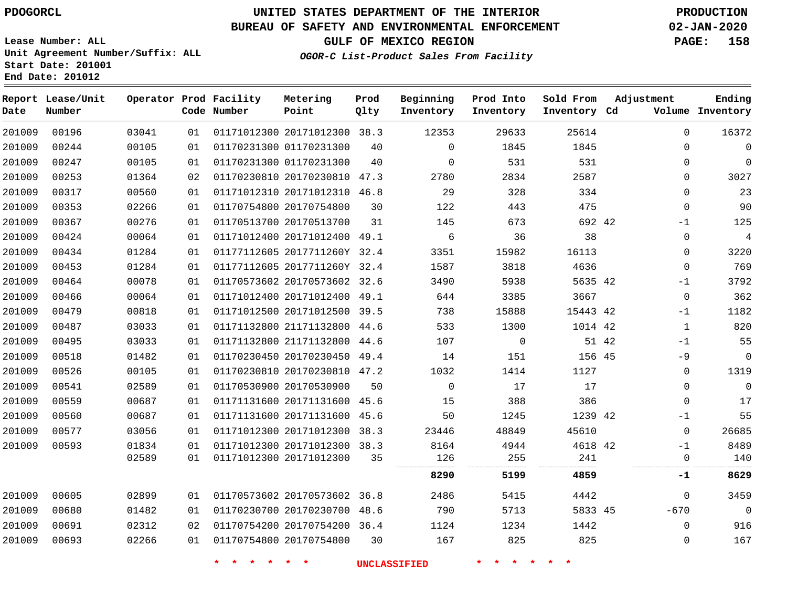**End Date: 201012**

# **UNITED STATES DEPARTMENT OF THE INTERIOR PDOGORCL PRODUCTION**

### **BUREAU OF SAFETY AND ENVIRONMENTAL ENFORCEMENT 02-JAN-2020**

**Lease Number: ALL Unit Agreement Number/Suffix: ALL Start Date: 201001**

**OGOR-C List-Product Sales From Facility**

**Prod Into Inventory** **Sold From Inventory**

**GULF OF MEXICO REGION PAGE: 158**

**Inventory Cd Volume**

**Adjustment**

**Ending**

| Date   | Report Lease/Unit<br>Number |       |    | Operator Prod Facility<br>Code Number | Metering<br>Point       | Prod<br>Olty | Beginning<br>Inventory |
|--------|-----------------------------|-------|----|---------------------------------------|-------------------------|--------------|------------------------|
| 201009 | 00196                       | 03041 | 01 | 01171012300 20171012300 38.3          |                         |              | 12353                  |
| 201009 | 00244                       | 00105 | 01 |                                       | 01170231300 01170231300 | 40           |                        |

| 201009 | 00196 | 03041 | 01 | 01171012300 20171012300 38.3 |      | 12353       | 29633       | 25614    |       | $\Omega$    | 16372          |
|--------|-------|-------|----|------------------------------|------|-------------|-------------|----------|-------|-------------|----------------|
| 201009 | 00244 | 00105 | 01 | 01170231300 01170231300      | 40   | $\mathbf 0$ | 1845        | 1845     |       | $\Omega$    | $\overline{0}$ |
| 201009 | 00247 | 00105 | 01 | 01170231300 01170231300      | 40   | 0           | 531         | 531      |       | 0           | $\overline{0}$ |
| 201009 | 00253 | 01364 | 02 | 01170230810 20170230810      | 47.3 | 2780        | 2834        | 2587     |       | $\Omega$    | 3027           |
| 201009 | 00317 | 00560 | 01 | 01171012310 20171012310 46.8 |      | 29          | 328         | 334      |       | $\Omega$    | 23             |
| 201009 | 00353 | 02266 | 01 | 01170754800 20170754800      | 30   | 122         | 443         | 475      |       | 0           | 90             |
| 201009 | 00367 | 00276 | 01 | 01170513700 20170513700      | 31   | 145         | 673         | 692 42   |       | $-1$        | 125            |
| 201009 | 00424 | 00064 | 01 | 01171012400 20171012400 49.1 |      | 6           | 36          | 38       |       | $\Omega$    | $\overline{4}$ |
| 201009 | 00434 | 01284 | 01 | 01177112605 2017711260Y 32.4 |      | 3351        | 15982       | 16113    |       | $\mathbf 0$ | 3220           |
| 201009 | 00453 | 01284 | 01 | 01177112605 2017711260Y 32.4 |      | 1587        | 3818        | 4636     |       | $\Omega$    | 769            |
| 201009 | 00464 | 00078 | 01 | 01170573602 20170573602 32.6 |      | 3490        | 5938        | 5635 42  |       | $-1$        | 3792           |
| 201009 | 00466 | 00064 | 01 | 01171012400 20171012400      | 49.1 | 644         | 3385        | 3667     |       | 0           | 362            |
| 201009 | 00479 | 00818 | 01 | 01171012500 20171012500 39.5 |      | 738         | 15888       | 15443 42 |       | $-1$        | 1182           |
| 201009 | 00487 | 03033 | 01 | 01171132800 21171132800 44.6 |      | 533         | 1300        | 1014 42  |       | 1           | 820            |
| 201009 | 00495 | 03033 | 01 | 01171132800 21171132800      | 44.6 | 107         | $\mathbf 0$ |          | 51 42 | $-1$        | 55             |
| 201009 | 00518 | 01482 | 01 | 01170230450 20170230450 49.4 |      | 14          | 151         | 156 45   |       | $-9$        | $\overline{0}$ |
| 201009 | 00526 | 00105 | 01 | 01170230810 20170230810 47.2 |      | 1032        | 1414        | 1127     |       | 0           | 1319           |
| 201009 | 00541 | 02589 | 01 | 01170530900 20170530900      | 50   | 0           | 17          | 17       |       | $\Omega$    | $\overline{0}$ |
| 201009 | 00559 | 00687 | 01 | 01171131600 20171131600 45.6 |      | 15          | 388         | 386      |       | $\Omega$    | 17             |
| 201009 | 00560 | 00687 | 01 | 01171131600 20171131600 45.6 |      | 50          | 1245        | 1239 42  |       | $-1$        | 55             |
| 201009 | 00577 | 03056 | 01 | 01171012300 20171012300 38.3 |      | 23446       | 48849       | 45610    |       | $\Omega$    | 26685          |
| 201009 | 00593 | 01834 | 01 | 01171012300 20171012300 38.3 |      | 8164        | 4944        | 4618 42  |       | $-1$        | 8489           |
|        |       | 02589 | 01 | 01171012300 20171012300      | 35   | 126         | 255         | 241      |       | 0           | 140            |
|        |       |       |    |                              |      | 8290        | 5199        | 4859     |       | -1          | 8629           |
| 201009 | 00605 | 02899 | 01 | 01170573602 20170573602 36.8 |      | 2486        | 5415        | 4442     |       | $\Omega$    | 3459           |
| 201009 | 00680 | 01482 | 01 | 01170230700 20170230700 48.6 |      | 790         | 5713        | 5833 45  |       | $-670$      | $\overline{0}$ |
| 201009 | 00691 | 02312 | 02 | 01170754200 20170754200 36.4 |      | 1124        | 1234        | 1442     |       | $\Omega$    | 916            |
| 201009 | 00693 | 02266 | 01 | 01170754800 20170754800      | 30   | 167         | 825         | 825      |       | 0           | 167            |
|        |       |       |    |                              |      |             |             |          |       |             |                |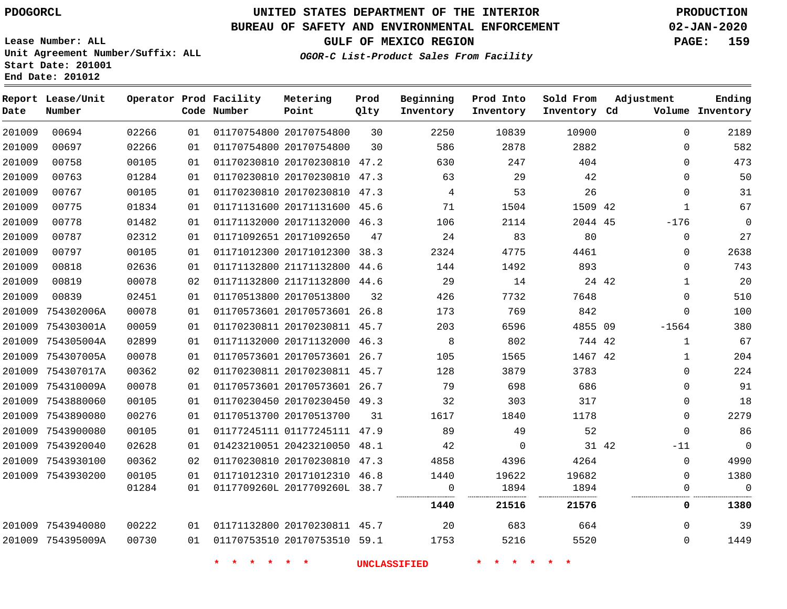# **UNITED STATES DEPARTMENT OF THE INTERIOR PDOGORCL PRODUCTION**

### **BUREAU OF SAFETY AND ENVIRONMENTAL ENFORCEMENT 02-JAN-2020**

**Lease Number: ALL Unit Agreement Number/Suffix: ALL Start Date: 201001**

**End Date: 201012**

**GULF OF MEXICO REGION PAGE: 159**

**OGOR-C List-Product Sales From Facility**

| Date   | Report Lease/Unit<br>Number |       |    | Operator Prod Facility<br>Code Number | Metering<br>Point            | Prod<br>Qlty | Beginning<br>Inventory | Prod Into<br>Inventory | Sold From<br>Inventory Cd | Adjustment     | Ending<br>Volume Inventory |
|--------|-----------------------------|-------|----|---------------------------------------|------------------------------|--------------|------------------------|------------------------|---------------------------|----------------|----------------------------|
| 201009 | 00694                       | 02266 | 01 |                                       | 01170754800 20170754800      | 30           | 2250                   | 10839                  | 10900                     | $\Omega$       | 2189                       |
| 201009 | 00697                       | 02266 | 01 |                                       | 01170754800 20170754800      | 30           | 586                    | 2878                   | 2882                      | $\Omega$       | 582                        |
| 201009 | 00758                       | 00105 | 01 |                                       | 01170230810 20170230810 47.2 |              | 630                    | 247                    | 404                       | 0              | 473                        |
| 201009 | 00763                       | 01284 | 01 |                                       | 01170230810 20170230810 47.3 |              | 63                     | 29                     | 42                        | 0              | 50                         |
| 201009 | 00767                       | 00105 | 01 |                                       | 01170230810 20170230810 47.3 |              | $\overline{4}$         | 53                     | 26                        | 0              | 31                         |
| 201009 | 00775                       | 01834 | 01 |                                       | 01171131600 20171131600 45.6 |              | 71                     | 1504                   | 1509 42                   | 1              | 67                         |
| 201009 | 00778                       | 01482 | 01 |                                       | 01171132000 20171132000 46.3 |              | 106                    | 2114                   | 2044 45                   | $-176$         | 0                          |
| 201009 | 00787                       | 02312 | 01 |                                       | 01171092651 20171092650      | 47           | 24                     | 83                     | 80                        | $\mathbf 0$    | 27                         |
| 201009 | 00797                       | 00105 | 01 |                                       | 01171012300 20171012300      | 38.3         | 2324                   | 4775                   | 4461                      | $\mathbf 0$    | 2638                       |
| 201009 | 00818                       | 02636 | 01 |                                       | 01171132800 21171132800 44.6 |              | 144                    | 1492                   | 893                       | $\mathbf 0$    | 743                        |
| 201009 | 00819                       | 00078 | 02 |                                       | 01171132800 21171132800 44.6 |              | 29                     | 14                     |                           | 24 42<br>1     | 20                         |
| 201009 | 00839                       | 02451 | 01 |                                       | 01170513800 20170513800      | 32           | 426                    | 7732                   | 7648                      | $\mathbf 0$    | 510                        |
| 201009 | 754302006A                  | 00078 | 01 |                                       | 01170573601 20170573601      | 26.8         | 173                    | 769                    | 842                       | $\Omega$       | 100                        |
|        | 201009 754303001A           | 00059 | 01 |                                       | 01170230811 20170230811 45.7 |              | 203                    | 6596                   | 4855 09                   | $-1564$        | 380                        |
|        | 201009 754305004A           | 02899 | 01 |                                       | 01171132000 20171132000 46.3 |              | 8                      | 802                    | 744 42                    | $\mathbf{1}$   | 67                         |
|        | 201009 754307005A           | 00078 | 01 |                                       | 01170573601 20170573601 26.7 |              | 105                    | 1565                   | 1467 42                   | $\mathbf{1}$   | 204                        |
|        | 201009 754307017A           | 00362 | 02 |                                       | 01170230811 20170230811 45.7 |              | 128                    | 3879                   | 3783                      | $\Omega$       | 224                        |
|        | 201009 754310009A           | 00078 | 01 |                                       | 01170573601 20170573601 26.7 |              | 79                     | 698                    | 686                       | 0              | 91                         |
| 201009 | 7543880060                  | 00105 | 01 |                                       | 01170230450 20170230450 49.3 |              | 32                     | 303                    | 317                       | 0              | 18                         |
|        | 201009 7543890080           | 00276 | 01 |                                       | 01170513700 20170513700      | 31           | 1617                   | 1840                   | 1178                      | $\Omega$       | 2279                       |
|        | 201009 7543900080           | 00105 | 01 |                                       | 01177245111 01177245111 47.9 |              | 89                     | 49                     | 52                        | $\mathbf 0$    | 86                         |
|        | 201009 7543920040           | 02628 | 01 |                                       | 01423210051 20423210050 48.1 |              | 42                     | $\mathbf 0$            |                           | 31 42<br>$-11$ | 0                          |
|        | 201009 7543930100           | 00362 | 02 |                                       | 01170230810 20170230810 47.3 |              | 4858                   | 4396                   | 4264                      | $\mathbf{0}$   | 4990                       |
|        | 201009 7543930200           | 00105 | 01 |                                       | 01171012310 20171012310 46.8 |              | 1440                   | 19622                  | 19682                     | 0              | 1380                       |
|        |                             | 01284 | 01 |                                       | 0117709260L 2017709260L 38.7 |              | $\Omega$               | 1894                   | 1894                      | $\Omega$       | $\mathbf 0$                |
|        |                             |       |    |                                       |                              |              | 1440                   | 21516                  | 21576                     | 0              | 1380                       |
|        | 201009 7543940080           | 00222 | 01 |                                       | 01171132800 20170230811 45.7 |              | 20                     | 683                    | 664                       | $\mathbf{0}$   | 39                         |
|        | 201009 754395009A           | 00730 | 01 |                                       | 01170753510 20170753510 59.1 |              | 1753                   | 5216                   | 5520                      | $\mathbf 0$    | 1449                       |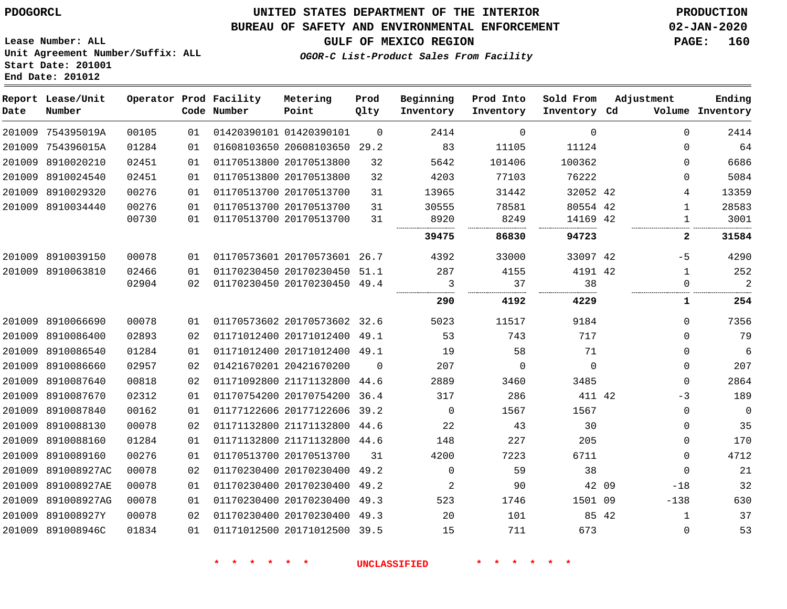# **UNITED STATES DEPARTMENT OF THE INTERIOR PDOGORCL PRODUCTION**

### **BUREAU OF SAFETY AND ENVIRONMENTAL ENFORCEMENT 02-JAN-2020**

**GULF OF MEXICO REGION PAGE: 160**

**Lease Number: ALL Unit Agreement Number/Suffix: ALL Start Date: 201001 End Date: 201012**

**OGOR-C List-Product Sales From Facility**

| Date   | Report Lease/Unit<br>Number |       |    | Operator Prod Facility<br>Code Number | Metering<br>Point            | Prod<br>Qlty | Beginning<br>Inventory | Prod Into<br>Inventory | Sold From<br>Inventory Cd | Adjustment |              | Ending<br>Volume Inventory |
|--------|-----------------------------|-------|----|---------------------------------------|------------------------------|--------------|------------------------|------------------------|---------------------------|------------|--------------|----------------------------|
|        | 201009 754395019A           | 00105 | 01 |                                       | 01420390101 01420390101      | $\Omega$     | 2414                   | $\mathbf 0$            | $\mathbf 0$               |            | $\Omega$     | 2414                       |
|        | 201009 754396015A           | 01284 | 01 |                                       | 01608103650 20608103650 29.2 |              | 83                     | 11105                  | 11124                     |            | $\mathbf{0}$ | 64                         |
|        | 201009 8910020210           | 02451 | 01 |                                       | 01170513800 20170513800      | 32           | 5642                   | 101406                 | 100362                    |            | $\Omega$     | 6686                       |
|        | 201009 8910024540           | 02451 | 01 |                                       | 01170513800 20170513800      | 32           | 4203                   | 77103                  | 76222                     |            | $\Omega$     | 5084                       |
|        | 201009 8910029320           | 00276 | 01 |                                       | 01170513700 20170513700      | 31           | 13965                  | 31442                  | 32052 42                  |            | 4            | 13359                      |
|        | 201009 8910034440           | 00276 | 01 |                                       | 01170513700 20170513700      | 31           | 30555                  | 78581                  | 80554 42                  |            | $\mathbf 1$  | 28583                      |
|        |                             | 00730 | 01 |                                       | 01170513700 20170513700      | 31           | 8920                   | 8249                   | 14169 42                  |            | 1            | 3001                       |
|        |                             |       |    |                                       |                              |              | 39475                  | 86830                  | 94723                     |            | 2            | 31584                      |
|        | 201009 8910039150           | 00078 | 01 |                                       | 01170573601 20170573601 26.7 |              | 4392                   | 33000                  | 33097 42                  |            | $-5$         | 4290                       |
|        | 201009 8910063810           | 02466 | 01 |                                       | 01170230450 20170230450 51.1 |              | 287                    | 4155                   | 4191 42                   |            | $\mathbf{1}$ | 252                        |
|        |                             | 02904 | 02 |                                       | 01170230450 20170230450 49.4 |              | 3                      | 37                     | 38                        |            | $\Omega$     | $\overline{2}$             |
|        |                             |       |    |                                       |                              |              | 290                    | 4192                   | 4229                      |            | 1            | 254                        |
|        | 201009 8910066690           | 00078 | 01 |                                       | 01170573602 20170573602 32.6 |              | 5023                   | 11517                  | 9184                      |            | $\Omega$     | 7356                       |
|        | 201009 8910086400           | 02893 | 02 |                                       | 01171012400 20171012400 49.1 |              | 53                     | 743                    | 717                       |            | $\Omega$     | 79                         |
|        | 201009 8910086540           | 01284 | 01 |                                       | 01171012400 20171012400 49.1 |              | 19                     | 58                     | 71                        |            | $\Omega$     | $\sqrt{6}$                 |
| 201009 | 8910086660                  | 02957 | 02 |                                       | 01421670201 20421670200      | $\Omega$     | 207                    | $\Omega$               | $\Omega$                  |            | $\Omega$     | 207                        |
|        | 201009 8910087640           | 00818 | 02 |                                       | 01171092800 21171132800 44.6 |              | 2889                   | 3460                   | 3485                      |            | $\Omega$     | 2864                       |
|        | 201009 8910087670           | 02312 | 01 |                                       | 01170754200 20170754200 36.4 |              | 317                    | 286                    | 411 42                    |            | $-3$         | 189                        |
|        | 201009 8910087840           | 00162 | 01 |                                       | 01177122606 20177122606      | 39.2         | $\mathbf 0$            | 1567                   | 1567                      |            | $\mathbf 0$  | $\mathbf 0$                |
|        | 201009 8910088130           | 00078 | 02 |                                       | 01171132800 21171132800 44.6 |              | 22                     | 43                     | 30                        |            | $\Omega$     | 35                         |
|        | 201009 8910088160           | 01284 | 01 |                                       | 01171132800 21171132800 44.6 |              | 148                    | 227                    | 205                       |            | 0            | 170                        |
|        | 201009 8910089160           | 00276 | 01 |                                       | 01170513700 20170513700      | 31           | 4200                   | 7223                   | 6711                      |            | $\mathbf 0$  | 4712                       |
|        | 201009 891008927AC          | 00078 | 02 |                                       | 01170230400 20170230400      | 49.2         | $\mathbf 0$            | 59                     | 38                        |            | $\Omega$     | 21                         |
|        | 201009 891008927AE          | 00078 | 01 |                                       | 01170230400 20170230400 49.2 |              | 2                      | 90                     |                           | 42 09      | $-18$        | 32                         |
|        | 201009 891008927AG          | 00078 | 01 |                                       | 01170230400 20170230400      | 49.3         | 523                    | 1746                   | 1501 09                   |            | $-138$       | 630                        |
|        | 201009 891008927Y           | 00078 | 02 |                                       | 01170230400 20170230400      | 49.3         | 20                     | 101                    |                           | 85 42      | $\mathbf{1}$ | 37                         |
|        | 201009 891008946C           | 01834 | 01 |                                       | 01171012500 20171012500 39.5 |              | 15                     | 711                    | 673                       |            | $\mathbf{0}$ | 53                         |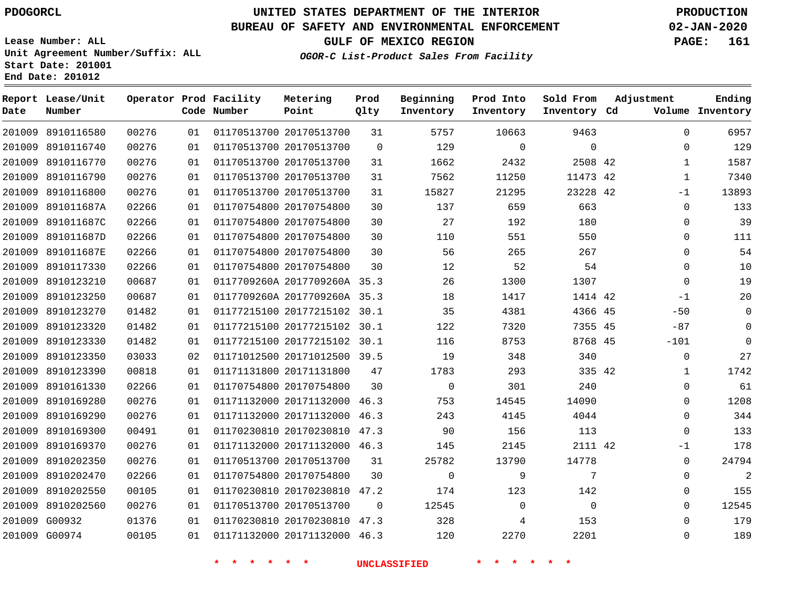**Prod**

**Metering**

#### **BUREAU OF SAFETY AND ENVIRONMENTAL ENFORCEMENT 02-JAN-2020**

**Lease Number: ALL Unit Agreement Number/Suffix: ALL Start Date: 201001**

**Operator Prod Facility**

**End Date: 201012**

**Report Lease/Unit**

**GULF OF MEXICO REGION PAGE: 161**

**Adjustment**

**Ending**

**OGOR-C List-Product Sales From Facility**

**Beginning**

**Prod Into Inventory**

**Sold From Inventory**

| Date   | Number            |       |    | Code Number | Point                        | Qlty           | Inventory   | Inventory   | Inventory Cd |              | Volume Inventory |
|--------|-------------------|-------|----|-------------|------------------------------|----------------|-------------|-------------|--------------|--------------|------------------|
|        | 201009 8910116580 | 00276 | 01 |             | 01170513700 20170513700      | 31             | 5757        | 10663       | 9463         | $\Omega$     | 6957             |
|        | 201009 8910116740 | 00276 | 01 |             | 01170513700 20170513700      | $\mathbf 0$    | 129         | $\mathbf 0$ | $\mathbf 0$  | 0            | 129              |
|        | 201009 8910116770 | 00276 | 01 |             | 01170513700 20170513700      | 31             | 1662        | 2432        | 2508 42      | $\mathbf{1}$ | 1587             |
|        | 201009 8910116790 | 00276 | 01 |             | 01170513700 20170513700      | 31             | 7562        | 11250       | 11473 42     | $\mathbf{1}$ | 7340             |
| 201009 | 8910116800        | 00276 | 01 |             | 01170513700 20170513700      | 31             | 15827       | 21295       | 23228 42     | $-1$         | 13893            |
| 201009 | 891011687A        | 02266 | 01 |             | 01170754800 20170754800      | 30             | 137         | 659         | 663          | $\mathbf 0$  | 133              |
|        | 201009 891011687C | 02266 | 01 |             | 01170754800 20170754800      | 30             | 27          | 192         | 180          | $\mathbf 0$  | 39               |
|        | 201009 891011687D | 02266 | 01 |             | 01170754800 20170754800      | 30             | 110         | 551         | 550          | $\mathbf 0$  | 111              |
|        | 201009 891011687E | 02266 | 01 |             | 01170754800 20170754800      | 30             | 56          | 265         | 267          | 0            | 54               |
|        | 201009 8910117330 | 02266 | 01 |             | 01170754800 20170754800      | 30             | 12          | 52          | 54           | $\mathbf 0$  | 10               |
|        | 201009 8910123210 | 00687 | 01 |             | 0117709260A 2017709260A 35.3 |                | 26          | 1300        | 1307         | $\mathbf 0$  | 19               |
|        | 201009 8910123250 | 00687 | 01 |             | 0117709260A 2017709260A 35.3 |                | 18          | 1417        | 1414 42      | $-1$         | 20               |
|        | 201009 8910123270 | 01482 | 01 |             | 01177215100 20177215102 30.1 |                | 35          | 4381        | 4366 45      | $-50$        | $\mathbf 0$      |
|        | 201009 8910123320 | 01482 | 01 |             | 01177215100 20177215102      | 30.1           | 122         | 7320        | 7355 45      | $-87$        | $\mathbf 0$      |
| 201009 | 8910123330        | 01482 | 01 |             | 01177215100 20177215102 30.1 |                | 116         | 8753        | 8768 45      | $-101$       | $\Omega$         |
| 201009 | 8910123350        | 03033 | 02 |             | 01171012500 20171012500 39.5 |                | 19          | 348         | 340          | $\mathbf 0$  | 27               |
|        | 201009 8910123390 | 00818 | 01 |             | 01171131800 20171131800      | 47             | 1783        | 293         | 335 42       | 1            | 1742             |
|        | 201009 8910161330 | 02266 | 01 |             | 01170754800 20170754800      | 30             | $\mathbf 0$ | 301         | 240          | $\mathbf 0$  | 61               |
|        | 201009 8910169280 | 00276 | 01 |             | 01171132000 20171132000 46.3 |                | 753         | 14545       | 14090        | 0            | 1208             |
|        | 201009 8910169290 | 00276 | 01 |             | 01171132000 20171132000 46.3 |                | 243         | 4145        | 4044         | $\mathbf 0$  | 344              |
|        | 201009 8910169300 | 00491 | 01 |             | 01170230810 20170230810 47.3 |                | 90          | 156         | 113          | $\mathbf 0$  | 133              |
|        | 201009 8910169370 | 00276 | 01 |             | 01171132000 20171132000 46.3 |                | 145         | 2145        | 2111 42      | $-1$         | 178              |
|        | 201009 8910202350 | 00276 | 01 |             | 01170513700 20170513700      | 31             | 25782       | 13790       | 14778        | $\mathbf 0$  | 24794            |
|        | 201009 8910202470 | 02266 | 01 |             | 01170754800 20170754800      | 30             | $\mathbf 0$ | 9           | 7            | $\mathbf 0$  | 2                |
|        | 201009 8910202550 | 00105 | 01 |             | 01170230810 20170230810 47.2 |                | 174         | 123         | 142          | 0            | 155              |
| 201009 | 8910202560        | 00276 | 01 |             | 01170513700 20170513700      | $\overline{0}$ | 12545       | $\mathbf 0$ | $\mathbf 0$  | 0            | 12545            |
| 201009 | G00932            | 01376 | 01 |             | 01170230810 20170230810 47.3 |                | 328         | 4           | 153          | $\Omega$     | 179              |
|        | 201009 G00974     | 00105 | 01 |             | 01171132000 20171132000 46.3 |                | 120         | 2270        | 2201         | $\mathbf 0$  | 189              |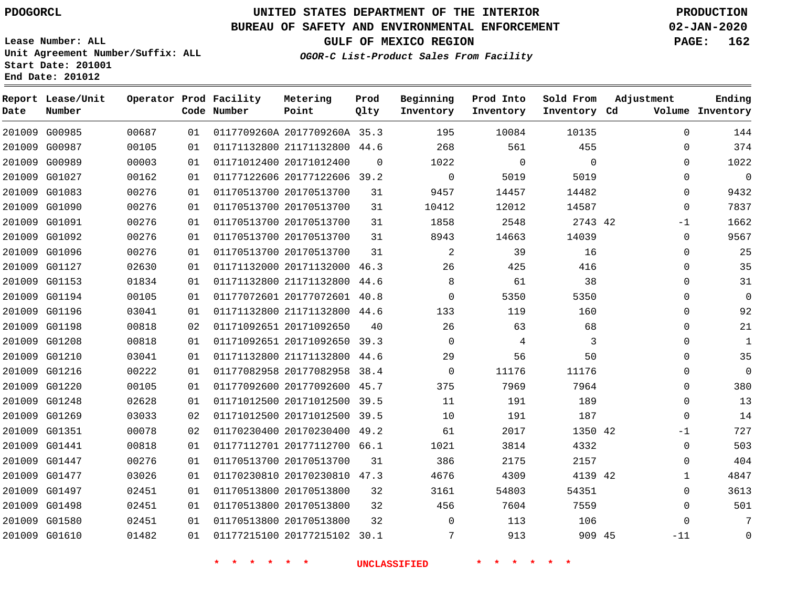### **BUREAU OF SAFETY AND ENVIRONMENTAL ENFORCEMENT 02-JAN-2020**

**Lease Number: ALL Unit Agreement Number/Suffix: ALL Start Date: 201001 End Date: 201012**

**OGOR-C List-Product Sales From Facility**

**GULF OF MEXICO REGION PAGE: 162**

| Date | Report Lease/Unit<br>Number |       |    | Operator Prod Facility<br>Code Number | Metering<br>Point            | Prod<br>Qlty | Beginning<br>Inventory | Prod Into<br>Inventory | Sold From<br>Inventory Cd | Adjustment   | Ending<br>Volume Inventory |
|------|-----------------------------|-------|----|---------------------------------------|------------------------------|--------------|------------------------|------------------------|---------------------------|--------------|----------------------------|
|      | 201009 G00985               | 00687 | 01 |                                       | 0117709260A 2017709260A 35.3 |              | 195                    | 10084                  | 10135                     | $\mathbf 0$  | 144                        |
|      | 201009 G00987               | 00105 | 01 |                                       | 01171132800 21171132800 44.6 |              | 268                    | 561                    | 455                       | 0            | 374                        |
|      | 201009 G00989               | 00003 | 01 |                                       | 01171012400 20171012400      | 0            | 1022                   | 0                      | $\mathbf 0$               | $\Omega$     | 1022                       |
|      | 201009 G01027               | 00162 | 01 |                                       | 01177122606 20177122606 39.2 |              | $\mathbf 0$            | 5019                   | 5019                      | 0            | $\mathbf 0$                |
|      | 201009 G01083               | 00276 | 01 |                                       | 01170513700 20170513700      | 31           | 9457                   | 14457                  | 14482                     | 0            | 9432                       |
|      | 201009 G01090               | 00276 | 01 |                                       | 01170513700 20170513700      | 31           | 10412                  | 12012                  | 14587                     | $\mathbf{0}$ | 7837                       |
|      | 201009 G01091               | 00276 | 01 |                                       | 01170513700 20170513700      | 31           | 1858                   | 2548                   | 2743 42                   | $-1$         | 1662                       |
|      | 201009 G01092               | 00276 | 01 |                                       | 01170513700 20170513700      | 31           | 8943                   | 14663                  | 14039                     | $\Omega$     | 9567                       |
|      | 201009 G01096               | 00276 | 01 |                                       | 01170513700 20170513700      | 31           | 2                      | 39                     | 16                        | 0            | 25                         |
|      | 201009 G01127               | 02630 | 01 |                                       | 01171132000 20171132000 46.3 |              | 26                     | 425                    | 416                       | $\Omega$     | 35                         |
|      | 201009 G01153               | 01834 | 01 |                                       | 01171132800 21171132800      | 44.6         | 8                      | 61                     | 38                        | $\Omega$     | 31                         |
|      | 201009 G01194               | 00105 | 01 |                                       | 01177072601 20177072601 40.8 |              | $\Omega$               | 5350                   | 5350                      | $\Omega$     | 0                          |
|      | 201009 G01196               | 03041 | 01 |                                       | 01171132800 21171132800 44.6 |              | 133                    | 119                    | 160                       | $\Omega$     | 92                         |
|      | 201009 G01198               | 00818 | 02 |                                       | 01171092651 20171092650      | 40           | 26                     | 63                     | 68                        | $\Omega$     | 21                         |
|      | 201009 G01208               | 00818 | 01 |                                       | 01171092651 20171092650      | 39.3         | $\Omega$               | 4                      | 3                         | 0            | 1                          |
|      | 201009 G01210               | 03041 | 01 |                                       | 01171132800 21171132800      | 44.6         | 29                     | 56                     | 50                        | $\Omega$     | 35                         |
|      | 201009 G01216               | 00222 | 01 |                                       | 01177082958 20177082958      | 38.4         | $\Omega$               | 11176                  | 11176                     | 0            | 0                          |
|      | 201009 G01220               | 00105 | 01 |                                       | 01177092600 20177092600 45.7 |              | 375                    | 7969                   | 7964                      | $\Omega$     | 380                        |
|      | 201009 G01248               | 02628 | 01 |                                       | 01171012500 20171012500 39.5 |              | 11                     | 191                    | 189                       | 0            | 13                         |
|      | 201009 G01269               | 03033 | 02 |                                       | 01171012500 20171012500      | 39.5         | 10                     | 191                    | 187                       | $\Omega$     | 14                         |
|      | 201009 G01351               | 00078 | 02 |                                       | 01170230400 20170230400 49.2 |              | 61                     | 2017                   | 1350 42                   | -1           | 727                        |
|      | 201009 G01441               | 00818 | 01 |                                       | 01177112701 20177112700 66.1 |              | 1021                   | 3814                   | 4332                      | $\mathbf{0}$ | 503                        |
|      | 201009 G01447               | 00276 | 01 |                                       | 01170513700 20170513700      | 31           | 386                    | 2175                   | 2157                      | 0            | 404                        |
|      | 201009 G01477               | 03026 | 01 |                                       | 01170230810 20170230810 47.3 |              | 4676                   | 4309                   | 4139 42                   | $\mathbf{1}$ | 4847                       |
|      | 201009 G01497               | 02451 | 01 |                                       | 01170513800 20170513800      | 32           | 3161                   | 54803                  | 54351                     | 0            | 3613                       |
|      | 201009 G01498               | 02451 | 01 |                                       | 01170513800 20170513800      | 32           | 456                    | 7604                   | 7559                      | $\mathbf{0}$ | 501                        |
|      | 201009 G01580               | 02451 | 01 |                                       | 01170513800 20170513800      | 32           | $\Omega$               | 113                    | 106                       | $\Omega$     | 7                          |
|      | 201009 G01610               | 01482 | 01 |                                       | 01177215100 20177215102 30.1 |              | 7                      | 913                    | 909 45                    | $-11$        | 0                          |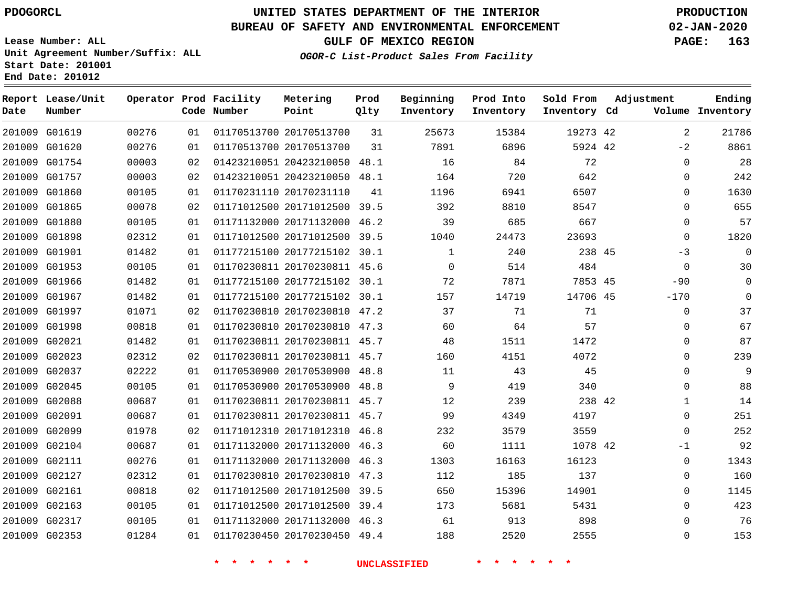**Prod**

### **BUREAU OF SAFETY AND ENVIRONMENTAL ENFORCEMENT 02-JAN-2020**

**Lease Number: ALL Unit Agreement Number/Suffix: ALL**

**OGOR-C List-Product Sales From Facility**

**Beginning**

**Prod Into**

**Sold From**

**Adjustment**

**GULF OF MEXICO REGION PAGE: 163**

**Ending**

|               | onic Aglecticum Nuttoci/Dullia. Ann<br>Start Date: 201001<br>End Date: 201012 |                        |    |                       | <i>OGOR-C</i>     |
|---------------|-------------------------------------------------------------------------------|------------------------|----|-----------------------|-------------------|
| Date          | Report Lease/Unit<br>Number                                                   | Operator Prod Facility |    | Code Number           | Metering<br>Point |
| 201009 G01619 |                                                                               | 00276                  | 01 | 01170513700 201705137 |                   |
| 201009        | G01620                                                                        | 00276                  | 01 | 01170513700 201705137 |                   |

| Date   | Number        |       |    | Code Number | Point                        | Qlty | Inventory    | Inventory | Inventory Cd |              | Volume Inventory |
|--------|---------------|-------|----|-------------|------------------------------|------|--------------|-----------|--------------|--------------|------------------|
|        | 201009 G01619 | 00276 | 01 |             | 01170513700 20170513700      | 31   | 25673        | 15384     | 19273 42     | 2            | 21786            |
| 201009 | G01620        | 00276 | 01 |             | 01170513700 20170513700      | 31   | 7891         | 6896      | 5924 42      | $-2$         | 8861             |
| 201009 | G01754        | 00003 | 02 |             | 01423210051 20423210050      | 48.1 | 16           | 84        | 72           | $\mathbf 0$  | 28               |
|        | 201009 G01757 | 00003 | 02 |             | 01423210051 20423210050      | 48.1 | 164          | 720       | 642          | $\mathbf 0$  | 242              |
| 201009 | G01860        | 00105 | 01 |             | 01170231110 20170231110      | 41   | 1196         | 6941      | 6507         | $\mathbf 0$  | 1630             |
|        | 201009 G01865 | 00078 | 02 |             | 01171012500 20171012500 39.5 |      | 392          | 8810      | 8547         | $\mathbf 0$  | 655              |
| 201009 | G01880        | 00105 | 01 |             | 01171132000 20171132000      | 46.2 | 39           | 685       | 667          | $\mathbf 0$  | 57               |
|        | 201009 G01898 | 02312 | 01 |             | 01171012500 20171012500 39.5 |      | 1040         | 24473     | 23693        | $\mathbf 0$  | 1820             |
|        | 201009 G01901 | 01482 | 01 |             | 01177215100 20177215102 30.1 |      | $\mathbf{1}$ | 240       | 238 45       | $-3$         | $\overline{0}$   |
|        | 201009 G01953 | 00105 | 01 |             | 01170230811 20170230811 45.6 |      | $\Omega$     | 514       | 484          | $\Omega$     | 30               |
| 201009 | G01966        | 01482 | 01 |             | 01177215100 20177215102 30.1 |      | 72           | 7871      | 7853 45      | $-90$        | $\mathbf 0$      |
| 201009 | G01967        | 01482 | 01 |             | 01177215100 20177215102 30.1 |      | 157          | 14719     | 14706 45     | $-170$       | $\mathbf 0$      |
| 201009 | G01997        | 01071 | 02 |             | 01170230810 20170230810 47.2 |      | 37           | 71        | 71           | $\mathbf 0$  | 37               |
| 201009 | G01998        | 00818 | 01 |             | 01170230810 20170230810      | 47.3 | 60           | 64        | 57           | $\mathbf 0$  | 67               |
|        | 201009 G02021 | 01482 | 01 |             | 01170230811 20170230811 45.7 |      | 48           | 1511      | 1472         | $\Omega$     | 87               |
| 201009 | G02023        | 02312 | 02 |             | 01170230811 20170230811 45.7 |      | 160          | 4151      | 4072         | $\mathbf 0$  | 239              |
|        | 201009 G02037 | 02222 | 01 |             | 01170530900 20170530900 48.8 |      | 11           | 43        | 45           | 0            | 9                |
|        | 201009 G02045 | 00105 | 01 |             | 01170530900 20170530900      | 48.8 | 9            | 419       | 340          | $\mathbf 0$  | 88               |
|        | 201009 G02088 | 00687 | 01 |             | 01170230811 20170230811 45.7 |      | 12           | 239       | 238 42       | $\mathbf{1}$ | 14               |
|        | 201009 G02091 | 00687 | 01 |             | 01170230811 20170230811 45.7 |      | 99           | 4349      | 4197         | $\mathbf 0$  | 251              |
|        | 201009 G02099 | 01978 | 02 |             | 01171012310 20171012310      | 46.8 | 232          | 3579      | 3559         | $\mathbf 0$  | 252              |
| 201009 | G02104        | 00687 | 01 |             | 01171132000 20171132000      | 46.3 | 60           | 1111      | 1078 42      | $-1$         | 92               |
| 201009 | G02111        | 00276 | 01 |             | 01171132000 20171132000      | 46.3 | 1303         | 16163     | 16123        | $\mathbf 0$  | 1343             |
|        | 201009 G02127 | 02312 | 01 |             | 01170230810 20170230810      | 47.3 | 112          | 185       | 137          | $\mathbf 0$  | 160              |
| 201009 | G02161        | 00818 | 02 |             | 01171012500 20171012500      | 39.5 | 650          | 15396     | 14901        | $\mathbf 0$  | 1145             |
|        | 201009 G02163 | 00105 | 01 |             | 01171012500 20171012500 39.4 |      | 173          | 5681      | 5431         | $\Omega$     | 423              |
| 201009 | G02317        | 00105 | 01 |             | 01171132000 20171132000 46.3 |      | 61           | 913       | 898          | 0            | 76               |
|        | 201009 G02353 | 01284 | 01 |             | 01170230450 20170230450 49.4 |      | 188          | 2520      | 2555         | $\mathbf 0$  | 153              |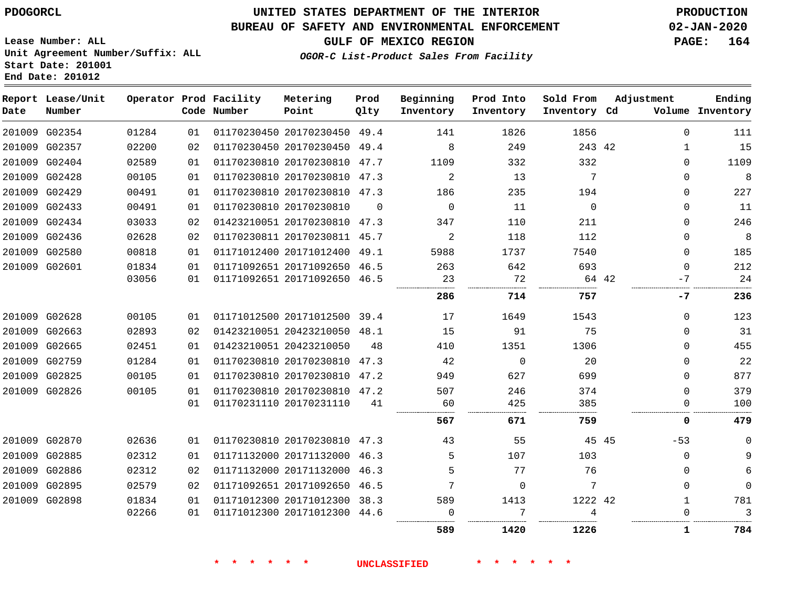**End Date: 201012**

### **UNITED STATES DEPARTMENT OF THE INTERIOR PDOGORCL PRODUCTION**

#### **BUREAU OF SAFETY AND ENVIRONMENTAL ENFORCEMENT 02-JAN-2020**

**Lease Number: ALL Unit Agreement Number/Suffix: ALL Start Date: 201001**

# **GULF OF MEXICO REGION PAGE: 164**

**OGOR-C List-Product Sales From Facility**

| Date | Report Lease/Unit<br>Number |       |    | Operator Prod Facility<br>Code Number | Metering<br>Point            | Prod<br>Qlty | Beginning<br>Inventory | Prod Into<br>Inventory | Sold From<br>Inventory Cd | Adjustment |              | Ending<br>Volume Inventory |
|------|-----------------------------|-------|----|---------------------------------------|------------------------------|--------------|------------------------|------------------------|---------------------------|------------|--------------|----------------------------|
|      | 201009 G02354               | 01284 | 01 |                                       | 01170230450 20170230450 49.4 |              | 141                    | 1826                   | 1856                      |            | 0            | 111                        |
|      | 201009 G02357               | 02200 | 02 |                                       | 01170230450 20170230450 49.4 |              | 8                      | 249                    | 243 42                    |            | $\mathbf{1}$ | 15                         |
|      | 201009 G02404               | 02589 | 01 |                                       | 01170230810 20170230810 47.7 |              | 1109                   | 332                    | 332                       |            | $\Omega$     | 1109                       |
|      | 201009 G02428               | 00105 | 01 |                                       | 01170230810 20170230810 47.3 |              | 2                      | 13                     | 7                         |            | 0            | $\,8\,$                    |
|      | 201009 G02429               | 00491 | 01 |                                       | 01170230810 20170230810 47.3 |              | 186                    | 235                    | 194                       |            | 0            | 227                        |
|      | 201009 G02433               | 00491 | 01 |                                       | 01170230810 20170230810      | $\Omega$     | $\mathbf{0}$           | 11                     | $\Omega$                  |            | $\Omega$     | 11                         |
|      | 201009 G02434               | 03033 | 02 |                                       | 01423210051 20170230810 47.3 |              | 347                    | 110                    | 211                       |            | 0            | 246                        |
|      | 201009 G02436               | 02628 | 02 |                                       | 01170230811 20170230811 45.7 |              | 2                      | 118                    | 112                       |            | 0            | $\,8\,$                    |
|      | 201009 G02580               | 00818 | 01 |                                       | 01171012400 20171012400 49.1 |              | 5988                   | 1737                   | 7540                      |            | $\Omega$     | 185                        |
|      | 201009 G02601               | 01834 | 01 |                                       | 01171092651 20171092650 46.5 |              | 263                    | 642                    | 693                       |            | $\Omega$     | 212                        |
|      |                             | 03056 | 01 |                                       | 01171092651 20171092650 46.5 |              | 23                     | 72                     |                           | 64 42      | $-7$         | 24                         |
|      |                             |       |    |                                       |                              |              | 286                    | 714                    | 757                       |            | -7           | 236                        |
|      | 201009 G02628               | 00105 | 01 |                                       | 01171012500 20171012500 39.4 |              | 17                     | 1649                   | 1543                      |            | 0            | 123                        |
|      | 201009 G02663               | 02893 | 02 |                                       | 01423210051 20423210050 48.1 |              | 15                     | 91                     | 75                        |            | 0            | 31                         |
|      | 201009 G02665               | 02451 | 01 |                                       | 01423210051 20423210050      | 48           | 410                    | 1351                   | 1306                      |            | $\Omega$     | 455                        |
|      | 201009 G02759               | 01284 | 01 |                                       | 01170230810 20170230810 47.3 |              | 42                     | $\Omega$               | 20                        |            | $\Omega$     | 22                         |
|      | 201009 G02825               | 00105 | 01 |                                       | 01170230810 20170230810 47.2 |              | 949                    | 627                    | 699                       |            | 0            | 877                        |
|      | 201009 G02826               | 00105 | 01 |                                       | 01170230810 20170230810 47.2 |              | 507                    | 246                    | 374                       |            | $\Omega$     | 379                        |
|      |                             |       | 01 |                                       | 01170231110 20170231110      | 41           | 60                     | 425                    | 385                       |            | $\Omega$     | 100                        |
|      |                             |       |    |                                       |                              |              | 567                    | 671                    | 759                       |            | 0            | 479                        |
|      | 201009 G02870               | 02636 | 01 |                                       | 01170230810 20170230810 47.3 |              | 43                     | 55                     |                           | 45 45      | $-53$        | $\mathbf 0$                |
|      | 201009 G02885               | 02312 | 01 |                                       | 01171132000 20171132000 46.3 |              | 5                      | 107                    | 103                       |            | $\Omega$     | 9                          |
|      | 201009 G02886               | 02312 | 02 |                                       | 01171132000 20171132000 46.3 |              | 5                      | 77                     | 76                        |            | 0            | 6                          |
|      | 201009 G02895               | 02579 | 02 |                                       | 01171092651 20171092650 46.5 |              | 7                      | $\Omega$               | 7                         |            | $\Omega$     | $\mathbf 0$                |
|      | 201009 G02898               | 01834 | 01 |                                       | 01171012300 20171012300 38.3 |              | 589                    | 1413                   | 1222 42                   |            | $\mathbf{1}$ | 781                        |
|      |                             | 02266 | 01 |                                       | 01171012300 20171012300 44.6 |              | $\Omega$               | 7                      | 4                         |            | U            | 3                          |
|      |                             |       |    |                                       |                              |              | 589                    | 1420                   | 1226                      |            | 1            | 784                        |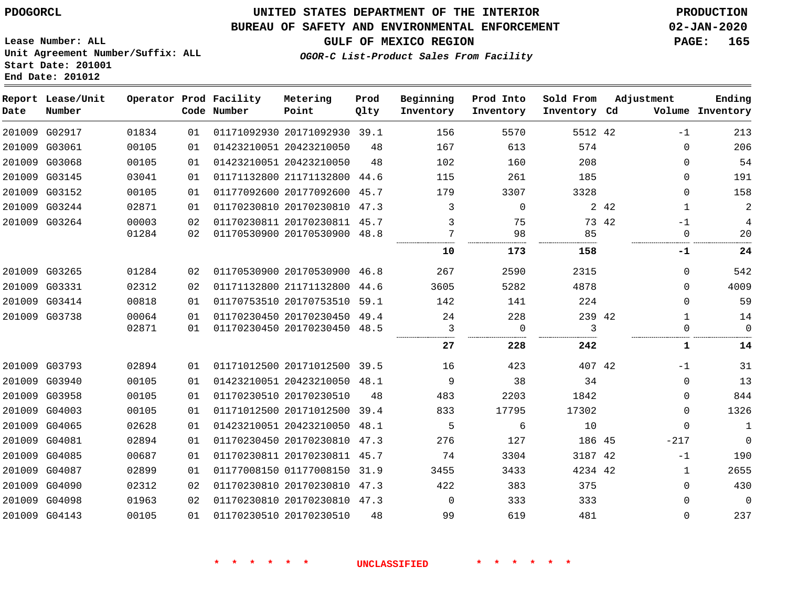### **BUREAU OF SAFETY AND ENVIRONMENTAL ENFORCEMENT 02-JAN-2020**

**OGOR-C List-Product Sales From Facility**

**GULF OF MEXICO REGION PAGE: 165**

**Lease Number: ALL Unit Agreement Number/Suffix: ALL Start Date: 201001 End Date: 201012**

| Date   | Report Lease/Unit<br>Number |       |     | Operator Prod Facility<br>Code Number | Metering<br>Point            | Prod<br>Qlty | Beginning<br>Inventory | Prod Into<br>Inventory | Sold From<br>Inventory Cd | Adjustment            | Ending<br>Volume Inventory |
|--------|-----------------------------|-------|-----|---------------------------------------|------------------------------|--------------|------------------------|------------------------|---------------------------|-----------------------|----------------------------|
|        | 201009 G02917               | 01834 | 01  |                                       | 01171092930 20171092930 39.1 |              | 156                    | 5570                   | 5512 42                   | $-1$                  | 213                        |
|        | 201009 G03061               | 00105 | 01  |                                       | 01423210051 20423210050      | 48           | 167                    | 613                    | 574                       | $\mathbf{0}$          | 206                        |
| 201009 | G03068                      | 00105 | 01  |                                       | 01423210051 20423210050      | 48           | 102                    | 160                    | 208                       | $\Omega$              | 54                         |
|        | 201009 G03145               | 03041 | 01  |                                       | 01171132800 21171132800      | 44.6         | 115                    | 261                    | 185                       | $\mathbf{0}$          | 191                        |
|        | 201009 G03152               | 00105 | 01  |                                       | 01177092600 20177092600 45.7 |              | 179                    | 3307                   | 3328                      | $\mathbf{0}$          | 158                        |
|        | 201009 G03244               | 02871 | 01  |                                       | 01170230810 20170230810      | 47.3         | 3                      | $\Omega$               |                           | 2 4 2<br>$\mathbf{1}$ | $\overline{c}$             |
|        | 201009 G03264               | 00003 | 02  |                                       | 01170230811 20170230811 45.7 |              | 3                      | 75                     |                           | 73 42<br>$-1$         | 4                          |
|        |                             | 01284 | 02  |                                       | 01170530900 20170530900      | 48.8         | 7<br>                  | 98                     | 85                        | $\Omega$              | 20                         |
|        |                             |       |     |                                       |                              |              | 10                     | 173                    | 158                       | -1                    | 24                         |
|        | 201009 G03265               | 01284 | 02  |                                       | 01170530900 20170530900 46.8 |              | 267                    | 2590                   | 2315                      | $\Omega$              | 542                        |
|        | 201009 G03331               | 02312 | 02  |                                       | 01171132800 21171132800      | 44.6         | 3605                   | 5282                   | 4878                      | $\Omega$              | 4009                       |
|        | 201009 G03414               | 00818 | 01  |                                       | 01170753510 20170753510 59.1 |              | 142                    | 141                    | 224                       | $\mathbf{0}$          | 59                         |
|        | 201009 G03738               | 00064 | 01  |                                       | 01170230450 20170230450 49.4 |              | 24                     | 228                    | 239 42                    | $\mathbf{1}$          | 14                         |
|        |                             | 02871 | 01  |                                       | 01170230450 20170230450 48.5 |              | 3                      | $\Omega$               | 3                         | $\Omega$              | $\Omega$                   |
|        |                             |       |     |                                       |                              |              | 27                     | 228                    | 242                       | 1                     | 14                         |
|        | 201009 G03793               | 02894 | 01  |                                       | 01171012500 20171012500 39.5 |              | 16                     | 423                    | 407 42                    | $-1$                  | 31                         |
|        | 201009 G03940               | 00105 | 01  |                                       | 01423210051 20423210050 48.1 |              | 9                      | 38                     | 34                        | $\Omega$              | 13                         |
|        | 201009 G03958               | 00105 | 01  |                                       | 01170230510 20170230510      | 48           | 483                    | 2203                   | 1842                      | $\mathbf{0}$          | 844                        |
|        | 201009 G04003               | 00105 | 01  |                                       | 01171012500 20171012500 39.4 |              | 833                    | 17795                  | 17302                     | 0                     | 1326                       |
|        | 201009 G04065               | 02628 | 01  |                                       | 01423210051 20423210050      | 48.1         | 5                      | 6                      | 10                        | $\Omega$              | $\mathbf{1}$               |
|        | 201009 G04081               | 02894 | 01  |                                       | 01170230450 20170230810 47.3 |              | 276                    | 127                    | 186 45                    | $-217$                | $\mathbf 0$                |
| 201009 | G04085                      | 00687 | 01  |                                       | 01170230811 20170230811 45.7 |              | 74                     | 3304                   | 3187 42                   | $-1$                  | 190                        |
| 201009 | G04087                      | 02899 | 01  |                                       | 01177008150 01177008150      | 31.9         | 3455                   | 3433                   | 4234 42                   | $\mathbf{1}$          | 2655                       |
|        | 201009 G04090               | 02312 | 02  |                                       | 01170230810 20170230810 47.3 |              | 422                    | 383                    | 375                       | $\mathbf{0}$          | 430                        |
|        | 201009 G04098               | 01963 | 02. |                                       | 01170230810 20170230810 47.3 |              | $\Omega$               | 333                    | 333                       | $\Omega$              | $\mathbf 0$                |
|        | 201009 G04143               | 00105 | 01  |                                       | 01170230510 20170230510      | 48           | 99                     | 619                    | 481                       | $\Omega$              | 237                        |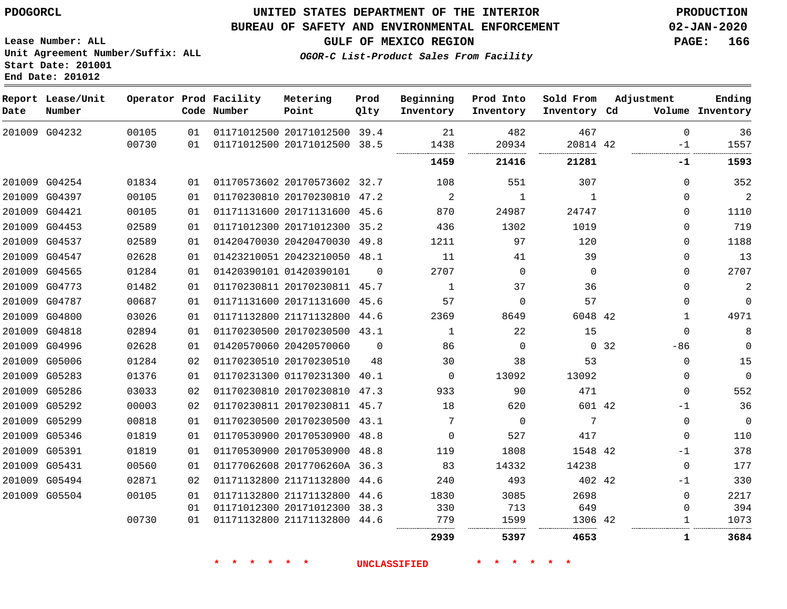### **BUREAU OF SAFETY AND ENVIRONMENTAL ENFORCEMENT 02-JAN-2020**

**Lease Number: ALL Unit Agreement Number/Suffix: ALL Start Date: 201001 End Date: 201012**

**OGOR-C List-Product Sales From Facility**

**GULF OF MEXICO REGION PAGE: 166**

| Date | Report Lease/Unit<br>Number |                |          | Operator Prod Facility<br>Code Number | Metering<br>Point                                            | Prod<br>Qlty | Beginning<br>Inventory | Prod Into<br>Inventory | Sold From<br>Inventory Cd | Adjustment          | Ending<br>Volume Inventory |
|------|-----------------------------|----------------|----------|---------------------------------------|--------------------------------------------------------------|--------------|------------------------|------------------------|---------------------------|---------------------|----------------------------|
|      | 201009 G04232               | 00105<br>00730 | 01<br>01 |                                       | 01171012500 20171012500 39.4<br>01171012500 20171012500 38.5 |              | 21<br>1438             | 482<br>20934           | 467<br>20814 42           | $\mathbf 0$<br>$-1$ | 36<br>1557                 |
|      |                             |                |          |                                       |                                                              |              | 1459                   | 21416                  | 21281                     | -1                  | 1593                       |
|      | 201009 G04254               | 01834          | 01       |                                       | 01170573602 20170573602 32.7                                 |              | 108                    | 551                    | 307                       | $\Omega$            | 352                        |
|      | 201009 G04397               | 00105          | 01       |                                       | 01170230810 20170230810 47.2                                 |              | 2                      | 1                      | 1                         | $\Omega$            | 2                          |
|      | 201009 G04421               | 00105          | 01       |                                       | 01171131600 20171131600 45.6                                 |              | 870                    | 24987                  | 24747                     | 0                   | 1110                       |
|      | 201009 G04453               | 02589          | 01       |                                       | 01171012300 20171012300 35.2                                 |              | 436                    | 1302                   | 1019                      | $\Omega$            | 719                        |
|      | 201009 G04537               | 02589          | 01       |                                       | 01420470030 20420470030 49.8                                 |              | 1211                   | 97                     | 120                       | $\mathbf 0$         | 1188                       |
|      | 201009 G04547               | 02628          | 01       |                                       | 01423210051 20423210050 48.1                                 |              | 11                     | 41                     | 39                        | $\Omega$            | 13                         |
|      | 201009 G04565               | 01284          | 01       |                                       | 01420390101 01420390101                                      | $\Omega$     | 2707                   | $\Omega$               | $\Omega$                  | $\Omega$            | 2707                       |
|      | 201009 G04773               | 01482          | 01       |                                       | 01170230811 20170230811 45.7                                 |              | 1                      | 37                     | 36                        | $\Omega$            | 2                          |
|      | 201009 G04787               | 00687          | 01       |                                       | 01171131600 20171131600 45.6                                 |              | 57                     | $\Omega$               | 57                        | $\Omega$            | $\mathbf 0$                |
|      | 201009 G04800               | 03026          | 01       |                                       | 01171132800 21171132800 44.6                                 |              | 2369                   | 8649                   | 6048 42                   | $\mathbf 1$         | 4971                       |
|      | 201009 G04818               | 02894          | 01       |                                       | 01170230500 20170230500 43.1                                 |              | 1                      | 22                     | 15                        | $\Omega$            | 8                          |
|      | 201009 G04996               | 02628          | 01       |                                       | 01420570060 20420570060                                      | $\Omega$     | 86                     | $\Omega$               | $\Omega$                  | 32<br>$-86$         | $\Omega$                   |
|      | 201009 G05006               | 01284          | 02       |                                       | 01170230510 20170230510                                      | 48           | 30                     | 38                     | 53                        | 0                   | 15                         |
|      | 201009 G05283               | 01376          | 01       |                                       | 01170231300 01170231300 40.1                                 |              | 0                      | 13092                  | 13092                     | 0                   | $\overline{0}$             |
|      | 201009 G05286               | 03033          | 02       |                                       | 01170230810 20170230810 47.3                                 |              | 933                    | 90                     | 471                       | $\mathbf 0$         | 552                        |
|      | 201009 G05292               | 00003          | 02       |                                       | 01170230811 20170230811 45.7                                 |              | 18                     | 620                    | 601 42                    | $-1$                | 36                         |
|      | 201009 G05299               | 00818          | 01       |                                       | 01170230500 20170230500 43.1                                 |              | 7                      | $\Omega$               | 7                         | $\mathbf 0$         | $\mathbf 0$                |
|      | 201009 G05346               | 01819          | 01       |                                       | 01170530900 20170530900 48.8                                 |              | $\mathbf 0$            | 527                    | 417                       | $\mathbf 0$         | 110                        |
|      | 201009 G05391               | 01819          | 01       |                                       | 01170530900 20170530900 48.8                                 |              | 119                    | 1808                   | 1548 42                   | $-1$                | 378                        |
|      | 201009 G05431               | 00560          | 01       |                                       | 01177062608 2017706260A 36.3                                 |              | 83                     | 14332                  | 14238                     | $\mathbf 0$         | 177                        |
|      | 201009 G05494               | 02871          | 02       |                                       | 01171132800 21171132800 44.6                                 |              | 240                    | 493                    | 402 42                    | $-1$                | 330                        |
|      | 201009 G05504               | 00105          | 01       |                                       | 01171132800 21171132800 44.6                                 |              | 1830                   | 3085                   | 2698                      | $\mathbf 0$         | 2217                       |
|      |                             |                | 01       |                                       | 01171012300 20171012300 38.3                                 |              | 330                    | 713                    | 649                       | 0                   | 394                        |
|      |                             | 00730          | 01       |                                       | 01171132800 21171132800 44.6                                 |              | 779                    | 1599                   | 1306 42                   | 1                   | 1073                       |
|      |                             |                |          |                                       |                                                              |              | 2939                   | 5397                   | 4653                      | 1                   | 3684                       |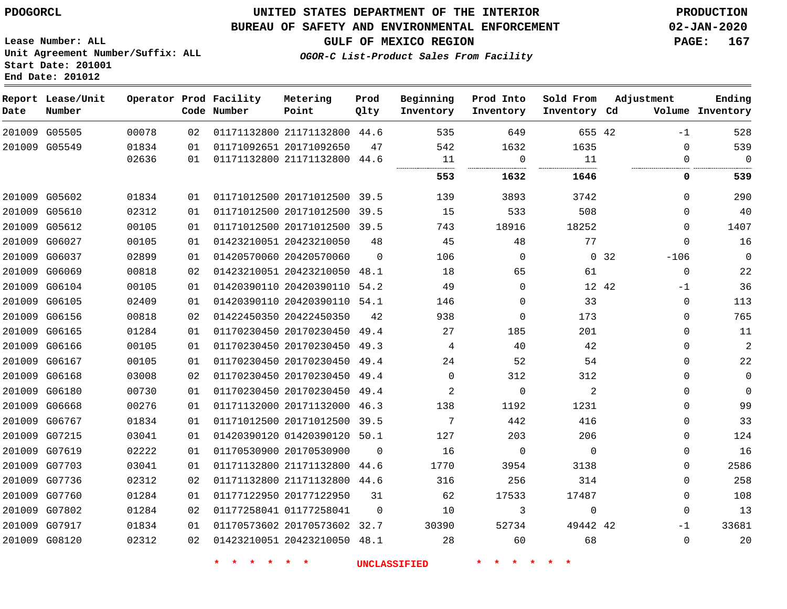### **BUREAU OF SAFETY AND ENVIRONMENTAL ENFORCEMENT 02-JAN-2020**

**Lease Number: ALL Unit Agreement Number/Suffix: ALL Start Date: 201001**

**OGOR-C List-Product Sales From Facility**

**GULF OF MEXICO REGION PAGE: 167**

**End Date: 201012**

 G07760 G07802 G07917 G08120

 

| Date   | Report Lease/Unit<br>Number |       |    | Operator Prod Facility<br>Code Number | Metering<br>Point            | Prod<br>Qlty | Beginning<br>Inventory | Prod Into<br>Inventory | Sold From<br>Inventory Cd | Adjustment   | Ending<br>Volume Inventory |
|--------|-----------------------------|-------|----|---------------------------------------|------------------------------|--------------|------------------------|------------------------|---------------------------|--------------|----------------------------|
|        | 201009 G05505               | 00078 | 02 |                                       | 01171132800 21171132800 44.6 |              | 535                    | 649                    | 655 42                    | $-1$         | 528                        |
|        | 201009 G05549               | 01834 | 01 |                                       | 01171092651 20171092650      | 47           | 542                    | 1632                   | 1635                      | $\mathbf 0$  | 539                        |
|        |                             | 02636 | 01 |                                       | 01171132800 21171132800 44.6 |              | 11                     | 0                      | 11                        | 0            | $\Omega$                   |
|        |                             |       |    |                                       |                              |              | 553                    | 1632                   | 1646                      | 0            | 539                        |
|        | 201009 G05602               | 01834 | 01 |                                       | 01171012500 20171012500 39.5 |              | 139                    | 3893                   | 3742                      | $\Omega$     | 290                        |
| 201009 | G05610                      | 02312 | 01 |                                       | 01171012500 20171012500      | 39.5         | 15                     | 533                    | 508                       | $\Omega$     | 40                         |
| 201009 | G05612                      | 00105 | 01 |                                       | 01171012500 20171012500 39.5 |              | 743                    | 18916                  | 18252                     | $\Omega$     | 1407                       |
| 201009 | G06027                      | 00105 | 01 |                                       | 01423210051 20423210050      | 48           | 45                     | 48                     | 77                        | $\Omega$     | 16                         |
| 201009 | G06037                      | 02899 | 01 |                                       | 01420570060 20420570060      | $\Omega$     | 106                    | $\Omega$               | $\Omega$                  | 32<br>$-106$ | $\mathbf 0$                |
| 201009 | G06069                      | 00818 | 02 |                                       | 01423210051 20423210050      | 48.1         | 18                     | 65                     | 61                        | $\mathbf 0$  | 22                         |
| 201009 | G06104                      | 00105 | 01 |                                       | 01420390110 20420390110      | 54.2         | 49                     | $\Omega$               | 12 42                     | $-1$         | 36                         |
| 201009 | G06105                      | 02409 | 01 |                                       | 01420390110 20420390110      | 54.1         | 146                    | $\Omega$               | 33                        | 0            | 113                        |
| 201009 | G06156                      | 00818 | 02 |                                       | 01422450350 20422450350      | 42           | 938                    | 0                      | 173                       | $\mathbf 0$  | 765                        |
| 201009 | G06165                      | 01284 | 01 |                                       | 01170230450 20170230450      | 49.4         | 27                     | 185                    | 201                       | $\Omega$     | 11                         |
| 201009 | G06166                      | 00105 | 01 |                                       | 01170230450 20170230450      | 49.3         | 4                      | 40                     | 42                        | $\mathbf 0$  | 2                          |
| 201009 | G06167                      | 00105 | 01 |                                       | 01170230450 20170230450      | 49.4         | 24                     | 52                     | 54                        | $\mathbf 0$  | 22                         |
| 201009 | G06168                      | 03008 | 02 |                                       | 01170230450 20170230450      | 49.4         | $\Omega$               | 312                    | 312                       | 0            | $\mathbf{0}$               |
| 201009 | G06180                      | 00730 | 01 |                                       | 01170230450 20170230450      | 49.4         | 2                      | $\Omega$               | 2                         | $\mathbf 0$  | $\Omega$                   |
| 201009 | G06668                      | 00276 | 01 |                                       | 01171132000 20171132000      | 46.3         | 138                    | 1192                   | 1231                      | $\mathbf 0$  | 99                         |
| 201009 | G06767                      | 01834 | 01 |                                       | 01171012500 20171012500      | 39.5         | 7                      | 442                    | 416                       | $\mathbf 0$  | 33                         |
| 201009 | G07215                      | 03041 | 01 |                                       | 01420390120 01420390120      | 50.1         | 127                    | 203                    | 206                       | $\Omega$     | 124                        |
| 201009 | G07619                      | 02222 | 01 |                                       | 01170530900 20170530900      | $\Omega$     | 16                     | $\Omega$               | $\Omega$                  | $\Omega$     | 16                         |
| 201009 | G07703                      | 03041 | 01 |                                       | 01171132800 21171132800      | 44.6         | 1770                   | 3954                   | 3138                      | $\Omega$     | 2586                       |
|        | 201009 G07736               | 02312 | 02 |                                       | 01171132800 21171132800      | 44.6         | 316                    | 256                    | 314                       | $\Omega$     | 258                        |

 20170573602 32.7 20423210050 48.1

01177122950 20177122950

01177258041

 

42

  $\Omega$ -1  $\Omega$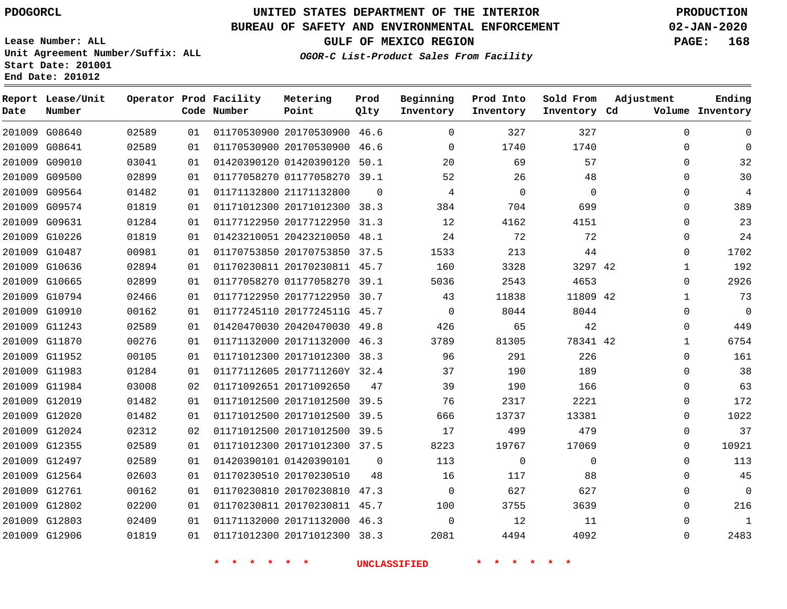### **BUREAU OF SAFETY AND ENVIRONMENTAL ENFORCEMENT 02-JAN-2020**

**Lease Number: ALL Unit Agreement Number/Suffix: ALL Start Date: 201001 End Date: 201012**

**OGOR-C List-Product Sales From Facility**

**GULF OF MEXICO REGION PAGE: 168**

| Date | Report Lease/Unit<br>Number |       |    | Operator Prod Facility<br>Code Number | Metering<br>Point            | Prod<br>Qlty | Beginning<br>Inventory | Prod Into<br>Inventory | Sold From<br>Inventory Cd | Adjustment   | Ending<br>Volume Inventory |
|------|-----------------------------|-------|----|---------------------------------------|------------------------------|--------------|------------------------|------------------------|---------------------------|--------------|----------------------------|
|      | 201009 G08640               | 02589 | 01 |                                       | 01170530900 20170530900 46.6 |              | $\mathbf{0}$           | 327                    | 327                       | $\mathbf 0$  | $\mathbf 0$                |
|      | 201009 G08641               | 02589 | 01 |                                       | 01170530900 20170530900 46.6 |              | $\overline{0}$         | 1740                   | 1740                      | $\mathbf 0$  | $\Omega$                   |
|      | 201009 G09010               | 03041 | 01 |                                       | 01420390120 01420390120 50.1 |              | 20                     | 69                     | 57                        | $\mathbf 0$  | 32                         |
|      | 201009 G09500               | 02899 | 01 |                                       | 01177058270 01177058270 39.1 |              | 52                     | 26                     | 48                        | $\Omega$     | 30                         |
|      | 201009 G09564               | 01482 | 01 |                                       | 01171132800 21171132800      | $\Omega$     | $\overline{4}$         | $\overline{0}$         | $\mathbf 0$               | $\mathbf{0}$ | $\overline{4}$             |
|      | 201009 G09574               | 01819 | 01 |                                       | 01171012300 20171012300 38.3 |              | 384                    | 704                    | 699                       | 0            | 389                        |
|      | 201009 G09631               | 01284 | 01 |                                       | 01177122950 20177122950 31.3 |              | 12                     | 4162                   | 4151                      | $\mathbf 0$  | 23                         |
|      | 201009 G10226               | 01819 | 01 |                                       | 01423210051 20423210050 48.1 |              | 24                     | 72                     | 72                        | $\mathbf{0}$ | 24                         |
|      | 201009 G10487               | 00981 | 01 |                                       | 01170753850 20170753850 37.5 |              | 1533                   | 213                    | 44                        | $\Omega$     | 1702                       |
|      | 201009 G10636               | 02894 | 01 |                                       | 01170230811 20170230811 45.7 |              | 160                    | 3328                   | 3297 42                   | $\mathbf{1}$ | 192                        |
|      | 201009 G10665               | 02899 | 01 |                                       | 01177058270 01177058270 39.1 |              | 5036                   | 2543                   | 4653                      | 0            | 2926                       |
|      | 201009 G10794               | 02466 | 01 |                                       | 01177122950 20177122950 30.7 |              | 43                     | 11838                  | 11809 42                  | $\mathbf{1}$ | 73                         |
|      | 201009 G10910               | 00162 | 01 |                                       | 01177245110 2017724511G 45.7 |              | $\overline{0}$         | 8044                   | 8044                      | $\mathbf{0}$ | $\mathbf 0$                |
|      | 201009 G11243               | 02589 | 01 |                                       | 01420470030 20420470030 49.8 |              | 426                    | 65                     | 42                        | $\mathbf{0}$ | 449                        |
|      | 201009 G11870               | 00276 | 01 |                                       | 01171132000 20171132000 46.3 |              | 3789                   | 81305                  | 78341 42                  | $\mathbf{1}$ | 6754                       |
|      | 201009 G11952               | 00105 | 01 |                                       | 01171012300 20171012300 38.3 |              | 96                     | 291                    | 226                       | $\mathbf{0}$ | 161                        |
|      | 201009 G11983               | 01284 | 01 |                                       | 01177112605 2017711260Y 32.4 |              | 37                     | 190                    | 189                       | $\Omega$     | 38                         |
|      | 201009 G11984               | 03008 | 02 |                                       | 01171092651 20171092650      | 47           | 39                     | 190                    | 166                       | $\mathbf 0$  | 63                         |
|      | 201009 G12019               | 01482 | 01 |                                       | 01171012500 20171012500 39.5 |              | 76                     | 2317                   | 2221                      | $\mathbf 0$  | 172                        |
|      | 201009 G12020               | 01482 | 01 |                                       | 01171012500 20171012500 39.5 |              | 666                    | 13737                  | 13381                     | 0            | 1022                       |
|      | 201009 G12024               | 02312 | 02 |                                       | 01171012500 20171012500 39.5 |              | 17                     | 499                    | 479                       | 0            | 37                         |
|      | 201009 G12355               | 02589 | 01 |                                       | 01171012300 20171012300 37.5 |              | 8223                   | 19767                  | 17069                     | $\mathbf{0}$ | 10921                      |
|      | 201009 G12497               | 02589 | 01 |                                       | 01420390101 01420390101      | $\mathbf 0$  | 113                    | $\mathbf 0$            | $\mathbf 0$               | 0            | 113                        |
|      | 201009 G12564               | 02603 | 01 |                                       | 01170230510 20170230510      | 48           | 16                     | 117                    | 88                        | $\mathbf{0}$ | 45                         |
|      | 201009 G12761               | 00162 | 01 |                                       | 01170230810 20170230810 47.3 |              | $\mathbf 0$            | 627                    | 627                       | $\mathbf 0$  | $\overline{0}$             |
|      | 201009 G12802               | 02200 | 01 |                                       | 01170230811 20170230811 45.7 |              | 100                    | 3755                   | 3639                      | $\mathbf 0$  | 216                        |
|      | 201009 G12803               | 02409 | 01 |                                       | 01171132000 20171132000 46.3 |              | $\mathbf 0$            | 12                     | 11                        | $\mathbf 0$  | $\mathbf 1$                |
|      | 201009 G12906               | 01819 | 01 |                                       | 01171012300 20171012300 38.3 |              | 2081                   | 4494                   | 4092                      | $\mathsf{O}$ | 2483                       |
|      |                             |       |    |                                       |                              |              | <b>UNCLASSIFIED</b>    |                        |                           |              |                            |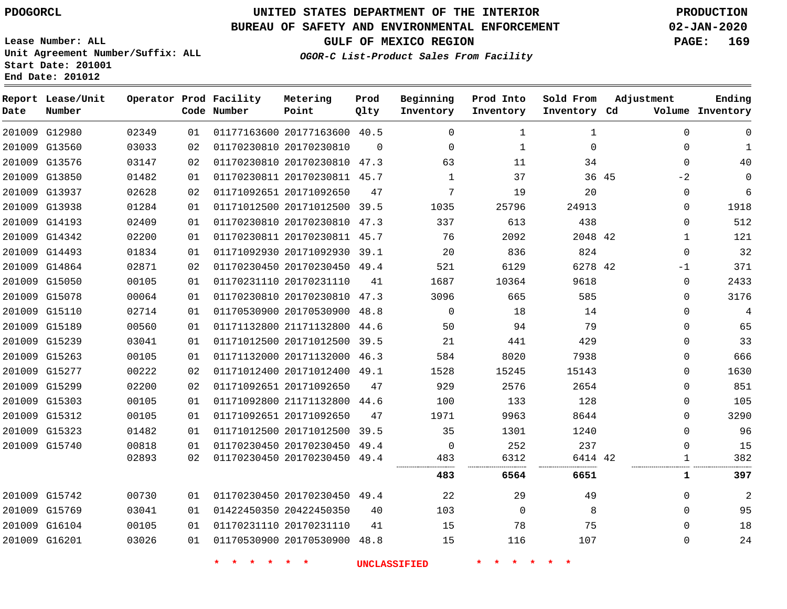**Report Lease/Unit**

**Number**

**Date**

# **UNITED STATES DEPARTMENT OF THE INTERIOR PDOGORCL PRODUCTION**

**Prod Qlty**

### **BUREAU OF SAFETY AND ENVIRONMENTAL ENFORCEMENT 02-JAN-2020**

**Lease Number: ALL Unit Agreement Number/Suffix: ALL Start Date: 201001 End Date: 201012**

**Operator Prod Facility**

**Code Number**

**Metering Point**

**OGOR-C List-Product Sales From Facility**

**Beginning Inventory** **Prod Into Inventory**

**Sold From Inventory**

**GULF OF MEXICO REGION PAGE: 169**

**Inventory Cd Volume**

**Adjustment**

**Ending**

| 201009 G12980 | 02349 | 01 |             | 01177163600 20177163600 40.5 |          | $\Omega$            | 1              | 1            |       | $\mathbf 0$  |                |
|---------------|-------|----|-------------|------------------------------|----------|---------------------|----------------|--------------|-------|--------------|----------------|
| 201009 G13560 | 03033 | 02 |             | 01170230810 20170230810      | $\Omega$ | $\Omega$            | $\mathbf 1$    | $\mathbf{0}$ |       | $\mathbf{0}$ | 1              |
| 201009 G13576 | 03147 | 02 |             | 01170230810 20170230810 47.3 |          | 63                  | 11             | 34           |       | $\mathbf 0$  | 40             |
| 201009 G13850 | 01482 | 01 |             | 01170230811 20170230811 45.7 |          | 1                   | 37             |              | 36 45 | $-2$         | 0              |
| 201009 G13937 | 02628 | 02 |             | 01171092651 20171092650      | 47       | 7                   | 19             | 20           |       | $\mathbf 0$  | 6              |
| 201009 G13938 | 01284 | 01 |             | 01171012500 20171012500 39.5 |          | 1035                | 25796          | 24913        |       | $\mathbf 0$  | 1918           |
| 201009 G14193 | 02409 | 01 |             | 01170230810 20170230810 47.3 |          | 337                 | 613            | 438          |       | 0            | 512            |
| 201009 G14342 | 02200 | 01 |             | 01170230811 20170230811 45.7 |          | 76                  | 2092           | 2048 42      |       | 1            | 121            |
| 201009 G14493 | 01834 | 01 |             | 01171092930 20171092930 39.1 |          | 20                  | 836            | 824          |       | $\mathbf 0$  | 32             |
| 201009 G14864 | 02871 | 02 |             | 01170230450 20170230450 49.4 |          | 521                 | 6129           | 6278 42      |       | $-1$         | 371            |
| 201009 G15050 | 00105 | 01 |             | 01170231110 20170231110      | 41       | 1687                | 10364          | 9618         |       | $\mathbf 0$  | 2433           |
| 201009 G15078 | 00064 | 01 |             | 01170230810 20170230810 47.3 |          | 3096                | 665            | 585          |       | $\mathbf{0}$ | 3176           |
| 201009 G15110 | 02714 | 01 |             | 01170530900 20170530900 48.8 |          | $\overline{0}$      | 18             | 14           |       | $\Omega$     | $\overline{4}$ |
| 201009 G15189 | 00560 | 01 |             | 01171132800 21171132800 44.6 |          | 50                  | 94             | 79           |       | $\Omega$     | 65             |
| 201009 G15239 | 03041 | 01 |             | 01171012500 20171012500 39.5 |          | 21                  | 441            | 429          |       | $\Omega$     | 33             |
| 201009 G15263 | 00105 | 01 |             | 01171132000 20171132000 46.3 |          | 584                 | 8020           | 7938         |       | $\Omega$     | 666            |
| 201009 G15277 | 00222 | 02 |             | 01171012400 20171012400 49.1 |          | 1528                | 15245          | 15143        |       | $\mathbf 0$  | 1630           |
| 201009 G15299 | 02200 | 02 |             | 01171092651 20171092650      | 47       | 929                 | 2576           | 2654         |       | $\Omega$     | 851            |
| 201009 G15303 | 00105 | 01 |             | 01171092800 21171132800 44.6 |          | 100                 | 133            | 128          |       | $\Omega$     | 105            |
| 201009 G15312 | 00105 | 01 |             | 01171092651 20171092650      | 47       | 1971                | 9963           | 8644         |       | $\Omega$     | 3290           |
| 201009 G15323 | 01482 | 01 |             | 01171012500 20171012500 39.5 |          | 35                  | 1301           | 1240         |       | 0            | 96             |
| 201009 G15740 | 00818 | 01 |             | 01170230450 20170230450 49.4 |          | $\overline{0}$      | 252            | 237          |       | 0            | 15             |
|               | 02893 | 02 |             | 01170230450 20170230450 49.4 |          | 483                 | 6312           | 6414 42      |       | $\mathbf{1}$ | 382            |
|               |       |    |             |                              |          | 483                 | 6564           | 6651         |       | $\mathbf{1}$ | 397            |
| 201009 G15742 | 00730 | 01 |             | 01170230450 20170230450 49.4 |          | 22                  | 29             | 49           |       | $\Omega$     | 2              |
| 201009 G15769 | 03041 | 01 |             | 01422450350 20422450350      | 40       | 103                 | $\overline{0}$ | 8            |       | $\mathbf{0}$ | 95             |
| 201009 G16104 | 00105 | 01 |             | 01170231110 20170231110      | 41       | 15                  | 78             | 75           |       | $\Omega$     | 18             |
| 201009 G16201 | 03026 | 01 |             | 01170530900 20170530900 48.8 |          | 15                  | 116            | 107          |       | $\mathbf{0}$ | 24             |
|               |       |    | * * * * * * |                              |          | <b>UNCLASSIFIED</b> | * * * * * *    |              |       |              |                |
|               |       |    |             |                              |          |                     |                |              |       |              |                |
|               |       |    |             |                              |          |                     |                |              |       |              |                |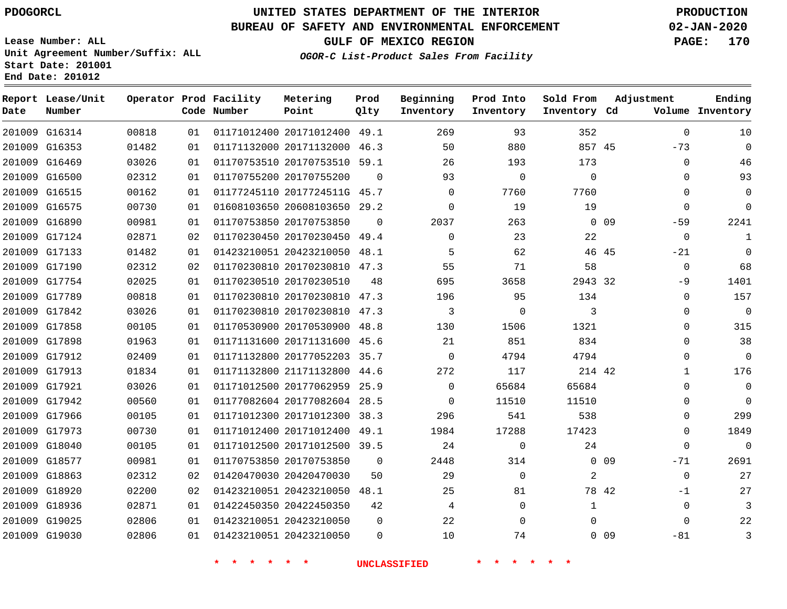**Report Lease/Unit**

**Number**

 G18920 G18936 G19025 G19030

## **UNITED STATES DEPARTMENT OF THE INTERIOR PDOGORCL PRODUCTION**

**Prod Qlty**

#### **BUREAU OF SAFETY AND ENVIRONMENTAL ENFORCEMENT 02-JAN-2020**

**Lease Number: ALL Unit Agreement Number/Suffix: ALL Start Date: 201001 End Date: 201012**

**OGOR-C List-Product Sales From Facility**

**Beginning Inventory** **Prod Into Inventory**

**Sold From Inventory**

**GULF OF MEXICO REGION PAGE: 170**

**Inventory Cd Volume**

**Adjustment**

 $\Omega$ 

**Ending**

 $\Omega$  $\Omega$ 

  $\Omega$ 

 $\Omega$ 

 $\Omega$ 

 $\Omega$  $\Omega$ 

 $\Omega$ 

 -81

| 25 | 81 |  |
|----|----|--|
|    | U  |  |
| 22 | O  |  |

|  | والمتعامل والمتعامل والمتعامل |  |
|--|-------------------------------|--|

 20422450350 20423210050 20423210050

 

**\* \* \* \* \* \* UNCLASSIFIED \* \* \* \* \* \***

0 0 9

  $\Omega$ 

 20423210050 48.1 214 42 42 44.6 38.3 49.1 39.5  $\Omega$   $\Omega$   $\Omega$  $\Omega$   $\Omega$   $\Omega$   $\Omega$   $\Omega$   $\cap$  $\Omega$  $\Omega$   $\Omega$ -71 -1

 G16314 G16353 G16469 G16500 G16515 G16575 G16890 G17124 G17133 G17190 G17754 G17789 G17842 G17858 G17898 G17912 G17913 G17921 G17942 G17966 G17973 G18040 G18577 G18863 20171012400 20171132000 20170753510 20170755200 2017724511G 45.7 20608103650 29.2 20170753850 20170230450 20423210050 20170230810 47.3 20170230510 20170230810 47.3 20170230810 47.3 20170530900 20171131600 45.6 20177052203 35.7 21171132800 20177062959 25.9 20177082604 28.5 20171012300 20171012400 20171012500 20170753850 20420470030 45 45 32 49.1 46.3 59.1  $\Omega$  $\Omega$ 49.4 48.1 48.8  $\Omega$  $\Omega$   $\Omega$   $\Omega$   $\Omega$   $\Omega$   $\Omega$   $\Omega$ -73  $\Omega$  $\Omega$  $\Omega$  $\Omega$ -59  $\Omega$  $-21$  $\Omega$  $-9$  $\Omega$  $\Omega$  $\Omega$  $\Omega$ 

**Operator Prod Facility**

**Code Number**

**Metering Point**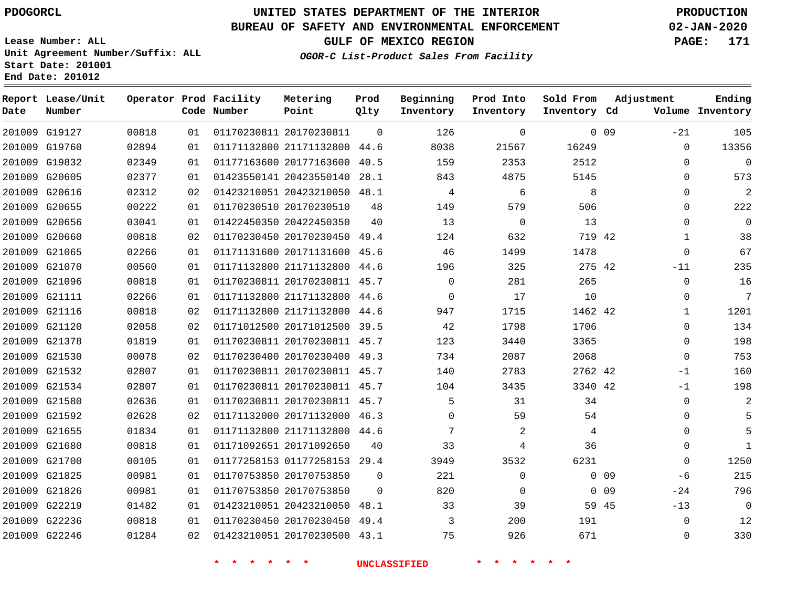### **BUREAU OF SAFETY AND ENVIRONMENTAL ENFORCEMENT 02-JAN-2020**

**Lease Number: ALL Unit Agreement Number/Suffix: ALL Start Date: 201001 End Date: 201012**

**GULF OF MEXICO REGION PAGE: 171**

**OGOR-C List-Product Sales From Facility**

| Date | Report Lease/Unit<br>Number |       |    | Operator Prod Facility<br>Code Number | Metering<br>Point            | Prod<br>Qlty | Beginning<br>Inventory | Prod Into<br>Inventory | Sold From<br>Inventory Cd | Adjustment      |              | Ending<br>Volume Inventory |
|------|-----------------------------|-------|----|---------------------------------------|------------------------------|--------------|------------------------|------------------------|---------------------------|-----------------|--------------|----------------------------|
|      | 201009 G19127               | 00818 | 01 |                                       | 01170230811 20170230811      | $\Omega$     | 126                    | 0                      |                           | 0 <sub>09</sub> | $-21$        | 105                        |
|      | 201009 G19760               | 02894 | 01 |                                       | 01171132800 21171132800 44.6 |              | 8038                   | 21567                  | 16249                     |                 | $\Omega$     | 13356                      |
|      | 201009 G19832               | 02349 | 01 |                                       | 01177163600 20177163600 40.5 |              | 159                    | 2353                   | 2512                      |                 | $\mathbf 0$  | $\overline{0}$             |
|      | 201009 G20605               | 02377 | 01 |                                       | 01423550141 20423550140      | 28.1         | 843                    | 4875                   | 5145                      |                 | $\mathbf 0$  | 573                        |
|      | 201009 G20616               | 02312 | 02 |                                       | 01423210051 20423210050 48.1 |              | 4                      | 6                      | 8                         |                 | $\mathbf 0$  | 2                          |
|      | 201009 G20655               | 00222 | 01 |                                       | 01170230510 20170230510      | 48           | 149                    | 579                    | 506                       |                 | $\Omega$     | 222                        |
|      | 201009 G20656               | 03041 | 01 |                                       | 01422450350 20422450350      | 40           | 13                     | 0                      | 13                        |                 | $\mathbf 0$  | $\mathbf 0$                |
|      | 201009 G20660               | 00818 | 02 |                                       | 01170230450 20170230450 49.4 |              | 124                    | 632                    | 719 42                    |                 | $\mathbf{1}$ | 38                         |
|      | 201009 G21065               | 02266 | 01 |                                       | 01171131600 20171131600 45.6 |              | 46                     | 1499                   | 1478                      |                 | $\mathbf 0$  | 67                         |
|      | 201009 G21070               | 00560 | 01 |                                       | 01171132800 21171132800      | 44.6         | 196                    | 325                    | 275 42                    |                 | $-11$        | 235                        |
|      | 201009 G21096               | 00818 | 01 |                                       | 01170230811 20170230811 45.7 |              | $\mathbf 0$            | 281                    | 265                       |                 | $\mathbf{0}$ | 16                         |
|      | 201009 G21111               | 02266 | 01 |                                       | 01171132800 21171132800      | 44.6         | $\mathbf 0$            | 17                     | 10                        |                 | $\mathbf 0$  | 7                          |
|      | 201009 G21116               | 00818 | 02 |                                       | 01171132800 21171132800      | 44.6         | 947                    | 1715                   | 1462 42                   |                 | 1            | 1201                       |
|      | 201009 G21120               | 02058 | 02 |                                       | 01171012500 20171012500 39.5 |              | 42                     | 1798                   | 1706                      |                 | $\Omega$     | 134                        |
|      | 201009 G21378               | 01819 | 01 |                                       | 01170230811 20170230811 45.7 |              | 123                    | 3440                   | 3365                      |                 | $\mathbf 0$  | 198                        |
|      | 201009 G21530               | 00078 | 02 |                                       | 01170230400 20170230400 49.3 |              | 734                    | 2087                   | 2068                      |                 | $\Omega$     | 753                        |
|      | 201009 G21532               | 02807 | 01 |                                       | 01170230811 20170230811 45.7 |              | 140                    | 2783                   | 2762 42                   |                 | $-1$         | 160                        |
|      | 201009 G21534               | 02807 | 01 |                                       | 01170230811 20170230811 45.7 |              | 104                    | 3435                   | 3340 42                   |                 | $-1$         | 198                        |
|      | 201009 G21580               | 02636 | 01 |                                       | 01170230811 20170230811 45.7 |              | 5                      | 31                     | 34                        |                 | $\mathbf 0$  | 2                          |
|      | 201009 G21592               | 02628 | 02 |                                       | 01171132000 20171132000 46.3 |              | $\Omega$               | 59                     | 54                        |                 | $\mathbf 0$  | 5                          |
|      | 201009 G21655               | 01834 | 01 |                                       | 01171132800 21171132800 44.6 |              | 7                      | 2                      | 4                         |                 | 0            | 5                          |
|      | 201009 G21680               | 00818 | 01 |                                       | 01171092651 20171092650      | 40           | 33                     | 4                      | 36                        |                 | $\Omega$     | $\mathbf{1}$               |
|      | 201009 G21700               | 00105 | 01 |                                       | 01177258153 01177258153 29.4 |              | 3949                   | 3532                   | 6231                      |                 | $\Omega$     | 1250                       |
|      | 201009 G21825               | 00981 | 01 |                                       | 01170753850 20170753850      | $\Omega$     | 221                    | $\Omega$               |                           | 0 <sub>09</sub> | -6           | 215                        |
|      | 201009 G21826               | 00981 | 01 |                                       | 01170753850 20170753850      | $\Omega$     | 820                    | 0                      |                           | 0 <sub>09</sub> | $-24$        | 796                        |
|      | 201009 G22219               | 01482 | 01 |                                       | 01423210051 20423210050      | 48.1         | 33                     | 39                     | 59 45                     |                 | $-13$        | $\overline{0}$             |
|      | 201009 G22236               | 00818 | 01 |                                       | 01170230450 20170230450      | 49.4         | 3                      | 200                    | 191                       |                 | $\mathbf 0$  | 12                         |
|      | 201009 G22246               | 01284 | 02 |                                       | 01423210051 20170230500 43.1 |              | 75                     | 926                    | 671                       |                 | $\mathbf 0$  | 330                        |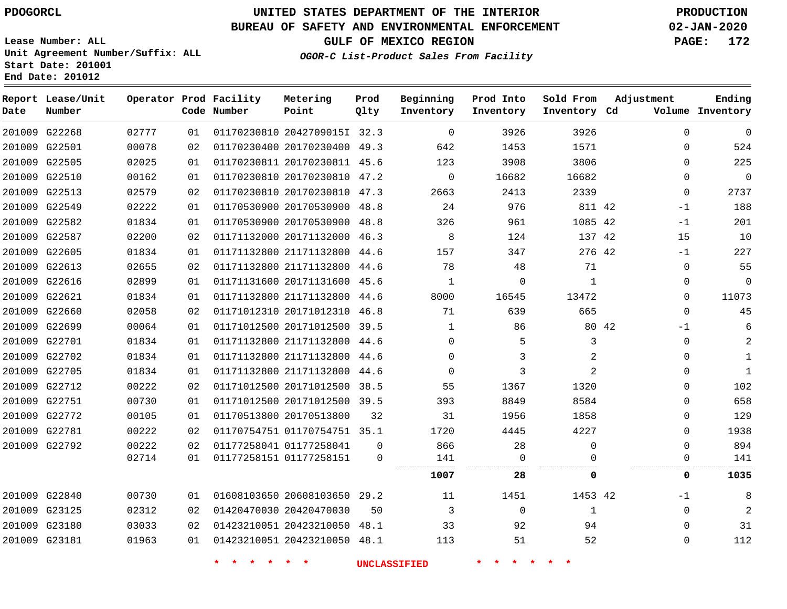# **UNITED STATES DEPARTMENT OF THE INTERIOR PDOGORCL PRODUCTION**

**Prod**

**Metering**

### **BUREAU OF SAFETY AND ENVIRONMENTAL ENFORCEMENT 02-JAN-2020**

**Lease Number: ALL Unit Agreement Number/Suffix: ALL Start Date: 201001 End Date: 201012**

**Lease/Unit**

**OGOR-C List-Product Sales From Facility**

**Beginning**

**Prod Into**

**Sold From**

**GULF OF MEXICO REGION PAGE: 172**

**Adjustment** 

| Date | Report Lease/Unit<br>Number |       |    | Operator Prod Facility<br>Code Number | Metering<br>Point            | Prod<br>Qlty | Beginning<br>Inventory | Prod Into<br>Inventory | Sold From<br>Inventory Cd | Adjustment   | Ending<br>Volume Inventory |
|------|-----------------------------|-------|----|---------------------------------------|------------------------------|--------------|------------------------|------------------------|---------------------------|--------------|----------------------------|
|      | 201009 G22268               | 02777 | 01 |                                       | 01170230810 2042709015I 32.3 |              | $\Omega$               | 3926                   | 3926                      | $\Omega$     | 0                          |
|      | 201009 G22501               | 00078 | 02 |                                       | 01170230400 20170230400 49.3 |              | 642                    | 1453                   | 1571                      | 0            | 524                        |
|      | 201009 G22505               | 02025 | 01 |                                       | 01170230811 20170230811 45.6 |              | 123                    | 3908                   | 3806                      | $\Omega$     | 225                        |
|      | 201009 G22510               | 00162 | 01 |                                       | 01170230810 20170230810 47.2 |              | $\Omega$               | 16682                  | 16682                     | $\Omega$     | $\mathbf 0$                |
|      | 201009 G22513               | 02579 | 02 |                                       | 01170230810 20170230810 47.3 |              | 2663                   | 2413                   | 2339                      | $\mathbf{0}$ | 2737                       |
|      | 201009 G22549               | 02222 | 01 |                                       | 01170530900 20170530900 48.8 |              | 24                     | 976                    | 811 42                    | $-1$         | 188                        |
|      | 201009 G22582               | 01834 | 01 |                                       | 01170530900 20170530900 48.8 |              | 326                    | 961                    | 1085 42                   | $-1$         | 201                        |
|      | 201009 G22587               | 02200 | 02 |                                       | 01171132000 20171132000 46.3 |              | 8                      | 124                    | 137 42                    | 15           | 10                         |
|      | 201009 G22605               | 01834 | 01 |                                       | 01171132800 21171132800 44.6 |              | 157                    | 347                    | 276 42                    | $-1$         | 227                        |
|      | 201009 G22613               | 02655 | 02 |                                       | 01171132800 21171132800 44.6 |              | 78                     | 48                     | 71                        | $\mathbf{0}$ | 55                         |
|      | 201009 G22616               | 02899 | 01 |                                       | 01171131600 20171131600 45.6 |              | $\mathbf 1$            | 0                      | 1                         | 0            | 0                          |
|      | 201009 G22621               | 01834 | 01 |                                       | 01171132800 21171132800 44.6 |              | 8000                   | 16545                  | 13472                     | 0            | 11073                      |
|      | 201009 G22660               | 02058 | 02 |                                       | 01171012310 20171012310 46.8 |              | 71                     | 639                    | 665                       | $\Omega$     | 45                         |
|      | 201009 G22699               | 00064 | 01 |                                       | 01171012500 20171012500 39.5 |              | $\mathbf{1}$           | 86                     | 80 42                     | $-1$         | 6                          |
|      | 201009 G22701               | 01834 | 01 |                                       | 01171132800 21171132800 44.6 |              | $\Omega$               | 5                      | 3                         | $\Omega$     |                            |
|      | 201009 G22702               | 01834 | 01 |                                       | 01171132800 21171132800 44.6 |              | $\Omega$               | 3                      | 2                         | $\Omega$     | $\mathbf{1}$               |
|      | 201009 G22705               | 01834 | 01 |                                       | 01171132800 21171132800 44.6 |              | $\Omega$               | 3                      | $\mathfrak{D}$            | $\Omega$     | $\overline{1}$             |
|      | 201009 G22712               | 00222 | 02 |                                       | 01171012500 20171012500      | 38.5         | 55                     | 1367                   | 1320                      | $\Omega$     | 102                        |
|      | 201009 G22751               | 00730 | 01 |                                       | 01171012500 20171012500 39.5 |              | 393                    | 8849                   | 8584                      | $\Omega$     | 658                        |
|      | 201009 G22772               | 00105 | 01 |                                       | 01170513800 20170513800      | 32           | 31                     | 1956                   | 1858                      | 0            | 129                        |
|      | 201009 G22781               | 00222 | 02 |                                       | 01170754751 01170754751 35.1 |              | 1720                   | 4445                   | 4227                      | $\Omega$     | 1938                       |
|      | 201009 G22792               | 00222 | 02 |                                       | 01177258041 01177258041      | 0            | 866                    | 28                     | $\Omega$                  | $\Omega$     | 894                        |
|      |                             | 02714 | 01 |                                       | 01177258151 01177258151      | 0            | 141                    | 0                      | 0                         | 0            | 141                        |
|      |                             |       |    |                                       |                              |              | 1007                   | 28                     | 0                         | 0            | 1035                       |
|      | 201009 G22840               | 00730 | 01 |                                       | 01608103650 20608103650 29.2 |              | 11                     | 1451                   | 1453 42                   | -1           | 8                          |
|      | 201009 G23125               | 02312 | 02 |                                       | 01420470030 20420470030      | 50           | 3                      | $\mathbf 0$            | 1                         | $\mathbf 0$  | 2                          |
|      | 201009 G23180               | 03033 | 02 |                                       | 01423210051 20423210050 48.1 |              | 33                     | 92                     | 94                        | $\Omega$     | 31                         |
|      | 201009 G23181               | 01963 | 01 |                                       | 01423210051 20423210050 48.1 |              | 113                    | 51                     | 52                        | 0            | 112                        |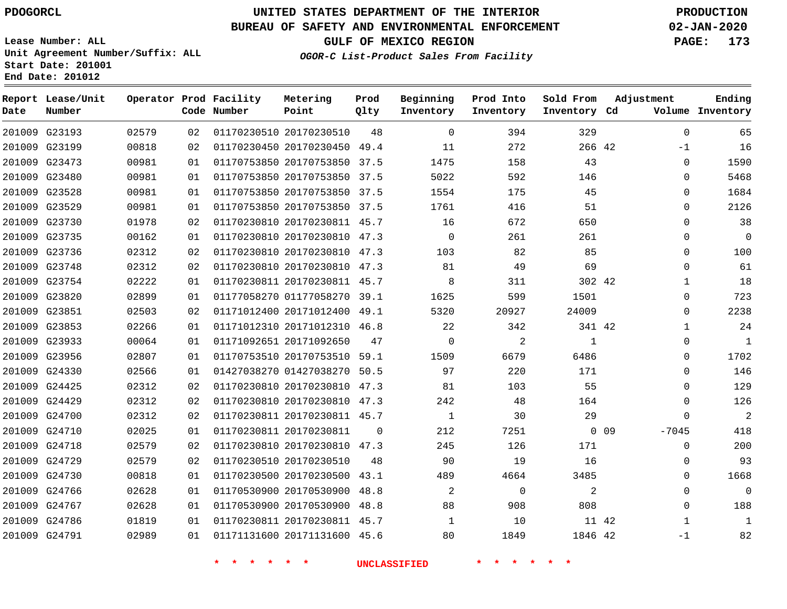**Report Lease/Unit**

# **UNITED STATES DEPARTMENT OF THE INTERIOR PDOGORCL PRODUCTION**

**Prod Qlty**

### **BUREAU OF SAFETY AND ENVIRONMENTAL ENFORCEMENT 02-JAN-2020**

**Lease Number: ALL Unit Agreement Number/Suffix: ALL Start Date: 201001 End Date: 201012**

**Operator Prod Facility**

**OGOR-C List-Product Sales From Facility**

**Beginning Inventory** **Prod Into Inventory** **Sold From**

**GULF OF MEXICO REGION PAGE: 173**

**Adjustment**

**Ending**

| Date   | Number        |       |    | Code Number | Point                        | Qlty     | Inventory      | Inventory   | Inventory Cd |            |              | Volume Inventory |
|--------|---------------|-------|----|-------------|------------------------------|----------|----------------|-------------|--------------|------------|--------------|------------------|
|        | 201009 G23193 | 02579 | 02 |             | 01170230510 20170230510      | 48       | $\Omega$       | 394         | 329          |            | $\Omega$     | 65               |
|        | 201009 G23199 | 00818 | 02 |             | 01170230450 20170230450 49.4 |          | 11             | 272         | 266 42       |            | $-1$         | 16               |
|        | 201009 G23473 | 00981 | 01 |             | 01170753850 20170753850 37.5 |          | 1475           | 158         | 43           |            | $\Omega$     | 1590             |
|        | 201009 G23480 | 00981 | 01 |             | 01170753850 20170753850 37.5 |          | 5022           | 592         | 146          |            | $\Omega$     | 5468             |
|        | 201009 G23528 | 00981 | 01 |             | 01170753850 20170753850 37.5 |          | 1554           | 175         | 45           |            | $\Omega$     | 1684             |
|        | 201009 G23529 | 00981 | 01 |             | 01170753850 20170753850 37.5 |          | 1761           | 416         | 51           |            | $\Omega$     | 2126             |
|        | 201009 G23730 | 01978 | 02 |             | 01170230810 20170230811 45.7 |          | 16             | 672         | 650          |            | $\Omega$     | 38               |
|        | 201009 G23735 | 00162 | 01 |             | 01170230810 20170230810 47.3 |          | $\mathbf 0$    | 261         | 261          |            | $\Omega$     | 0                |
|        | 201009 G23736 | 02312 | 02 |             | 01170230810 20170230810 47.3 |          | 103            | 82          | 85           |            | $\Omega$     | 100              |
|        | 201009 G23748 | 02312 | 02 |             | 01170230810 20170230810 47.3 |          | 81             | 49          | 69           |            | $\Omega$     | 61               |
|        | 201009 G23754 | 02222 | 01 |             | 01170230811 20170230811 45.7 |          | 8              | 311         | 302 42       |            | $\mathbf{1}$ | 18               |
|        | 201009 G23820 | 02899 | 01 |             | 01177058270 01177058270 39.1 |          | 1625           | 599         | 1501         |            | 0            | 723              |
|        | 201009 G23851 | 02503 | 02 |             | 01171012400 20171012400 49.1 |          | 5320           | 20927       | 24009        |            | $\Omega$     | 2238             |
|        | 201009 G23853 | 02266 | 01 |             | 01171012310 20171012310 46.8 |          | 22             | 342         | 341 42       |            | $\mathbf 1$  | 24               |
|        | 201009 G23933 | 00064 | 01 |             | 01171092651 20171092650      | 47       | $\mathbf 0$    | 2           | $\mathbf{1}$ |            | 0            | 1                |
|        | 201009 G23956 | 02807 | 01 |             | 01170753510 20170753510 59.1 |          | 1509           | 6679        | 6486         |            | $\Omega$     | 1702             |
|        | 201009 G24330 | 02566 | 01 |             | 01427038270 01427038270 50.5 |          | 97             | 220         | 171          |            | $\Omega$     | 146              |
|        | 201009 G24425 | 02312 | 02 |             | 01170230810 20170230810 47.3 |          | 81             | 103         | 55           |            | $\Omega$     | 129              |
|        | 201009 G24429 | 02312 | 02 |             | 01170230810 20170230810 47.3 |          | 242            | 48          | 164          |            | 0            | 126              |
|        | 201009 G24700 | 02312 | 02 |             | 01170230811 20170230811 45.7 |          | 1              | 30          | 29           |            | $\Omega$     | $\overline{2}$   |
| 201009 | G24710        | 02025 | 01 |             | 01170230811 20170230811      | $\Omega$ | 212            | 7251        |              | $0\quad09$ | $-7045$      | 418              |
|        | 201009 G24718 | 02579 | 02 |             | 01170230810 20170230810 47.3 |          | 245            | 126         | 171          |            | 0            | 200              |
|        | 201009 G24729 | 02579 | 02 |             | 01170230510 20170230510      | 48       | 90             | 19          | 16           |            | $\Omega$     | 93               |
|        | 201009 G24730 | 00818 | 01 |             | 01170230500 20170230500 43.1 |          | 489            | 4664        | 3485         |            | 0            | 1668             |
|        | 201009 G24766 | 02628 | 01 |             | 01170530900 20170530900 48.8 |          | $\overline{2}$ | $\mathbf 0$ | 2            |            | $\Omega$     | 0                |
|        | 201009 G24767 | 02628 | 01 |             | 01170530900 20170530900 48.8 |          | 88             | 908         | 808          |            | $\Omega$     | 188              |
|        | 201009 G24786 | 01819 | 01 |             | 01170230811 20170230811 45.7 |          | $\mathbf{1}$   | 10          | 11 42        |            | $\mathbf{1}$ | 1                |
|        | 201009 G24791 | 02989 | 01 |             | 01171131600 20171131600 45.6 |          | 80             | 1849        | 1846 42      |            | $-1$         | 82               |
|        |               |       |    |             |                              |          |                |             |              |            |              |                  |

**Metering Point**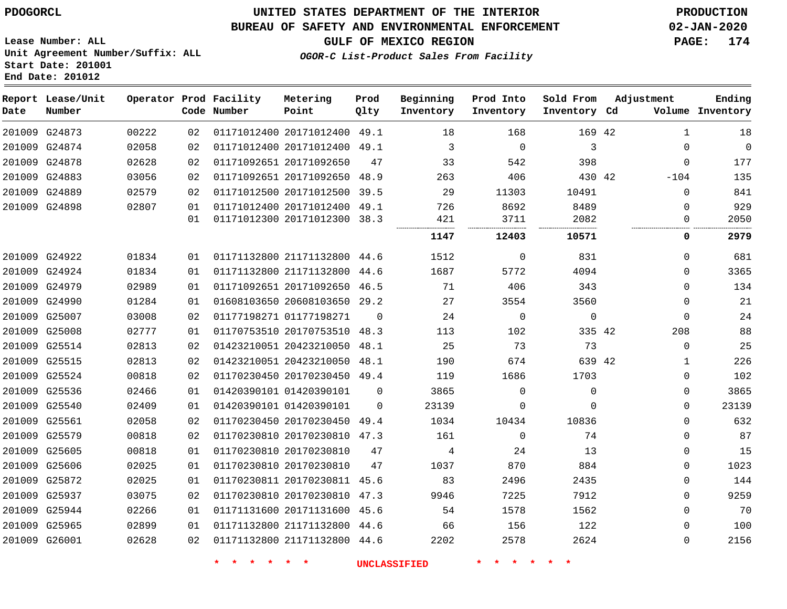#### **BUREAU OF SAFETY AND ENVIRONMENTAL ENFORCEMENT 02-JAN-2020**

**Lease Number: ALL Unit Agreement Number/Suffix: ALL Start Date: 201001 End Date: 201012**

**GULF OF MEXICO REGION PAGE: 174**

**OGOR-C List-Product Sales From Facility**

| Date | Report Lease/Unit<br>Number |       |          | Operator Prod Facility<br>Code Number | Metering<br>Point                                            | Prod<br>Qlty | Beginning<br>Inventory | Prod Into<br>Inventory | Sold From<br>Inventory Cd | Adjustment |                         | Ending<br>Volume Inventory |
|------|-----------------------------|-------|----------|---------------------------------------|--------------------------------------------------------------|--------------|------------------------|------------------------|---------------------------|------------|-------------------------|----------------------------|
|      | 201009 G24873               | 00222 | 02       |                                       | 01171012400 20171012400 49.1                                 |              | 18                     | 168                    | 169 42                    |            | 1                       | 18                         |
|      | 201009 G24874               | 02058 | 02       |                                       | 01171012400 20171012400 49.1                                 |              | 3                      | $\mathbf 0$            | 3                         |            | $\Omega$                | $\mathbf 0$                |
|      | 201009 G24878               | 02628 | 02       |                                       | 01171092651 20171092650                                      | 47           | 33                     | 542                    | 398                       |            | $\Omega$                | 177                        |
|      | 201009 G24883               | 03056 | 02       |                                       | 01171092651 20171092650 48.9                                 |              | 263                    | 406                    | 430 42                    |            | $-104$                  | 135                        |
|      | 201009 G24889               | 02579 | 02       |                                       | 01171012500 20171012500 39.5                                 |              | 29                     | 11303                  | 10491                     |            | $\mathbf 0$             | 841                        |
|      | 201009 G24898               | 02807 | 01<br>01 |                                       | 01171012400 20171012400 49.1<br>01171012300 20171012300 38.3 |              | 726<br>421             | 8692<br>3711           | 8489<br>2082              |            | $\mathbf 0$<br>$\Omega$ | 929<br>2050                |
|      |                             |       |          |                                       |                                                              |              | 1147                   | 12403                  | 10571                     |            | 0                       | 2979                       |
|      |                             |       |          |                                       |                                                              |              |                        |                        |                           |            |                         |                            |
|      | 201009 G24922               | 01834 | 01       |                                       | 01171132800 21171132800 44.6                                 |              | 1512                   | $\Omega$               | 831                       |            | 0                       | 681                        |
|      | 201009 G24924               | 01834 | 01       |                                       | 01171132800 21171132800 44.6                                 |              | 1687                   | 5772                   | 4094                      |            | 0                       | 3365                       |
|      | 201009 G24979               | 02989 | 01       |                                       | 01171092651 20171092650 46.5                                 |              | 71                     | 406                    | 343                       |            | $\mathbf{0}$            | 134                        |
|      | 201009 G24990               | 01284 | 01       |                                       | 01608103650 20608103650 29.2                                 |              | 27                     | 3554                   | 3560                      |            | $\mathbf{0}$            | 21                         |
|      | 201009 G25007               | 03008 | 02       |                                       | 01177198271 01177198271                                      | $\Omega$     | 24                     | $\mathbf 0$            | $\mathbf 0$               |            | $\Omega$                | 24                         |
|      | 201009 G25008               | 02777 | 01       |                                       | 01170753510 20170753510 48.3                                 |              | 113                    | 102                    | 335 42                    |            | 208                     | 88                         |
|      | 201009 G25514               | 02813 | 02       |                                       | 01423210051 20423210050 48.1                                 |              | 25                     | 73                     | 73                        |            | $\mathbf 0$             | 25                         |
|      | 201009 G25515               | 02813 | 02       |                                       | 01423210051 20423210050                                      | 48.1         | 190                    | 674                    | 639 42                    |            | 1                       | 226                        |
|      | 201009 G25524               | 00818 | 02       |                                       | 01170230450 20170230450 49.4                                 |              | 119                    | 1686                   | 1703                      |            | 0                       | 102                        |
|      | 201009 G25536               | 02466 | 01       |                                       | 01420390101 01420390101                                      | $\mathbf 0$  | 3865                   | $\mathbf 0$            | $\Omega$                  |            | 0                       | 3865                       |
|      | 201009 G25540               | 02409 | 01       |                                       | 01420390101 01420390101                                      | $\Omega$     | 23139                  | $\Omega$               | $\Omega$                  |            | 0                       | 23139                      |
|      | 201009 G25561               | 02058 | 02       |                                       | 01170230450 20170230450 49.4                                 |              | 1034                   | 10434                  | 10836                     |            | $\mathbf{0}$            | 632                        |
|      | 201009 G25579               | 00818 | 02       |                                       | 01170230810 20170230810 47.3                                 |              | 161                    | $\mathbf 0$            | 74                        |            | $\mathbf{0}$            | 87                         |
|      | 201009 G25605               | 00818 | 01       |                                       | 01170230810 20170230810                                      | 47           | 4                      | 24                     | 13                        |            | $\Omega$                | 15                         |
|      | 201009 G25606               | 02025 | 01       |                                       | 01170230810 20170230810                                      | 47           | 1037                   | 870                    | 884                       |            | $\Omega$                | 1023                       |
|      | 201009 G25872               | 02025 | 01       |                                       | 01170230811 20170230811 45.6                                 |              | 83                     | 2496                   | 2435                      |            | 0                       | 144                        |
|      | 201009 G25937               | 03075 | 02       |                                       | 01170230810 20170230810                                      | 47.3         | 9946                   | 7225                   | 7912                      |            | $\Omega$                | 9259                       |
|      | 201009 G25944               | 02266 | 01       |                                       | 01171131600 20171131600 45.6                                 |              | 54                     | 1578                   | 1562                      |            | $\Omega$                | 70                         |
|      | 201009 G25965               | 02899 | 01       |                                       | 01171132800 21171132800 44.6                                 |              | 66                     | 156                    | 122                       |            | $\Omega$                | 100                        |
|      | 201009 G26001               | 02628 | 02       |                                       | 01171132800 21171132800 44.6                                 |              | 2202                   | 2578                   | 2624                      |            | 0                       | 2156                       |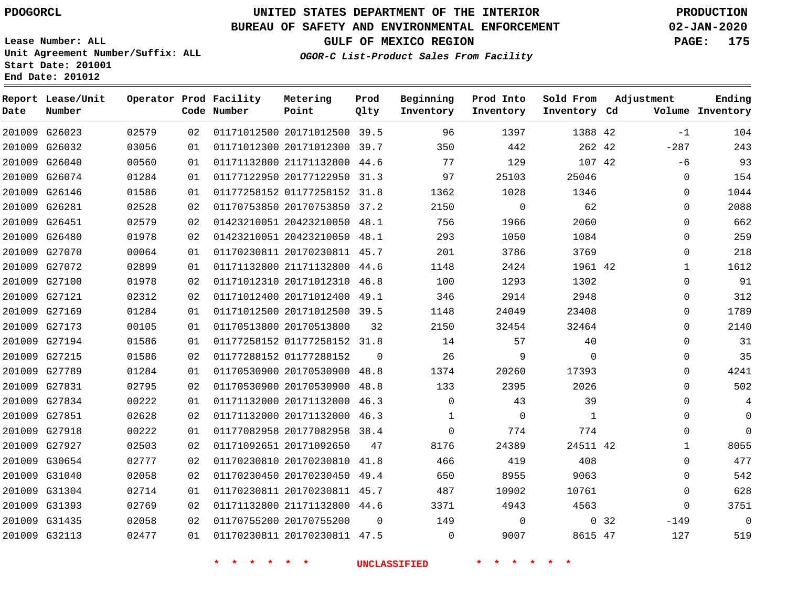**Prod**

#### **BUREAU OF SAFETY AND ENVIRONMENTAL ENFORCEMENT 02-JAN-2020**

**Lease Number: ALL Unit Agreement Number/Suffix: ALL Start Date: 201001 End Date: 201012**

**OGOR-C List-Product Sales From Facility**

**GULF OF MEXICO REGION PAGE: 175**

**Adjustment**

**Ending**

| Date | Report Lease/Unit<br>Number |       |    | Operator Prod Facility<br>Code Number | Metering<br>Point            | Prod<br>Qlty | Beginning<br>Inventory | Prod Into<br>Inventory | Sold From<br>Inventory Cd | Adjustment |              | Ending<br>Volume Inventory |
|------|-----------------------------|-------|----|---------------------------------------|------------------------------|--------------|------------------------|------------------------|---------------------------|------------|--------------|----------------------------|
|      | 201009 G26023               | 02579 | 02 |                                       | 01171012500 20171012500 39.5 |              | 96                     | 1397                   | 1388 42                   |            | $-1$         | 104                        |
|      | 201009 G26032               | 03056 | 01 |                                       | 01171012300 20171012300 39.7 |              | 350                    | 442                    | 262 42                    |            | $-287$       | 243                        |
|      | 201009 G26040               | 00560 | 01 |                                       | 01171132800 21171132800 44.6 |              | 77                     | 129                    | 107 42                    |            | $-6$         | 93                         |
|      | 201009 G26074               | 01284 | 01 |                                       | 01177122950 20177122950 31.3 |              | 97                     | 25103                  | 25046                     |            | $\mathbf 0$  | 154                        |
|      | 201009 G26146               | 01586 | 01 |                                       | 01177258152 01177258152 31.8 |              | 1362                   | 1028                   | 1346                      |            | 0            | 1044                       |
|      | 201009 G26281               | 02528 | 02 |                                       | 01170753850 20170753850 37.2 |              | 2150                   | 0                      | 62                        |            | $\mathbf 0$  | 2088                       |
|      | 201009 G26451               | 02579 | 02 |                                       | 01423210051 20423210050 48.1 |              | 756                    | 1966                   | 2060                      |            | $\mathbf 0$  | 662                        |
|      | 201009 G26480               | 01978 | 02 |                                       | 01423210051 20423210050 48.1 |              | 293                    | 1050                   | 1084                      |            | 0            | 259                        |
|      | 201009 G27070               | 00064 | 01 |                                       | 01170230811 20170230811 45.7 |              | 201                    | 3786                   | 3769                      |            | $\mathbf 0$  | 218                        |
|      | 201009 G27072               | 02899 | 01 |                                       | 01171132800 21171132800 44.6 |              | 1148                   | 2424                   | 1961 42                   |            | $\mathbf{1}$ | 1612                       |
|      | 201009 G27100               | 01978 | 02 |                                       | 01171012310 20171012310 46.8 |              | 100                    | 1293                   | 1302                      |            | $\mathbf 0$  | 91                         |
|      | 201009 G27121               | 02312 | 02 |                                       | 01171012400 20171012400 49.1 |              | 346                    | 2914                   | 2948                      |            | 0            | 312                        |
|      | 201009 G27169               | 01284 | 01 |                                       | 01171012500 20171012500 39.5 |              | 1148                   | 24049                  | 23408                     |            | $\mathbf 0$  | 1789                       |
|      | 201009 G27173               | 00105 | 01 |                                       | 01170513800 20170513800      | 32           | 2150                   | 32454                  | 32464                     |            | $\mathbf 0$  | 2140                       |
|      | 201009 G27194               | 01586 | 01 |                                       | 01177258152 01177258152 31.8 |              | 14                     | 57                     | 40                        |            | 0            | 31                         |
|      | 201009 G27215               | 01586 | 02 |                                       | 01177288152 01177288152      | $\Omega$     | 26                     | 9                      | $\Omega$                  |            | $\mathbf 0$  | 35                         |
|      | 201009 G27789               | 01284 | 01 |                                       | 01170530900 20170530900 48.8 |              | 1374                   | 20260                  | 17393                     |            | $\Omega$     | 4241                       |
|      | 201009 G27831               | 02795 | 02 |                                       | 01170530900 20170530900 48.8 |              | 133                    | 2395                   | 2026                      |            | $\mathbf 0$  | 502                        |
|      | 201009 G27834               | 00222 | 01 |                                       | 01171132000 20171132000 46.3 |              | $\Omega$               | 43                     | 39                        |            | $\mathbf 0$  | 4                          |
|      | 201009 G27851               | 02628 | 02 |                                       | 01171132000 20171132000 46.3 |              | $\mathbf{1}$           | 0                      | $\mathbf{1}$              |            | 0            | $\mathbf 0$                |
|      | 201009 G27918               | 00222 | 01 |                                       | 01177082958 20177082958 38.4 |              | $\Omega$               | 774                    | 774                       |            | $\mathbf 0$  | $\Omega$                   |
|      | 201009 G27927               | 02503 | 02 |                                       | 01171092651 20171092650      | 47           | 8176                   | 24389                  | 24511 42                  |            | $\mathbf{1}$ | 8055                       |
|      | 201009 G30654               | 02777 | 02 |                                       | 01170230810 20170230810 41.8 |              | 466                    | 419                    | 408                       |            | 0            | 477                        |
|      | 201009 G31040               | 02058 | 02 |                                       | 01170230450 20170230450 49.4 |              | 650                    | 8955                   | 9063                      |            | $\mathbf 0$  | 542                        |
|      | 201009 G31304               | 02714 | 01 |                                       | 01170230811 20170230811 45.7 |              | 487                    | 10902                  | 10761                     |            | 0            | 628                        |
|      | 201009 G31393               | 02769 | 02 |                                       | 01171132800 21171132800 44.6 |              | 3371                   | 4943                   | 4563                      |            | $\mathbf 0$  | 3751                       |
|      | 201009 G31435               | 02058 | 02 |                                       | 01170755200 20170755200      | $\Omega$     | 149                    | 0                      |                           | 0, 32      | $-149$       | $\Omega$                   |
|      | 201009 G32113               | 02477 | 01 |                                       | 01170230811 20170230811 47.5 |              | $\mathbf 0$            | 9007                   | 8615 47                   |            | 127          | 519                        |

**Metering**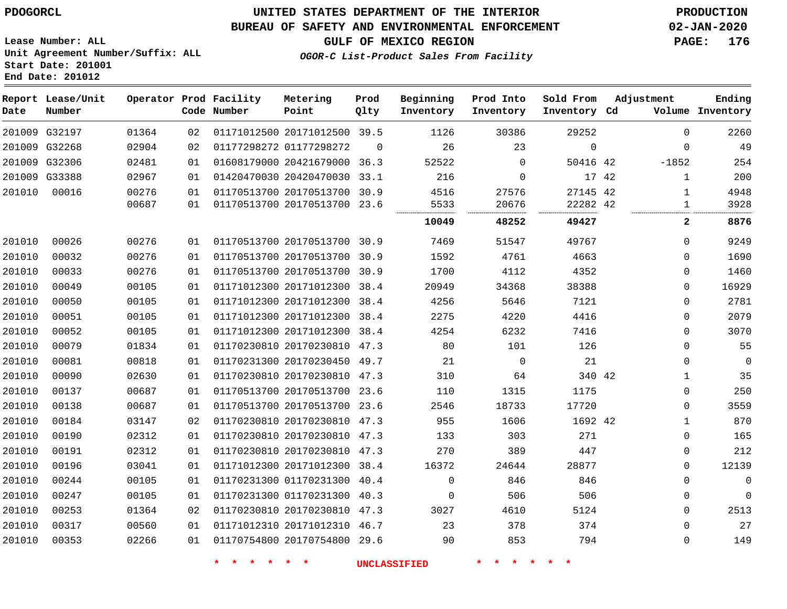### **BUREAU OF SAFETY AND ENVIRONMENTAL ENFORCEMENT 02-JAN-2020**

**Lease Number: ALL Unit Agreement Number/Suffix: ALL Start Date: 201001 End Date: 201012**

**GULF OF MEXICO REGION PAGE: 176**

**OGOR-C List-Product Sales From Facility**

| Date   | Report Lease/Unit<br>Number |       |    | Operator Prod Facility<br>Code Number | Metering<br>Point            | Prod<br>Qlty | Beginning<br>Inventory | Prod Into<br>Inventory | Sold From<br>Inventory Cd | Adjustment   | Ending<br>Volume Inventory |
|--------|-----------------------------|-------|----|---------------------------------------|------------------------------|--------------|------------------------|------------------------|---------------------------|--------------|----------------------------|
|        | 201009 G32197               | 01364 | 02 |                                       | 01171012500 20171012500 39.5 |              | 1126                   | 30386                  | 29252                     | $\Omega$     | 2260                       |
|        | 201009 G32268               | 02904 | 02 | 01177298272 01177298272               |                              | $\Omega$     | 26                     | 23                     | $\Omega$                  | $\Omega$     | 49                         |
|        | 201009 G32306               | 02481 | 01 |                                       | 01608179000 20421679000 36.3 |              | 52522                  | $\Omega$               | 50416 42                  | $-1852$      | 254                        |
|        | 201009 G33388               | 02967 | 01 |                                       | 01420470030 20420470030 33.1 |              | 216                    | 0                      | 17 42                     | $\mathbf{1}$ | 200                        |
| 201010 | 00016                       | 00276 | 01 |                                       | 01170513700 20170513700 30.9 |              | 4516                   | 27576                  | 27145 42                  | $\mathbf 1$  | 4948                       |
|        |                             | 00687 | 01 |                                       | 01170513700 20170513700 23.6 |              | 5533                   | 20676                  | 22282 42                  | $\mathbf{1}$ | 3928                       |
|        |                             |       |    |                                       |                              |              | 10049                  | 48252                  | 49427                     | $\mathbf{2}$ | 8876                       |
| 201010 | 00026                       | 00276 | 01 |                                       | 01170513700 20170513700 30.9 |              | 7469                   | 51547                  | 49767                     | 0            | 9249                       |
| 201010 | 00032                       | 00276 | 01 |                                       | 01170513700 20170513700 30.9 |              | 1592                   | 4761                   | 4663                      | 0            | 1690                       |
| 201010 | 00033                       | 00276 | 01 |                                       | 01170513700 20170513700 30.9 |              | 1700                   | 4112                   | 4352                      | 0            | 1460                       |
| 201010 | 00049                       | 00105 | 01 |                                       | 01171012300 20171012300 38.4 |              | 20949                  | 34368                  | 38388                     | 0            | 16929                      |
| 201010 | 00050                       | 00105 | 01 |                                       | 01171012300 20171012300 38.4 |              | 4256                   | 5646                   | 7121                      | 0            | 2781                       |
| 201010 | 00051                       | 00105 | 01 |                                       | 01171012300 20171012300 38.4 |              | 2275                   | 4220                   | 4416                      | 0            | 2079                       |
| 201010 | 00052                       | 00105 | 01 |                                       | 01171012300 20171012300 38.4 |              | 4254                   | 6232                   | 7416                      | 0            | 3070                       |
| 201010 | 00079                       | 01834 | 01 |                                       | 01170230810 20170230810 47.3 |              | 80                     | 101                    | 126                       | 0            | 55                         |
| 201010 | 00081                       | 00818 | 01 |                                       | 01170231300 20170230450 49.7 |              | 21                     | $\mathbf 0$            | 21                        | 0            | $\overline{0}$             |
| 201010 | 00090                       | 02630 | 01 |                                       | 01170230810 20170230810 47.3 |              | 310                    | 64                     | 340 42                    | 1            | 35                         |
| 201010 | 00137                       | 00687 | 01 |                                       | 01170513700 20170513700 23.6 |              | 110                    | 1315                   | 1175                      | 0            | 250                        |
| 201010 | 00138                       | 00687 | 01 |                                       | 01170513700 20170513700 23.6 |              | 2546                   | 18733                  | 17720                     | 0            | 3559                       |
| 201010 | 00184                       | 03147 | 02 |                                       | 01170230810 20170230810 47.3 |              | 955                    | 1606                   | 1692 42                   | $\mathbf{1}$ | 870                        |
| 201010 | 00190                       | 02312 | 01 |                                       | 01170230810 20170230810 47.3 |              | 133                    | 303                    | 271                       | 0            | 165                        |
| 201010 | 00191                       | 02312 | 01 |                                       | 01170230810 20170230810 47.3 |              | 270                    | 389                    | 447                       | 0            | 212                        |
| 201010 | 00196                       | 03041 | 01 |                                       | 01171012300 20171012300 38.4 |              | 16372                  | 24644                  | 28877                     | 0            | 12139                      |
| 201010 | 00244                       | 00105 | 01 |                                       | 01170231300 01170231300      | 40.4         | $\mathbf 0$            | 846                    | 846                       | 0            | $\mathbf 0$                |
| 201010 | 00247                       | 00105 | 01 |                                       | 01170231300 01170231300 40.3 |              | 0                      | 506                    | 506                       | 0            | $\mathbf 0$                |
| 201010 | 00253                       | 01364 | 02 |                                       | 01170230810 20170230810 47.3 |              | 3027                   | 4610                   | 5124                      | 0            | 2513                       |
| 201010 | 00317                       | 00560 | 01 |                                       | 01171012310 20171012310 46.7 |              | 23                     | 378                    | 374                       | 0            | 27                         |
| 201010 | 00353                       | 02266 | 01 |                                       | 01170754800 20170754800 29.6 |              | 90                     | 853                    | 794                       | 0            | 149                        |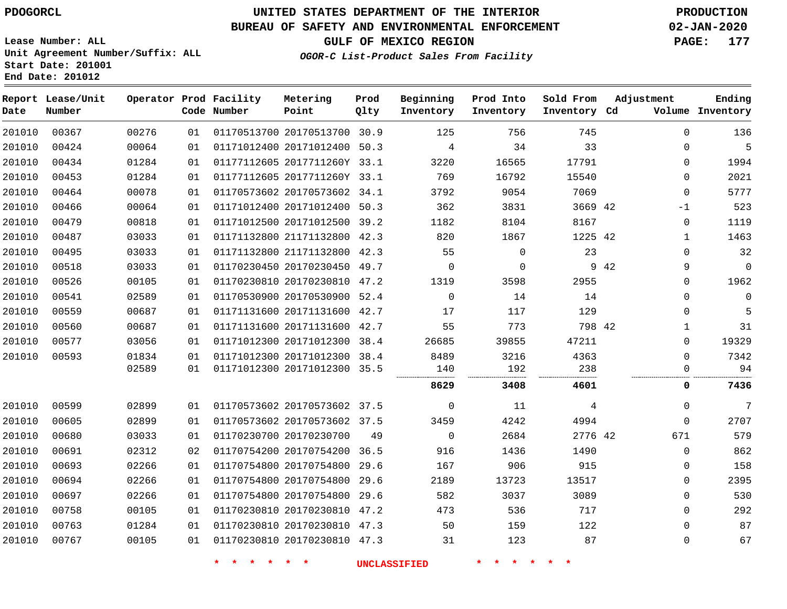# **UNITED STATES DEPARTMENT OF THE INTERIOR PDOGORCL PRODUCTION**

**Prod Qlty**

#### **BUREAU OF SAFETY AND ENVIRONMENTAL ENFORCEMENT 02-JAN-2020**

**Lease Number: ALL Unit Agreement Number/Suffix: ALL Start Date: 201001**

**Operator Prod Facility**

**Code Number**

**Metering Point**

**End Date: 201012**

**Report Lease/Unit**

**Number**

**GULF OF MEXICO REGION PAGE: 177**

**Inventory Cd Volume**

**Adjustment**

**Ending**

**OGOR-C List-Product Sales From Facility**

**Beginning Inventory**

**Prod Into Inventory** **Sold From Inventory**

| 136         | $\Omega$    |      | 745     | 756      | 125         | 30.9 | 01170513700 20170513700      | 01 | 00276 | 00367 | 201010 |
|-------------|-------------|------|---------|----------|-------------|------|------------------------------|----|-------|-------|--------|
| 5           | $\Omega$    |      | 33      | 34       | 4           | 50.3 | 01171012400 20171012400      | 01 | 00064 | 00424 | 201010 |
| 1994        | 0           |      | 17791   | 16565    | 3220        |      | 01177112605 2017711260Y 33.1 | 01 | 01284 | 00434 | 201010 |
| 2021        | 0           |      | 15540   | 16792    | 769         |      | 01177112605 2017711260Y 33.1 | 01 | 01284 | 00453 | 201010 |
| 5777        | 0           |      | 7069    | 9054     | 3792        |      | 01170573602 20170573602 34.1 | 01 | 00078 | 00464 | 201010 |
| 523         | -1          |      | 3669 42 | 3831     | 362         | 50.3 | 01171012400 20171012400      | 01 | 00064 | 00466 | 201010 |
| 1119        | $\Omega$    |      | 8167    | 8104     | 1182        |      | 01171012500 20171012500 39.2 | 01 | 00818 | 00479 | 201010 |
| 1463        |             |      | 1225 42 | 1867     | 820         | 42.3 | 01171132800 21171132800      | 01 | 03033 | 00487 | 201010 |
| 32          | $\Omega$    |      | 23      | 0        | 55          | 42.3 | 01171132800 21171132800      | 01 | 03033 | 00495 | 201010 |
| $\mathbf 0$ | 9           | 9 42 |         | $\Omega$ | 0           | 49.7 | 01170230450 20170230450      | 01 | 03033 | 00518 | 201010 |
| 1962        | 0           |      | 2955    | 3598     | 1319        | 47.2 | 01170230810 20170230810      | 01 | 00105 | 00526 | 201010 |
| 0           | $\Omega$    |      | 14      | 14       | $\mathbf 0$ |      | 01170530900 20170530900 52.4 | 01 | 02589 | 00541 | 201010 |
| 5           | 0           |      | 129     | 117      | 17          | 42.7 | 01171131600 20171131600      | 01 | 00687 | 00559 | 201010 |
| 31          | 1           |      | 798 42  | 773      | 55          | 42.7 | 01171131600 20171131600      | 01 | 00687 | 00560 | 201010 |
| 19329       | $\Omega$    |      | 47211   | 39855    | 26685       | 38.4 | 01171012300 20171012300      | 01 | 03056 | 00577 | 201010 |
| 7342        | 0           |      | 4363    | 3216     | 8489        |      | 01171012300 20171012300 38.4 | 01 | 01834 | 00593 | 201010 |
| 94          | 0           |      | 238     | 192      | 140         |      | 01171012300 20171012300 35.5 | 01 | 02589 |       |        |
| 7436        | 0           |      | 4601    | 3408     | 8629        |      |                              |    |       |       |        |
| 7           | $\Omega$    |      | 4       | 11       | $\mathbf 0$ |      | 01170573602 20170573602 37.5 | 01 | 02899 | 00599 | 201010 |
| 2707        | $\mathbf 0$ |      | 4994    | 4242     | 3459        |      | 01170573602 20170573602 37.5 | 01 | 02899 | 00605 | 201010 |
| 579         | 671         |      | 2776 42 | 2684     | $\mathbf 0$ | 49   | 01170230700 20170230700      | 01 | 03033 | 00680 | 201010 |
| 862         | 0           |      | 1490    | 1436     | 916         |      | 01170754200 20170754200 36.5 | 02 | 02312 | 00691 | 201010 |
| 158         | 0           |      | 915     | 906      | 167         | 29.6 | 01170754800 20170754800      | 01 | 02266 | 00693 | 201010 |
| 2395        | $\Omega$    |      | 13517   | 13723    | 2189        | 29.6 | 01170754800 20170754800      | 01 | 02266 | 00694 | 201010 |
| 530         | 0           |      | 3089    | 3037     | 582         | 29.6 | 01170754800 20170754800      | 01 | 02266 | 00697 | 201010 |
| 292         | 0           |      | 717     | 536      | 473         | 47.2 | 01170230810 20170230810      | 01 | 00105 | 00758 | 201010 |
| 87          | $\Omega$    |      | 122     | 159      | 50          |      | 01170230810 20170230810 47.3 | 01 | 01284 | 00763 | 201010 |
| 67          | 0           |      | 87      | 123      | 31          |      | 01170230810 20170230810 47.3 | 01 | 00105 | 00767 | 201010 |
|             |             |      |         |          |             |      |                              |    |       |       |        |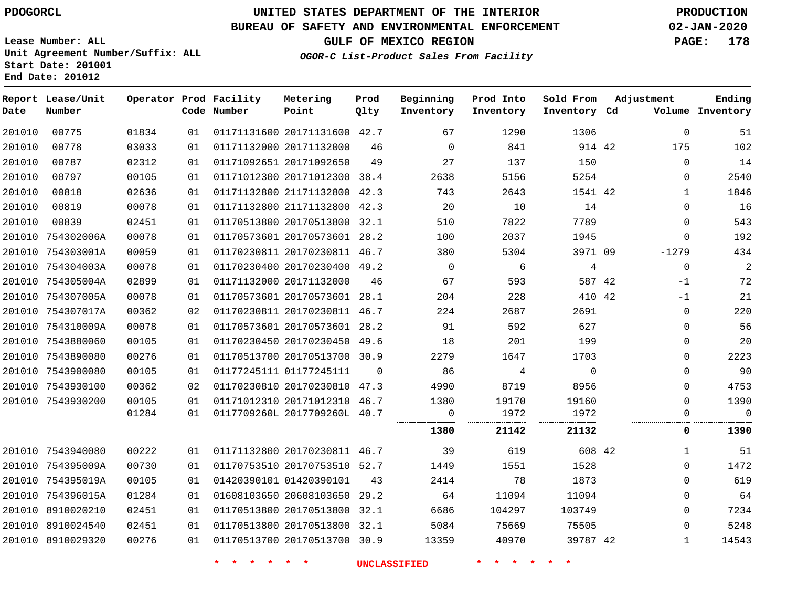**End Date: 201012**

**Report Lease/Unit**

**Number**

# **UNITED STATES DEPARTMENT OF THE INTERIOR PDOGORCL PRODUCTION**

**Prod Qlty**

#### **BUREAU OF SAFETY AND ENVIRONMENTAL ENFORCEMENT 02-JAN-2020**

**Lease Number: ALL Unit Agreement Number/Suffix: ALL Start Date: 201001**

**Operator Prod Facility**

**Code Number**

**Metering Point**

**OGOR-C List-Product Sales From Facility**

**Beginning Inventory**

**Prod Into Inventory** **Sold From Inventory**

**GULF OF MEXICO REGION PAGE: 178**

**Inventory Cd Volume**

**Adjustment**

**Ending**

| 201010 | 00775             | 01834 | 01 |                              | 01171131600 20171131600 42.7 |          | 67                  | 1290    | 1306           | 0            | 51             |
|--------|-------------------|-------|----|------------------------------|------------------------------|----------|---------------------|---------|----------------|--------------|----------------|
| 201010 | 00778             | 03033 | 01 | 01171132000 20171132000      |                              | 46       | $\mathbf{0}$        | 841     | 914 42         | 175          | 102            |
| 201010 | 00787             | 02312 | 01 | 01171092651 20171092650      |                              | 49       | 27                  | 137     | 150            | $\mathbf 0$  | 14             |
| 201010 | 00797             | 00105 | 01 |                              | 01171012300 20171012300 38.4 |          | 2638                | 5156    | 5254           | 0            | 2540           |
| 201010 | 00818             | 02636 | 01 |                              | 01171132800 21171132800 42.3 |          | 743                 | 2643    | 1541 42        | 1            | 1846           |
| 201010 | 00819             | 00078 | 01 |                              | 01171132800 21171132800 42.3 |          | 20                  | 10      | 14             | $\Omega$     | 16             |
| 201010 | 00839             | 02451 | 01 |                              | 01170513800 20170513800 32.1 |          | 510                 | 7822    | 7789           | $\Omega$     | 543            |
|        | 201010 754302006A | 00078 | 01 |                              | 01170573601 20170573601 28.2 |          | 100                 | 2037    | 1945           | $\mathbf 0$  | 192            |
|        | 201010 754303001A | 00059 | 01 |                              | 01170230811 20170230811 46.7 |          | 380                 | 5304    | 3971 09        | $-1279$      | 434            |
|        | 201010 754304003A | 00078 | 01 |                              | 01170230400 20170230400 49.2 |          | $\overline{0}$      | 6       | 4              | 0            | $\overline{2}$ |
|        | 201010 754305004A | 02899 | 01 | 01171132000 20171132000      |                              | 46       | 67                  | 593     | 587 42         | $-1$         | 72             |
|        | 201010 754307005A | 00078 | 01 |                              | 01170573601 20170573601 28.1 |          | 204                 | 228     | 410 42         | $-1$         | 21             |
|        | 201010 754307017A | 00362 | 02 |                              | 01170230811 20170230811 46.7 |          | 224                 | 2687    | 2691           | $\mathbf 0$  | 220            |
|        | 201010 754310009A | 00078 | 01 |                              | 01170573601 20170573601 28.2 |          | 91                  | 592     | 627            | $\Omega$     | 56             |
|        | 201010 7543880060 | 00105 | 01 |                              | 01170230450 20170230450 49.6 |          | 18                  | 201     | 199            | 0            | 20             |
|        | 201010 7543890080 | 00276 | 01 |                              | 01170513700 20170513700 30.9 |          | 2279                | 1647    | 1703           | 0            | 2223           |
|        | 201010 7543900080 | 00105 | 01 | 01177245111 01177245111      |                              | $\Omega$ | 86                  | 4       | $\overline{0}$ | 0            | 90             |
|        | 201010 7543930100 | 00362 | 02 |                              | 01170230810 20170230810 47.3 |          | 4990                | 8719    | 8956           | $\Omega$     | 4753           |
|        | 201010 7543930200 | 00105 | 01 |                              | 01171012310 20171012310 46.7 |          | 1380                | 19170   | 19160          | 0            | 1390           |
|        |                   | 01284 | 01 | 0117709260L 2017709260L 40.7 |                              |          | 0<br>               | 1972    | 1972           | 0            | $\mathbf 0$    |
|        |                   |       |    |                              |                              |          | 1380                | 21142   | 21132          | 0            | 1390           |
|        | 201010 7543940080 | 00222 | 01 | 01171132800 20170230811 46.7 |                              |          | 39                  | 619     | 608 42         | 1            | 51             |
|        | 201010 754395009A | 00730 | 01 |                              | 01170753510 20170753510 52.7 |          | 1449                | 1551    | 1528           | 0            | 1472           |
|        | 201010 754395019A | 00105 | 01 | 01420390101 01420390101      |                              | 43       | 2414                | 78      | 1873           | $\mathbf 0$  | 619            |
|        | 201010 754396015A | 01284 | 01 |                              | 01608103650 20608103650 29.2 |          | 64                  | 11094   | 11094          | $\Omega$     | 64             |
|        | 201010 8910020210 | 02451 | 01 |                              | 01170513800 20170513800 32.1 |          | 6686                | 104297  | 103749         | 0            | 7234           |
|        | 201010 8910024540 | 02451 | 01 |                              | 01170513800 20170513800 32.1 |          | 5084                | 75669   | 75505          | $\Omega$     | 5248           |
|        | 201010 8910029320 | 00276 | 01 |                              | 01170513700 20170513700 30.9 |          | 13359               | 40970   | 39787 42       | $\mathbf{1}$ | 14543          |
|        |                   |       |    | $\star$<br>一大                | $\star$ .<br>$\ast$          |          | <b>UNCLASSIFIED</b> | * * * * |                |              |                |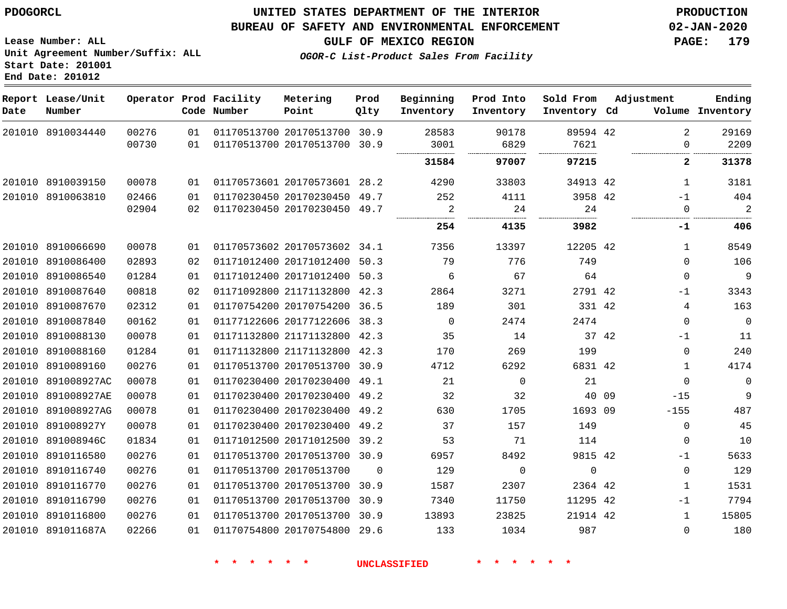### **BUREAU OF SAFETY AND ENVIRONMENTAL ENFORCEMENT 02-JAN-2020**

**Lease Number: ALL Unit Agreement Number/Suffix: ALL Start Date: 201001 End Date: 201012**

**GULF OF MEXICO REGION PAGE: 179**

**OGOR-C List-Product Sales From Facility**

| Date | Report Lease/Unit<br>Number |       |    | Operator Prod Facility<br>Code Number | Metering<br>Point            | Prod<br>Qlty | Beginning<br>Inventory | Prod Into<br>Inventory | Sold From<br>Inventory Cd |       | Adjustment   | Ending<br>Volume Inventory |
|------|-----------------------------|-------|----|---------------------------------------|------------------------------|--------------|------------------------|------------------------|---------------------------|-------|--------------|----------------------------|
|      | 201010 8910034440           | 00276 | 01 |                                       | 01170513700 20170513700 30.9 |              | 28583                  | 90178                  | 89594 42                  |       | 2            | 29169                      |
|      |                             | 00730 | 01 |                                       | 01170513700 20170513700 30.9 |              | 3001                   | 6829                   | 7621                      |       | $\Omega$     | 2209                       |
|      |                             |       |    |                                       |                              |              | 31584                  | 97007                  | 97215                     |       | $\mathbf{2}$ | 31378                      |
|      | 201010 8910039150           | 00078 | 01 |                                       | 01170573601 20170573601      | 28.2         | 4290                   | 33803                  | 34913 42                  |       | 1            | 3181                       |
|      | 201010 8910063810           | 02466 | 01 |                                       | 01170230450 20170230450      | 49.7         | 252                    | 4111                   | 3958 42                   |       | $-1$         | 404                        |
|      |                             | 02904 | 02 |                                       | 01170230450 20170230450 49.7 |              | 2                      | 24                     | 24                        |       | $\mathbf{0}$ | $\overline{2}$             |
|      |                             |       |    |                                       |                              |              | 254                    | 4135                   | 3982                      |       | -1           | 406                        |
|      | 201010 8910066690           | 00078 | 01 |                                       | 01170573602 20170573602 34.1 |              | 7356                   | 13397                  | 12205 42                  |       | $\mathbf{1}$ | 8549                       |
|      | 201010 8910086400           | 02893 | 02 |                                       | 01171012400 20171012400 50.3 |              | 79                     | 776                    | 749                       |       | $\Omega$     | 106                        |
|      | 201010 8910086540           | 01284 | 01 |                                       | 01171012400 20171012400 50.3 |              | 6                      | 67                     | 64                        |       | 0            | 9                          |
|      | 201010 8910087640           | 00818 | 02 |                                       | 01171092800 21171132800 42.3 |              | 2864                   | 3271                   | 2791 42                   |       | $-1$         | 3343                       |
|      | 201010 8910087670           | 02312 | 01 |                                       | 01170754200 20170754200 36.5 |              | 189                    | 301                    | 331 42                    |       | 4            | 163                        |
|      | 201010 8910087840           | 00162 | 01 |                                       | 01177122606 20177122606 38.3 |              | $\overline{0}$         | 2474                   | 2474                      |       | 0            | $\overline{0}$             |
|      | 201010 8910088130           | 00078 | 01 |                                       | 01171132800 21171132800 42.3 |              | 35                     | 14                     |                           | 37 42 | $-1$         | 11                         |
|      | 201010 8910088160           | 01284 | 01 |                                       | 01171132800 21171132800 42.3 |              | 170                    | 269                    | 199                       |       | $\mathbf 0$  | 240                        |
|      | 201010 8910089160           | 00276 | 01 |                                       | 01170513700 20170513700 30.9 |              | 4712                   | 6292                   | 6831 42                   |       | $\mathbf{1}$ | 4174                       |
|      | 201010 891008927AC          | 00078 | 01 |                                       | 01170230400 20170230400 49.1 |              | 21                     | 0                      | 21                        |       | 0            | $\mathbf 0$                |
|      | 201010 891008927AE          | 00078 | 01 |                                       | 01170230400 20170230400 49.2 |              | 32                     | 32                     | 40 09                     |       | $-15$        | 9                          |
|      | 201010 891008927AG          | 00078 | 01 |                                       | 01170230400 20170230400 49.2 |              | 630                    | 1705                   | 1693 09                   |       | $-155$       | 487                        |
|      | 201010 891008927Y           | 00078 | 01 |                                       | 01170230400 20170230400 49.2 |              | 37                     | 157                    | 149                       |       | 0            | 45                         |
|      | 201010 891008946C           | 01834 | 01 |                                       | 01171012500 20171012500 39.2 |              | 53                     | 71                     | 114                       |       | 0            | 10                         |
|      | 201010 8910116580           | 00276 | 01 |                                       | 01170513700 20170513700 30.9 |              | 6957                   | 8492                   | 9815 42                   |       | $-1$         | 5633                       |
|      | 201010 8910116740           | 00276 | 01 |                                       | 01170513700 20170513700      | $\Omega$     | 129                    | 0                      | $\mathbf{0}$              |       | $\mathbf 0$  | 129                        |
|      | 201010 8910116770           | 00276 | 01 |                                       | 01170513700 20170513700      | 30.9         | 1587                   | 2307                   | 2364 42                   |       | $\mathbf{1}$ | 1531                       |
|      | 201010 8910116790           | 00276 | 01 |                                       | 01170513700 20170513700 30.9 |              | 7340                   | 11750                  | 11295 42                  |       | $-1$         | 7794                       |
|      | 201010 8910116800           | 00276 | 01 |                                       | 01170513700 20170513700 30.9 |              | 13893                  | 23825                  | 21914 42                  |       | $\mathbf{1}$ | 15805                      |
|      | 201010 891011687A           | 02266 | 01 |                                       | 01170754800 20170754800 29.6 |              | 133                    | 1034                   | 987                       |       | 0            | 180                        |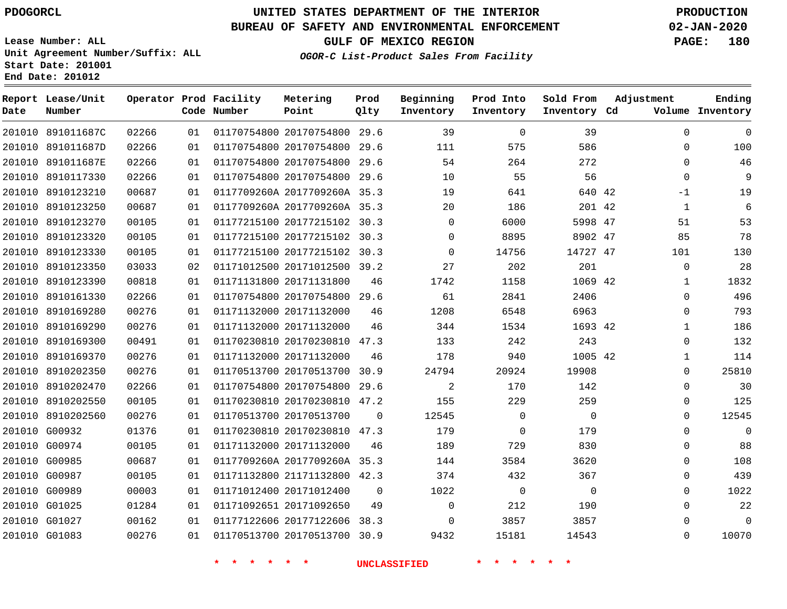**Report Lease/Unit**

**Number**

# **UNITED STATES DEPARTMENT OF THE INTERIOR PDOGORCL PRODUCTION**

**Prod Qlty**

#### **BUREAU OF SAFETY AND ENVIRONMENTAL ENFORCEMENT 02-JAN-2020**

**Lease Number: ALL Unit Agreement Number/Suffix: ALL Start Date: 201001 End Date: 201012**

**Operator Prod Facility**

**Code Number**

**OGOR-C List-Product Sales From Facility**

 $\cap$ 

**Sold From Inventory**

**Prod Into Inventory**

**Beginning Inventory**

**GULF OF MEXICO REGION PAGE: 180**

**Inventory Cd Volume**

**Adjustment**

  $\Omega$  $\Omega$  -1  $\Omega$  $\overline{0}$   $\Omega$   $\Omega$  $\Omega$  $\Omega$  $\Omega$  $\Omega$  $\Omega$  $\Omega$   $\Omega$   $\Omega$ 

**Ending**

| 201010 891011687C | 02266 | 01 |                         | 01170754800 20170754800 29.6 |                | 39          | $\mathbf 0$ | 39          |  |
|-------------------|-------|----|-------------------------|------------------------------|----------------|-------------|-------------|-------------|--|
| 201010 891011687D | 02266 | 01 |                         | 01170754800 20170754800 29.6 |                | 111         | 575         | 586         |  |
| 201010 891011687E | 02266 | 01 |                         | 01170754800 20170754800 29.6 |                | 54          | 264         | 272         |  |
| 201010 8910117330 | 02266 | 01 |                         | 01170754800 20170754800 29.6 |                | 10          | 55          | 56          |  |
| 201010 8910123210 | 00687 | 01 |                         | 0117709260A 2017709260A 35.3 |                | 19          | 641         | 640 42      |  |
| 201010 8910123250 | 00687 | 01 |                         | 0117709260A 2017709260A 35.3 |                | 20          | 186         | 201 42      |  |
| 201010 8910123270 | 00105 | 01 |                         | 01177215100 20177215102 30.3 |                | 0           | 6000        | 5998 47     |  |
| 201010 8910123320 | 00105 | 01 |                         | 01177215100 20177215102 30.3 |                | 0           | 8895        | 8902 47     |  |
| 201010 8910123330 | 00105 | 01 |                         | 01177215100 20177215102 30.3 |                | 0           | 14756       | 14727 47    |  |
| 201010 8910123350 | 03033 | 02 |                         | 01171012500 20171012500 39.2 |                | 27          | 202         | 201         |  |
| 201010 8910123390 | 00818 | 01 | 01171131800 20171131800 |                              | 46             | 1742        | 1158        | 1069 42     |  |
| 201010 8910161330 | 02266 | 01 |                         | 01170754800 20170754800 29.6 |                | 61          | 2841        | 2406        |  |
| 201010 8910169280 | 00276 | 01 | 01171132000 20171132000 |                              | 46             | 1208        | 6548        | 6963        |  |
| 201010 8910169290 | 00276 | 01 |                         | 01171132000 20171132000      | 46             | 344         | 1534        | 1693 42     |  |
| 201010 8910169300 | 00491 | 01 |                         | 01170230810 20170230810 47.3 |                | 133         | 242         | 243         |  |
| 201010 8910169370 | 00276 | 01 | 01171132000 20171132000 |                              | 46             | 178         | 940         | 1005 42     |  |
| 201010 8910202350 | 00276 | 01 |                         | 01170513700 20170513700 30.9 |                | 24794       | 20924       | 19908       |  |
| 201010 8910202470 | 02266 | 01 |                         | 01170754800 20170754800 29.6 |                | 2           | 170         | 142         |  |
| 201010 8910202550 | 00105 | 01 |                         | 01170230810 20170230810 47.2 |                | 155         | 229         | 259         |  |
| 201010 8910202560 | 00276 | 01 | 01170513700 20170513700 |                              | $\mathbf{0}$   | 12545       | $\mathbf 0$ | $\mathbf 0$ |  |
| 201010 G00932     | 01376 | 01 |                         | 01170230810 20170230810 47.3 |                | 179         | $\mathbf 0$ | 179         |  |
| 201010 G00974     | 00105 | 01 | 01171132000 20171132000 |                              | 46             | 189         | 729         | 830         |  |
| 201010 G00985     | 00687 | 01 |                         | 0117709260A 2017709260A 35.3 |                | 144         | 3584        | 3620        |  |
| 201010 G00987     | 00105 | 01 |                         | 01171132800 21171132800 42.3 |                | 374         | 432         | 367         |  |
| 201010 G00989     | 00003 | 01 | 01171012400 20171012400 |                              | $\overline{0}$ | 1022        | $\mathbf 0$ | $\mathbf 0$ |  |
| 201010 G01025     | 01284 | 01 | 01171092651 20171092650 |                              | 49             | 0           | 212         | 190         |  |
| 201010 G01027     | 00162 | 01 |                         | 01177122606 20177122606 38.3 |                | $\mathbf 0$ | 3857        | 3857        |  |
| 201010 G01083     | 00276 | 01 |                         | 01170513700 20170513700 30.9 |                | 9432        | 15181       | 14543       |  |
|                   |       |    |                         |                              |                |             |             |             |  |

**Metering Point**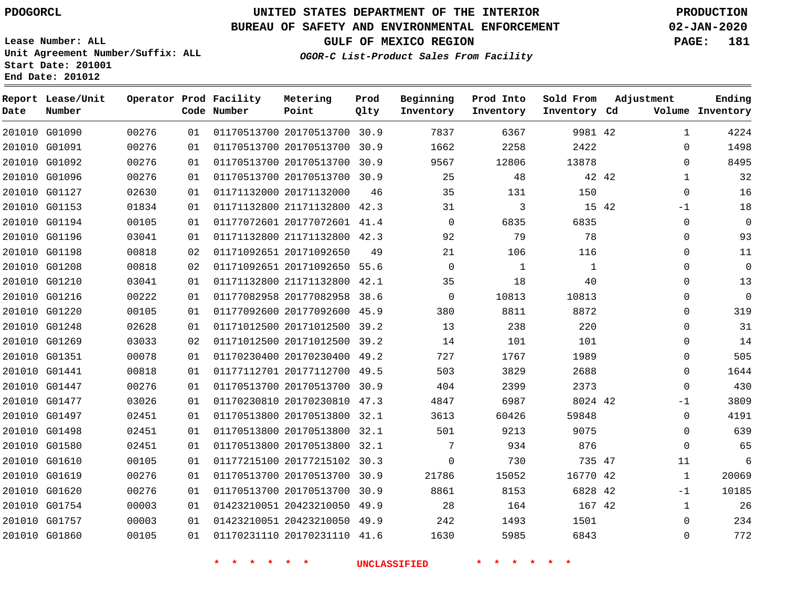G01090 G01091 G01092 G01096 G01127 G01153 G01194 G01196 G01198 G01208 G01210 G01216 G01220 G01248 G01269 G01351 G01441 G01447 G01477 G01497 G01498 G01580 G01610 G01619 G01620 G01754 G01757 G01860

**Date**

**Report Lease/Unit**

**Number**

# **UNITED STATES DEPARTMENT OF THE INTERIOR PDOGORCL PRODUCTION**

**Prod Qlty**

#### **BUREAU OF SAFETY AND ENVIRONMENTAL ENFORCEMENT 02-JAN-2020**

**Lease Number: ALL Unit Agreement Number/Suffix: ALL Start Date: 201001 End Date: 201012**

**Operator Prod Facility**

**Code Number**

#### **OGOR-C List-Product Sales From Facility**

**Beginning Inventory** **Prod Into Inventory** **Sold From Inventory**

**GULF OF MEXICO REGION PAGE: 181**

**Inventory Cd Volume**

**Adjustment**

  $\Omega$  $\Omega$   $\Omega$ -1  $\Omega$  $\Omega$  $\Omega$  $\Omega$  $\Omega$  $\Omega$  $\Omega$   $\Omega$  $\Omega$  $\Omega$  $\Omega$ -1  $\Omega$   $\Omega$  -1  $\Omega$ 

**Ending**

| 00276 | 01 | 01170513700 20170513700 | 30.9 | 7837           | 6367        | 9981 42     |    |
|-------|----|-------------------------|------|----------------|-------------|-------------|----|
| 00276 | 01 | 01170513700 20170513700 | 30.9 | 1662           | 2258        | 2422        |    |
| 00276 | 01 | 01170513700 20170513700 | 30.9 | 9567           | 12806       | 13878       |    |
| 00276 | 01 | 01170513700 20170513700 | 30.9 | 25             | 48          | 42          | 42 |
| 02630 | 01 | 01171132000 20171132000 | 46   | 35             | 131         | 150         |    |
| 01834 | 01 | 01171132800 21171132800 | 42.3 | 31             | 3           | 15          | 42 |
| 00105 | 01 | 01177072601 20177072601 | 41.4 | $\mathbf 0$    | 6835        | 6835        |    |
| 03041 | 01 | 01171132800 21171132800 | 42.3 | 92             | 79          | 78          |    |
| 00818 | 02 | 01171092651 20171092650 | 49   | 21             | 106         | 116         |    |
| 00818 | 02 | 01171092651 20171092650 | 55.6 | $\overline{0}$ | $\mathbf 1$ | $\mathbf 1$ |    |
| 03041 | 01 | 01171132800 21171132800 | 42.1 | 35             | 18          | 40          |    |
| 00222 | 01 | 01177082958 20177082958 | 38.6 | $\mathbf 0$    | 10813       | 10813       |    |
| 00105 | 01 | 01177092600 20177092600 | 45.9 | 380            | 8811        | 8872        |    |
| 02628 | 01 | 01171012500 20171012500 | 39.2 | 13             | 238         | 220         |    |
| 03033 | 02 | 01171012500 20171012500 | 39.2 | 14             | 101         | 101         |    |
| 00078 | 01 | 01170230400 20170230400 | 49.2 | 727            | 1767        | 1989        |    |
| 00818 | 01 | 01177112701 20177112700 | 49.5 | 503            | 3829        | 2688        |    |
| 00276 | 01 | 01170513700 20170513700 | 30.9 | 404            | 2399        | 2373        |    |
| 03026 | 01 | 01170230810 20170230810 | 47.3 | 4847           | 6987        | 8024 42     |    |
| 02451 | 01 | 01170513800 20170513800 | 32.1 | 3613           | 60426       | 59848       |    |
| 02451 | 01 | 01170513800 20170513800 | 32.1 | 501            | 9213        | 9075        |    |

 20170513800 32.1 20177215102 30.3 20170513700 30.9 20170513700 30.9 20423210050 49.9 20423210050 49.9 20170231110 41.6

**Metering Point**

**\* \* \* \* \* \* UNCLASSIFIED \* \* \* \* \* \***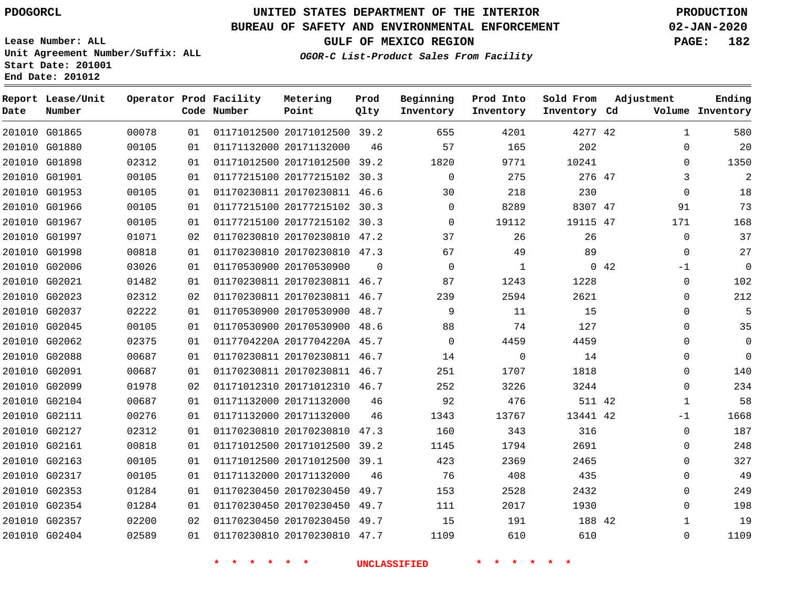# **UNITED STATES DEPARTMENT OF THE INTERIOR PDOGORCL PRODUCTION**

## **BUREAU OF SAFETY AND ENVIRONMENTAL ENFORCEMENT 02-JAN-2020**

**Lease Number: ALL Unit Agreement Number/Suffix: ALL Start Date: 201001 End Date: 201012**

**OGOR-C List-Product Sales From Facility**

**GULF OF MEXICO REGION PAGE: 182**

| Date | Report Lease/Unit<br>Number |       |    | Operator Prod Facility<br>Code Number | Metering<br>Point            | Prod<br>Qlty | Beginning<br>Inventory | Prod Into<br>Inventory | Sold From<br>Inventory Cd | Adjustment |              | Ending<br>Volume Inventory |
|------|-----------------------------|-------|----|---------------------------------------|------------------------------|--------------|------------------------|------------------------|---------------------------|------------|--------------|----------------------------|
|      | 201010 G01865               | 00078 | 01 |                                       | 01171012500 20171012500 39.2 |              | 655                    | 4201                   | 4277 42                   |            | 1            | 580                        |
|      | 201010 G01880               | 00105 | 01 |                                       | 01171132000 20171132000      | 46           | 57                     | 165                    | 202                       |            | $\Omega$     | 20                         |
|      | 201010 G01898               | 02312 | 01 |                                       | 01171012500 20171012500 39.2 |              | 1820                   | 9771                   | 10241                     |            | $\Omega$     | 1350                       |
|      | 201010 G01901               | 00105 | 01 |                                       | 01177215100 20177215102 30.3 |              | $\Omega$               | 275                    | 276 47                    |            | 3            | $\overline{2}$             |
|      | 201010 G01953               | 00105 | 01 |                                       | 01170230811 20170230811 46.6 |              | 30                     | 218                    | 230                       |            | 0            | 18                         |
|      | 201010 G01966               | 00105 | 01 |                                       | 01177215100 20177215102 30.3 |              | 0                      | 8289                   | 8307 47                   |            | 91           | 73                         |
|      | 201010 G01967               | 00105 | 01 |                                       | 01177215100 20177215102 30.3 |              | $\Omega$               | 19112                  | 19115 47                  |            | 171          | 168                        |
|      | 201010 G01997               | 01071 | 02 |                                       | 01170230810 20170230810 47.2 |              | 37                     | 26                     | 26                        |            | $\mathbf 0$  | 37                         |
|      | 201010 G01998               | 00818 | 01 |                                       | 01170230810 20170230810 47.3 |              | 67                     | 49                     | 89                        |            | $\Omega$     | 27                         |
|      | 201010 G02006               | 03026 | 01 |                                       | 01170530900 20170530900      | $\Omega$     | $\Omega$               | $\mathbf{1}$           |                           | 0.42       | $-1$         | $\overline{0}$             |
|      | 201010 G02021               | 01482 | 01 |                                       | 01170230811 20170230811 46.7 |              | 87                     | 1243                   | 1228                      |            | 0            | 102                        |
|      | 201010 G02023               | 02312 | 02 |                                       | 01170230811 20170230811 46.7 |              | 239                    | 2594                   | 2621                      |            | $\Omega$     | 212                        |
|      | 201010 G02037               | 02222 | 01 |                                       | 01170530900 20170530900 48.7 |              | 9                      | 11                     | 15                        |            | $\Omega$     | 5                          |
|      | 201010 G02045               | 00105 | 01 |                                       | 01170530900 20170530900 48.6 |              | 88                     | 74                     | 127                       |            | $\Omega$     | 35                         |
|      | 201010 G02062               | 02375 | 01 |                                       | 0117704220A 2017704220A 45.7 |              | $\Omega$               | 4459                   | 4459                      |            | $\Omega$     | $\Omega$                   |
|      | 201010 G02088               | 00687 | 01 |                                       | 01170230811 20170230811 46.7 |              | 14                     | $\mathbf 0$            | 14                        |            | $\Omega$     | $\Omega$                   |
|      | 201010 G02091               | 00687 | 01 |                                       | 01170230811 20170230811 46.7 |              | 251                    | 1707                   | 1818                      |            | $\Omega$     | 140                        |
|      | 201010 G02099               | 01978 | 02 |                                       | 01171012310 20171012310 46.7 |              | 252                    | 3226                   | 3244                      |            | 0            | 234                        |
|      | 201010 G02104               | 00687 | 01 |                                       | 01171132000 20171132000      | 46           | 92                     | 476                    | 511 42                    |            | $\mathbf{1}$ | 58                         |
|      | 201010 G02111               | 00276 | 01 |                                       | 01171132000 20171132000      | 46           | 1343                   | 13767                  | 13441 42                  |            | $-1$         | 1668                       |
|      | 201010 G02127               | 02312 | 01 |                                       | 01170230810 20170230810 47.3 |              | 160                    | 343                    | 316                       |            | $\Omega$     | 187                        |
|      | 201010 G02161               | 00818 | 01 |                                       | 01171012500 20171012500 39.2 |              | 1145                   | 1794                   | 2691                      |            | $\Omega$     | 248                        |
|      | 201010 G02163               | 00105 | 01 |                                       | 01171012500 20171012500 39.1 |              | 423                    | 2369                   | 2465                      |            | 0            | 327                        |
|      | 201010 G02317               | 00105 | 01 |                                       | 01171132000 20171132000      | 46           | 76                     | 408                    | 435                       |            | 0            | 49                         |
|      | 201010 G02353               | 01284 | 01 |                                       | 01170230450 20170230450 49.7 |              | 153                    | 2528                   | 2432                      |            | $\Omega$     | 249                        |
|      | 201010 G02354               | 01284 | 01 |                                       | 01170230450 20170230450 49.7 |              | 111                    | 2017                   | 1930                      |            | 0            | 198                        |
|      | 201010 G02357               | 02200 | 02 |                                       | 01170230450 20170230450 49.7 |              | 15                     | 191                    | 188 42                    |            | $\mathbf{1}$ | 19                         |
|      | 201010 G02404               | 02589 | 01 |                                       | 01170230810 20170230810 47.7 |              | 1109                   | 610                    | 610                       |            | $\Omega$     | 1109                       |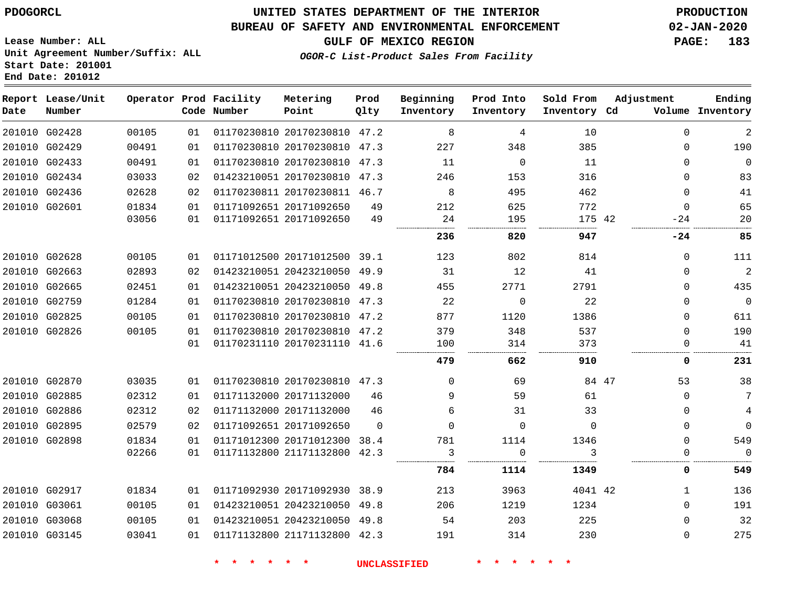### **BUREAU OF SAFETY AND ENVIRONMENTAL ENFORCEMENT 02-JAN-2020**

**Lease Number: ALL Unit Agreement Number/Suffix: ALL Start Date: 201001 End Date: 201012**

**GULF OF MEXICO REGION PAGE: 183**

**OGOR-C List-Product Sales From Facility**

| Date | Report Lease/Unit<br>Number |       |    | Operator Prod Facility<br>Code Number | Metering<br>Point            | Prod<br>Qlty | Beginning<br>Inventory | Prod Into<br>Inventory | Sold From<br>Inventory Cd | Adjustment  | Ending<br>Volume Inventory |
|------|-----------------------------|-------|----|---------------------------------------|------------------------------|--------------|------------------------|------------------------|---------------------------|-------------|----------------------------|
|      | 201010 G02428               | 00105 | 01 |                                       | 01170230810 20170230810 47.2 |              | 8                      | 4                      | 10                        | $\Omega$    | $\overline{a}$             |
|      | 201010 G02429               | 00491 | 01 |                                       | 01170230810 20170230810 47.3 |              | 227                    | 348                    | 385                       | $\Omega$    | 190                        |
|      | 201010 G02433               | 00491 | 01 |                                       | 01170230810 20170230810      | 47.3         | 11                     | $\mathbf 0$            | 11                        | $\mathbf 0$ | $\mathbf 0$                |
|      | 201010 G02434               | 03033 | 02 |                                       | 01423210051 20170230810 47.3 |              | 246                    | 153                    | 316                       | $\Omega$    | 83                         |
|      | 201010 G02436               | 02628 | 02 |                                       | 01170230811 20170230811 46.7 |              | 8                      | 495                    | 462                       | $\Omega$    | 41                         |
|      | 201010 G02601               | 01834 | 01 |                                       | 01171092651 20171092650      | 49           | 212                    | 625                    | 772                       | $\Omega$    | 65                         |
|      |                             | 03056 | 01 |                                       | 01171092651 20171092650      | 49           | 24                     | 195                    | 175 42                    | $-24$       | 20                         |
|      |                             |       |    |                                       |                              |              | 236                    | 820                    | 947                       | -24         | 85                         |
|      | 201010 G02628               | 00105 | 01 |                                       | 01171012500 20171012500 39.1 |              | 123                    | 802                    | 814                       | $\Omega$    | 111                        |
|      | 201010 G02663               | 02893 | 02 |                                       | 01423210051 20423210050 49.9 |              | 31                     | 12                     | 41                        | 0           | $\sqrt{2}$                 |
|      | 201010 G02665               | 02451 | 01 |                                       | 01423210051 20423210050 49.8 |              | 455                    | 2771                   | 2791                      | $\Omega$    | 435                        |
|      | 201010 G02759               | 01284 | 01 |                                       | 01170230810 20170230810 47.3 |              | 22                     | $\Omega$               | 22                        | $\Omega$    | $\mathbf 0$                |
|      | 201010 G02825               | 00105 | 01 |                                       | 01170230810 20170230810 47.2 |              | 877                    | 1120                   | 1386                      | 0           | 611                        |
|      | 201010 G02826               | 00105 | 01 |                                       | 01170230810 20170230810 47.2 |              | 379                    | 348                    | 537                       | 0           | 190                        |
|      |                             |       | 01 |                                       | 01170231110 20170231110 41.6 |              | 100                    | 314                    | 373                       | 0           | 41                         |
|      |                             |       |    |                                       |                              |              | 479                    | 662                    | 910                       | 0           | 231                        |
|      | 201010 G02870               | 03035 | 01 |                                       | 01170230810 20170230810 47.3 |              | $\mathbf 0$            | 69                     | 84 47                     | 53          | 38                         |
|      | 201010 G02885               | 02312 | 01 |                                       | 01171132000 20171132000      | 46           | 9                      | 59                     | 61                        | $\Omega$    | 7                          |
|      | 201010 G02886               | 02312 | 02 |                                       | 01171132000 20171132000      | 46           | 6                      | 31                     | 33                        | $\Omega$    | 4                          |
|      | 201010 G02895               | 02579 | 02 |                                       | 01171092651 20171092650      | $\Omega$     | $\Omega$               | $\Omega$               | $\Omega$                  | 0           | $\mathbf 0$                |
|      | 201010 G02898               | 01834 | 01 |                                       | 01171012300 20171012300 38.4 |              | 781                    | 1114                   | 1346                      | $\mathbf 0$ | 549                        |
|      |                             | 02266 | 01 |                                       | 01171132800 21171132800 42.3 |              | 3                      | $\Omega$               | κ                         | $\Omega$    | $\Omega$                   |
|      |                             |       |    |                                       |                              |              | 784                    | 1114                   | 1349                      | 0           | 549                        |
|      | 201010 G02917               | 01834 | 01 |                                       | 01171092930 20171092930 38.9 |              | 213                    | 3963                   | 4041 42                   | 1           | 136                        |
|      | 201010 G03061               | 00105 | 01 |                                       | 01423210051 20423210050      | 49.8         | 206                    | 1219                   | 1234                      | $\Omega$    | 191                        |
|      | 201010 G03068               | 00105 | 01 |                                       | 01423210051 20423210050 49.8 |              | 54                     | 203                    | 225                       | $\Omega$    | 32                         |
|      | 201010 G03145               | 03041 | 01 |                                       | 01171132800 21171132800 42.3 |              | 191                    | 314                    | 230                       | 0           | 275                        |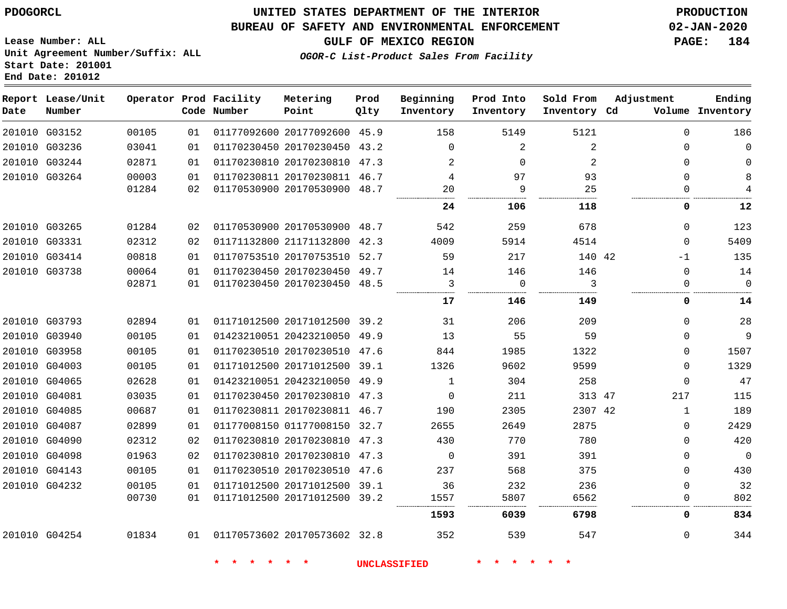**End Date: 201012**

## **UNITED STATES DEPARTMENT OF THE INTERIOR PDOGORCL PRODUCTION**

### **BUREAU OF SAFETY AND ENVIRONMENTAL ENFORCEMENT 02-JAN-2020**

**Lease Number: ALL Unit Agreement Number/Suffix: ALL Start Date: 201001**

**GULF OF MEXICO REGION PAGE: 184**

**OGOR-C List-Product Sales From Facility**

| Date | Report Lease/Unit<br>Number |       |    | Operator Prod Facility<br>Code Number | Metering<br>Point            | Prod<br>Qlty | Beginning<br>Inventory | Prod Into<br>Inventory | Sold From<br>Inventory Cd | Adjustment   | Ending<br>Volume Inventory |
|------|-----------------------------|-------|----|---------------------------------------|------------------------------|--------------|------------------------|------------------------|---------------------------|--------------|----------------------------|
|      | 201010 G03152               | 00105 | 01 |                                       | 01177092600 20177092600 45.9 |              | 158                    | 5149                   | 5121                      | $\Omega$     | 186                        |
|      | 201010 G03236               | 03041 | 01 |                                       | 01170230450 20170230450 43.2 |              | $\Omega$               | 2                      | 2                         | $\Omega$     | $\Omega$                   |
|      | 201010 G03244               | 02871 | 01 |                                       | 01170230810 20170230810 47.3 |              | 2                      | $\Omega$               | 2                         | $\Omega$     | $\Omega$                   |
|      | 201010 G03264               | 00003 | 01 |                                       | 01170230811 20170230811 46.7 |              | 4                      | 97                     | 93                        | $\Omega$     | 8                          |
|      |                             | 01284 | 02 |                                       | 01170530900 20170530900 48.7 |              | 20                     | 9                      | 25                        | $\Omega$     |                            |
|      |                             |       |    |                                       |                              |              | 24                     | 106                    | 118                       | 0            | 12                         |
|      | 201010 G03265               | 01284 | 02 |                                       | 01170530900 20170530900 48.7 |              | 542                    | 259                    | 678                       | $\Omega$     | 123                        |
|      | 201010 G03331               | 02312 | 02 |                                       | 01171132800 21171132800 42.3 |              | 4009                   | 5914                   | 4514                      | $\Omega$     | 5409                       |
|      | 201010 G03414               | 00818 | 01 |                                       | 01170753510 20170753510 52.7 |              | 59                     | 217                    | 140 42                    | $-1$         | 135                        |
|      | 201010 G03738               | 00064 | 01 |                                       | 01170230450 20170230450 49.7 |              | 14                     | 146                    | 146                       | $\Omega$     | 14                         |
|      |                             | 02871 | 01 |                                       | 01170230450 20170230450 48.5 |              | 3                      | $\Omega$               | 3                         | $\Omega$     | $\Omega$                   |
|      |                             |       |    |                                       |                              |              | 17                     | 146                    | 149                       | 0            | 14                         |
|      | 201010 G03793               | 02894 | 01 |                                       | 01171012500 20171012500 39.2 |              | 31                     | 206                    | 209                       | $\Omega$     | 28                         |
|      | 201010 G03940               | 00105 | 01 |                                       | 01423210051 20423210050 49.9 |              | 13                     | 55                     | 59                        | $\Omega$     | 9                          |
|      | 201010 G03958               | 00105 | 01 |                                       | 01170230510 20170230510 47.6 |              | 844                    | 1985                   | 1322                      | $\Omega$     | 1507                       |
|      | 201010 G04003               | 00105 | 01 |                                       | 01171012500 20171012500 39.1 |              | 1326                   | 9602                   | 9599                      | $\Omega$     | 1329                       |
|      | 201010 G04065               | 02628 | 01 |                                       | 01423210051 20423210050 49.9 |              | $\mathbf{1}$           | 304                    | 258                       | $\Omega$     | 47                         |
|      | 201010 G04081               | 03035 | 01 |                                       | 01170230450 20170230810 47.3 |              | $\Omega$               | 211                    | 313 47                    | 217          | 115                        |
|      | 201010 G04085               | 00687 | 01 |                                       | 01170230811 20170230811 46.7 |              | 190                    | 2305                   | 2307 42                   | $\mathbf{1}$ | 189                        |
|      | 201010 G04087               | 02899 | 01 |                                       | 01177008150 01177008150 32.7 |              | 2655                   | 2649                   | 2875                      | $\Omega$     | 2429                       |
|      | 201010 G04090               | 02312 | 02 |                                       | 01170230810 20170230810 47.3 |              | 430                    | 770                    | 780                       | $\Omega$     | 420                        |
|      | 201010 G04098               | 01963 | 02 |                                       | 01170230810 20170230810 47.3 |              | $\Omega$               | 391                    | 391                       | $\Omega$     | $\mathsf{O}$               |
|      | 201010 G04143               | 00105 | 01 |                                       | 01170230510 20170230510 47.6 |              | 237                    | 568                    | 375                       | $\Omega$     | 430                        |
|      | 201010 G04232               | 00105 | 01 |                                       | 01171012500 20171012500 39.1 |              | 36                     | 232                    | 236                       | $\Omega$     | 32                         |
|      |                             | 00730 | 01 |                                       | 01171012500 20171012500 39.2 |              | 1557                   | 5807                   | 6562                      | $\Omega$     | 802                        |
|      |                             |       |    |                                       |                              |              | 1593                   | 6039                   | 6798                      | 0            | 834                        |
|      | 201010 G04254               | 01834 |    | 01 01170573602 20170573602 32.8       |                              |              | 352                    | 539                    | 547                       | $\Omega$     | 344                        |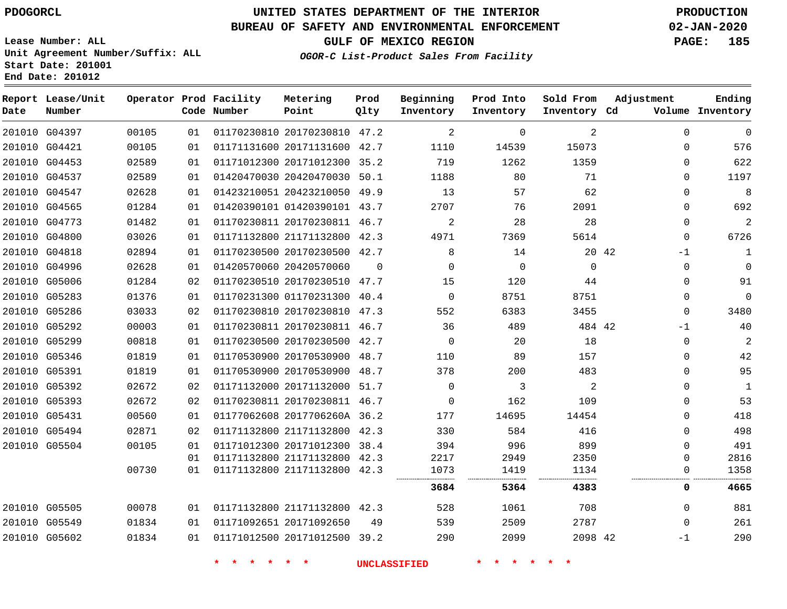**Report Lease/Unit**

**Number**

# **UNITED STATES DEPARTMENT OF THE INTERIOR PDOGORCL PRODUCTION**

**Prod Qlty**

#### **BUREAU OF SAFETY AND ENVIRONMENTAL ENFORCEMENT 02-JAN-2020**

**Lease Number: ALL Unit Agreement Number/Suffix: ALL Start Date: 201001 End Date: 201012**

**Operator Prod Facility**

**Code Number**

**Metering Point**

**OGOR-C List-Product Sales From Facility**

**Beginning Inventory** **Prod Into Inventory** **Sold From Inventory**

**GULF OF MEXICO REGION PAGE: 185**

**Inventory Cd Volume**

**Adjustment**

**Ending**

| 201010 G04397 | 00105 | 01 |                         | 01170230810 20170230810 47.2 |    | 2                   | $\Omega$    | 2           | $\Omega$ | $\mathbf 0$    |
|---------------|-------|----|-------------------------|------------------------------|----|---------------------|-------------|-------------|----------|----------------|
| 201010 G04421 | 00105 | 01 |                         | 01171131600 20171131600 42.7 |    | 1110                | 14539       | 15073       | 0        | 576            |
| 201010 G04453 | 02589 | 01 |                         | 01171012300 20171012300 35.2 |    | 719                 | 1262        | 1359        | $\Omega$ | 622            |
| 201010 G04537 | 02589 | 01 |                         | 01420470030 20420470030 50.1 |    | 1188                | 80          | 71          | 0        | 1197           |
| 201010 G04547 | 02628 | 01 |                         | 01423210051 20423210050 49.9 |    | 13                  | 57          | 62          | 0        | 8              |
| 201010 G04565 | 01284 | 01 |                         | 01420390101 01420390101 43.7 |    | 2707                | 76          | 2091        | $\Omega$ | 692            |
| 201010 G04773 | 01482 | 01 |                         | 01170230811 20170230811 46.7 |    | 2                   | 28          | 28          | $\Omega$ | $\overline{2}$ |
| 201010 G04800 | 03026 | 01 |                         | 01171132800 21171132800 42.3 |    | 4971                | 7369        | 5614        | 0        | 6726           |
| 201010 G04818 | 02894 | 01 |                         | 01170230500 20170230500 42.7 |    | 8                   | 14          | 20 42       | $-1$     | $\mathbf{1}$   |
| 201010 G04996 | 02628 | 01 |                         | 01420570060 20420570060      | 0  | 0                   | $\mathbf 0$ | $\mathbf 0$ | 0        | 0              |
| 201010 G05006 | 01284 | 02 |                         | 01170230510 20170230510 47.7 |    | 15                  | 120         | 44          | $\Omega$ | 91             |
| 201010 G05283 | 01376 | 01 |                         | 01170231300 01170231300 40.4 |    | $\overline{0}$      | 8751        | 8751        | 0        | $\mathbf 0$    |
| 201010 G05286 | 03033 | 02 |                         | 01170230810 20170230810 47.3 |    | 552                 | 6383        | 3455        | 0        | 3480           |
| 201010 G05292 | 00003 | 01 |                         | 01170230811 20170230811 46.7 |    | 36                  | 489         | 484 42      | -1       | 40             |
| 201010 G05299 | 00818 | 01 |                         | 01170230500 20170230500 42.7 |    | $\Omega$            | 20          | 18          | 0        | 2              |
| 201010 G05346 | 01819 | 01 |                         | 01170530900 20170530900 48.7 |    | 110                 | 89          | 157         | 0        | 42             |
| 201010 G05391 | 01819 | 01 |                         | 01170530900 20170530900 48.7 |    | 378                 | 200         | 483         | $\Omega$ | 95             |
| 201010 G05392 | 02672 | 02 |                         | 01171132000 20171132000 51.7 |    | $\Omega$            | 3           | 2           | $\Omega$ | 1              |
| 201010 G05393 | 02672 | 02 |                         | 01170230811 20170230811 46.7 |    | 0                   | 162         | 109         | $\Omega$ | 53             |
| 201010 G05431 | 00560 | 01 |                         | 01177062608 2017706260A 36.2 |    | 177                 | 14695       | 14454       | $\Omega$ | 418            |
| 201010 G05494 | 02871 | 02 |                         | 01171132800 21171132800 42.3 |    | 330                 | 584         | 416         | $\Omega$ | 498            |
| 201010 G05504 | 00105 | 01 |                         | 01171012300 20171012300 38.4 |    | 394                 | 996         | 899         | $\Omega$ | 491            |
|               |       | 01 |                         | 01171132800 21171132800 42.3 |    | 2217                | 2949        | 2350        | 0        | 2816           |
|               | 00730 | 01 |                         | 01171132800 21171132800 42.3 |    | 1073                | 1419        | 1134        | 0        | 1358           |
|               |       |    |                         |                              |    | 3684                | 5364        | 4383        | 0        | 4665           |
| 201010 G05505 | 00078 | 01 |                         | 01171132800 21171132800 42.3 |    | 528                 | 1061        | 708         | $\Omega$ | 881            |
| 201010 G05549 | 01834 | 01 | 01171092651 20171092650 |                              | 49 | 539                 | 2509        | 2787        | $\Omega$ | 261            |
| 201010 G05602 | 01834 | 01 |                         | 01171012500 20171012500 39.2 |    | 290                 | 2099        | 2098 42     | -1       | 290            |
|               |       |    |                         |                              |    | <b>UNCLASSIFIED</b> |             |             |          |                |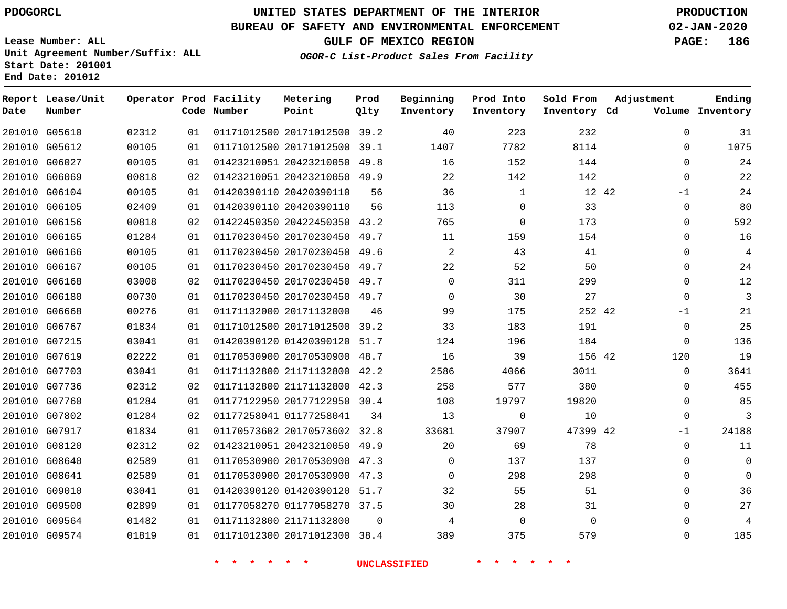## **BUREAU OF SAFETY AND ENVIRONMENTAL ENFORCEMENT 02-JAN-2020**

**Lease Number: ALL Unit Agreement Number/Suffix: ALL Start Date: 201001**

**OGOR-C List-Product Sales From Facility**

**GULF OF MEXICO REGION PAGE: 186**

**Ending**

|        | End Date: 201012            |        |          |                                       |                         |              |
|--------|-----------------------------|--------|----------|---------------------------------------|-------------------------|--------------|
| Date   | Report Lease/Unit<br>Number |        |          | Operator Prod Facility<br>Code Number | Metering<br>Point       | Prod<br>Qlty |
| 201010 | G05610                      | 02312  | 01       |                                       | 01171012500 20171012500 | 39.2         |
| 201010 | G05612                      | 00105  | 01       |                                       | 01171012500 20171012500 | 39.1         |
| 201010 | G06027                      | 00105  | 01       |                                       | 01423210051 20423210050 | 49.8         |
| 201010 | G06069                      | 00818  | 02       |                                       | 01423210051 20423210050 | 49.9         |
|        | 201010 COCIDA               | 0.010E | $\cap$ 1 |                                       | 01430300110 30430300110 | $E \subset$  |

| Date | Number        |       |    | Code Number | Point                        | Qlty     | Inventory   | Inventory    | Inventory Cd |              | Volume Inventory |
|------|---------------|-------|----|-------------|------------------------------|----------|-------------|--------------|--------------|--------------|------------------|
|      | 201010 G05610 | 02312 | 01 |             | 01171012500 20171012500 39.2 |          | 40          | 223          | 232          | $\mathbf{0}$ | 31               |
|      | 201010 G05612 | 00105 | 01 |             | 01171012500 20171012500      | 39.1     | 1407        | 7782         | 8114         | 0            | 1075             |
|      | 201010 G06027 | 00105 | 01 |             | 01423210051 20423210050      | 49.8     | 16          | 152          | 144          | 0            | 24               |
|      | 201010 G06069 | 00818 | 02 |             | 01423210051 20423210050 49.9 |          | 22          | 142          | 142          | $\mathbf{0}$ | 22               |
|      | 201010 G06104 | 00105 | 01 |             | 01420390110 20420390110      | 56       | 36          | $\mathbf{1}$ | 12 42        | $-1$         | 24               |
|      | 201010 G06105 | 02409 | 01 |             | 01420390110 20420390110      | 56       | 113         | $\Omega$     | 33           | $\Omega$     | 80               |
|      | 201010 G06156 | 00818 | 02 |             | 01422450350 20422450350 43.2 |          | 765         | $\mathbf 0$  | 173          | $\mathbf{0}$ | 592              |
|      | 201010 G06165 | 01284 | 01 |             | 01170230450 20170230450 49.7 |          | 11          | 159          | 154          | $\mathbf{0}$ | 16               |
|      | 201010 G06166 | 00105 | 01 |             | 01170230450 20170230450 49.6 |          | 2           | 43           | 41           | 0            | 4                |
|      | 201010 G06167 | 00105 | 01 |             | 01170230450 20170230450 49.7 |          | 22          | 52           | 50           | 0            | 24               |
|      | 201010 G06168 | 03008 | 02 |             | 01170230450 20170230450 49.7 |          | $\mathbf 0$ | 311          | 299          | $\mathbf{0}$ | 12               |
|      | 201010 G06180 | 00730 | 01 |             | 01170230450 20170230450 49.7 |          | $\Omega$    | 30           | 27           | $\Omega$     | 3                |
|      | 201010 G06668 | 00276 | 01 |             | 01171132000 20171132000      | 46       | 99          | 175          | 252 42       | -1           | 21               |
|      | 201010 G06767 | 01834 | 01 |             | 01171012500 20171012500      | 39.2     | 33          | 183          | 191          | 0            | 25               |
|      | 201010 G07215 | 03041 | 01 |             | 01420390120 01420390120      | 51.7     | 124         | 196          | 184          | $\Omega$     | 136              |
|      | 201010 G07619 | 02222 | 01 |             | 01170530900 20170530900 48.7 |          | 16          | 39           | 156 42       | 120          | 19               |
|      | 201010 G07703 | 03041 | 01 |             | 01171132800 21171132800 42.2 |          | 2586        | 4066         | 3011         | $\mathbf{0}$ | 3641             |
|      | 201010 G07736 | 02312 | 02 |             | 01171132800 21171132800      | 42.3     | 258         | 577          | 380          | 0            | 455              |
|      | 201010 G07760 | 01284 | 01 |             | 01177122950 20177122950 30.4 |          | 108         | 19797        | 19820        | 0            | 85               |
|      | 201010 G07802 | 01284 | 02 |             | 01177258041 01177258041      | 34       | 13          | $\Omega$     | 10           | 0            | 3                |
|      | 201010 G07917 | 01834 | 01 |             | 01170573602 20170573602 32.8 |          | 33681       | 37907        | 47399 42     | -1           | 24188            |
|      | 201010 G08120 | 02312 | 02 |             | 01423210051 20423210050      | 49.9     | 20          | 69           | 78           | $\mathbf{0}$ | 11               |
|      | 201010 G08640 | 02589 | 01 |             | 01170530900 20170530900 47.3 |          | 0           | 137          | 137          | $\Omega$     | $\mathbf 0$      |
|      | 201010 G08641 | 02589 | 01 |             | 01170530900 20170530900 47.3 |          | $\mathbf 0$ | 298          | 298          | 0            | $\Omega$         |
|      | 201010 G09010 | 03041 | 01 |             | 01420390120 01420390120      | 51.7     | 32          | 55           | 51           | 0            | 36               |
|      | 201010 G09500 | 02899 | 01 |             | 01177058270 01177058270 37.5 |          | 30          | 28           | 31           | $\Omega$     | 27               |
|      | 201010 G09564 | 01482 | 01 |             | 01171132800 21171132800      | $\Omega$ | 4           | $\Omega$     | $\Omega$     | $\Omega$     | $\overline{4}$   |
|      | 201010 G09574 | 01819 | 01 |             | 01171012300 20171012300 38.4 |          | 389         | 375          | 579          | $\mathbf{0}$ | 185              |

**\* \* \* \* \* \* UNCLASSIFIED \* \* \* \* \* \***

**Beginning Prod Into Sold From Adjustment**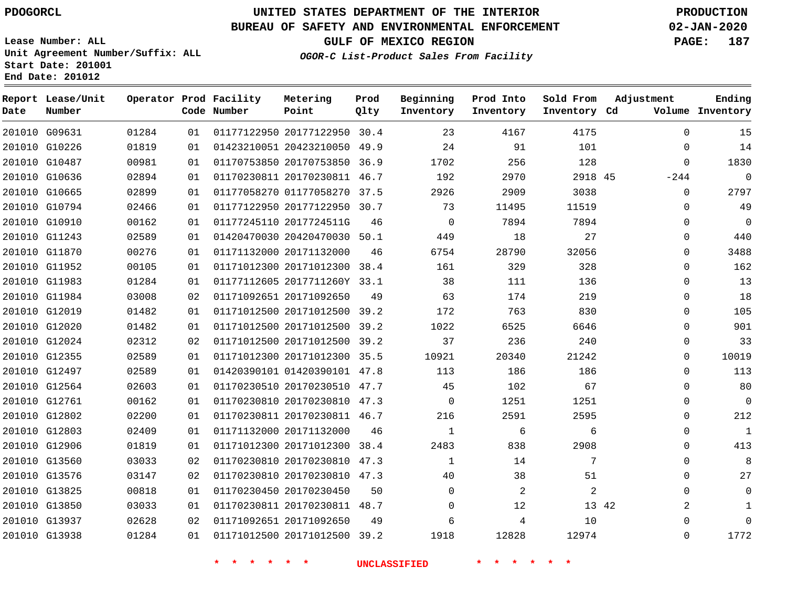**Report Lease/Unit**

# **UNITED STATES DEPARTMENT OF THE INTERIOR PDOGORCL PRODUCTION**

**Prod**

#### **BUREAU OF SAFETY AND ENVIRONMENTAL ENFORCEMENT 02-JAN-2020**

**Lease Number: ALL Unit Agreement Number/Suffix: ALL Start Date: 201001 End Date: 201012**

**Operator Prod Facility Metering**

**OGOR-C List-Product Sales From Facility**

**Beginning Prod Into**

**Sold From**

**GULF OF MEXICO REGION PAGE: 187**

**Adjustment**

**Ending**

| Date | Number        |       |    | Code Number | Point                        | Qlty | Inventory    | Inventory | Inventory Cd |             | Volume Inventory |
|------|---------------|-------|----|-------------|------------------------------|------|--------------|-----------|--------------|-------------|------------------|
|      | 201010 G09631 | 01284 | 01 |             | 01177122950 20177122950 30.4 |      | 23           | 4167      | 4175         | $\Omega$    | 15               |
|      | 201010 G10226 | 01819 | 01 |             | 01423210051 20423210050 49.9 |      | 24           | 91        | 101          | $\Omega$    | 14               |
|      | 201010 G10487 | 00981 | 01 |             | 01170753850 20170753850 36.9 |      | 1702         | 256       | 128          | $\mathbf 0$ | 1830             |
|      | 201010 G10636 | 02894 | 01 |             | 01170230811 20170230811 46.7 |      | 192          | 2970      | 2918 45      | $-244$      | $\mathbf 0$      |
|      | 201010 G10665 | 02899 | 01 |             | 01177058270 01177058270 37.5 |      | 2926         | 2909      | 3038         | $\Omega$    | 2797             |
|      | 201010 G10794 | 02466 | 01 |             | 01177122950 20177122950 30.7 |      | 73           | 11495     | 11519        | $\Omega$    | 49               |
|      | 201010 G10910 | 00162 | 01 |             | 01177245110 2017724511G      | 46   | $\Omega$     | 7894      | 7894         | $\Omega$    | 0                |
|      | 201010 G11243 | 02589 | 01 |             | 01420470030 20420470030 50.1 |      | 449          | 18        | 27           | $\Omega$    | 440              |
|      | 201010 G11870 | 00276 | 01 |             | 01171132000 20171132000      | 46   | 6754         | 28790     | 32056        | 0           | 3488             |
|      | 201010 G11952 | 00105 | 01 |             | 01171012300 20171012300 38.4 |      | 161          | 329       | 328          | $\Omega$    | 162              |
|      | 201010 G11983 | 01284 | 01 |             | 01177112605 2017711260Y 33.1 |      | 38           | 111       | 136          | $\Omega$    | 13               |
|      | 201010 G11984 | 03008 | 02 |             | 01171092651 20171092650      | 49   | 63           | 174       | 219          | $\Omega$    | 18               |
|      | 201010 G12019 | 01482 | 01 |             | 01171012500 20171012500 39.2 |      | 172          | 763       | 830          | $\Omega$    | 105              |
|      | 201010 G12020 | 01482 | 01 |             | 01171012500 20171012500 39.2 |      | 1022         | 6525      | 6646         | $\Omega$    | 901              |
|      | 201010 G12024 | 02312 | 02 |             | 01171012500 20171012500 39.2 |      | 37           | 236       | 240          | 0           | 33               |
|      | 201010 G12355 | 02589 | 01 |             | 01171012300 20171012300 35.5 |      | 10921        | 20340     | 21242        | $\Omega$    | 10019            |
|      | 201010 G12497 | 02589 | 01 |             | 01420390101 01420390101 47.8 |      | 113          | 186       | 186          | $\Omega$    | 113              |
|      | 201010 G12564 | 02603 | 01 |             | 01170230510 20170230510 47.7 |      | 45           | 102       | 67           | $\Omega$    | 80               |
|      | 201010 G12761 | 00162 | 01 |             | 01170230810 20170230810 47.3 |      | $\Omega$     | 1251      | 1251         | $\Omega$    | $\mathbf 0$      |
|      | 201010 G12802 | 02200 | 01 |             | 01170230811 20170230811 46.7 |      | 216          | 2591      | 2595         | $\Omega$    | 212              |
|      | 201010 G12803 | 02409 | 01 |             | 01171132000 20171132000      | 46   | $\mathbf{1}$ | 6         | 6            | 0           | $\mathbf 1$      |
|      | 201010 G12906 | 01819 | 01 |             | 01171012300 20171012300 38.4 |      | 2483         | 838       | 2908         | $\Omega$    | 413              |
|      | 201010 G13560 | 03033 | 02 |             | 01170230810 20170230810 47.3 |      | $\mathbf{1}$ | 14        | 7            | $\Omega$    | 8                |
|      | 201010 G13576 | 03147 | 02 |             | 01170230810 20170230810 47.3 |      | 40           | 38        | 51           | $\Omega$    | 27               |
|      | 201010 G13825 | 00818 | 01 |             | 01170230450 20170230450      | 50   | $\mathbf 0$  | 2         | 2            | $\Omega$    | $\overline{0}$   |
|      | 201010 G13850 | 03033 | 01 |             | 01170230811 20170230811 48.7 |      | $\Omega$     | 12        | 13 42        | 2           | 1                |
|      | 201010 G13937 | 02628 | 02 |             | 01171092651 20171092650      | 49   | 6            | 4         | 10           | 0           | $\Omega$         |
|      | 201010 G13938 | 01284 | 01 |             | 01171012500 20171012500 39.2 |      | 1918         | 12828     | 12974        | $\mathbf 0$ | 1772             |
|      |               |       |    |             |                              |      |              |           |              |             |                  |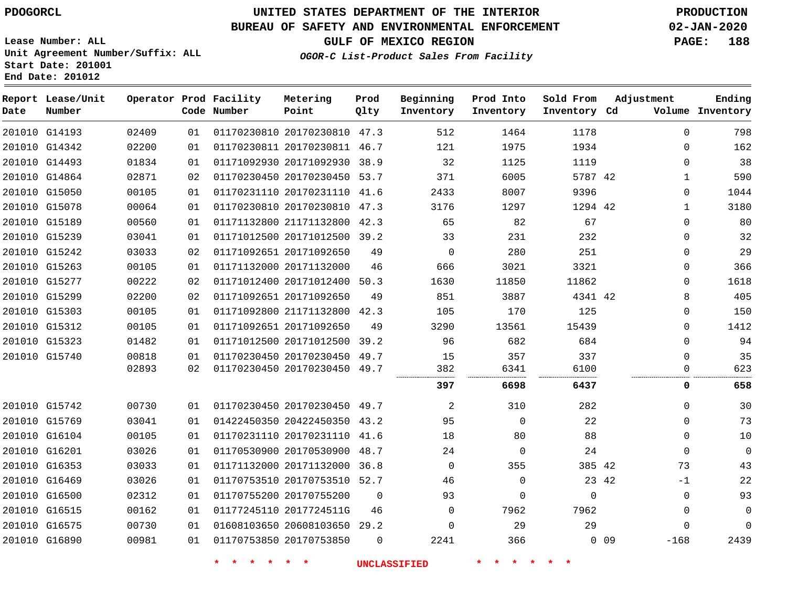**End Date: 201012**

# **UNITED STATES DEPARTMENT OF THE INTERIOR PDOGORCL PRODUCTION**

**Prod**

#### **BUREAU OF SAFETY AND ENVIRONMENTAL ENFORCEMENT 02-JAN-2020**

**Lease Number: ALL Unit Agreement Number/Suffix: ALL Start Date: 201001**

**OGOR-C List-Product Sales From Facility**

**Beginning**

**Prod Into**

**Sold From**

**GULF OF MEXICO REGION PAGE: 188**

**Adjustment**

**Ending**

| Date | Report Lease/Unit<br>Number |       |    | Operator Prod Facility<br>Code Number | Metering<br>Point            | Prod<br>Qlty | Beginning<br>Inventory | Prod Into<br>Inventory | Sold From<br>Inventory Cd | Adjustment      |              | Ending<br>Volume Inventory |
|------|-----------------------------|-------|----|---------------------------------------|------------------------------|--------------|------------------------|------------------------|---------------------------|-----------------|--------------|----------------------------|
|      | 201010 G14193               | 02409 | 01 |                                       | 01170230810 20170230810 47.3 |              | 512                    | 1464                   | 1178                      |                 | $\mathbf{0}$ | 798                        |
|      | 201010 G14342               | 02200 | 01 |                                       | 01170230811 20170230811 46.7 |              | 121                    | 1975                   | 1934                      |                 | $\Omega$     | 162                        |
|      | 201010 G14493               | 01834 | 01 |                                       | 01171092930 20171092930 38.9 |              | 32                     | 1125                   | 1119                      |                 | $\Omega$     | 38                         |
|      | 201010 G14864               | 02871 | 02 |                                       | 01170230450 20170230450 53.7 |              | 371                    | 6005                   | 5787 42                   |                 | 1            | 590                        |
|      | 201010 G15050               | 00105 | 01 |                                       | 01170231110 20170231110 41.6 |              | 2433                   | 8007                   | 9396                      |                 | 0            | 1044                       |
|      | 201010 G15078               | 00064 | 01 |                                       | 01170230810 20170230810 47.3 |              | 3176                   | 1297                   | 1294 42                   |                 | $\mathbf{1}$ | 3180                       |
|      | 201010 G15189               | 00560 | 01 |                                       | 01171132800 21171132800 42.3 |              | 65                     | 82                     | 67                        |                 | $\Omega$     | 80                         |
|      | 201010 G15239               | 03041 | 01 |                                       | 01171012500 20171012500 39.2 |              | 33                     | 231                    | 232                       |                 | $\Omega$     | 32                         |
|      | 201010 G15242               | 03033 | 02 |                                       | 01171092651 20171092650      | 49           | 0                      | 280                    | 251                       |                 | $\mathbf{0}$ | 29                         |
|      | 201010 G15263               | 00105 | 01 |                                       | 01171132000 20171132000      | 46           | 666                    | 3021                   | 3321                      |                 | $\Omega$     | 366                        |
|      | 201010 G15277               | 00222 | 02 |                                       | 01171012400 20171012400      | 50.3         | 1630                   | 11850                  | 11862                     |                 | $\Omega$     | 1618                       |
|      | 201010 G15299               | 02200 | 02 |                                       | 01171092651 20171092650      | 49           | 851                    | 3887                   | 4341 42                   |                 | 8            | 405                        |
|      | 201010 G15303               | 00105 | 01 |                                       | 01171092800 21171132800 42.3 |              | 105                    | 170                    | 125                       |                 | 0            | 150                        |
|      | 201010 G15312               | 00105 | 01 |                                       | 01171092651 20171092650      | 49           | 3290                   | 13561                  | 15439                     |                 | $\Omega$     | 1412                       |
|      | 201010 G15323               | 01482 | 01 |                                       | 01171012500 20171012500 39.2 |              | 96                     | 682                    | 684                       |                 | $\Omega$     | 94                         |
|      | 201010 G15740               | 00818 | 01 |                                       | 01170230450 20170230450 49.7 |              | 15                     | 357                    | 337                       |                 | 0            | 35                         |
|      |                             | 02893 | 02 |                                       | 01170230450 20170230450 49.7 |              | 382                    | 6341                   | 6100                      |                 | 0            | 623                        |
|      |                             |       |    |                                       |                              |              | 397                    | 6698                   | 6437                      |                 | 0            | 658                        |
|      | 201010 G15742               | 00730 | 01 |                                       | 01170230450 20170230450 49.7 |              | 2                      | 310                    | 282                       |                 | $\Omega$     | 30                         |
|      | 201010 G15769               | 03041 | 01 |                                       | 01422450350 20422450350 43.2 |              | 95                     | $\Omega$               | 22                        |                 | $\Omega$     | 73                         |
|      | 201010 G16104               | 00105 | 01 |                                       | 01170231110 20170231110 41.6 |              | 18                     | 80                     | 88                        |                 | $\mathbf 0$  | 10                         |
|      | 201010 G16201               | 03026 | 01 |                                       | 01170530900 20170530900 48.7 |              | 24                     | $\Omega$               | 24                        |                 | $\Omega$     | $\mathbf 0$                |
|      | 201010 G16353               | 03033 | 01 |                                       | 01171132000 20171132000 36.8 |              | $\Omega$               | 355                    | 385 42                    |                 | 73           | 43                         |
|      | 201010 G16469               | 03026 | 01 |                                       | 01170753510 20170753510 52.7 |              | 46                     | $\Omega$               | 23 42                     |                 | $-1$         | 22                         |
|      | 201010 G16500               | 02312 | 01 |                                       | 01170755200 20170755200      | $\Omega$     | 93                     | 0                      | $\mathbf 0$               |                 | $\mathbf 0$  | 93                         |
|      | 201010 G16515               | 00162 | 01 |                                       | 01177245110 2017724511G      | 46           | $\mathbf 0$            | 7962                   | 7962                      |                 | $\Omega$     | $\mathbf 0$                |
|      | 201010 G16575               | 00730 | 01 |                                       | 01608103650 20608103650 29.2 |              | $\Omega$               | 29                     | 29                        |                 | $\Omega$     | $\Omega$                   |
|      | 201010 G16890               | 00981 | 01 |                                       | 01170753850 20170753850      | $\Omega$     | 2241                   | 366                    |                           | 0 <sub>09</sub> | $-168$       | 2439                       |
|      |                             |       |    |                                       |                              |              |                        |                        |                           |                 |              |                            |

**Metering**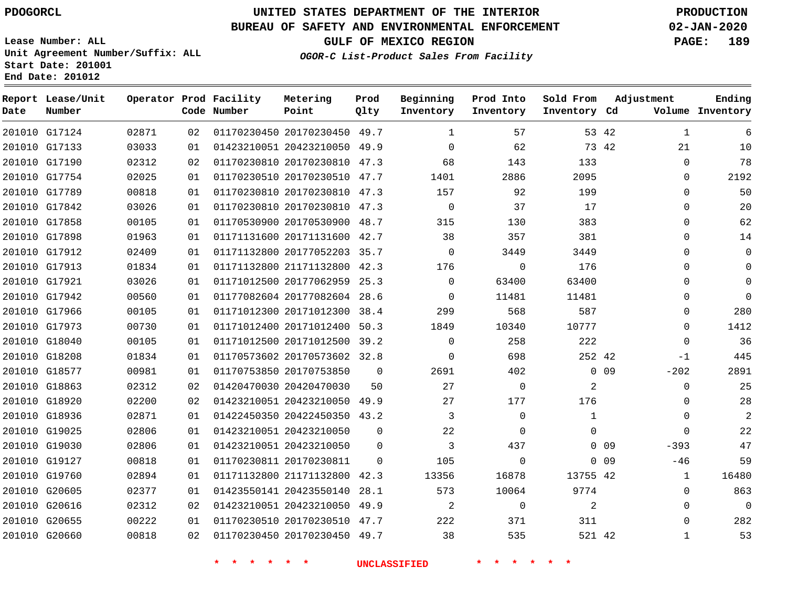## **BUREAU OF SAFETY AND ENVIRONMENTAL ENFORCEMENT 02-JAN-2020**

**Lease Number: ALL Unit Agreement Number/Suffix: ALL Start Date: 201001 End Date: 201012**

**GULF OF MEXICO REGION PAGE: 189**

**OGOR-C List-Product Sales From Facility**

| Date | Report Lease/Unit<br>Number |       |    | Operator Prod Facility<br>Code Number | Metering<br>Point            | Prod<br>Qlty | Beginning<br>Inventory | Prod Into<br>Inventory | Sold From<br>Inventory Cd | Adjustment      |              | Ending<br>Volume Inventory |
|------|-----------------------------|-------|----|---------------------------------------|------------------------------|--------------|------------------------|------------------------|---------------------------|-----------------|--------------|----------------------------|
|      | 201010 G17124               | 02871 | 02 |                                       | 01170230450 20170230450 49.7 |              | 1                      | 57                     |                           | 53 42           | $\mathbf{1}$ | 6                          |
|      | 201010 G17133               | 03033 | 01 |                                       | 01423210051 20423210050 49.9 |              | $\Omega$               | 62                     |                           | 73 42           | 21           | 10                         |
|      | 201010 G17190               | 02312 | 02 |                                       | 01170230810 20170230810      | 47.3         | 68                     | 143                    | 133                       |                 | $\Omega$     | 78                         |
|      | 201010 G17754               | 02025 | 01 |                                       | 01170230510 20170230510 47.7 |              | 1401                   | 2886                   | 2095                      |                 | $\Omega$     | 2192                       |
|      | 201010 G17789               | 00818 | 01 |                                       | 01170230810 20170230810      | 47.3         | 157                    | 92                     | 199                       |                 | $\Omega$     | 50                         |
|      | 201010 G17842               | 03026 | 01 |                                       | 01170230810 20170230810 47.3 |              | $\mathbf 0$            | 37                     | 17                        |                 | $\mathbf 0$  | 20                         |
|      | 201010 G17858               | 00105 | 01 |                                       | 01170530900 20170530900      | 48.7         | 315                    | 130                    | 383                       |                 | $\Omega$     | 62                         |
|      | 201010 G17898               | 01963 | 01 |                                       | 01171131600 20171131600 42.7 |              | 38                     | 357                    | 381                       |                 | 0            | 14                         |
|      | 201010 G17912               | 02409 | 01 |                                       | 01171132800 20177052203 35.7 |              | $\Omega$               | 3449                   | 3449                      |                 | $\Omega$     | $\Omega$                   |
|      | 201010 G17913               | 01834 | 01 |                                       | 01171132800 21171132800 42.3 |              | 176                    | $\mathbf 0$            | 176                       |                 | 0            | $\Omega$                   |
|      | 201010 G17921               | 03026 | 01 |                                       | 01171012500 20177062959 25.3 |              | $\Omega$               | 63400                  | 63400                     |                 | $\Omega$     | $\Omega$                   |
|      | 201010 G17942               | 00560 | 01 |                                       | 01177082604 20177082604 28.6 |              | $\Omega$               | 11481                  | 11481                     |                 | 0            | $\Omega$                   |
|      | 201010 G17966               | 00105 | 01 |                                       | 01171012300 20171012300 38.4 |              | 299                    | 568                    | 587                       |                 | $\Omega$     | 280                        |
|      | 201010 G17973               | 00730 | 01 |                                       | 01171012400 20171012400      | 50.3         | 1849                   | 10340                  | 10777                     |                 | $\Omega$     | 1412                       |
|      | 201010 G18040               | 00105 | 01 |                                       | 01171012500 20171012500 39.2 |              | $\Omega$               | 258                    | 222                       |                 | $\Omega$     | 36                         |
|      | 201010 G18208               | 01834 | 01 |                                       | 01170573602 20170573602 32.8 |              | $\mathbf 0$            | 698                    | 252 42                    |                 | $-1$         | 445                        |
|      | 201010 G18577               | 00981 | 01 |                                       | 01170753850 20170753850      | $\mathbf 0$  | 2691                   | 402                    |                           | $0\quad09$      | $-202$       | 2891                       |
|      | 201010 G18863               | 02312 | 02 |                                       | 01420470030 20420470030      | 50           | 27                     | $\mathbf 0$            | $\overline{2}$            |                 | $\mathbf 0$  | 25                         |
|      | 201010 G18920               | 02200 | 02 |                                       | 01423210051 20423210050 49.9 |              | 27                     | 177                    | 176                       |                 | 0            | 28                         |
|      | 201010 G18936               | 02871 | 01 |                                       | 01422450350 20422450350 43.2 |              | 3                      | $\mathbf 0$            | $\mathbf{1}$              |                 | $\mathbf 0$  | $\overline{2}$             |
|      | 201010 G19025               | 02806 | 01 |                                       | 01423210051 20423210050      | $\mathbf 0$  | 22                     | $\Omega$               | $\Omega$                  |                 | $\Omega$     | 22                         |
|      | 201010 G19030               | 02806 | 01 |                                       | 01423210051 20423210050      | $\Omega$     | 3                      | 437                    |                           | $0\quad09$      | $-393$       | 47                         |
|      | 201010 G19127               | 00818 | 01 |                                       | 01170230811 20170230811      | $\Omega$     | 105                    | $\Omega$               |                           | 0 <sub>09</sub> | $-46$        | 59                         |
|      | 201010 G19760               | 02894 | 01 |                                       | 01171132800 21171132800      | 42.3         | 13356                  | 16878                  | 13755 42                  |                 | $\mathbf{1}$ | 16480                      |
|      | 201010 G20605               | 02377 | 01 |                                       | 01423550141 20423550140      | 28.1         | 573                    | 10064                  | 9774                      |                 | 0            | 863                        |
|      | 201010 G20616               | 02312 | 02 |                                       | 01423210051 20423210050      | 49.9         | 2                      | $\Omega$               | $\overline{2}$            |                 | $\Omega$     | $\Omega$                   |
|      | 201010 G20655               | 00222 | 01 |                                       | 01170230510 20170230510      | 47.7         | 222                    | 371                    | 311                       |                 | $\Omega$     | 282                        |
|      | 201010 G20660               | 00818 | 02 |                                       | 01170230450 20170230450 49.7 |              | 38                     | 535                    | 521 42                    |                 | $\mathbf{1}$ | 53                         |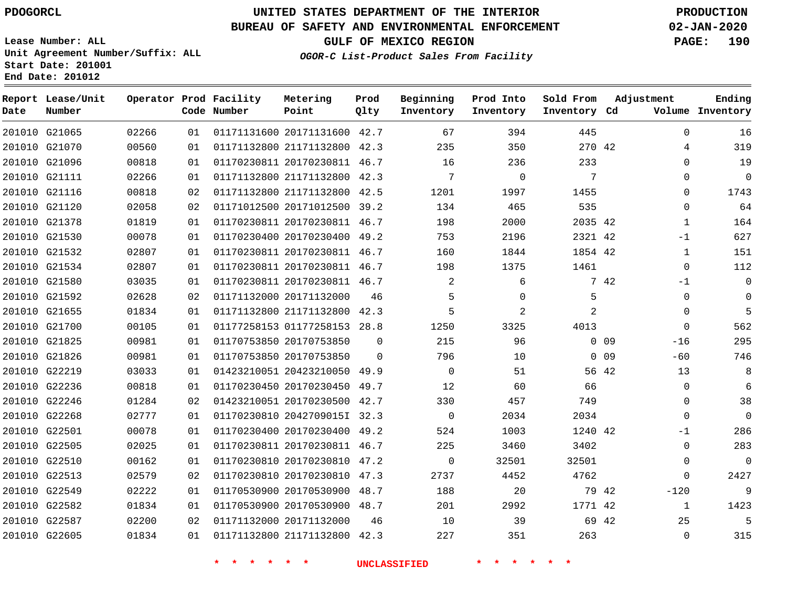**Report Lease/Unit**

**Number**

# **UNITED STATES DEPARTMENT OF THE INTERIOR PDOGORCL PRODUCTION**

**Prod Qlty**

**Metering Point**

#### **BUREAU OF SAFETY AND ENVIRONMENTAL ENFORCEMENT 02-JAN-2020**

**Lease Number: ALL Unit Agreement Number/Suffix: ALL Start Date: 201001 End Date: 201012**

**Operator Prod Facility**

**OGOR-C List-Product Sales From Facility**

**Beginning Inventory** **Prod Into Inventory** **Sold From Inventory**

**Adjustment**

**GULF OF MEXICO REGION PAGE: 190**

**Ending**

| Date | Number        |       |    | Code Number            | Point                        | Qlty     | Inventory           | Inventory | Inventory Cd    |            |              | Volume Inventory |
|------|---------------|-------|----|------------------------|------------------------------|----------|---------------------|-----------|-----------------|------------|--------------|------------------|
|      | 201010 G21065 | 02266 | 01 |                        | 01171131600 20171131600 42.7 |          | 67                  | 394       | 445             |            | $\mathbf 0$  | 16               |
|      | 201010 G21070 | 00560 | 01 |                        | 01171132800 21171132800 42.3 |          | 235                 | 350       | 270 42          |            | 4            | 319              |
|      | 201010 G21096 | 00818 | 01 |                        | 01170230811 20170230811 46.7 |          | 16                  | 236       | 233             |            | $\Omega$     | 19               |
|      | 201010 G21111 | 02266 | 01 |                        | 01171132800 21171132800 42.3 |          | 7                   | $\Omega$  | 7               |            | $\Omega$     | $\mathbf 0$      |
|      | 201010 G21116 | 00818 | 02 |                        | 01171132800 21171132800 42.5 |          | 1201                | 1997      | 1455            |            | $\Omega$     | 1743             |
|      | 201010 G21120 | 02058 | 02 |                        | 01171012500 20171012500 39.2 |          | 134                 | 465       | 535             |            | 0            | 64               |
|      | 201010 G21378 | 01819 | 01 |                        | 01170230811 20170230811 46.7 |          | 198                 | 2000      | 2035 42         |            | $\mathbf{1}$ | 164              |
|      | 201010 G21530 | 00078 | 01 |                        | 01170230400 20170230400 49.2 |          | 753                 | 2196      | 2321 42         |            | $-1$         | 627              |
|      | 201010 G21532 | 02807 | 01 |                        | 01170230811 20170230811 46.7 |          | 160                 | 1844      | 1854 42         |            | $\mathbf{1}$ | 151              |
|      | 201010 G21534 | 02807 | 01 |                        | 01170230811 20170230811 46.7 |          | 198                 | 1375      | 1461            |            | $\mathbf{0}$ | 112              |
|      | 201010 G21580 | 03035 | 01 |                        | 01170230811 20170230811 46.7 |          | 2                   | 6         |                 | 7 42       | $-1$         | $\mathbf 0$      |
|      | 201010 G21592 | 02628 | 02 |                        | 01171132000 20171132000      | 46       | 5                   | 0         | 5               |            | $\mathbf 0$  | $\boldsymbol{0}$ |
|      | 201010 G21655 | 01834 | 01 |                        | 01171132800 21171132800 42.3 |          | 5                   | 2         | 2               |            | $\Omega$     | 5                |
|      | 201010 G21700 | 00105 | 01 |                        | 01177258153 01177258153 28.8 |          | 1250                | 3325      | 4013            |            | $\mathbf 0$  | 562              |
|      | 201010 G21825 | 00981 | 01 |                        | 01170753850 20170753850      | $\Omega$ | 215                 | 96        |                 | $0\quad09$ | $-16$        | 295              |
|      | 201010 G21826 | 00981 | 01 |                        | 01170753850 20170753850      | $\Omega$ | 796                 | 10        |                 | $0\quad09$ | $-60$        | 746              |
|      | 201010 G22219 | 03033 | 01 |                        | 01423210051 20423210050 49.9 |          | $\Omega$            | 51        |                 | 56 42      | 13           | 8                |
|      | 201010 G22236 | 00818 | 01 |                        | 01170230450 20170230450 49.7 |          | 12                  | 60        | 66              |            | $\mathbf{0}$ | 6                |
|      | 201010 G22246 | 01284 | 02 |                        | 01423210051 20170230500 42.7 |          | 330                 | 457       | 749             |            | $\mathbf 0$  | 38               |
|      | 201010 G22268 | 02777 | 01 |                        | 01170230810 2042709015I 32.3 |          | $\overline{0}$      | 2034      | 2034            |            | $\Omega$     | $\overline{0}$   |
|      | 201010 G22501 | 00078 | 01 |                        | 01170230400 20170230400 49.2 |          | 524                 | 1003      | 1240 42         |            | $-1$         | 286              |
|      | 201010 G22505 | 02025 | 01 |                        | 01170230811 20170230811 46.7 |          | 225                 | 3460      | 3402            |            | $\mathbf{0}$ | 283              |
|      | 201010 G22510 | 00162 | 01 |                        | 01170230810 20170230810 47.2 |          | $\Omega$            | 32501     | 32501           |            | $\Omega$     | $\mathbf 0$      |
|      | 201010 G22513 | 02579 | 02 |                        | 01170230810 20170230810 47.3 |          | 2737                | 4452      | 4762            |            | $\mathbf 0$  | 2427             |
|      | 201010 G22549 | 02222 | 01 |                        | 01170530900 20170530900 48.7 |          | 188                 | 20        | 79 42           |            | $-120$       | 9                |
|      | 201010 G22582 | 01834 | 01 |                        | 01170530900 20170530900 48.7 |          | 201                 | 2992      | 1771 42         |            | $\mathbf{1}$ | 1423             |
|      | 201010 G22587 | 02200 | 02 |                        | 01171132000 20171132000      | 46       | 10                  | 39        | 69 42           |            | 25           | 5                |
|      | 201010 G22605 | 01834 | 01 |                        | 01171132800 21171132800 42.3 |          | 227                 | 351       | 263             |            | $\mathbf 0$  | 315              |
|      |               |       |    | $*$ *<br>$\star$<br>一大 | $\star$ $\star$              |          | <b>UNCLASSIFIED</b> | * * * *   | $\star$ $\star$ |            |              |                  |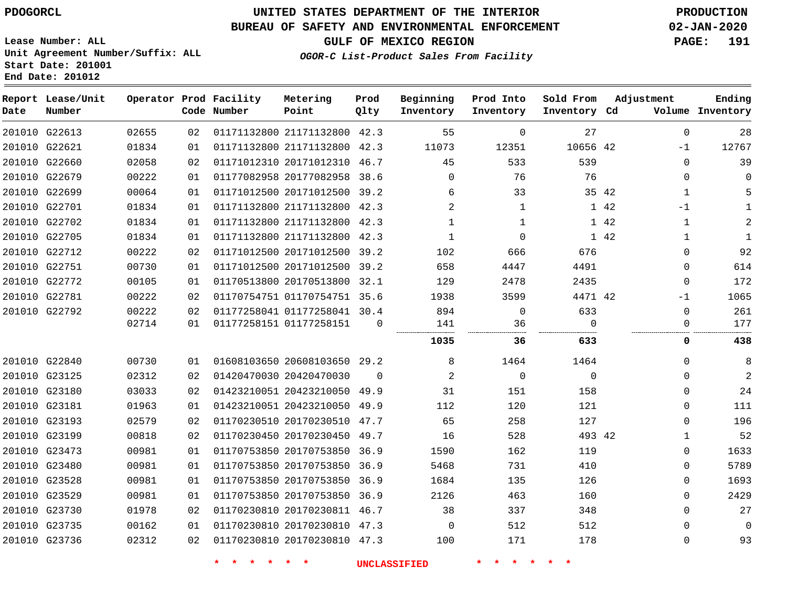**End Date: 201012**

# **UNITED STATES DEPARTMENT OF THE INTERIOR PDOGORCL PRODUCTION**

## **BUREAU OF SAFETY AND ENVIRONMENTAL ENFORCEMENT 02-JAN-2020**

**Lease Number: ALL Unit Agreement Number/Suffix: ALL Start Date: 201001**

**GULF OF MEXICO REGION PAGE: 191**

**OGOR-C List-Product Sales From Facility**

| Date | Report Lease/Unit<br>Number |       |    | Operator Prod Facility<br>Code Number | Metering<br>Point            | Prod<br>Qlty | Beginning<br>Inventory | Prod Into<br>Inventory | Sold From<br>Inventory Cd | Adjustment   | Ending<br>Volume Inventory  |
|------|-----------------------------|-------|----|---------------------------------------|------------------------------|--------------|------------------------|------------------------|---------------------------|--------------|-----------------------------|
|      | 201010 G22613               | 02655 | 02 |                                       | 01171132800 21171132800 42.3 |              | 55                     | $\mathbf 0$            | 27                        |              | $\mathbf 0$<br>28           |
|      | 201010 G22621               | 01834 | 01 |                                       | 01171132800 21171132800 42.3 |              | 11073                  | 12351                  | 10656 42                  | $-1$         | 12767                       |
|      | 201010 G22660               | 02058 | 02 |                                       | 01171012310 20171012310 46.7 |              | 45                     | 533                    | 539                       |              | 39<br>$\Omega$              |
|      | 201010 G22679               | 00222 | 01 |                                       | 01177082958 20177082958      | 38.6         | 0                      | 76                     | 76                        |              | $\mathbf 0$                 |
|      | 201010 G22699               | 00064 | 01 |                                       | 01171012500 20171012500 39.2 |              | 6                      | 33                     |                           | 35 42        | 5<br>1                      |
|      | 201010 G22701               | 01834 | 01 |                                       | 01171132800 21171132800 42.3 |              | 2                      | $\mathbf{1}$           |                           | $-1$<br>1 42 | $\mathbf{1}$                |
|      | 201010 G22702               | 01834 | 01 |                                       | 01171132800 21171132800 42.3 |              | $\mathbf{1}$           | $\mathbf{1}$           |                           | 1 42         | $\mathbf{1}$<br>2           |
|      | 201010 G22705               | 01834 | 01 |                                       | 01171132800 21171132800 42.3 |              | $\mathbf{1}$           | $\mathbf 0$            |                           | 1 42         | $\mathbf{1}$<br>$\mathbf 1$ |
|      | 201010 G22712               | 00222 | 02 |                                       | 01171012500 20171012500 39.2 |              | 102                    | 666                    | 676                       |              | 92<br>0                     |
|      | 201010 G22751               | 00730 | 01 |                                       | 01171012500 20171012500 39.2 |              | 658                    | 4447                   | 4491                      |              | 614<br>0                    |
|      | 201010 G22772               | 00105 | 01 |                                       | 01170513800 20170513800 32.1 |              | 129                    | 2478                   | 2435                      |              | 172<br>$\mathbf{0}$         |
|      | 201010 G22781               | 00222 | 02 |                                       | 01170754751 01170754751 35.6 |              | 1938                   | 3599                   | 4471 42                   | -1           | 1065                        |
|      | 201010 G22792               | 00222 | 02 |                                       | 01177258041 01177258041 30.4 |              | 894                    | 0                      | 633                       |              | 261<br>0                    |
|      |                             | 02714 | 01 |                                       | 01177258151 01177258151      | 0            | 141                    | 36                     | 0                         |              | 177<br>0                    |
|      |                             |       |    |                                       |                              |              | 1035                   | 36                     | 633                       |              | 438<br>0                    |
|      | 201010 G22840               | 00730 | 01 |                                       | 01608103650 20608103650 29.2 |              | 8                      | 1464                   | 1464                      |              | 8<br>0                      |
|      | 201010 G23125               | 02312 | 02 |                                       | 01420470030 20420470030      | $\Omega$     | 2                      | $\mathbf 0$            | $\mathbf 0$               |              | $\overline{a}$<br>0         |
|      | 201010 G23180               | 03033 | 02 |                                       | 01423210051 20423210050 49.9 |              | 31                     | 151                    | 158                       |              | 24<br>0                     |
|      | 201010 G23181               | 01963 | 01 |                                       | 01423210051 20423210050 49.9 |              | 112                    | 120                    | 121                       |              | 111<br>$\Omega$             |
|      | 201010 G23193               | 02579 | 02 |                                       | 01170230510 20170230510 47.7 |              | 65                     | 258                    | 127                       |              | 196<br>0                    |
|      | 201010 G23199               | 00818 | 02 |                                       | 01170230450 20170230450 49.7 |              | 16                     | 528                    | 493 42                    |              | 52<br>1                     |
|      | 201010 G23473               | 00981 | 01 |                                       | 01170753850 20170753850 36.9 |              | 1590                   | 162                    | 119                       |              | 0<br>1633                   |
|      | 201010 G23480               | 00981 | 01 |                                       | 01170753850 20170753850 36.9 |              | 5468                   | 731                    | 410                       |              | 5789<br>0                   |
|      | 201010 G23528               | 00981 | 01 |                                       | 01170753850 20170753850 36.9 |              | 1684                   | 135                    | 126                       |              | 1693<br>0                   |
|      | 201010 G23529               | 00981 | 01 |                                       | 01170753850 20170753850      | 36.9         | 2126                   | 463                    | 160                       |              | 2429<br>0                   |
|      | 201010 G23730               | 01978 | 02 |                                       | 01170230810 20170230811 46.7 |              | 38                     | 337                    | 348                       |              | 27<br>$\Omega$              |
|      | 201010 G23735               | 00162 | 01 |                                       | 01170230810 20170230810 47.3 |              | $\mathbf 0$            | 512                    | 512                       |              | 0<br>$\Omega$               |
|      | 201010 G23736               | 02312 | 02 |                                       | 01170230810 20170230810 47.3 |              | 100                    | 171                    | 178                       |              | 93<br>$\mathbf{0}$          |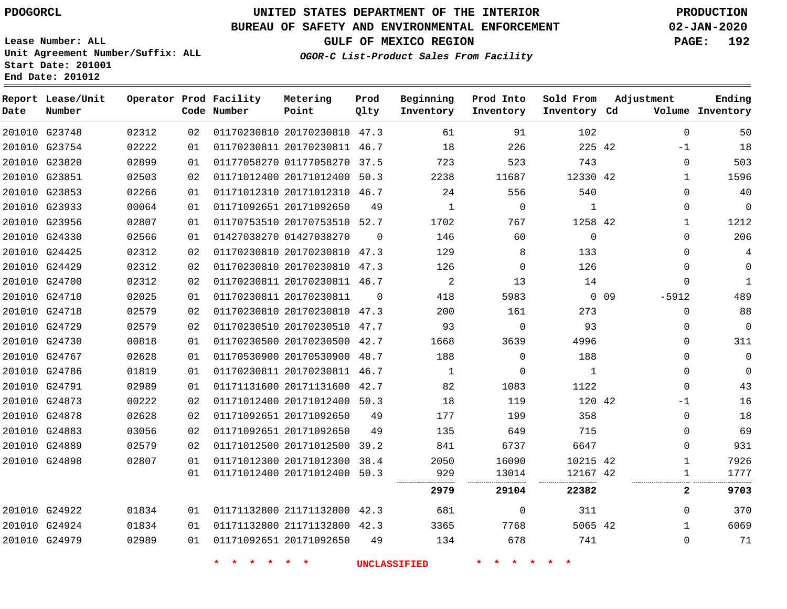**Report Lease/Unit**

**Number**

G24979

# **UNITED STATES DEPARTMENT OF THE INTERIOR PDOGORCL PRODUCTION**

**Prod**  $Q1 + V$ 

**Metering Point**

#### **BUREAU OF SAFETY AND ENVIRONMENTAL ENFORCEMENT 02-JAN-2020**

**Lease Number: ALL Unit Agreement Number/Suffix: ALL Start Date: 201001 End Date: 201012**

**Operator Prod Facility**

**OGOR-C List-Product Sales From Facility**

**Beginning**

**Prod Into Inventory**

**Ending**

 

**GULF OF MEXICO REGION PAGE: 192**

**Sold From Inventory**

**Adjustment**

| Date | Number        |       |    | Code Number | Point                        | Qlty     | Inventory    | Inventory   | Inventory Cd |        |              | Volume Inventory |
|------|---------------|-------|----|-------------|------------------------------|----------|--------------|-------------|--------------|--------|--------------|------------------|
|      | 201010 G23748 | 02312 | 02 |             | 01170230810 20170230810 47.3 |          | 61           | 91          | 102          |        | $\Omega$     | 50               |
|      | 201010 G23754 | 02222 | 01 |             | 01170230811 20170230811 46.7 |          | 18           | 226         | 225 42       |        | -1           | 18               |
|      | 201010 G23820 | 02899 | 01 |             | 01177058270 01177058270      | 37.5     | 723          | 523         | 743          |        | $\mathbf{0}$ | 503              |
|      | 201010 G23851 | 02503 | 02 |             | 01171012400 20171012400      | 50.3     | 2238         | 11687       | 12330 42     |        | $\mathbf{1}$ | 1596             |
|      | 201010 G23853 | 02266 | 01 |             | 01171012310 20171012310 46.7 |          | 24           | 556         | 540          |        | $\Omega$     | 40               |
|      | 201010 G23933 | 00064 | 01 |             | 01171092651 20171092650      | 49       | $\mathbf{1}$ | $\mathbf 0$ | 1            |        | 0            | 0                |
|      | 201010 G23956 | 02807 | 01 |             | 01170753510 20170753510 52.7 |          | 1702         | 767         | 1258 42      |        | 1            | 1212             |
|      | 201010 G24330 | 02566 | 01 |             | 01427038270 01427038270      | $\Omega$ | 146          | 60          | 0            |        | $\Omega$     | 206              |
|      | 201010 G24425 | 02312 | 02 |             | 01170230810 20170230810 47.3 |          | 129          | 8           | 133          |        | $\Omega$     | 4                |
|      | 201010 G24429 | 02312 | 02 |             | 01170230810 20170230810 47.3 |          | 126          | $\Omega$    | 126          |        | $\Omega$     | 0                |
|      | 201010 G24700 | 02312 | 02 |             | 01170230811 20170230811 46.7 |          | 2            | 13          | 14           |        | 0            | 1                |
|      | 201010 G24710 | 02025 | 01 |             | 01170230811 20170230811      | $\Omega$ | 418          | 5983        |              | $0$ 09 | $-5912$      | 489              |
|      | 201010 G24718 | 02579 | 02 |             | 01170230810 20170230810 47.3 |          | 200          | 161         | 273          |        | $\Omega$     | 88               |
|      | 201010 G24729 | 02579 | 02 |             | 01170230510 20170230510 47.7 |          | 93           | $\Omega$    | 93           |        | $\mathbf{0}$ | $\Omega$         |
|      | 201010 G24730 | 00818 | 01 |             | 01170230500 20170230500 42.7 |          | 1668         | 3639        | 4996         |        | $\Omega$     | 311              |
|      | 201010 G24767 | 02628 | 01 |             | 01170530900 20170530900      | 48.7     | 188          | $\mathbf 0$ | 188          |        | $\Omega$     | 0                |
|      | 201010 G24786 | 01819 | 01 |             | 01170230811 20170230811 46.7 |          | $\mathbf{1}$ | $\Omega$    | 1            |        | $\Omega$     | $\Omega$         |
|      | 201010 G24791 | 02989 | 01 |             | 01171131600 20171131600 42.7 |          | 82           | 1083        | 1122         |        | $\Omega$     | 43               |
|      | 201010 G24873 | 00222 | 02 |             | 01171012400 20171012400      | 50.3     | 18           | 119         | 120 42       |        | -1           | 16               |
|      | 201010 G24878 | 02628 | 02 |             | 01171092651 20171092650      | 49       | 177          | 199         | 358          |        | 0            | 18               |
|      | 201010 G24883 | 03056 | 02 |             | 01171092651 20171092650      | 49       | 135          | 649         | 715          |        | $\Omega$     | 69               |
|      | 201010 G24889 | 02579 | 02 |             | 01171012500 20171012500      | 39.2     | 841          | 6737        | 6647         |        | 0            | 931              |
|      | 201010 G24898 | 02807 | 01 |             | 01171012300 20171012300 38.4 |          | 2050         | 16090       | 10215 42     |        | 1            | 7926             |
|      |               |       | 01 |             | 01171012400 20171012400      | 50.3     | 929          | 13014       | 12167 42     |        | 1            | 1777             |
|      |               |       |    |             |                              |          | 2979         | 29104       | 22382        |        | 2            | 9703             |
|      | 201010 G24922 | 01834 | 01 |             | 01171132800 21171132800 42.3 |          | 681          | $\Omega$    | 311          |        | $\Omega$     | 370              |
|      | 201010 G24924 | 01834 | 01 |             | 01171132800 21171132800 42.3 |          | 3365         | 7768        | 5065 42      |        | $\mathbf{1}$ | 6069             |

**\* \* \* \* \* \* UNCLASSIFIED \* \* \* \* \* \***

20171092650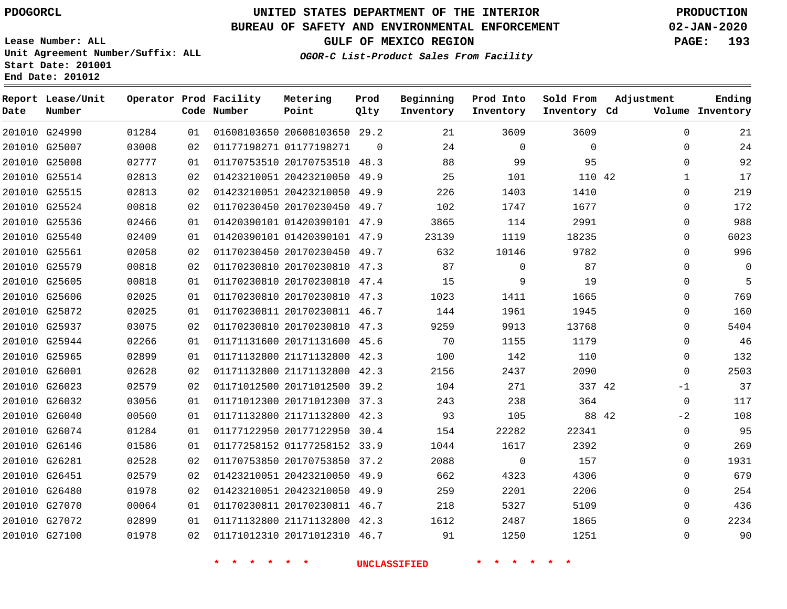G24990 G25007 G25008 G25514 G25515

**Date**

**Report Lease/Unit**

**Number**

 G27072 G27100

## **UNITED STATES DEPARTMENT OF THE INTERIOR PDOGORCL PRODUCTION**

 $\Omega$ 

**Prod Qlty**

#### **BUREAU OF SAFETY AND ENVIRONMENTAL ENFORCEMENT 02-JAN-2020**

**Lease Number: ALL Unit Agreement Number/Suffix: ALL Start Date: 201001 End Date: 201012**

**Operator Prod Facility**

**Code Number**

20608103650 29.2

**Metering Point**

 20170753510 48.3 20423210050 49.9 20423210050 49.9

01177198271

   

**Inventory Cd Volume**

**Adjustment**

 $\Omega$  $\Omega$  $\Omega$   $\Omega$  $\Omega$  $\Omega$  $\Omega$  $\Omega$  $\Omega$  $\Omega$  $\Omega$  $\Omega$   $\Omega$  $\overline{0}$  $\Omega$ 

> $\Omega$ -2  $\Omega$  $\Omega$  $\Omega$   $\Omega$   $\Omega$

42

  $\Omega$ 

**Sold From Inventory**

> 

**GULF OF MEXICO REGION PAGE: 193**

**Ending**

**OGOR-C List-Product Sales From Facility**

**Beginning Inventory**

**Prod Into Inventory**

|               | 201010 G25524 | 00818 | 02 |                         | 01170230450 20170230450 49.7 |      | 102   | 1747     | 1677   |       | 0           |
|---------------|---------------|-------|----|-------------------------|------------------------------|------|-------|----------|--------|-------|-------------|
|               | 201010 G25536 | 02466 | 01 |                         | 01420390101 01420390101 47.9 |      | 3865  | 114      | 2991   |       | 0           |
|               | 201010 G25540 | 02409 | 01 |                         | 01420390101 01420390101 47.9 |      | 23139 | 1119     | 18235  |       | $\mathbf 0$ |
| 201010 G25561 |               | 02058 | 02 |                         | 01170230450 20170230450 49.7 |      | 632   | 10146    | 9782   |       | $\mathbf 0$ |
|               | 201010 G25579 | 00818 | 02 |                         | 01170230810 20170230810 47.3 |      | 87    | $\Omega$ | 87     |       | $\mathbf 0$ |
|               | 201010 G25605 | 00818 | 01 |                         | 01170230810 20170230810      | 47.4 | 15    | 9        | 19     |       | $\mathbf 0$ |
|               | 201010 G25606 | 02025 | 01 |                         | 01170230810 20170230810      | 47.3 | 1023  | 1411     | 1665   |       | $\mathbf 0$ |
|               | 201010 G25872 | 02025 | 01 |                         | 01170230811 20170230811      | 46.7 | 144   | 1961     | 1945   |       | 0           |
|               | 201010 G25937 | 03075 | 02 |                         | 01170230810 20170230810      | 47.3 | 9259  | 9913     | 13768  |       | $\mathbf 0$ |
|               | 201010 G25944 | 02266 | 01 |                         | 01171131600 20171131600 45.6 |      | 70    | 1155     | 1179   |       | $\mathbf 0$ |
|               | 201010 G25965 | 02899 | 01 |                         | 01171132800 21171132800 42.3 |      | 100   | 142      | 110    |       | $\mathbf 0$ |
|               | 201010 G26001 | 02628 | 02 |                         | 01171132800 21171132800      | 42.3 | 2156  | 2437     | 2090   |       | $\Omega$    |
| 201010 G26023 |               | 02579 | 02 |                         | 01171012500 20171012500      | 39.2 | 104   | 271      | 337 42 |       | $-1$        |
|               | 201010 G26032 | 03056 | 01 |                         | 01171012300 20171012300      | 37.3 | 243   | 238      | 364    |       | $\mathbf 0$ |
|               | 201010 G26040 | 00560 | 01 | 01171132800 21171132800 |                              | 42.3 | 93    | 105      |        | 88 42 | $-2$        |
|               | 201010 G26074 | 01284 | 01 |                         | 01177122950 20177122950      | 30.4 | 154   | 22282    | 22341  |       | 0           |
|               | 201010 G26146 | 01586 | 01 |                         | 01177258152 01177258152      | 33.9 | 1044  | 1617     | 2392   |       | $\mathbf 0$ |
|               | 201010 G26281 | 02528 | 02 | 01170753850 20170753850 |                              | 37.2 | 2088  | 0        | 157    |       | $\mathbf 0$ |
| 201010 G26451 |               | 02579 | 02 |                         | 01423210051 20423210050      | 49.9 | 662   | 4323     | 4306   |       | 0           |
|               | 201010 G26480 | 01978 | 02 |                         | 01423210051 20423210050      | 49.9 | 259   | 2201     | 2206   |       | $\mathbf 0$ |
|               | 201010 G27070 | 00064 | 01 |                         | 01170230811 20170230811 46.7 |      | 218   | 5327     | 5109   |       | $\mathbf 0$ |

 21171132800 42.3 20171012310 46.7

**\* \* \* \* \* \* UNCLASSIFIED \* \* \* \* \* \***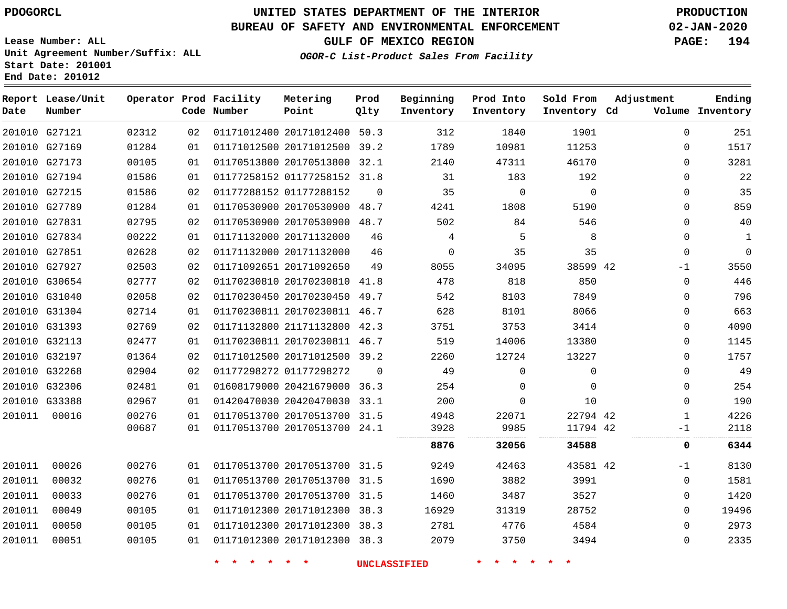## **BUREAU OF SAFETY AND ENVIRONMENTAL ENFORCEMENT 02-JAN-2020**

**Lease Number: ALL Unit Agreement Number/Suffix: ALL Start Date: 201001**

**End Date: 201012**

**GULF OF MEXICO REGION PAGE: 194**

**OGOR-C List-Product Sales From Facility**

| Date   | Report Lease/Unit<br>Number |       |    | Operator Prod Facility<br>Code Number | Metering<br>Point            | Prod<br>Olty | Beginning<br>Inventory | Prod Into<br>Inventory | Sold From<br>Inventory Cd | Adjustment   | Ending<br>Volume Inventory |
|--------|-----------------------------|-------|----|---------------------------------------|------------------------------|--------------|------------------------|------------------------|---------------------------|--------------|----------------------------|
|        | 201010 G27121               | 02312 | 02 |                                       | 01171012400 20171012400 50.3 |              | 312                    | 1840                   | 1901                      | $\mathbf 0$  | 251                        |
|        | 201010 G27169               | 01284 | 01 |                                       | 01171012500 20171012500 39.2 |              | 1789                   | 10981                  | 11253                     | $\Omega$     | 1517                       |
|        | 201010 G27173               | 00105 | 01 |                                       | 01170513800 20170513800 32.1 |              | 2140                   | 47311                  | 46170                     | $\mathbf 0$  | 3281                       |
|        | 201010 G27194               | 01586 | 01 |                                       | 01177258152 01177258152 31.8 |              | 31                     | 183                    | 192                       | $\mathbf 0$  | 22                         |
|        | 201010 G27215               | 01586 | 02 |                                       | 01177288152 01177288152      | $\mathbf 0$  | 35                     | $\mathbf 0$            | $\mathbf 0$               | $\mathbf 0$  | 35                         |
|        | 201010 G27789               | 01284 | 01 |                                       | 01170530900 20170530900 48.7 |              | 4241                   | 1808                   | 5190                      | $\Omega$     | 859                        |
|        | 201010 G27831               | 02795 | 02 |                                       | 01170530900 20170530900 48.7 |              | 502                    | 84                     | 546                       | $\mathbf 0$  | 40                         |
|        | 201010 G27834               | 00222 | 01 |                                       | 01171132000 20171132000      | 46           | 4                      | 5                      | 8                         | $\mathbf 0$  | $\mathbf{1}$               |
|        | 201010 G27851               | 02628 | 02 |                                       | 01171132000 20171132000      | 46           | $\mathbf 0$            | 35                     | 35                        | $\mathbf 0$  | $\Omega$                   |
|        | 201010 G27927               | 02503 | 02 |                                       | 01171092651 20171092650      | 49           | 8055                   | 34095                  | 38599 42                  | $-1$         | 3550                       |
|        | 201010 G30654               | 02777 | 02 |                                       | 01170230810 20170230810      | 41.8         | 478                    | 818                    | 850                       | $\mathbf 0$  | 446                        |
|        | 201010 G31040               | 02058 | 02 |                                       | 01170230450 20170230450 49.7 |              | 542                    | 8103                   | 7849                      | $\mathbf 0$  | 796                        |
|        | 201010 G31304               | 02714 | 01 |                                       | 01170230811 20170230811 46.7 |              | 628                    | 8101                   | 8066                      | $\mathbf 0$  | 663                        |
|        | 201010 G31393               | 02769 | 02 |                                       | 01171132800 21171132800 42.3 |              | 3751                   | 3753                   | 3414                      | $\mathbf 0$  | 4090                       |
|        | 201010 G32113               | 02477 | 01 |                                       | 01170230811 20170230811 46.7 |              | 519                    | 14006                  | 13380                     | $\mathbf 0$  | 1145                       |
|        | 201010 G32197               | 01364 | 02 |                                       | 01171012500 20171012500 39.2 |              | 2260                   | 12724                  | 13227                     | $\mathbf 0$  | 1757                       |
|        | 201010 G32268               | 02904 | 02 |                                       | 01177298272 01177298272      | $\Omega$     | 49                     | $\Omega$               | $\mathbf{0}$              | $\mathbf 0$  | 49                         |
|        | 201010 G32306               | 02481 | 01 |                                       | 01608179000 20421679000 36.3 |              | 254                    | $\Omega$               | $\Omega$                  | $\mathbf 0$  | 254                        |
|        | 201010 G33388               | 02967 | 01 |                                       | 01420470030 20420470030 33.1 |              | 200                    | $\Omega$               | 10                        | $\mathbf 0$  | 190                        |
| 201011 | 00016                       | 00276 | 01 |                                       | 01170513700 20170513700 31.5 |              | 4948                   | 22071                  | 22794 42                  | $\mathbf{1}$ | 4226                       |
|        |                             | 00687 | 01 |                                       | 01170513700 20170513700 24.1 |              | 3928<br>.              | 9985                   | 11794 42                  | -1           | 2118                       |
|        |                             |       |    |                                       |                              |              | 8876                   | 32056                  | 34588                     | 0            | 6344                       |
| 201011 | 00026                       | 00276 | 01 |                                       | 01170513700 20170513700 31.5 |              | 9249                   | 42463                  | 43581 42                  | $-1$         | 8130                       |
| 201011 | 00032                       | 00276 | 01 |                                       | 01170513700 20170513700 31.5 |              | 1690                   | 3882                   | 3991                      | $\mathbf 0$  | 1581                       |
| 201011 | 00033                       | 00276 | 01 |                                       | 01170513700 20170513700 31.5 |              | 1460                   | 3487                   | 3527                      | $\mathbf 0$  | 1420                       |
| 201011 | 00049                       | 00105 | 01 |                                       | 01171012300 20171012300 38.3 |              | 16929                  | 31319                  | 28752                     | $\Omega$     | 19496                      |
| 201011 | 00050                       | 00105 | 01 |                                       | 01171012300 20171012300 38.3 |              | 2781                   | 4776                   | 4584                      | $\Omega$     | 2973                       |
| 201011 | 00051                       | 00105 | 01 |                                       | 01171012300 20171012300 38.3 |              | 2079                   | 3750                   | 3494                      | $\mathbf 0$  | 2335                       |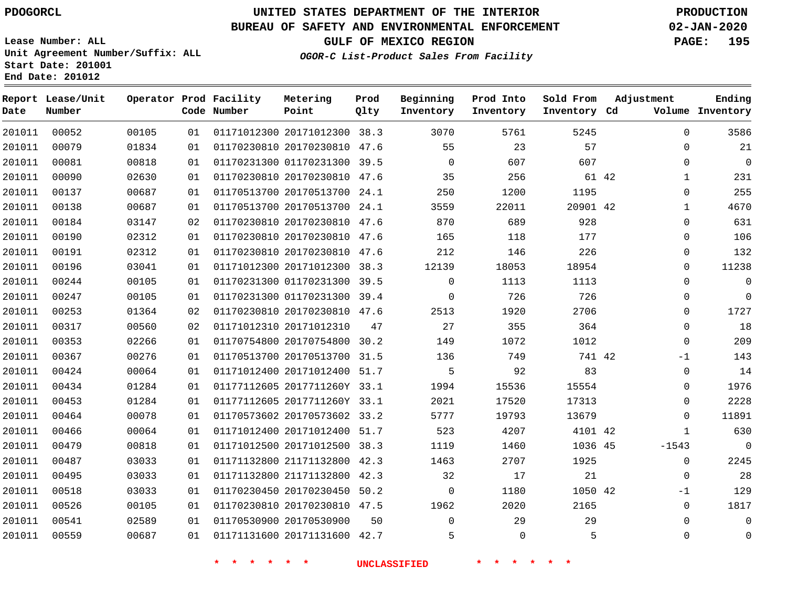## **BUREAU OF SAFETY AND ENVIRONMENTAL ENFORCEMENT 02-JAN-2020**

**Lease Number: ALL Unit Agreement Number/Suffix: ALL Start Date: 201001**

**End Date: 201012**

**GULF OF MEXICO REGION PAGE: 195**

**OGOR-C List-Product Sales From Facility**

| Date   | Report Lease/Unit<br>Number |       |    | Operator Prod Facility<br>Code Number | Metering<br>Point            | Prod<br>Qlty | Beginning<br>Inventory | Prod Into<br>Inventory | Sold From<br>Inventory Cd | Adjustment   | Ending<br>Volume Inventory |
|--------|-----------------------------|-------|----|---------------------------------------|------------------------------|--------------|------------------------|------------------------|---------------------------|--------------|----------------------------|
| 201011 | 00052                       | 00105 | 01 |                                       | 01171012300 20171012300 38.3 |              | 3070                   | 5761                   | 5245                      | $\mathbf 0$  | 3586                       |
| 201011 | 00079                       | 01834 | 01 |                                       | 01170230810 20170230810 47.6 |              | 55                     | 23                     | 57                        | 0            | 21                         |
| 201011 | 00081                       | 00818 | 01 |                                       | 01170231300 01170231300 39.5 |              | $\mathbf 0$            | 607                    | 607                       | $\mathbf 0$  | $\overline{0}$             |
| 201011 | 00090                       | 02630 | 01 |                                       | 01170230810 20170230810 47.6 |              | 35                     | 256                    | 61 42                     | $\mathbf{1}$ | 231                        |
| 201011 | 00137                       | 00687 | 01 |                                       | 01170513700 20170513700 24.1 |              | 250                    | 1200                   | 1195                      | 0            | 255                        |
| 201011 | 00138                       | 00687 | 01 |                                       | 01170513700 20170513700 24.1 |              | 3559                   | 22011                  | 20901 42                  | $\mathbf{1}$ | 4670                       |
| 201011 | 00184                       | 03147 | 02 |                                       | 01170230810 20170230810 47.6 |              | 870                    | 689                    | 928                       | $\mathbf 0$  | 631                        |
| 201011 | 00190                       | 02312 | 01 |                                       | 01170230810 20170230810 47.6 |              | 165                    | 118                    | 177                       | $\mathbf 0$  | 106                        |
| 201011 | 00191                       | 02312 | 01 |                                       | 01170230810 20170230810 47.6 |              | 212                    | 146                    | 226                       | $\mathbf 0$  | 132                        |
| 201011 | 00196                       | 03041 | 01 |                                       | 01171012300 20171012300 38.3 |              | 12139                  | 18053                  | 18954                     | $\mathbf 0$  | 11238                      |
| 201011 | 00244                       | 00105 | 01 |                                       | 01170231300 01170231300 39.5 |              | $\mathbf 0$            | 1113                   | 1113                      | $\mathbf 0$  | $\mathbf{0}$               |
| 201011 | 00247                       | 00105 | 01 |                                       | 01170231300 01170231300 39.4 |              | $\mathbf 0$            | 726                    | 726                       | 0            | $\mathbf{0}$               |
| 201011 | 00253                       | 01364 | 02 |                                       | 01170230810 20170230810 47.6 |              | 2513                   | 1920                   | 2706                      | $\mathbf 0$  | 1727                       |
| 201011 | 00317                       | 00560 | 02 |                                       | 01171012310 20171012310      | 47           | 27                     | 355                    | 364                       | $\mathbf{0}$ | 18                         |
| 201011 | 00353                       | 02266 | 01 |                                       | 01170754800 20170754800 30.2 |              | 149                    | 1072                   | 1012                      | $\mathbf 0$  | 209                        |
| 201011 | 00367                       | 00276 | 01 |                                       | 01170513700 20170513700 31.5 |              | 136                    | 749                    | 741 42                    | $-1$         | 143                        |
| 201011 | 00424                       | 00064 | 01 |                                       | 01171012400 20171012400 51.7 |              | 5                      | 92                     | 83                        | 0            | 14                         |
| 201011 | 00434                       | 01284 | 01 |                                       | 01177112605 2017711260Y 33.1 |              | 1994                   | 15536                  | 15554                     | $\mathbf 0$  | 1976                       |
| 201011 | 00453                       | 01284 | 01 |                                       | 01177112605 2017711260Y 33.1 |              | 2021                   | 17520                  | 17313                     | $\Omega$     | 2228                       |
| 201011 | 00464                       | 00078 | 01 |                                       | 01170573602 20170573602 33.2 |              | 5777                   | 19793                  | 13679                     | $\Omega$     | 11891                      |
| 201011 | 00466                       | 00064 | 01 |                                       | 01171012400 20171012400 51.7 |              | 523                    | 4207                   | 4101 42                   | $\mathbf{1}$ | 630                        |
| 201011 | 00479                       | 00818 | 01 |                                       | 01171012500 20171012500 38.3 |              | 1119                   | 1460                   | 1036 45                   | $-1543$      | $\Omega$                   |
| 201011 | 00487                       | 03033 | 01 |                                       | 01171132800 21171132800 42.3 |              | 1463                   | 2707                   | 1925                      | $\mathbf 0$  | 2245                       |
| 201011 | 00495                       | 03033 | 01 |                                       | 01171132800 21171132800 42.3 |              | 32                     | 17                     | 21                        | $\mathbf{0}$ | 28                         |
| 201011 | 00518                       | 03033 | 01 |                                       | 01170230450 20170230450 50.2 |              | $\Omega$               | 1180                   | 1050 42                   | $-1$         | 129                        |
| 201011 | 00526                       | 00105 | 01 |                                       | 01170230810 20170230810 47.5 |              | 1962                   | 2020                   | 2165                      | $\mathbf 0$  | 1817                       |
| 201011 | 00541                       | 02589 | 01 |                                       | 01170530900 20170530900      | 50           | $\Omega$               | 29                     | 29                        | $\Omega$     | $\mathbf{0}$               |
| 201011 | 00559                       | 00687 | 01 |                                       | 01171131600 20171131600 42.7 |              | 5                      | $\Omega$               | 5                         | $\Omega$     | $\mathbf{0}$               |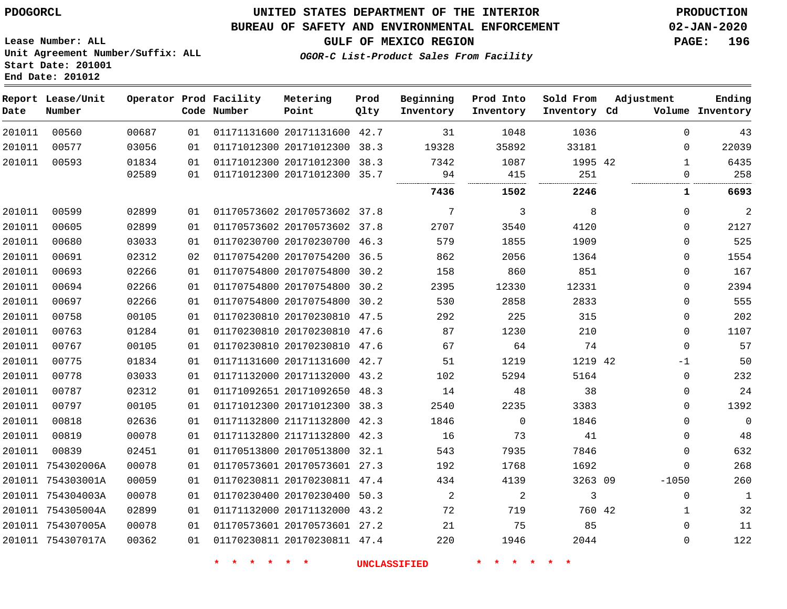#### **BUREAU OF SAFETY AND ENVIRONMENTAL ENFORCEMENT 02-JAN-2020**

**Lease Number: ALL Unit Agreement Number/Suffix: ALL Start Date: 201001 End Date: 201012**

**GULF OF MEXICO REGION PAGE: 196**

**OGOR-C List-Product Sales From Facility**

| Date   | Report Lease/Unit<br>Number |       |    | Operator Prod Facility<br>Code Number | Metering<br>Point            | Prod<br>Qlty | Beginning<br>Inventory | Prod Into<br>Inventory | Sold From<br>Inventory Cd | Adjustment   | Ending<br>Volume Inventory |
|--------|-----------------------------|-------|----|---------------------------------------|------------------------------|--------------|------------------------|------------------------|---------------------------|--------------|----------------------------|
| 201011 | 00560                       | 00687 | 01 |                                       | 01171131600 20171131600 42.7 |              | 31                     | 1048                   | 1036                      | $\Omega$     | 43                         |
| 201011 | 00577                       | 03056 | 01 |                                       | 01171012300 20171012300 38.3 |              | 19328                  | 35892                  | 33181                     | $\Omega$     | 22039                      |
| 201011 | 00593                       | 01834 | 01 |                                       | 01171012300 20171012300 38.3 |              | 7342                   | 1087                   | 1995 42                   | $\mathbf{1}$ | 6435                       |
|        |                             | 02589 | 01 |                                       | 01171012300 20171012300 35.7 |              | 94                     | 415<br>                | 251<br>                   | $\mathbf 0$  | 258                        |
|        |                             |       |    |                                       |                              |              | 7436                   | 1502                   | 2246                      | 1            | 6693                       |
| 201011 | 00599                       | 02899 | 01 |                                       | 01170573602 20170573602 37.8 |              | 7                      | 3                      | 8                         | $\mathbf 0$  | $\overline{c}$             |
| 201011 | 00605                       | 02899 | 01 |                                       | 01170573602 20170573602 37.8 |              | 2707                   | 3540                   | 4120                      | $\mathbf 0$  | 2127                       |
| 201011 | 00680                       | 03033 | 01 |                                       | 01170230700 20170230700 46.3 |              | 579                    | 1855                   | 1909                      | $\mathbf 0$  | 525                        |
| 201011 | 00691                       | 02312 | 02 |                                       | 01170754200 20170754200 36.5 |              | 862                    | 2056                   | 1364                      | $\mathbf 0$  | 1554                       |
| 201011 | 00693                       | 02266 | 01 |                                       | 01170754800 20170754800 30.2 |              | 158                    | 860                    | 851                       | $\mathbf 0$  | 167                        |
| 201011 | 00694                       | 02266 | 01 |                                       | 01170754800 20170754800      | 30.2         | 2395                   | 12330                  | 12331                     | $\mathbf 0$  | 2394                       |
| 201011 | 00697                       | 02266 | 01 |                                       | 01170754800 20170754800 30.2 |              | 530                    | 2858                   | 2833                      | $\Omega$     | 555                        |
| 201011 | 00758                       | 00105 | 01 |                                       | 01170230810 20170230810 47.5 |              | 292                    | 225                    | 315                       | $\Omega$     | 202                        |
| 201011 | 00763                       | 01284 | 01 |                                       | 01170230810 20170230810 47.6 |              | 87                     | 1230                   | 210                       | $\mathbf 0$  | 1107                       |
| 201011 | 00767                       | 00105 | 01 |                                       | 01170230810 20170230810 47.6 |              | 67                     | 64                     | 74                        | $\mathbf 0$  | 57                         |
| 201011 | 00775                       | 01834 | 01 |                                       | 01171131600 20171131600 42.7 |              | 51                     | 1219                   | 1219 42                   | $-1$         | 50                         |
| 201011 | 00778                       | 03033 | 01 |                                       | 01171132000 20171132000 43.2 |              | 102                    | 5294                   | 5164                      | $\mathbf 0$  | 232                        |
| 201011 | 00787                       | 02312 | 01 |                                       | 01171092651 20171092650 48.3 |              | 14                     | 48                     | 38                        | $\mathbf 0$  | 24                         |
| 201011 | 00797                       | 00105 | 01 |                                       | 01171012300 20171012300 38.3 |              | 2540                   | 2235                   | 3383                      | $\Omega$     | 1392                       |
| 201011 | 00818                       | 02636 | 01 |                                       | 01171132800 21171132800 42.3 |              | 1846                   | $\mathbf 0$            | 1846                      | $\mathbf 0$  | $\mathbf{0}$               |
| 201011 | 00819                       | 00078 | 01 |                                       | 01171132800 21171132800 42.3 |              | 16                     | 73                     | 41                        | $\mathbf 0$  | 48                         |
| 201011 | 00839                       | 02451 | 01 |                                       | 01170513800 20170513800 32.1 |              | 543                    | 7935                   | 7846                      | $\mathbf 0$  | 632                        |
|        | 201011 754302006A           | 00078 | 01 |                                       | 01170573601 20170573601 27.3 |              | 192                    | 1768                   | 1692                      | $\mathbf 0$  | 268                        |
|        | 201011 754303001A           | 00059 | 01 |                                       | 01170230811 20170230811 47.4 |              | 434                    | 4139                   | 3263 09                   | $-1050$      | 260                        |
|        | 201011 754304003A           | 00078 | 01 |                                       | 01170230400 20170230400 50.3 |              | 2                      | $\overline{c}$         | 3                         | 0            | $\mathbf{1}$               |
|        | 201011 754305004A           | 02899 | 01 |                                       | 01171132000 20171132000 43.2 |              | 72                     | 719                    | 760 42                    | $\mathbf{1}$ | 32                         |
|        | 201011 754307005A           | 00078 | 01 |                                       | 01170573601 20170573601 27.2 |              | 21                     | 75                     | 85                        | $\Omega$     | 11                         |
|        | 201011 754307017A           | 00362 | 01 |                                       | 01170230811 20170230811 47.4 |              | 220                    | 1946                   | 2044                      | $\mathbf 0$  | 122                        |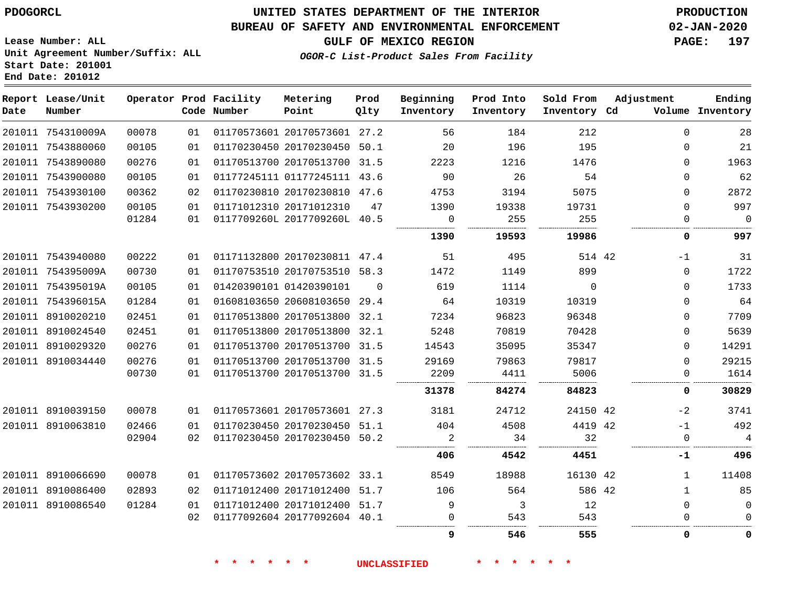## **BUREAU OF SAFETY AND ENVIRONMENTAL ENFORCEMENT 02-JAN-2020**

**OGOR-C List-Product Sales From Facility**

**GULF OF MEXICO REGION PAGE: 197**

**Lease Number: ALL Unit Agreement Number/Suffix: ALL Start Date: 201001 End Date: 201012**

| Date | Report Lease/Unit<br>Number |       |    | Operator Prod Facility<br>Code Number | Metering<br>Point            | Prod<br>Qlty | Beginning<br>Inventory | Prod Into<br>Inventory | Sold From<br>Inventory Cd | Adjustment  | Ending<br>Volume Inventory |
|------|-----------------------------|-------|----|---------------------------------------|------------------------------|--------------|------------------------|------------------------|---------------------------|-------------|----------------------------|
|      | 201011 754310009A           | 00078 | 01 |                                       | 01170573601 20170573601 27.2 |              | 56                     | 184                    | 212                       | $\Omega$    | 28                         |
|      | 201011 7543880060           | 00105 | 01 |                                       | 01170230450 20170230450 50.1 |              | 20                     | 196                    | 195                       | $\Omega$    | 21                         |
|      | 201011 7543890080           | 00276 | 01 |                                       | 01170513700 20170513700      | 31.5         | 2223                   | 1216                   | 1476                      | $\Omega$    | 1963                       |
|      | 201011 7543900080           | 00105 | 01 |                                       | 01177245111 01177245111 43.6 |              | 90                     | 26                     | 54                        | $\Omega$    | 62                         |
|      | 201011 7543930100           | 00362 | 02 |                                       | 01170230810 20170230810 47.6 |              | 4753                   | 3194                   | 5075                      | 0           | 2872                       |
|      | 201011 7543930200           | 00105 | 01 |                                       | 01171012310 20171012310      | 47           | 1390                   | 19338                  | 19731                     | $\mathbf 0$ | 997                        |
|      |                             | 01284 | 01 |                                       | 0117709260L 2017709260L 40.5 |              | $\overline{0}$         | 255                    | 255                       | 0           | $\overline{0}$             |
|      |                             |       |    |                                       |                              |              | 1390                   | 19593                  | 19986                     | 0           | 997                        |
|      | 201011 7543940080           | 00222 | 01 |                                       | 01171132800 20170230811 47.4 |              | 51                     | 495                    | 514 42                    | $-1$        | 31                         |
|      | 201011 754395009A           | 00730 | 01 |                                       | 01170753510 20170753510 58.3 |              | 1472                   | 1149                   | 899                       | $\mathbf 0$ | 1722                       |
|      | 201011 754395019A           | 00105 | 01 |                                       | 01420390101 01420390101      | $\Omega$     | 619                    | 1114                   | $\Omega$                  | $\Omega$    | 1733                       |
|      | 201011 754396015A           | 01284 | 01 |                                       | 01608103650 20608103650 29.4 |              | 64                     | 10319                  | 10319                     | $\Omega$    | 64                         |
|      | 201011 8910020210           | 02451 | 01 |                                       | 01170513800 20170513800 32.1 |              | 7234                   | 96823                  | 96348                     | $\Omega$    | 7709                       |
|      | 201011 8910024540           | 02451 | 01 |                                       | 01170513800 20170513800      | 32.1         | 5248                   | 70819                  | 70428                     | $\Omega$    | 5639                       |
|      | 201011 8910029320           | 00276 | 01 |                                       | 01170513700 20170513700 31.5 |              | 14543                  | 35095                  | 35347                     | $\Omega$    | 14291                      |
|      | 201011 8910034440           | 00276 | 01 |                                       | 01170513700 20170513700 31.5 |              | 29169                  | 79863                  | 79817                     | $\mathbf 0$ | 29215                      |
|      |                             | 00730 | 01 |                                       | 01170513700 20170513700 31.5 |              | 2209                   | 4411                   | 5006                      | 0           | 1614                       |
|      |                             |       |    |                                       |                              |              | 31378                  | 84274                  | 84823                     | 0           | 30829                      |
|      | 201011 8910039150           | 00078 | 01 |                                       | 01170573601 20170573601 27.3 |              | 3181                   | 24712                  | 24150 42                  | $-2$        | 3741                       |
|      | 201011 8910063810           | 02466 | 01 |                                       | 01170230450 20170230450      | 51.1         | 404                    | 4508                   | 4419 42                   | $-1$        | 492                        |
|      |                             | 02904 | 02 |                                       | 01170230450 20170230450      | 50.2         | $\overline{2}$         | 34                     | 32<br>.                   | $\Omega$    | $\overline{4}$             |
|      |                             |       |    |                                       |                              |              | 406                    | 4542                   | 4451                      | -1          | 496                        |
|      | 201011 8910066690           | 00078 | 01 |                                       | 01170573602 20170573602 33.1 |              | 8549                   | 18988                  | 16130 42                  | 1           | 11408                      |
|      | 201011 8910086400           | 02893 | 02 |                                       | 01171012400 20171012400 51.7 |              | 106                    | 564                    | 586 42                    | 1           | 85                         |
|      | 201011 8910086540           | 01284 | 01 |                                       | 01171012400 20171012400 51.7 |              | 9                      | 3                      | 12                        | $\mathbf 0$ | $\mathbf 0$                |
|      |                             |       | 02 |                                       | 01177092604 20177092604 40.1 |              | $\Omega$               | 543                    | 543                       |             | $\Omega$                   |
|      |                             |       |    |                                       |                              |              | 9                      | 546                    | 555                       | $\Omega$    | 0                          |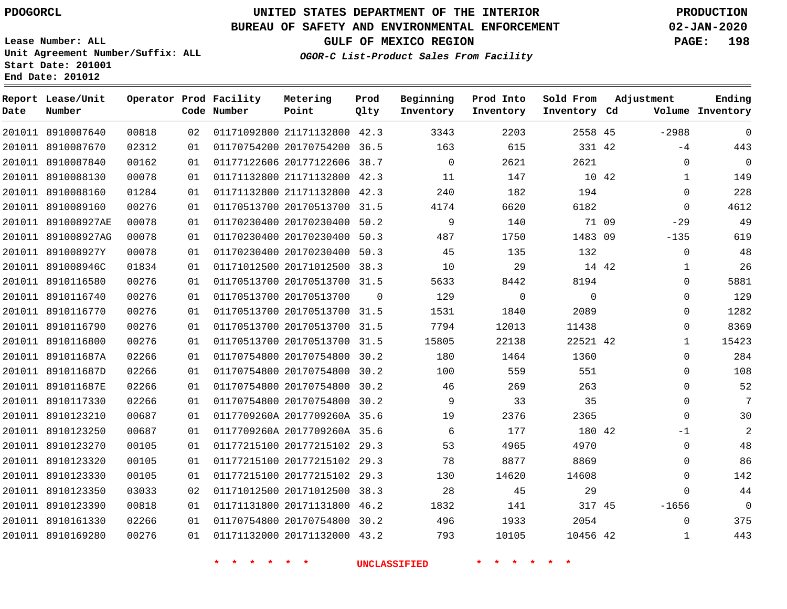**Report Lease/Unit**

 8910123330 8910123350 8910123390 8910161330 8910169280

# **UNITED STATES DEPARTMENT OF THE INTERIOR PDOGORCL PRODUCTION**

**Prod**

#### **BUREAU OF SAFETY AND ENVIRONMENTAL ENFORCEMENT 02-JAN-2020**

**Lease Number: ALL Unit Agreement Number/Suffix: ALL Start Date: 201001 End Date: 201012**

**Operator Prod Facility**

**OGOR-C List-Product Sales From Facility**

**Beginning**

**Prod Into**

**Sold From**

**Adjustment**

| Date   | Number             |       |    | Code Number | Point                        | Qlty     | Inventory | Inventory | Inventory Cd |       |              | Volume Inventory |
|--------|--------------------|-------|----|-------------|------------------------------|----------|-----------|-----------|--------------|-------|--------------|------------------|
| 201011 | 8910087640         | 00818 | 02 |             | 01171092800 21171132800 42.3 |          | 3343      | 2203      | 2558 45      |       | $-2988$      | $\mathbf 0$      |
| 201011 | 8910087670         | 02312 | 01 |             | 01170754200 20170754200      | 36.5     | 163       | 615       | 331 42       |       | $-4$         | 443              |
| 201011 | 8910087840         | 00162 | 01 |             | 01177122606 20177122606      | 38.7     | $\Omega$  | 2621      | 2621         |       | $\mathbf 0$  | $\mathbf 0$      |
| 201011 | 8910088130         | 00078 | 01 |             | 01171132800 21171132800 42.3 |          | 11        | 147       |              | 10 42 | $\mathbf{1}$ | 149              |
| 201011 | 8910088160         | 01284 | 01 |             | 01171132800 21171132800      | 42.3     | 240       | 182       | 194          |       | $\mathbf 0$  | 228              |
| 201011 | 8910089160         | 00276 | 01 |             | 01170513700 20170513700      | 31.5     | 4174      | 6620      | 6182         |       | $\Omega$     | 4612             |
| 201011 | 891008927AE        | 00078 | 01 |             | 01170230400 20170230400      | 50.2     | 9         | 140       |              | 71 09 | $-29$        | 49               |
|        | 201011 891008927AG | 00078 | 01 |             | 01170230400 20170230400      | 50.3     | 487       | 1750      | 1483 09      |       | $-135$       | 619              |
| 201011 | 891008927Y         | 00078 | 01 |             | 01170230400 20170230400      | 50.3     | 45        | 135       | 132          |       | $\mathbf 0$  | 48               |
| 201011 | 891008946C         | 01834 | 01 |             | 01171012500 20171012500      | 38.3     | 10        | 29        |              | 14 42 | 1            | 26               |
| 201011 | 8910116580         | 00276 | 01 |             | 01170513700 20170513700      | 31.5     | 5633      | 8442      | 8194         |       | 0            | 5881             |
| 201011 | 8910116740         | 00276 | 01 |             | 01170513700 20170513700      | $\Omega$ | 129       | $\Omega$  | $\Omega$     |       | 0            | 129              |
| 201011 | 8910116770         | 00276 | 01 |             | 01170513700 20170513700      | 31.5     | 1531      | 1840      | 2089         |       | 0            | 1282             |
| 201011 | 8910116790         | 00276 | 01 |             | 01170513700 20170513700      | 31.5     | 7794      | 12013     | 11438        |       | $\Omega$     | 8369             |
|        | 201011 8910116800  | 00276 | 01 |             | 01170513700 20170513700      | 31.5     | 15805     | 22138     | 22521 42     |       | 1            | 15423            |
| 201011 | 891011687A         | 02266 | 01 |             | 01170754800 20170754800      | 30.2     | 180       | 1464      | 1360         |       | $\Omega$     | 284              |
|        | 201011 891011687D  | 02266 | 01 |             | 01170754800 20170754800      | 30.2     | 100       | 559       | 551          |       | $\Omega$     | 108              |
| 201011 | 891011687E         | 02266 | 01 |             | 01170754800 20170754800      | 30.2     | 46        | 269       | 263          |       | $\Omega$     | 52               |
| 201011 | 8910117330         | 02266 | 01 |             | 01170754800 20170754800      | 30.2     | 9         | 33        | 35           |       | 0            | 7                |
| 201011 | 8910123210         | 00687 | 01 |             | 0117709260A 2017709260A 35.6 |          | 19        | 2376      | 2365         |       | $\Omega$     | 30               |
| 201011 | 8910123250         | 00687 | 01 |             | 0117709260A 2017709260A 35.6 |          | 6         | 177       | 180 42       |       | $-1$         | 2                |
| 201011 | 8910123270         | 00105 | 01 |             | 01177215100 20177215102      | 29.3     | 53        | 4965      | 4970         |       | $\Omega$     | 48               |
|        | 201011 8910123320  | 00105 | 01 |             | 01177215100 20177215102      | 29.3     | 78        | 8877      | 8869         |       | $\Omega$     | 86               |

 20177215102 29.3 20171012500 38.3 20171131800 46.2 20170754800 30.2 20171132000 43.2

**Metering**

45

 

42

  $\Omega$ -1656  **Ending**

**GULF OF MEXICO REGION PAGE: 198**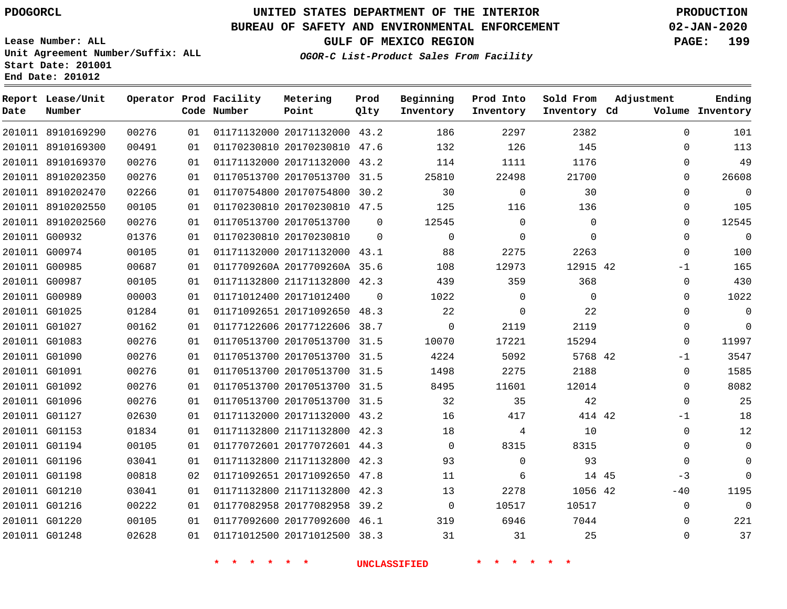**Report Lease/Unit**

**Date**

G01248

# **UNITED STATES DEPARTMENT OF THE INTERIOR PDOGORCL PRODUCTION**

**Prod**

**Metering**

#### **BUREAU OF SAFETY AND ENVIRONMENTAL ENFORCEMENT 02-JAN-2020**

**Lease Number: ALL Unit Agreement Number/Suffix: ALL Start Date: 201001 End Date: 201012**

**Operator Prod Facility**

**OGOR-C List-Product Sales From Facility**

**Beginning Prod Into Sold From**

**GULF OF MEXICO REGION PAGE: 199**

**Adjustment**

**Ending**

| Volume Inventory |              | Inventory Cd | Inventory   | Inventory | Qlty     | Point                        | Code Number             |    |       | Number        |  |
|------------------|--------------|--------------|-------------|-----------|----------|------------------------------|-------------------------|----|-------|---------------|--|
| 101              | $\Omega$     | 2382         | 2297        | 186       |          | 01171132000 20171132000 43.2 |                         | 01 | 00276 | 11 8910169290 |  |
| 113              | $\Omega$     | 145          | 126         | 132       |          | 01170230810 20170230810 47.6 |                         | 01 | 00491 | 11 8910169300 |  |
| 49               | $\mathbf 0$  | 1176         | 1111        | 114       |          | 01171132000 20171132000 43.2 |                         | 01 | 00276 | 11 8910169370 |  |
| 26608            | $\mathbf 0$  | 21700        | 22498       | 25810     |          | 01170513700 20170513700 31.5 |                         | 01 | 00276 | 11 8910202350 |  |
| $\overline{0}$   | $\Omega$     | 30           | $\Omega$    | 30        |          | 01170754800 20170754800 30.2 |                         | 01 | 02266 | 11 8910202470 |  |
| 105              | $\mathbf 0$  | 136          | 116         | 125       |          | 01170230810 20170230810 47.5 |                         | 01 | 00105 | 11 8910202550 |  |
| 12545            | $\mathbf 0$  | $\mathbf 0$  | $\mathbf 0$ | 12545     | 0        |                              | 01170513700 20170513700 | 01 | 00276 | 11 8910202560 |  |
| $\mathbf 0$      | $\Omega$     | $\Omega$     | $\Omega$    | $\Omega$  | $\Omega$ |                              | 01170230810 20170230810 | 01 | 01376 | 11 G00932     |  |
| 100              | $\mathbf{0}$ | 2263         | 2275        | 88        |          | 01171132000 20171132000 43.1 |                         | 01 | 00105 | 11 G00974     |  |
| 165              | $-1$         | 12915 42     | 12973       | 108       |          | 0117709260A 2017709260A 35.6 |                         | 01 | 00687 | 11 G00985     |  |
| 430              | $\Omega$     | 368          | 359         | 439       |          | 01171132800 21171132800 42.3 |                         | 01 | 00105 | 11 G00987     |  |
| 1022             | $\mathbf 0$  | $\mathbf 0$  | $\mathbf 0$ | 1022      | $\Omega$ |                              | 01171012400 20171012400 | 01 | 00003 | 11 G00989     |  |
| $\mathsf 0$      | $\mathbf 0$  | 22           | $\Omega$    | 22        |          | 01171092651 20171092650 48.3 |                         | 01 | 01284 | 11 G01025     |  |
| $\overline{0}$   | $\mathbf 0$  | 2119         | 2119        | $\Omega$  |          | 01177122606 20177122606 38.7 |                         | 01 | 00162 | 11 G01027     |  |
| 11997            | $\Omega$     | 15294        | 17221       | 10070     |          | 01170513700 20170513700 31.5 |                         | 01 | 00276 | 11 G01083     |  |
| 3547             | $-1$         | 5768 42      | 5092        | 4224      |          | 01170513700 20170513700 31.5 |                         | 01 | 00276 | 11 G01090     |  |
| 1585             | $\mathbf 0$  | 2188         | 2275        | 1498      |          | 01170513700 20170513700 31.5 |                         | 01 | 00276 | 11 G01091     |  |
| 8082             | $\Omega$     | 12014        | 11601       | 8495      |          | 01170513700 20170513700 31.5 |                         | 01 | 00276 | 11 G01092     |  |
| 25               | $\mathbf 0$  | 42           | 35          | 32        |          | 01170513700 20170513700 31.5 |                         | 01 | 00276 | 11 G01096     |  |
| 18               | $-1$         | 414 42       | 417         | 16        |          | 01171132000 20171132000 43.2 |                         | 01 | 02630 | 11 G01127     |  |
| 12               | $\Omega$     | 10           | 4           | 18        |          | 01171132800 21171132800 42.3 |                         | 01 | 01834 | 11 G01153     |  |
| $\overline{0}$   | $\Omega$     | 8315         | 8315        | $\Omega$  |          | 01177072601 20177072601 44.3 |                         | 01 | 00105 | 11 G01194     |  |
| $\overline{0}$   | $\Omega$     | 93           | $\Omega$    | 93        |          | 01171132800 21171132800 42.3 |                         | 01 | 03041 | 11 G01196     |  |
| $\overline{0}$   | $-3$         | 14 45        | 6           | 11        |          | 01171092651 20171092650 47.8 |                         | 02 | 00818 | 11 G01198     |  |
| 1195             | $-40$        | 1056 42      | 2278        | 13        |          | 01171132800 21171132800 42.3 |                         | 01 | 03041 | 11 G01210     |  |
| $\Omega$         | $\mathbf{0}$ | 10517        | 10517       | $\Omega$  |          | 01177082958 20177082958 39.2 |                         | 01 | 00222 | 11 G01216     |  |
| 221              | $\Omega$     | 7044         | 6946        | 319       |          | 01177092600 20177092600 46.1 |                         | 01 | 00105 | 11 G01220     |  |
| 37               | $\Omega$     | 25           | 31          | 31        |          | 01171012500 20171012500 38.3 |                         | 01 | 02628 | 11 G01248     |  |

**\* \* \* \* \* \* UNCLASSIFIED \* \* \* \* \* \***

01171012500 20171012500 38.3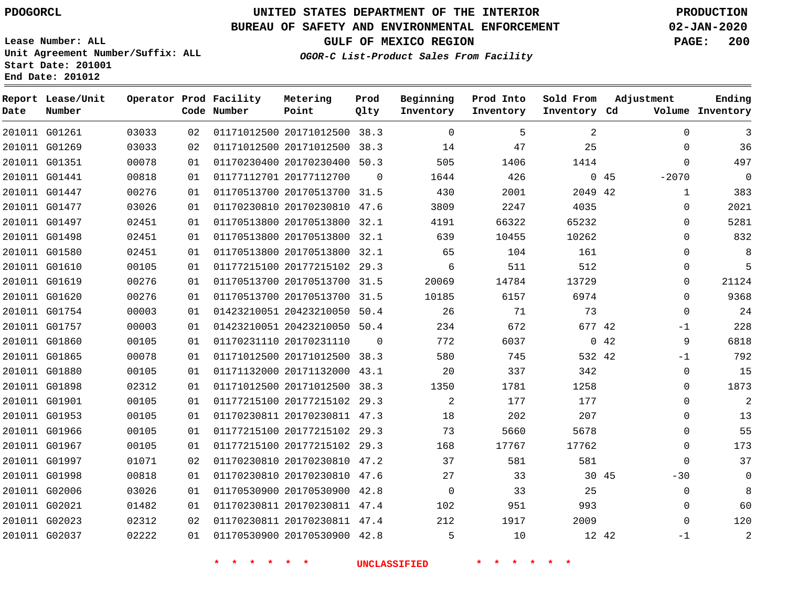G01261 G01269 G01351 G01441 G01447 G01477 G01497 G01498 G01580 G01610 G01619 G01620 G01754 G01757 G01860 G01865 G01880 G01898 G01901 G01953 G01966 G01967 G01997 G01998 G02006 G02021 G02023 G02037

**Date**

**Report Lease/Unit**

**Number**

# **UNITED STATES DEPARTMENT OF THE INTERIOR PDOGORCL PRODUCTION**

 $\Omega$ 

**Prod Qlty**

#### **BUREAU OF SAFETY AND ENVIRONMENTAL ENFORCEMENT 02-JAN-2020**

**Lease Number: ALL Unit Agreement Number/Suffix: ALL Start Date: 201001 End Date: 201012**

**Operator Prod Facility**

**Code Number**

 20171012500 38.3 20171012500 38.3 20170230400 50.3

**Metering Point**

 20170513700 31.5 20170230810 47.6

 20170230810 47.2 20170230810 47.6 20170530900 42.8 20170230811 47.4 20170230811 47.4 20170530900 42.8

20177112700

**OGOR-C List-Product Sales From Facility**

**Beginning Inventory**

**Prod Into Inventory**

**GULF OF MEXICO REGION PAGE: 200**

**Inventory Cd Volume**

**Adjustment**

 $-2070$   $\Omega$  $\Omega$  $\Omega$  $\Omega$  $\Omega$  $\Omega$  $\Omega$  $\Omega$ -1  $-1$  $\Omega$  $\cap$  $\Omega$  $\Omega$  $\Omega$  $\Omega$  $\Omega$  $-30$  $\Omega$   $\Omega$ -1

 $\Omega$  $\Omega$  $\Omega$ 

**Ending**

| 01 |                         | 01170513800 20170513800 | 32.1     | 4191  | 66322 | 65232    |    |
|----|-------------------------|-------------------------|----------|-------|-------|----------|----|
| 01 |                         | 01170513800 20170513800 | 32.1     | 639   | 10455 | 10262    |    |
| 01 |                         | 01170513800 20170513800 | 32.1     | 65    | 104   | 161      |    |
| 01 |                         | 01177215100 20177215102 | 29.3     | 6     | 511   | 512      |    |
| 01 |                         | 01170513700 20170513700 | 31.5     | 20069 | 14784 | 13729    |    |
| 01 |                         | 01170513700 20170513700 | 31.5     | 10185 | 6157  | 6974     |    |
| 01 |                         | 01423210051 20423210050 | 50.4     | 26    | 71    | 73       |    |
| 01 |                         | 01423210051 20423210050 | 50.4     | 234   | 672   | 677 42   |    |
| 01 | 01170231110 20170231110 |                         | $\Omega$ | 772   | 6037  | $\Omega$ | 42 |
| 01 |                         | 01171012500 20171012500 | 38.3     | 580   | 745   | 532 42   |    |
| 01 |                         | 01171132000 20171132000 | 43.1     | 20    | 337   | 342      |    |
| 01 |                         | 01171012500 20171012500 | 38.3     | 1350  | 1781  | 1258     |    |
| 01 |                         | 01177215100 20177215102 | 29.3     | 2     | 177   | 177      |    |
| 01 |                         | 01170230811 20170230811 | 47.3     | 18    | 202   | 207      |    |
| 01 |                         | 01177215100 20177215102 | 29.3     | 73    | 5660  | 5678     |    |
| 01 |                         | 01177215100 20177215102 | 29.3     | 168   | 17767 | 17762    |    |

**\* \* \* \* \* \* UNCLASSIFIED \* \* \* \* \* \***

45 42

 

**Sold From Inventory**

45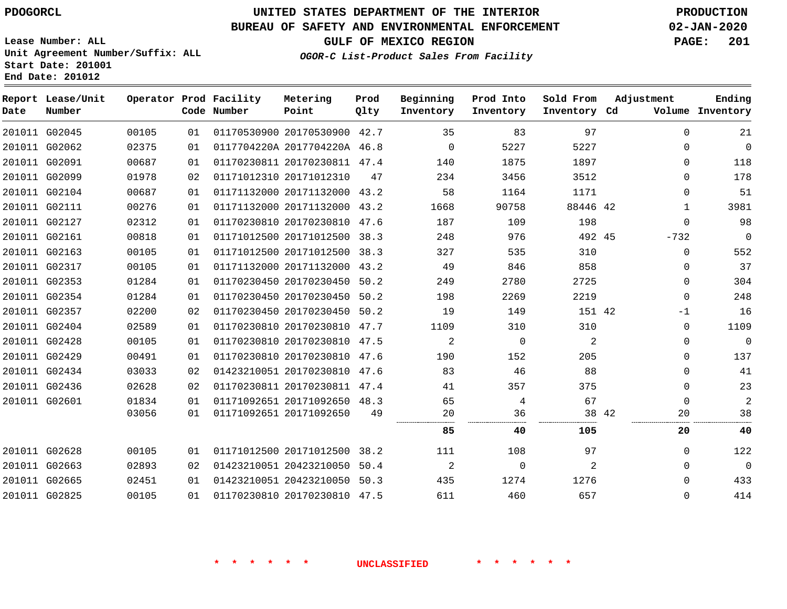## **BUREAU OF SAFETY AND ENVIRONMENTAL ENFORCEMENT 02-JAN-2020**

**Lease Number: ALL Unit Agreement Number/Suffix: ALL Start Date: 201001 End Date: 201012**

**OGOR-C List-Product Sales From Facility**

**GULF OF MEXICO REGION PAGE: 201**

| $+1$ |  | Metering Prod Peginning Prod Into Sold |  |
|------|--|----------------------------------------|--|
|      |  |                                        |  |

| Date | Report Lease/Unit<br>Number |       |    | Operator Prod Facility<br>Code Number | Metering<br>Point            | Prod<br>Qlty | Beginning<br>Inventory | Prod Into<br>Inventory | Sold From<br>Inventory Cd | Adjustment |              | Ending<br>Volume Inventory |
|------|-----------------------------|-------|----|---------------------------------------|------------------------------|--------------|------------------------|------------------------|---------------------------|------------|--------------|----------------------------|
|      | 201011 G02045               | 00105 | 01 |                                       | 01170530900 20170530900 42.7 |              | 35                     | 83                     | 97                        |            | $\Omega$     | 21                         |
|      | 201011 G02062               | 02375 | 01 |                                       | 0117704220A 2017704220A 46.8 |              | $\Omega$               | 5227                   | 5227                      |            | $\Omega$     | $\mathbf 0$                |
|      | 201011 G02091               | 00687 | 01 |                                       | 01170230811 20170230811 47.4 |              | 140                    | 1875                   | 1897                      |            | $\Omega$     | 118                        |
|      | 201011 G02099               | 01978 | 02 |                                       | 01171012310 20171012310      | 47           | 234                    | 3456                   | 3512                      |            | $\Omega$     | 178                        |
|      | 201011 G02104               | 00687 | 01 |                                       | 01171132000 20171132000 43.2 |              | 58                     | 1164                   | 1171                      |            | $\Omega$     | 51                         |
|      | 201011 G02111               | 00276 | 01 |                                       | 01171132000 20171132000 43.2 |              | 1668                   | 90758                  | 88446 42                  |            | $\mathbf{1}$ | 3981                       |
|      | 201011 G02127               | 02312 | 01 |                                       | 01170230810 20170230810      | 47.6         | 187                    | 109                    | 198                       |            | $\Omega$     | 98                         |
|      | 201011 G02161               | 00818 | 01 |                                       | 01171012500 20171012500      | 38.3         | 248                    | 976                    | 492 45                    |            | $-732$       | $\mathbf 0$                |
|      | 201011 G02163               | 00105 | 01 |                                       | 01171012500 20171012500 38.3 |              | 327                    | 535                    | 310                       |            | $\Omega$     | 552                        |
|      | 201011 G02317               | 00105 | 01 |                                       | 01171132000 20171132000      | 43.2         | 49                     | 846                    | 858                       |            | $\mathbf 0$  | 37                         |
|      | 201011 G02353               | 01284 | 01 |                                       | 01170230450 20170230450 50.2 |              | 249                    | 2780                   | 2725                      |            | 0            | 304                        |
|      | 201011 G02354               | 01284 | 01 |                                       | 01170230450 20170230450 50.2 |              | 198                    | 2269                   | 2219                      |            | $\Omega$     | 248                        |
|      | 201011 G02357               | 02200 | 02 |                                       | 01170230450 20170230450      | 50.2         | 19                     | 149                    | 151 42                    |            | $-1$         | 16                         |
|      | 201011 G02404               | 02589 | 01 |                                       | 01170230810 20170230810 47.7 |              | 1109                   | 310                    | 310                       |            | $\Omega$     | 1109                       |
|      | 201011 G02428               | 00105 | 01 |                                       | 01170230810 20170230810 47.5 |              | 2                      | $\Omega$               | 2                         |            | 0            | $\overline{0}$             |
|      | 201011 G02429               | 00491 | 01 |                                       | 01170230810 20170230810      | 47.6         | 190                    | 152                    | 205                       |            | $\Omega$     | 137                        |
|      | 201011 G02434               | 03033 | 02 |                                       | 01423210051 20170230810 47.6 |              | 83                     | 46                     | 88                        |            | 0            | 41                         |
|      | 201011 G02436               | 02628 | 02 |                                       | 01170230811 20170230811      | 47.4         | 41                     | 357                    | 375                       |            | $\Omega$     | 23                         |
|      | 201011 G02601               | 01834 | 01 |                                       | 01171092651 20171092650 48.3 |              | 65                     | 4                      | 67                        |            | $\Omega$     | $\overline{c}$             |
|      |                             | 03056 | 01 |                                       | 01171092651 20171092650      | 49           | 20                     | 36                     | 38 42                     |            | 20           | 38                         |
|      |                             |       |    |                                       |                              |              | 85                     | 40                     | 105                       |            | 20           | 40                         |
|      | 201011 G02628               | 00105 | 01 |                                       | 01171012500 20171012500 38.2 |              | 111                    | 108                    | 97                        |            | $\Omega$     | 122                        |
|      | 201011 G02663               | 02893 | 02 |                                       | 01423210051 20423210050      | 50.4         | 2                      | 0                      | 2                         |            | $\Omega$     | $\overline{0}$             |
|      | 201011 G02665               | 02451 | 01 |                                       | 01423210051 20423210050 50.3 |              | 435                    | 1274                   | 1276                      |            | $\Omega$     | 433                        |
|      | 201011 G02825               | 00105 | 01 |                                       | 01170230810 20170230810 47.5 |              | 611                    | 460                    | 657                       |            | $\Omega$     | 414                        |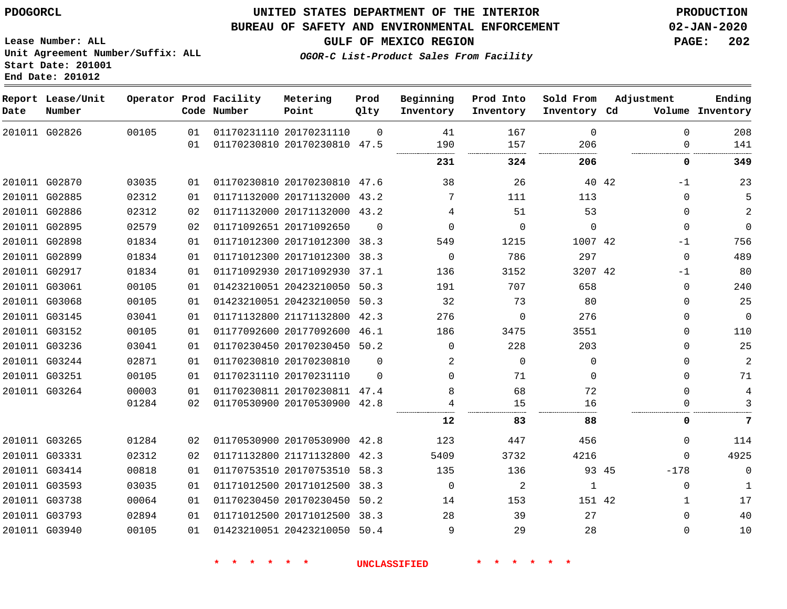#### **BUREAU OF SAFETY AND ENVIRONMENTAL ENFORCEMENT 02-JAN-2020**

**Lease Number: ALL Unit Agreement Number/Suffix: ALL Start Date: 201001 End Date: 201012**

**GULF OF MEXICO REGION PAGE: 202**

**OGOR-C List-Product Sales From Facility**

| Date | Report Lease/Unit<br>Number |       |          | Operator Prod Facility<br>Code Number | Metering<br>Point                                  | Prod<br>Qlty     | Beginning<br>Inventory | Prod Into<br>Inventory | Sold From<br>Inventory Cd | Adjustment      | Ending<br>Volume Inventory |
|------|-----------------------------|-------|----------|---------------------------------------|----------------------------------------------------|------------------|------------------------|------------------------|---------------------------|-----------------|----------------------------|
|      | 201011 G02826               | 00105 | 01<br>01 |                                       | 01170231110 20170231110<br>01170230810 20170230810 | $\Omega$<br>47.5 | 41<br>190              | 167<br>157             | $\Omega$<br>206           | $\Omega$<br>0   | 208<br>141                 |
|      |                             |       |          |                                       |                                                    |                  | 231                    | 324                    | 206                       | 0               | 349                        |
|      | 201011 G02870               | 03035 | 01       |                                       | 01170230810 20170230810 47.6                       |                  | 38                     | 26                     |                           | 40 42<br>$-1$   | 23                         |
|      | 201011 G02885               | 02312 | 01       |                                       | 01171132000 20171132000 43.2                       |                  | 7                      | 111                    | 113                       | 0               | 5                          |
|      | 201011 G02886               | 02312 | 02       |                                       | 01171132000 20171132000 43.2                       |                  | 4                      | 51                     | 53                        | 0               | $\overline{a}$             |
|      | 201011 G02895               | 02579 | 02       |                                       | 01171092651 20171092650                            | $\Omega$         | $\Omega$               | $\Omega$               | $\Omega$                  | 0               | $\mathsf{O}\xspace$        |
|      | 201011 G02898               | 01834 | 01       |                                       | 01171012300 20171012300 38.3                       |                  | 549                    | 1215                   | 1007 42                   | $-1$            | 756                        |
|      | 201011 G02899               | 01834 | 01       |                                       | 01171012300 20171012300 38.3                       |                  | $\Omega$               | 786                    | 297                       | $\Omega$        | 489                        |
|      | 201011 G02917               | 01834 | 01       |                                       | 01171092930 20171092930                            | 37.1             | 136                    | 3152                   | 3207 42                   | $-1$            | 80                         |
|      | 201011 G03061               | 00105 | 01       |                                       | 01423210051 20423210050 50.3                       |                  | 191                    | 707                    | 658                       | 0               | 240                        |
|      | 201011 G03068               | 00105 | 01       |                                       | 01423210051 20423210050                            | 50.3             | 32                     | 73                     | 80                        | 0               | 25                         |
|      | 201011 G03145               | 03041 | 01       |                                       | 01171132800 21171132800 42.3                       |                  | 276                    | 0                      | 276                       | $\mathbf{0}$    | $\mathbf 0$                |
|      | 201011 G03152               | 00105 | 01       |                                       | 01177092600 20177092600                            | 46.1             | 186                    | 3475                   | 3551                      | $\mathbf{0}$    | 110                        |
|      | 201011 G03236               | 03041 | 01       |                                       | 01170230450 20170230450 50.2                       |                  | $\Omega$               | 228                    | 203                       | $\Omega$        | 25                         |
|      | 201011 G03244               | 02871 | 01       |                                       | 01170230810 20170230810                            | $\Omega$         | 2                      | $\mathbf 0$            | $\mathbf 0$               | 0               | $\sqrt{2}$                 |
|      | 201011 G03251               | 00105 | 01       |                                       | 01170231110 20170231110                            | $\Omega$         | $\Omega$               | 71                     | $\Omega$                  | 0               | 71                         |
|      | 201011 G03264               | 00003 | 01       |                                       | 01170230811 20170230811 47.4                       |                  | 8                      | 68                     | 72                        | 0               | 4                          |
|      |                             | 01284 | 02       |                                       | 01170530900 20170530900 42.8                       |                  | 4                      | 15                     | 16                        | 0               | 3                          |
|      |                             |       |          |                                       |                                                    |                  | 12                     | 83                     | 88                        | 0               | 7                          |
|      | 201011 G03265               | 01284 | 02       |                                       | 01170530900 20170530900 42.8                       |                  | 123                    | 447                    | 456                       | $\Omega$        | 114                        |
|      | 201011 G03331               | 02312 | 02       |                                       | 01171132800 21171132800                            | 42.3             | 5409                   | 3732                   | 4216                      | $\Omega$        | 4925                       |
|      | 201011 G03414               | 00818 | 01       |                                       | 01170753510 20170753510                            | 58.3             | 135                    | 136                    |                           | 93 45<br>$-178$ | $\mathbf 0$                |
|      | 201011 G03593               | 03035 | 01       |                                       | 01171012500 20171012500                            | 38.3             | $\mathbf 0$            | 2                      | 1                         | $\mathbf{0}$    | 1                          |
|      | 201011 G03738               | 00064 | 01       |                                       | 01170230450 20170230450                            | 50.2             | 14                     | 153                    | 151 42                    | $\mathbf{1}$    | 17                         |
|      | 201011 G03793               | 02894 | 01       |                                       | 01171012500 20171012500 38.3                       |                  | 28                     | 39                     | 27                        | $\Omega$        | 40                         |
|      | 201011 G03940               | 00105 | 01       |                                       | 01423210051 20423210050 50.4                       |                  | 9                      | 29                     | 28                        | $\Omega$        | 10                         |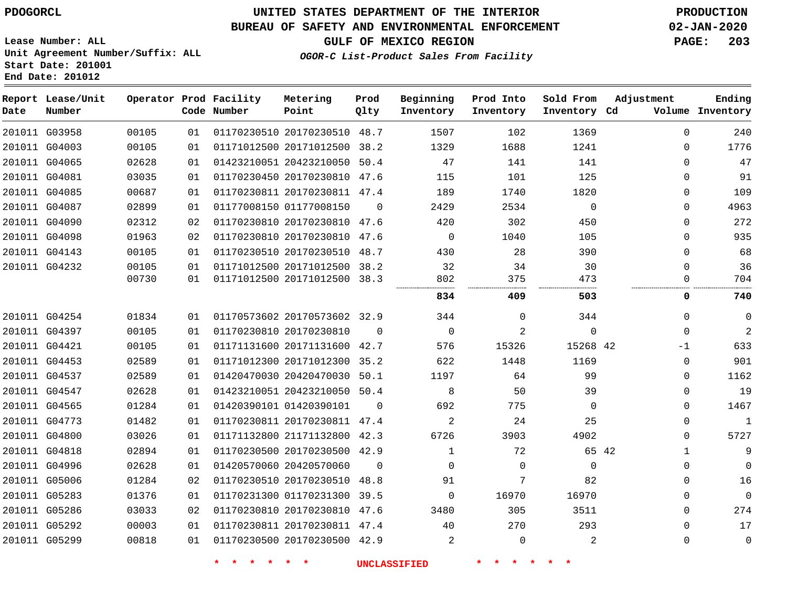**End Date: 201012**

# **UNITED STATES DEPARTMENT OF THE INTERIOR PDOGORCL PRODUCTION**

## **BUREAU OF SAFETY AND ENVIRONMENTAL ENFORCEMENT 02-JAN-2020**

**Lease Number: ALL Unit Agreement Number/Suffix: ALL Start Date: 201001**

**GULF OF MEXICO REGION PAGE: 203**

**OGOR-C List-Product Sales From Facility**

| Date | Report Lease/Unit<br>Number |       |    | Operator Prod Facility<br>Code Number | Metering<br>Point            | Prod<br>01ty | Beginning<br>Inventory | Prod Into<br>Inventory | Sold From<br>Inventory Cd | Adjustment   | Ending<br>Volume Inventory |
|------|-----------------------------|-------|----|---------------------------------------|------------------------------|--------------|------------------------|------------------------|---------------------------|--------------|----------------------------|
|      | 201011 G03958               | 00105 | 01 |                                       | 01170230510 20170230510 48.7 |              | 1507                   | 102                    | 1369                      | $\Omega$     | 240                        |
|      | 201011 G04003               | 00105 | 01 |                                       | 01171012500 20171012500 38.2 |              | 1329                   | 1688                   | 1241                      | $\Omega$     | 1776                       |
|      | 201011 G04065               | 02628 | 01 |                                       | 01423210051 20423210050 50.4 |              | 47                     | 141                    | 141                       | $\Omega$     | 47                         |
|      | 201011 G04081               | 03035 | 01 |                                       | 01170230450 20170230810 47.6 |              | 115                    | 101                    | 125                       | $\Omega$     | 91                         |
|      | 201011 G04085               | 00687 | 01 |                                       | 01170230811 20170230811 47.4 |              | 189                    | 1740                   | 1820                      | 0            | 109                        |
|      | 201011 G04087               | 02899 | 01 |                                       | 01177008150 01177008150      | $\Omega$     | 2429                   | 2534                   | $\mathbf 0$               | 0            | 4963                       |
|      | 201011 G04090               | 02312 | 02 |                                       | 01170230810 20170230810 47.6 |              | 420                    | 302                    | 450                       | $\Omega$     | 272                        |
|      | 201011 G04098               | 01963 | 02 |                                       | 01170230810 20170230810 47.6 |              | $\overline{0}$         | 1040                   | 105                       | 0            | 935                        |
|      | 201011 G04143               | 00105 | 01 |                                       | 01170230510 20170230510 48.7 |              | 430                    | 28                     | 390                       | $\Omega$     | 68                         |
|      | 201011 G04232               | 00105 | 01 |                                       | 01171012500 20171012500 38.2 |              | 32                     | 34                     | 30                        | $\Omega$     | 36                         |
|      |                             | 00730 | 01 |                                       | 01171012500 20171012500 38.3 |              | 802                    | 375                    | 473<br>.                  | $\Omega$     | 704                        |
|      |                             |       |    |                                       |                              |              | 834                    | 409                    | 503                       | 0            | 740                        |
|      | 201011 G04254               | 01834 | 01 |                                       | 01170573602 20170573602 32.9 |              | 344                    | $\Omega$               | 344                       | $\mathbf{0}$ | 0                          |
|      | 201011 G04397               | 00105 | 01 |                                       | 01170230810 20170230810      | $\Omega$     | $\Omega$               | 2                      | 0                         | $\Omega$     | 2                          |
|      | 201011 G04421               | 00105 | 01 |                                       | 01171131600 20171131600 42.7 |              | 576                    | 15326                  | 15268 42                  | $-1$         | 633                        |
|      | 201011 G04453               | 02589 | 01 |                                       | 01171012300 20171012300 35.2 |              | 622                    | 1448                   | 1169                      | $\Omega$     | 901                        |
|      | 201011 G04537               | 02589 | 01 |                                       | 01420470030 20420470030 50.1 |              | 1197                   | 64                     | 99                        | 0            | 1162                       |
|      | 201011 G04547               | 02628 | 01 |                                       | 01423210051 20423210050 50.4 |              | 8                      | 50                     | 39                        | 0            | 19                         |
|      | 201011 G04565               | 01284 | 01 |                                       | 01420390101 01420390101      | $\Omega$     | 692                    | 775                    | $\Omega$                  | $\Omega$     | 1467                       |
|      | 201011 G04773               | 01482 | 01 |                                       | 01170230811 20170230811 47.4 |              | 2                      | 24                     | 25                        | 0            | $\mathbf 1$                |
|      | 201011 G04800               | 03026 | 01 |                                       | 01171132800 21171132800 42.3 |              | 6726                   | 3903                   | 4902                      | 0            | 5727                       |
|      | 201011 G04818               | 02894 | 01 |                                       | 01170230500 20170230500 42.9 |              | $\mathbf{1}$           | 72                     | 65 42                     | $\mathbf{1}$ | 9                          |
|      | 201011 G04996               | 02628 | 01 |                                       | 01420570060 20420570060      | $\Omega$     | $\Omega$               | $\Omega$               | $\Omega$                  | $\Omega$     | $\Omega$                   |
|      | 201011 G05006               | 01284 | 02 |                                       | 01170230510 20170230510 48.8 |              | 91                     | 7                      | 82                        | $\mathbf 0$  | 16                         |
|      | 201011 G05283               | 01376 | 01 |                                       | 01170231300 01170231300 39.5 |              | $\mathbf 0$            | 16970                  | 16970                     | 0            | $\mathbf 0$                |
|      | 201011 G05286               | 03033 | 02 |                                       | 01170230810 20170230810 47.6 |              | 3480                   | 305                    | 3511                      | $\mathbf 0$  | 274                        |
|      | 201011 G05292               | 00003 | 01 |                                       | 01170230811 20170230811 47.4 |              | 40                     | 270                    | 293                       | $\mathbf 0$  | 17                         |
|      | 201011 G05299               | 00818 | 01 |                                       | 01170230500 20170230500 42.9 |              | 2                      | $\mathbf 0$            | 2                         | $\mathbf 0$  | $\mathbf 0$                |
|      |                             |       |    |                                       |                              |              |                        |                        |                           |              |                            |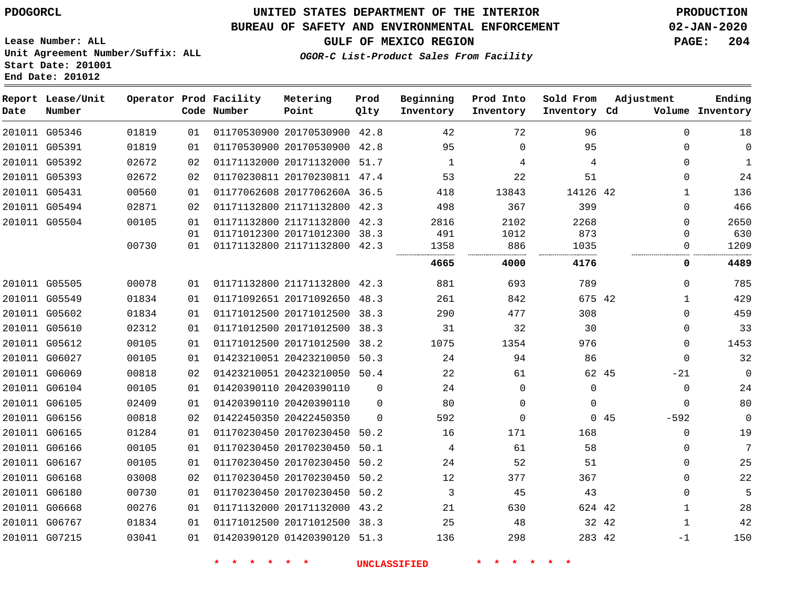**Report Lease/Unit**

**Number**

## **UNITED STATES DEPARTMENT OF THE INTERIOR PDOGORCL PRODUCTION**

### **BUREAU OF SAFETY AND ENVIRONMENTAL ENFORCEMENT 02-JAN-2020**

**Lease Number: ALL Unit Agreement Number/Suffix: ALL Start Date: 201001 End Date: 201012**

**OGOR-C List-Product Sales From Facility**

**GULF OF MEXICO REGION PAGE: 204**

**Inventory Cd Volume**

**Adjustment**

**Ending**

|       | Operator Prod Facility<br>Code Number | Metering<br>Point | Prod<br>Oltv | Beginning<br>Inventory | Prod Into<br>Inventory | Sold From<br>Inventory Cd | - A |
|-------|---------------------------------------|-------------------|--------------|------------------------|------------------------|---------------------------|-----|
| 01819 | 01 01170530900 20170530900 42.8       |                   |              | 42                     | 72                     | 96                        |     |

| 201011 G05346 | 01819 | 01 |  | 42.8                                                                                                                                                                                                                                                                                                  | 42                                                                                                                                                                                                                                                                                                                                                                                                                                                                                                                                                     | 72       | 96       | $\Omega$                                                        | 18             |
|---------------|-------|----|--|-------------------------------------------------------------------------------------------------------------------------------------------------------------------------------------------------------------------------------------------------------------------------------------------------------|--------------------------------------------------------------------------------------------------------------------------------------------------------------------------------------------------------------------------------------------------------------------------------------------------------------------------------------------------------------------------------------------------------------------------------------------------------------------------------------------------------------------------------------------------------|----------|----------|-----------------------------------------------------------------|----------------|
| 201011 G05391 | 01819 | 01 |  |                                                                                                                                                                                                                                                                                                       | 95                                                                                                                                                                                                                                                                                                                                                                                                                                                                                                                                                     | $\Omega$ | 95       | $\Omega$                                                        | $\mathbf 0$    |
| 201011 G05392 | 02672 | 02 |  |                                                                                                                                                                                                                                                                                                       | 1                                                                                                                                                                                                                                                                                                                                                                                                                                                                                                                                                      | 4        | 4        | 0                                                               | 1              |
| 201011 G05393 | 02672 | 02 |  |                                                                                                                                                                                                                                                                                                       | 53                                                                                                                                                                                                                                                                                                                                                                                                                                                                                                                                                     | 22       | 51       | $\Omega$                                                        | 24             |
| 201011 G05431 | 00560 | 01 |  |                                                                                                                                                                                                                                                                                                       | 418                                                                                                                                                                                                                                                                                                                                                                                                                                                                                                                                                    | 13843    |          | 1                                                               | 136            |
| 201011 G05494 | 02871 | 02 |  |                                                                                                                                                                                                                                                                                                       | 498                                                                                                                                                                                                                                                                                                                                                                                                                                                                                                                                                    | 367      | 399      | $\Omega$                                                        | 466            |
| 201011 G05504 | 00105 | 01 |  |                                                                                                                                                                                                                                                                                                       | 2816                                                                                                                                                                                                                                                                                                                                                                                                                                                                                                                                                   | 2102     | 2268     | 0                                                               | 2650           |
|               |       | 01 |  |                                                                                                                                                                                                                                                                                                       | 491                                                                                                                                                                                                                                                                                                                                                                                                                                                                                                                                                    | 1012     | 873      | 0                                                               | 630            |
|               | 00730 | 01 |  |                                                                                                                                                                                                                                                                                                       | 1358                                                                                                                                                                                                                                                                                                                                                                                                                                                                                                                                                   | 886      | 1035     |                                                                 | 1209           |
|               |       |    |  |                                                                                                                                                                                                                                                                                                       | 4665                                                                                                                                                                                                                                                                                                                                                                                                                                                                                                                                                   | 4000     | 4176     | 0                                                               | 4489           |
| 201011 G05505 | 00078 | 01 |  |                                                                                                                                                                                                                                                                                                       | 881                                                                                                                                                                                                                                                                                                                                                                                                                                                                                                                                                    | 693      | 789      | $\Omega$                                                        | 785            |
| 201011 G05549 | 01834 | 01 |  | 48.3                                                                                                                                                                                                                                                                                                  | 261                                                                                                                                                                                                                                                                                                                                                                                                                                                                                                                                                    | 842      |          | 1                                                               | 429            |
| 201011 G05602 | 01834 | 01 |  |                                                                                                                                                                                                                                                                                                       | 290                                                                                                                                                                                                                                                                                                                                                                                                                                                                                                                                                    | 477      | 308      | $\Omega$                                                        | 459            |
| 201011 G05610 | 02312 | 01 |  | 38.3                                                                                                                                                                                                                                                                                                  | 31                                                                                                                                                                                                                                                                                                                                                                                                                                                                                                                                                     | 32       | 30       | 0                                                               | 33             |
| 201011 G05612 | 00105 | 01 |  |                                                                                                                                                                                                                                                                                                       | 1075                                                                                                                                                                                                                                                                                                                                                                                                                                                                                                                                                   | 1354     | 976      | $\Omega$                                                        | 1453           |
| 201011 G06027 | 00105 | 01 |  |                                                                                                                                                                                                                                                                                                       | 24                                                                                                                                                                                                                                                                                                                                                                                                                                                                                                                                                     | 94       | 86       | $\Omega$                                                        | 32             |
| 201011 G06069 | 00818 | 02 |  |                                                                                                                                                                                                                                                                                                       | 22                                                                                                                                                                                                                                                                                                                                                                                                                                                                                                                                                     | 61       |          | $-21$                                                           | $\overline{0}$ |
| 201011 G06104 | 00105 | 01 |  | $\Omega$                                                                                                                                                                                                                                                                                              | 24                                                                                                                                                                                                                                                                                                                                                                                                                                                                                                                                                     | $\Omega$ | $\Omega$ | $\Omega$                                                        | 24             |
| 201011 G06105 | 02409 | 01 |  | $\Omega$                                                                                                                                                                                                                                                                                              | 80                                                                                                                                                                                                                                                                                                                                                                                                                                                                                                                                                     | $\Omega$ | 0        | $\Omega$                                                        | 80             |
| 201011 G06156 | 00818 | 02 |  | $\Omega$                                                                                                                                                                                                                                                                                              | 592                                                                                                                                                                                                                                                                                                                                                                                                                                                                                                                                                    | 0        |          | $-592$                                                          | $\overline{0}$ |
| 201011 G06165 | 01284 | 01 |  | 50.2                                                                                                                                                                                                                                                                                                  | 16                                                                                                                                                                                                                                                                                                                                                                                                                                                                                                                                                     | 171      | 168      | $\Omega$                                                        | 19             |
| 201011 G06166 | 00105 | 01 |  | 50.1                                                                                                                                                                                                                                                                                                  | 4                                                                                                                                                                                                                                                                                                                                                                                                                                                                                                                                                      | 61       | 58       | $\Omega$                                                        | 7              |
| 201011 G06167 | 00105 | 01 |  | 50.2                                                                                                                                                                                                                                                                                                  | 24                                                                                                                                                                                                                                                                                                                                                                                                                                                                                                                                                     | 52       | 51       | $\Omega$                                                        | 25             |
| 201011 G06168 | 03008 | 02 |  |                                                                                                                                                                                                                                                                                                       | 12                                                                                                                                                                                                                                                                                                                                                                                                                                                                                                                                                     | 377      | 367      | 0                                                               | 22             |
| 201011 G06180 | 00730 | 01 |  | 50.2                                                                                                                                                                                                                                                                                                  | 3                                                                                                                                                                                                                                                                                                                                                                                                                                                                                                                                                      | 45       | 43       | $\Omega$                                                        | 5              |
| 201011 G06668 | 00276 | 01 |  |                                                                                                                                                                                                                                                                                                       | 21                                                                                                                                                                                                                                                                                                                                                                                                                                                                                                                                                     | 630      |          | 1                                                               | 28             |
| 201011 G06767 | 01834 | 01 |  |                                                                                                                                                                                                                                                                                                       | 25                                                                                                                                                                                                                                                                                                                                                                                                                                                                                                                                                     | 48       |          | -1                                                              | 42             |
| 201011 G07215 | 03041 | 01 |  |                                                                                                                                                                                                                                                                                                       | 136                                                                                                                                                                                                                                                                                                                                                                                                                                                                                                                                                    | 298      |          | -1                                                              | 150            |
|               |       |    |  | 01171132800 21171132800<br>01171092651 20171092650<br>01171012500 20171012500<br>01171012500 20171012500<br>01420390110 20420390110<br>01420390110 20420390110<br>01422450350 20422450350<br>01170230450 20170230450<br>01170230450 20170230450<br>01170230450 20170230450<br>01171132000 20171132000 | 01170530900 20170530900<br>01170530900 20170530900<br>42.8<br>01171132000 20171132000 51.7<br>01170230811 20170230811 47.4<br>01177062608 2017706260A 36.5<br>42.3<br>01171132800 21171132800 42.3<br>01171012300 20171012300 38.3<br>01171132800 21171132800 42.3<br>01171132800 21171132800 42.3<br>01171012500 20171012500 38.3<br>38.2<br>01423210051 20423210050<br>50.3<br>01423210051 20423210050<br>50.4<br>01170230450 20170230450<br>50.2<br>01170230450 20170230450<br>43.2<br>01171012500 20171012500 38.3<br>01420390120 01420390120 51.3 |          |          | 14126 42<br>675 42<br>62 45<br>045<br>624 42<br>32 42<br>283 42 |                |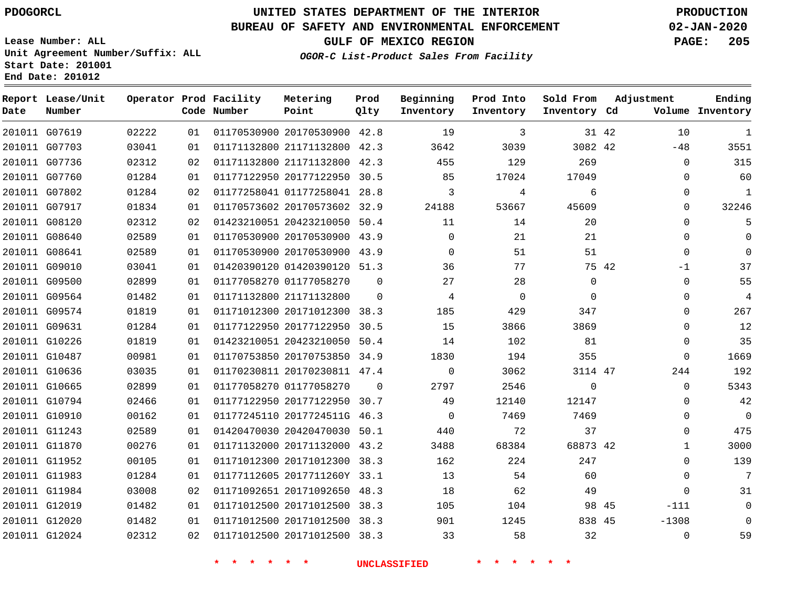# **UNITED STATES DEPARTMENT OF THE INTERIOR PDOGORCL PRODUCTION**

#### **BUREAU OF SAFETY AND ENVIRONMENTAL ENFORCEMENT 02-JAN-2020**

**Lease Number: ALL Unit Agreement Number/Suffix: ALL Start Date: 201001 End Date: 201012**

**OGOR-C List-Product Sales From Facility**

**GULF OF MEXICO REGION PAGE: 205**

**Ending**

| Date | Report Lease/Unit<br>Number |       |    | Operator Prod Facility<br>Code Number | Metering<br>Point            | Prod<br>Qlty | Beginning<br>Inventory | Prod Into<br>Inventory         | Sold From<br>Inventory Cd |       | Adjustment   | Ending<br>Volume Inventory |
|------|-----------------------------|-------|----|---------------------------------------|------------------------------|--------------|------------------------|--------------------------------|---------------------------|-------|--------------|----------------------------|
|      | 201011 G07619               | 02222 | 01 |                                       | 01170530900 20170530900 42.8 |              | 19                     | 3                              |                           | 31 42 | 10           | $\mathbf{1}$               |
|      | 201011 G07703               | 03041 | 01 |                                       | 01171132800 21171132800 42.3 |              | 3642                   | 3039                           | 3082 42                   |       | $-48$        | 3551                       |
|      | 201011 G07736               | 02312 | 02 |                                       | 01171132800 21171132800 42.3 |              | 455                    | 129                            | 269                       |       | 0            | 315                        |
|      | 201011 G07760               | 01284 | 01 |                                       | 01177122950 20177122950 30.5 |              | 85                     | 17024                          | 17049                     |       | 0            | 60                         |
|      | 201011 G07802               | 01284 | 02 |                                       | 01177258041 01177258041 28.8 |              | 3                      | 4                              | 6                         |       | $\Omega$     | $\mathbf{1}$               |
|      | 201011 G07917               | 01834 | 01 |                                       | 01170573602 20170573602 32.9 |              | 24188                  | 53667                          | 45609                     |       | 0            | 32246                      |
|      | 201011 G08120               | 02312 | 02 |                                       | 01423210051 20423210050 50.4 |              | 11                     | 14                             | 20                        |       | 0            | 5                          |
|      | 201011 G08640               | 02589 | 01 |                                       | 01170530900 20170530900 43.9 |              | $\Omega$               | 21                             | 21                        |       | $\Omega$     | $\Omega$                   |
|      | 201011 G08641               | 02589 | 01 |                                       | 01170530900 20170530900 43.9 |              | $\Omega$               | 51                             | 51                        |       | $\Omega$     | $\Omega$                   |
|      | 201011 G09010               | 03041 | 01 |                                       | 01420390120 01420390120 51.3 |              | 36                     | 77                             |                           | 75 42 | $-1$         | 37                         |
|      | 201011 G09500               | 02899 | 01 |                                       | 01177058270 01177058270      | $\Omega$     | 27                     | 28                             | $\Omega$                  |       | $\mathbf{0}$ | 55                         |
|      | 201011 G09564               | 01482 | 01 |                                       | 01171132800 21171132800      | $\Omega$     | 4                      | $\mathbf 0$                    | $\Omega$                  |       | $\Omega$     | $\overline{4}$             |
|      | 201011 G09574               | 01819 | 01 |                                       | 01171012300 20171012300 38.3 |              | 185                    | 429                            | 347                       |       | $\mathbf 0$  | 267                        |
|      | 201011 G09631               | 01284 | 01 |                                       | 01177122950 20177122950 30.5 |              | 15                     | 3866                           | 3869                      |       | $\Omega$     | 12                         |
|      | 201011 G10226               | 01819 | 01 |                                       | 01423210051 20423210050 50.4 |              | 14                     | 102                            | 81                        |       | $\Omega$     | 35                         |
|      | 201011 G10487               | 00981 | 01 |                                       | 01170753850 20170753850 34.9 |              | 1830                   | 194                            | 355                       |       | $\mathbf 0$  | 1669                       |
|      | 201011 G10636               | 03035 | 01 |                                       | 01170230811 20170230811 47.4 |              | $\mathbf 0$            | 3062                           | 3114 47                   |       | 244          | 192                        |
|      | 201011 G10665               | 02899 | 01 |                                       | 01177058270 01177058270      | $\Omega$     | 2797                   | 2546                           | $\mathsf{O}$              |       | 0            | 5343                       |
|      | 201011 G10794               | 02466 | 01 |                                       | 01177122950 20177122950 30.7 |              | 49                     | 12140                          | 12147                     |       | 0            | 42                         |
|      | 201011 G10910               | 00162 | 01 |                                       | 01177245110 2017724511G 46.3 |              | $\Omega$               | 7469                           | 7469                      |       | $\mathbf 0$  | $\mathbf 0$                |
|      | 201011 G11243               | 02589 | 01 |                                       | 01420470030 20420470030 50.1 |              | 440                    | 72                             | 37                        |       | $\Omega$     | 475                        |
|      | 201011 G11870               | 00276 | 01 |                                       | 01171132000 20171132000 43.2 |              | 3488                   | 68384                          | 68873 42                  |       | $\mathbf{1}$ | 3000                       |
|      | 201011 G11952               | 00105 | 01 |                                       | 01171012300 20171012300 38.3 |              | 162                    | 224                            | 247                       |       | $\Omega$     | 139                        |
|      | 201011 G11983               | 01284 | 01 |                                       | 01177112605 2017711260Y 33.1 |              | 13                     | 54                             | 60                        |       | $\Omega$     | 7                          |
|      | 201011 G11984               | 03008 | 02 |                                       | 01171092651 20171092650 48.3 |              | 18                     | 62                             | 49                        |       | $\mathbf{0}$ | 31                         |
|      | 201011 G12019               | 01482 | 01 |                                       | 01171012500 20171012500 38.3 |              | 105                    | 104                            |                           | 98 45 | $-111$       | $\mathbf 0$                |
|      | 201011 G12020               | 01482 | 01 |                                       | 01171012500 20171012500 38.3 |              | 901                    | 1245                           | 838 45                    |       | $-1308$      | $\Omega$                   |
|      | 201011 G12024               | 02312 | 02 |                                       | 01171012500 20171012500 38.3 |              | 33                     | 58                             | 32                        |       | 0            | 59                         |
|      |                             |       |    | $\star$ $\star$<br>$\star$<br>一大      | $\star$ $\star$              |              | <b>UNCLASSIFIED</b>    | $\star$<br>$\star$<br>一大<br>一大 | $\star$ .<br>$\star$      |       |              |                            |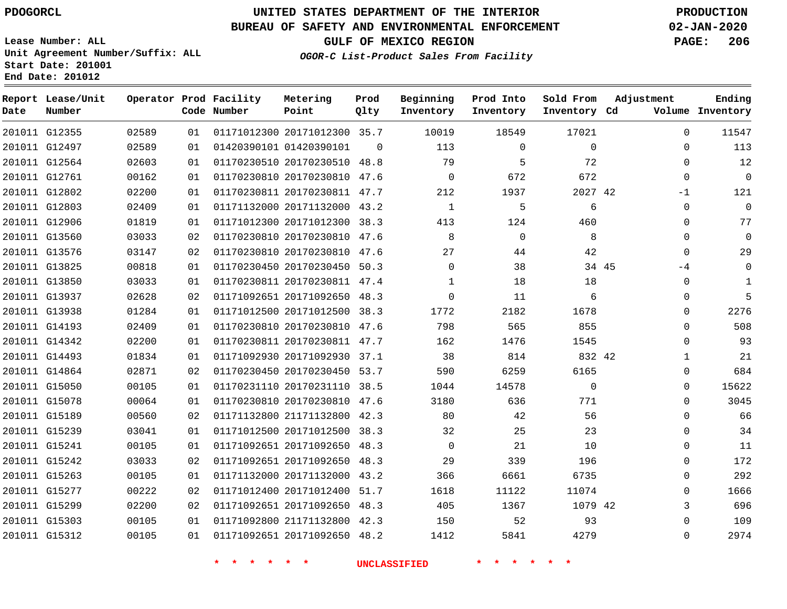**Prod**

#### **BUREAU OF SAFETY AND ENVIRONMENTAL ENFORCEMENT 02-JAN-2020**

**Lease Number: ALL Unit Agreement Number/Suffix: ALL Start Date: 201001 End Date: 201012**

**OGOR-C List-Product Sales From Facility**

**Beginning**

**GULF OF MEXICO REGION PAGE: 206**

**Adjustment**

**Ending**

| Date | Report Lease/Unit<br>Number |       |    | Operator Prod Facility<br>Code Number | Metering<br>Point            | Prod<br>Qlty | Beginning<br>Inventory | Prod Into<br>Inventory | Sold From<br>Inventory Cd | Adjustment    | Ending<br>Volume Inventory |
|------|-----------------------------|-------|----|---------------------------------------|------------------------------|--------------|------------------------|------------------------|---------------------------|---------------|----------------------------|
|      | 201011 G12355               | 02589 | 01 |                                       | 01171012300 20171012300 35.7 |              | 10019                  | 18549                  | 17021                     | $\Omega$      | 11547                      |
|      | 201011 G12497               | 02589 | 01 |                                       | 01420390101 01420390101      | $\mathbf 0$  | 113                    | $\mathbf 0$            | $\mathbf 0$               | $\mathbf 0$   | 113                        |
|      | 201011 G12564               | 02603 | 01 |                                       | 01170230510 20170230510 48.8 |              | 79                     | 5                      | 72                        | $\mathbf 0$   | 12                         |
|      | 201011 G12761               | 00162 | 01 |                                       | 01170230810 20170230810 47.6 |              | $\Omega$               | 672                    | 672                       | $\Omega$      | $\Omega$                   |
|      | 201011 G12802               | 02200 | 01 |                                       | 01170230811 20170230811 47.7 |              | 212                    | 1937                   | 2027 42                   | $-1$          | 121                        |
|      | 201011 G12803               | 02409 | 01 |                                       | 01171132000 20171132000 43.2 |              | 1                      | 5                      | 6                         | $\mathbf 0$   | $\Omega$                   |
|      | 201011 G12906               | 01819 | 01 |                                       | 01171012300 20171012300 38.3 |              | 413                    | 124                    | 460                       | $\mathbf 0$   | 77                         |
|      | 201011 G13560               | 03033 | 02 |                                       | 01170230810 20170230810 47.6 |              | $\,8\,$                | $\mathbf 0$            | 8                         | $\mathbf 0$   | $\mathbf 0$                |
|      | 201011 G13576               | 03147 | 02 |                                       | 01170230810 20170230810 47.6 |              | 27                     | 44                     | 42                        | $\Omega$      | 29                         |
|      | 201011 G13825               | 00818 | 01 |                                       | 01170230450 20170230450 50.3 |              | $\mathbf 0$            | 38                     |                           | 34 45<br>$-4$ | $\Omega$                   |
|      | 201011 G13850               | 03033 | 01 |                                       | 01170230811 20170230811 47.4 |              | $\mathbf{1}$           | 18                     | 18                        | 0             | 1                          |
|      | 201011 G13937               | 02628 | 02 |                                       | 01171092651 20171092650 48.3 |              | $\Omega$               | 11                     | 6                         | $\mathbf 0$   | $5\overline{5}$            |
|      | 201011 G13938               | 01284 | 01 |                                       | 01171012500 20171012500 38.3 |              | 1772                   | 2182                   | 1678                      | $\mathbf 0$   | 2276                       |
|      | 201011 G14193               | 02409 | 01 |                                       | 01170230810 20170230810 47.6 |              | 798                    | 565                    | 855                       | $\Omega$      | 508                        |
|      | 201011 G14342               | 02200 | 01 |                                       | 01170230811 20170230811 47.7 |              | 162                    | 1476                   | 1545                      | $\mathbf 0$   | 93                         |
|      | 201011 G14493               | 01834 | 01 |                                       | 01171092930 20171092930 37.1 |              | 38                     | 814                    | 832 42                    | $\mathbf 1$   | 21                         |
|      | 201011 G14864               | 02871 | 02 |                                       | 01170230450 20170230450 53.7 |              | 590                    | 6259                   | 6165                      | $\Omega$      | 684                        |
|      | 201011 G15050               | 00105 | 01 |                                       | 01170231110 20170231110 38.5 |              | 1044                   | 14578                  | $\Omega$                  | $\mathbf 0$   | 15622                      |
|      | 201011 G15078               | 00064 | 01 |                                       | 01170230810 20170230810 47.6 |              | 3180                   | 636                    | 771                       | $\Omega$      | 3045                       |
|      | 201011 G15189               | 00560 | 02 |                                       | 01171132800 21171132800 42.3 |              | 80                     | 42                     | 56                        | 0             | 66                         |
|      | 201011 G15239               | 03041 | 01 |                                       | 01171012500 20171012500 38.3 |              | 32                     | 25                     | 23                        | $\mathbf 0$   | 34                         |
|      | 201011 G15241               | 00105 | 01 |                                       | 01171092651 20171092650 48.3 |              | $\Omega$               | 21                     | 10                        | $\Omega$      | 11                         |
|      | 201011 G15242               | 03033 | 02 |                                       | 01171092651 20171092650 48.3 |              | 29                     | 339                    | 196                       | $\mathbf 0$   | 172                        |
|      | 201011 G15263               | 00105 | 01 |                                       | 01171132000 20171132000 43.2 |              | 366                    | 6661                   | 6735                      | $\mathbf 0$   | 292                        |
|      | 201011 G15277               | 00222 | 02 |                                       | 01171012400 20171012400      | 51.7         | 1618                   | 11122                  | 11074                     | $\mathbf 0$   | 1666                       |
|      | 201011 G15299               | 02200 | 02 |                                       | 01171092651 20171092650 48.3 |              | 405                    | 1367                   | 1079 42                   | 3             | 696                        |
|      | 201011 G15303               | 00105 | 01 |                                       | 01171092800 21171132800 42.3 |              | 150                    | 52                     | 93                        | $\mathbf 0$   | 109                        |
|      | 201011 G15312               | 00105 | 01 |                                       | 01171092651 20171092650 48.2 |              | 1412                   | 5841                   | 4279                      | $\mathbf 0$   | 2974                       |

**Metering**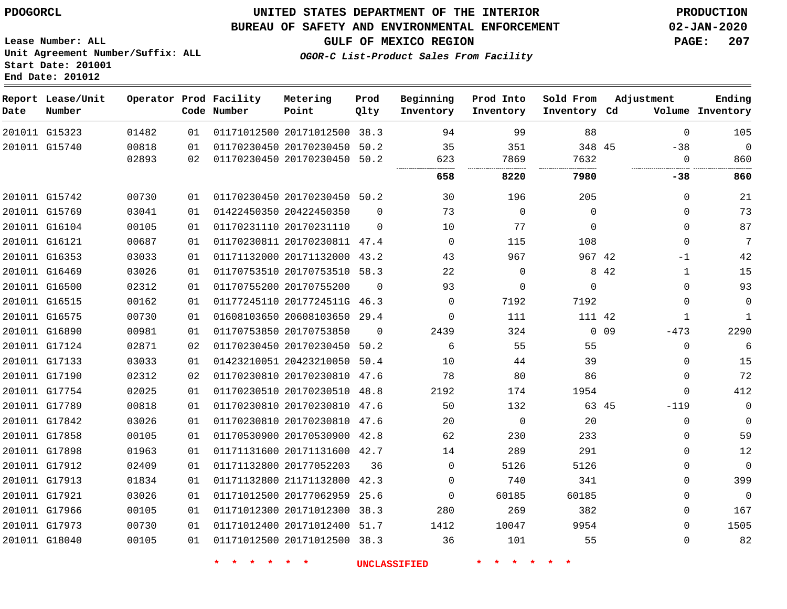G17913 G17921 G17966 G17973 G18040

## **UNITED STATES DEPARTMENT OF THE INTERIOR PDOGORCL PRODUCTION**

#### **BUREAU OF SAFETY AND ENVIRONMENTAL ENFORCEMENT 02-JAN-2020**

**Lease Number: ALL Unit Agreement Number/Suffix: ALL Start Date: 201001 End Date: 201012**

**OGOR-C List-Product Sales From Facility**

**GULF OF MEXICO REGION PAGE: 207**

> > $\Omega$  $\Omega$   $\Omega$  $\Omega$  $\Omega$  $\Omega$  $\Omega$

| Date | Report Lease/Unit<br>Number |       |    | Operator Prod Facility<br>Code Number | Metering<br>Point            | Prod<br>Qlty | Beginning<br>Inventory | Prod Into<br>Inventory | Sold From<br>Inventory Cd |            | Adjustment  | Ending<br>Volume Inventory |
|------|-----------------------------|-------|----|---------------------------------------|------------------------------|--------------|------------------------|------------------------|---------------------------|------------|-------------|----------------------------|
|      | 201011 G15323               | 01482 | 01 |                                       | 01171012500 20171012500 38.3 |              | 94                     | 99                     | 88                        |            | $\Omega$    | 105                        |
|      | 201011 G15740               | 00818 | 01 |                                       | 01170230450 20170230450 50.2 |              | 35                     | 351                    | 348 45                    |            | $-38$       | $\mathbf 0$                |
|      |                             | 02893 | 02 |                                       | 01170230450 20170230450 50.2 |              | 623                    | 7869                   | 7632                      |            | $\mathbf 0$ | 860                        |
|      |                             |       |    |                                       |                              |              | 658                    | 8220                   | 7980                      |            | $-38$       | 860                        |
|      | 201011 G15742               | 00730 | 01 |                                       | 01170230450 20170230450 50.2 |              | 30                     | 196                    | 205                       |            | $\Omega$    | 21                         |
|      | 201011 G15769               | 03041 | 01 |                                       | 01422450350 20422450350      | $\Omega$     | 73                     | $\Omega$               | $\Omega$                  |            | $\Omega$    | 73                         |
|      | 201011 G16104               | 00105 | 01 |                                       | 01170231110 20170231110      | $\Omega$     | 10                     | 77                     | $\Omega$                  |            | $\Omega$    | 87                         |
|      | 201011 G16121               | 00687 | 01 |                                       | 01170230811 20170230811 47.4 |              | $\Omega$               | 115                    | 108                       |            | $\Omega$    | 7                          |
|      | 201011 G16353               | 03033 | 01 |                                       | 01171132000 20171132000 43.2 |              | 43                     | 967                    | 967 42                    |            | $-1$        | 42                         |
|      | 201011 G16469               | 03026 | 01 |                                       | 01170753510 20170753510 58.3 |              | 22                     | $\Omega$               |                           | 8 4 2      | 1           | 15                         |
|      | 201011 G16500               | 02312 | 01 |                                       | 01170755200 20170755200      | $\Omega$     | 93                     | $\Omega$               | 0                         |            | $\Omega$    | 93                         |
|      | 201011 G16515               | 00162 | 01 |                                       | 01177245110 2017724511G 46.3 |              | $\Omega$               | 7192                   | 7192                      |            | $\Omega$    | 0                          |
|      | 201011 G16575               | 00730 | 01 |                                       | 01608103650 20608103650 29.4 |              | $\Omega$               | 111                    | 111 42                    |            | 1           | 1                          |
|      | 201011 G16890               | 00981 | 01 |                                       | 01170753850 20170753850      | $\Omega$     | 2439                   | 324                    |                           | $0\quad09$ | $-473$      | 2290                       |
|      | 201011 G17124               | 02871 | 02 |                                       | 01170230450 20170230450 50.2 |              | 6                      | 55                     | 55                        |            | $\Omega$    | 6                          |
|      | 201011 G17133               | 03033 | 01 |                                       | 01423210051 20423210050 50.4 |              | 10                     | 44                     | 39                        |            | 0           | 15                         |
|      | 201011 G17190               | 02312 | 02 |                                       | 01170230810 20170230810 47.6 |              | 78                     | 80                     | 86                        |            | $\Omega$    | 72                         |
|      | 201011 G17754               | 02025 | 01 |                                       | 01170230510 20170230510 48.8 |              | 2192                   | 174                    | 1954                      |            | $\Omega$    | 412                        |
|      | 201011 G17789               | 00818 | 01 |                                       | 01170230810 20170230810 47.6 |              | 50                     | 132                    | 63 45                     |            | $-119$      | 0                          |
|      | 201011 G17842               | 03026 | 01 |                                       | 01170230810 20170230810 47.6 |              | 20                     | $\Omega$               | 20                        |            | $\mathbf 0$ | $\mathbf 0$                |
|      | 201011 G17858               | 00105 | 01 |                                       | 01170530900 20170530900 42.8 |              | 62                     | 230                    | 233                       |            | $\mathbf 0$ | 59                         |
|      | 201011 G17898               | 01963 | 01 |                                       | 01171131600 20171131600 42.7 |              | 14                     | 289                    | 291                       |            | $\Omega$    | 12                         |
|      | 201011 G17912               | 02409 | 01 |                                       | 01171132800 20177052203      | 36           | $\Omega$               | 5126                   | 5126                      |            | $\Omega$    | $\mathbf 0$                |

 21171132800 42.3 20177062959 25.6 20171012300 38.3 20171012400 51.7 20171012500 38.3

**\* \* \* \* \* \* UNCLASSIFIED \* \* \* \* \* \***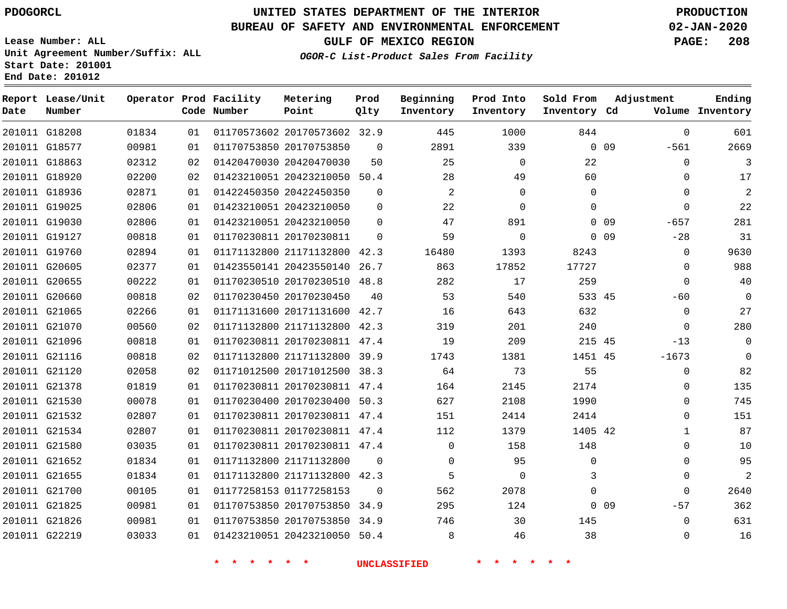**End Date: 201012**

G22219

# **UNITED STATES DEPARTMENT OF THE INTERIOR PDOGORCL PRODUCTION**

### **BUREAU OF SAFETY AND ENVIRONMENTAL ENFORCEMENT 02-JAN-2020**

**Lease Number: ALL Unit Agreement Number/Suffix: ALL Start Date: 201001**

**OGOR-C List-Product Sales From Facility**

**GULF OF MEXICO REGION PAGE: 208**

> $\Omega$

| Date | Report Lease/Unit<br>Number |       |    | Operator Prod Facility<br>Code Number | Metering<br>Point            | Prod<br>Qlty | Beginning<br>Inventory | Prod Into<br>Inventory | Sold From<br>Inventory Cd | Adjustment                | Ending<br>Volume Inventory |
|------|-----------------------------|-------|----|---------------------------------------|------------------------------|--------------|------------------------|------------------------|---------------------------|---------------------------|----------------------------|
|      | 201011 G18208               | 01834 | 01 |                                       | 01170573602 20170573602 32.9 |              | 445                    | 1000                   | 844                       | $\mathbf 0$               | 601                        |
|      | 201011 G18577               | 00981 | 01 |                                       | 01170753850 20170753850      | $\Omega$     | 2891                   | 339                    |                           | 0 <sub>09</sub><br>$-561$ | 2669                       |
|      | 201011 G18863               | 02312 | 02 |                                       | 01420470030 20420470030      | 50           | 25                     | 0                      | 22                        | $\mathbf 0$               | 3                          |
|      | 201011 G18920               | 02200 | 02 |                                       | 01423210051 20423210050      | 50.4         | 28                     | 49                     | 60                        | $\Omega$                  | 17                         |
|      | 201011 G18936               | 02871 | 01 |                                       | 01422450350 20422450350      | $\Omega$     | 2                      | 0                      | $\mathbf 0$               | $\Omega$                  | $\overline{2}$             |
|      | 201011 G19025               | 02806 | 01 |                                       | 01423210051 20423210050      | $\Omega$     | 22                     | $\Omega$               | $\Omega$                  | $\Omega$                  | 22                         |
|      | 201011 G19030               | 02806 | 01 |                                       | 01423210051 20423210050      | $\Omega$     | 47                     | 891                    |                           | 0 <sub>09</sub><br>$-657$ | 281                        |
|      | 201011 G19127               | 00818 | 01 |                                       | 01170230811 20170230811      | $\Omega$     | 59                     | 0                      |                           | $-28$<br>0 <sub>09</sub>  | 31                         |
|      | 201011 G19760               | 02894 | 01 |                                       | 01171132800 21171132800 42.3 |              | 16480                  | 1393                   | 8243                      | 0                         | 9630                       |
|      | 201011 G20605               | 02377 | 01 |                                       | 01423550141 20423550140      | 26.7         | 863                    | 17852                  | 17727                     | $\Omega$                  | 988                        |
|      | 201011 G20655               | 00222 | 01 |                                       | 01170230510 20170230510 48.8 |              | 282                    | 17                     | 259                       | $\Omega$                  | 40                         |
|      | 201011 G20660               | 00818 | 02 |                                       | 01170230450 20170230450      | 40           | 53                     | 540                    | 533 45                    | $-60$                     | $\overline{0}$             |
|      | 201011 G21065               | 02266 | 01 |                                       | 01171131600 20171131600      | 42.7         | 16                     | 643                    | 632                       | $\mathbf 0$               | 27                         |
|      | 201011 G21070               | 00560 | 02 |                                       | 01171132800 21171132800 42.3 |              | 319                    | 201                    | 240                       | $\Omega$                  | 280                        |
|      | 201011 G21096               | 00818 | 01 |                                       | 01170230811 20170230811 47.4 |              | 19                     | 209                    | 215 45                    | $-13$                     | 0                          |
|      | 201011 G21116               | 00818 | 02 |                                       | 01171132800 21171132800      | 39.9         | 1743                   | 1381                   | 1451 45                   | $-1673$                   | 0                          |
|      | 201011 G21120               | 02058 | 02 |                                       | 01171012500 20171012500      | 38.3         | 64                     | 73                     | 55                        | $\mathbf 0$               | 82                         |
|      | 201011 G21378               | 01819 | 01 |                                       | 01170230811 20170230811      | 47.4         | 164                    | 2145                   | 2174                      | $\mathbf 0$               | 135                        |
|      | 201011 G21530               | 00078 | 01 |                                       | 01170230400 20170230400 50.3 |              | 627                    | 2108                   | 1990                      | $\Omega$                  | 745                        |
|      | 201011 G21532               | 02807 | 01 |                                       | 01170230811 20170230811 47.4 |              | 151                    | 2414                   | 2414                      | $\Omega$                  | 151                        |
|      | 201011 G21534               | 02807 | 01 |                                       | 01170230811 20170230811 47.4 |              | 112                    | 1379                   | 1405 42                   | $\mathbf{1}$              | 87                         |
|      | 201011 G21580               | 03035 | 01 |                                       | 01170230811 20170230811 47.4 |              | $\Omega$               | 158                    | 148                       | $\Omega$                  | 10                         |
|      | 201011 G21652               | 01834 | 01 |                                       | 01171132800 21171132800      | $\Omega$     | $\Omega$               | 95                     | $\mathbf 0$               | $\Omega$                  | 95                         |
|      | 201011 G21655               | 01834 | 01 |                                       | 01171132800 21171132800 42.3 |              | 5                      | 0                      | 3                         | $\Omega$                  | 2                          |
|      | 201011 G21700               | 00105 | 01 |                                       | 01177258153 01177258153      | $\Omega$     | 562                    | 2078                   | $\Omega$                  | $\Omega$                  | 2640                       |
|      | 201011 G21825               | 00981 | 01 |                                       | 01170753850 20170753850 34.9 |              | 295                    | 124                    |                           | 0 <sub>09</sub><br>$-57$  | 362                        |
|      | 201011 G21826               | 00981 | 01 |                                       | 01170753850 20170753850      | 34.9         | 746                    | 30                     | 145                       | $\mathbf 0$               | 631                        |

**\* \* \* \* \* \* UNCLASSIFIED \* \* \* \* \* \***

20423210050 50.4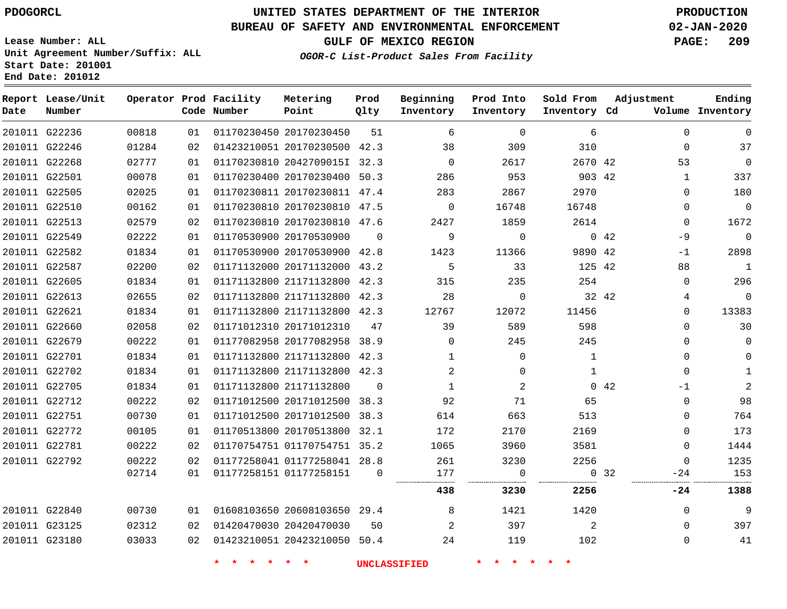**Report Lease/Unit**

G23180

# **UNITED STATES DEPARTMENT OF THE INTERIOR PDOGORCL PRODUCTION**

**Prod**

**Metering**

#### **BUREAU OF SAFETY AND ENVIRONMENTAL ENFORCEMENT 02-JAN-2020**

**Lease Number: ALL Unit Agreement Number/Suffix: ALL Start Date: 201001 End Date: 201012**

**Operator Prod Facility**

**OGOR-C List-Product Sales From Facility**

**Beginning**

**Prod Into**

**Sold From**

**GULF OF MEXICO REGION PAGE: 209**

**Adjustment**

**Ending**

 

 $\Omega$  $\Omega$  $\Omega$ 

| Date | Number        |       |    | Code Number | Point                        | Qlty     | Inventory      | Inventory | Inventory Cd |             |              | Volume Inventory |
|------|---------------|-------|----|-------------|------------------------------|----------|----------------|-----------|--------------|-------------|--------------|------------------|
|      | 201011 G22236 | 00818 | 01 |             | 01170230450 20170230450      | 51       | 6              | $\Omega$  | 6            |             | $\Omega$     | $\Omega$         |
|      | 201011 G22246 | 01284 | 02 |             | 01423210051 20170230500 42.3 |          | 38             | 309       | 310          |             | $\Omega$     | 37               |
|      | 201011 G22268 | 02777 | 01 |             | 01170230810 2042709015I 32.3 |          | $\Omega$       | 2617      | 2670 42      |             | 53           | $\mathbf 0$      |
|      | 201011 G22501 | 00078 | 01 |             | 01170230400 20170230400 50.3 |          | 286            | 953       | 903 42       |             | $\mathbf{1}$ | 337              |
|      | 201011 G22505 | 02025 | 01 |             | 01170230811 20170230811 47.4 |          | 283            | 2867      | 2970         |             | $\Omega$     | 180              |
|      | 201011 G22510 | 00162 | 01 |             | 01170230810 20170230810 47.5 |          | $\mathbf 0$    | 16748     | 16748        |             | $\Omega$     | $\mathbf 0$      |
|      | 201011 G22513 | 02579 | 02 |             | 01170230810 20170230810 47.6 |          | 2427           | 1859      | 2614         |             | $\Omega$     | 1672             |
|      | 201011 G22549 | 02222 | 01 |             | 01170530900 20170530900      | $\Omega$ | 9              | $\Omega$  |              | $0\quad 42$ | $-9$         | $\overline{0}$   |
|      | 201011 G22582 | 01834 | 01 |             | 01170530900 20170530900 42.8 |          | 1423           | 11366     | 9890 42      |             | $-1$         | 2898             |
|      | 201011 G22587 | 02200 | 02 |             | 01171132000 20171132000 43.2 |          | 5              | 33        | 125 42       |             | 88           | $\mathbf{1}$     |
|      | 201011 G22605 | 01834 | 01 |             | 01171132800 21171132800 42.3 |          | 315            | 235       | 254          |             | $\Omega$     | 296              |
|      | 201011 G22613 | 02655 | 02 |             | 01171132800 21171132800 42.3 |          | 28             | $\Omega$  |              | 32 42       | 4            | $\overline{0}$   |
|      | 201011 G22621 | 01834 | 01 |             | 01171132800 21171132800 42.3 |          | 12767          | 12072     | 11456        |             | 0            | 13383            |
|      | 201011 G22660 | 02058 | 02 |             | 01171012310 20171012310      | 47       | 39             | 589       | 598          |             | 0            | 30               |
|      | 201011 G22679 | 00222 | 01 |             | 01177082958 20177082958 38.9 |          | $\Omega$       | 245       | 245          |             | $\Omega$     | 0                |
|      | 201011 G22701 | 01834 | 01 |             | 01171132800 21171132800 42.3 |          | $\mathbf{1}$   | $\Omega$  | 1            |             | $\Omega$     | 0                |
|      | 201011 G22702 | 01834 | 01 |             | 01171132800 21171132800 42.3 |          | $\overline{2}$ | $\Omega$  | $\mathbf{1}$ |             | $\Omega$     | $\mathbf{1}$     |
|      | 201011 G22705 | 01834 | 01 |             | 01171132800 21171132800      | $\Omega$ | $\mathbf{1}$   | 2         |              | 042         | $-1$         | 2                |
|      | 201011 G22712 | 00222 | 02 |             | 01171012500 20171012500 38.3 |          | 92             | 71        | 65           |             | $\Omega$     | 98               |
|      | 201011 G22751 | 00730 | 01 |             | 01171012500 20171012500 38.3 |          | 614            | 663       | 513          |             | $\Omega$     | 764              |
|      | 201011 G22772 | 00105 | 01 |             | 01170513800 20170513800 32.1 |          | 172            | 2170      | 2169         |             | $\Omega$     | 173              |
|      | 201011 G22781 | 00222 | 02 |             | 01170754751 01170754751 35.2 |          | 1065           | 3960      | 3581         |             | $\Omega$     | 1444             |
|      | 201011 G22792 | 00222 | 02 |             | 01177258041 01177258041 28.8 |          | 261            | 3230      | 2256         |             | $\Omega$     | 1235             |
|      |               | 02714 | 01 |             | 01177258151 01177258151      | $\Omega$ | 177            | 0         |              | 0, 32       | -24          | 153              |
|      |               |       |    |             |                              |          | 438            | 3230      | 2256         |             | -24          | 1388             |
|      | 201011 G22840 | 00730 | 01 |             | 01608103650 20608103650 29.4 |          | 8              | 1421      | 1420         |             | $\Omega$     | 9                |
|      | 201011 G23125 | 02312 | 02 |             | 01420470030 20420470030      | 50       | $\overline{2}$ | 397       | 2            |             | $\Omega$     | 397              |

**\* \* \* \* \* \* UNCLASSIFIED \* \* \* \* \* \***

20423210050 50.4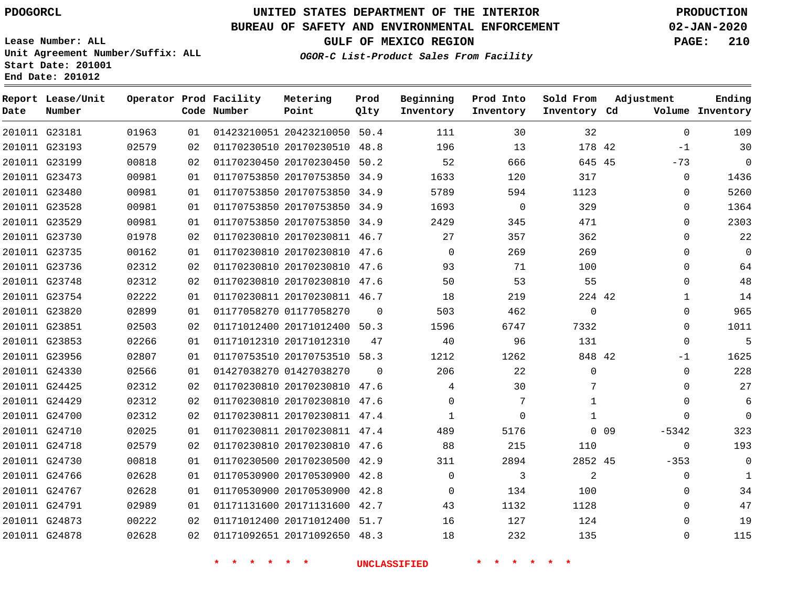**Report Lease/Unit**

**Number**

# **UNITED STATES DEPARTMENT OF THE INTERIOR PDOGORCL PRODUCTION**

**Prod Qlty**

#### **BUREAU OF SAFETY AND ENVIRONMENTAL ENFORCEMENT 02-JAN-2020**

**Lease Number: ALL Unit Agreement Number/Suffix: ALL Start Date: 201001 End Date: 201012**

**Operator Prod Facility**

**OGOR-C List-Product Sales From Facility**

**Beginning Inventory** **Prod Into Inventory**

**Sold From Inventory**

**Adjustment**

**GULF OF MEXICO REGION PAGE: 210**

**Ending**

| Date | Number        |       |                 | Code Number                         | Point                        | Qlty     | Inventory           | Inventory                  | Inventory Cd    |            |              | Volume Inventory |
|------|---------------|-------|-----------------|-------------------------------------|------------------------------|----------|---------------------|----------------------------|-----------------|------------|--------------|------------------|
|      | 201011 G23181 | 01963 | 01              |                                     | 01423210051 20423210050 50.4 |          | 111                 | 30                         | 32              |            | $\mathbf{0}$ | 109              |
|      | 201011 G23193 | 02579 | 02              |                                     | 01170230510 20170230510 48.8 |          | 196                 | 13                         | 178 42          |            | $-1$         | 30               |
|      | 201011 G23199 | 00818 | 02              |                                     | 01170230450 20170230450 50.2 |          | 52                  | 666                        | 645 45          |            | $-73$        | $\mathbf 0$      |
|      | 201011 G23473 | 00981 | 01              |                                     | 01170753850 20170753850 34.9 |          | 1633                | 120                        | 317             |            | $\Omega$     | 1436             |
|      | 201011 G23480 | 00981 | 01              |                                     | 01170753850 20170753850 34.9 |          | 5789                | 594                        | 1123            |            | $\Omega$     | 5260             |
|      | 201011 G23528 | 00981 | 01              |                                     | 01170753850 20170753850 34.9 |          | 1693                | $\mathsf{O}$               | 329             |            | 0            | 1364             |
|      | 201011 G23529 | 00981 | 01              |                                     | 01170753850 20170753850 34.9 |          | 2429                | 345                        | 471             |            | $\Omega$     | 2303             |
|      | 201011 G23730 | 01978 | 02              |                                     | 01170230810 20170230811 46.7 |          | 27                  | 357                        | 362             |            | $\Omega$     | 22               |
|      | 201011 G23735 | 00162 | 01              |                                     | 01170230810 20170230810 47.6 |          | $\Omega$            | 269                        | 269             |            | $\Omega$     | $\mathbf 0$      |
|      | 201011 G23736 | 02312 | 02              |                                     | 01170230810 20170230810 47.6 |          | 93                  | 71                         | 100             |            | $\Omega$     | 64               |
|      | 201011 G23748 | 02312 | 02 <sub>o</sub> |                                     | 01170230810 20170230810 47.6 |          | 50                  | 53                         | 55              |            | $\Omega$     | 48               |
|      | 201011 G23754 | 02222 | 01              |                                     | 01170230811 20170230811 46.7 |          | 18                  | 219                        | 224 42          |            | $\mathbf 1$  | 14               |
|      | 201011 G23820 | 02899 | 01              |                                     | 01177058270 01177058270      | $\Omega$ | 503                 | 462                        | $\mathbf 0$     |            | 0            | 965              |
|      | 201011 G23851 | 02503 | 02              |                                     | 01171012400 20171012400 50.3 |          | 1596                | 6747                       | 7332            |            | $\Omega$     | 1011             |
|      | 201011 G23853 | 02266 | 01              |                                     | 01171012310 20171012310      | 47       | 40                  | 96                         | 131             |            | $\mathbf 0$  | 5                |
|      | 201011 G23956 | 02807 | 01              |                                     | 01170753510 20170753510 58.3 |          | 1212                | 1262                       | 848 42          |            | $-1$         | 1625             |
|      | 201011 G24330 | 02566 | 01              |                                     | 01427038270 01427038270      | $\Omega$ | 206                 | 22                         | $\mathbf 0$     |            | $\Omega$     | 228              |
|      | 201011 G24425 | 02312 | 02              |                                     | 01170230810 20170230810 47.6 |          | 4                   | 30                         | 7               |            | $\Omega$     | 27               |
|      | 201011 G24429 | 02312 | 02              |                                     | 01170230810 20170230810 47.6 |          | $\Omega$            | 7                          | $\mathbf{1}$    |            | $\mathbf{0}$ | 6                |
|      | 201011 G24700 | 02312 | 02              |                                     | 01170230811 20170230811 47.4 |          | 1                   | $\mathbf 0$                | $\mathbf{1}$    |            | $\Omega$     | $\mathbf 0$      |
|      | 201011 G24710 | 02025 | 01              |                                     | 01170230811 20170230811 47.4 |          | 489                 | 5176                       |                 | $0\quad09$ | $-5342$      | 323              |
|      | 201011 G24718 | 02579 | 02              |                                     | 01170230810 20170230810 47.6 |          | 88                  | 215                        | 110             |            | $\mathbf 0$  | 193              |
|      | 201011 G24730 | 00818 | 01              |                                     | 01170230500 20170230500 42.9 |          | 311                 | 2894                       | 2852 45         |            | $-353$       | $\mathbf 0$      |
|      | 201011 G24766 | 02628 | 01              |                                     | 01170530900 20170530900 42.8 |          | $\mathbf 0$         | 3                          | $\overline{a}$  |            | 0            | $\mathbf{1}$     |
|      | 201011 G24767 | 02628 | 01              |                                     | 01170530900 20170530900 42.8 |          | 0                   | 134                        | 100             |            | 0            | 34               |
|      | 201011 G24791 | 02989 | 01              |                                     | 01171131600 20171131600 42.7 |          | 43                  | 1132                       | 1128            |            | $\Omega$     | 47               |
|      | 201011 G24873 | 00222 | 02              |                                     | 01171012400 20171012400 51.7 |          | 16                  | 127                        | 124             |            | $\Omega$     | 19               |
|      | 201011 G24878 | 02628 | 02              |                                     | 01171092651 20171092650 48.3 |          | 18                  | 232                        | 135             |            | 0            | 115              |
|      |               |       |                 | $\star$<br>$\star$<br>$\star$<br>一大 | $\star$ $\star$              |          | <b>UNCLASSIFIED</b> | $\star$ $\star$<br>$\star$ | $\star$ $\star$ |            |              |                  |

**Metering Point**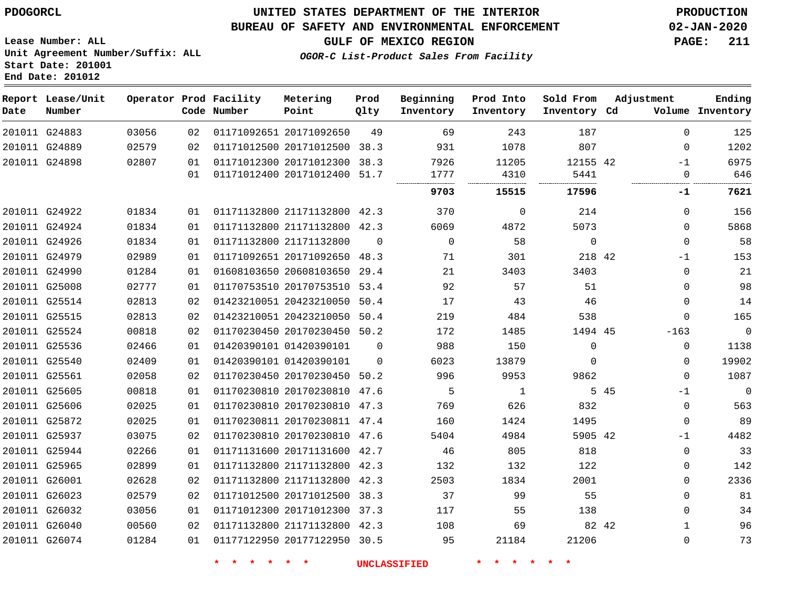G25937 G25944 G25965 G26001 G26023 G26032 G26040 G26074

## **UNITED STATES DEPARTMENT OF THE INTERIOR PDOGORCL PRODUCTION**

#### **BUREAU OF SAFETY AND ENVIRONMENTAL ENFORCEMENT 02-JAN-2020**

**Lease Number: ALL Unit Agreement Number/Suffix: ALL Start Date: 201001 End Date: 201012**

**OGOR-C List-Product Sales From Facility**

**GULF OF MEXICO REGION PAGE: 211**

| Date | Report Lease/Unit<br>Number |       |    | Operator Prod Facility<br>Code Number | Metering<br>Point            | Prod<br>Qlty | Beginning<br>Inventory | Prod Into<br>Inventory | Sold From<br>Inventory Cd | Adjustment |          | Ending<br>Volume Inventory |
|------|-----------------------------|-------|----|---------------------------------------|------------------------------|--------------|------------------------|------------------------|---------------------------|------------|----------|----------------------------|
|      | 201011 G24883               | 03056 | 02 |                                       | 01171092651 20171092650      | 49           | 69                     | 243                    | 187                       |            | $\Omega$ | 125                        |
|      | 201011 G24889               | 02579 | 02 |                                       | 01171012500 20171012500      | 38.3         | 931                    | 1078                   | 807                       |            | 0        | 1202                       |
|      | 201011 G24898               | 02807 | 01 |                                       | 01171012300 20171012300      | 38.3         | 7926                   | 11205                  | 12155 42                  |            | $-1$     | 6975                       |
|      |                             |       | 01 |                                       | 01171012400 20171012400      | 51.7         | 1777                   | 4310                   | 5441                      |            | $\Omega$ | 646                        |
|      |                             |       |    |                                       |                              |              | 9703                   | 15515                  | 17596                     |            | $-1$     | 7621                       |
|      | 201011 G24922               | 01834 | 01 |                                       | 01171132800 21171132800 42.3 |              | 370                    | $\Omega$               | 214                       |            | $\Omega$ | 156                        |
|      | 201011 G24924               | 01834 | 01 |                                       | 01171132800 21171132800      | 42.3         | 6069                   | 4872                   | 5073                      |            | $\Omega$ | 5868                       |
|      | 201011 G24926               | 01834 | 01 | 01171132800 21171132800               |                              | $\Omega$     | $\Omega$               | 58                     | $\Omega$                  |            | $\Omega$ | 58                         |
|      | 201011 G24979               | 02989 | 01 |                                       | 01171092651 20171092650      | 48.3         | 71                     | 301                    | 218 42                    |            | $-1$     | 153                        |
|      | 201011 G24990               | 01284 | 01 |                                       | 01608103650 20608103650      | 29.4         | 21                     | 3403                   | 3403                      |            | $\Omega$ | 21                         |
|      | 201011 G25008               | 02777 | 01 |                                       | 01170753510 20170753510      | 53.4         | 92                     | 57                     | 51                        |            | $\Omega$ | 98                         |
|      | 201011 G25514               | 02813 | 02 |                                       | 01423210051 20423210050      | 50.4         | 17                     | 43                     | 46                        |            | $\Omega$ | 14                         |
|      | 201011 G25515               | 02813 | 02 |                                       | 01423210051 20423210050      | 50.4         | 219                    | 484                    | 538                       |            | $\Omega$ | 165                        |
|      | 201011 G25524               | 00818 | 02 |                                       | 01170230450 20170230450      | 50.2         | 172                    | 1485                   | 1494 45                   |            | $-163$   | $\mathbf 0$                |
|      | 201011 G25536               | 02466 | 01 | 01420390101 01420390101               |                              | $\Omega$     | 988                    | 150                    | 0                         |            | $\Omega$ | 1138                       |
|      | 201011 G25540               | 02409 | 01 | 01420390101 01420390101               |                              | $\Omega$     | 6023                   | 13879                  | 0                         |            | $\Omega$ | 19902                      |
|      | 201011 G25561               | 02058 | 02 |                                       | 01170230450 20170230450      | 50.2         | 996                    | 9953                   | 9862                      |            | $\Omega$ | 1087                       |
|      | 201011 G25605               | 00818 | 01 |                                       | 01170230810 20170230810      | 47.6         | 5                      |                        | 5.                        | 45         | $-1$     | $\Omega$                   |
|      | 201011 G25606               | 02025 | 01 |                                       | 01170230810 20170230810      | 47.3         | 769                    | 626                    | 832                       |            | $\Omega$ | 563                        |
|      | 201011 G25872               | 02025 | 01 |                                       | 01170230811 20170230811      | 47.4         | 160                    | 1424                   | 1495                      |            | 0        | 89                         |

**\* \* \* \* \* \* UNCLASSIFIED \* \* \* \* \* \***

 20170230810 47.6 20171131600 42.7 21171132800 42.3 21171132800 42.3 20171012500 38.3 20171012300 37.3 21171132800 42.3 20177122950 30.5

42

-1  $\Omega$   $\Omega$  $\Omega$  $\Omega$   $\Omega$ 

42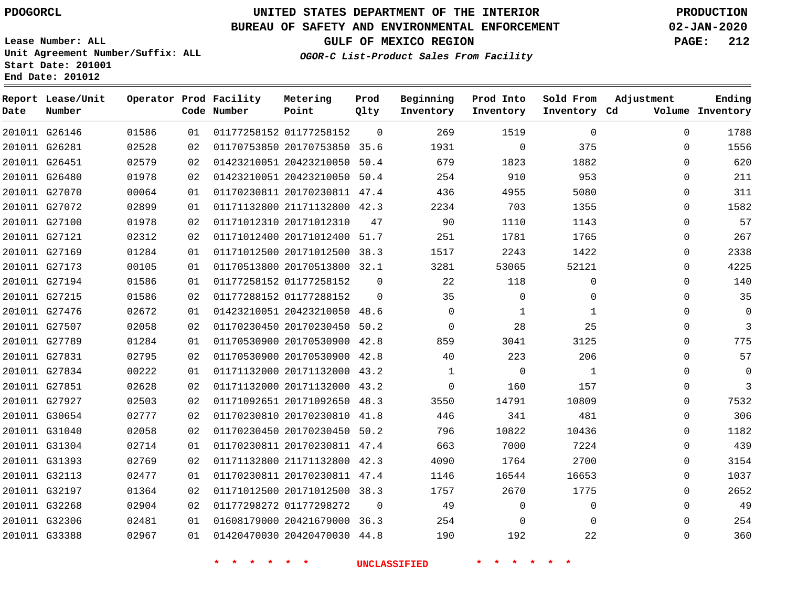G26146 G26281 G26451 G26480 G27070

**Date**

**Report Lease/Unit**

**Number**

# **UNITED STATES DEPARTMENT OF THE INTERIOR PDOGORCL PRODUCTION**

#### **BUREAU OF SAFETY AND ENVIRONMENTAL ENFORCEMENT 02-JAN-2020**

**Lease Number: ALL Unit Agreement Number/Suffix: ALL Start Date: 201001 End Date: 201012**

**Operator Prod Facility**

**Code Number**

01177258152

**Metering Point**

**OGOR-C List-Product Sales From Facility**

**GULF OF MEXICO REGION PAGE: 212**

**Inventory Cd Volume**

**Adjustment**

  $\Omega$   $\Omega$ 

**Ending**

| 02528 | 02 | 01170753850 20170753850 | 35.6     | 1931     | 0        | 375      |
|-------|----|-------------------------|----------|----------|----------|----------|
| 02579 | 02 | 01423210051 20423210050 | 50.4     | 679      | 1823     | 1882     |
| 01978 | 02 | 01423210051 20423210050 | 50.4     | 254      | 910      | 953      |
| 00064 | 01 | 01170230811 20170230811 | 47.4     | 436      | 4955     | 5080     |
| 02899 | 01 | 01171132800 21171132800 | 42.3     | 2234     | 703      | 1355     |
| 01978 | 02 | 01171012310 20171012310 | 47       | 90       | 1110     | 1143     |
| 02312 | 02 | 01171012400 20171012400 | 51.7     | 251      | 1781     | 1765     |
| 01284 | 01 | 01171012500 20171012500 | 38.3     | 1517     | 2243     | 1422     |
| 00105 | 01 | 01170513800 20170513800 | 32.1     | 3281     | 53065    | 52121    |
| 01586 | 01 | 01177258152 01177258152 | $\Omega$ | 22       | 118      | $\Omega$ |
| 01586 | 02 | 01177288152 01177288152 | $\Omega$ | 35       | $\Omega$ | $\Omega$ |
| 02672 | 01 | 01423210051 20423210050 | 48.6     | $\Omega$ |          |          |
|       |    |                         |          |          |          |          |

**Sold From Inventory**

**Prod Into Inventory**

**Beginning Inventory**

**Prod Qlty**

|               | 201011 G27072 | 02899 | 01 | 01171132800 21171132800 42.3 |          | 2234     | 703      | 1355     | O        | 1582           |
|---------------|---------------|-------|----|------------------------------|----------|----------|----------|----------|----------|----------------|
| 201011 G27100 |               | 01978 | 02 | 01171012310 20171012310      | 47       | 90       | 1110     | 1143     | 0        | 57             |
| 201011 G27121 |               | 02312 | 02 | 01171012400 20171012400 51.7 |          | 251      | 1781     | 1765     | 0        | 267            |
| 201011 G27169 |               | 01284 | 01 | 01171012500 20171012500      | 38.3     | 1517     | 2243     | 1422     | $\Omega$ | 2338           |
| 201011 G27173 |               | 00105 | 01 | 01170513800 20170513800 32.1 |          | 3281     | 53065    | 52121    | 0        | 4225           |
| 201011 G27194 |               | 01586 | 01 | 01177258152 01177258152      | $\Omega$ | 22       | 118      | 0        | 0        | 140            |
| 201011 G27215 |               | 01586 | 02 | 01177288152 01177288152      | 0        | 35       | 0        | 0        | 0        | 35             |
| 201011 G27476 |               | 02672 | 01 | 01423210051 20423210050      | 48.6     | $\Omega$ |          |          | 0        | 0              |
| 201011 G27507 |               | 02058 | 02 | 01170230450 20170230450 50.2 |          | $\Omega$ | 28       | 25       | $\Omega$ | $\overline{3}$ |
| 201011 G27789 |               | 01284 | 01 | 01170530900 20170530900      | 42.8     | 859      | 3041     | 3125     | 0        | 775            |
| 201011 G27831 |               | 02795 | 02 | 01170530900 20170530900 42.8 |          | 40       | 223      | 206      | 0        | 57             |
| 201011 G27834 |               | 00222 | 01 | 01171132000 20171132000 43.2 |          |          | $\Omega$ |          | $\Omega$ | 0              |
| 201011 G27851 |               | 02628 | 02 | 01171132000 20171132000 43.2 |          | $\Omega$ | 160      | 157      | $\Omega$ | 3              |
| 201011 G27927 |               | 02503 | 02 | 01171092651 20171092650 48.3 |          | 3550     | 14791    | 10809    | 0        | 7532           |
| 201011 G30654 |               | 02777 | 02 | 01170230810 20170230810 41.8 |          | 446      | 341      | 481      | 0        | 306            |
| 201011 G31040 |               | 02058 | 02 | 01170230450 20170230450 50.2 |          | 796      | 10822    | 10436    | 0        | 1182           |
| 201011 G31304 |               | 02714 | 01 | 01170230811 20170230811      | 47.4     | 663      | 7000     | 7224     | $\Omega$ | 439            |
| 201011 G31393 |               | 02769 | 02 | 01171132800 21171132800 42.3 |          | 4090     | 1764     | 2700     | 0        | 3154           |
| 201011 G32113 |               | 02477 | 01 | 01170230811 20170230811      | 47.4     | 1146     | 16544    | 16653    | 0        | 1037           |
| 201011 G32197 |               | 01364 | 02 | 01171012500 20171012500      | 38.3     | 1757     | 2670     | 1775     | 0        | 2652           |
| 201011 G32268 |               | 02904 | 02 | 01177298272 01177298272      | 0        | 49       | 0        | $\Omega$ | 0        | 49             |
| 201011 G32306 |               | 02481 | 01 | 01608179000 20421679000 36.3 |          | 254      | 0        |          | 0        | 254            |
| 201011 G33388 |               | 02967 | 01 | 01420470030 20420470030 44.8 |          | 190      | 192      | 22       | 0        | 360            |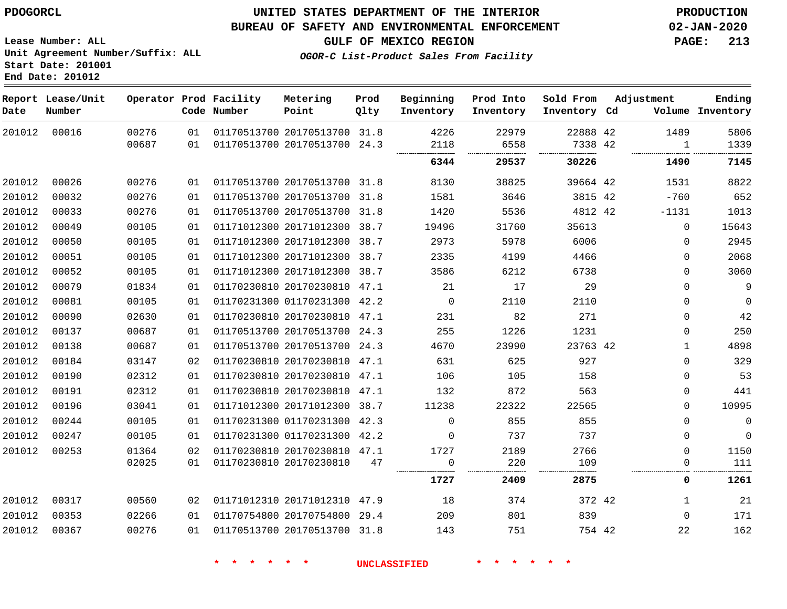**Lease Number: ALL**

**Start Date: 201001 End Date: 201012**

## **UNITED STATES DEPARTMENT OF THE INTERIOR PDOGORCL PRODUCTION**

### **BUREAU OF SAFETY AND ENVIRONMENTAL ENFORCEMENT 02-JAN-2020**

**Unit Agreement Number/Suffix: ALL**

**GULF OF MEXICO REGION PAGE: 213**

**OGOR-C List-Product Sales From Facility**

| Date   | Report Lease/Unit<br>Number |                |          | Operator Prod Facility<br>Code Number | Metering<br>Point                                            | Prod<br>Qlty | Beginning<br>Inventory | Prod Into<br>Inventory | Sold From<br>Inventory Cd | Adjustment  | Ending<br>Volume Inventory |
|--------|-----------------------------|----------------|----------|---------------------------------------|--------------------------------------------------------------|--------------|------------------------|------------------------|---------------------------|-------------|----------------------------|
| 201012 | 00016                       | 00276<br>00687 | 01<br>01 |                                       | 01170513700 20170513700 31.8<br>01170513700 20170513700 24.3 |              | 4226<br>2118           | 22979<br>6558          | 22888 42<br>7338 42       | 1489<br>1   | 5806<br>1339               |
|        |                             |                |          |                                       |                                                              |              | 6344                   | 29537                  | 30226                     | 1490        | 7145                       |
| 201012 | 00026                       | 00276          | 01       |                                       | 01170513700 20170513700 31.8                                 |              | 8130                   | 38825                  | 39664 42                  | 1531        | 8822                       |
| 201012 | 00032                       | 00276          | 01       |                                       | 01170513700 20170513700 31.8                                 |              | 1581                   | 3646                   | 3815 42                   | $-760$      | 652                        |
| 201012 | 00033                       | 00276          | 01       |                                       | 01170513700 20170513700 31.8                                 |              | 1420                   | 5536                   | 4812 42                   | $-1131$     | 1013                       |
| 201012 | 00049                       | 00105          | 01       |                                       | 01171012300 20171012300 38.7                                 |              | 19496                  | 31760                  | 35613                     | $\Omega$    | 15643                      |
| 201012 | 00050                       | 00105          | 01       |                                       | 01171012300 20171012300 38.7                                 |              | 2973                   | 5978                   | 6006                      | $\Omega$    | 2945                       |
| 201012 | 00051                       | 00105          | 01       |                                       | 01171012300 20171012300 38.7                                 |              | 2335                   | 4199                   | 4466                      | $\mathbf 0$ | 2068                       |
| 201012 | 00052                       | 00105          | 01       |                                       | 01171012300 20171012300 38.7                                 |              | 3586                   | 6212                   | 6738                      | $\Omega$    | 3060                       |
| 201012 | 00079                       | 01834          | 01       |                                       | 01170230810 20170230810 47.1                                 |              | 21                     | 17                     | 29                        | $\Omega$    | 9                          |
| 201012 | 00081                       | 00105          | 01       |                                       | 01170231300 01170231300 42.2                                 |              | $\overline{0}$         | 2110                   | 2110                      | $\mathbf 0$ | $\Omega$                   |
| 201012 | 00090                       | 02630          | 01       |                                       | 01170230810 20170230810 47.1                                 |              | 231                    | 82                     | 271                       | $\Omega$    | 42                         |
| 201012 | 00137                       | 00687          | 01       |                                       | 01170513700 20170513700 24.3                                 |              | 255                    | 1226                   | 1231                      | 0           | 250                        |
| 201012 | 00138                       | 00687          | 01       |                                       | 01170513700 20170513700 24.3                                 |              | 4670                   | 23990                  | 23763 42                  | 1           | 4898                       |
| 201012 | 00184                       | 03147          | 02       |                                       | 01170230810 20170230810 47.1                                 |              | 631                    | 625                    | 927                       | $\mathbf 0$ | 329                        |
| 201012 | 00190                       | 02312          | 01       |                                       | 01170230810 20170230810 47.1                                 |              | 106                    | 105                    | 158                       | $\Omega$    | 53                         |
| 201012 | 00191                       | 02312          | 01       |                                       | 01170230810 20170230810 47.1                                 |              | 132                    | 872                    | 563                       | $\Omega$    | 441                        |
| 201012 | 00196                       | 03041          | 01       |                                       | 01171012300 20171012300 38.7                                 |              | 11238                  | 22322                  | 22565                     | $\Omega$    | 10995                      |
| 201012 | 00244                       | 00105          | 01       |                                       | 01170231300 01170231300 42.3                                 |              | $\mathbf 0$            | 855                    | 855                       | $\Omega$    | $\mathsf 0$                |
| 201012 | 00247                       | 00105          | 01       |                                       | 01170231300 01170231300 42.2                                 |              | $\Omega$               | 737                    | 737                       | $\mathbf 0$ | $\mathbf 0$                |
| 201012 | 00253                       | 01364          | 02       |                                       | 01170230810 20170230810 47.1                                 |              | 1727                   | 2189                   | 2766                      | $\Omega$    | 1150                       |
|        |                             | 02025          | 01       |                                       | 01170230810 20170230810                                      | 47           | $\mathbf 0$            | 220                    | 109                       | $\mathbf 0$ | 111                        |
|        |                             |                |          |                                       |                                                              |              | 1727                   | 2409                   | 2875                      | 0           | 1261                       |
| 201012 | 00317                       | 00560          | 02       |                                       | 01171012310 20171012310 47.9                                 |              | 18                     | 374                    | 372 42                    | 1           | 21                         |
| 201012 | 00353                       | 02266          | 01       |                                       | 01170754800 20170754800 29.4                                 |              | 209                    | 801                    | 839                       | $\Omega$    | 171                        |
| 201012 | 00367                       | 00276          | 01       |                                       | 01170513700 20170513700 31.8                                 |              | 143                    | 751                    | 754 42                    | 22          | 162                        |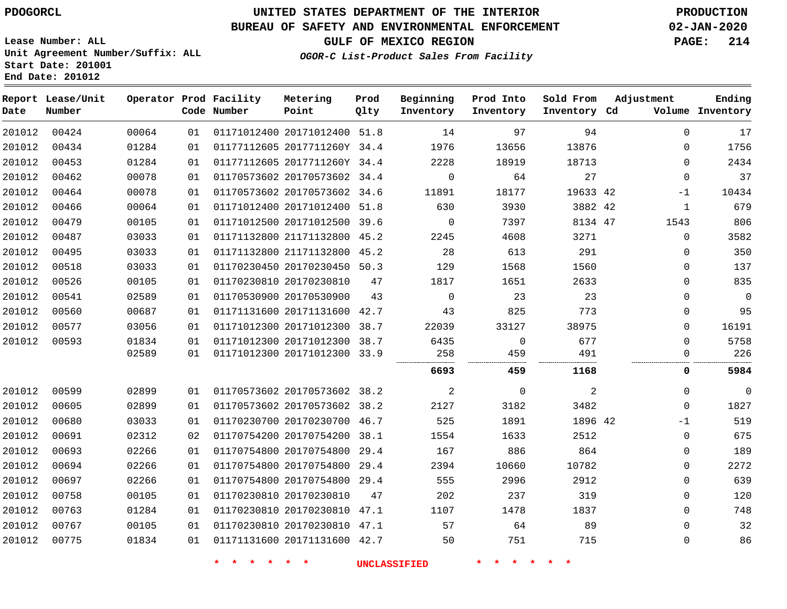**End Date: 201012**

## **UNITED STATES DEPARTMENT OF THE INTERIOR PDOGORCL PRODUCTION**

## **BUREAU OF SAFETY AND ENVIRONMENTAL ENFORCEMENT 02-JAN-2020**

**Lease Number: ALL Unit Agreement Number/Suffix: ALL Start Date: 201001**

**GULF OF MEXICO REGION PAGE: 214**

**OGOR-C List-Product Sales From Facility**

| Date   | Report Lease/Unit<br>Number |       |    | Operator Prod Facility<br>Code Number | Metering<br>Point            | Prod<br>Qlty | Beginning<br>Inventory | Prod Into<br>Inventory | Sold From<br>Inventory Cd | Adjustment   | Ending<br>Volume Inventory |
|--------|-----------------------------|-------|----|---------------------------------------|------------------------------|--------------|------------------------|------------------------|---------------------------|--------------|----------------------------|
| 201012 | 00424                       | 00064 | 01 |                                       | 01171012400 20171012400 51.8 |              | 14                     | 97                     | 94                        | $\mathbf 0$  | 17                         |
| 201012 | 00434                       | 01284 | 01 |                                       | 01177112605 2017711260Y 34.4 |              | 1976                   | 13656                  | 13876                     | 0            | 1756                       |
| 201012 | 00453                       | 01284 | 01 |                                       | 01177112605 2017711260Y 34.4 |              | 2228                   | 18919                  | 18713                     | $\Omega$     | 2434                       |
| 201012 | 00462                       | 00078 | 01 |                                       | 01170573602 20170573602 34.4 |              | 0                      | 64                     | 27                        | $\Omega$     | 37                         |
| 201012 | 00464                       | 00078 | 01 |                                       | 01170573602 20170573602 34.6 |              | 11891                  | 18177                  | 19633 42                  | $-1$         | 10434                      |
| 201012 | 00466                       | 00064 | 01 |                                       | 01171012400 20171012400      | 51.8         | 630                    | 3930                   | 3882 42                   | 1            | 679                        |
| 201012 | 00479                       | 00105 | 01 |                                       | 01171012500 20171012500      | 39.6         | $\mathbf 0$            | 7397                   | 8134 47                   | 1543         | 806                        |
| 201012 | 00487                       | 03033 | 01 |                                       | 01171132800 21171132800      | 45.2         | 2245                   | 4608                   | 3271                      | $\mathsf{O}$ | 3582                       |
| 201012 | 00495                       | 03033 | 01 |                                       | 01171132800 21171132800 45.2 |              | 28                     | 613                    | 291                       | $\mathbf 0$  | 350                        |
| 201012 | 00518                       | 03033 | 01 |                                       | 01170230450 20170230450 50.3 |              | 129                    | 1568                   | 1560                      | 0            | 137                        |
| 201012 | 00526                       | 00105 | 01 |                                       | 01170230810 20170230810      | 47           | 1817                   | 1651                   | 2633                      | $\mathbf 0$  | 835                        |
| 201012 | 00541                       | 02589 | 01 |                                       | 01170530900 20170530900      | 43           | 0                      | 23                     | 23                        | $\mathbf 0$  | $\overline{0}$             |
| 201012 | 00560                       | 00687 | 01 |                                       | 01171131600 20171131600      | 42.7         | 43                     | 825                    | 773                       | $\mathbf 0$  | 95                         |
| 201012 | 00577                       | 03056 | 01 |                                       | 01171012300 20171012300      | 38.7         | 22039                  | 33127                  | 38975                     | $\mathbf 0$  | 16191                      |
| 201012 | 00593                       | 01834 | 01 |                                       | 01171012300 20171012300      | 38.7         | 6435                   | 0                      | 677                       | $\Omega$     | 5758                       |
|        |                             | 02589 | 01 |                                       | 01171012300 20171012300 33.9 |              | 258                    | 459                    | 491                       | $\Omega$<br> | 226                        |
|        |                             |       |    |                                       |                              |              | 6693                   | 459                    | 1168                      | 0            | 5984                       |
| 201012 | 00599                       | 02899 | 01 |                                       | 01170573602 20170573602 38.2 |              | 2                      | 0                      | 2                         | $\mathbf 0$  | $\overline{0}$             |
| 201012 | 00605                       | 02899 | 01 |                                       | 01170573602 20170573602      | 38.2         | 2127                   | 3182                   | 3482                      | $\mathbf 0$  | 1827                       |
| 201012 | 00680                       | 03033 | 01 |                                       | 01170230700 20170230700 46.7 |              | 525                    | 1891                   | 1896 42                   | $-1$         | 519                        |
| 201012 | 00691                       | 02312 | 02 |                                       | 01170754200 20170754200 38.1 |              | 1554                   | 1633                   | 2512                      | $\mathbf 0$  | 675                        |
| 201012 | 00693                       | 02266 | 01 |                                       | 01170754800 20170754800      | 29.4         | 167                    | 886                    | 864                       | 0            | 189                        |
| 201012 | 00694                       | 02266 | 01 |                                       | 01170754800 20170754800      | 29.4         | 2394                   | 10660                  | 10782                     | $\mathbf 0$  | 2272                       |
| 201012 | 00697                       | 02266 | 01 |                                       | 01170754800 20170754800      | 29.4         | 555                    | 2996                   | 2912                      | $\mathbf 0$  | 639                        |
| 201012 | 00758                       | 00105 | 01 |                                       | 01170230810 20170230810      | 47           | 202                    | 237                    | 319                       | 0            | 120                        |
| 201012 | 00763                       | 01284 | 01 |                                       | 01170230810 20170230810 47.1 |              | 1107                   | 1478                   | 1837                      | $\mathbf 0$  | 748                        |
| 201012 | 00767                       | 00105 | 01 |                                       | 01170230810 20170230810 47.1 |              | 57                     | 64                     | 89                        | $\mathbf 0$  | 32                         |
| 201012 | 00775                       | 01834 | 01 |                                       | 01171131600 20171131600 42.7 |              | 50                     | 751                    | 715                       | 0            | 86                         |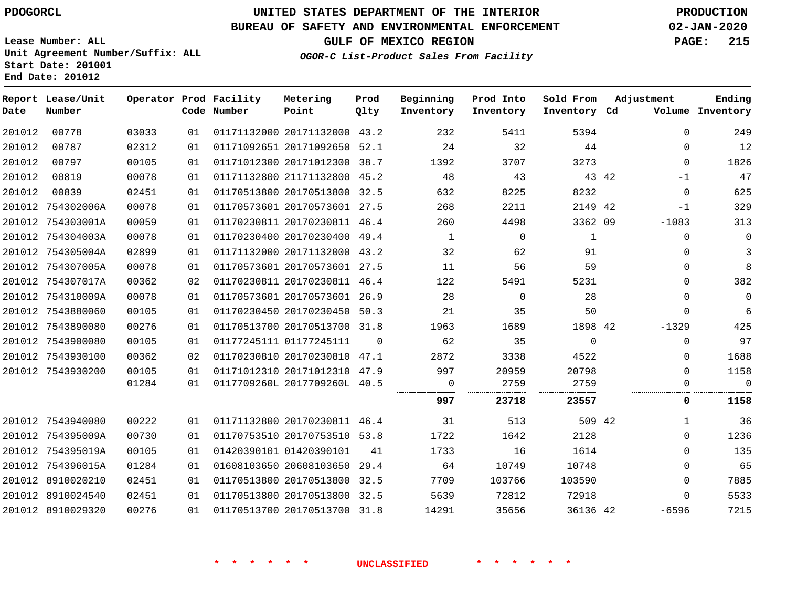**Report Lease/Unit**

## **UNITED STATES DEPARTMENT OF THE INTERIOR PDOGORCL PRODUCTION**

**Prod**

#### **BUREAU OF SAFETY AND ENVIRONMENTAL ENFORCEMENT 02-JAN-2020**

**Lease Number: ALL Unit Agreement Number/Suffix: ALL Start Date: 201001 End Date: 201012**

**Operator Prod Facility Metering**

**OGOR-C List-Product Sales From Facility**

**Beginning Prod Into Sold From**

**GULF OF MEXICO REGION PAGE: 215**

**Adjustment**

**Ending**

| Date   | Number            |       |    | Code Number | Point                        | Qlty     | Inventory | Inventory      | Inventory Cd |       |              | Volume Inventory |
|--------|-------------------|-------|----|-------------|------------------------------|----------|-----------|----------------|--------------|-------|--------------|------------------|
| 201012 | 00778             | 03033 | 01 |             | 01171132000 20171132000 43.2 |          | 232       | 5411           | 5394         |       | $\Omega$     | 249              |
| 201012 | 00787             | 02312 | 01 |             | 01171092651 20171092650 52.1 |          | 24        | 32             | 44           |       | $\mathbf 0$  | 12               |
| 201012 | 00797             | 00105 | 01 |             | 01171012300 20171012300 38.7 |          | 1392      | 3707           | 3273         |       | $\mathbf{0}$ | 1826             |
| 201012 | 00819             | 00078 | 01 |             | 01171132800 21171132800 45.2 |          | 48        | 43             |              | 43 42 | $-1$         | 47               |
| 201012 | 00839             | 02451 | 01 |             | 01170513800 20170513800 32.5 |          | 632       | 8225           | 8232         |       | $\mathbf 0$  | 625              |
|        | 201012 754302006A | 00078 | 01 |             | 01170573601 20170573601 27.5 |          | 268       | 2211           | 2149 42      |       | $-1$         | 329              |
|        | 201012 754303001A | 00059 | 01 |             | 01170230811 20170230811 46.4 |          | 260       | 4498           | 3362 09      |       | $-1083$      | 313              |
|        | 201012 754304003A | 00078 | 01 |             | 01170230400 20170230400 49.4 |          | 1         | $\mathbf{0}$   | 1            |       | $\mathbf{0}$ | $\mathbf 0$      |
|        | 201012 754305004A | 02899 | 01 |             | 01171132000 20171132000 43.2 |          | 32        | 62             | 91           |       | $\Omega$     | 3                |
|        | 201012 754307005A | 00078 | 01 |             | 01170573601 20170573601 27.5 |          | 11        | 56             | 59           |       | $\Omega$     | 8                |
|        | 201012 754307017A | 00362 | 02 |             | 01170230811 20170230811 46.4 |          | 122       | 5491           | 5231         |       | $\Omega$     | 382              |
|        | 201012 754310009A | 00078 | 01 |             | 01170573601 20170573601 26.9 |          | 28        | $\overline{0}$ | 28           |       | $\mathbf 0$  | $\mathbf 0$      |
|        | 201012 7543880060 | 00105 | 01 |             | 01170230450 20170230450 50.3 |          | 21        | 35             | 50           |       | $\mathbf 0$  | 6                |
|        | 201012 7543890080 | 00276 | 01 |             | 01170513700 20170513700 31.8 |          | 1963      | 1689           | 1898 42      |       | $-1329$      | 425              |
|        | 201012 7543900080 | 00105 | 01 |             | 01177245111 01177245111      | $\Omega$ | 62        | 35             | $\Omega$     |       | $\Omega$     | 97               |
|        | 201012 7543930100 | 00362 | 02 |             | 01170230810 20170230810 47.1 |          | 2872      | 3338           | 4522         |       | $\Omega$     | 1688             |
|        | 201012 7543930200 | 00105 | 01 |             | 01171012310 20171012310 47.9 |          | 997       | 20959          | 20798        |       | $\Omega$     | 1158             |
|        |                   | 01284 | 01 |             | 0117709260L 2017709260L 40.5 |          | 0         | 2759           | 2759         |       | $\mathbf 0$  | $\mathbf 0$      |
|        |                   |       |    |             |                              |          | 997       | 23718          | 23557        |       | 0            | 1158             |
|        | 201012 7543940080 | 00222 | 01 |             | 01171132800 20170230811 46.4 |          | 31        | 513            | 509 42       |       | $\mathbf{1}$ | 36               |
|        | 201012 754395009A | 00730 | 01 |             | 01170753510 20170753510 53.8 |          | 1722      | 1642           | 2128         |       | 0            | 1236             |
|        | 201012 754395019A | 00105 | 01 |             | 01420390101 01420390101      | 41       | 1733      | 16             | 1614         |       | $\Omega$     | 135              |
|        | 201012 754396015A | 01284 | 01 |             | 01608103650 20608103650 29.4 |          | 64        | 10749          | 10748        |       | $\Omega$     | 65               |
|        | 201012 8910020210 | 02451 | 01 |             | 01170513800 20170513800 32.5 |          | 7709      | 103766         | 103590       |       | $\Omega$     | 7885             |
|        | 201012 8910024540 | 02451 | 01 |             | 01170513800 20170513800 32.5 |          | 5639      | 72812          | 72918        |       | $\Omega$     | 5533             |
|        | 201012 8910029320 | 00276 | 01 |             | 01170513700 20170513700 31.8 |          | 14291     | 35656          | 36136 42     |       | -6596        | 7215             |
|        |                   |       |    |             |                              |          |           |                |              |       |              |                  |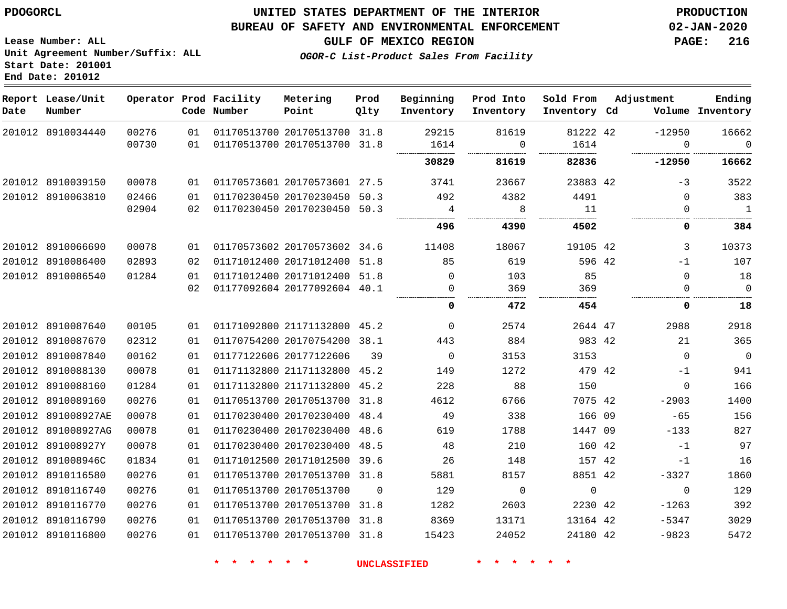## **BUREAU OF SAFETY AND ENVIRONMENTAL ENFORCEMENT 02-JAN-2020**

**GULF OF MEXICO REGION PAGE: 216**

**Lease Number: ALL Unit Agreement Number/Suffix: ALL Start Date: 201001 End Date: 201012**

| Date | Report Lease/Unit<br>Number |       |    | Operator Prod Facility<br>Code Number | Metering<br>Point            | Prod<br>Qlty | Beginning<br>Inventory | Prod Into<br>Inventory | Sold From<br>Inventory Cd | Adjustment  | Ending<br>Volume Inventory |
|------|-----------------------------|-------|----|---------------------------------------|------------------------------|--------------|------------------------|------------------------|---------------------------|-------------|----------------------------|
|      | 201012 8910034440           | 00276 | 01 |                                       | 01170513700 20170513700 31.8 |              | 29215                  | 81619                  | 81222 42                  | $-12950$    | 16662                      |
|      |                             | 00730 | 01 |                                       | 01170513700 20170513700 31.8 |              | 1614                   | $\mathbf 0$            | 1614                      | $\Omega$    | $\Omega$<br>               |
|      |                             |       |    |                                       |                              |              | 30829                  | 81619                  | 82836                     | -12950      | 16662                      |
|      | 201012 8910039150           | 00078 | 01 |                                       | 01170573601 20170573601 27.5 |              | 3741                   | 23667                  | 23883 42                  | $-3$        | 3522                       |
|      | 201012 8910063810           | 02466 | 01 |                                       | 01170230450 20170230450 50.3 |              | 492                    | 4382                   | 4491                      | $\Omega$    | 383                        |
|      |                             | 02904 | 02 |                                       | 01170230450 20170230450 50.3 |              | 4                      | 8                      | 11                        | $\Omega$    | $\blacksquare$             |
|      |                             |       |    |                                       |                              |              | 496                    | 4390                   | 4502                      | 0           | 384                        |
|      | 201012 8910066690           | 00078 | 01 |                                       | 01170573602 20170573602 34.6 |              | 11408                  | 18067                  | 19105 42                  | 3           | 10373                      |
|      | 201012 8910086400           | 02893 | 02 |                                       | 01171012400 20171012400 51.8 |              | 85                     | 619                    | 596 42                    | $-1$        | 107                        |
|      | 201012 8910086540           | 01284 | 01 |                                       | 01171012400 20171012400 51.8 |              | $\overline{0}$         | 103                    | 85                        | $\Omega$    | 18                         |
|      |                             |       | 02 |                                       | 01177092604 20177092604 40.1 |              | 0                      | 369                    | 369                       | $\Omega$    | $\mathbf 0$                |
|      |                             |       |    |                                       |                              |              | 0                      | 472                    | 454                       | 0           | 18                         |
|      | 201012 8910087640           | 00105 | 01 | 01171092800 21171132800 45.2          |                              |              | 0                      | 2574                   | 2644 47                   | 2988        | 2918                       |
|      | 201012 8910087670           | 02312 | 01 |                                       | 01170754200 20170754200 38.1 |              | 443                    | 884                    | 983 42                    | 21          | 365                        |
|      | 201012 8910087840           | 00162 | 01 | 01177122606 20177122606               |                              | 39           | $\overline{0}$         | 3153                   | 3153                      | $\Omega$    | $\overline{0}$             |
|      | 201012 8910088130           | 00078 | 01 |                                       | 01171132800 21171132800 45.2 |              | 149                    | 1272                   | 479 42                    | $-1$        | 941                        |
|      | 201012 8910088160           | 01284 | 01 |                                       | 01171132800 21171132800 45.2 |              | 228                    | 88                     | 150                       | $\Omega$    | 166                        |
|      | 201012 8910089160           | 00276 | 01 |                                       | 01170513700 20170513700 31.8 |              | 4612                   | 6766                   | 7075 42                   | $-2903$     | 1400                       |
|      | 201012 891008927AE          | 00078 | 01 |                                       | 01170230400 20170230400 48.4 |              | 49                     | 338                    | 166 09                    | $-65$       | 156                        |
|      | 201012 891008927AG          | 00078 | 01 |                                       | 01170230400 20170230400 48.6 |              | 619                    | 1788                   | 1447 09                   | $-133$      | 827                        |
|      | 201012 891008927Y           | 00078 | 01 |                                       | 01170230400 20170230400 48.5 |              | 48                     | 210                    | 160 42                    | $-1$        | 97                         |
|      | 201012 891008946C           | 01834 | 01 |                                       | 01171012500 20171012500 39.6 |              | 26                     | 148                    | 157 42                    | $-1$        | 16                         |
|      | 201012 8910116580           | 00276 | 01 |                                       | 01170513700 20170513700 31.8 |              | 5881                   | 8157                   | 8851 42                   | $-3327$     | 1860                       |
|      | 201012 8910116740           | 00276 | 01 |                                       | 01170513700 20170513700      | $\Omega$     | 129                    | $\overline{0}$         | $\mathbf 0$               | $\mathbf 0$ | 129                        |
|      | 201012 8910116770           | 00276 | 01 |                                       | 01170513700 20170513700 31.8 |              | 1282                   | 2603                   | 2230 42                   | $-1263$     | 392                        |
|      | 201012 8910116790           | 00276 | 01 |                                       | 01170513700 20170513700 31.8 |              | 8369                   | 13171                  | 13164 42                  | $-5347$     | 3029                       |
|      | 201012 8910116800           | 00276 | 01 |                                       | 01170513700 20170513700 31.8 |              | 15423                  | 24052                  | 24180 42                  | $-9823$     | 5472                       |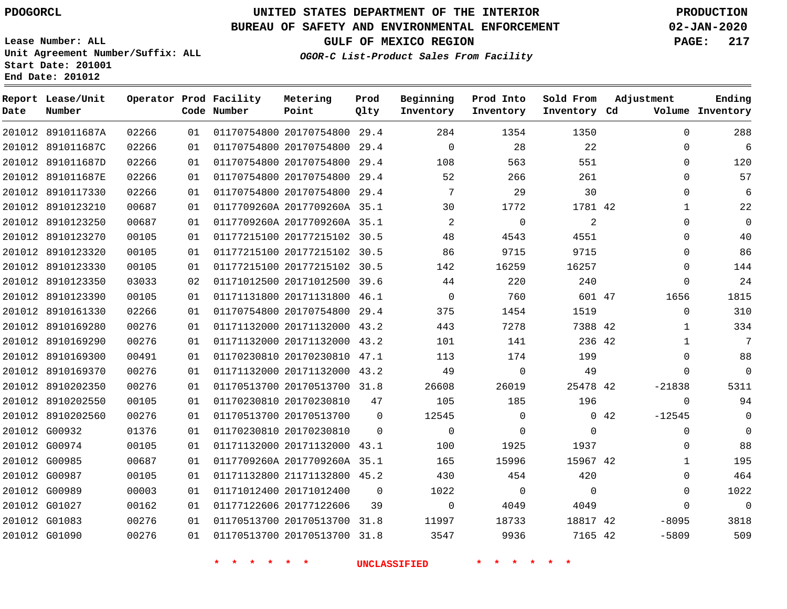**Report Lease/Unit**

**Number**

# **UNITED STATES DEPARTMENT OF THE INTERIOR PDOGORCL PRODUCTION**

**Prod Qlty**

### **BUREAU OF SAFETY AND ENVIRONMENTAL ENFORCEMENT 02-JAN-2020**

**Lease Number: ALL Unit Agreement Number/Suffix: ALL Start Date: 201001 End Date: 201012**

**Operator Prod Facility**

**Code Number**

**OGOR-C List-Product Sales From Facility**

**Beginning Inventory** **Prod Into Inventory** **Sold From Inventory**

**GULF OF MEXICO REGION PAGE: 217**

**Inventory Cd Volume**

**Adjustment**

**Ending**

|               |                   |       |    | * * * * * *             |                              |                | <b>UNCLASSIFIED</b> | * * * * * *    |                |             |              |
|---------------|-------------------|-------|----|-------------------------|------------------------------|----------------|---------------------|----------------|----------------|-------------|--------------|
|               | 201012 G01090     | 00276 | 01 |                         | 01170513700 20170513700 31.8 |                | 3547                | 9936           | 7165 42        |             | $-5809$      |
|               | 201012 G01083     | 00276 | 01 |                         | 01170513700 20170513700 31.8 |                | 11997               | 18733          | 18817 42       |             | $-8095$      |
|               | 201012 G01027     | 00162 | 01 | 01177122606 20177122606 |                              | 39             | $\overline{0}$      | 4049           | 4049           |             | $\mathbf 0$  |
| 201012 G00989 |                   | 00003 | 01 | 01171012400 20171012400 |                              | $\Omega$       | 1022                | $\overline{0}$ | $\overline{0}$ |             | $\mathbf 0$  |
|               | 201012 G00987     | 00105 | 01 |                         | 01171132800 21171132800 45.2 |                | 430                 | 454            | 420            |             | $\mathbf 0$  |
|               | 201012 G00985     | 00687 | 01 |                         | 0117709260A 2017709260A 35.1 |                | 165                 | 15996          | 15967 42       |             | $\mathbf 1$  |
|               | 201012 G00974     | 00105 | 01 |                         | 01171132000 20171132000 43.1 |                | 100                 | 1925           | 1937           |             | $\mathbf 0$  |
|               | 201012 G00932     | 01376 | 01 |                         | 01170230810 20170230810      | $\mathbf{0}$   | $\overline{0}$      | $\mathbf{0}$   | $\mathbf{0}$   |             | $\mathbf 0$  |
|               | 201012 8910202560 | 00276 | 01 |                         | 01170513700 20170513700      | $\overline{0}$ | 12545               | $\mathbf{0}$   |                | $0\quad 42$ | $-12545$     |
|               | 201012 8910202550 | 00105 | 01 |                         | 01170230810 20170230810      | 47             | 105                 | 185            | 196            |             | $\mathbf 0$  |
|               | 201012 8910202350 | 00276 | 01 |                         | 01170513700 20170513700 31.8 |                | 26608               | 26019          | 25478 42       |             | $-21838$     |
|               | 201012 8910169370 | 00276 | 01 |                         | 01171132000 20171132000 43.2 |                | 49                  | $\overline{0}$ | 49             |             | $\mathbf 0$  |
|               | 201012 8910169300 | 00491 | 01 |                         | 01170230810 20170230810 47.1 |                | 113                 | 174            | 199            |             | $\mathbf 0$  |
|               | 201012 8910169290 | 00276 | 01 |                         | 01171132000 20171132000 43.2 |                | 101                 | 141            | 236 42         |             | $\mathbf{1}$ |
|               | 201012 8910169280 | 00276 | 01 |                         | 01171132000 20171132000 43.2 |                | 443                 | 7278           | 7388 42        |             | $\mathbf{1}$ |
|               | 201012 8910161330 | 02266 | 01 |                         | 01170754800 20170754800 29.4 |                | 375                 | 1454           | 1519           |             | $\mathbf 0$  |
|               | 201012 8910123390 | 00105 | 01 |                         | 01171131800 20171131800 46.1 |                | $\overline{0}$      | 760            | 601 47         |             | 1656         |
|               | 201012 8910123350 | 03033 | 02 |                         | 01171012500 20171012500 39.6 |                | 44                  | 220            | 240            |             | $\mathbf 0$  |
|               | 201012 8910123330 | 00105 | 01 |                         | 01177215100 20177215102 30.5 |                | 142                 | 16259          | 16257          |             | $\mathbf 0$  |
|               | 201012 8910123320 | 00105 | 01 |                         | 01177215100 20177215102 30.5 |                | 86                  | 9715           | 9715           |             | $\mathbf 0$  |
|               | 201012 8910123270 | 00105 | 01 |                         | 01177215100 20177215102 30.5 |                | 48                  | 4543           | 4551           |             | $\mathbf 0$  |
|               | 201012 8910123250 | 00687 | 01 |                         | 0117709260A 2017709260A 35.1 |                | $\overline{2}$      | $\Omega$       | 2              |             | $\mathbf 0$  |
|               | 201012 8910123210 | 00687 | 01 |                         | 0117709260A 2017709260A 35.1 |                | 30                  | 1772           | 1781 42        |             | 1            |
|               | 201012 8910117330 | 02266 | 01 |                         | 01170754800 20170754800 29.4 |                | $7\overline{ }$     | 29             | 30             |             | $\mathbf 0$  |
|               | 201012 891011687E | 02266 | 01 |                         | 01170754800 20170754800 29.4 |                | 52                  | 266            | 261            |             | $\mathbf 0$  |
|               | 201012 891011687D | 02266 | 01 |                         | 01170754800 20170754800 29.4 |                | 108                 | 563            | 551            |             | 0            |
|               | 201012 891011687C | 02266 | 01 |                         | 01170754800 20170754800 29.4 |                | $\overline{0}$      | 28             | 22             |             | $\mathbf 0$  |
|               | 201012 891011687A | 02266 | 01 |                         | 01170754800 20170754800 29.4 |                | 284                 | 1354           | 1350           |             | 0            |

**Metering Point**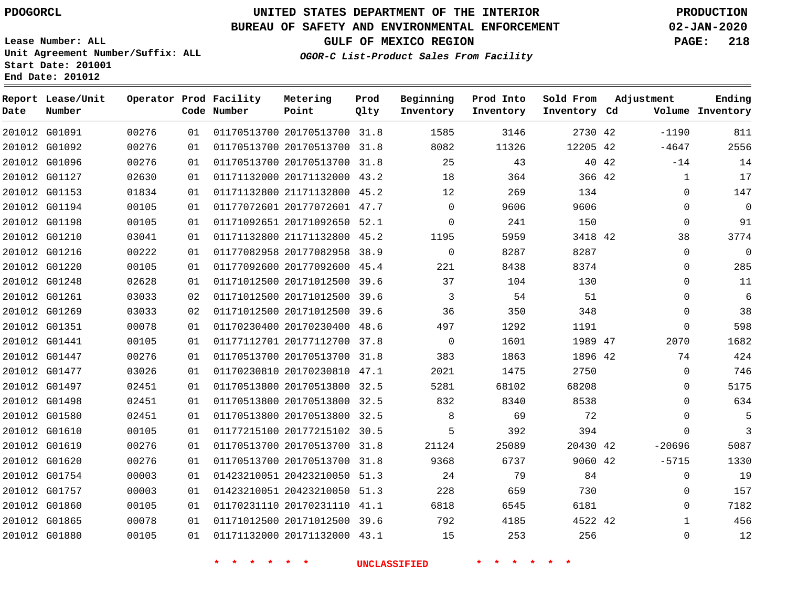**Report Lease/Unit**

**Number**

# **UNITED STATES DEPARTMENT OF THE INTERIOR PDOGORCL PRODUCTION**

**Prod Qlty**

#### **BUREAU OF SAFETY AND ENVIRONMENTAL ENFORCEMENT 02-JAN-2020**

**Lease Number: ALL Unit Agreement Number/Suffix: ALL Start Date: 201001 End Date: 201012**

**Operator Prod Facility**

**OGOR-C List-Product Sales From Facility**

**Beginning Inventory** **Prod Into Inventory** **Sold From Inventory**

**GULF OF MEXICO REGION PAGE: 218**

**Adjustment**

**Ending**

| Date | Number        |       |    | Code Number                                     | Point                        | Qlty | Inventory           | Inventory | Inventory Cd |       |              | Volume Inventory |
|------|---------------|-------|----|-------------------------------------------------|------------------------------|------|---------------------|-----------|--------------|-------|--------------|------------------|
|      | 201012 G01091 | 00276 | 01 |                                                 | 01170513700 20170513700 31.8 |      | 1585                | 3146      | 2730 42      |       | $-1190$      | 811              |
|      | 201012 G01092 | 00276 | 01 |                                                 | 01170513700 20170513700 31.8 |      | 8082                | 11326     | 12205 42     |       | $-4647$      | 2556             |
|      | 201012 G01096 | 00276 | 01 |                                                 | 01170513700 20170513700 31.8 |      | 25                  | 43        |              | 40 42 | $-14$        | 14               |
|      | 201012 G01127 | 02630 | 01 |                                                 | 01171132000 20171132000 43.2 |      | 18                  | 364       | 366 42       |       | $\mathbf{1}$ | 17               |
|      | 201012 G01153 | 01834 | 01 |                                                 | 01171132800 21171132800 45.2 |      | 12                  | 269       | 134          |       | $\Omega$     | 147              |
|      | 201012 G01194 | 00105 | 01 |                                                 | 01177072601 20177072601 47.7 |      | $\mathbf 0$         | 9606      | 9606         |       | $\mathbf 0$  | $\mathbf 0$      |
|      | 201012 G01198 | 00105 | 01 |                                                 | 01171092651 20171092650 52.1 |      | $\Omega$            | 241       | 150          |       | $\Omega$     | 91               |
|      | 201012 G01210 | 03041 | 01 |                                                 | 01171132800 21171132800 45.2 |      | 1195                | 5959      | 3418 42      |       | 38           | 3774             |
|      | 201012 G01216 | 00222 | 01 |                                                 | 01177082958 20177082958 38.9 |      | $\Omega$            | 8287      | 8287         |       | $\Omega$     | $\mathbf 0$      |
|      | 201012 G01220 | 00105 | 01 |                                                 | 01177092600 20177092600 45.4 |      | 221                 | 8438      | 8374         |       | 0            | 285              |
|      | 201012 G01248 | 02628 | 01 |                                                 | 01171012500 20171012500 39.6 |      | 37                  | 104       | 130          |       | $\Omega$     | 11               |
|      | 201012 G01261 | 03033 | 02 |                                                 | 01171012500 20171012500 39.6 |      | 3                   | 54        | 51           |       | $\Omega$     | 6                |
|      | 201012 G01269 | 03033 | 02 |                                                 | 01171012500 20171012500 39.6 |      | 36                  | 350       | 348          |       | $\Omega$     | 38               |
|      | 201012 G01351 | 00078 | 01 |                                                 | 01170230400 20170230400 48.6 |      | 497                 | 1292      | 1191         |       | $\mathbf 0$  | 598              |
|      | 201012 G01441 | 00105 | 01 |                                                 | 01177112701 20177112700 37.8 |      | $\overline{0}$      | 1601      | 1989 47      |       | 2070         | 1682             |
|      | 201012 G01447 | 00276 | 01 |                                                 | 01170513700 20170513700 31.8 |      | 383                 | 1863      | 1896 42      |       | 74           | 424              |
|      | 201012 G01477 | 03026 | 01 |                                                 | 01170230810 20170230810 47.1 |      | 2021                | 1475      | 2750         |       | $\mathbf 0$  | 746              |
|      | 201012 G01497 | 02451 | 01 |                                                 | 01170513800 20170513800 32.5 |      | 5281                | 68102     | 68208        |       | 0            | 5175             |
|      | 201012 G01498 | 02451 | 01 |                                                 | 01170513800 20170513800 32.5 |      | 832                 | 8340      | 8538         |       | $\Omega$     | 634              |
|      | 201012 G01580 | 02451 | 01 |                                                 | 01170513800 20170513800 32.5 |      | 8                   | 69        | 72           |       | $\Omega$     | 5                |
|      | 201012 G01610 | 00105 | 01 |                                                 | 01177215100 20177215102 30.5 |      | 5                   | 392       | 394          |       | $\Omega$     | $\overline{3}$   |
|      | 201012 G01619 | 00276 | 01 |                                                 | 01170513700 20170513700 31.8 |      | 21124               | 25089     | 20430 42     |       | $-20696$     | 5087             |
|      | 201012 G01620 | 00276 | 01 |                                                 | 01170513700 20170513700 31.8 |      | 9368                | 6737      | 9060 42      |       | $-5715$      | 1330             |
|      | 201012 G01754 | 00003 | 01 |                                                 | 01423210051 20423210050 51.3 |      | 24                  | 79        | 84           |       | $\Omega$     | 19               |
|      | 201012 G01757 | 00003 | 01 |                                                 | 01423210051 20423210050 51.3 |      | 228                 | 659       | 730          |       | $\mathbf 0$  | 157              |
|      | 201012 G01860 | 00105 | 01 |                                                 | 01170231110 20170231110 41.1 |      | 6818                | 6545      | 6181         |       | $\Omega$     | 7182             |
|      | 201012 G01865 | 00078 | 01 |                                                 | 01171012500 20171012500 39.6 |      | 792                 | 4185      | 4522 42      |       | $\mathbf{1}$ | 456              |
|      | 201012 G01880 | 00105 | 01 |                                                 | 01171132000 20171132000 43.1 |      | 15                  | 253       | 256          |       | $\mathbf 0$  | 12               |
|      |               |       |    | $\rightarrow$<br>一米。<br>$\mathbf{r}$<br>$\star$ | $*$ $*$                      |      | <b>UNCLASSIFIED</b> | * * * *   | $*$ *        |       |              |                  |

**Metering Point**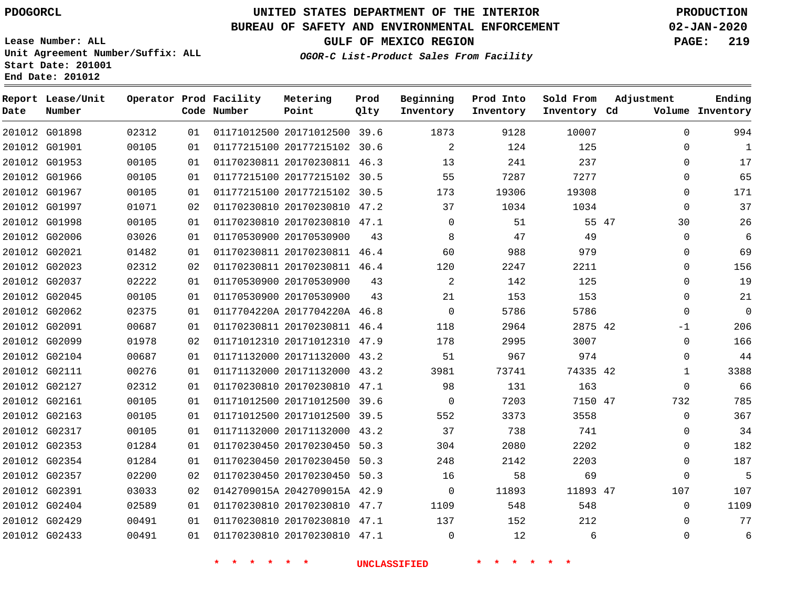G01898

**Date**

**Report Lease/Unit**

**Number**

# **UNITED STATES DEPARTMENT OF THE INTERIOR PDOGORCL PRODUCTION**

**Prod Qlty**

#### **BUREAU OF SAFETY AND ENVIRONMENTAL ENFORCEMENT 02-JAN-2020**

**Lease Number: ALL Unit Agreement Number/Suffix: ALL Start Date: 201001 End Date: 201012**

**Operator Prod Facility**

**Code Number**

20171012500 39.6

**Metering Point**

**OGOR-C List-Product Sales From Facility**

**Sold From Inventory**

**Prod Into Inventory**

**Beginning Inventory**

**GULF OF MEXICO REGION PAGE: 219**

**Inventory Cd Volume**

**Adjustment**

**Ending**

|               |       |    |                         |                              | <b>UNCLASSIFIED</b> |             |       |          |  |
|---------------|-------|----|-------------------------|------------------------------|---------------------|-------------|-------|----------|--|
| 201012 G02433 | 00491 | 01 |                         | 01170230810 20170230810 47.1 |                     | $\mathbf 0$ | 12    | 6        |  |
| 201012 G02429 | 00491 | 01 |                         | 01170230810 20170230810 47.1 |                     | 137         | 152   | 212      |  |
| 201012 G02404 | 02589 | 01 |                         | 01170230810 20170230810 47.7 |                     | 1109        | 548   | 548      |  |
| 201012 G02391 | 03033 | 02 |                         | 0142709015A 2042709015A 42.9 |                     | $\mathbf 0$ | 11893 | 11893 47 |  |
| 201012 G02357 | 02200 | 02 |                         | 01170230450 20170230450 50.3 |                     | 16          | 58    | 69       |  |
| 201012 G02354 | 01284 | 01 |                         | 01170230450 20170230450 50.3 |                     | 248         | 2142  | 2203     |  |
| 201012 G02353 | 01284 | 01 |                         | 01170230450 20170230450 50.3 |                     | 304         | 2080  | 2202     |  |
| 201012 G02317 | 00105 | 01 |                         | 01171132000 20171132000 43.2 |                     | 37          | 738   | 741      |  |
| 201012 G02163 | 00105 | 01 |                         | 01171012500 20171012500 39.5 |                     | 552         | 3373  | 3558     |  |
| 201012 G02161 | 00105 | 01 |                         | 01171012500 20171012500 39.6 |                     | 0           | 7203  | 7150 47  |  |
| 201012 G02127 | 02312 | 01 |                         | 01170230810 20170230810 47.1 |                     | 98          | 131   | 163      |  |
| 201012 G02111 | 00276 | 01 |                         | 01171132000 20171132000 43.2 |                     | 3981        | 73741 | 74335 42 |  |
| 201012 G02104 | 00687 | 01 |                         | 01171132000 20171132000 43.2 |                     | 51          | 967   | 974      |  |
| 201012 G02099 | 01978 | 02 |                         | 01171012310 20171012310 47.9 |                     | 178         | 2995  | 3007     |  |
| 201012 G02091 | 00687 | 01 |                         | 01170230811 20170230811 46.4 |                     | 118         | 2964  | 2875 42  |  |
| 201012 G02062 | 02375 | 01 |                         | 0117704220A 2017704220A 46.8 |                     | $\mathbf 0$ | 5786  | 5786     |  |
| 201012 G02045 | 00105 | 01 |                         | 01170530900 20170530900      | 43                  | 21          | 153   | 153      |  |
| 201012 G02037 | 02222 | 01 |                         | 01170530900 20170530900      | 43                  | 2           | 142   | 125      |  |
| 201012 G02023 | 02312 | 02 |                         | 01170230811 20170230811 46.4 |                     | 120         | 2247  | 2211     |  |
| 201012 G02021 | 01482 | 01 |                         | 01170230811 20170230811 46.4 |                     | 60          | 988   | 979      |  |
| 201012 G02006 | 03026 | 01 | 01170530900 20170530900 |                              | 43                  | 8           | 47    | 49       |  |
| 201012 G01998 | 00105 | 01 |                         | 01170230810 20170230810 47.1 |                     | $\mathbf 0$ | 51    | 55 47    |  |
| 201012 G01997 | 01071 | 02 |                         | 01170230810 20170230810 47.2 |                     | 37          | 1034  | 1034     |  |
| 201012 G01967 | 00105 | 01 |                         | 01177215100 20177215102 30.5 |                     | 173         | 19306 | 19308    |  |
| 201012 G01966 | 00105 | 01 |                         | 01177215100 20177215102 30.5 |                     | 55          | 7287  | 7277     |  |
| 201012 G01953 | 00105 | 01 |                         | 01170230811 20170230811 46.3 |                     | 13          | 241   | 237      |  |
| 201012 G01901 | 00105 | 01 |                         | 01177215100 20177215102 30.6 |                     | 2           | 124   | 125      |  |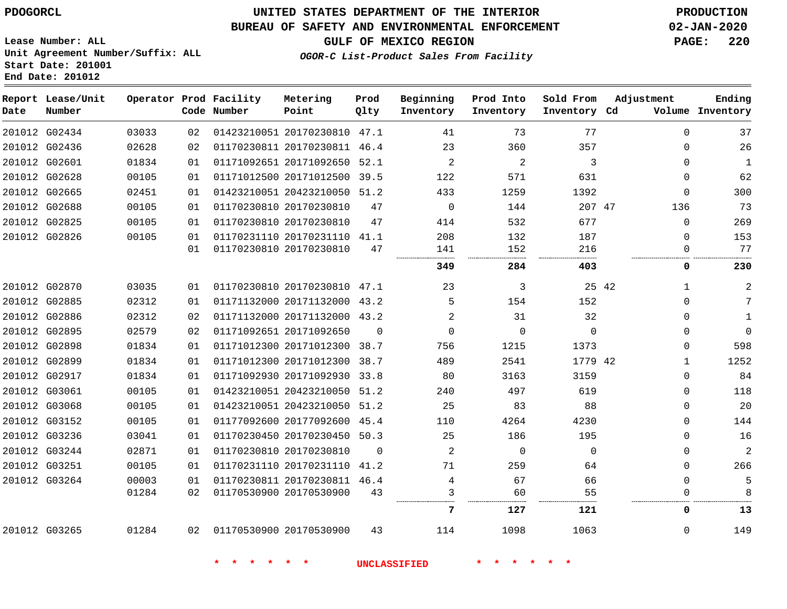**End Date: 201012**

# **UNITED STATES DEPARTMENT OF THE INTERIOR PDOGORCL PRODUCTION**

### **BUREAU OF SAFETY AND ENVIRONMENTAL ENFORCEMENT 02-JAN-2020**

**Lease Number: ALL Unit Agreement Number/Suffix: ALL Start Date: 201001**

## **GULF OF MEXICO REGION PAGE: 220**

**OGOR-C List-Product Sales From Facility**

| Date | Report Lease/Unit<br>Number |       |          | Operator Prod Facility<br>Code Number | Metering<br>Point                                       | Prod<br>Olty | Beginning<br>Inventory | Prod Into<br>Inventory | Sold From<br>Inventory Cd | Adjustment              | Ending<br>Volume Inventory |
|------|-----------------------------|-------|----------|---------------------------------------|---------------------------------------------------------|--------------|------------------------|------------------------|---------------------------|-------------------------|----------------------------|
|      | 201012 G02434               | 03033 | 02       |                                       | 01423210051 20170230810 47.1                            |              | 41                     | 73                     | 77                        | $\Omega$                | 37                         |
|      | 201012 G02436               | 02628 | 02       |                                       | 01170230811 20170230811 46.4                            |              | 23                     | 360                    | 357                       | 0                       | 26                         |
|      | 201012 G02601               | 01834 | 01       |                                       | 01171092651 20171092650 52.1                            |              | 2                      | 2                      | 3                         | $\Omega$                | $\mathbf{1}$               |
|      | 201012 G02628               | 00105 | 01       |                                       | 01171012500 20171012500 39.5                            |              | 122                    | 571                    | 631                       | $\mathbf 0$             | 62                         |
|      | 201012 G02665               | 02451 | 01       |                                       | 01423210051 20423210050 51.2                            |              | 433                    | 1259                   | 1392                      | $\Omega$                | 300                        |
|      | 201012 G02688               | 00105 | 01       |                                       | 01170230810 20170230810                                 | 47           | $\mathbf 0$            | 144                    | 207 47                    | 136                     | 73                         |
|      | 201012 G02825               | 00105 | 01       |                                       | 01170230810 20170230810                                 | 47           | 414                    | 532                    | 677                       | $\Omega$                | 269                        |
|      | 201012 G02826               | 00105 | 01<br>01 |                                       | 01170231110 20170231110 41.1<br>01170230810 20170230810 | 47           | 208<br>141             | 132<br>152             | 187<br>216                | $\mathbf 0$<br>$\Omega$ | 153<br>77                  |
|      |                             |       |          |                                       |                                                         |              | 349                    | 284                    | 403                       | 0                       | 230                        |
|      | 201012 G02870               | 03035 | 01       |                                       | 01170230810 20170230810 47.1                            |              | 23                     | 3                      |                           | 25 42<br>$\mathbf{1}$   | 2                          |
|      | 201012 G02885               | 02312 | 01       |                                       | 01171132000 20171132000 43.2                            |              | 5                      | 154                    | 152                       | $\Omega$                | 7                          |
|      | 201012 G02886               | 02312 | 02       |                                       | 01171132000 20171132000 43.2                            |              | 2                      | 31                     | 32                        | 0                       | $\mathbf{1}$               |
|      | 201012 G02895               | 02579 | 02       |                                       | 01171092651 20171092650                                 | $\Omega$     | $\Omega$               | $\Omega$               | $\Omega$                  | $\Omega$                | $\mathbf{0}$               |
|      | 201012 G02898               | 01834 | 01       |                                       | 01171012300 20171012300 38.7                            |              | 756                    | 1215                   | 1373                      | $\Omega$                | 598                        |
|      | 201012 G02899               | 01834 | 01       |                                       | 01171012300 20171012300 38.7                            |              | 489                    | 2541                   | 1779 42                   | $\mathbf{1}$            | 1252                       |
|      | 201012 G02917               | 01834 | 01       |                                       | 01171092930 20171092930 33.8                            |              | 80                     | 3163                   | 3159                      | $\Omega$                | 84                         |
|      | 201012 G03061               | 00105 | 01       |                                       | 01423210051 20423210050 51.2                            |              | 240                    | 497                    | 619                       | $\Omega$                | 118                        |
|      | 201012 G03068               | 00105 | 01       |                                       | 01423210051 20423210050 51.2                            |              | 25                     | 83                     | 88                        | $\Omega$                | 20                         |
|      | 201012 G03152               | 00105 | 01       |                                       | 01177092600 20177092600 45.4                            |              | 110                    | 4264                   | 4230                      | $\Omega$                | 144                        |
|      | 201012 G03236               | 03041 | 01       |                                       | 01170230450 20170230450 50.3                            |              | 25                     | 186                    | 195                       | $\Omega$                | 16                         |
|      | 201012 G03244               | 02871 | 01       |                                       | 01170230810 20170230810                                 | $\Omega$     | 2                      | $\mathbf 0$            | $\mathbf 0$               | $\Omega$                | $\overline{2}$             |
|      | 201012 G03251               | 00105 | 01       |                                       | 01170231110 20170231110 41.2                            |              | 71                     | 259                    | 64                        | $\Omega$                | 266                        |
|      | 201012 G03264               | 00003 | 01       |                                       | 01170230811 20170230811 46.4                            |              | 4                      | 67                     | 66                        | $\mathbf 0$             | 5                          |
|      |                             | 01284 | 02       |                                       | 01170530900 20170530900                                 | 43           | 3                      | 60                     | 55                        | $\Omega$                |                            |
|      |                             |       |          |                                       |                                                         |              | 7                      | 127                    | 121                       | 0                       | 13                         |
|      | 201012 G03265               | 01284 | 02       | 01170530900 20170530900               |                                                         | 43           | 114                    | 1098                   | 1063                      | $\Omega$                | 149                        |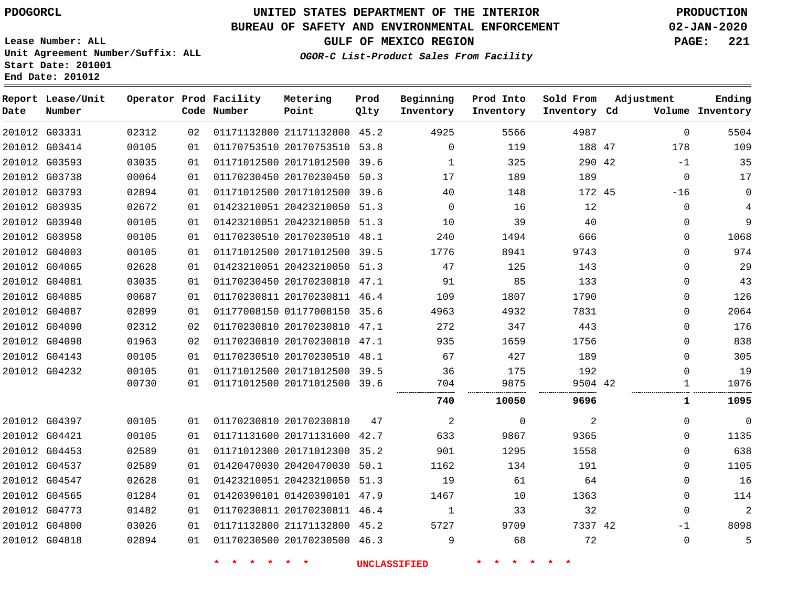G03331 G03414 G03593 G03738

**Date**

**Report Lease/Unit**

**Number**

# **UNITED STATES DEPARTMENT OF THE INTERIOR PDOGORCL PRODUCTION**

#### **BUREAU OF SAFETY AND ENVIRONMENTAL ENFORCEMENT 02-JAN-2020**

**Lease Number: ALL Unit Agreement Number/Suffix: ALL Start Date: 201001 End Date: 201012**

**Operator Prod Facility**

**Code Number**

**OGOR-C List-Product Sales From Facility**

**Prod Into Inventory**

**Beginning Inventory**

**GULF OF MEXICO REGION PAGE: 221**

**Inventory Cd Volume**

**Adjustment**

  $-1$  -16

**Ending**

47 42

**Sold From Inventory**

| 01 | 01170753510 20170753510 53.8 |      | 0        | 119  |  |
|----|------------------------------|------|----------|------|--|
| 01 | 01171012500 20171012500      | 39.6 |          | 325  |  |
| 01 | 01170230450 20170230450 50.3 |      | 17       | 189  |  |
| 01 | 01171012500 20171012500 39.6 |      | 40       | 148  |  |
| 01 | 01423210051 20423210050 51.3 |      | $\Omega$ | 16   |  |
| 01 | 01423210051 20423210050 51.3 |      | 10       | 39   |  |
| 01 | 01170230510 20170230510 48.1 |      | 240      | 1494 |  |
| 01 | 01171012500 20171012500 39.5 |      | 1776     | 8941 |  |
| 01 | 01423210051 20423210050 51.3 |      | 47       | 125  |  |

**Prod Qlty**

21171132800 45.2

**Metering Point**

|               | 201012 G03793 | 02894 | 01 | 01171012500 20171012500      | 39.6 | 40   | 148         | 172 45  | $-16$    | $\Omega$    |
|---------------|---------------|-------|----|------------------------------|------|------|-------------|---------|----------|-------------|
|               | 201012 G03935 | 02672 | 01 | 01423210051 20423210050      | 51.3 | 0    | 16          | 12      | 0        | 4           |
|               | 201012 G03940 | 00105 | 01 | 01423210051 20423210050 51.3 |      | 10   | 39          | 40      | $\Omega$ | 9           |
|               | 201012 G03958 | 00105 | 01 | 01170230510 20170230510      | 48.1 | 240  | 1494        | 666     | $\Omega$ | 1068        |
|               | 201012 G04003 | 00105 | 01 | 01171012500 20171012500 39.5 |      | 1776 | 8941        | 9743    | 0        | 974         |
|               | 201012 G04065 | 02628 | 01 | 01423210051 20423210050      | 51.3 | 47   | 125         | 143     | $\Omega$ | 29          |
|               | 201012 G04081 | 03035 | 01 | 01170230450 20170230810 47.1 |      | 91   | 85          | 133     | $\Omega$ | 43          |
|               | 201012 G04085 | 00687 | 01 | 01170230811 20170230811      | 46.4 | 109  | 1807        | 1790    | $\Omega$ | 126         |
|               | 201012 G04087 | 02899 | 01 | 01177008150 01177008150 35.6 |      | 4963 | 4932        | 7831    | 0        | 2064        |
|               | 201012 G04090 | 02312 | 02 | 01170230810 20170230810      | 47.1 | 272  | 347         | 443     | 0        | 176         |
|               | 201012 G04098 | 01963 | 02 | 01170230810 20170230810 47.1 |      | 935  | 1659        | 1756    | 0        | 838         |
|               | 201012 G04143 | 00105 | 01 | 01170230510 20170230510      | 48.1 | 67   | 427         | 189     | 0        | 305         |
|               | 201012 G04232 | 00105 | 01 | 01171012500 20171012500 39.5 |      | 36   | 175         | 192     | 0        | 19          |
|               |               | 00730 | 01 | 01171012500 20171012500 39.6 |      | 704  | 9875<br>    | 9504 42 |          | 1076        |
|               |               |       |    |                              |      | 740  | 10050       | 9696    |          | 1095        |
|               | 201012 G04397 | 00105 | 01 | 01170230810 20170230810      | 47   | 2    | $\mathbf 0$ | 2       | $\Omega$ | $\mathbf 0$ |
|               | 201012 G04421 | 00105 | 01 | 01171131600 20171131600 42.7 |      | 633  | 9867        | 9365    | $\Omega$ | 1135        |
|               | 201012 G04453 | 02589 | 01 | 01171012300 20171012300      | 35.2 | 901  | 1295        | 1558    | 0        | 638         |
|               | 201012 G04537 | 02589 | 01 | 01420470030 20420470030 50.1 |      | 1162 | 134         | 191     | 0        | 1105        |
|               | 201012 G04547 | 02628 | 01 | 01423210051 20423210050      | 51.3 | 19   | 61          | 64      | 0        | 16          |
|               | 201012 G04565 | 01284 | 01 | 01420390101 01420390101 47.9 |      | 1467 | 10          | 1363    | 0        | 114         |
|               | 201012 G04773 | 01482 | 01 | 01170230811 20170230811      | 46.4 | 1    | 33          | 32      | $\Omega$ | 2           |
|               | 201012 G04800 | 03026 | 01 | 01171132800 21171132800 45.2 |      | 5727 | 9709        | 7337 42 | $-1$     | 8098        |
| 201012 G04818 |               | 02894 | 01 | 01170230500 20170230500 46.3 |      | 9    | 68          | 72      | $\Omega$ | 5           |
|               |               |       |    |                              |      |      |             |         |          |             |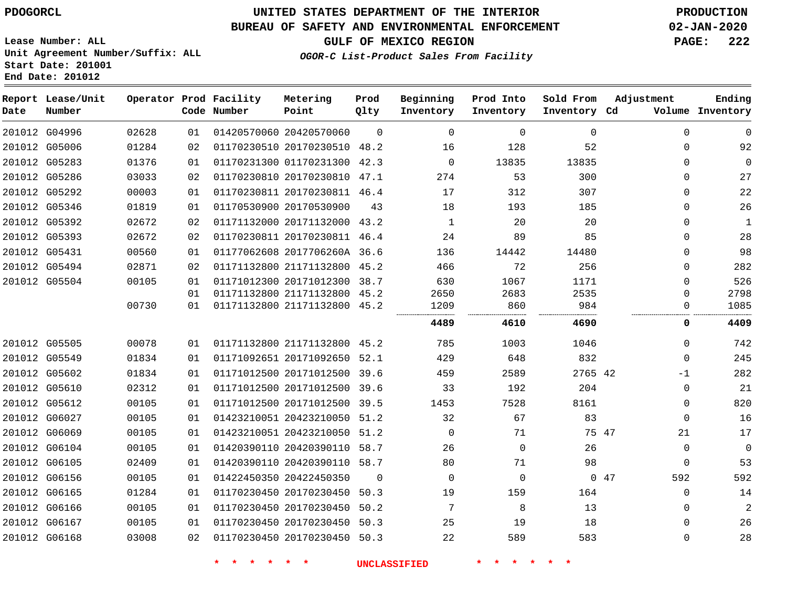$\Omega$ 

**Prod Qlty**

#### **BUREAU OF SAFETY AND ENVIRONMENTAL ENFORCEMENT 02-JAN-2020**

**Lease Number: ALL Unit Agreement Number/Suffix: ALL Start Date: 201001**

> 

**Operator Prod Facility**

**Code Number**

20420570060

20170230510 48.2

**Metering Point**

 

   

**End Date: 201012**

**Report Lease/Unit**

**Number**

 G04996 G05006

**Date**

 G06165 G06166 G06167 G06168 **GULF OF MEXICO REGION PAGE: 222**

**Inventory Cd Volume**

**Adjustment**

  $\Omega$  $\Omega$ 

  $\Omega$   $\Omega$ 

**Ending**

**OGOR-C List-Product Sales From Facility**

**Beginning Inventory**

> $\Omega$

 

 

**Sold From Inventory**

**Prod Into Inventory**

|        | 201012 G05283 | 01376 |    | 01170231300 01170231300      | 42.3     |      | 13835    | 13835    |     | 0        |      |
|--------|---------------|-------|----|------------------------------|----------|------|----------|----------|-----|----------|------|
|        | 201012 G05286 | 03033 | 02 | 01170230810 20170230810      | 47.1     | 274  | 53       | 300      |     | $\Omega$ | 27   |
|        | 201012 G05292 | 00003 | 01 | 01170230811 20170230811      | 46.4     | 17   | 312      | 307      |     | 0        | 22   |
|        | 201012 G05346 | 01819 | 01 | 01170530900 20170530900      | 43       | 18   | 193      | 185      |     | $\Omega$ | 26   |
|        | 201012 G05392 | 02672 | 02 | 01171132000 20171132000      | 43.2     |      | 20       | 20       |     | 0        | 1    |
|        | 201012 G05393 | 02672 | 02 | 01170230811 20170230811      | 46.4     | 24   | 89       | 85       |     | $\Omega$ | 28   |
|        | 201012 G05431 | 00560 | 01 | 01177062608 2017706260A 36.6 |          | 136  | 14442    | 14480    |     | $\Omega$ | 98   |
|        | 201012 G05494 | 02871 | 02 | 01171132800 21171132800      | 45.2     | 466  | 72       | 256      |     | $\Omega$ | 282  |
|        | 201012 G05504 | 00105 | 01 | 01171012300 20171012300      | 38.7     | 630  | 1067     | 1171     |     | $\Omega$ | 526  |
|        |               |       | 01 | 01171132800 21171132800      | 45.2     | 2650 | 2683     | 2535     |     | 0        | 2798 |
|        |               | 00730 | 01 | 01171132800 21171132800      | 45.2     | 1209 | 860      | 984      |     |          | 1085 |
|        |               |       |    |                              |          | 4489 | 4610     | <br>4690 |     | 0        | 4409 |
|        | 201012 G05505 | 00078 | 01 | 01171132800 21171132800      | 45.2     | 785  | 1003     | 1046     |     | $\Omega$ | 742  |
|        | 201012 G05549 | 01834 | 01 | 01171092651 20171092650      | 52.1     | 429  | 648      | 832      |     | $\Omega$ | 245  |
|        | 201012 G05602 | 01834 | 01 | 01171012500 20171012500      | 39.6     | 459  | 2589     | 2765 42  |     | $-1$     | 282  |
|        | 201012 G05610 | 02312 | 01 | 01171012500 20171012500      | 39.6     | 33   | 192      | 204      |     | 0        | 21   |
|        | 201012 G05612 | 00105 | 01 | 01171012500 20171012500      | 39.5     | 1453 | 7528     | 8161     |     | $\Omega$ | 820  |
| 201012 | G06027        | 00105 | 01 | 01423210051 20423210050      | 51.2     | 32   | 67       | 83       |     | 0        | 16   |
|        | 201012 G06069 | 00105 | 01 | 01423210051 20423210050      | 51.2     | 0    | 71       | 75 47    |     | 21       | 17   |
|        | 201012 G06104 | 00105 | 01 | 01420390110 20420390110      | 58.7     | 26   | $\Omega$ | 26       |     | 0        | 0    |
|        | 201012 G06105 | 02409 | 01 | 01420390110 20420390110      | 58.7     | 80   | 71       | 98       |     | $\Omega$ | 53   |
|        | 201012 G06156 | 00105 | 01 | 01422450350 20422450350      | $\Omega$ | 0    | $\Omega$ |          | 047 | 592      | 592  |

 20170230450 50.3 20170230450 50.3 

**\* \* \* \* \* \* UNCLASSIFIED \* \* \* \* \* \***

 20170230450 50.3 20170230450 50.2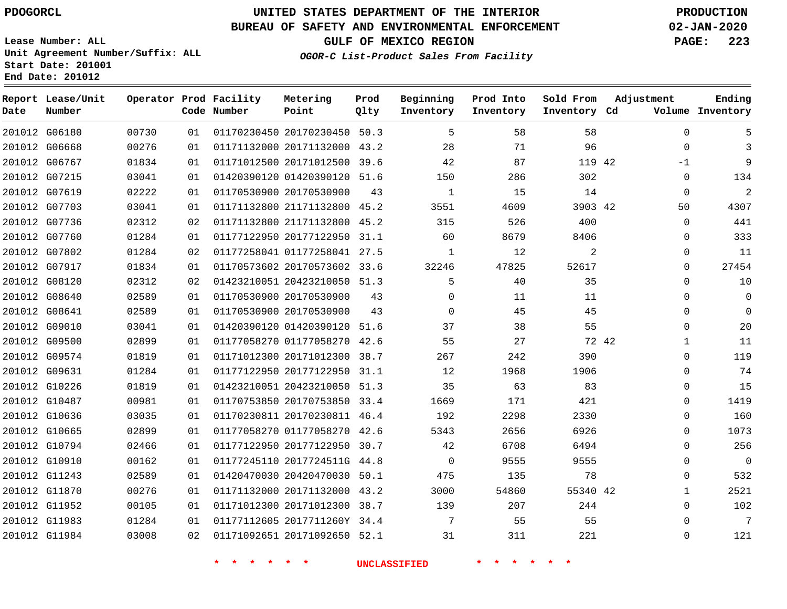**Report Lease/Unit**

**Number**

# **UNITED STATES DEPARTMENT OF THE INTERIOR PDOGORCL PRODUCTION**

**Prod Qlty**

#### **BUREAU OF SAFETY AND ENVIRONMENTAL ENFORCEMENT 02-JAN-2020**

**Lease Number: ALL Unit Agreement Number/Suffix: ALL Start Date: 201001 End Date: 201012**

**Operator Prod Facility**

**Code Number**

**OGOR-C List-Product Sales From Facility**

**Beginning Inventory** **Prod Into Inventory** **Sold From Inventory**

**GULF OF MEXICO REGION PAGE: 223**

**Inventory Cd Volume**

**Adjustment**

  $\Omega$ -1  $\Omega$   $\Omega$   $\Omega$  $\Omega$  $\Omega$  $\Omega$  $\Omega$  $\Omega$   $\overline{0}$  $\Omega$  $\Omega$  $\Omega$  $\Omega$  $\Omega$  $\Omega$  $\Omega$   $\Omega$   $\Omega$ 

**Ending**

| 201012 G06180 |               | 00730 | 01 |                            | 01170230450 20170230450 50.3 |    | 5                   | 58      | 58              |  |
|---------------|---------------|-------|----|----------------------------|------------------------------|----|---------------------|---------|-----------------|--|
|               | 201012 G06668 | 00276 | 01 |                            | 01171132000 20171132000 43.2 |    | 28                  | 71      | 96              |  |
|               | 201012 G06767 | 01834 | 01 |                            | 01171012500 20171012500 39.6 |    | 42                  | 87      | 119 42          |  |
|               | 201012 G07215 | 03041 | 01 |                            | 01420390120 01420390120 51.6 |    | 150                 | 286     | 302             |  |
| 201012 G07619 |               | 02222 | 01 |                            | 01170530900 20170530900      | 43 | $\mathbf{1}$        | 15      | 14              |  |
|               | 201012 G07703 | 03041 | 01 |                            | 01171132800 21171132800 45.2 |    | 3551                | 4609    | 3903 42         |  |
|               | 201012 G07736 | 02312 | 02 |                            | 01171132800 21171132800 45.2 |    | 315                 | 526     | 400             |  |
|               | 201012 G07760 | 01284 | 01 |                            | 01177122950 20177122950 31.1 |    | 60                  | 8679    | 8406            |  |
|               | 201012 G07802 | 01284 | 02 |                            | 01177258041 01177258041 27.5 |    | $\mathbf{1}$        | 12      | 2               |  |
|               | 201012 G07917 | 01834 | 01 |                            | 01170573602 20170573602 33.6 |    | 32246               | 47825   | 52617           |  |
| 201012 G08120 |               | 02312 | 02 |                            | 01423210051 20423210050 51.3 |    | 5                   | 40      | 35              |  |
|               | 201012 G08640 | 02589 | 01 |                            | 01170530900 20170530900      | 43 | $\mathsf{O}$        | 11      | 11              |  |
|               | 201012 G08641 | 02589 | 01 |                            | 01170530900 20170530900      | 43 | $\overline{0}$      | 45      | 45              |  |
|               | 201012 G09010 | 03041 | 01 |                            | 01420390120 01420390120 51.6 |    | 37                  | 38      | 55              |  |
|               | 201012 G09500 | 02899 | 01 |                            | 01177058270 01177058270 42.6 |    | 55                  | 27      | 72 42           |  |
|               | 201012 G09574 | 01819 | 01 |                            | 01171012300 20171012300 38.7 |    | 267                 | 242     | 390             |  |
|               | 201012 G09631 | 01284 | 01 |                            | 01177122950 20177122950 31.1 |    | 12                  | 1968    | 1906            |  |
|               | 201012 G10226 | 01819 | 01 |                            | 01423210051 20423210050 51.3 |    | 35                  | 63      | 83              |  |
|               | 201012 G10487 | 00981 | 01 |                            | 01170753850 20170753850 33.4 |    | 1669                | 171     | 421             |  |
|               | 201012 G10636 | 03035 | 01 |                            | 01170230811 20170230811 46.4 |    | 192                 | 2298    | 2330            |  |
|               | 201012 G10665 | 02899 | 01 |                            | 01177058270 01177058270 42.6 |    | 5343                | 2656    | 6926            |  |
|               | 201012 G10794 | 02466 | 01 |                            | 01177122950 20177122950 30.7 |    | 42                  | 6708    | 6494            |  |
|               | 201012 G10910 | 00162 | 01 |                            | 01177245110 2017724511G 44.8 |    | $\overline{0}$      | 9555    | 9555            |  |
| 201012 G11243 |               | 02589 | 01 |                            | 01420470030 20420470030 50.1 |    | 475                 | 135     | 78              |  |
|               | 201012 G11870 | 00276 | 01 |                            | 01171132000 20171132000 43.2 |    | 3000                | 54860   | 55340 42        |  |
|               | 201012 G11952 | 00105 | 01 |                            | 01171012300 20171012300 38.7 |    | 139                 | 207     | 244             |  |
|               | 201012 G11983 | 01284 | 01 |                            | 01177112605 2017711260Y 34.4 |    | $\overline{7}$      | 55      | 55              |  |
|               | 201012 G11984 | 03008 | 02 |                            | 01171092651 20171092650 52.1 |    | 31                  | 311     | 221             |  |
|               |               |       |    | $\star$ $\star$<br>* * * * |                              |    | <b>UNCLASSIFIED</b> | * * * * | $\star$ $\star$ |  |

**Metering Point**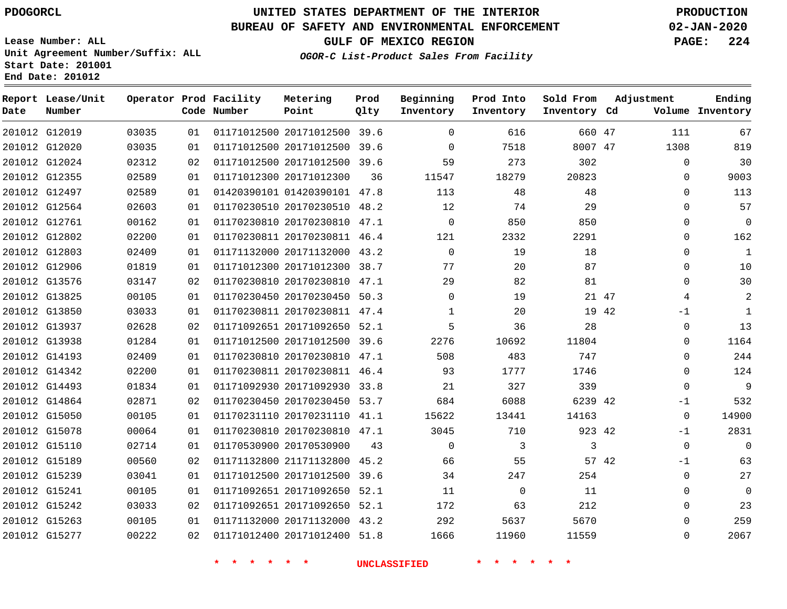**Report Lease/Unit**

**Number**

 G15263 G15277    

# **UNITED STATES DEPARTMENT OF THE INTERIOR PDOGORCL PRODUCTION**

**Prod Qlty**

#### **BUREAU OF SAFETY AND ENVIRONMENTAL ENFORCEMENT 02-JAN-2020**

**Lease Number: ALL Unit Agreement Number/Suffix: ALL Start Date: 201001 End Date: 201012**

**Operator Prod Facility**

**Code Number**

**OGOR-C List-Product Sales From Facility**

**Beginning Inventory** **Prod Into Inventory** **Sold From Inventory**

**GULF OF MEXICO REGION PAGE: 224**

**Inventory Cd Volume**

**Adjustment**

**Ending**

  $\Omega$ 

|               | 201012 G12019 | 03035 | 01  | 01171012500 20171012500 39.6 |    | 0           | 616      | 660 47  |       | 111         | 67           |
|---------------|---------------|-------|-----|------------------------------|----|-------------|----------|---------|-------|-------------|--------------|
|               | 201012 G12020 | 03035 | 01  | 01171012500 20171012500 39.6 |    | $\mathbf 0$ | 7518     | 8007 47 |       | 1308        | 819          |
|               | 201012 G12024 | 02312 | 02  | 01171012500 20171012500 39.6 |    | 59          | 273      | 302     |       | $\Omega$    | 30           |
|               | 201012 G12355 | 02589 | 01  | 01171012300 20171012300      | 36 | 11547       | 18279    | 20823   |       | 0           | 9003         |
|               | 201012 G12497 | 02589 | 01  | 01420390101 01420390101 47.8 |    | 113         | 48       | 48      |       | $\Omega$    | 113          |
|               | 201012 G12564 | 02603 | 01  | 01170230510 20170230510 48.2 |    | 12          | 74       | 29      |       | $\Omega$    | 57           |
|               | 201012 G12761 | 00162 | O 1 | 01170230810 20170230810 47.1 |    | $\Omega$    | 850      | 850     |       | 0           | $\mathbf 0$  |
|               | 201012 G12802 | 02200 | 01  | 01170230811 20170230811 46.4 |    | 121         | 2332     | 2291    |       | $\Omega$    | 162          |
|               | 201012 G12803 | 02409 | 01  | 01171132000 20171132000 43.2 |    | $\mathbf 0$ | 19       | 18      |       | 0           | $\mathbf{1}$ |
|               | 201012 G12906 | 01819 | 01  | 01171012300 20171012300 38.7 |    | 77          | 20       | 87      |       | $\Omega$    | 10           |
|               | 201012 G13576 | 03147 | 02  | 01170230810 20170230810 47.1 |    | 29          | 82       | 81      |       | $\Omega$    | 30           |
|               | 201012 G13825 | 00105 | 01  | 01170230450 20170230450 50.3 |    | 0           | 19       |         | 21 47 | 4           | 2            |
|               | 201012 G13850 | 03033 | 01  | 01170230811 20170230811 47.4 |    | 1           | 20       |         | 19 42 | $-1$        | $\mathbf{1}$ |
|               | 201012 G13937 | 02628 | 02  | 01171092651 20171092650 52.1 |    | 5           | 36       | 28      |       | $\Omega$    | 13           |
|               | 201012 G13938 | 01284 | 01  | 01171012500 20171012500 39.6 |    | 2276        | 10692    | 11804   |       | $\Omega$    | 1164         |
|               | 201012 G14193 | 02409 | 01  | 01170230810 20170230810 47.1 |    | 508         | 483      | 747     |       | $\Omega$    | 244          |
|               | 201012 G14342 | 02200 | 01  | 01170230811 20170230811 46.4 |    | 93          | 1777     | 1746    |       | $\Omega$    | 124          |
|               | 201012 G14493 | 01834 | 01  | 01171092930 20171092930 33.8 |    | 21          | 327      | 339     |       | 0           | 9            |
|               | 201012 G14864 | 02871 | 02  | 01170230450 20170230450 53.7 |    | 684         | 6088     | 6239 42 |       | $-1$        | 532          |
|               | 201012 G15050 | 00105 | 01  | 01170231110 20170231110 41.1 |    | 15622       | 13441    | 14163   |       | $\Omega$    | 14900        |
|               | 201012 G15078 | 00064 | 01  | 01170230810 20170230810 47.1 |    | 3045        | 710      | 923 42  |       | $-1$        | 2831         |
|               | 201012 G15110 | 02714 | 01  | 01170530900 20170530900      | 43 | $\Omega$    | 3        | 3       |       | $\mathbf 0$ | $\Omega$     |
|               | 201012 G15189 | 00560 | 02  | 01171132800 21171132800 45.2 |    | 66          | 55       |         | 57 42 | $-1$        | 63           |
|               | 201012 G15239 | 03041 | 01. | 01171012500 20171012500 39.6 |    | 34          | 247      | 254     |       | $\Omega$    | 27           |
| 201012 G15241 |               | 00105 | 01  | 01171092651 20171092650 52.1 |    | 11          | $\Omega$ | 11      |       | 0           | 0            |
|               | 201012 G15242 | 03033 | 02  | 01171092651 20171092650 52.1 |    | 172         | 63       | 212     |       | $\mathbf 0$ | 23           |
|               |               |       |     |                              |    |             |          |         |       |             |              |

 20171132000 43.2 20171012400 51.8

**Metering Point**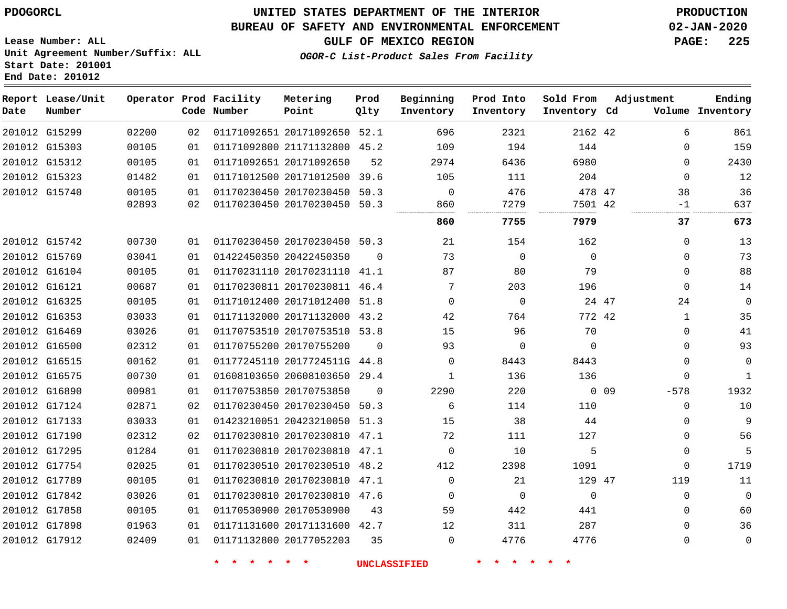#### **BUREAU OF SAFETY AND ENVIRONMENTAL ENFORCEMENT 02-JAN-2020**

**Lease Number: ALL Unit Agreement Number/Suffix: ALL Start Date: 201001 End Date: 201012**

**GULF OF MEXICO REGION PAGE: 225**

**OGOR-C List-Product Sales From Facility**

| Date | Report Lease/Unit<br>Number |       |    | Operator Prod Facility<br>Code Number | Metering<br>Point            | Prod<br>Qlty | Beginning<br>Inventory | Prod Into<br>Inventory | Sold From<br>Inventory Cd | Adjustment |              | Ending<br>Volume Inventory |
|------|-----------------------------|-------|----|---------------------------------------|------------------------------|--------------|------------------------|------------------------|---------------------------|------------|--------------|----------------------------|
|      | 201012 G15299               | 02200 | 02 |                                       | 01171092651 20171092650 52.1 |              | 696                    | 2321                   | 2162 42                   |            | 6            | 861                        |
|      | 201012 G15303               | 00105 | 01 |                                       | 01171092800 21171132800 45.2 |              | 109                    | 194                    | 144                       |            | $\Omega$     | 159                        |
|      | 201012 G15312               | 00105 | 01 |                                       | 01171092651 20171092650      | 52           | 2974                   | 6436                   | 6980                      |            | $\Omega$     | 2430                       |
|      | 201012 G15323               | 01482 | 01 |                                       | 01171012500 20171012500      | 39.6         | 105                    | 111                    | 204                       |            | $\mathbf 0$  | 12                         |
|      | 201012 G15740               | 00105 | 01 |                                       | 01170230450 20170230450 50.3 |              | $\Omega$               | 476                    | 478 47                    |            | 38           | 36                         |
|      |                             | 02893 | 02 |                                       | 01170230450 20170230450 50.3 |              | 860<br>                | 7279<br>               | 7501 42                   |            | $-1$         | 637                        |
|      |                             |       |    |                                       |                              |              | 860                    | 7755                   | 7979                      |            | 37           | 673                        |
|      | 201012 G15742               | 00730 | 01 |                                       | 01170230450 20170230450 50.3 |              | 21                     | 154                    | 162                       |            | $\mathbf 0$  | 13                         |
|      | 201012 G15769               | 03041 | 01 |                                       | 01422450350 20422450350      | $\Omega$     | 73                     | 0                      | $\mathbf 0$               |            | $\mathbf 0$  | 73                         |
|      | 201012 G16104               | 00105 | 01 |                                       | 01170231110 20170231110 41.1 |              | 87                     | 80                     | 79                        |            | $\Omega$     | 88                         |
|      | 201012 G16121               | 00687 | 01 |                                       | 01170230811 20170230811 46.4 |              | 7                      | 203                    | 196                       |            | 0            | 14                         |
|      | 201012 G16325               | 00105 | 01 |                                       | 01171012400 20171012400 51.8 |              | $\Omega$               | $\Omega$               | 24 47                     |            | 24           | $\mathbf 0$                |
|      | 201012 G16353               | 03033 | 01 |                                       | 01171132000 20171132000 43.2 |              | 42                     | 764                    | 772 42                    |            | $\mathbf{1}$ | 35                         |
|      | 201012 G16469               | 03026 | 01 |                                       | 01170753510 20170753510 53.8 |              | 15                     | 96                     | 70                        |            | $\Omega$     | 41                         |
|      | 201012 G16500               | 02312 | 01 |                                       | 01170755200 20170755200      | $\Omega$     | 93                     | $\mathbf 0$            | $\Omega$                  |            | $\Omega$     | 93                         |
|      | 201012 G16515               | 00162 | 01 |                                       | 01177245110 2017724511G 44.8 |              | $\Omega$               | 8443                   | 8443                      |            | $\Omega$     | $\mathbf 0$                |
|      | 201012 G16575               | 00730 | 01 |                                       | 01608103650 20608103650 29.4 |              | 1                      | 136                    | 136                       |            | $\Omega$     | $\mathbf{1}$               |
|      | 201012 G16890               | 00981 | 01 |                                       | 01170753850 20170753850      | $\Omega$     | 2290                   | 220                    |                           | 0.09       | $-578$       | 1932                       |
|      | 201012 G17124               | 02871 | 02 |                                       | 01170230450 20170230450 50.3 |              | 6                      | 114                    | 110                       |            | $\Omega$     | 10                         |
|      | 201012 G17133               | 03033 | 01 |                                       | 01423210051 20423210050 51.3 |              | 15                     | 38                     | 44                        |            | 0            | 9                          |
|      | 201012 G17190               | 02312 | 02 |                                       | 01170230810 20170230810 47.1 |              | 72                     | 111                    | 127                       |            | $\Omega$     | 56                         |
|      | 201012 G17295               | 01284 | 01 |                                       | 01170230810 20170230810 47.1 |              | $\Omega$               | 10                     | 5                         |            | $\mathbf 0$  | 5                          |
|      | 201012 G17754               | 02025 | 01 |                                       | 01170230510 20170230510 48.2 |              | 412                    | 2398                   | 1091                      |            | 0            | 1719                       |
|      | 201012 G17789               | 00105 | 01 |                                       | 01170230810 20170230810 47.1 |              | $\Omega$               | 21                     | 129 47                    |            | 119          | 11                         |
|      | 201012 G17842               | 03026 | 01 |                                       | 01170230810 20170230810 47.6 |              | $\mathbf 0$            | $\mathbf 0$            | $\mathbf 0$               |            | 0            | $\mathbf 0$                |
|      | 201012 G17858               | 00105 | 01 |                                       | 01170530900 20170530900      | 43           | 59                     | 442                    | 441                       |            | $\Omega$     | 60                         |
|      | 201012 G17898               | 01963 | 01 |                                       | 01171131600 20171131600 42.7 |              | 12                     | 311                    | 287                       |            | $\mathbf 0$  | 36                         |
|      | 201012 G17912               | 02409 | 01 |                                       | 01171132800 20177052203      | 35           | $\Omega$               | 4776                   | 4776                      |            | $\mathbf 0$  | $\mathbf 0$                |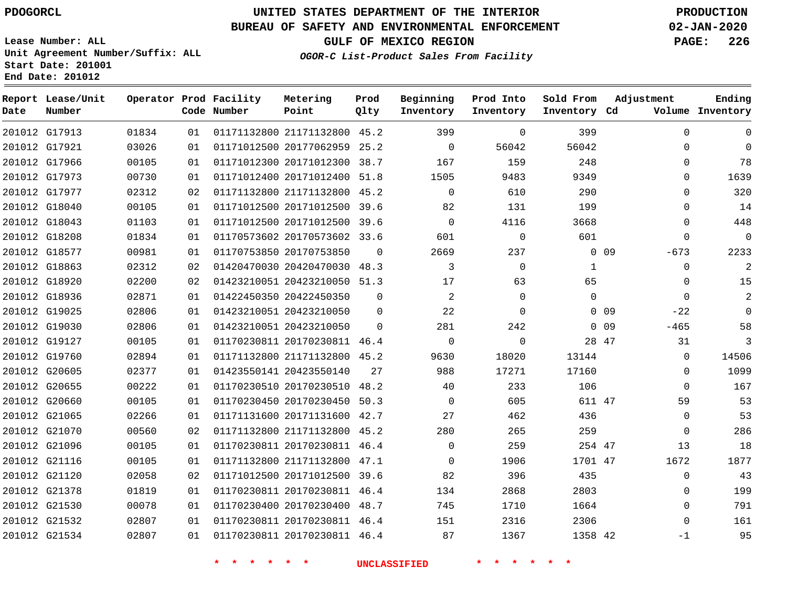**Report Lease/Unit**

**Number**

# **UNITED STATES DEPARTMENT OF THE INTERIOR PDOGORCL PRODUCTION**

**Prod Qlty**

### **BUREAU OF SAFETY AND ENVIRONMENTAL ENFORCEMENT 02-JAN-2020**

**Lease Number: ALL Unit Agreement Number/Suffix: ALL Start Date: 201001 End Date: 201012**

**Operator Prod Facility**

**Code Number**

**Metering Point**

**OGOR-C List-Product Sales From F** 

**Beginning Inventory**

| GULF OF MEXICO REGION                | <b>PAGE: 226</b> |  |
|--------------------------------------|------------------|--|
| 2-C List-Product Sales From Facility |                  |  |

|       | Adjustment | Ending<br>Volume Inventory |
|-------|------------|----------------------------|
| 399   |            |                            |
| 56042 |            |                            |
|       |            | Sold From<br>Inventory Cd  |

| $\mathbf 0$ | $\Omega$    |                 | 399      | $\Omega$    | 399         |          | 01171132800 21171132800 45.2 | 01 | 01834 | 201012 G17913 |  |
|-------------|-------------|-----------------|----------|-------------|-------------|----------|------------------------------|----|-------|---------------|--|
| $\mathbf 0$ | $\Omega$    |                 | 56042    | 56042       | 0           | 25.2     | 01171012500 20177062959      | 01 | 03026 | 201012 G17921 |  |
| 78          | $\Omega$    |                 | 248      | 159         | 167         |          | 01171012300 20171012300 38.7 | 01 | 00105 | 201012 G17966 |  |
| 1639        | 0           |                 | 9349     | 9483        | 1505        | 51.8     | 01171012400 20171012400      | 01 | 00730 | 201012 G17973 |  |
| 320         | 0           |                 | 290      | 610         | $\Omega$    | 45.2     | 01171132800 21171132800      | 02 | 02312 | 201012 G17977 |  |
| 14          | $\Omega$    |                 | 199      | 131         | 82          |          | 01171012500 20171012500 39.6 | 01 | 00105 | 201012 G18040 |  |
| 448         | $\Omega$    |                 | 3668     | 4116        | $\mathbf 0$ |          | 01171012500 20171012500 39.6 | 01 | 01103 | 201012 G18043 |  |
| $\mathbf 0$ | O           |                 | 601      | $\Omega$    | 601         |          | 01170573602 20170573602 33.6 | 01 | 01834 | 201012 G18208 |  |
| 2233        | $-673$      | 0 <sub>09</sub> |          | 237         | 2669        | $\Omega$ | 01170753850 20170753850      | 01 | 00981 | 201012 G18577 |  |
| 2           | $\Omega$    |                 | 1        | $\mathbf 0$ | 3           |          | 01420470030 20420470030 48.3 | 02 | 02312 | 201012 G18863 |  |
| 15          | $\Omega$    |                 | 65       | 63          | 17          |          | 01423210051 20423210050 51.3 | 02 | 02200 | 201012 G18920 |  |
| 2           | $\Omega$    |                 | $\Omega$ | $\Omega$    | 2           | $\Omega$ | 01422450350 20422450350      | 01 | 02871 | 201012 G18936 |  |
| 0           | $-22$       | 0 <sub>09</sub> |          | 0           | 22          | 0        | 01423210051 20423210050      | 01 | 02806 | 201012 G19025 |  |
| 58          | $-465$      | 0 <sub>09</sub> |          | 242         | 281         | $\Omega$ | 01423210051 20423210050      | 01 | 02806 | 201012 G19030 |  |
| 3           | 31          | 28 47           |          | $\Omega$    | $\mathbf 0$ |          | 01170230811 20170230811 46.4 | 01 | 00105 | 201012 G19127 |  |
| 14506       | $\Omega$    |                 | 13144    | 18020       | 9630        | 45.2     | 01171132800 21171132800      | 01 | 02894 | 201012 G19760 |  |
| 1099        | $\Omega$    |                 | 17160    | 17271       | 988         | 27       | 01423550141 20423550140      | 01 | 02377 | 201012 G20605 |  |
| 167         | $\Omega$    |                 | 106      | 233         | 40          |          | 01170230510 20170230510 48.2 | 01 | 00222 | 201012 G20655 |  |
| 53          | 59          |                 | 611 47   | 605         | $\mathbf 0$ |          | 01170230450 20170230450 50.3 | 01 | 00105 | 201012 G20660 |  |
| 53          | $\Omega$    |                 | 436      | 462         | 27          |          | 01171131600 20171131600 42.7 | 01 | 02266 | 201012 G21065 |  |
| 286         | $\Omega$    |                 | 259      | 265         | 280         |          | 01171132800 21171132800 45.2 | 02 | 00560 | 201012 G21070 |  |
| 18          | 13          |                 | 254 47   | 259         | $\Omega$    |          | 01170230811 20170230811 46.4 | 01 | 00105 | 201012 G21096 |  |
| 1877        | 1672        |                 | 1701 47  | 1906        | $\Omega$    |          | 01171132800 21171132800 47.1 | 01 | 00105 | 201012 G21116 |  |
| 43          | $\mathbf 0$ |                 | 435      | 396         | 82          | 39.6     | 01171012500 20171012500      | 02 | 02058 | 201012 G21120 |  |
| 199         | $\Omega$    |                 | 2803     | 2868        | 134         | 46.4     | 01170230811 20170230811      | 01 | 01819 | 201012 G21378 |  |
| 791         | 0           |                 | 1664     | 1710        | 745         |          | 01170230400 20170230400 48.7 | 01 | 00078 | 201012 G21530 |  |
| 161         | $\Omega$    |                 | 2306     | 2316        | 151         |          | 01170230811 20170230811 46.4 | 01 | 02807 | 201012 G21532 |  |
| 95          | $-1$        |                 | 1358 42  | 1367        | 87          |          | 01170230811 20170230811 46.4 | 01 | 02807 | 201012 G21534 |  |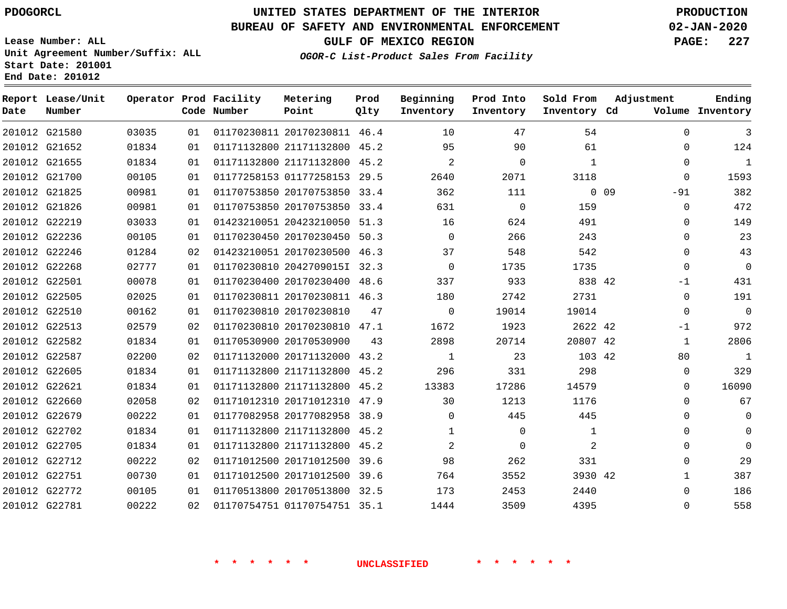# **UNITED STATES DEPARTMENT OF THE INTERIOR PDOGORCL PRODUCTION**

#### **BUREAU OF SAFETY AND ENVIRONMENTAL ENFORCEMENT 02-JAN-2020**

**Lease Number: ALL Unit Agreement Number/Suffix: ALL Start Date: 201001 End Date: 201012**

**OGOR-C List-Product Sales From Facility**

**GULF OF MEXICO REGION PAGE: 227**

| Date | Report Lease/Unit<br>Number |       |    | Operator Prod Facility<br>Code Number | Metering<br>Point            | Prod<br>Qlty | Beginning<br>Inventory | Prod Into<br>Inventory | Sold From<br>Inventory Cd | Adjustment               | Ending<br>Volume Inventory |
|------|-----------------------------|-------|----|---------------------------------------|------------------------------|--------------|------------------------|------------------------|---------------------------|--------------------------|----------------------------|
|      | 201012 G21580               | 03035 | 01 |                                       | 01170230811 20170230811 46.4 |              | 10                     | 47                     | 54                        | $\mathbf 0$              | 3                          |
|      | 201012 G21652               | 01834 | 01 |                                       | 01171132800 21171132800 45.2 |              | 95                     | 90                     | 61                        | 0                        | 124                        |
|      | 201012 G21655               | 01834 | 01 |                                       | 01171132800 21171132800 45.2 |              | 2                      | $\Omega$               | $\mathbf{1}$              | $\Omega$                 | $\mathbf{1}$               |
|      | 201012 G21700               | 00105 | 01 |                                       | 01177258153 01177258153 29.5 |              | 2640                   | 2071                   | 3118                      | $\mathbf 0$              | 1593                       |
|      | 201012 G21825               | 00981 | 01 |                                       | 01170753850 20170753850 33.4 |              | 362                    | 111                    |                           | 0 <sub>09</sub><br>$-91$ | 382                        |
|      | 201012 G21826               | 00981 | 01 |                                       | 01170753850 20170753850      | 33.4         | 631                    | $\mathbf 0$            | 159                       | $\Omega$                 | 472                        |
|      | 201012 G22219               | 03033 | 01 |                                       | 01423210051 20423210050 51.3 |              | 16                     | 624                    | 491                       | $\Omega$                 | 149                        |
|      | 201012 G22236               | 00105 | 01 |                                       | 01170230450 20170230450 50.3 |              | $\Omega$               | 266                    | 243                       | $\Omega$                 | 23                         |
|      | 201012 G22246               | 01284 | 02 |                                       | 01423210051 20170230500 46.3 |              | 37                     | 548                    | 542                       | 0                        | 43                         |
|      | 201012 G22268               | 02777 | 01 |                                       | 01170230810 2042709015I 32.3 |              | $\Omega$               | 1735                   | 1735                      | $\Omega$                 | $\overline{0}$             |
|      | 201012 G22501               | 00078 | 01 |                                       | 01170230400 20170230400 48.6 |              | 337                    | 933                    | 838 42                    | -1                       | 431                        |
|      | 201012 G22505               | 02025 | 01 |                                       | 01170230811 20170230811 46.3 |              | 180                    | 2742                   | 2731                      | $\mathbf 0$              | 191                        |
|      | 201012 G22510               | 00162 | 01 |                                       | 01170230810 20170230810      | 47           | $\Omega$               | 19014                  | 19014                     | $\Omega$                 | $\overline{0}$             |
|      | 201012 G22513               | 02579 | 02 |                                       | 01170230810 20170230810 47.1 |              | 1672                   | 1923                   | 2622 42                   | -1                       | 972                        |
|      | 201012 G22582               | 01834 | 01 |                                       | 01170530900 20170530900      | 43           | 2898                   | 20714                  | 20807 42                  | 1                        | 2806                       |
|      | 201012 G22587               | 02200 | 02 |                                       | 01171132000 20171132000 43.2 |              | 1                      | 23                     | 103 42                    | 80                       | $\mathbf{1}$               |
|      | 201012 G22605               | 01834 | 01 |                                       | 01171132800 21171132800 45.2 |              | 296                    | 331                    | 298                       | $\mathbf 0$              | 329                        |
|      | 201012 G22621               | 01834 | 01 |                                       | 01171132800 21171132800 45.2 |              | 13383                  | 17286                  | 14579                     | $\Omega$                 | 16090                      |
|      | 201012 G22660               | 02058 | 02 |                                       | 01171012310 20171012310 47.9 |              | 30                     | 1213                   | 1176                      | $\Omega$                 | 67                         |
|      | 201012 G22679               | 00222 | 01 |                                       | 01177082958 20177082958 38.9 |              | $\Omega$               | 445                    | 445                       | $\Omega$                 | 0                          |
|      | 201012 G22702               | 01834 | 01 |                                       | 01171132800 21171132800 45.2 |              | $\mathbf{1}$           | $\mathbf 0$            | $\mathbf{1}$              | 0                        | $\mathbf 0$                |
|      | 201012 G22705               | 01834 | 01 |                                       | 01171132800 21171132800 45.2 |              | 2                      | 0                      | 2                         | $\Omega$                 | $\Omega$                   |
|      | 201012 G22712               | 00222 | 02 |                                       | 01171012500 20171012500 39.6 |              | 98                     | 262                    | 331                       | $\Omega$                 | 29                         |
|      | 201012 G22751               | 00730 | 01 |                                       | 01171012500 20171012500      | 39.6         | 764                    | 3552                   | 3930 42                   | $\mathbf{1}$             | 387                        |
|      | 201012 G22772               | 00105 | 01 |                                       | 01170513800 20170513800 32.5 |              | 173                    | 2453                   | 2440                      | $\Omega$                 | 186                        |
|      | 201012 G22781               | 00222 | 02 |                                       | 01170754751 01170754751 35.1 |              | 1444                   | 3509                   | 4395                      | 0                        | 558                        |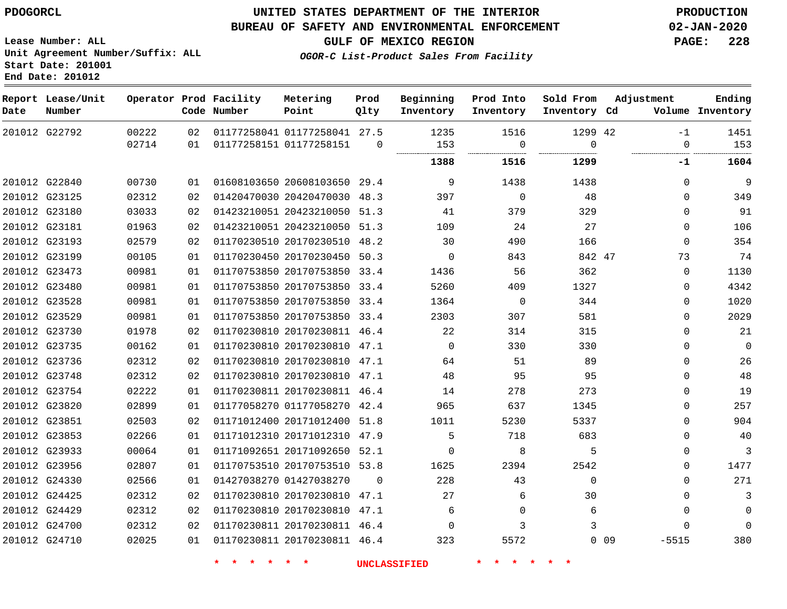#### **BUREAU OF SAFETY AND ENVIRONMENTAL ENFORCEMENT 02-JAN-2020**

**Lease Number: ALL Unit Agreement Number/Suffix: ALL Start Date: 201001 End Date: 201012**

**GULF OF MEXICO REGION PAGE: 228**

**OGOR-C List-Product Sales From Facility**

| Date | Report Lease/Unit<br>Number |       |    | Operator Prod Facility<br>Code Number | Metering<br>Point            | Prod<br>Qlty | Beginning<br>Inventory | Prod Into<br>Inventory | Sold From<br>Inventory Cd | Adjustment |              | Ending<br>Volume Inventory |
|------|-----------------------------|-------|----|---------------------------------------|------------------------------|--------------|------------------------|------------------------|---------------------------|------------|--------------|----------------------------|
|      | 201012 G22792               | 00222 | 02 |                                       | 01177258041 01177258041 27.5 |              | 1235                   | 1516                   | 1299 42                   |            | $-1$         | 1451                       |
|      |                             | 02714 | 01 |                                       | 01177258151 01177258151      | $\Omega$     | 153                    | $\mathbf 0$<br>        | $\Omega$<br>              |            | $\mathbf 0$  | 153                        |
|      |                             |       |    |                                       |                              |              | 1388                   | 1516                   | 1299                      |            | $-1$         | 1604                       |
|      | 201012 G22840               | 00730 | 01 |                                       | 01608103650 20608103650 29.4 |              | 9                      | 1438                   | 1438                      |            | $\Omega$     | 9                          |
|      | 201012 G23125               | 02312 | 02 |                                       | 01420470030 20420470030 48.3 |              | 397                    | $\Omega$               | 48                        |            | $\Omega$     | 349                        |
|      | 201012 G23180               | 03033 | 02 |                                       | 01423210051 20423210050 51.3 |              | 41                     | 379                    | 329                       |            | $\Omega$     | 91                         |
|      | 201012 G23181               | 01963 | 02 |                                       | 01423210051 20423210050 51.3 |              | 109                    | 24                     | 27                        |            | $\mathbf{0}$ | 106                        |
|      | 201012 G23193               | 02579 | 02 |                                       | 01170230510 20170230510 48.2 |              | 30                     | 490                    | 166                       |            | $\Omega$     | 354                        |
|      | 201012 G23199               | 00105 | 01 |                                       | 01170230450 20170230450 50.3 |              | $\mathbf 0$            | 843                    | 842 47                    |            | 73           | 74                         |
|      | 201012 G23473               | 00981 | 01 |                                       | 01170753850 20170753850 33.4 |              | 1436                   | 56                     | 362                       |            | 0            | 1130                       |
|      | 201012 G23480               | 00981 | 01 |                                       | 01170753850 20170753850 33.4 |              | 5260                   | 409                    | 1327                      |            | 0            | 4342                       |
|      | 201012 G23528               | 00981 | 01 |                                       | 01170753850 20170753850 33.4 |              | 1364                   | $\mathbf 0$            | 344                       |            | $\Omega$     | 1020                       |
|      | 201012 G23529               | 00981 | 01 |                                       | 01170753850 20170753850 33.4 |              | 2303                   | 307                    | 581                       |            | $\Omega$     | 2029                       |
|      | 201012 G23730               | 01978 | 02 |                                       | 01170230810 20170230811 46.4 |              | 22                     | 314                    | 315                       |            | $\Omega$     | 21                         |
|      | 201012 G23735               | 00162 | 01 |                                       | 01170230810 20170230810 47.1 |              | $\Omega$               | 330                    | 330                       |            | $\Omega$     | $\mathbf{0}$               |
|      | 201012 G23736               | 02312 | 02 |                                       | 01170230810 20170230810 47.1 |              | 64                     | 51                     | 89                        |            | $\mathbf{0}$ | 26                         |
|      | 201012 G23748               | 02312 | 02 |                                       | 01170230810 20170230810 47.1 |              | 48                     | 95                     | 95                        |            | $\Omega$     | 48                         |
|      | 201012 G23754               | 02222 | 01 |                                       | 01170230811 20170230811 46.4 |              | 14                     | 278                    | 273                       |            | $\mathbf{0}$ | 19                         |
|      | 201012 G23820               | 02899 | 01 |                                       | 01177058270 01177058270 42.4 |              | 965                    | 637                    | 1345                      |            | $\Omega$     | 257                        |
|      | 201012 G23851               | 02503 | 02 |                                       | 01171012400 20171012400 51.8 |              | 1011                   | 5230                   | 5337                      |            | $\mathbf{0}$ | 904                        |
|      | 201012 G23853               | 02266 | 01 |                                       | 01171012310 20171012310 47.9 |              | 5                      | 718                    | 683                       |            | $\Omega$     | 40                         |
|      | 201012 G23933               | 00064 | 01 |                                       | 01171092651 20171092650 52.1 |              | $\Omega$               | 8                      | 5                         |            | $\Omega$     | 3                          |
|      | 201012 G23956               | 02807 | 01 |                                       | 01170753510 20170753510 53.8 |              | 1625                   | 2394                   | 2542                      |            | $\mathbf{0}$ | 1477                       |
|      | 201012 G24330               | 02566 | 01 |                                       | 01427038270 01427038270      | $\Omega$     | 228                    | 43                     | $\mathbf 0$               |            | $\Omega$     | 271                        |
|      | 201012 G24425               | 02312 | 02 |                                       | 01170230810 20170230810 47.1 |              | 27                     | 6                      | 30                        |            | $\mathbf{0}$ | 3                          |
|      | 201012 G24429               | 02312 | 02 |                                       | 01170230810 20170230810 47.1 |              | 6                      | $\mathbf 0$            | 6                         |            | $\Omega$     | $\Omega$                   |
|      | 201012 G24700               | 02312 | 02 |                                       | 01170230811 20170230811 46.4 |              | $\Omega$               | 3                      | 3                         |            | $\Omega$     | $\Omega$                   |
|      | 201012 G24710               | 02025 | 01 |                                       | 01170230811 20170230811 46.4 |              | 323                    | 5572                   |                           | $0$ 09     | $-5515$      | 380                        |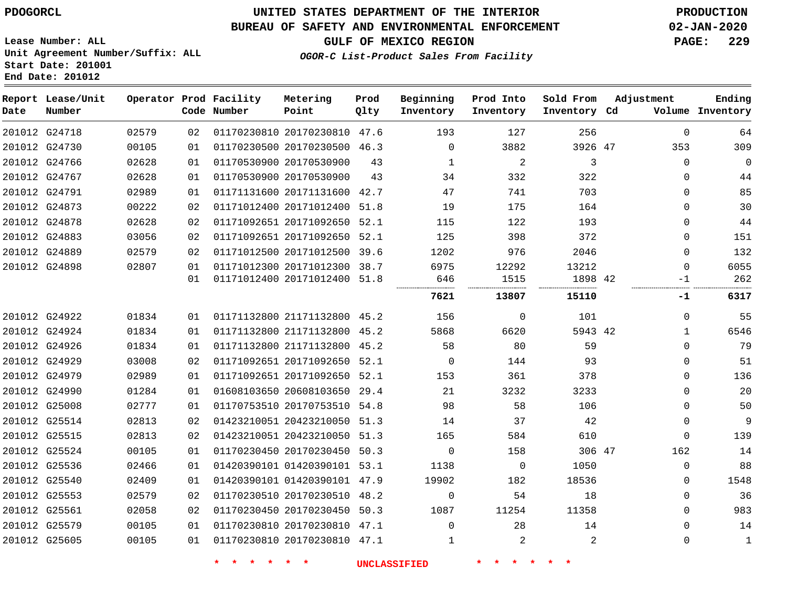**End Date: 201012**

# **UNITED STATES DEPARTMENT OF THE INTERIOR PDOGORCL PRODUCTION**

### **BUREAU OF SAFETY AND ENVIRONMENTAL ENFORCEMENT 02-JAN-2020**

**Lease Number: ALL Unit Agreement Number/Suffix: ALL Start Date: 201001**

**GULF OF MEXICO REGION PAGE: 229**

**OGOR-C List-Product Sales From Facility**

| Date | Report Lease/Unit<br>Number |       |    | Operator Prod Facility<br>Code Number | Metering<br>Point            | Prod<br>Qlty | Beginning<br>Inventory | Prod Into<br>Inventory | Sold From<br>Inventory Cd | Adjustment   | Ending<br>Volume Inventory |
|------|-----------------------------|-------|----|---------------------------------------|------------------------------|--------------|------------------------|------------------------|---------------------------|--------------|----------------------------|
|      | 201012 G24718               | 02579 | 02 |                                       | 01170230810 20170230810 47.6 |              | 193                    | 127                    | 256                       | $\mathbf 0$  | 64                         |
|      | 201012 G24730               | 00105 | 01 |                                       | 01170230500 20170230500 46.3 |              | $\Omega$               | 3882                   | 3926 47                   | 353          | 309                        |
|      | 201012 G24766               | 02628 | 01 |                                       | 01170530900 20170530900      | 43           | 1                      | 2                      | 3                         | $\Omega$     | 0                          |
|      | 201012 G24767               | 02628 | 01 |                                       | 01170530900 20170530900      | 43           | 34                     | 332                    | 322                       | 0            | 44                         |
|      | 201012 G24791               | 02989 | 01 |                                       | 01171131600 20171131600 42.7 |              | 47                     | 741                    | 703                       | 0            | 85                         |
|      | 201012 G24873               | 00222 | 02 |                                       | 01171012400 20171012400 51.8 |              | 19                     | 175                    | 164                       | $\Omega$     | 30                         |
|      | 201012 G24878               | 02628 | 02 |                                       | 01171092651 20171092650 52.1 |              | 115                    | 122                    | 193                       | $\Omega$     | 44                         |
|      | 201012 G24883               | 03056 | 02 |                                       | 01171092651 20171092650 52.1 |              | 125                    | 398                    | 372                       | $\mathbf 0$  | 151                        |
|      | 201012 G24889               | 02579 | 02 |                                       | 01171012500 20171012500 39.6 |              | 1202                   | 976                    | 2046                      | $\Omega$     | 132                        |
|      | 201012 G24898               | 02807 | 01 |                                       | 01171012300 20171012300 38.7 |              | 6975                   | 12292                  | 13212                     | $\Omega$     | 6055                       |
|      |                             |       | 01 |                                       | 01171012400 20171012400 51.8 |              | 646                    | 1515                   | 1898 42                   | $-1$         | 262                        |
|      |                             |       |    |                                       |                              |              | 7621                   | 13807                  | 15110                     | -1           | 6317                       |
|      | 201012 G24922               | 01834 | 01 |                                       | 01171132800 21171132800 45.2 |              | 156                    | $\mathbf 0$            | 101                       | $\mathbf 0$  | 55                         |
|      | 201012 G24924               | 01834 | 01 |                                       | 01171132800 21171132800 45.2 |              | 5868                   | 6620                   | 5943 42                   | $\mathbf{1}$ | 6546                       |
|      | 201012 G24926               | 01834 | 01 |                                       | 01171132800 21171132800 45.2 |              | 58                     | 80                     | 59                        | $\Omega$     | 79                         |
|      | 201012 G24929               | 03008 | 02 |                                       | 01171092651 20171092650 52.1 |              | $\Omega$               | 144                    | 93                        | 0            | 51                         |
|      | 201012 G24979               | 02989 | 01 |                                       | 01171092651 20171092650 52.1 |              | 153                    | 361                    | 378                       | $\Omega$     | 136                        |
|      | 201012 G24990               | 01284 | 01 |                                       | 01608103650 20608103650 29.4 |              | 21                     | 3232                   | 3233                      | $\Omega$     | 20                         |
|      | 201012 G25008               | 02777 | 01 |                                       | 01170753510 20170753510 54.8 |              | 98                     | 58                     | 106                       | $\Omega$     | 50                         |
|      | 201012 G25514               | 02813 | 02 |                                       | 01423210051 20423210050 51.3 |              | 14                     | 37                     | 42                        | 0            | 9                          |
|      | 201012 G25515               | 02813 | 02 |                                       | 01423210051 20423210050 51.3 |              | 165                    | 584                    | 610                       | $\Omega$     | 139                        |
|      | 201012 G25524               | 00105 | 01 |                                       | 01170230450 20170230450 50.3 |              | $\Omega$               | 158                    | 306 47                    | 162          | 14                         |
|      | 201012 G25536               | 02466 | 01 |                                       | 01420390101 01420390101 53.1 |              | 1138                   | 0                      | 1050                      | $\mathbf 0$  | 88                         |
|      | 201012 G25540               | 02409 | 01 |                                       | 01420390101 01420390101 47.9 |              | 19902                  | 182                    | 18536                     | $\Omega$     | 1548                       |
|      | 201012 G25553               | 02579 | 02 |                                       | 01170230510 20170230510 48.2 |              | $\mathbf 0$            | 54                     | 18                        | $\Omega$     | 36                         |
|      | 201012 G25561               | 02058 | 02 |                                       | 01170230450 20170230450 50.3 |              | 1087                   | 11254                  | 11358                     | 0            | 983                        |
|      | 201012 G25579               | 00105 | 01 |                                       | 01170230810 20170230810 47.1 |              | $\Omega$               | 28                     | 14                        | $\Omega$     | 14                         |
|      | 201012 G25605               | 00105 | 01 |                                       | 01170230810 20170230810 47.1 |              | $\mathbf{1}$           | $\overline{a}$         | 2                         | $\Omega$     | $\mathbf 1$                |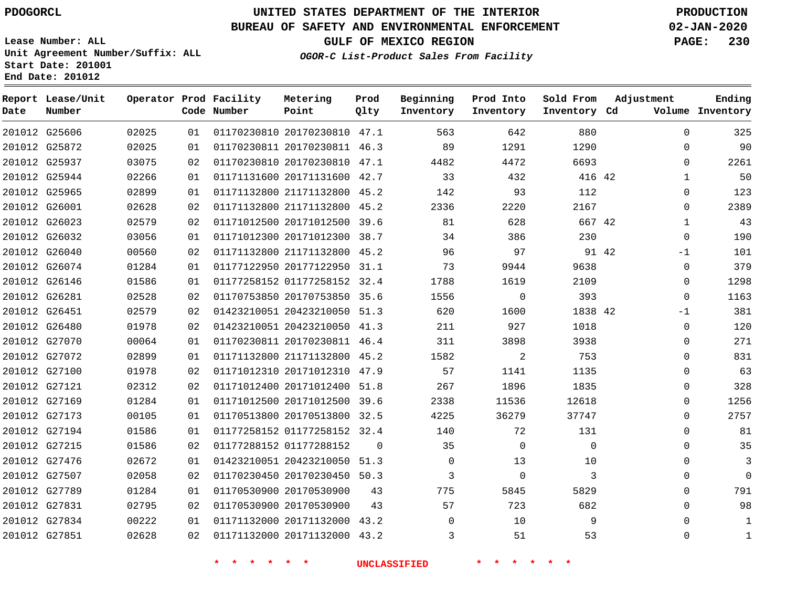# **UNITED STATES DEPARTMENT OF THE INTERIOR PDOGORCL PRODUCTION**

#### **BUREAU OF SAFETY AND ENVIRONMENTAL ENFORCEMENT 02-JAN-2020**

**Lease Number: ALL Unit Agreement Number/Suffix: ALL Start Date: 201001 End Date: 201012**

**OGOR-C List-Product Sales From Facility**

**GULF OF MEXICO REGION PAGE: 230**

**Ending Inventory**

| Date | Report Lease/Unit<br>Number |       |    | Operator Prod Facility<br>Code Number | Metering<br>Point            | Prod<br>Qlty | Beginning<br>Inventory | Prod Into<br>Inventory | Sold From<br>Inventory Cd |       | Adjustment<br>Volume |
|------|-----------------------------|-------|----|---------------------------------------|------------------------------|--------------|------------------------|------------------------|---------------------------|-------|----------------------|
|      | 201012 G25606               | 02025 |    |                                       |                              |              |                        |                        | 880                       |       | $\overline{0}$       |
|      |                             |       | 01 |                                       | 01170230810 20170230810 47.1 |              | 563                    | 642                    |                           |       |                      |
|      | 201012 G25872               | 02025 | 01 |                                       | 01170230811 20170230811 46.3 |              | 89                     | 1291                   | 1290                      |       | $\Omega$             |
|      | 201012 G25937               | 03075 | 02 |                                       | 01170230810 20170230810 47.1 |              | 4482                   | 4472                   | 6693                      |       | $\Omega$             |
|      | 201012 G25944               | 02266 | 01 |                                       | 01171131600 20171131600 42.7 |              | 33                     | 432                    | 416 42                    |       | $\mathbf 1$          |
|      | 201012 G25965               | 02899 | 01 |                                       | 01171132800 21171132800 45.2 |              | 142                    | 93                     | 112                       |       | $\mathbf 0$          |
|      | 201012 G26001               | 02628 | 02 |                                       | 01171132800 21171132800 45.2 |              | 2336                   | 2220                   | 2167                      |       | $\mathbf 0$          |
|      | 201012 G26023               | 02579 | 02 |                                       | 01171012500 20171012500 39.6 |              | 81                     | 628                    | 667 42                    |       | $\mathbf 1$          |
|      | 201012 G26032               | 03056 | 01 |                                       | 01171012300 20171012300 38.7 |              | 34                     | 386                    | 230                       |       | $\Omega$             |
|      | 201012 G26040               | 00560 | 02 |                                       | 01171132800 21171132800 45.2 |              | 96                     | 97                     |                           | 91 42 | $-1$                 |
|      | 201012 G26074               | 01284 | 01 |                                       | 01177122950 20177122950 31.1 |              | 73                     | 9944                   | 9638                      |       | $\mathsf 0$          |
|      | 201012 G26146               | 01586 | 01 |                                       | 01177258152 01177258152 32.4 |              | 1788                   | 1619                   | 2109                      |       | $\mathbf 0$          |
|      | 201012 G26281               | 02528 | 02 |                                       | 01170753850 20170753850 35.6 |              | 1556                   | $\mathbf 0$            | 393                       |       | $\Omega$             |
|      | 201012 G26451               | 02579 | 02 |                                       | 01423210051 20423210050 51.3 |              | 620                    | 1600                   | 1838 42                   |       | $-1$                 |
|      | 201012 G26480               | 01978 | 02 |                                       | 01423210051 20423210050 41.3 |              | 211                    | 927                    | 1018                      |       | $\overline{0}$       |
|      | 201012 G27070               | 00064 | 01 |                                       | 01170230811 20170230811 46.4 |              | 311                    | 3898                   | 3938                      |       | $\mathbf 0$          |
|      | 201012 G27072               | 02899 | 01 |                                       | 01171132800 21171132800 45.2 |              | 1582                   | 2                      | 753                       |       | $\Omega$             |
|      | 201012 G27100               | 01978 | 02 |                                       | 01171012310 20171012310 47.9 |              | 57                     | 1141                   | 1135                      |       | $\Omega$             |
|      | 201012 G27121               | 02312 | 02 |                                       | 01171012400 20171012400 51.8 |              | 267                    | 1896                   | 1835                      |       | $\Omega$             |
|      | 201012 G27169               | 01284 | 01 |                                       | 01171012500 20171012500 39.6 |              | 2338                   | 11536                  | 12618                     |       | $\Omega$             |
|      | 201012 G27173               | 00105 | 01 |                                       | 01170513800 20170513800 32.5 |              | 4225                   | 36279                  | 37747                     |       | $\Omega$             |
|      | 201012 G27194               | 01586 | 01 |                                       | 01177258152 01177258152 32.4 |              | 140                    | 72                     | 131                       |       | $\Omega$             |
|      | 201012 G27215               | 01586 | 02 |                                       | 01177288152 01177288152      | $\mathbf{0}$ | 35                     | $\mathbf 0$            | $\mathbf 0$               |       | $\Omega$             |
|      | 201012 G27476               | 02672 | 01 |                                       | 01423210051 20423210050 51.3 |              | $\Omega$               | 13                     | 10                        |       | $\Omega$             |
|      | 201012 G27507               | 02058 | 02 |                                       | 01170230450 20170230450 50.3 |              | 3                      | $\mathbf 0$            | 3                         |       | $\Omega$             |
|      | 201012 G27789               | 01284 | 01 |                                       | 01170530900 20170530900      | 43           | 775                    | 5845                   | 5829                      |       | $\Omega$             |
|      | 201012 G27831               | 02795 | 02 |                                       | 01170530900 20170530900      | 43           | 57                     | 723                    | 682                       |       | $\mathbf 0$          |
|      | 201012 G27834               | 00222 | 01 |                                       | 01171132000 20171132000 43.2 |              | 0                      | 10                     | 9                         |       | $\Omega$             |
|      | 201012 G27851               | 02628 | 02 |                                       | 01171132000 20171132000 43.2 |              | 3                      | 51                     | 53                        |       | $\Omega$             |